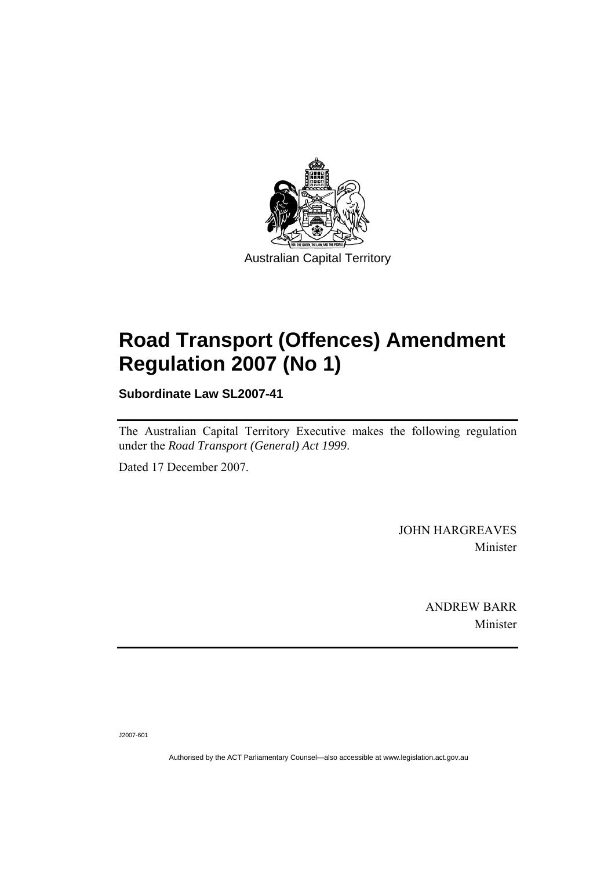

# **[Road Transport \(Offences\) Amendment](#page-2-0)  [Regulation 2007 \(No 1\)](#page-2-0)**

**Subordinate Law SL2007-41** 

The Australian Capital Territory Executive makes the following regulation under the *[Road Transport \(General\) Act 1999](#page-2-0)*.

Dated 17 December 2007.

JOHN HARGREAVES Minister

> ANDREW BARR Minister

J2007-601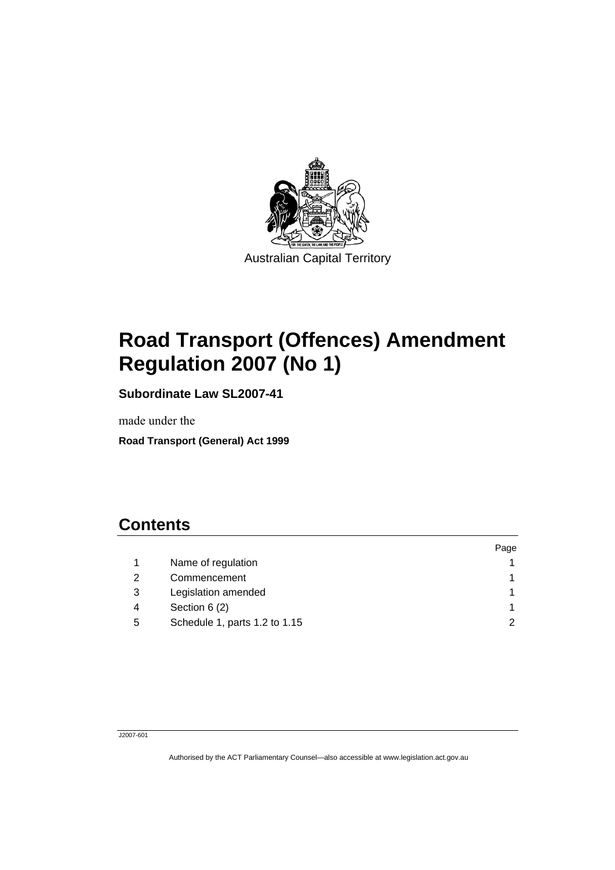<span id="page-2-0"></span>

# **Road Transport (Offences) Amendment Regulation 2007 (No 1)**

**Subordinate Law SL2007-41** 

made under the

**Road Transport (General) Act 1999** 

# **Contents**

|   |                               | Page |
|---|-------------------------------|------|
|   | Name of regulation            |      |
| 2 | Commencement                  |      |
| 3 | Legislation amended           |      |
| 4 | Section 6 (2)                 |      |
| 5 | Schedule 1, parts 1.2 to 1.15 | າ    |

### J2007-601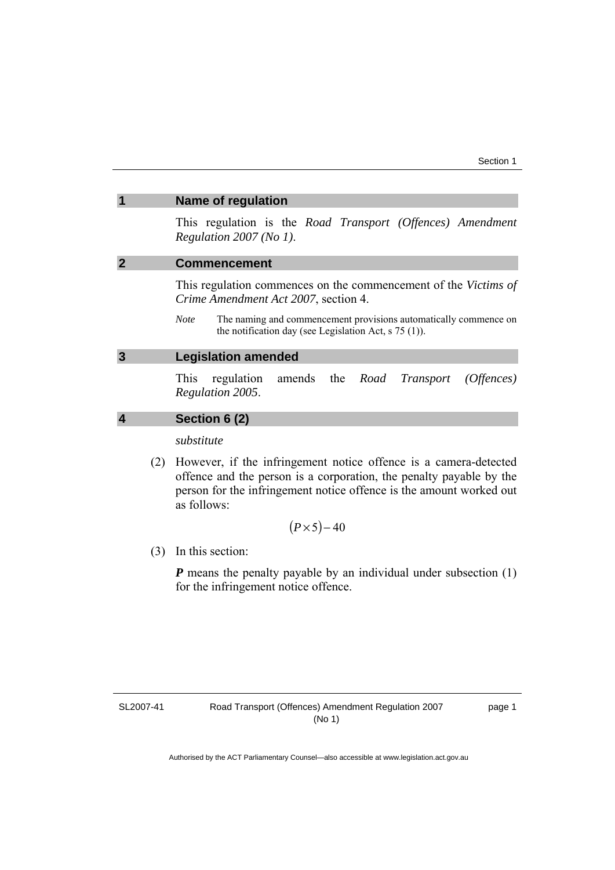## <span id="page-4-0"></span>**1 Name of regulation**

This regulation is the *Road Transport (Offences) Amendment Regulation 2007 (No 1)*.

# **2 Commencement**

This regulation commences on the commencement of the *Victims of Crime Amendment Act 2007*, section 4.

*Note* The naming and commencement provisions automatically commence on the notification day (see Legislation Act, s 75 (1)).

## **3 Legislation amended**

This regulation amends the *Road Transport (Offences) Regulation 2005*.

# **4 Section 6 (2)**

*substitute* 

 (2) However, if the infringement notice offence is a camera-detected offence and the person is a corporation, the penalty payable by the person for the infringement notice offence is the amount worked out as follows:

$$
(P \times 5)-40
$$

(3) In this section:

*P* means the penalty payable by an individual under subsection (1) for the infringement notice offence.

SL2007-41

page 1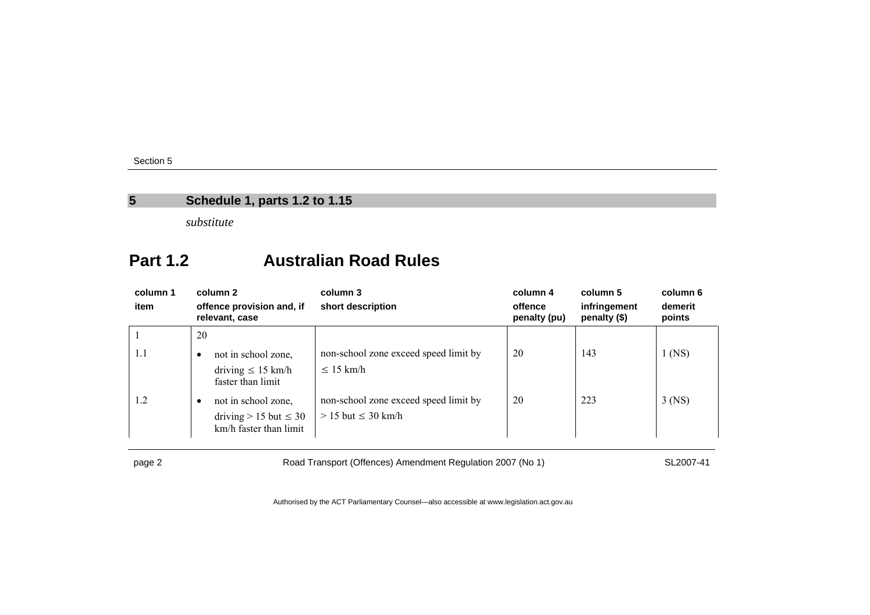# **5 Schedule 1, parts 1.2 to 1.15**

*substitute* 

# **Part 1.2 Australian Road Rules**

| column 1<br>item | column 2<br>offence provision and, if<br>relevant, case                       | column 3<br>short description                                      | column 4<br>offence<br>penalty (pu) | column 5<br>infringement<br>penalty (\$) | column 6<br>demerit<br>points |
|------------------|-------------------------------------------------------------------------------|--------------------------------------------------------------------|-------------------------------------|------------------------------------------|-------------------------------|
| 1.1              | 20<br>not in school zone,<br>٠<br>driving $\leq 15$ km/h<br>faster than limit | non-school zone exceed speed limit by<br>$\leq 15$ km/h            | 20                                  | 143                                      | $1$ (NS)                      |
| 1.2              | not in school zone,<br>driving $> 15$ but $\leq 30$<br>km/h faster than limit | non-school zone exceed speed limit by<br>$> 15$ but $\leq 30$ km/h | 20                                  | 223                                      | $3$ (NS)                      |

<span id="page-5-0"></span>

page 2 Road Transport (Offences) Amendment Regulation 2007 (No 1) SL2007-41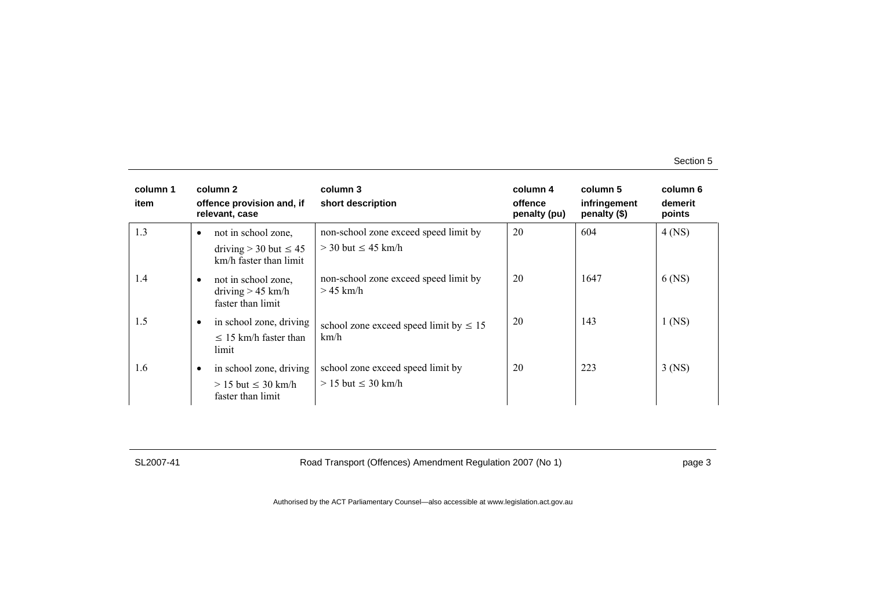| column 1<br>item |           | column 2<br>offence provision and, if<br>relevant, case                       | column 3<br>short description                                      | column 4<br>offence<br>penalty (pu) | column 5<br>infringement<br>penalty (\$) | column 6<br>demerit<br>points |
|------------------|-----------|-------------------------------------------------------------------------------|--------------------------------------------------------------------|-------------------------------------|------------------------------------------|-------------------------------|
| 1.3              | $\bullet$ | not in school zone,<br>driving $>$ 30 but $\leq$ 45<br>km/h faster than limit | non-school zone exceed speed limit by<br>$>$ 30 but $\leq$ 45 km/h | 20                                  | 604                                      | $4$ (NS)                      |
| 1.4              | ٠         | not in school zone,<br>driving $> 45$ km/h<br>faster than limit               | non-school zone exceed speed limit by<br>$>$ 45 km/h               | 20                                  | 1647                                     | $6$ (NS)                      |
| 1.5              |           | in school zone, driving<br>$\leq$ 15 km/h faster than<br>limit.               | school zone exceed speed limit by $\leq 15$<br>km/h                | 20                                  | 143                                      | $1$ (NS)                      |
| 1.6              | $\bullet$ | in school zone, driving<br>$> 15$ but $\leq 30$ km/h<br>faster than limit     | school zone exceed speed limit by<br>$> 15$ but $\leq 30$ km/h     | 20                                  | 223                                      | $3$ (NS)                      |

SL2007-41 Road Transport (Offences) Amendment Regulation 2007 (No 1) page 3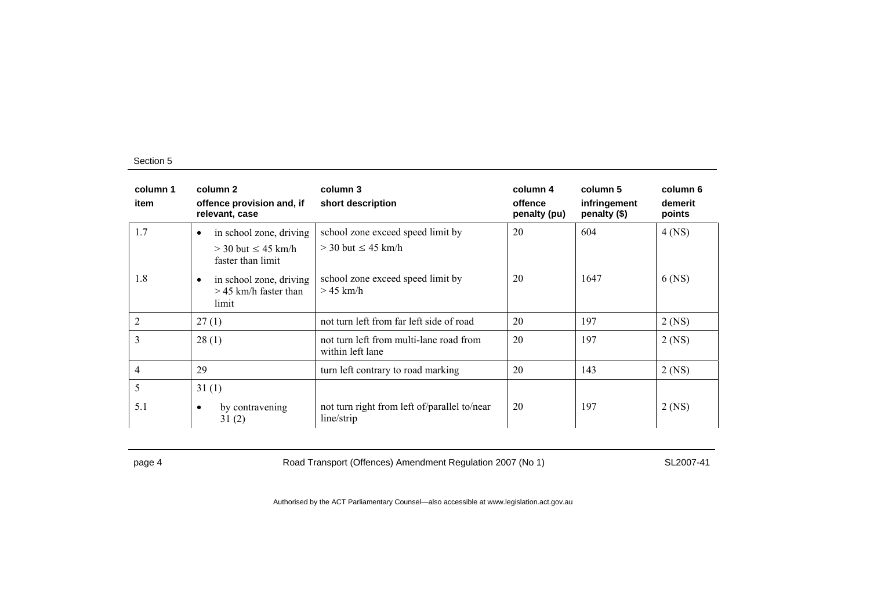| column 1<br>item | column 2<br>offence provision and, if<br>relevant, case                                                                    | column 3<br>short description                                                 | column 4<br>offence<br>penalty (pu) | column 5<br>infringement<br>penalty (\$) | column 6<br>demerit<br>points |
|------------------|----------------------------------------------------------------------------------------------------------------------------|-------------------------------------------------------------------------------|-------------------------------------|------------------------------------------|-------------------------------|
| 1.7              | in school zone, driving<br>$\bullet$                                                                                       | school zone exceed speed limit by                                             | 20                                  | 604                                      | $4$ (NS)                      |
| 1.8              | $>$ 30 but $\leq$ 45 km/h<br>faster than limit<br>in school zone, driving<br>$\bullet$<br>$>$ 45 km/h faster than<br>limit | $>$ 30 but $\leq$ 45 km/h<br>school zone exceed speed limit by<br>$>$ 45 km/h | 20                                  | 1647                                     | 6 (NS)                        |
| $\overline{2}$   | 27(1)                                                                                                                      | not turn left from far left side of road                                      | 20                                  | 197                                      | $2$ (NS)                      |
| 3                | 28(1)                                                                                                                      | not turn left from multi-lane road from<br>within left lane                   | 20                                  | 197                                      | $2$ (NS)                      |
| 4                | 29                                                                                                                         | turn left contrary to road marking                                            | 20                                  | 143                                      | 2 (NS)                        |
| 5                | 31(1)                                                                                                                      |                                                                               |                                     |                                          |                               |
| 5.1              | by contravening<br>$\bullet$<br>31(2)                                                                                      | not turn right from left of/parallel to/near<br>line/strip                    | 20                                  | 197                                      | $2$ (NS)                      |

page 4 Road Transport (Offences) Amendment Regulation 2007 (No 1) SL2007-41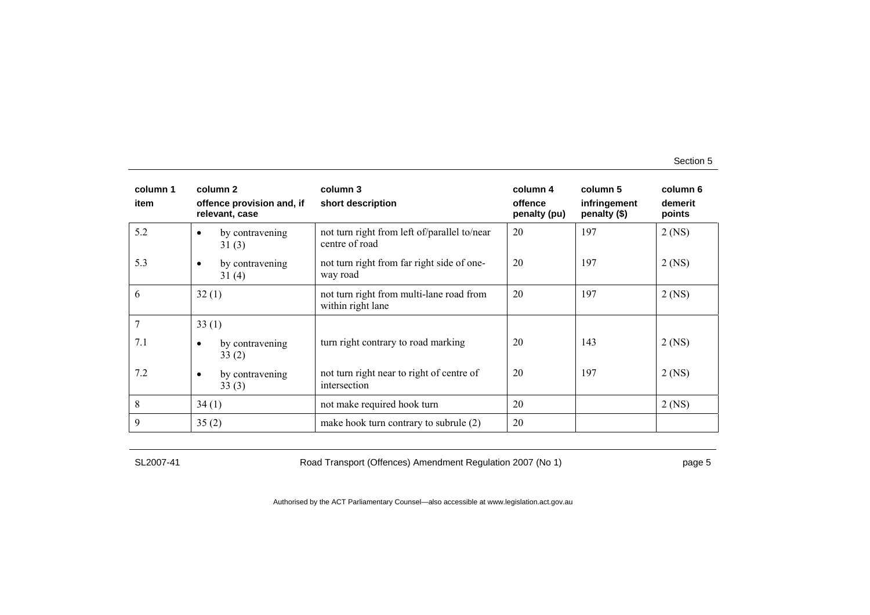| column 1<br>item | column 2<br>offence provision and, if<br>relevant, case | column 3<br>short description                                  | column 4<br>offence<br>penalty (pu) | column 5<br>infringement<br>penalty (\$) | column 6<br>demerit<br>points |
|------------------|---------------------------------------------------------|----------------------------------------------------------------|-------------------------------------|------------------------------------------|-------------------------------|
| 5.2              | by contravening<br>$\bullet$<br>31(3)                   | not turn right from left of/parallel to/near<br>centre of road | 20                                  | 197                                      | $2$ (NS)                      |
| 5.3              | by contravening<br>$\bullet$<br>31(4)                   | not turn right from far right side of one-<br>way road         | 20                                  | 197                                      | $2$ (NS)                      |
| 6                | 32(1)                                                   | not turn right from multi-lane road from<br>within right lane  | 20                                  | 197                                      | $2$ (NS)                      |
| 7                | 33(1)                                                   |                                                                |                                     |                                          |                               |
| 7.1              | by contravening<br>$\bullet$<br>33(2)                   | turn right contrary to road marking                            | 20                                  | 143                                      | $2$ (NS)                      |
| 7.2              | by contravening<br>$\bullet$<br>33(3)                   | not turn right near to right of centre of<br>intersection      | 20                                  | 197                                      | $2$ (NS)                      |
| 8                | 34(1)                                                   | not make required hook turn                                    | 20                                  |                                          | $2$ (NS)                      |
| 9                | 35(2)                                                   | make hook turn contrary to subrule (2)                         | 20                                  |                                          |                               |

SL2007-41 Road Transport (Offences) Amendment Regulation 2007 (No 1) page 5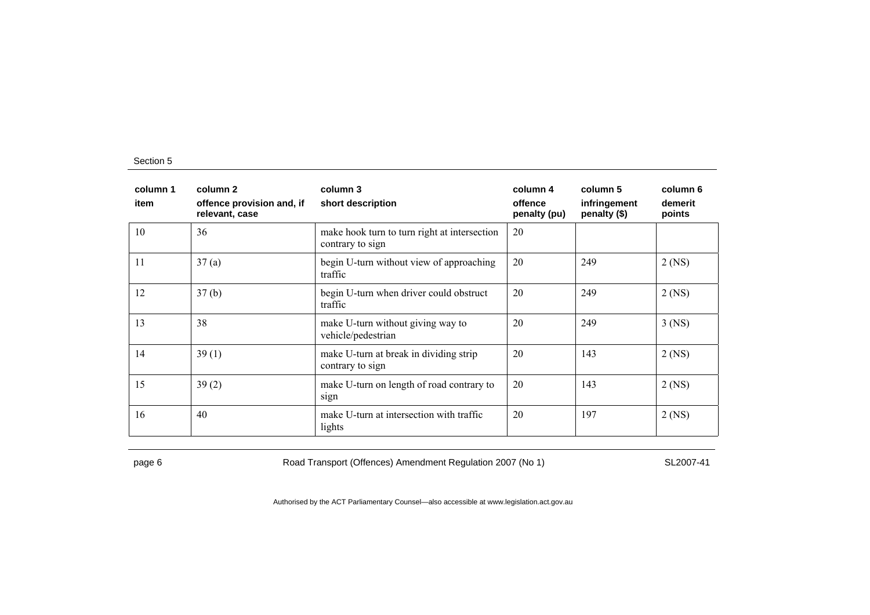| column 1<br>item | column 2<br>offence provision and, if<br>relevant, case | column 3<br>short description                                    | column 4<br>offence<br>penalty (pu) | column 5<br>infringement<br>penalty (\$) | column 6<br>demerit<br>points |
|------------------|---------------------------------------------------------|------------------------------------------------------------------|-------------------------------------|------------------------------------------|-------------------------------|
| 10               | 36                                                      | make hook turn to turn right at intersection<br>contrary to sign | 20                                  |                                          |                               |
| 11               | 37(a)                                                   | begin U-turn without view of approaching<br>traffic              | 20                                  | 249                                      | $2$ (NS)                      |
| 12               | 37(b)                                                   | begin U-turn when driver could obstruct<br>traffic               | 20                                  | 249                                      | $2$ (NS)                      |
| 13               | 38                                                      | make U-turn without giving way to<br>vehicle/pedestrian          | 20                                  | 249                                      | $3$ (NS)                      |
| 14               | 39(1)                                                   | make U-turn at break in dividing strip<br>contrary to sign       | 20                                  | 143                                      | $2$ (NS)                      |
| 15               | 39(2)                                                   | make U-turn on length of road contrary to<br>sign                | 20                                  | 143                                      | $2$ (NS)                      |
| 16               | 40                                                      | make U-turn at intersection with traffic<br>lights               | 20                                  | 197                                      | $2$ (NS)                      |

page 6 Road Transport (Offences) Amendment Regulation 2007 (No 1) SL2007-41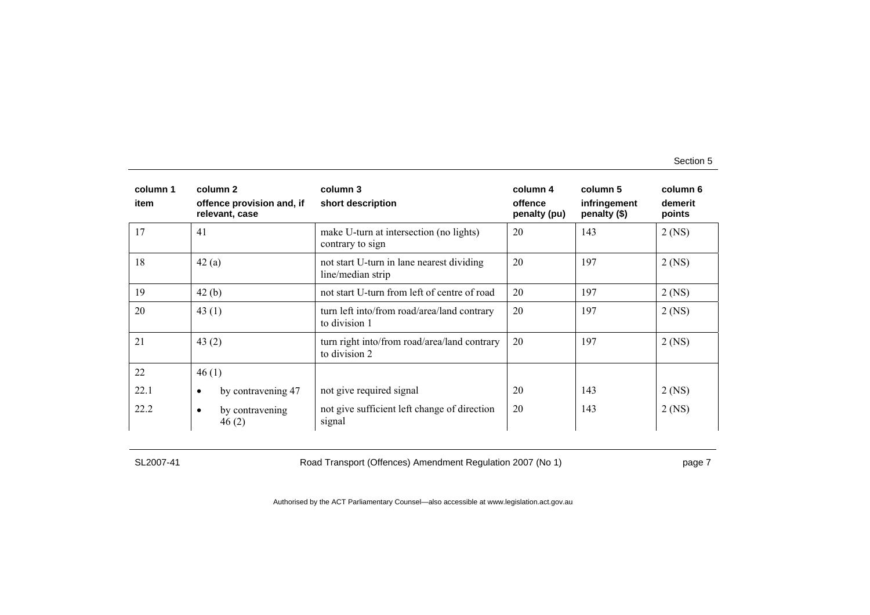| column 1<br>item | column 2<br>offence provision and, if<br>relevant, case | column 3<br>short description                                  | column 4<br>offence<br>penalty (pu) | column 5<br>infringement<br>penalty (\$) | column 6<br>demerit<br>points |
|------------------|---------------------------------------------------------|----------------------------------------------------------------|-------------------------------------|------------------------------------------|-------------------------------|
| 17               | 41                                                      | make U-turn at intersection (no lights)<br>contrary to sign    | 20                                  | 143                                      | $2$ (NS)                      |
| 18               | 42(a)                                                   | not start U-turn in lane nearest dividing<br>line/median strip | 20                                  | 197                                      | $2$ (NS)                      |
| 19               | 42(b)                                                   | not start U-turn from left of centre of road                   | 20                                  | 197                                      | $2$ (NS)                      |
| 20               | 43 $(1)$                                                | turn left into/from road/area/land contrary<br>to division 1   | 20                                  | 197                                      | $2$ (NS)                      |
| 21               | 43 $(2)$                                                | turn right into/from road/area/land contrary<br>to division 2  | 20                                  | 197                                      | $2$ (NS)                      |
| 22               | 46(1)                                                   |                                                                |                                     |                                          |                               |
| 22.1             | by contravening 47<br>$\bullet$                         | not give required signal                                       | 20                                  | 143                                      | $2$ (NS)                      |
| 22.2             | by contravening<br>$\bullet$<br>46(2)                   | not give sufficient left change of direction<br>signal         | 20                                  | 143                                      | $2$ (NS)                      |

SL2007-41 Road Transport (Offences) Amendment Regulation 2007 (No 1) page 7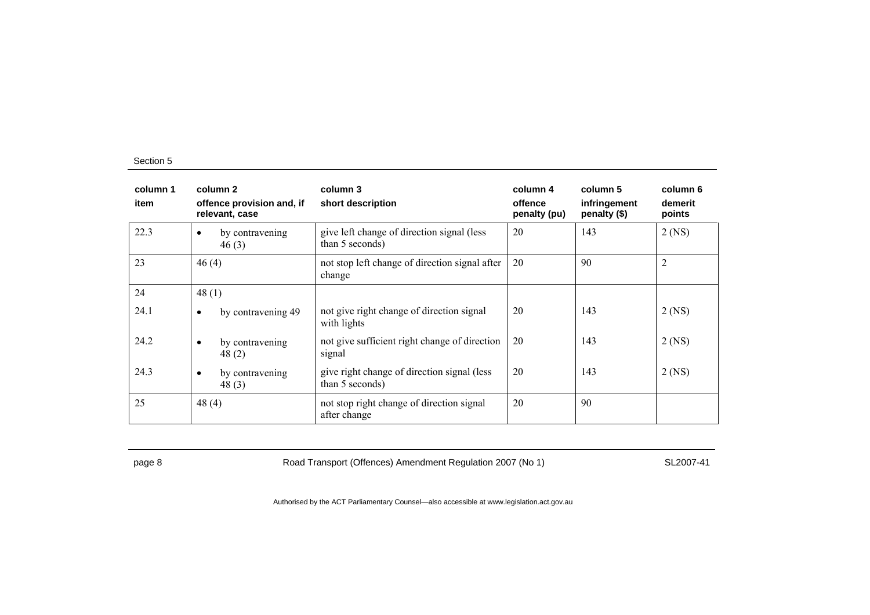| column 1<br>item | column 2<br>offence provision and, if<br>relevant, case | column 3<br>short description                                   | column 4<br>offence<br>penalty (pu) | column 5<br>infringement<br>penalty (\$) | column 6<br>demerit<br>points |
|------------------|---------------------------------------------------------|-----------------------------------------------------------------|-------------------------------------|------------------------------------------|-------------------------------|
| 22.3             | by contravening<br>$\bullet$<br>46(3)                   | give left change of direction signal (less<br>than 5 seconds)   | 20                                  | 143                                      | $2$ (NS)                      |
| 23               | 46(4)                                                   | not stop left change of direction signal after<br>change        | 20                                  | 90                                       | $\overline{2}$                |
| 24               | 48(1)                                                   |                                                                 |                                     |                                          |                               |
| 24.1             | by contravening 49<br>$\bullet$                         | not give right change of direction signal<br>with lights        | 20                                  | 143                                      | $2$ (NS)                      |
| 24.2             | by contravening<br>$\bullet$<br>48(2)                   | not give sufficient right change of direction<br>signal         | 20                                  | 143                                      | 2 (NS)                        |
| 24.3             | by contravening<br>$\bullet$<br>48(3)                   | give right change of direction signal (less)<br>than 5 seconds) | 20                                  | 143                                      | $2$ (NS)                      |
| 25               | 48 $(4)$                                                | not stop right change of direction signal<br>after change       | 20                                  | 90                                       |                               |

page 8 Road Transport (Offences) Amendment Regulation 2007 (No 1) SL2007-41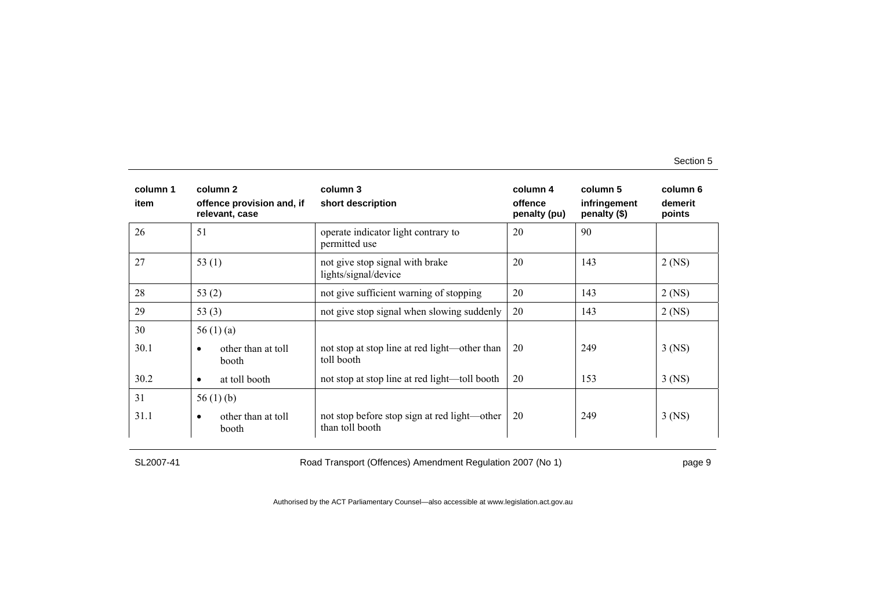| column 1<br>item | column 2<br>offence provision and, if<br>relevant, case | column 3<br>short description                                   | column 4<br>offence<br>penalty (pu) | column 5<br>infringement<br>penalty (\$) | column 6<br>demerit<br>points |
|------------------|---------------------------------------------------------|-----------------------------------------------------------------|-------------------------------------|------------------------------------------|-------------------------------|
| 26               | 51                                                      | operate indicator light contrary to<br>permitted use            | 20                                  | 90                                       |                               |
| 27               | 53 $(1)$                                                | not give stop signal with brake<br>lights/signal/device         | 20                                  | 143                                      | $2$ (NS)                      |
| 28               | 53 $(2)$                                                | not give sufficient warning of stopping                         | 20                                  | 143                                      | $2$ (NS)                      |
| 29               | 53 $(3)$                                                | not give stop signal when slowing suddenly                      | 20                                  | 143                                      | $2$ (NS)                      |
| 30               | 56 $(1)$ $(a)$                                          |                                                                 |                                     |                                          |                               |
| 30.1             | other than at toll<br>$\bullet$<br>booth                | not stop at stop line at red light—other than<br>toll booth     | 20                                  | 249                                      | $3$ (NS)                      |
| 30.2             | at toll booth<br>$\bullet$                              | not stop at stop line at red light—toll booth                   | 20                                  | 153                                      | $3$ (NS)                      |
| 31               | 56 $(1)$ $(b)$                                          |                                                                 |                                     |                                          |                               |
| 31.1             | other than at toll<br>$\bullet$<br>booth                | not stop before stop sign at red light—other<br>than toll booth | 20                                  | 249                                      | $3$ (NS)                      |

SL2007-41 Road Transport (Offences) Amendment Regulation 2007 (No 1) page 9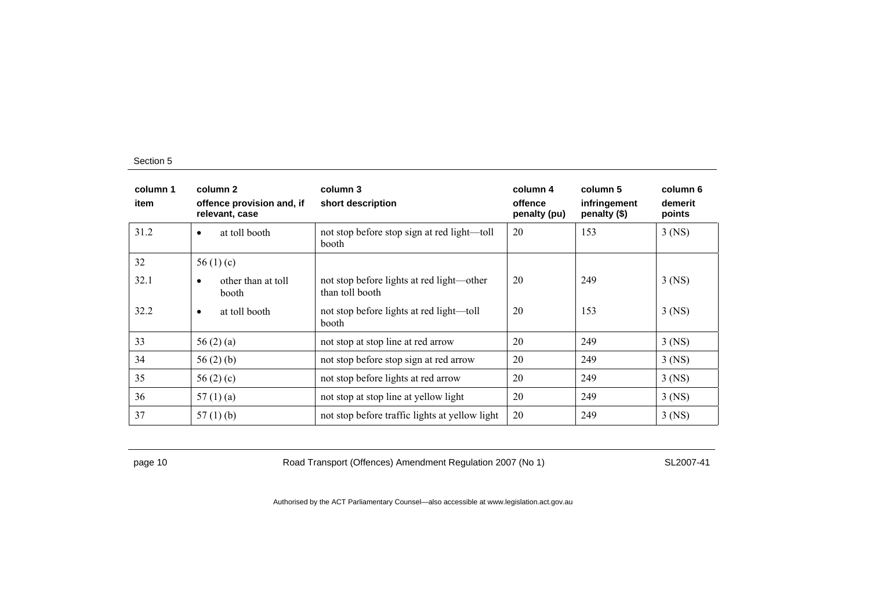| column 1<br>item | column 2<br>offence provision and, if<br>relevant, case | column 3<br>short description                                | column 4<br>offence<br>penalty (pu) | column 5<br>infringement<br>penalty (\$) | column 6<br>demerit<br>points |
|------------------|---------------------------------------------------------|--------------------------------------------------------------|-------------------------------------|------------------------------------------|-------------------------------|
| 31.2             | at toll booth<br>$\bullet$                              | not stop before stop sign at red light—toll<br>booth         | 20                                  | 153                                      | $3$ (NS)                      |
| 32               | 56 $(1)(c)$                                             |                                                              |                                     |                                          |                               |
| 32.1             | other than at toll<br>٠<br>booth                        | not stop before lights at red light—other<br>than toll booth | 20                                  | 249                                      | $3$ (NS)                      |
| 32.2             | at toll booth<br>$\bullet$                              | not stop before lights at red light—toll<br>booth            | 20                                  | 153                                      | $3$ (NS)                      |
| 33               | 56 $(2)$ $(a)$                                          | not stop at stop line at red arrow                           | 20                                  | 249                                      | $3$ (NS)                      |
| 34               | 56 $(2)$ $(b)$                                          | not stop before stop sign at red arrow                       | 20                                  | 249                                      | $3$ (NS)                      |
| 35               | 56 $(2)(c)$                                             | not stop before lights at red arrow                          | 20                                  | 249                                      | $3$ (NS)                      |
| 36               | 57(1)(a)                                                | not stop at stop line at yellow light                        | 20                                  | 249                                      | $3$ (NS)                      |
| 37               | 57(1)(b)                                                | not stop before traffic lights at yellow light               | 20                                  | 249                                      | $3$ (NS)                      |

page 10 Road Transport (Offences) Amendment Regulation 2007 (No 1) SL2007-41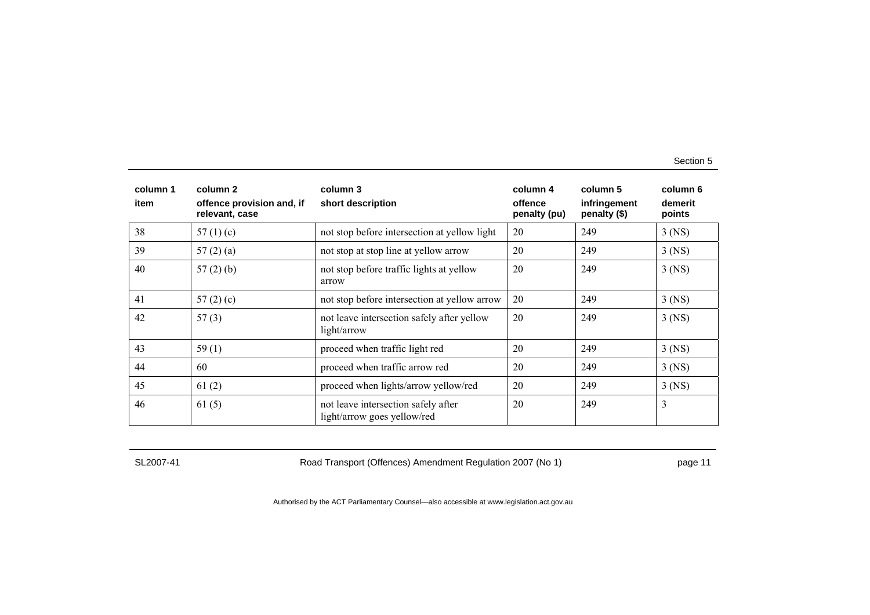| column 1<br>item | column 2<br>offence provision and, if<br>relevant, case | column 3<br>short description                                      | column 4<br>offence<br>penalty (pu) | column 5<br>infringement<br>penalty (\$) | column 6<br>demerit<br>points |
|------------------|---------------------------------------------------------|--------------------------------------------------------------------|-------------------------------------|------------------------------------------|-------------------------------|
| 38               | 57 $(1)(c)$                                             | not stop before intersection at yellow light                       | 20                                  | 249                                      | $3$ (NS)                      |
| 39               | 57(2)(a)                                                | not stop at stop line at yellow arrow                              | 20                                  | 249                                      | $3$ (NS)                      |
| 40               | $57(2)$ (b)                                             | not stop before traffic lights at yellow<br>arrow                  | 20                                  | 249                                      | $3$ (NS)                      |
| 41               | 57 $(2)$ $(c)$                                          | not stop before intersection at yellow arrow                       | 20                                  | 249                                      | $3$ (NS)                      |
| 42               | 57(3)                                                   | not leave intersection safely after yellow<br>light/arrow          | 20                                  | 249                                      | $3$ (NS)                      |
| 43               | 59 $(1)$                                                | proceed when traffic light red                                     | 20                                  | 249                                      | $3$ (NS)                      |
| 44               | 60                                                      | proceed when traffic arrow red                                     | 20                                  | 249                                      | $3$ (NS)                      |
| 45               | 61(2)                                                   | proceed when lights/arrow yellow/red                               | 20                                  | 249                                      | $3$ (NS)                      |
| 46               | 61(5)                                                   | not leave intersection safely after<br>light/arrow goes yellow/red | 20                                  | 249                                      | 3                             |

SL2007-41 Road Transport (Offences) Amendment Regulation 2007 (No 1) page 11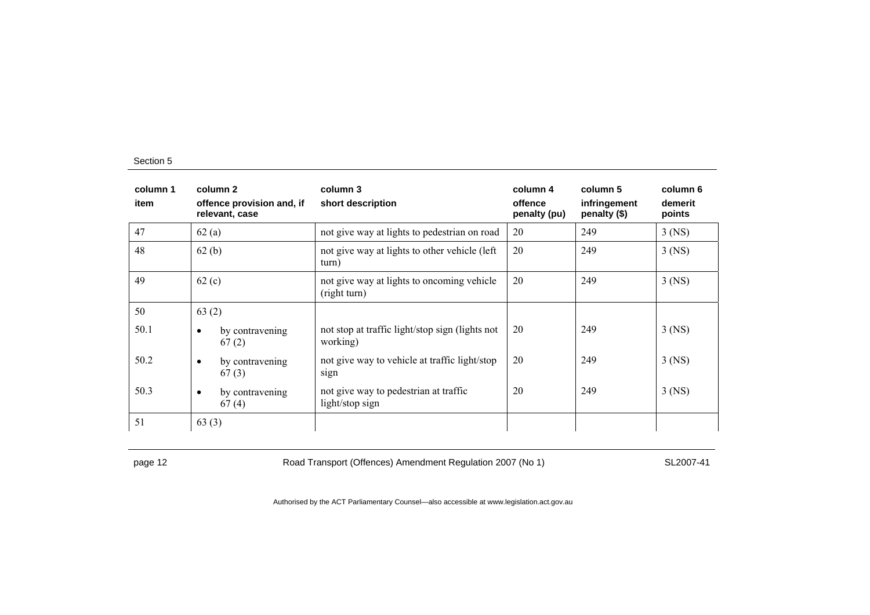| column 1<br>item | column 2<br>offence provision and, if<br>relevant, case | column 3<br>short description                               | column 4<br>offence<br>penalty (pu) | column 5<br>infringement<br>penalty (\$) | column 6<br>demerit<br>points |
|------------------|---------------------------------------------------------|-------------------------------------------------------------|-------------------------------------|------------------------------------------|-------------------------------|
| 47               | 62(a)                                                   | not give way at lights to pedestrian on road                | 20                                  | 249                                      | $3$ (NS)                      |
| 48               | 62(b)                                                   | not give way at lights to other vehicle (left<br>turn)      | 20                                  | 249                                      | $3$ (NS)                      |
| 49               | 62(c)                                                   | not give way at lights to oncoming vehicle<br>(right turn)  | 20                                  | 249                                      | $3$ (NS)                      |
| 50               | 63(2)                                                   |                                                             |                                     |                                          |                               |
| 50.1             | by contravening<br>$\bullet$<br>67(2)                   | not stop at traffic light/stop sign (lights not<br>working) | 20                                  | 249                                      | $3$ (NS)                      |
| 50.2             | by contravening<br>$\bullet$<br>67(3)                   | not give way to vehicle at traffic light/stop<br>sign       | 20                                  | 249                                      | 3 (NS)                        |
| 50.3             | by contravening<br>$\bullet$<br>67(4)                   | not give way to pedestrian at traffic<br>light/stop sign    | 20                                  | 249                                      | $3$ (NS)                      |
| 51               | 63(3)                                                   |                                                             |                                     |                                          |                               |

page 12 **Road Transport (Offences) Amendment Regulation 2007 (No 1)** SL2007-41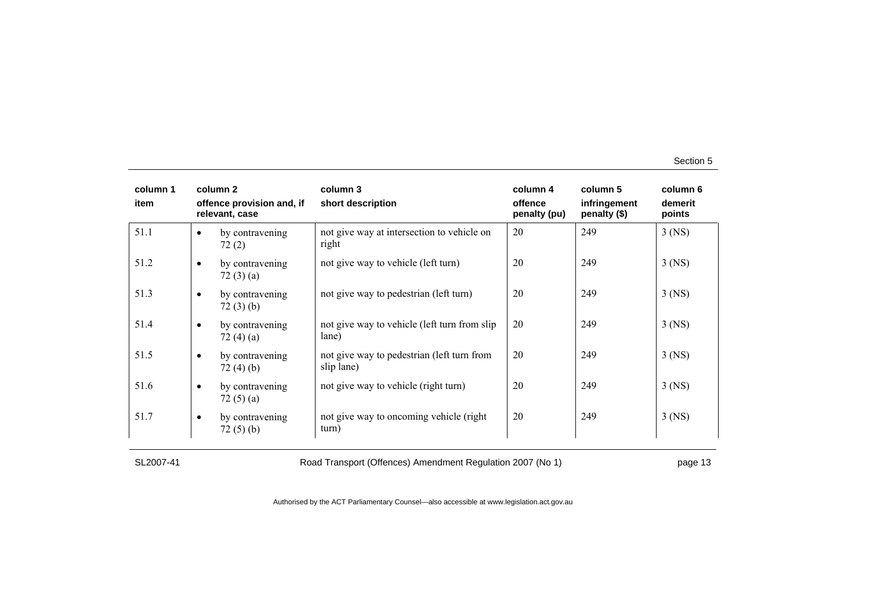| column 1<br>item |           | column 2<br>offence provision and, if<br>relevant, case | column 3<br>short description                            | column 4<br>offence<br>penalty (pu) | column 5<br>infringement<br>penalty (\$) | column 6<br>demerit<br>points |
|------------------|-----------|---------------------------------------------------------|----------------------------------------------------------|-------------------------------------|------------------------------------------|-------------------------------|
| 51.1             | $\bullet$ | by contravening<br>72(2)                                | not give way at intersection to vehicle on<br>right      | 20                                  | 249                                      | $3$ (NS)                      |
| 51.2             | $\bullet$ | by contravening<br>72(3)(a)                             | not give way to vehicle (left turn)                      | 20                                  | 249                                      | $3$ (NS)                      |
| 51.3             | $\bullet$ | by contravening<br>72(3)(b)                             | not give way to pedestrian (left turn)                   | 20                                  | 249                                      | $3$ (NS)                      |
| 51.4             | $\bullet$ | by contravening<br>72(4)(a)                             | not give way to vehicle (left turn from slip)<br>lane)   | 20                                  | 249                                      | $3$ (NS)                      |
| 51.5             | $\bullet$ | by contravening<br>72(4)(b)                             | not give way to pedestrian (left turn from<br>slip lane) | 20                                  | 249                                      | $3$ (NS)                      |
| 51.6             | $\bullet$ | by contravening<br>72(5)(a)                             | not give way to vehicle (right turn)                     | 20                                  | 249                                      | $3$ (NS)                      |
| 51.7             | $\bullet$ | by contravening<br>72(5)(b)                             | not give way to oncoming vehicle (right<br>turn)         | 20                                  | 249                                      | $3$ (NS)                      |

SL2007-41 Road Transport (Offences) Amendment Regulation 2007 (No 1) page 13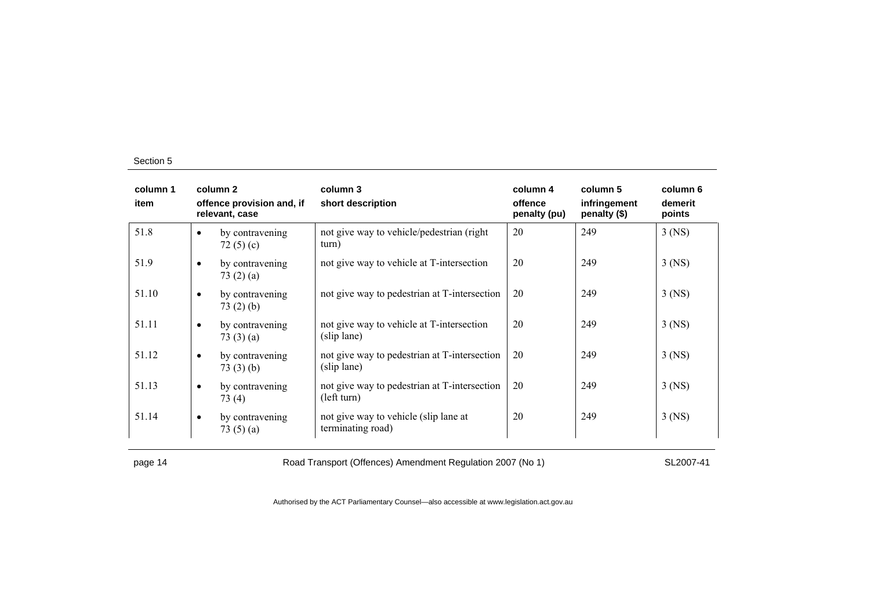| column 1<br>item |           | column 2<br>offence provision and, if<br>relevant, case | column 3<br>short description                               | column 4<br>offence<br>penalty (pu) | column 5<br>infringement<br>penalty (\$) | column 6<br>demerit<br>points |
|------------------|-----------|---------------------------------------------------------|-------------------------------------------------------------|-------------------------------------|------------------------------------------|-------------------------------|
| 51.8             | $\bullet$ | by contravening<br>72 $(5)(c)$                          | not give way to vehicle/pedestrian (right)<br>turn)         | 20                                  | 249                                      | $3$ (NS)                      |
| 51.9             | $\bullet$ | by contravening<br>73 $(2)$ $(a)$                       | not give way to vehicle at T-intersection                   | 20                                  | 249                                      | $3$ (NS)                      |
| 51.10            | $\bullet$ | by contravening<br>73(2)(b)                             | not give way to pedestrian at T-intersection                | 20                                  | 249                                      | $3$ (NS)                      |
| 51.11            | $\bullet$ | by contravening<br>73 $(3)$ $(a)$                       | not give way to vehicle at T-intersection<br>(slip lane)    | 20                                  | 249                                      | $3$ (NS)                      |
| 51.12            | $\bullet$ | by contravening<br>73(3)(b)                             | not give way to pedestrian at T-intersection<br>(slip lane) | 20                                  | 249                                      | $3$ (NS)                      |
| 51.13            | $\bullet$ | by contravening<br>73(4)                                | not give way to pedestrian at T-intersection<br>(left turn) | 20                                  | 249                                      | $3$ (NS)                      |
| 51.14            | $\bullet$ | by contravening<br>73 $(5)(a)$                          | not give way to vehicle (slip lane at<br>terminating road)  | 20                                  | 249                                      | $3$ (NS)                      |

page 14 **Road Transport (Offences) Amendment Regulation 2007 (No 1)** SL2007-41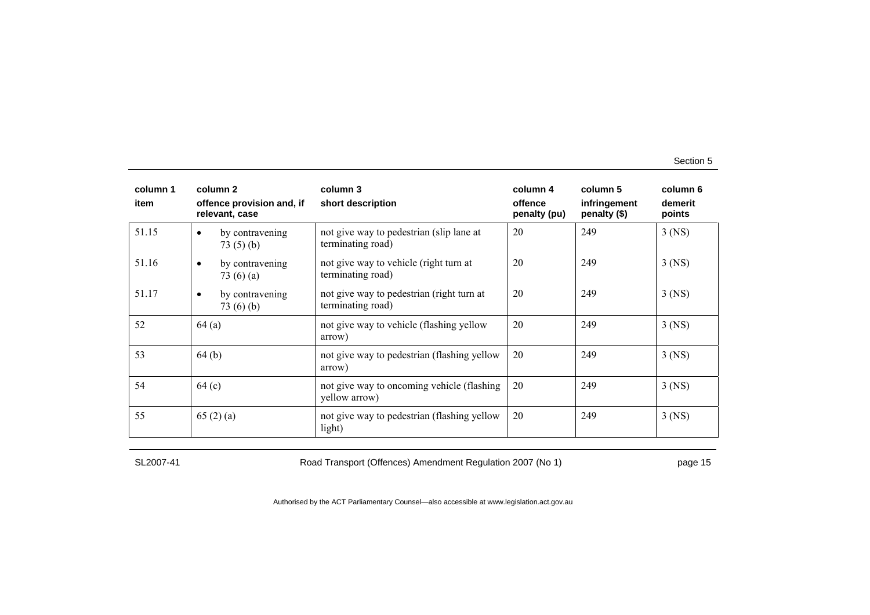| column 1<br>item | column 2<br>offence provision and, if<br>relevant, case | column 3<br>short description                                  | column 4<br>offence<br>penalty (pu) | column 5<br>infringement<br>penalty (\$) | column 6<br>demerit<br>points |
|------------------|---------------------------------------------------------|----------------------------------------------------------------|-------------------------------------|------------------------------------------|-------------------------------|
| 51.15            | by contravening<br>$\bullet$<br>73(5)(b)                | not give way to pedestrian (slip lane at<br>terminating road)  | 20                                  | 249                                      | $3$ (NS)                      |
| 51.16            | by contravening<br>$\bullet$<br>73 $(6)$ $(a)$          | not give way to vehicle (right turn at<br>terminating road)    | 20                                  | 249                                      | $3$ (NS)                      |
| 51.17            | by contravening<br>$\bullet$<br>73(6)(b)                | not give way to pedestrian (right turn at<br>terminating road) | 20                                  | 249                                      | $3$ (NS)                      |
| 52               | 64(a)                                                   | not give way to vehicle (flashing yellow<br>arrow)             | 20                                  | 249                                      | $3$ (NS)                      |
| 53               | 64(b)                                                   | not give way to pedestrian (flashing yellow<br>arrow)          | 20                                  | 249                                      | $3$ (NS)                      |
| 54               | 64 (c)                                                  | not give way to oncoming vehicle (flashing)<br>yellow arrow)   | 20                                  | 249                                      | $3$ (NS)                      |
| 55               | 65(2)(a)                                                | not give way to pedestrian (flashing yellow<br>light)          | 20                                  | 249                                      | $3$ (NS)                      |

SL2007-41 Road Transport (Offences) Amendment Regulation 2007 (No 1) page 15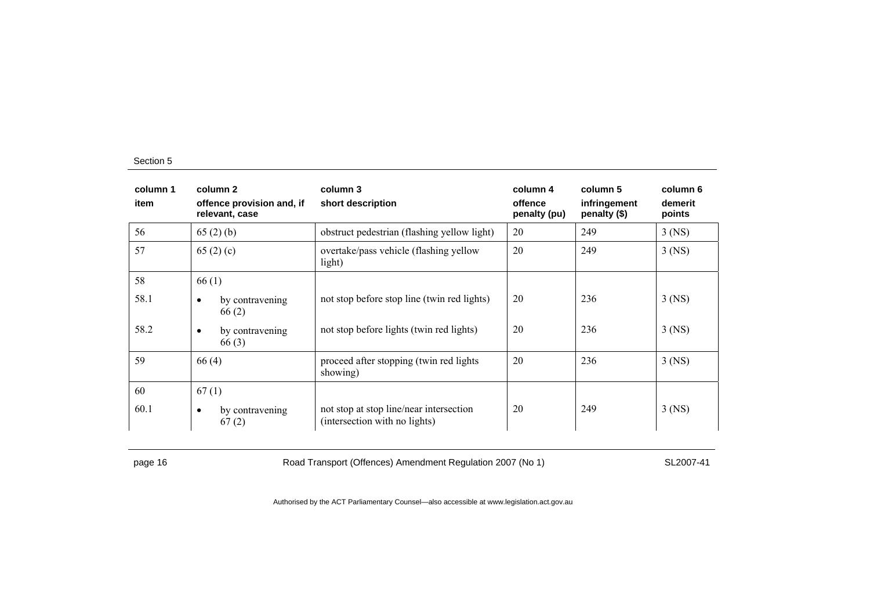| column 1<br>item | column 2<br>offence provision and, if<br>relevant, case | column 3<br>short description                                            | column 4<br>offence<br>penalty (pu) | column 5<br>infringement<br>penalty (\$) | column 6<br>demerit<br>points |
|------------------|---------------------------------------------------------|--------------------------------------------------------------------------|-------------------------------------|------------------------------------------|-------------------------------|
| 56               | 65(2)(b)                                                | obstruct pedestrian (flashing yellow light)                              | 20                                  | 249                                      | $3$ (NS)                      |
| 57               | 65 $(2)(c)$                                             | overtake/pass vehicle (flashing yellow<br>light)                         | 20                                  | 249                                      | $3$ (NS)                      |
| 58               | 66(1)                                                   |                                                                          |                                     |                                          |                               |
| 58.1             | by contravening<br>$\bullet$<br>66(2)                   | not stop before stop line (twin red lights)                              | 20                                  | 236                                      | 3 (NS)                        |
| 58.2             | by contravening<br>$\bullet$<br>66(3)                   | not stop before lights (twin red lights)                                 | 20                                  | 236                                      | $3$ (NS)                      |
| 59               | 66(4)                                                   | proceed after stopping (twin red lights)<br>showing)                     | 20                                  | 236                                      | $3$ (NS)                      |
| 60               | 67(1)                                                   |                                                                          |                                     |                                          |                               |
| 60.1             | by contravening<br>$\bullet$<br>67(2)                   | not stop at stop line/near intersection<br>(intersection with no lights) | 20                                  | 249                                      | $3$ (NS)                      |

page 16 **Road Transport (Offences) Amendment Regulation 2007 (No 1)** SL2007-41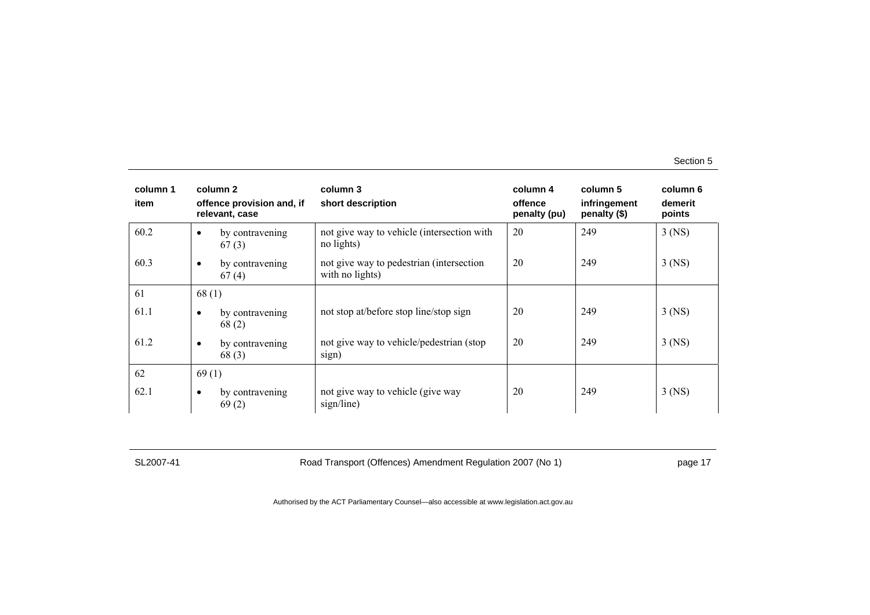| column 1<br>item | column 2<br>offence provision and, if<br>relevant, case | column 3<br>short description                               | column 4<br>offence<br>penalty (pu) | column 5<br>infringement<br>penalty (\$) | column 6<br>demerit<br>points |
|------------------|---------------------------------------------------------|-------------------------------------------------------------|-------------------------------------|------------------------------------------|-------------------------------|
| 60.2             | by contravening<br>$\bullet$<br>67(3)                   | not give way to vehicle (intersection with<br>no lights)    | 20                                  | 249                                      | $3$ (NS)                      |
| 60.3             | by contravening<br>$\bullet$<br>67(4)                   | not give way to pedestrian (intersection<br>with no lights) | 20                                  | 249                                      | $3$ (NS)                      |
| 61               | 68(1)                                                   |                                                             |                                     |                                          |                               |
| 61.1             | by contravening<br>$\bullet$<br>68(2)                   | not stop at/before stop line/stop sign                      | 20                                  | 249                                      | $3$ (NS)                      |
| 61.2             | by contravening<br>$\bullet$<br>68(3)                   | not give way to vehicle/pedestrian (stop)<br>sign)          | 20                                  | 249                                      | $3$ (NS)                      |
| 62               | 69(1)                                                   |                                                             |                                     |                                          |                               |
| 62.1             | by contravening<br>$\bullet$<br>69(2)                   | not give way to vehicle (give way<br>sign/line)             | 20                                  | 249                                      | $3$ (NS)                      |

SL2007-41 Road Transport (Offences) Amendment Regulation 2007 (No 1) page 17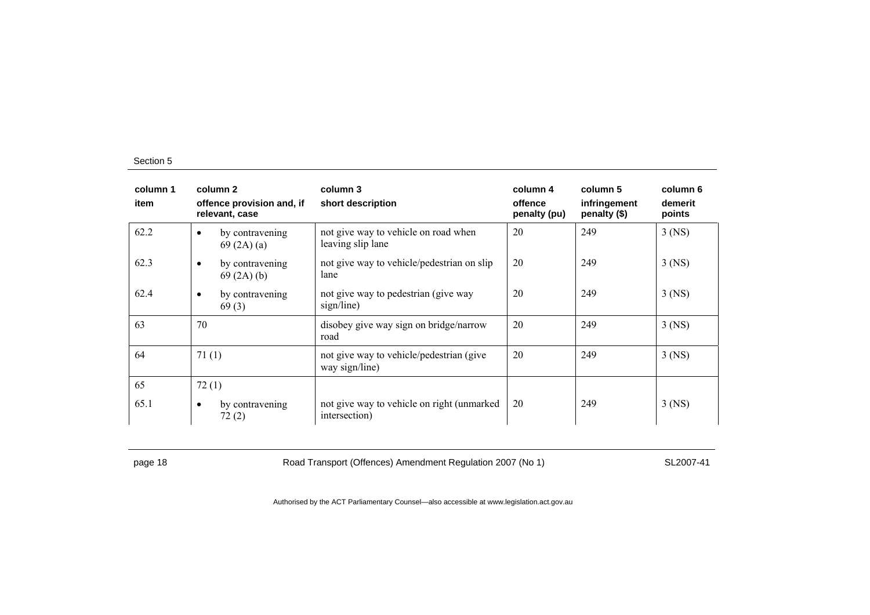| column 1<br>item | column 2<br>offence provision and, if<br>relevant, case | column 3<br>short description                               | column 4<br>offence<br>penalty (pu) | column 5<br>infringement<br>penalty (\$) | column 6<br>demerit<br>points |
|------------------|---------------------------------------------------------|-------------------------------------------------------------|-------------------------------------|------------------------------------------|-------------------------------|
| 62.2             | by contravening<br>$\bullet$<br>69(2A)(a)               | not give way to vehicle on road when<br>leaving slip lane   | 20                                  | 249                                      | $3$ (NS)                      |
| 62.3             | by contravening<br>$\bullet$<br>69(2A)(b)               | not give way to vehicle/pedestrian on slip<br>lane          | 20                                  | 249                                      | $3$ (NS)                      |
| 62.4             | by contravening<br>$\bullet$<br>69(3)                   | not give way to pedestrian (give way<br>sign/line)          | 20                                  | 249                                      | $3$ (NS)                      |
| 63               | 70                                                      | disobey give way sign on bridge/narrow<br>road              | 20                                  | 249                                      | $3$ (NS)                      |
| 64               | 71(1)                                                   | not give way to vehicle/pedestrian (give<br>way sign/line)  | 20                                  | 249                                      | $3$ (NS)                      |
| 65               | 72(1)                                                   |                                                             |                                     |                                          |                               |
| 65.1             | by contravening<br>$\bullet$<br>72(2)                   | not give way to vehicle on right (unmarked<br>intersection) | 20                                  | 249                                      | $3$ (NS)                      |

page 18 **Road Transport (Offences) Amendment Regulation 2007 (No 1)** SL2007-41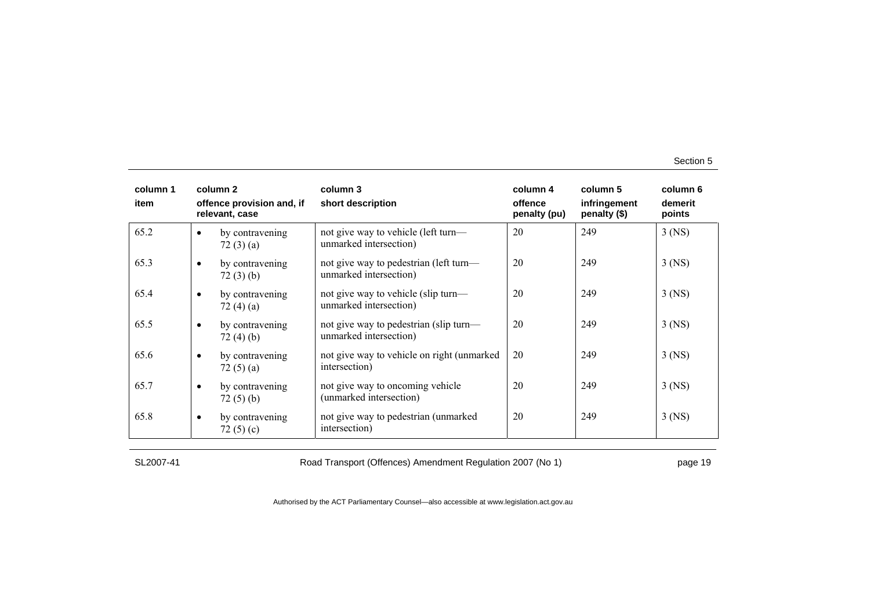| column 1<br>item |           | column 2<br>offence provision and, if<br>relevant, case | column 3<br>short description                                    | column 4<br>offence<br>penalty (pu) | column 5<br>infringement<br>penalty (\$) | column 6<br>demerit<br>points |
|------------------|-----------|---------------------------------------------------------|------------------------------------------------------------------|-------------------------------------|------------------------------------------|-------------------------------|
| 65.2             | $\bullet$ | by contravening<br>72(3)(a)                             | not give way to vehicle (left turn—<br>unmarked intersection)    | 20                                  | 249                                      | $3$ (NS)                      |
| 65.3             | $\bullet$ | by contravening<br>72(3)(b)                             | not give way to pedestrian (left turn—<br>unmarked intersection) | 20                                  | 249                                      | $3$ (NS)                      |
| 65.4             | $\bullet$ | by contravening<br>72(4)(a)                             | not give way to vehicle (slip turn—<br>unmarked intersection)    | 20                                  | 249                                      | $3$ (NS)                      |
| 65.5             | $\bullet$ | by contravening<br>72(4)(b)                             | not give way to pedestrian (slip turn—<br>unmarked intersection) | 20                                  | 249                                      | $3$ (NS)                      |
| 65.6             | $\bullet$ | by contravening<br>72 $(5)$ $(a)$                       | not give way to vehicle on right (unmarked)<br>intersection)     | 20                                  | 249                                      | $3$ (NS)                      |
| 65.7             | $\bullet$ | by contravening<br>72(5)(b)                             | not give way to oncoming vehicle<br>(unmarked intersection)      | 20                                  | 249                                      | 3 (NS)                        |
| 65.8             | $\bullet$ | by contravening<br>72 $(5)(c)$                          | not give way to pedestrian (unmarked<br>intersection)            | 20                                  | 249                                      | $3$ (NS)                      |

SL2007-41 Road Transport (Offences) Amendment Regulation 2007 (No 1) page 19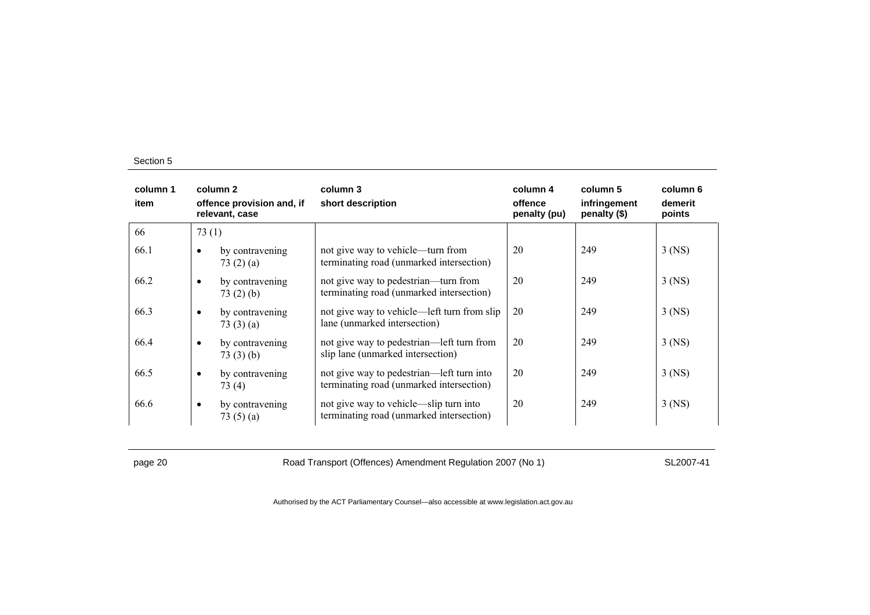| column 1<br>item | column 2<br>offence provision and, if<br>relevant, case | column 3<br>short description                                                         | column 4<br>offence<br>penalty (pu) | column 5<br>infringement<br>penalty (\$) | column 6<br>demerit<br>points |
|------------------|---------------------------------------------------------|---------------------------------------------------------------------------------------|-------------------------------------|------------------------------------------|-------------------------------|
| 66               | 73(1)                                                   |                                                                                       |                                     |                                          |                               |
| 66.1             | by contravening<br>$\bullet$<br>73(2)(a)                | not give way to vehicle—turn from<br>terminating road (unmarked intersection)         | 20                                  | 249                                      | $3$ (NS)                      |
| 66.2             | by contravening<br>$\bullet$<br>73(2)(b)                | not give way to pedestrian—turn from<br>terminating road (unmarked intersection)      | 20                                  | 249                                      | $3$ (NS)                      |
| 66.3             | by contravening<br>$\bullet$<br>73(3)(a)                | not give way to vehicle—left turn from slip<br>lane (unmarked intersection)           | 20                                  | 249                                      | $3$ (NS)                      |
| 66.4             | by contravening<br>$\bullet$<br>73(3)(b)                | not give way to pedestrian—left turn from<br>slip lane (unmarked intersection)        | 20                                  | 249                                      | $3$ (NS)                      |
| 66.5             | by contravening<br>$\bullet$<br>73(4)                   | not give way to pedestrian—left turn into<br>terminating road (unmarked intersection) | 20                                  | 249                                      | $3$ (NS)                      |
| 66.6             | by contravening<br>$\bullet$<br>73 $(5)$ $(a)$          | not give way to vehicle—slip turn into<br>terminating road (unmarked intersection)    | 20                                  | 249                                      | $3$ (NS)                      |

page 20 **Road Transport (Offences) Amendment Regulation 2007 (No 1)** SL2007-41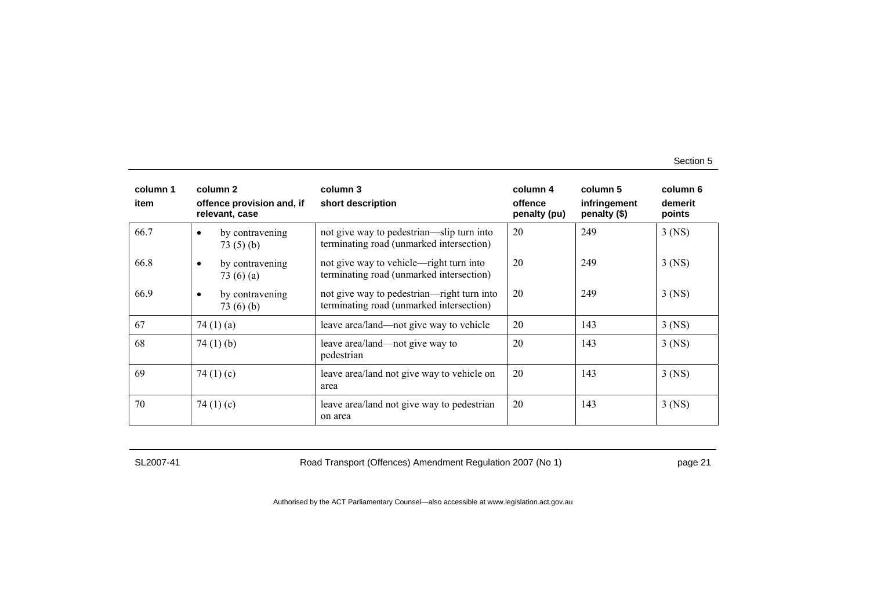| column 1<br>item | column 2<br>offence provision and, if<br>relevant, case | column 3<br>short description                                                          | column 4<br>offence<br>penalty (pu) | column 5<br>infringement<br>penalty (\$) | column 6<br>demerit<br>points |
|------------------|---------------------------------------------------------|----------------------------------------------------------------------------------------|-------------------------------------|------------------------------------------|-------------------------------|
| 66.7             | by contravening<br>$\bullet$<br>73(5)(b)                | not give way to pedestrian—slip turn into<br>terminating road (unmarked intersection)  | 20                                  | 249                                      | $3$ (NS)                      |
| 66.8             | by contravening<br>$\bullet$<br>73 $(6)$ $(a)$          | not give way to vehicle—right turn into<br>terminating road (unmarked intersection)    | 20                                  | 249                                      | $3$ (NS)                      |
| 66.9             | by contravening<br>$\bullet$<br>73 $(6)(b)$             | not give way to pedestrian—right turn into<br>terminating road (unmarked intersection) | 20                                  | 249                                      | $3$ (NS)                      |
| 67               | 74 $(1)$ $(a)$                                          | leave area/land—not give way to vehicle                                                | 20                                  | 143                                      | $3$ (NS)                      |
| 68               | 74 $(1)$ $(b)$                                          | leave area/land—not give way to<br>pedestrian                                          | 20                                  | 143                                      | $3$ (NS)                      |
| 69               | 74 $(1)(c)$                                             | leave area/land not give way to vehicle on<br>area                                     | 20                                  | 143                                      | $3$ (NS)                      |
| 70               | 74 $(1)(c)$                                             | leave area/land not give way to pedestrian<br>on area                                  | 20                                  | 143                                      | $3$ (NS)                      |

SL2007-41 Road Transport (Offences) Amendment Regulation 2007 (No 1) page 21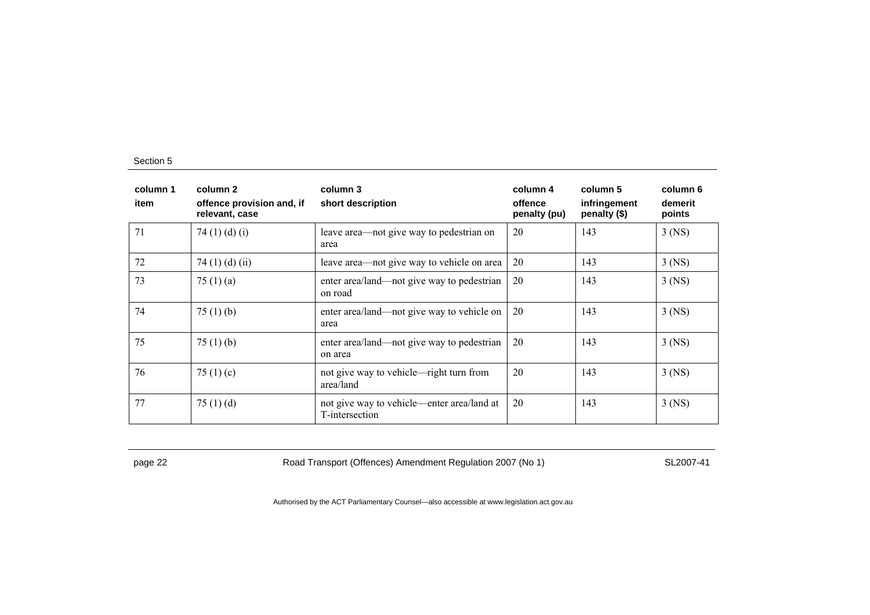| column 1<br>item | column 2<br>offence provision and, if<br>relevant, case | column 3<br>short description                                | column 4<br>offence<br>penalty (pu) | column 5<br>infringement<br>penalty (\$) | column 6<br>demerit<br>points |
|------------------|---------------------------------------------------------|--------------------------------------------------------------|-------------------------------------|------------------------------------------|-------------------------------|
| 71               | 74 $(1)$ $(d)$ $(i)$                                    | leave area—not give way to pedestrian on<br>area             | 20                                  | 143                                      | $3$ (NS)                      |
| 72               | 74 $(1)$ $(d)$ $(ii)$                                   | leave area—not give way to vehicle on area                   | 20                                  | 143                                      | $3$ (NS)                      |
| 73               | 75 $(1)$ $(a)$                                          | enter area/land—not give way to pedestrian<br>on road        | 20                                  | 143                                      | $3$ (NS)                      |
| 74               | 75(1)(b)                                                | enter area/land—not give way to vehicle on<br>area           | 20                                  | 143                                      | $3$ (NS)                      |
| 75               | 75 $(1)$ (b)                                            | enter area/land—not give way to pedestrian<br>on area        | 20                                  | 143                                      | $3$ (NS)                      |
| 76               | 75 $(1)(c)$                                             | not give way to vehicle—right turn from<br>area/land         | 20                                  | 143                                      | 3 (NS)                        |
| 77               | 75 $(1)$ $(d)$                                          | not give way to vehicle—enter area/land at<br>T-intersection | 20                                  | 143                                      | $3$ (NS)                      |

page 22 **Road Transport (Offences) Amendment Regulation 2007 (No 1)** SL2007-41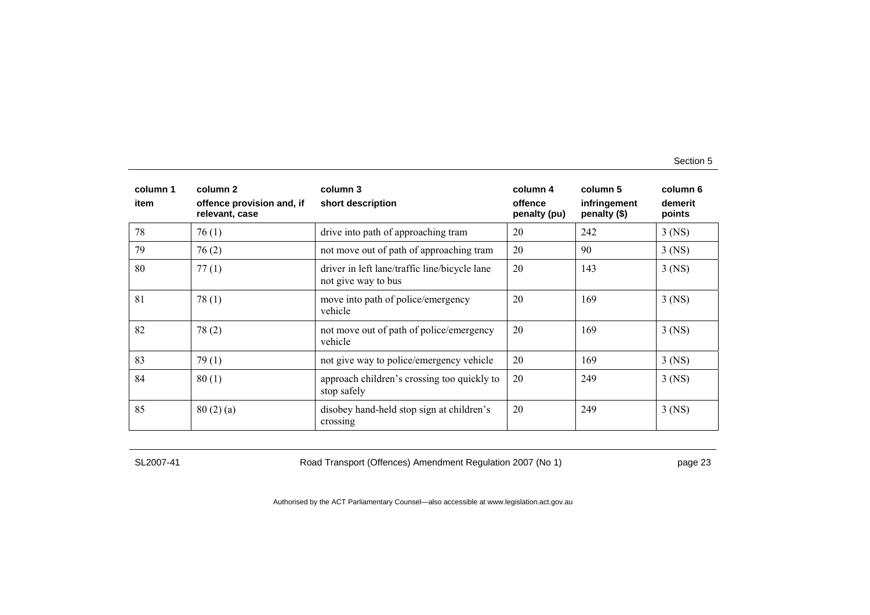| column 1<br>item | column 2<br>offence provision and, if<br>relevant, case | column 3<br>short description                                        | column 4<br>offence<br>penalty (pu) | column 5<br>infringement<br>penalty (\$) | column 6<br>demerit<br>points |
|------------------|---------------------------------------------------------|----------------------------------------------------------------------|-------------------------------------|------------------------------------------|-------------------------------|
| 78               | 76(1)                                                   | drive into path of approaching tram                                  | 20                                  | 242                                      | $3$ (NS)                      |
| 79               | 76(2)                                                   | not move out of path of approaching tram                             | 20                                  | 90                                       | $3$ (NS)                      |
| 80               | 77(1)                                                   | driver in left lane/traffic line/bicycle lane<br>not give way to bus | 20                                  | 143                                      | $3$ (NS)                      |
| 81               | 78(1)                                                   | move into path of police/emergency<br>vehicle                        | 20                                  | 169                                      | $3$ (NS)                      |
| 82               | 78(2)                                                   | not move out of path of police/emergency<br>vehicle                  | 20                                  | 169                                      | $3$ (NS)                      |
| 83               | 79(1)                                                   | not give way to police/emergency vehicle                             | 20                                  | 169                                      | $3$ (NS)                      |
| 84               | 80(1)                                                   | approach children's crossing too quickly to<br>stop safely           | 20                                  | 249                                      | $3$ (NS)                      |
| 85               | 80(2)(a)                                                | disobey hand-held stop sign at children's<br>crossing                | 20                                  | 249                                      | $3$ (NS)                      |

SL2007-41 Road Transport (Offences) Amendment Regulation 2007 (No 1) page 23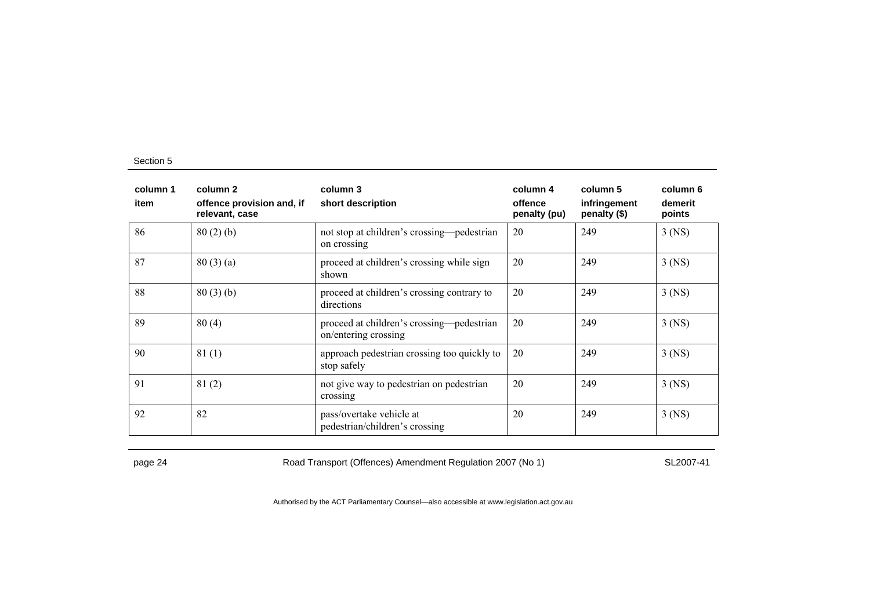| column 1<br>item | column 2<br>offence provision and, if<br>relevant, case | column 3<br>short description                                     | column 4<br>offence<br>penalty (pu) | column 5<br>infringement<br>penalty (\$) | column 6<br>demerit<br>points |
|------------------|---------------------------------------------------------|-------------------------------------------------------------------|-------------------------------------|------------------------------------------|-------------------------------|
| 86               | 80(2)(b)                                                | not stop at children's crossing—pedestrian<br>on crossing         | 20                                  | 249                                      | $3$ (NS)                      |
| 87               | 80(3)(a)                                                | proceed at children's crossing while sign<br>shown                | 20                                  | 249                                      | $3$ (NS)                      |
| 88               | 80(3)(b)                                                | proceed at children's crossing contrary to<br>directions          | 20                                  | 249                                      | $3$ (NS)                      |
| 89               | 80(4)                                                   | proceed at children's crossing—pedestrian<br>on/entering crossing | 20                                  | 249                                      | $3$ (NS)                      |
| 90               | 81(1)                                                   | approach pedestrian crossing too quickly to<br>stop safely        | 20                                  | 249                                      | $3$ (NS)                      |
| 91               | 81(2)                                                   | not give way to pedestrian on pedestrian<br>crossing              | 20                                  | 249                                      | $3$ (NS)                      |
| 92               | 82                                                      | pass/overtake vehicle at<br>pedestrian/children's crossing        | 20                                  | 249                                      | $3$ (NS)                      |

page 24 Road Transport (Offences) Amendment Regulation 2007 (No 1) SL2007-41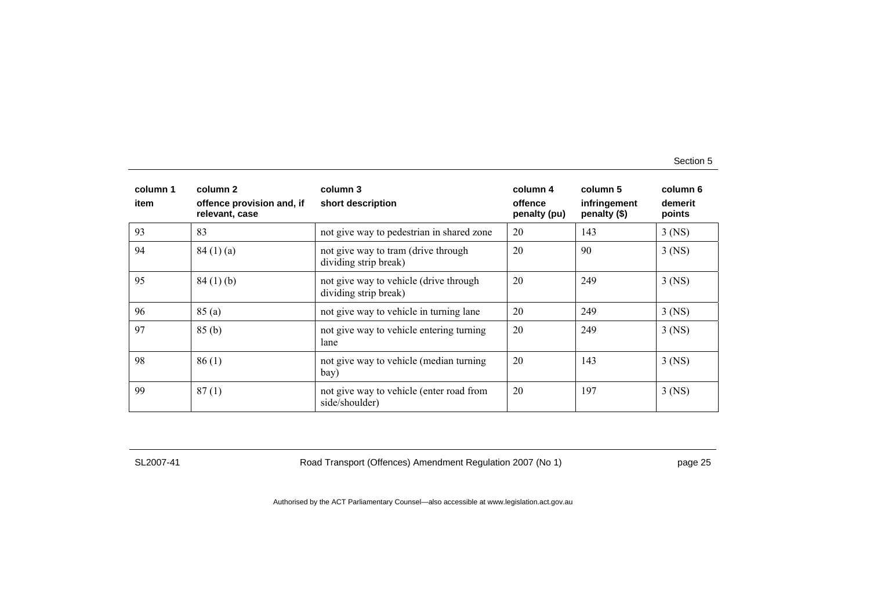| column 1<br>item | column 2<br>offence provision and, if<br>relevant, case | column 3<br>short description                                   | column 4<br>offence<br>penalty (pu) | column 5<br>infringement<br>penalty (\$) | column 6<br>demerit<br>points |
|------------------|---------------------------------------------------------|-----------------------------------------------------------------|-------------------------------------|------------------------------------------|-------------------------------|
| 93               | 83                                                      | not give way to pedestrian in shared zone                       | 20                                  | 143                                      | $3$ (NS)                      |
| 94               | 84(1)(a)                                                | not give way to tram (drive through<br>dividing strip break)    | 20                                  | 90                                       | $3$ (NS)                      |
| 95               | 84(1)(b)                                                | not give way to vehicle (drive through<br>dividing strip break) | 20                                  | 249                                      | $3$ (NS)                      |
| 96               | 85(a)                                                   | not give way to vehicle in turning lane                         | 20                                  | 249                                      | $3$ (NS)                      |
| 97               | 85(b)                                                   | not give way to vehicle entering turning<br>lane                | 20                                  | 249                                      | $3$ (NS)                      |
| 98               | 86(1)                                                   | not give way to vehicle (median turning<br>bay)                 | 20                                  | 143                                      | $3$ (NS)                      |
| 99               | 87(1)                                                   | not give way to vehicle (enter road from<br>side/shoulder)      | 20                                  | 197                                      | $3$ (NS)                      |

SL2007-41 Road Transport (Offences) Amendment Regulation 2007 (No 1) page 25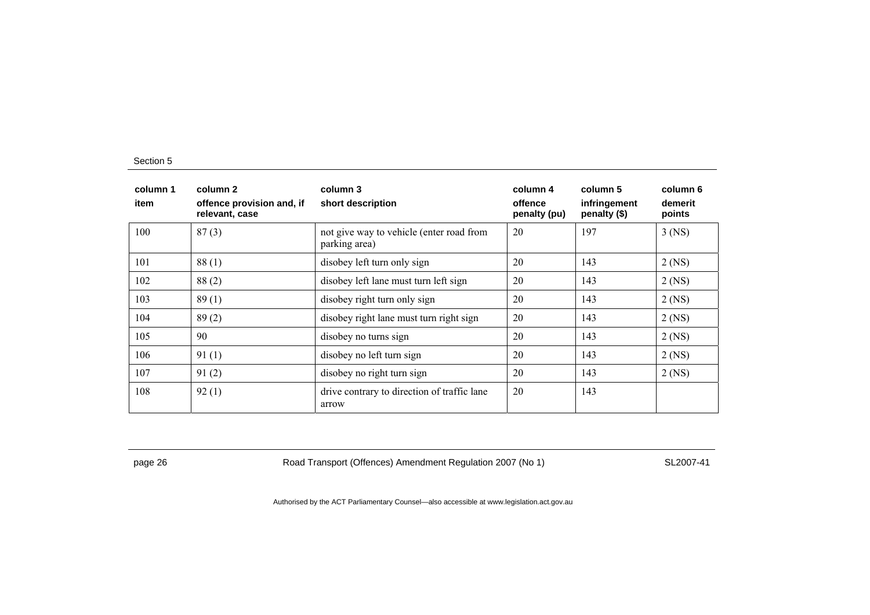| column 1<br>item | column 2<br>offence provision and, if<br>relevant, case | column 3<br>short description                             | column 4<br>offence<br>penalty (pu) | column 5<br>infringement<br>penalty (\$) | column 6<br>demerit<br>points |
|------------------|---------------------------------------------------------|-----------------------------------------------------------|-------------------------------------|------------------------------------------|-------------------------------|
| 100              | 87(3)                                                   | not give way to vehicle (enter road from<br>parking area) | 20                                  | 197                                      | $3$ (NS)                      |
| 101              | 88(1)                                                   | disobey left turn only sign                               | 20                                  | 143                                      | $2$ (NS)                      |
| 102              | 88(2)                                                   | disobey left lane must turn left sign                     | 20                                  | 143                                      | $2$ (NS)                      |
| 103              | 89(1)                                                   | disobey right turn only sign                              | 20                                  | 143                                      | $2$ (NS)                      |
| 104              | 89(2)                                                   | disobey right lane must turn right sign                   | 20                                  | 143                                      | $2$ (NS)                      |
| 105              | 90                                                      | disobey no turns sign                                     | 20                                  | 143                                      | $2$ (NS)                      |
| 106              | 91(1)                                                   | disobey no left turn sign                                 | 20                                  | 143                                      | $2$ (NS)                      |
| 107              | 91(2)                                                   | disobey no right turn sign                                | 20                                  | 143                                      | 2 (NS)                        |
| 108              | 92(1)                                                   | drive contrary to direction of traffic lane<br>arrow      | 20                                  | 143                                      |                               |

page 26 **Road Transport (Offences) Amendment Regulation 2007 (No 1)** SL2007-41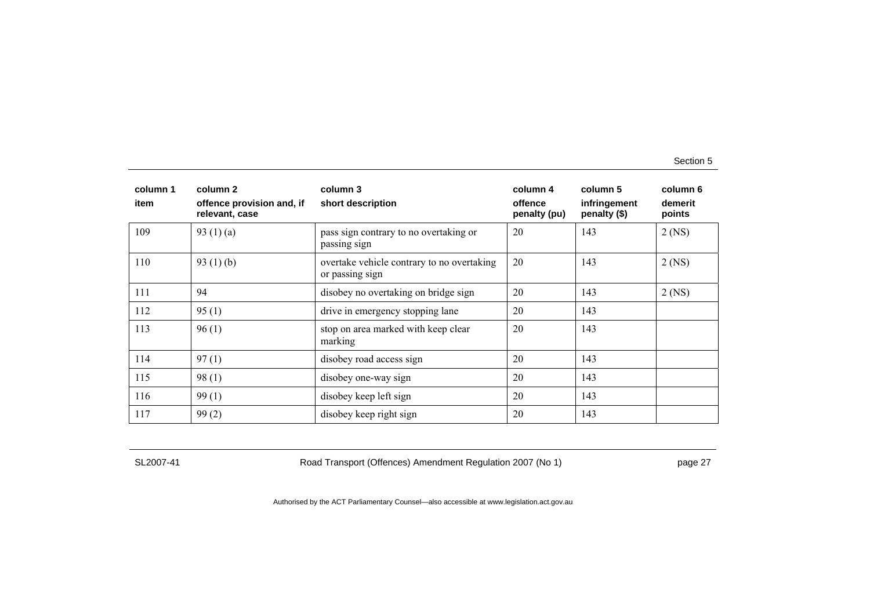| column 1<br>item | column 2<br>offence provision and, if<br>relevant, case | column 3<br>short description                                 | column 4<br>offence<br>penalty (pu) | column 5<br>infringement<br>penalty (\$) | column 6<br>demerit<br>points |
|------------------|---------------------------------------------------------|---------------------------------------------------------------|-------------------------------------|------------------------------------------|-------------------------------|
| 109              | 93 $(1)(a)$                                             | pass sign contrary to no overtaking or<br>passing sign        | 20                                  | 143                                      | $2$ (NS)                      |
| 110              | 93 $(1)$ (b)                                            | overtake vehicle contrary to no overtaking<br>or passing sign | 20                                  | 143                                      | $2$ (NS)                      |
| 111              | 94                                                      | disobey no overtaking on bridge sign                          | 20                                  | 143                                      | $2$ (NS)                      |
| 112              | 95(1)                                                   | drive in emergency stopping lane                              | 20                                  | 143                                      |                               |
| 113              | 96(1)                                                   | stop on area marked with keep clear<br>marking                | 20                                  | 143                                      |                               |
| 114              | 97(1)                                                   | disobey road access sign                                      | 20                                  | 143                                      |                               |
| 115              | 98(1)                                                   | disobey one-way sign                                          | 20                                  | 143                                      |                               |
| 116              | 99(1)                                                   | disobey keep left sign                                        | 20                                  | 143                                      |                               |
| 117              | 99(2)                                                   | disobey keep right sign                                       | 20                                  | 143                                      |                               |

SL2007-41 Road Transport (Offences) Amendment Regulation 2007 (No 1) page 27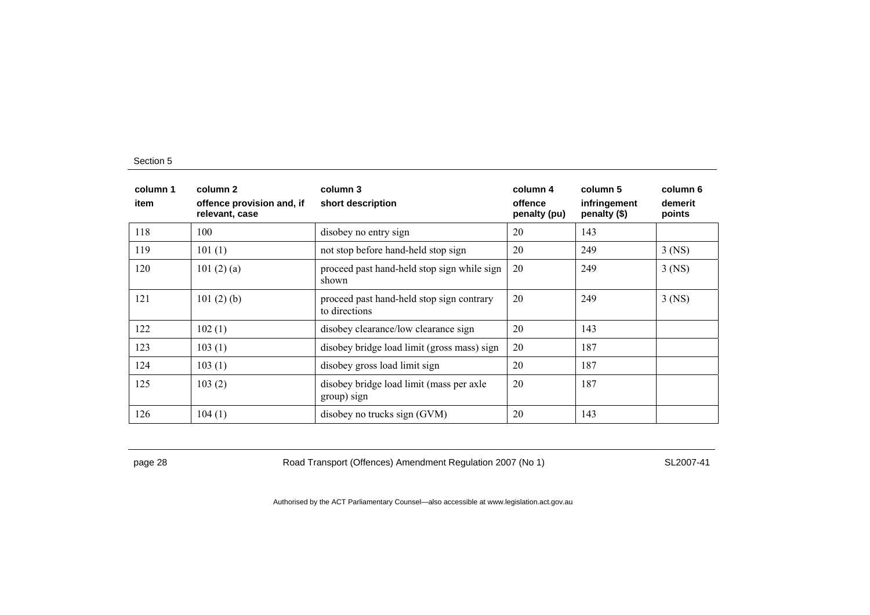| column 1<br>item | column 2<br>offence provision and, if<br>relevant, case | column 3<br>short description                              | column 4<br>offence<br>penalty (pu) | column 5<br>infringement<br>penalty (\$) | column 6<br>demerit<br>points |
|------------------|---------------------------------------------------------|------------------------------------------------------------|-------------------------------------|------------------------------------------|-------------------------------|
| 118              | 100                                                     | disobey no entry sign                                      | 20                                  | 143                                      |                               |
| 119              | 101(1)                                                  | not stop before hand-held stop sign                        | 20                                  | 249                                      | $3$ (NS)                      |
| 120              | 101 $(2)$ $(a)$                                         | proceed past hand-held stop sign while sign<br>shown       | 20                                  | 249                                      | $3$ (NS)                      |
| 121              | 101(2)(b)                                               | proceed past hand-held stop sign contrary<br>to directions | 20                                  | 249                                      | $3$ (NS)                      |
| 122              | 102(1)                                                  | disobey clearance/low clearance sign                       | 20                                  | 143                                      |                               |
| 123              | 103(1)                                                  | disobey bridge load limit (gross mass) sign                | 20                                  | 187                                      |                               |
| 124              | 103(1)                                                  | disobey gross load limit sign                              | 20                                  | 187                                      |                               |
| 125              | 103(2)                                                  | disobey bridge load limit (mass per axle<br>group) sign    | 20                                  | 187                                      |                               |
| 126              | 104(1)                                                  | disobey no trucks sign (GVM)                               | 20                                  | 143                                      |                               |

page 28 Road Transport (Offences) Amendment Regulation 2007 (No 1) SL2007-41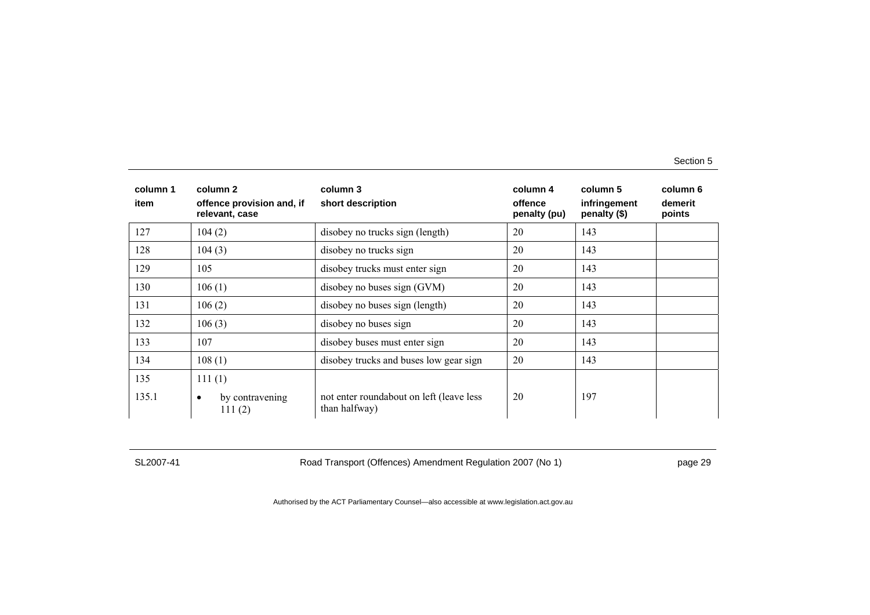| column 1<br>item | column 2<br>offence provision and, if<br>relevant, case | column 3<br>short description                             | column 4<br>offence<br>penalty (pu) | column 5<br>infringement<br>penalty (\$) | column 6<br>demerit<br>points |
|------------------|---------------------------------------------------------|-----------------------------------------------------------|-------------------------------------|------------------------------------------|-------------------------------|
| 127              | 104(2)                                                  | disobey no trucks sign (length)                           | 20                                  | 143                                      |                               |
| 128              | 104(3)                                                  | disobey no trucks sign                                    | 20                                  | 143                                      |                               |
| 129              | 105                                                     | disobey trucks must enter sign                            | 20                                  | 143                                      |                               |
| 130              | 106(1)                                                  | disobey no buses sign (GVM)                               | 20                                  | 143                                      |                               |
| 131              | 106(2)                                                  | disobey no buses sign (length)                            | 20                                  | 143                                      |                               |
| 132              | 106(3)                                                  | disobey no buses sign                                     | 20                                  | 143                                      |                               |
| 133              | 107                                                     | disobey buses must enter sign                             | 20                                  | 143                                      |                               |
| 134              | 108(1)                                                  | disobey trucks and buses low gear sign                    | 20                                  | 143                                      |                               |
| 135              | 111(1)                                                  |                                                           |                                     |                                          |                               |
| 135.1            | by contravening<br>$\bullet$<br>111(2)                  | not enter roundabout on left (leave less<br>than halfway) | 20                                  | 197                                      |                               |

SL2007-41 Road Transport (Offences) Amendment Regulation 2007 (No 1) page 29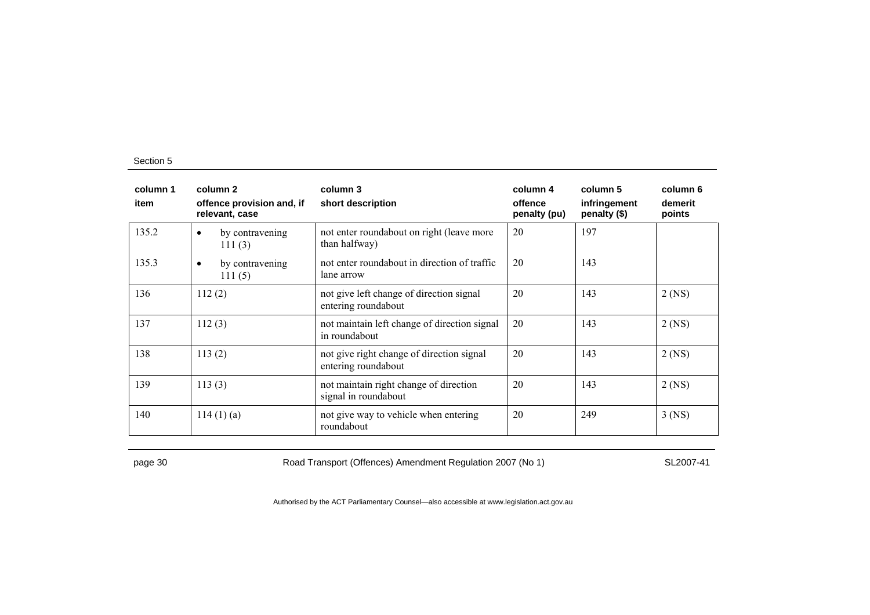| column 1<br>item | column 2<br>offence provision and, if<br>relevant, case | column 3<br>short description                                    | column 4<br>offence<br>penalty (pu) | column 5<br>infringement<br>penalty (\$) | column 6<br>demerit<br>points |
|------------------|---------------------------------------------------------|------------------------------------------------------------------|-------------------------------------|------------------------------------------|-------------------------------|
| 135.2            | by contravening<br>$\bullet$<br>111 $(3)$               | not enter roundabout on right (leave more<br>than halfway)       | 20                                  | 197                                      |                               |
| 135.3            | by contravening<br>$\bullet$<br>111(5)                  | not enter roundabout in direction of traffic<br>lane arrow       | 20                                  | 143                                      |                               |
| 136              | 112(2)                                                  | not give left change of direction signal<br>entering roundabout  | 20                                  | 143                                      | $2$ (NS)                      |
| 137              | 112(3)                                                  | not maintain left change of direction signal<br>in roundabout    | 20                                  | 143                                      | $2$ (NS)                      |
| 138              | 113(2)                                                  | not give right change of direction signal<br>entering roundabout | 20                                  | 143                                      | $2$ (NS)                      |
| 139              | 113(3)                                                  | not maintain right change of direction<br>signal in roundabout   | 20                                  | 143                                      | $2$ (NS)                      |
| 140              | 114(1)(a)                                               | not give way to vehicle when entering<br>roundabout              | 20                                  | 249                                      | $3$ (NS)                      |

page 30 Road Transport (Offences) Amendment Regulation 2007 (No 1) SL2007-41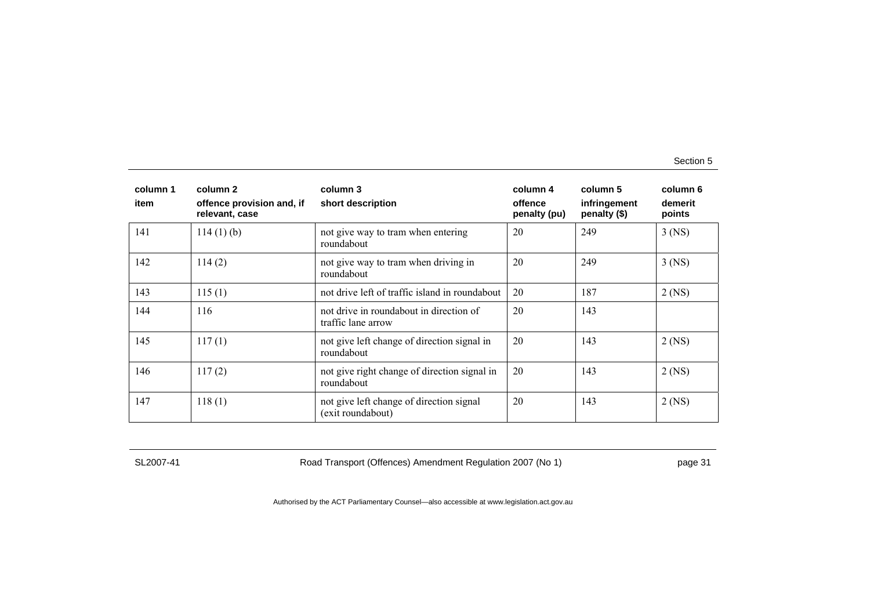| column 1<br>item | column 2<br>offence provision and, if<br>relevant, case | column 3<br>short description                                 | column 4<br>offence<br>penalty (pu) | column 5<br>infringement<br>penalty (\$) | column 6<br>demerit<br>points |
|------------------|---------------------------------------------------------|---------------------------------------------------------------|-------------------------------------|------------------------------------------|-------------------------------|
| 141              | $114(1)$ (b)                                            | not give way to tram when entering<br>roundabout              | 20                                  | 249                                      | $3$ (NS)                      |
| 142              | 114(2)                                                  | not give way to tram when driving in<br>roundabout            | 20                                  | 249                                      | $3$ (NS)                      |
| 143              | 115(1)                                                  | not drive left of traffic island in roundabout                | 20                                  | 187                                      | $2$ (NS)                      |
| 144              | 116                                                     | not drive in roundabout in direction of<br>traffic lane arrow | 20                                  | 143                                      |                               |
| 145              | 117(1)                                                  | not give left change of direction signal in<br>roundabout     | 20                                  | 143                                      | $2$ (NS)                      |
| 146              | 117(2)                                                  | not give right change of direction signal in<br>roundabout    | 20                                  | 143                                      | $2$ (NS)                      |
| 147              | 118(1)                                                  | not give left change of direction signal<br>(exit roundabout) | 20                                  | 143                                      | $2$ (NS)                      |

SL2007-41 Road Transport (Offences) Amendment Regulation 2007 (No 1) page 31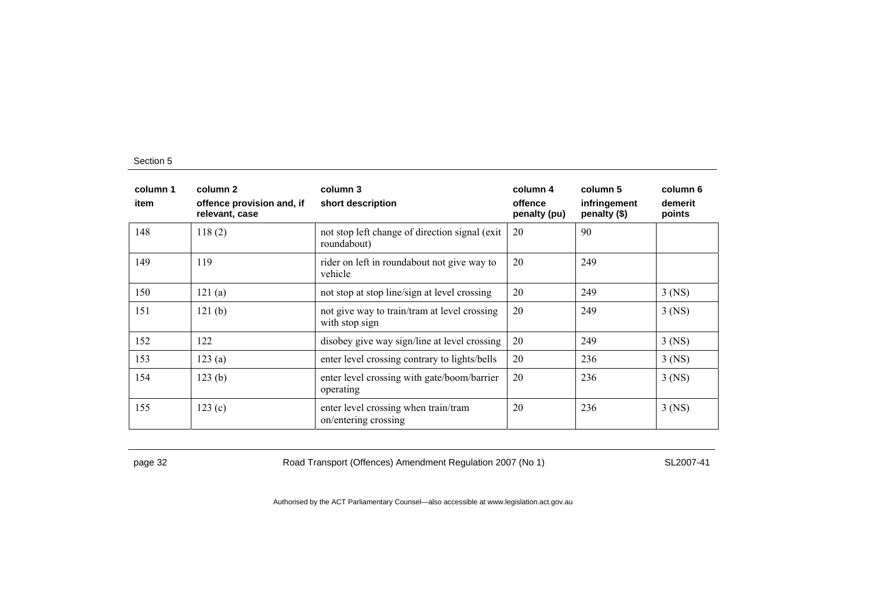| column 1<br>item | column 2<br>offence provision and, if<br>relevant, case | column 3<br>short description                                  | column 4<br>offence<br>penalty (pu) | column 5<br>infringement<br>penalty (\$) | column 6<br>demerit<br>points |
|------------------|---------------------------------------------------------|----------------------------------------------------------------|-------------------------------------|------------------------------------------|-------------------------------|
| 148              | 118(2)                                                  | not stop left change of direction signal (exit)<br>roundabout) | 20                                  | 90                                       |                               |
| 149              | 119                                                     | rider on left in roundabout not give way to<br>vehicle         | 20                                  | 249                                      |                               |
| 150              | 121(a)                                                  | not stop at stop line/sign at level crossing                   | 20                                  | 249                                      | $3$ (NS)                      |
| 151              | 121(b)                                                  | not give way to train/tram at level crossing<br>with stop sign | 20                                  | 249                                      | $3$ (NS)                      |
| 152              | 122                                                     | disobey give way sign/line at level crossing                   | 20                                  | 249                                      | $3$ (NS)                      |
| 153              | 123(a)                                                  | enter level crossing contrary to lights/bells                  | 20                                  | 236                                      | $3$ (NS)                      |
| 154              | 123(b)                                                  | enter level crossing with gate/boom/barrier<br>operating       | 20                                  | 236                                      | $3$ (NS)                      |
| 155              | 123(c)                                                  | enter level crossing when train/tram<br>on/entering crossing   | 20                                  | 236                                      | $3$ (NS)                      |

page 32 Road Transport (Offences) Amendment Regulation 2007 (No 1) SL2007-41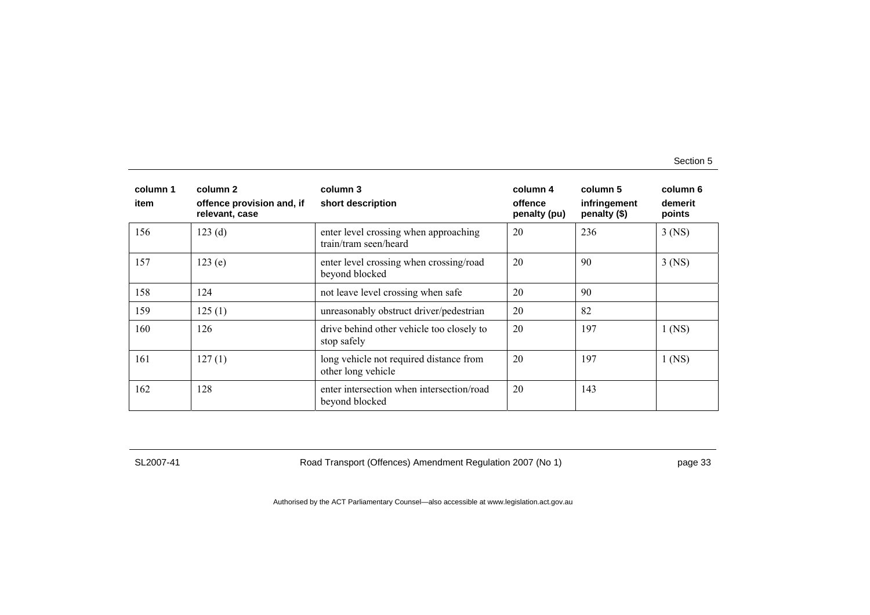| column 1<br>item | column 2<br>offence provision and, if<br>relevant, case | column 3<br>short description                                  | column 4<br>offence<br>penalty (pu) | column 5<br>infringement<br>penalty (\$) | column 6<br>demerit<br>points |
|------------------|---------------------------------------------------------|----------------------------------------------------------------|-------------------------------------|------------------------------------------|-------------------------------|
| 156              | 123(d)                                                  | enter level crossing when approaching<br>train/tram seen/heard | 20                                  | 236                                      | $3$ (NS)                      |
| 157              | 123(e)                                                  | enter level crossing when crossing/road<br>beyond blocked      | 20                                  | 90                                       | $3$ (NS)                      |
| 158              | 124                                                     | not leave level crossing when safe                             | 20                                  | 90                                       |                               |
| 159              | 125(1)                                                  | unreasonably obstruct driver/pedestrian                        | 20                                  | 82                                       |                               |
| 160              | 126                                                     | drive behind other vehicle too closely to<br>stop safely       | 20                                  | 197                                      | $1$ (NS)                      |
| 161              | 127(1)                                                  | long vehicle not required distance from<br>other long vehicle  | 20                                  | 197                                      | $1$ (NS)                      |
| 162              | 128                                                     | enter intersection when intersection/road<br>beyond blocked    | 20                                  | 143                                      |                               |

SL2007-41 Road Transport (Offences) Amendment Regulation 2007 (No 1) page 33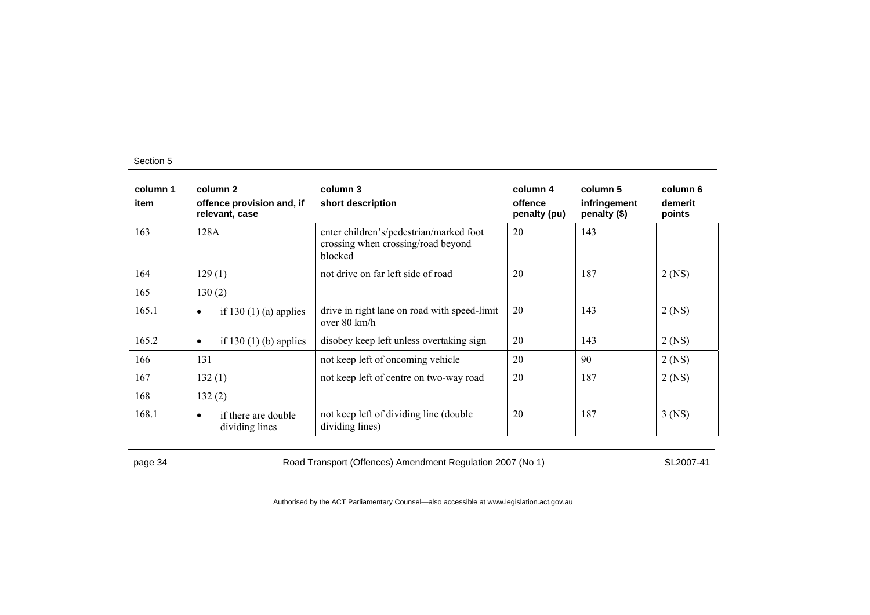| column 1<br>item | column 2<br>offence provision and, if<br>relevant, case | column 3<br>short description                                                            | column 4<br>offence<br>penalty (pu) | column 5<br>infringement<br>penalty (\$) | column 6<br>demerit<br>points |
|------------------|---------------------------------------------------------|------------------------------------------------------------------------------------------|-------------------------------------|------------------------------------------|-------------------------------|
| 163              | 128A                                                    | enter children's/pedestrian/marked foot<br>crossing when crossing/road beyond<br>blocked | 20                                  | 143                                      |                               |
| 164              | 129(1)                                                  | not drive on far left side of road                                                       | 20                                  | 187                                      | $2$ (NS)                      |
| 165              | 130(2)                                                  |                                                                                          |                                     |                                          |                               |
| 165.1            | if 130 $(1)$ $(a)$ applies<br>$\bullet$                 | drive in right lane on road with speed-limit<br>over $80 \text{ km/h}$                   | 20                                  | 143                                      | $2$ (NS)                      |
| 165.2            | if 130 $(1)$ (b) applies<br>$\bullet$                   | disobey keep left unless overtaking sign                                                 | 20                                  | 143                                      | $2$ (NS)                      |
| 166              | 131                                                     | not keep left of oncoming vehicle                                                        | 20                                  | 90                                       | $2$ (NS)                      |
| 167              | 132(1)                                                  | not keep left of centre on two-way road                                                  | 20                                  | 187                                      | $2$ (NS)                      |
| 168              | 132(2)                                                  |                                                                                          |                                     |                                          |                               |
| 168.1            | if there are double<br>$\bullet$<br>dividing lines      | not keep left of dividing line (double)<br>dividing lines)                               | 20                                  | 187                                      | 3 (NS)                        |

page 34 Road Transport (Offences) Amendment Regulation 2007 (No 1) SL2007-41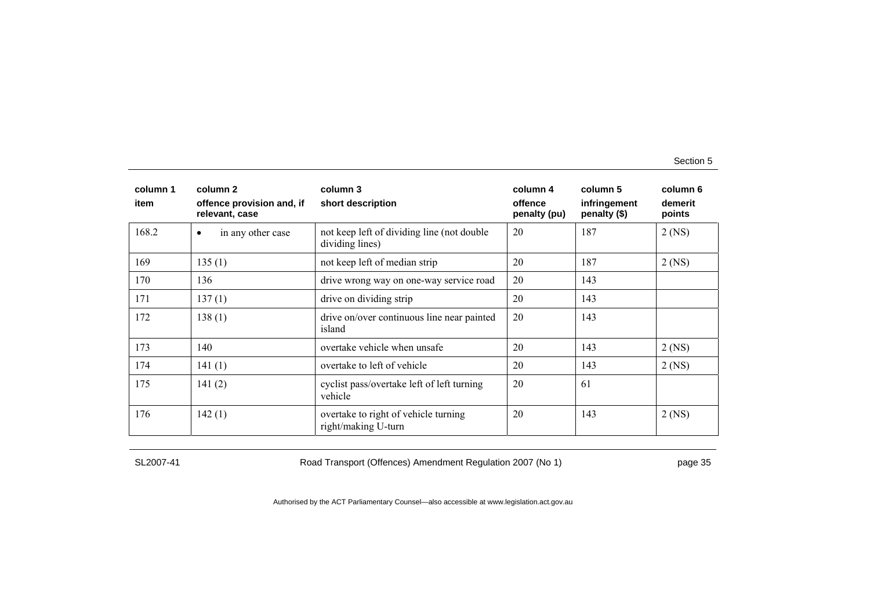| column 1<br>item | column 2<br>offence provision and, if<br>relevant, case | column 3<br>short description                                  | column 4<br>offence<br>penalty (pu) | column 5<br>infringement<br>penalty (\$) | column 6<br>demerit<br>points |
|------------------|---------------------------------------------------------|----------------------------------------------------------------|-------------------------------------|------------------------------------------|-------------------------------|
| 168.2            | in any other case<br>$\bullet$                          | not keep left of dividing line (not double)<br>dividing lines) | 20                                  | 187                                      | $2$ (NS)                      |
| 169              | 135(1)                                                  | not keep left of median strip                                  | 20                                  | 187                                      | $2$ (NS)                      |
| 170              | 136                                                     | drive wrong way on one-way service road                        | 20                                  | 143                                      |                               |
| 171              | 137(1)                                                  | drive on dividing strip                                        | 20                                  | 143                                      |                               |
| 172              | 138(1)                                                  | drive on/over continuous line near painted<br>island           | 20                                  | 143                                      |                               |
| 173              | 140                                                     | overtake vehicle when unsafe                                   | 20                                  | 143                                      | $2$ (NS)                      |
| 174              | 141(1)                                                  | overtake to left of vehicle                                    | 20                                  | 143                                      | $2$ (NS)                      |
| 175              | 141 $(2)$                                               | cyclist pass/overtake left of left turning<br>vehicle          | 20                                  | -61                                      |                               |
| 176              | 142(1)                                                  | overtake to right of vehicle turning<br>right/making U-turn    | 20                                  | 143                                      | $2$ (NS)                      |

SL2007-41 Road Transport (Offences) Amendment Regulation 2007 (No 1) page 35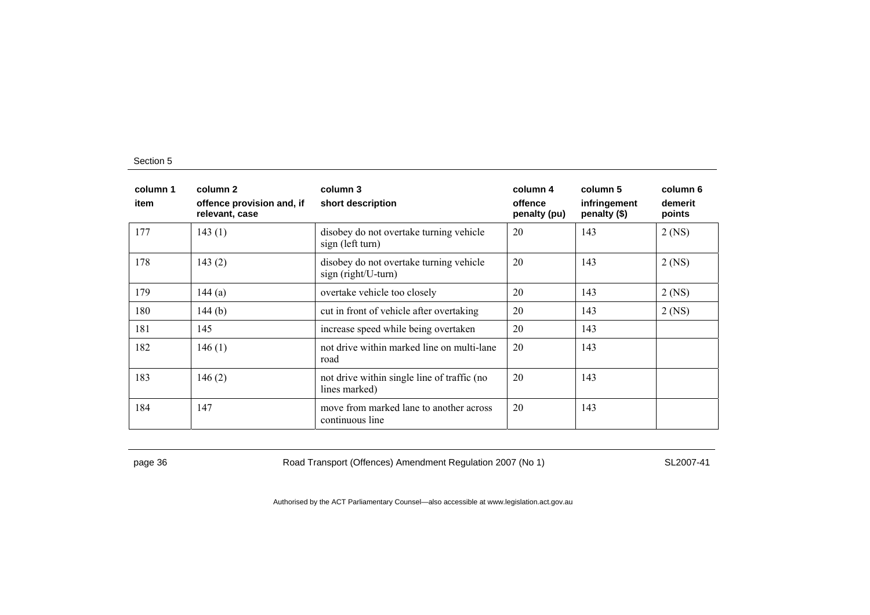| column 1<br>item | column 2<br>offence provision and, if<br>relevant, case | column 3<br>short description                                  | column 4<br>offence<br>penalty (pu) | column 5<br>infringement<br>penalty (\$) | column 6<br>demerit<br>points |
|------------------|---------------------------------------------------------|----------------------------------------------------------------|-------------------------------------|------------------------------------------|-------------------------------|
| 177              | 143(1)                                                  | disobey do not overtake turning vehicle<br>sign (left turn)    | 20                                  | 143                                      | $2$ (NS)                      |
| 178              | 143(2)                                                  | disobey do not overtake turning vehicle<br>sign (right/U-turn) | 20                                  | 143                                      | $2$ (NS)                      |
| 179              | 144 $(a)$                                               | overtake vehicle too closely                                   | 20                                  | 143                                      | $2$ (NS)                      |
| 180              | 144(b)                                                  | cut in front of vehicle after overtaking                       | 20                                  | 143                                      | $2$ (NS)                      |
| 181              | 145                                                     | increase speed while being overtaken                           | 20                                  | 143                                      |                               |
| 182              | 146(1)                                                  | not drive within marked line on multi-lane<br>road             | 20                                  | 143                                      |                               |
| 183              | 146(2)                                                  | not drive within single line of traffic (no<br>lines marked)   | 20                                  | 143                                      |                               |
| 184              | 147                                                     | move from marked lane to another across<br>continuous line     | 20                                  | 143                                      |                               |

page 36 **Road Transport (Offences) Amendment Regulation 2007 (No 1)** SL2007-41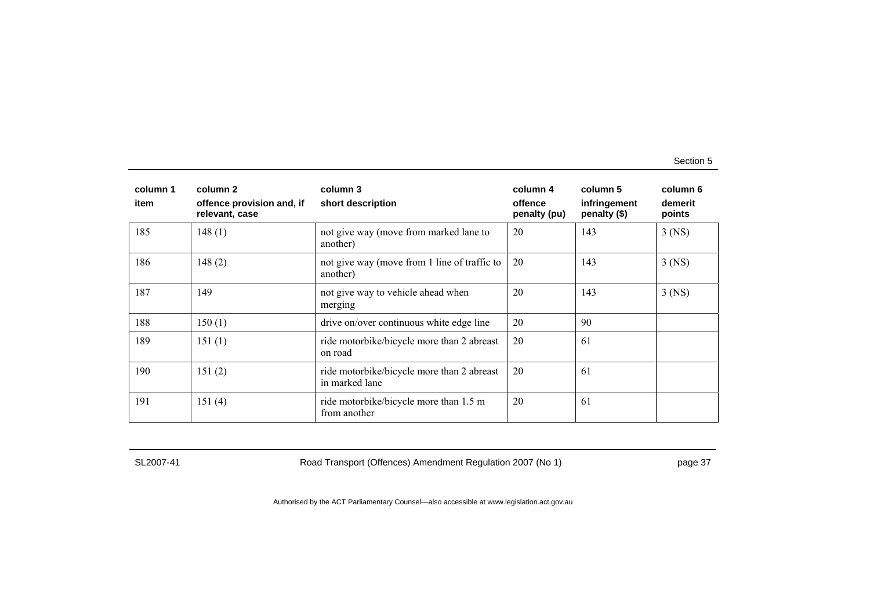| column 1<br>item | column 2<br>offence provision and, if<br>relevant, case | column 3<br>short description                                | column 4<br>offence<br>penalty (pu) | column 5<br>infringement<br>penalty (\$) | column 6<br>demerit<br>points |
|------------------|---------------------------------------------------------|--------------------------------------------------------------|-------------------------------------|------------------------------------------|-------------------------------|
| 185              | 148(1)                                                  | not give way (move from marked lane to<br>another)           | 20                                  | 143                                      | $3$ (NS)                      |
| 186              | 148(2)                                                  | not give way (move from 1 line of traffic to<br>another)     | 20                                  | 143                                      | $3$ (NS)                      |
| 187              | 149                                                     | not give way to vehicle ahead when<br>merging                | 20                                  | 143                                      | $3$ (NS)                      |
| 188              | 150(1)                                                  | drive on/over continuous white edge line                     | 20                                  | 90                                       |                               |
| 189              | 151(1)                                                  | ride motorbike/bicycle more than 2 abreast<br>on road        | 20                                  | 61                                       |                               |
| 190              | 151(2)                                                  | ride motorbike/bicycle more than 2 abreast<br>in marked lane | 20                                  | 61                                       |                               |
| 191              | 151(4)                                                  | ride motorbike/bicycle more than 1.5 m<br>from another       | 20                                  | 61                                       |                               |

SL2007-41 Road Transport (Offences) Amendment Regulation 2007 (No 1) page 37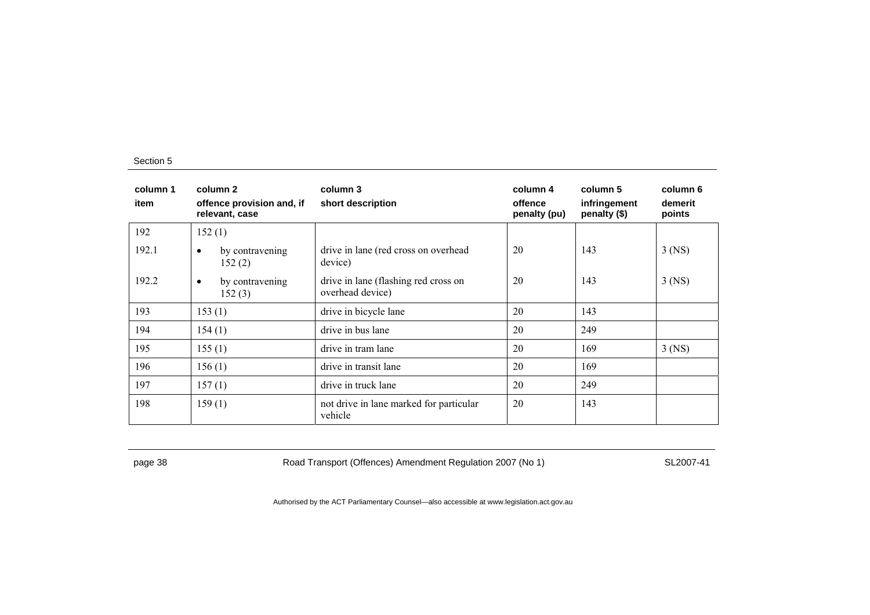| column 1<br>item | column 2<br>offence provision and, if<br>relevant, case | column 3<br>short description                            | column 4<br>offence<br>penalty (pu) | column 5<br>infringement<br>penalty (\$) | column 6<br>demerit<br>points |
|------------------|---------------------------------------------------------|----------------------------------------------------------|-------------------------------------|------------------------------------------|-------------------------------|
| 192              | 152(1)                                                  |                                                          |                                     |                                          |                               |
| 192.1            | by contravening<br>$\bullet$<br>152(2)                  | drive in lane (red cross on overhead<br>device)          | 20                                  | 143                                      | $3$ (NS)                      |
| 192.2            | by contravening<br>$\bullet$<br>152(3)                  | drive in lane (flashing red cross on<br>overhead device) | 20                                  | 143                                      | $3$ (NS)                      |
| 193              | 153(1)                                                  | drive in bicycle lane                                    | 20                                  | 143                                      |                               |
| 194              | 154(1)                                                  | drive in bus lane                                        | 20                                  | 249                                      |                               |
| 195              | 155(1)                                                  | drive in tram lane                                       | 20                                  | 169                                      | $3$ (NS)                      |
| 196              | 156(1)                                                  | drive in transit lane                                    | 20                                  | 169                                      |                               |
| 197              | 157(1)                                                  | drive in truck lane                                      | 20                                  | 249                                      |                               |
| 198              | 159(1)                                                  | not drive in lane marked for particular<br>vehicle       | 20                                  | 143                                      |                               |

page 38 Road Transport (Offences) Amendment Regulation 2007 (No 1) SL2007-41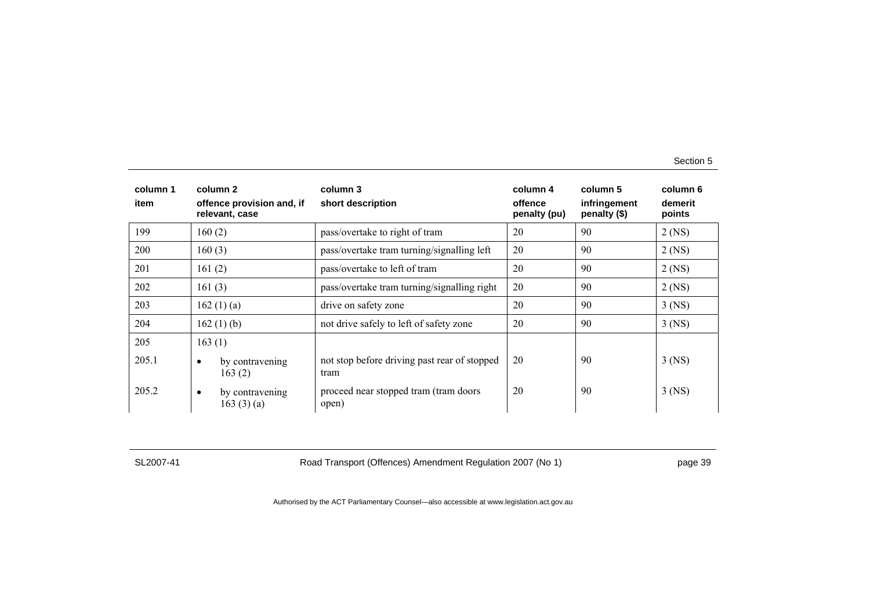| column 1<br>item | column 2<br>offence provision and, if<br>relevant, case | column 3<br>short description                        | column 4<br>offence<br>penalty (pu) | column 5<br>infringement<br>penalty (\$) | column 6<br>demerit<br>points |
|------------------|---------------------------------------------------------|------------------------------------------------------|-------------------------------------|------------------------------------------|-------------------------------|
| 199              | 160(2)                                                  | pass/overtake to right of tram                       | 20                                  | 90                                       | $2$ (NS)                      |
| 200              | 160(3)                                                  | pass/overtake tram turning/signalling left           | 20                                  | 90                                       | $2$ (NS)                      |
| 201              | 161(2)                                                  | pass/overtake to left of tram                        | 20                                  | 90                                       | $2$ (NS)                      |
| 202              | 161(3)                                                  | pass/overtake tram turning/signalling right          | 20                                  | 90                                       | $2$ (NS)                      |
| 203              | 162(1)(a)                                               | drive on safety zone                                 | 20                                  | 90                                       | $3$ (NS)                      |
| 204              | 162(1)(b)                                               | not drive safely to left of safety zone              | 20                                  | 90                                       | $3$ (NS)                      |
| 205              | 163(1)                                                  |                                                      |                                     |                                          |                               |
| 205.1            | by contravening<br>$\bullet$<br>163(2)                  | not stop before driving past rear of stopped<br>tram | 20                                  | 90                                       | $3$ (NS)                      |
| 205.2            | by contravening<br>$\bullet$<br>163(3)(a)               | proceed near stopped tram (tram doors<br>open)       | 20                                  | 90                                       | $3$ (NS)                      |

SL2007-41 Road Transport (Offences) Amendment Regulation 2007 (No 1) page 39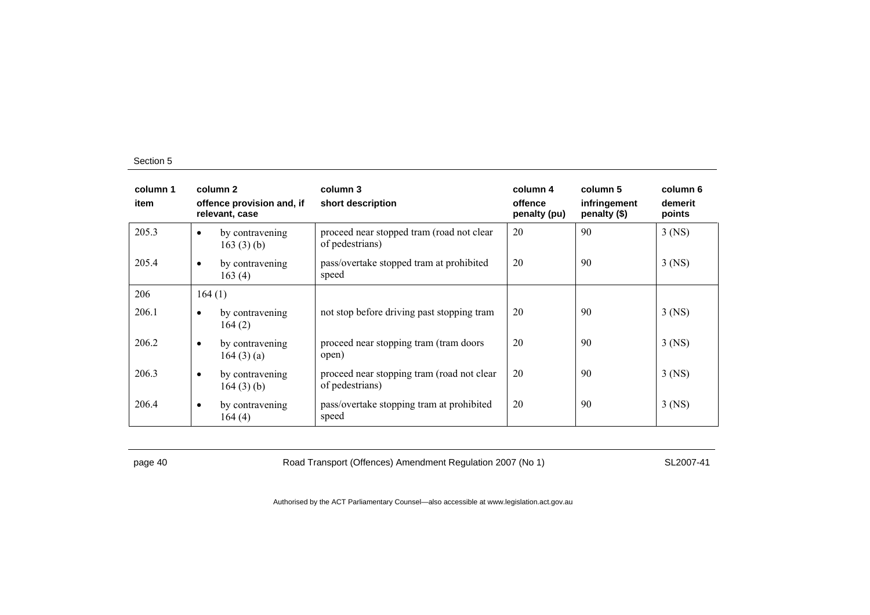| column 1<br>item |           | column 2<br>offence provision and, if<br>relevant, case | column 3<br>short description                                 | column 4<br>offence<br>penalty (pu) | column 5<br>infringement<br>penalty (\$) | column 6<br>demerit<br>points |
|------------------|-----------|---------------------------------------------------------|---------------------------------------------------------------|-------------------------------------|------------------------------------------|-------------------------------|
| 205.3            | $\bullet$ | by contravening<br>163 $(3)$ (b)                        | proceed near stopped tram (road not clear<br>of pedestrians)  | 20                                  | 90                                       | $3$ (NS)                      |
| 205.4            | $\bullet$ | by contravening<br>163(4)                               | pass/overtake stopped tram at prohibited<br>speed             | 20                                  | 90                                       | 3 (NS)                        |
| 206              | 164(1)    |                                                         |                                                               |                                     |                                          |                               |
| 206.1            | $\bullet$ | by contravening<br>164(2)                               | not stop before driving past stopping tram                    | 20                                  | 90                                       | $3$ (NS)                      |
| 206.2            | $\bullet$ | by contravening<br>164(3)(a)                            | proceed near stopping tram (tram doors<br>open)               | 20                                  | 90                                       | $3$ (NS)                      |
| 206.3            | $\bullet$ | by contravening<br>164(3)(b)                            | proceed near stopping tram (road not clear<br>of pedestrians) | 20                                  | 90                                       | $3$ (NS)                      |
| 206.4            | $\bullet$ | by contravening<br>164(4)                               | pass/overtake stopping tram at prohibited<br>speed            | 20                                  | 90                                       | $3$ (NS)                      |

page 40 Road Transport (Offences) Amendment Regulation 2007 (No 1) SL2007-41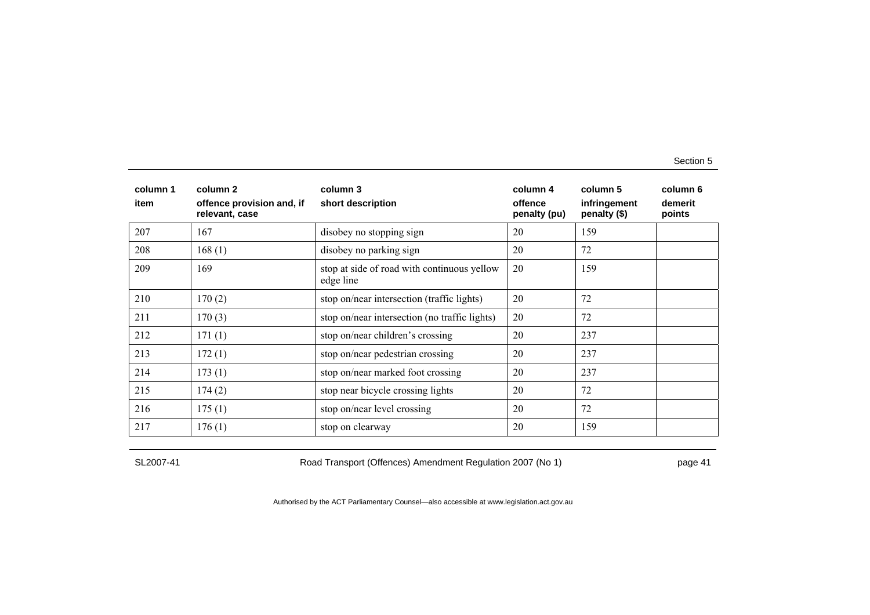| column 1<br>item | column 2<br>offence provision and, if<br>relevant, case | column 3<br>short description                            | column 4<br>offence<br>penalty (pu) | column 5<br>infringement<br>penalty (\$) | column 6<br>demerit<br>points |
|------------------|---------------------------------------------------------|----------------------------------------------------------|-------------------------------------|------------------------------------------|-------------------------------|
| 207              | 167                                                     | disobey no stopping sign                                 | 20                                  | 159                                      |                               |
| 208              | 168(1)                                                  | disobey no parking sign                                  | 20                                  | 72                                       |                               |
| 209              | 169                                                     | stop at side of road with continuous yellow<br>edge line | 20                                  | 159                                      |                               |
| 210              | 170(2)                                                  | stop on/near intersection (traffic lights)               | 20                                  | 72                                       |                               |
| 211              | 170(3)                                                  | stop on/near intersection (no traffic lights)            | 20                                  | 72                                       |                               |
| 212              | 171(1)                                                  | stop on/near children's crossing                         | 20                                  | 237                                      |                               |
| 213              | 172(1)                                                  | stop on/near pedestrian crossing                         | 20                                  | 237                                      |                               |
| 214              | 173(1)                                                  | stop on/near marked foot crossing                        | 20                                  | 237                                      |                               |
| 215              | 174(2)                                                  | stop near bicycle crossing lights                        | 20                                  | 72                                       |                               |
| 216              | 175(1)                                                  | stop on/near level crossing                              | 20                                  | 72                                       |                               |
| 217              | 176(1)                                                  | stop on clearway                                         | 20                                  | 159                                      |                               |

SL2007-41 Road Transport (Offences) Amendment Regulation 2007 (No 1) page 41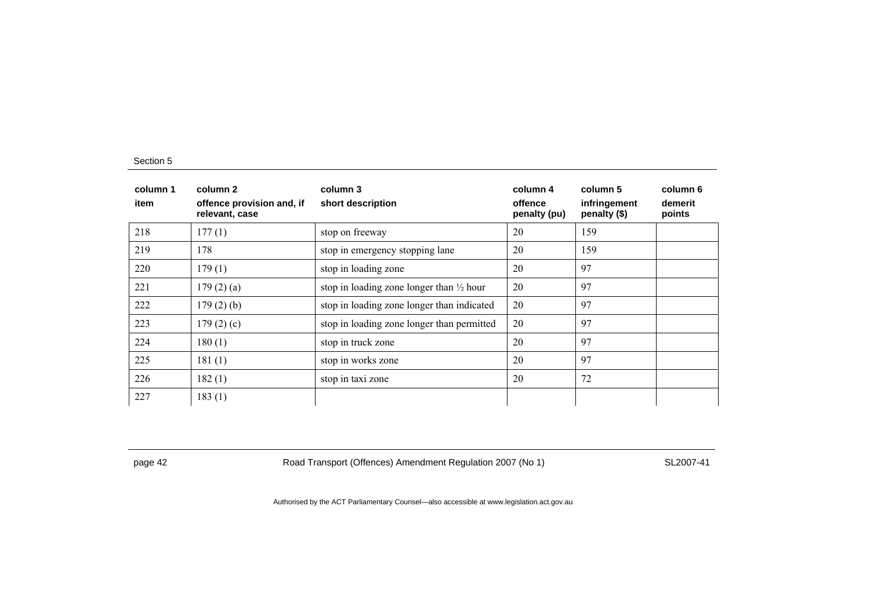| column 1<br>item | column 2<br>offence provision and, if<br>relevant, case | column 3<br>short description                       | column 4<br>offence<br>penalty (pu) | column 5<br>infringement<br>penalty (\$) | column 6<br>demerit<br>points |
|------------------|---------------------------------------------------------|-----------------------------------------------------|-------------------------------------|------------------------------------------|-------------------------------|
| 218              | 177(1)                                                  | stop on freeway                                     | 20                                  | 159                                      |                               |
| 219              | 178                                                     | stop in emergency stopping lane                     | 20                                  | 159                                      |                               |
| 220              | 179(1)                                                  | stop in loading zone                                | 20                                  | 97                                       |                               |
| 221              | 179(2)(a)                                               | stop in loading zone longer than $\frac{1}{2}$ hour | 20                                  | 97                                       |                               |
| 222              | $179(2)$ (b)                                            | stop in loading zone longer than indicated          | 20                                  | 97                                       |                               |
| 223              | 179(2)(c)                                               | stop in loading zone longer than permitted          | 20                                  | 97                                       |                               |
| 224              | 180(1)                                                  | stop in truck zone                                  | 20                                  | 97                                       |                               |
| 225              | 181(1)                                                  | stop in works zone                                  | 20                                  | 97                                       |                               |
| 226              | 182(1)                                                  | stop in taxi zone                                   | 20                                  | 72                                       |                               |
| 227              | 183(1)                                                  |                                                     |                                     |                                          |                               |

page 42 Road Transport (Offences) Amendment Regulation 2007 (No 1) SL2007-41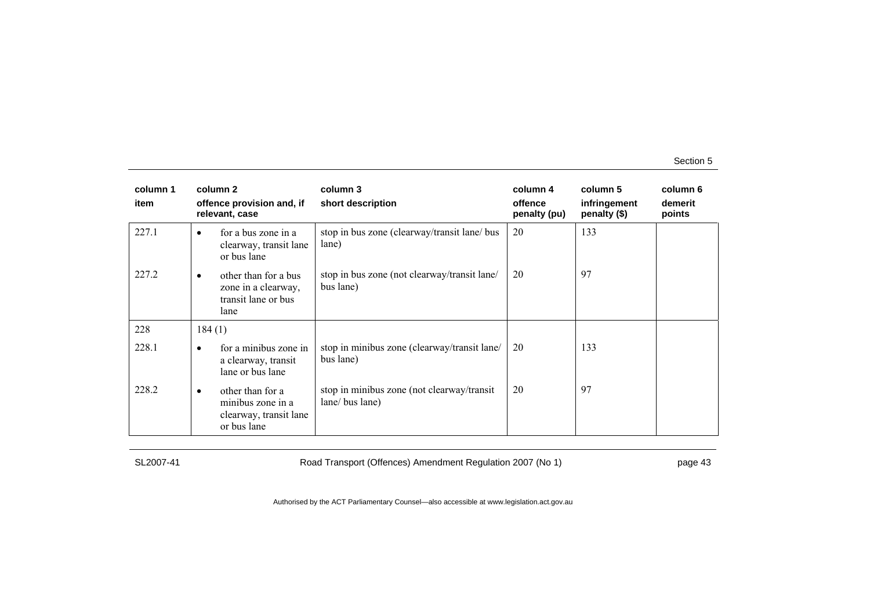| column 1<br>item |           | column 2<br>offence provision and, if<br>relevant, case                        | column 3<br>short description                                 | column 4<br>offence<br>penalty (pu) | column 5<br>infringement<br>penalty (\$) | column 6<br>demerit<br>points |
|------------------|-----------|--------------------------------------------------------------------------------|---------------------------------------------------------------|-------------------------------------|------------------------------------------|-------------------------------|
| 227.1            | $\bullet$ | for a bus zone in a<br>clearway, transit lane<br>or bus lane                   | stop in bus zone (clearway/transit lane/ bus<br>lane)         | 20                                  | 133                                      |                               |
| 227.2            | $\bullet$ | other than for a bus<br>zone in a clearway,<br>transit lane or bus<br>lane     | stop in bus zone (not clearway/transit lane/<br>bus lane)     | 20                                  | 97                                       |                               |
| 228              | 184(1)    |                                                                                |                                                               |                                     |                                          |                               |
| 228.1            | $\bullet$ | for a minibus zone in<br>a clearway, transit<br>lane or bus lane               | stop in minibus zone (clearway/transit lane/<br>bus lane)     | 20                                  | 133                                      |                               |
| 228.2            | $\bullet$ | other than for a<br>minibus zone in a<br>clearway, transit lane<br>or bus lane | stop in minibus zone (not clearway/transit<br>lane/ bus lane) | 20                                  | 97                                       |                               |

SL2007-41 Road Transport (Offences) Amendment Regulation 2007 (No 1) page 43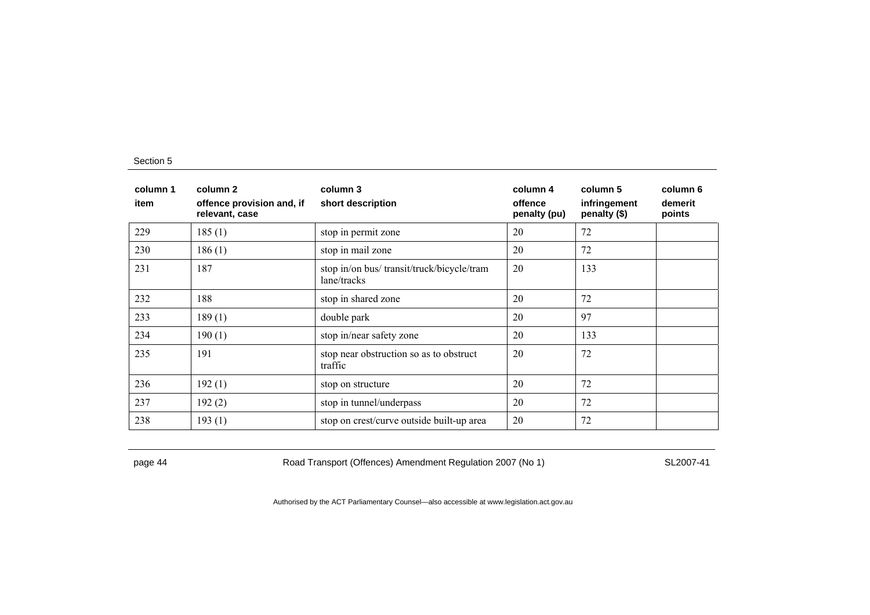| column 1<br>item | column 2<br>offence provision and, if<br>relevant, case | column 3<br>short description                             | column 4<br>offence<br>penalty (pu) | column 5<br>infringement<br>penalty (\$) | column 6<br>demerit<br>points |
|------------------|---------------------------------------------------------|-----------------------------------------------------------|-------------------------------------|------------------------------------------|-------------------------------|
| 229              | 185(1)                                                  | stop in permit zone                                       | 20                                  | 72                                       |                               |
| 230              | 186(1)                                                  | stop in mail zone                                         | 20                                  | 72                                       |                               |
| 231              | 187                                                     | stop in/on bus/ transit/truck/bicycle/tram<br>lane/tracks | 20                                  | 133                                      |                               |
| 232              | 188                                                     | stop in shared zone                                       | 20                                  | 72                                       |                               |
| 233              | 189(1)                                                  | double park                                               | 20                                  | 97                                       |                               |
| 234              | 190(1)                                                  | stop in/near safety zone                                  | 20                                  | 133                                      |                               |
| 235              | 191                                                     | stop near obstruction so as to obstruct<br>traffic        | 20                                  | 72                                       |                               |
| 236              | 192(1)                                                  | stop on structure                                         | 20                                  | 72                                       |                               |
| 237              | 192(2)                                                  | stop in tunnel/underpass                                  | 20                                  | 72                                       |                               |
| 238              | 193(1)                                                  | stop on crest/curve outside built-up area                 | 20                                  | 72                                       |                               |

page 44 Road Transport (Offences) Amendment Regulation 2007 (No 1) SL2007-41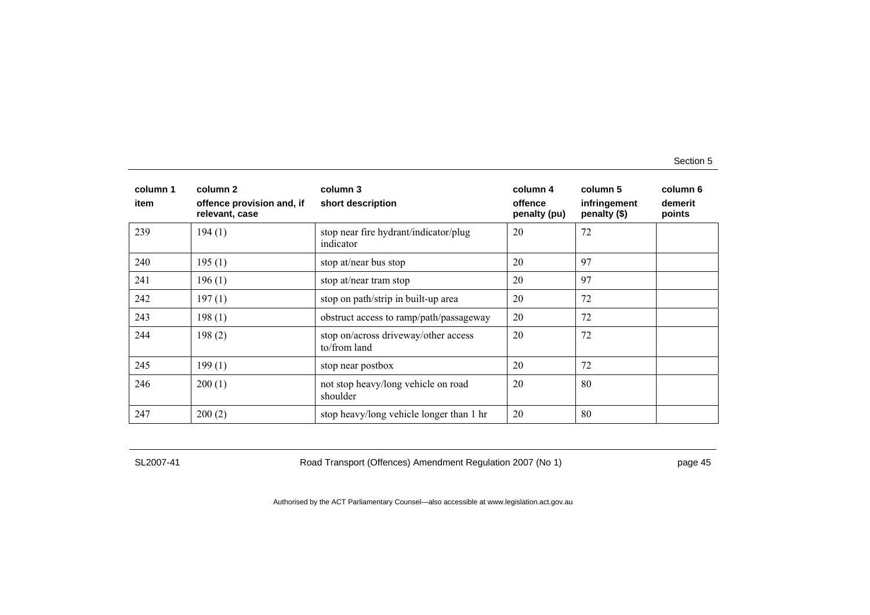| column 1<br>item | column 2<br>offence provision and, if<br>relevant, case | column 3<br>short description                        | column 4<br>offence<br>penalty (pu) | column 5<br>infringement<br>penalty (\$) | column 6<br>demerit<br>points |
|------------------|---------------------------------------------------------|------------------------------------------------------|-------------------------------------|------------------------------------------|-------------------------------|
| 239              | 194(1)                                                  | stop near fire hydrant/indicator/plug<br>indicator   | 20                                  | 72                                       |                               |
| 240              | 195(1)                                                  | stop at/near bus stop                                | 20                                  | 97                                       |                               |
| 241              | 196(1)                                                  | stop at/near tram stop                               | 20                                  | 97                                       |                               |
| 242              | 197(1)                                                  | stop on path/strip in built-up area                  | 20                                  | 72                                       |                               |
| 243              | 198(1)                                                  | obstruct access to ramp/path/passageway              | 20                                  | 72                                       |                               |
| 244              | 198(2)                                                  | stop on/across driveway/other access<br>to/from land | 20                                  | 72                                       |                               |
| 245              | 199(1)                                                  | stop near postbox                                    | 20                                  | 72                                       |                               |
| 246              | 200(1)                                                  | not stop heavy/long vehicle on road<br>shoulder      | 20                                  | 80                                       |                               |
| 247              | 200(2)                                                  | stop heavy/long vehicle longer than 1 hr             | 20                                  | 80                                       |                               |

SL2007-41 Road Transport (Offences) Amendment Regulation 2007 (No 1) page 45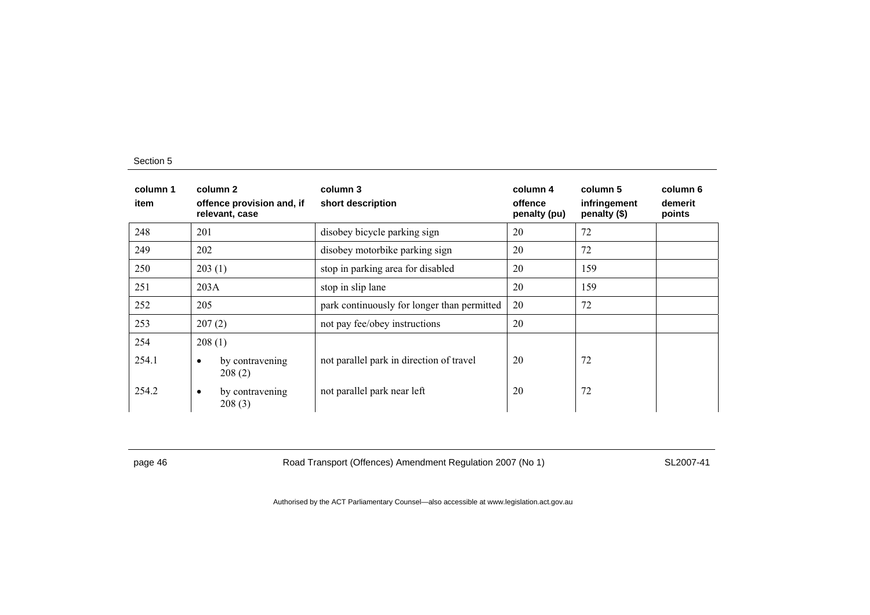| column 1<br>item | column 2<br>offence provision and, if<br>relevant, case | column 3<br>short description               | column 4<br>offence<br>penalty (pu) | column 5<br>infringement<br>penalty (\$) | column 6<br>demerit<br>points |
|------------------|---------------------------------------------------------|---------------------------------------------|-------------------------------------|------------------------------------------|-------------------------------|
| 248              | 201                                                     | disobey bicycle parking sign                | 20                                  | 72                                       |                               |
| 249              | 202                                                     | disobey motorbike parking sign              | 20                                  | 72                                       |                               |
| 250              | 203(1)                                                  | stop in parking area for disabled           | 20                                  | 159                                      |                               |
| 251              | 203A                                                    | stop in slip lane                           | 20                                  | 159                                      |                               |
| 252              | 205                                                     | park continuously for longer than permitted | 20                                  | 72                                       |                               |
| 253              | 207(2)                                                  | not pay fee/obey instructions               | 20                                  |                                          |                               |
| 254              | 208(1)                                                  |                                             |                                     |                                          |                               |
| 254.1            | by contravening<br>$\bullet$<br>208(2)                  | not parallel park in direction of travel    | 20                                  | 72                                       |                               |
| 254.2            | by contravening<br>$\bullet$<br>208(3)                  | not parallel park near left                 | 20                                  | 72                                       |                               |

page 46 Road Transport (Offences) Amendment Regulation 2007 (No 1) SL2007-41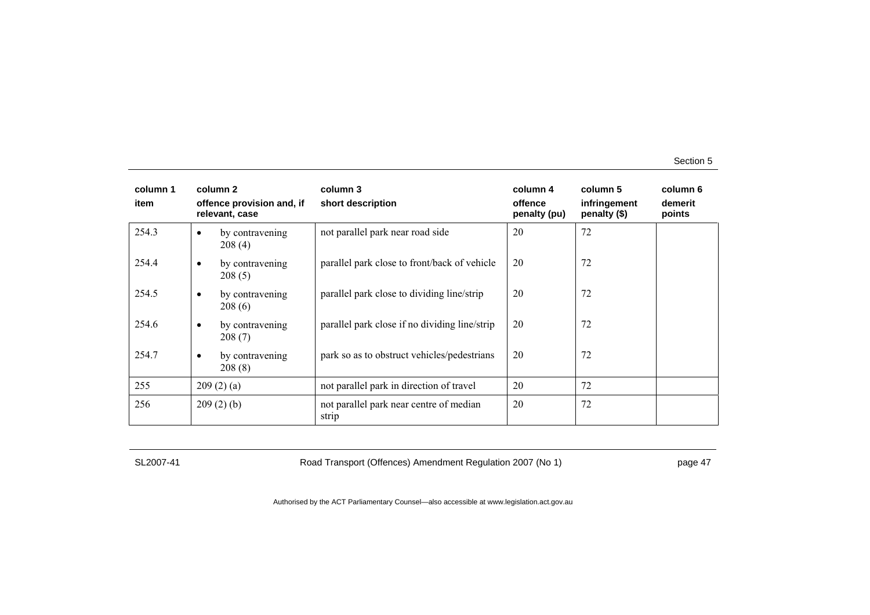| column 1<br>item |           | column 2<br>offence provision and, if<br>relevant, case | column 3<br>short description                    | column 4<br>offence<br>penalty (pu) | column 5<br>infringement<br>penalty (\$) | column 6<br>demerit<br>points |
|------------------|-----------|---------------------------------------------------------|--------------------------------------------------|-------------------------------------|------------------------------------------|-------------------------------|
| 254.3            | ٠         | by contravening<br>208(4)                               | not parallel park near road side                 | 20                                  | 72                                       |                               |
| 254.4            | $\bullet$ | by contravening<br>208(5)                               | parallel park close to front/back of vehicle     | 20                                  | 72                                       |                               |
| 254.5            | $\bullet$ | by contravening<br>208(6)                               | parallel park close to dividing line/strip       | 20                                  | 72                                       |                               |
| 254.6            | $\bullet$ | by contravening<br>208(7)                               | parallel park close if no dividing line/strip    | 20                                  | 72                                       |                               |
| 254.7            | $\bullet$ | by contravening<br>208(8)                               | park so as to obstruct vehicles/pedestrians      | 20                                  | 72                                       |                               |
| 255              |           | 209(2)(a)                                               | not parallel park in direction of travel         | 20                                  | 72                                       |                               |
| 256              |           | 209(2)(b)                                               | not parallel park near centre of median<br>strip | 20                                  | 72                                       |                               |

SL2007-41 Road Transport (Offences) Amendment Regulation 2007 (No 1) page 47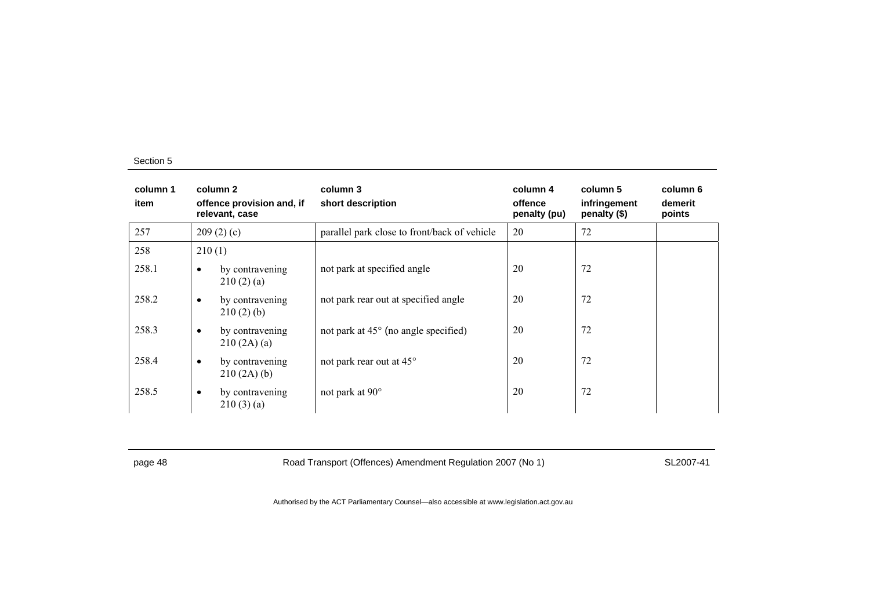| column 1<br>item |           | column 2<br>offence provision and, if<br>relevant, case | column 3<br>short description                 | column 4<br>offence<br>penalty (pu) | column 5<br>infringement<br>penalty (\$) | column 6<br>demerit<br>points |
|------------------|-----------|---------------------------------------------------------|-----------------------------------------------|-------------------------------------|------------------------------------------|-------------------------------|
| 257              |           | 209(2)(c)                                               | parallel park close to front/back of vehicle  | 20                                  | 72                                       |                               |
| 258              | 210(1)    |                                                         |                                               |                                     |                                          |                               |
| 258.1            | $\bullet$ | by contravening<br>210(2)(a)                            | not park at specified angle                   | 20                                  | 72                                       |                               |
| 258.2            | $\bullet$ | by contravening<br>210(2)(b)                            | not park rear out at specified angle          | 20                                  | 72                                       |                               |
| 258.3            | $\bullet$ | by contravening<br>210(2A)(a)                           | not park at $45^{\circ}$ (no angle specified) | 20                                  | 72                                       |                               |
| 258.4            | $\bullet$ | by contravening<br>210(2A)(b)                           | not park rear out at 45°                      | 20                                  | 72                                       |                               |
| 258.5            | $\bullet$ | by contravening<br>210(3)(a)                            | not park at 90°                               | 20                                  | 72                                       |                               |

page 48 Road Transport (Offences) Amendment Regulation 2007 (No 1) SL2007-41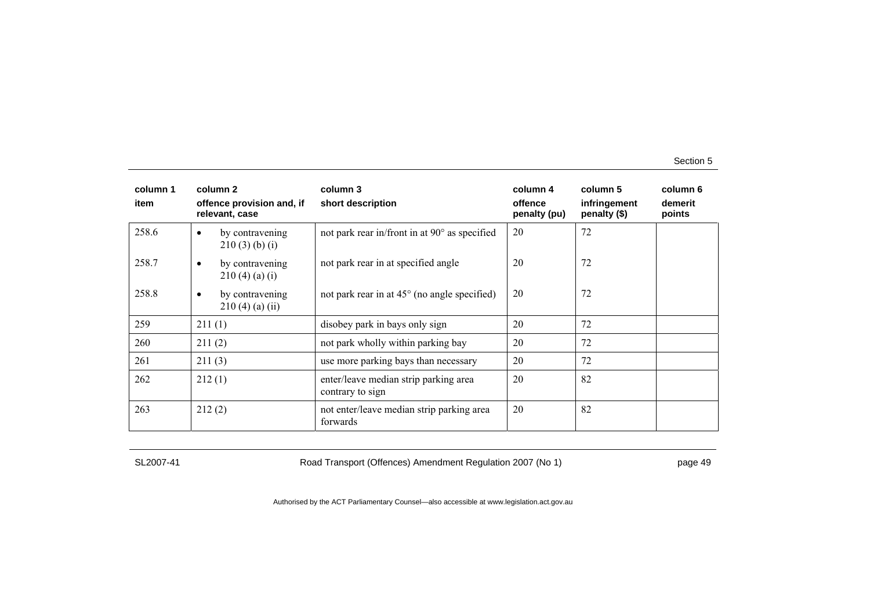| column 1<br>item | column 2<br>offence provision and, if<br>relevant, case | column 3<br>short description                             | column 4<br>offence<br>penalty (pu) | column 5<br>infringement<br>penalty (\$) | column 6<br>demerit<br>points |
|------------------|---------------------------------------------------------|-----------------------------------------------------------|-------------------------------------|------------------------------------------|-------------------------------|
| 258.6            | by contravening<br>$\bullet$<br>$210(3)$ (b) (i)        | not park rear in/front in at 90° as specified             | 20                                  | 72                                       |                               |
| 258.7            | by contravening<br>$\bullet$<br>210(4)(a)(i)            | not park rear in at specified angle                       | 20                                  | 72                                       |                               |
| 258.8            | by contravening<br>$\bullet$<br>210(4)(a)(ii)           | not park rear in at $45^{\circ}$ (no angle specified)     | 20                                  | 72                                       |                               |
| 259              | 211(1)                                                  | disobey park in bays only sign                            | 20                                  | 72                                       |                               |
| 260              | 211(2)                                                  | not park wholly within parking bay                        | 20                                  | 72                                       |                               |
| 261              | 211(3)                                                  | use more parking bays than necessary                      | 20                                  | 72                                       |                               |
| 262              | 212(1)                                                  | enter/leave median strip parking area<br>contrary to sign | 20                                  | 82                                       |                               |
| 263              | 212(2)                                                  | not enter/leave median strip parking area<br>forwards     | 20                                  | 82                                       |                               |

SL2007-41 Road Transport (Offences) Amendment Regulation 2007 (No 1) page 49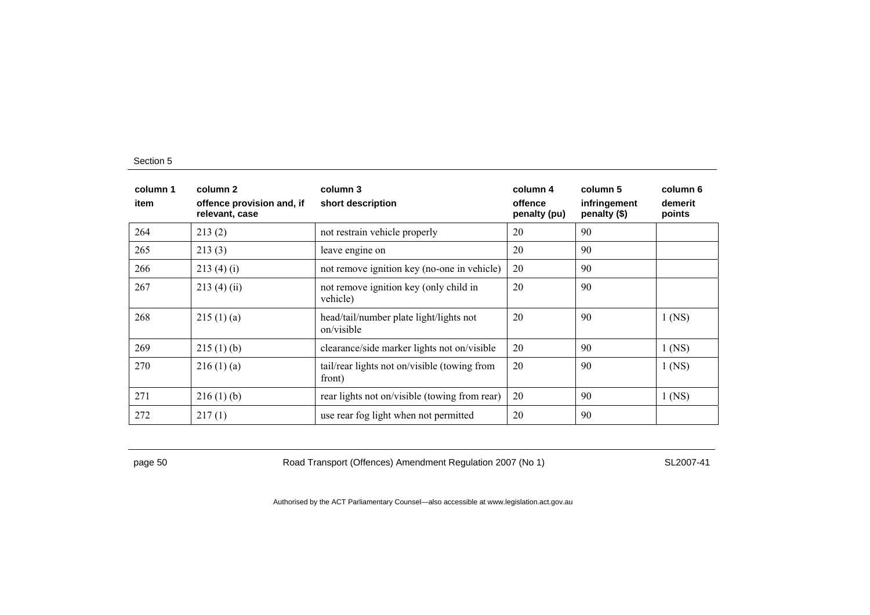| column 1<br>item | column 2<br>offence provision and, if<br>relevant, case | column 3<br>short description                          | column 4<br>offence<br>penalty (pu) | column 5<br>infringement<br>penalty (\$) | column 6<br>demerit<br>points |
|------------------|---------------------------------------------------------|--------------------------------------------------------|-------------------------------------|------------------------------------------|-------------------------------|
| 264              | 213(2)                                                  | not restrain vehicle properly                          | 20                                  | 90                                       |                               |
| 265              | 213(3)                                                  | leave engine on                                        | 20                                  | 90                                       |                               |
| 266              | 213(4)(i)                                               | not remove ignition key (no-one in vehicle)            | 20                                  | 90                                       |                               |
| 267              | 213(4)(ii)                                              | not remove ignition key (only child in<br>vehicle)     | 20                                  | 90                                       |                               |
| 268              | 215(1)(a)                                               | head/tail/number plate light/lights not<br>on/visible  | 20                                  | 90                                       | $1$ (NS)                      |
| 269              | 215(1)(b)                                               | clearance/side marker lights not on/visible            | 20                                  | 90                                       | $1$ (NS)                      |
| 270              | 216(1)(a)                                               | tail/rear lights not on/visible (towing from<br>front) | 20                                  | 90                                       | $1$ (NS)                      |
| 271              | 216(1)(b)                                               | rear lights not on/visible (towing from rear)          | 20                                  | 90                                       | $1$ (NS)                      |
| 272              | 217(1)                                                  | use rear fog light when not permitted                  | 20                                  | 90                                       |                               |

page 50 Road Transport (Offences) Amendment Regulation 2007 (No 1) SL2007-41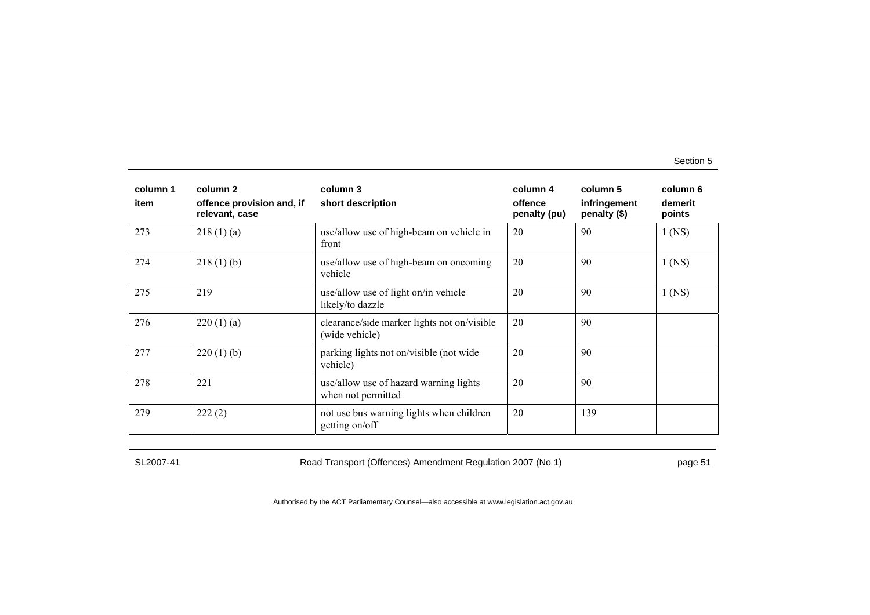| column 1<br>item | column 2<br>offence provision and, if<br>relevant, case | column 3<br>short description                                 | column 4<br>offence<br>penalty (pu) | column 5<br>infringement<br>penalty (\$) | column 6<br>demerit<br>points |
|------------------|---------------------------------------------------------|---------------------------------------------------------------|-------------------------------------|------------------------------------------|-------------------------------|
| 273              | 218(1)(a)                                               | use/allow use of high-beam on vehicle in<br>front             | 20                                  | 90                                       | $1$ (NS)                      |
| 274              | 218(1)(b)                                               | use/allow use of high-beam on oncoming<br>vehicle             | 20                                  | 90                                       | $1$ (NS)                      |
| 275              | 219                                                     | use/allow use of light on/in vehicle<br>likely/to dazzle      | 20                                  | 90                                       | $1$ (NS)                      |
| 276              | 220(1)(a)                                               | clearance/side marker lights not on/visible<br>(wide vehicle) | 20                                  | 90                                       |                               |
| 277              | 220(1)(b)                                               | parking lights not on/visible (not wide<br>vehicle)           | 20                                  | 90                                       |                               |
| 278              | 221                                                     | use/allow use of hazard warning lights<br>when not permitted  | 20                                  | 90                                       |                               |
| 279              | 222(2)                                                  | not use bus warning lights when children<br>getting on/off    | 20                                  | 139                                      |                               |

SL2007-41 Road Transport (Offences) Amendment Regulation 2007 (No 1) page 51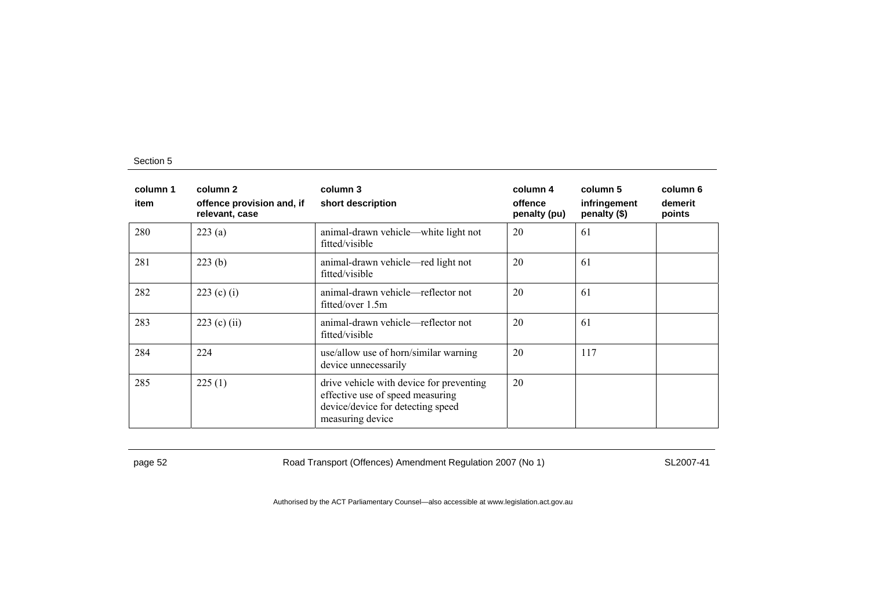| column 1<br>item | column 2<br>offence provision and, if<br>relevant, case | column 3<br>short description                                                                                                         | column 4<br>offence<br>penalty (pu) | column 5<br>infringement<br>penalty (\$) | column 6<br>demerit<br>points |
|------------------|---------------------------------------------------------|---------------------------------------------------------------------------------------------------------------------------------------|-------------------------------------|------------------------------------------|-------------------------------|
| 280              | 223(a)                                                  | animal-drawn vehicle—white light not<br>fitted/visible                                                                                | 20                                  | 61                                       |                               |
| 281              | 223(b)                                                  | animal-drawn vehicle—red light not<br>fitted/visible                                                                                  | 20                                  | 61                                       |                               |
| 282              | 223 (c) (i)                                             | animal-drawn vehicle—reflector not<br>fitted/over 1.5m                                                                                | 20                                  | 61                                       |                               |
| 283              | $223$ (c) (ii)                                          | animal-drawn vehicle—reflector not<br>fitted/visible                                                                                  | 20                                  | 61                                       |                               |
| 284              | 224                                                     | use/allow use of horn/similar warning<br>device unnecessarily                                                                         | 20                                  | 117                                      |                               |
| 285              | 225(1)                                                  | drive vehicle with device for preventing<br>effective use of speed measuring<br>device/device for detecting speed<br>measuring device | 20                                  |                                          |                               |

page 52 Road Transport (Offences) Amendment Regulation 2007 (No 1) SL2007-41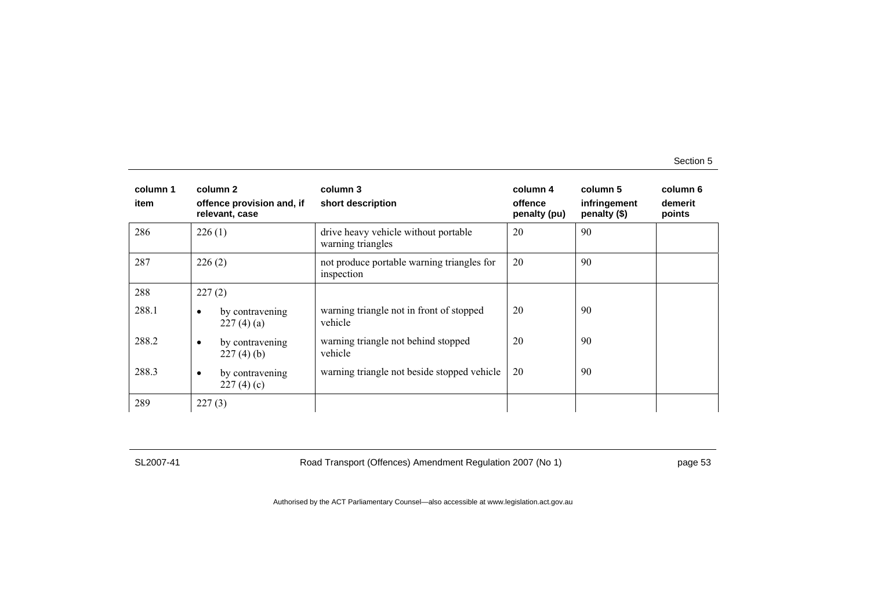| column 1<br>item | column 2<br>offence provision and, if<br>relevant, case | column 3<br>short description                             | column 4<br>offence<br>penalty (pu) | column 5<br>infringement<br>penalty (\$) | column 6<br>demerit<br>points |
|------------------|---------------------------------------------------------|-----------------------------------------------------------|-------------------------------------|------------------------------------------|-------------------------------|
| 286              | 226(1)                                                  | drive heavy vehicle without portable<br>warning triangles | 20                                  | 90                                       |                               |
| 287              | 226(2)                                                  | not produce portable warning triangles for<br>inspection  | 20                                  | 90                                       |                               |
| 288              | 227(2)                                                  |                                                           |                                     |                                          |                               |
| 288.1            | by contravening<br>٠<br>227(4)(a)                       | warning triangle not in front of stopped<br>vehicle       | 20                                  | 90                                       |                               |
| 288.2            | by contravening<br>٠<br>227(4)(b)                       | warning triangle not behind stopped<br>vehicle            | 20                                  | 90                                       |                               |
| 288.3            | by contravening<br>٠<br>227(4)(c)                       | warning triangle not beside stopped vehicle               | 20                                  | 90                                       |                               |
| 289              | 227(3)                                                  |                                                           |                                     |                                          |                               |

SL2007-41 Road Transport (Offences) Amendment Regulation 2007 (No 1) page 53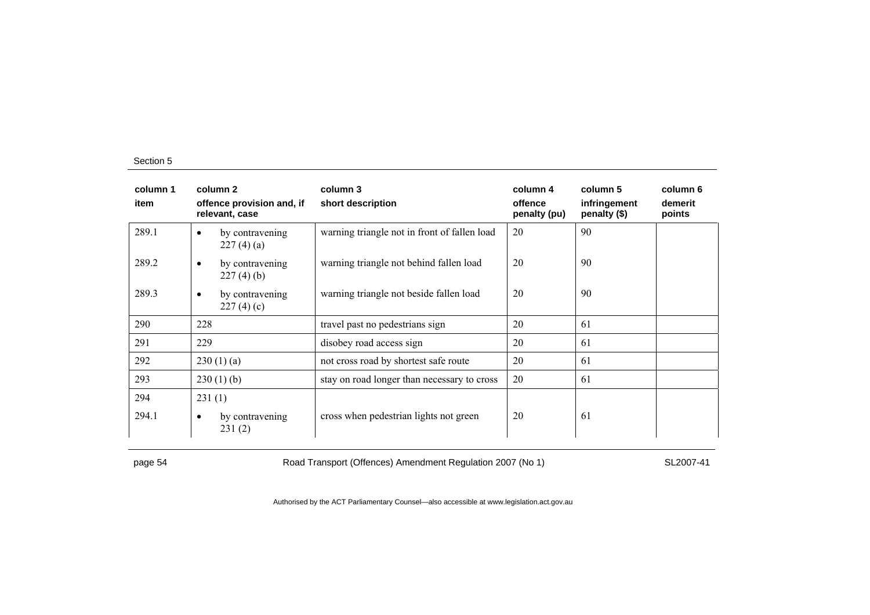| column 1<br>item | column 2<br>offence provision and, if<br>relevant, case | column 3<br>short description                | column 4<br>offence<br>penalty (pu) | column 5<br>infringement<br>penalty (\$) | column 6<br>demerit<br>points |
|------------------|---------------------------------------------------------|----------------------------------------------|-------------------------------------|------------------------------------------|-------------------------------|
| 289.1            | by contravening<br>$\bullet$<br>227(4)(a)               | warning triangle not in front of fallen load | 20                                  | 90                                       |                               |
| 289.2            | by contravening<br>٠<br>227(4)(b)                       | warning triangle not behind fallen load      | 20                                  | 90                                       |                               |
| 289.3            | by contravening<br>$\bullet$<br>227(4)(c)               | warning triangle not beside fallen load      | 20                                  | 90                                       |                               |
| 290              | 228                                                     | travel past no pedestrians sign              | 20                                  | 61                                       |                               |
| 291              | 229                                                     | disobey road access sign                     | 20                                  | 61                                       |                               |
| 292              | 230(1)(a)                                               | not cross road by shortest safe route        | 20                                  | 61                                       |                               |
| 293              | $230(1)$ (b)                                            | stay on road longer than necessary to cross  | 20                                  | 61                                       |                               |
| 294              | 231(1)                                                  |                                              |                                     |                                          |                               |
| 294.1            | by contravening<br>٠<br>231(2)                          | cross when pedestrian lights not green       | 20                                  | 61                                       |                               |

page 54 Road Transport (Offences) Amendment Regulation 2007 (No 1) SL2007-41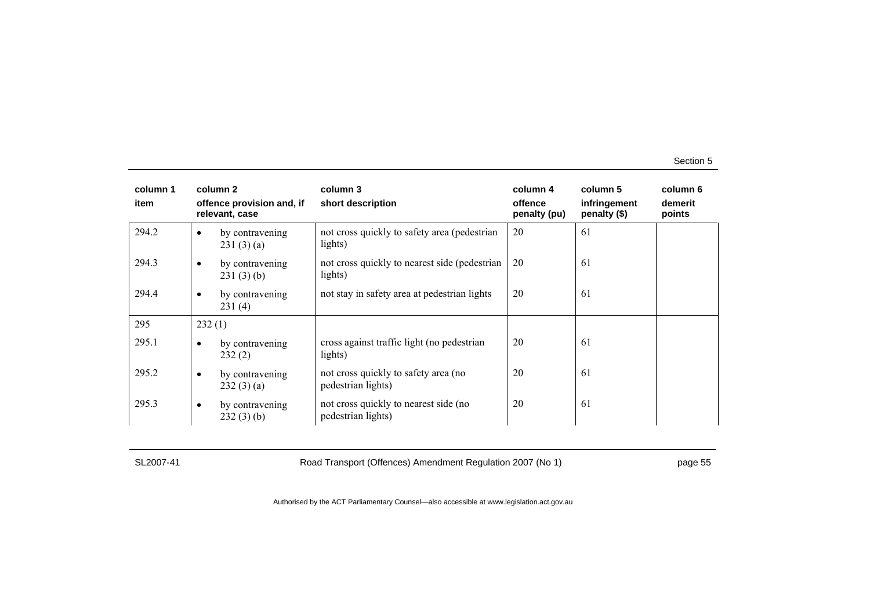| column 1<br>item |           | column 2<br>offence provision and, if<br>relevant, case | column 3<br>short description                               | column 4<br>offence<br>penalty (pu) | column 5<br>infringement<br>penalty (\$) | column 6<br>demerit<br>points |
|------------------|-----------|---------------------------------------------------------|-------------------------------------------------------------|-------------------------------------|------------------------------------------|-------------------------------|
| 294.2            | $\bullet$ | by contravening<br>231(3)(a)                            | not cross quickly to safety area (pedestrian<br>lights)     | 20                                  | 61                                       |                               |
| 294.3            | $\bullet$ | by contravening<br>231(3)(b)                            | not cross quickly to nearest side (pedestrian)<br>lights)   | 20                                  | 61                                       |                               |
| 294.4            | $\bullet$ | by contravening<br>231(4)                               | not stay in safety area at pedestrian lights                | 20                                  | 61                                       |                               |
| 295              | 232(1)    |                                                         |                                                             |                                     |                                          |                               |
| 295.1            | $\bullet$ | by contravening<br>232(2)                               | cross against traffic light (no pedestrian<br>lights)       | 20                                  | 61                                       |                               |
| 295.2            | $\bullet$ | by contravening<br>232(3)(a)                            | not cross quickly to safety area (no<br>pedestrian lights)  | 20                                  | 61                                       |                               |
| 295.3            | $\bullet$ | by contravening<br>232(3)(b)                            | not cross quickly to nearest side (no<br>pedestrian lights) | 20                                  | 61                                       |                               |

SL2007-41 Road Transport (Offences) Amendment Regulation 2007 (No 1) page 55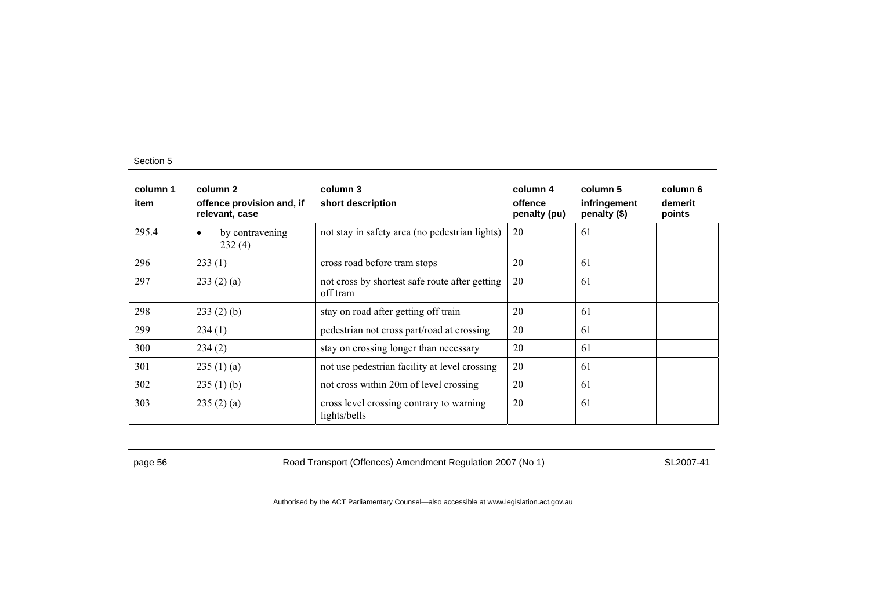| column 1<br>item | column 2<br>offence provision and, if<br>relevant, case | column 3<br>short description                              | column 4<br>offence<br>penalty (pu) | column 5<br>infringement<br>penalty (\$) | column 6<br>demerit<br>points |
|------------------|---------------------------------------------------------|------------------------------------------------------------|-------------------------------------|------------------------------------------|-------------------------------|
| 295.4            | by contravening<br>$\bullet$<br>232(4)                  | not stay in safety area (no pedestrian lights)             | 20                                  | 61                                       |                               |
| 296              | 233(1)                                                  | cross road before tram stops                               | 20                                  | 61                                       |                               |
| 297              | 233(2)(a)                                               | not cross by shortest safe route after getting<br>off tram | 20                                  | 61                                       |                               |
| 298              | 233(2)(b)                                               | stay on road after getting off train                       | 20                                  | 61                                       |                               |
| 299              | 234(1)                                                  | pedestrian not cross part/road at crossing                 | 20                                  | 61                                       |                               |
| 300              | 234(2)                                                  | stay on crossing longer than necessary                     | 20                                  | 61                                       |                               |
| 301              | 235(1)(a)                                               | not use pedestrian facility at level crossing              | 20                                  | 61                                       |                               |
| 302              | 235(1)(b)                                               | not cross within 20m of level crossing                     | 20                                  | 61                                       |                               |
| 303              | 235(2)(a)                                               | cross level crossing contrary to warning<br>lights/bells   | 20                                  | 61                                       |                               |

page 56 **Road Transport (Offences) Amendment Regulation 2007 (No 1)** SL2007-41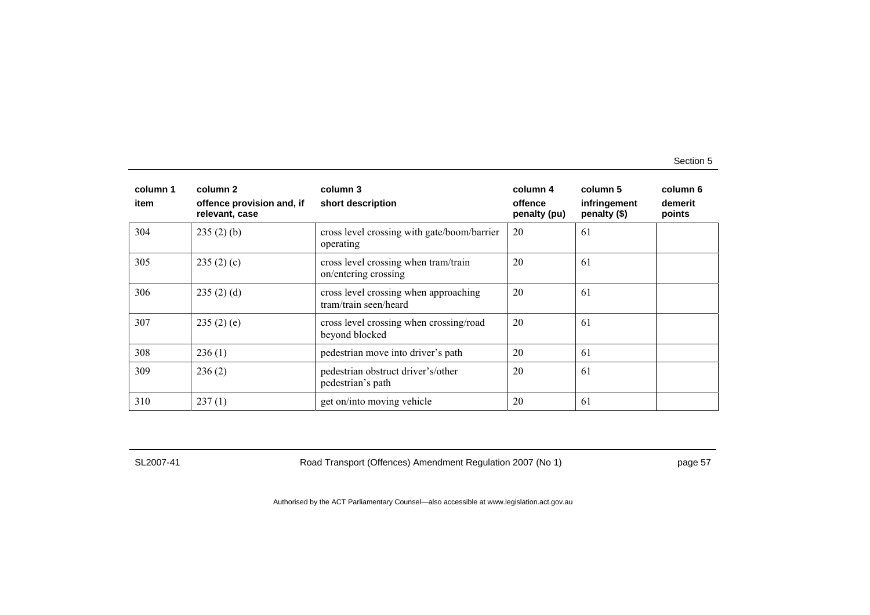| column 1<br>item | column 2<br>offence provision and, if<br>relevant, case | column 3<br>short description                                  | column 4<br>offence<br>penalty (pu) | column 5<br>infringement<br>penalty (\$) | column 6<br>demerit<br>points |
|------------------|---------------------------------------------------------|----------------------------------------------------------------|-------------------------------------|------------------------------------------|-------------------------------|
| 304              | 235(2)(b)                                               | cross level crossing with gate/boom/barrier<br>operating       | 20                                  | 61                                       |                               |
| 305              | 235(2)(c)                                               | cross level crossing when tram/train<br>on/entering crossing   | 20                                  | 61                                       |                               |
| 306              | 235(2)(d)                                               | cross level crossing when approaching<br>tram/train seen/heard | 20                                  | 61                                       |                               |
| 307              | 235(2)(e)                                               | cross level crossing when crossing/road<br>beyond blocked      | 20                                  | 61                                       |                               |
| 308              | 236(1)                                                  | pedestrian move into driver's path                             | 20                                  | 61                                       |                               |
| 309              | 236(2)                                                  | pedestrian obstruct driver's/other<br>pedestrian's path        | 20                                  | 61                                       |                               |
| 310              | 237(1)                                                  | get on/into moving vehicle                                     | 20                                  | 61                                       |                               |

SL2007-41 Road Transport (Offences) Amendment Regulation 2007 (No 1) page 57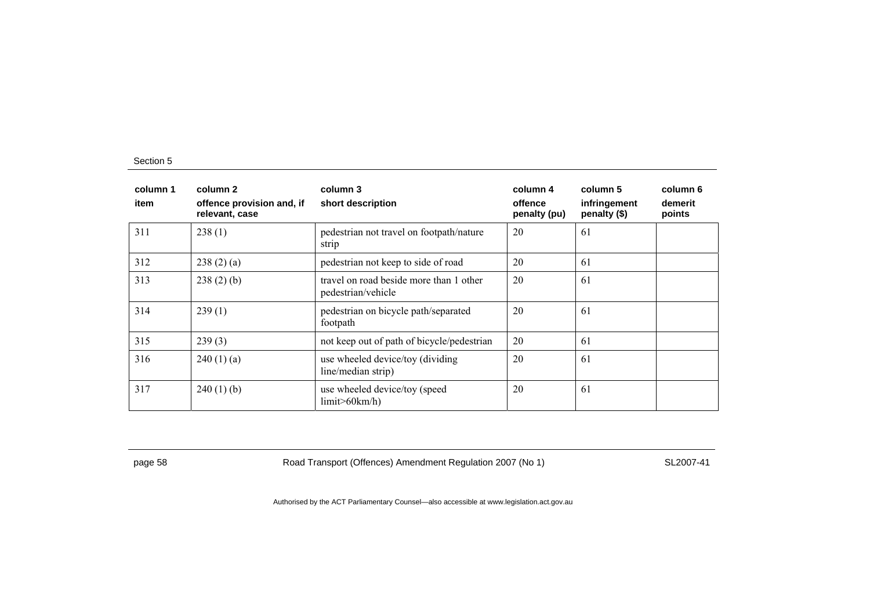| column 1<br>item | column 2<br>offence provision and, if<br>relevant, case | column 3<br>short description                                 | column 4<br>offence<br>penalty (pu) | column 5<br>infringement<br>penalty (\$) | column 6<br>demerit<br>points |
|------------------|---------------------------------------------------------|---------------------------------------------------------------|-------------------------------------|------------------------------------------|-------------------------------|
| 311              | 238(1)                                                  | pedestrian not travel on footpath/nature<br>strip             | 20                                  | 61                                       |                               |
| 312              | 238(2)(a)                                               | pedestrian not keep to side of road                           | 20                                  | 61                                       |                               |
| 313              | 238(2)(b)                                               | travel on road beside more than 1 other<br>pedestrian/vehicle | 20                                  | 61                                       |                               |
| 314              | 239(1)                                                  | pedestrian on bicycle path/separated<br>footpath              | 20                                  | 61                                       |                               |
| 315              | 239(3)                                                  | not keep out of path of bicycle/pedestrian                    | 20                                  | 61                                       |                               |
| 316              | 240(1)(a)                                               | use wheeled device/toy (dividing<br>line/median strip)        | 20                                  | 61                                       |                               |
| 317              | $240(1)$ (b)                                            | use wheeled device/toy (speed<br>limit > 60km/h               | 20                                  | 61                                       |                               |

page 58 Road Transport (Offences) Amendment Regulation 2007 (No 1) SL2007-41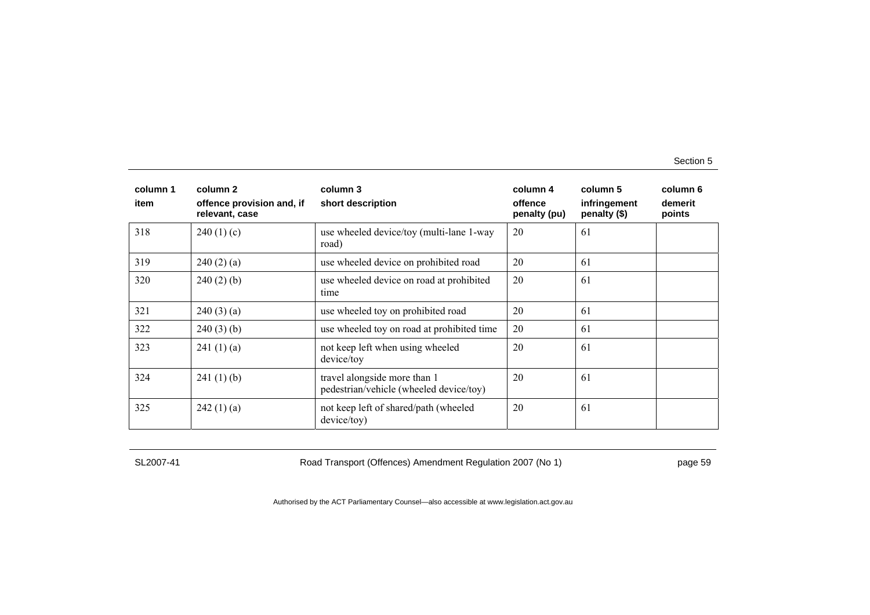| column 1<br>item | column 2<br>offence provision and, if<br>relevant, case | column 3<br>short description                                           | column 4<br>offence<br>penalty (pu) | column 5<br>infringement<br>penalty (\$) | column 6<br>demerit<br>points |
|------------------|---------------------------------------------------------|-------------------------------------------------------------------------|-------------------------------------|------------------------------------------|-------------------------------|
| 318              | 240(1)(c)                                               | use wheeled device/toy (multi-lane 1-way<br>road)                       | 20                                  | -61                                      |                               |
| 319              | 240(2)(a)                                               | use wheeled device on prohibited road                                   | 20                                  | 61                                       |                               |
| 320              | $240(2)$ (b)                                            | use wheeled device on road at prohibited<br>time                        | 20                                  | -61                                      |                               |
| 321              | 240(3)(a)                                               | use wheeled toy on prohibited road                                      | 20                                  | 61                                       |                               |
| 322              | $240(3)$ (b)                                            | use wheeled toy on road at prohibited time                              | 20                                  | 61                                       |                               |
| 323              | 241(1)(a)                                               | not keep left when using wheeled<br>device/toy                          | 20                                  | -61                                      |                               |
| 324              | 241(1)(b)                                               | travel alongside more than 1<br>pedestrian/vehicle (wheeled device/toy) | 20                                  | -61                                      |                               |
| 325              | 242(1)(a)                                               | not keep left of shared/path (wheeled<br>device/toy)                    | 20                                  | 61                                       |                               |

SL2007-41 Road Transport (Offences) Amendment Regulation 2007 (No 1) page 59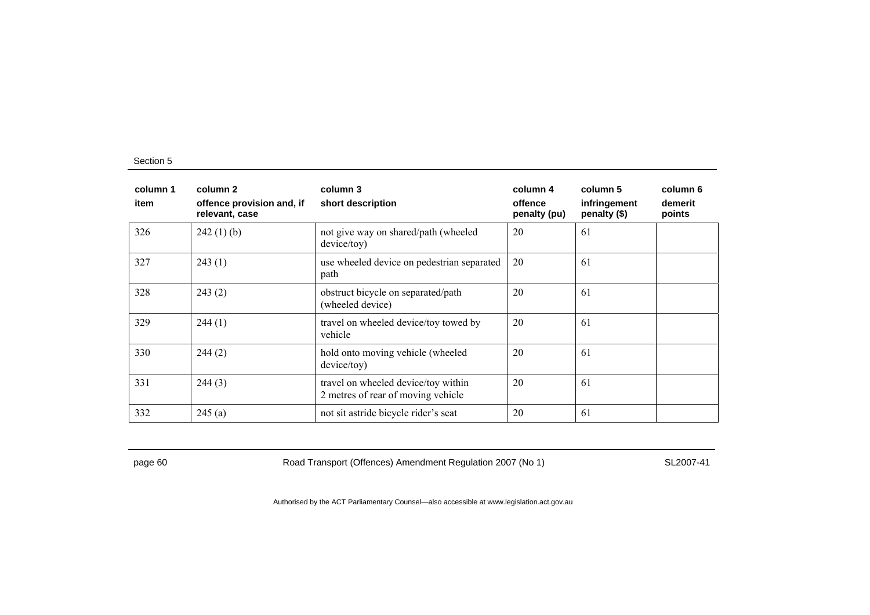| column 1<br>item | column 2<br>offence provision and, if<br>relevant, case | column 3<br>short description                                             | column 4<br>offence<br>penalty (pu) | column 5<br>infringement<br>penalty (\$) | column 6<br>demerit<br>points |
|------------------|---------------------------------------------------------|---------------------------------------------------------------------------|-------------------------------------|------------------------------------------|-------------------------------|
| 326              | $242(1)$ (b)                                            | not give way on shared/path (wheeled<br>device/toy)                       | 20                                  | 61                                       |                               |
| 327              | 243(1)                                                  | use wheeled device on pedestrian separated<br>path                        | 20                                  | 61                                       |                               |
| 328              | 243(2)                                                  | obstruct bicycle on separated/path<br>(wheeled device)                    | 20                                  | 61                                       |                               |
| 329              | 244(1)                                                  | travel on wheeled device/toy towed by<br>vehicle                          | 20                                  | 61                                       |                               |
| 330              | 244(2)                                                  | hold onto moving vehicle (wheeled<br>device/toy)                          | 20                                  | 61                                       |                               |
| 331              | 244(3)                                                  | travel on wheeled device/toy within<br>2 metres of rear of moving vehicle | 20                                  | 61                                       |                               |
| 332              | 245(a)                                                  | not sit astride bicycle rider's seat                                      | 20                                  | 61                                       |                               |

page 60 Road Transport (Offences) Amendment Regulation 2007 (No 1) SL2007-41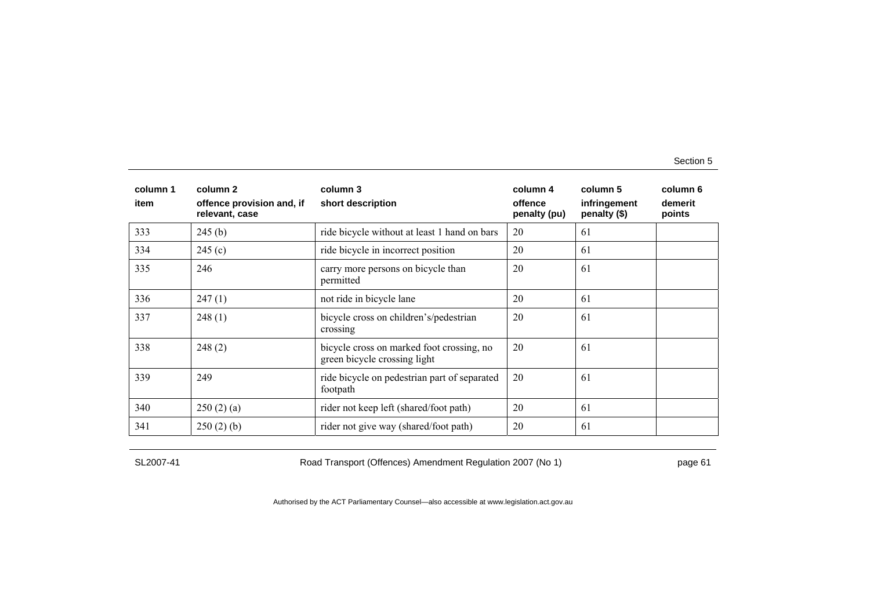| column 1<br>item | column 2<br>offence provision and, if<br>relevant, case | column 3<br>short description                                             | column 4<br>offence<br>penalty (pu) | column 5<br>infringement<br>penalty (\$) | column 6<br>demerit<br>points |
|------------------|---------------------------------------------------------|---------------------------------------------------------------------------|-------------------------------------|------------------------------------------|-------------------------------|
| 333              | 245(b)                                                  | ride bicycle without at least 1 hand on bars                              | 20                                  | 61                                       |                               |
| 334              | 245(c)                                                  | ride bicycle in incorrect position                                        | 20                                  | 61                                       |                               |
| 335              | 246                                                     | carry more persons on bicycle than<br>permitted                           | 20                                  | -61                                      |                               |
| 336              | 247(1)                                                  | not ride in bicycle lane                                                  | 20                                  | 61                                       |                               |
| 337              | 248(1)                                                  | bicycle cross on children's/pedestrian<br>crossing                        | 20                                  | 61                                       |                               |
| 338              | 248(2)                                                  | bicycle cross on marked foot crossing, no<br>green bicycle crossing light | 20                                  | -61                                      |                               |
| 339              | 249                                                     | ride bicycle on pedestrian part of separated<br>footpath                  | 20                                  | -61                                      |                               |
| 340              | 250(2)(a)                                               | rider not keep left (shared/foot path)                                    | 20                                  | 61                                       |                               |
| 341              | 250(2)(b)                                               | rider not give way (shared/foot path)                                     | 20                                  | 61                                       |                               |

SL2007-41 Road Transport (Offences) Amendment Regulation 2007 (No 1) page 61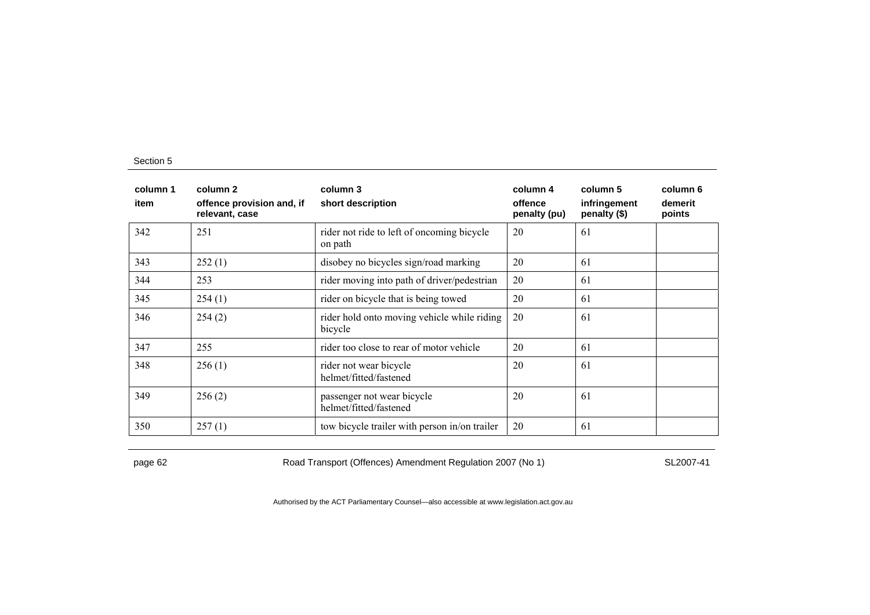| column 1<br>item | column 2<br>offence provision and, if<br>relevant, case | column 3<br>short description                          | column 4<br>offence<br>penalty (pu) | column 5<br>infringement<br>penalty (\$) | column 6<br>demerit<br>points |
|------------------|---------------------------------------------------------|--------------------------------------------------------|-------------------------------------|------------------------------------------|-------------------------------|
| 342              | 251                                                     | rider not ride to left of oncoming bicycle<br>on path  | 20                                  | 61                                       |                               |
| 343              | 252(1)                                                  | disobey no bicycles sign/road marking                  | 20                                  | 61                                       |                               |
| 344              | 253                                                     | rider moving into path of driver/pedestrian            | 20                                  | 61                                       |                               |
| 345              | 254(1)                                                  | rider on bicycle that is being towed                   | 20                                  | 61                                       |                               |
| 346              | 254(2)                                                  | rider hold onto moving vehicle while riding<br>bicycle | 20                                  | 61                                       |                               |
| 347              | 255                                                     | rider too close to rear of motor vehicle               | 20                                  | 61                                       |                               |
| 348              | 256(1)                                                  | rider not wear bicycle<br>helmet/fitted/fastened       | 20                                  | 61                                       |                               |
| 349              | 256(2)                                                  | passenger not wear bicycle<br>helmet/fitted/fastened   | 20                                  | 61                                       |                               |
| 350              | 257(1)                                                  | tow bicycle trailer with person in/on trailer          | 20                                  | 61                                       |                               |

page 62 Road Transport (Offences) Amendment Regulation 2007 (No 1) SL2007-41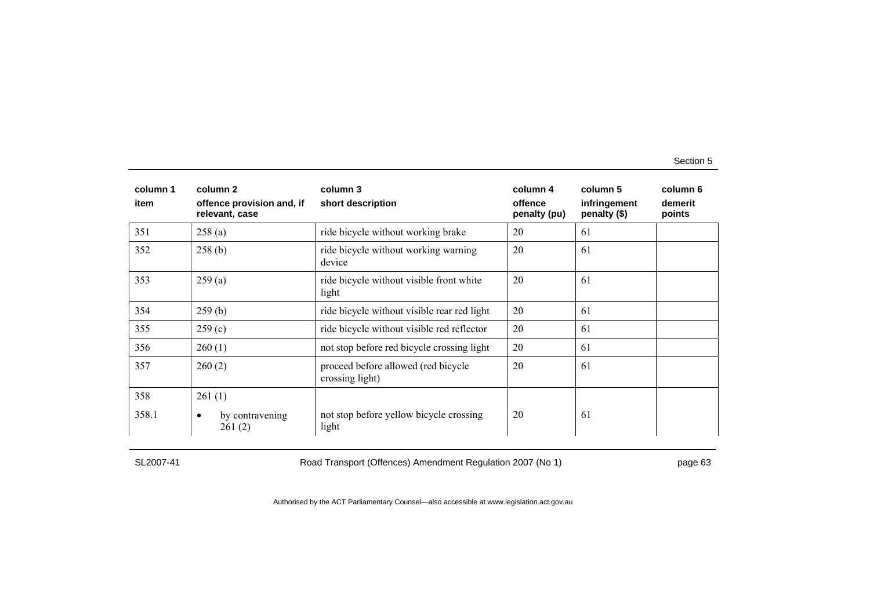| column 1<br>item | column 2<br>offence provision and, if<br>relevant, case | column 3<br>short description                          | column 4<br>offence<br>penalty (pu) | column 5<br>infringement<br>penalty (\$) | column 6<br>demerit<br>points |
|------------------|---------------------------------------------------------|--------------------------------------------------------|-------------------------------------|------------------------------------------|-------------------------------|
| 351              | 258(a)                                                  | ride bicycle without working brake                     | 20                                  | 61                                       |                               |
| 352              | 258(b)                                                  | ride bicycle without working warning<br>device         | 20                                  | 61                                       |                               |
| 353              | 259(a)                                                  | ride bicycle without visible front white<br>light      | 20                                  | 61                                       |                               |
| 354              | 259(b)                                                  | ride bicycle without visible rear red light            | 20                                  | 61                                       |                               |
| 355              | 259(c)                                                  | ride bicycle without visible red reflector             | 20                                  | 61                                       |                               |
| 356              | 260(1)                                                  | not stop before red bicycle crossing light             | 20                                  | 61                                       |                               |
| 357              | 260(2)                                                  | proceed before allowed (red bicycle<br>crossing light) | 20                                  | 61                                       |                               |
| 358              | 261(1)                                                  |                                                        |                                     |                                          |                               |
| 358.1            | by contravening<br>٠<br>261(2)                          | not stop before yellow bicycle crossing<br>light       | 20                                  | 61                                       |                               |

SL2007-41 Road Transport (Offences) Amendment Regulation 2007 (No 1) page 63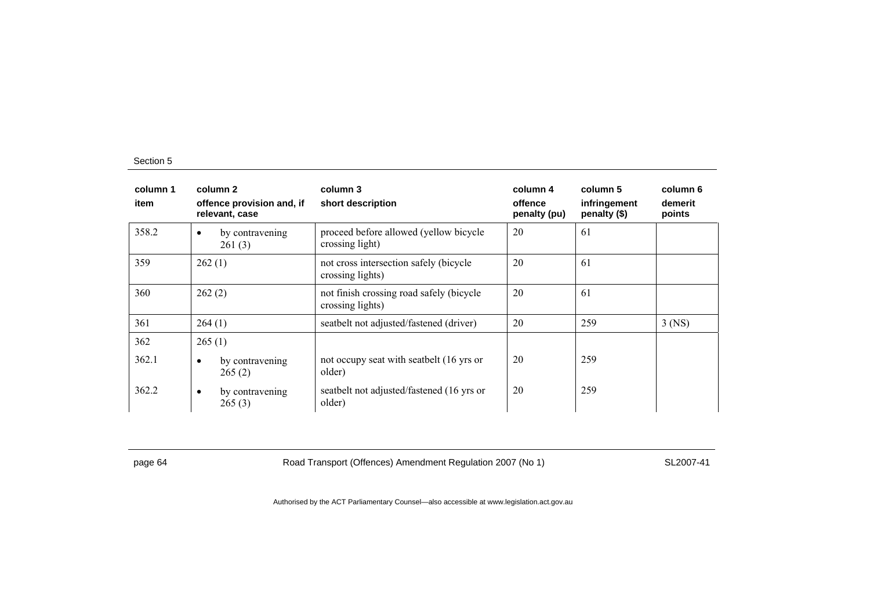| column 1<br>item | column 2<br>offence provision and, if<br>relevant, case | column 3<br>short description                                | column 4<br>offence<br>penalty (pu) | column 5<br>infringement<br>penalty (\$) | column 6<br>demerit<br>points |
|------------------|---------------------------------------------------------|--------------------------------------------------------------|-------------------------------------|------------------------------------------|-------------------------------|
| 358.2            | by contravening<br>$\bullet$<br>261(3)                  | proceed before allowed (yellow bicycle<br>crossing light)    | 20                                  | 61                                       |                               |
| 359              | 262(1)                                                  | not cross intersection safely (bicycle<br>crossing lights)   | 20                                  | 61                                       |                               |
| 360              | 262(2)                                                  | not finish crossing road safely (bicycle<br>crossing lights) | 20                                  | 61                                       |                               |
| 361              | 264(1)                                                  | seatbelt not adjusted/fastened (driver)                      | 20                                  | 259                                      | $3$ (NS)                      |
| 362              | 265(1)                                                  |                                                              |                                     |                                          |                               |
| 362.1            | by contravening<br>$\bullet$<br>265(2)                  | not occupy seat with seatbelt (16 yrs or<br>older)           | 20                                  | 259                                      |                               |
| 362.2            | by contravening<br>$\bullet$<br>265(3)                  | seatbelt not adjusted/fastened (16 yrs or<br>older)          | 20                                  | 259                                      |                               |

page 64 Road Transport (Offences) Amendment Regulation 2007 (No 1) SL2007-41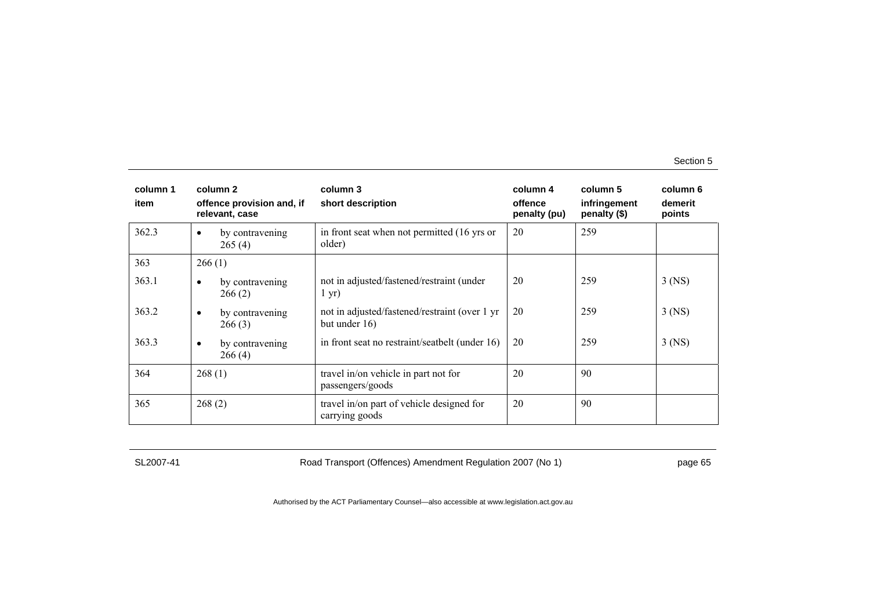| column 1<br>item | column 2<br>offence provision and, if<br>relevant, case | column 3<br>short description                                      | column 4<br>offence<br>penalty (pu) | column 5<br>infringement<br>penalty (\$) | column 6<br>demerit<br>points |
|------------------|---------------------------------------------------------|--------------------------------------------------------------------|-------------------------------------|------------------------------------------|-------------------------------|
| 362.3            | by contravening<br>$\bullet$<br>265(4)                  | in front seat when not permitted (16 yrs or<br>older)              | 20                                  | 259                                      |                               |
| 363              | 266(1)                                                  |                                                                    |                                     |                                          |                               |
| 363.1            | by contravening<br>٠<br>266(2)                          | not in adjusted/fastened/restraint (under<br>$1 \text{ yr}$        | 20                                  | 259                                      | $3$ (NS)                      |
| 363.2            | by contravening<br>$\bullet$<br>266(3)                  | not in adjusted/fastened/restraint (over 1 yr)<br>but under $16$ ) | 20                                  | 259                                      | $3$ (NS)                      |
| 363.3            | by contravening<br>$\bullet$<br>266(4)                  | in front seat no restraint/seatbelt (under 16)                     | 20                                  | 259                                      | $3$ (NS)                      |
| 364              | 268(1)                                                  | travel in/on vehicle in part not for<br>passengers/goods           | 20                                  | 90                                       |                               |
| 365              | 268(2)                                                  | travel in/on part of vehicle designed for<br>carrying goods        | 20                                  | 90                                       |                               |

SL2007-41 Road Transport (Offences) Amendment Regulation 2007 (No 1) page 65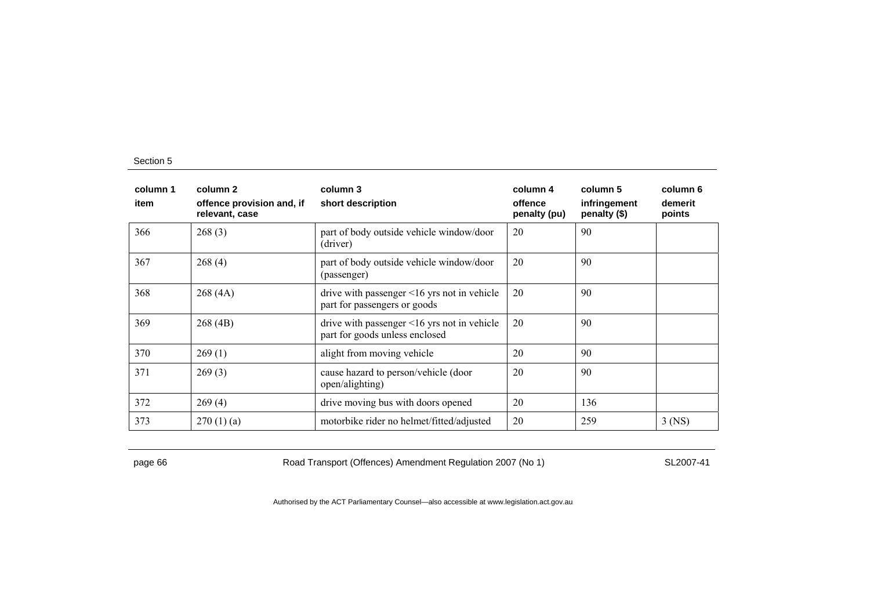| column 1<br>item | column 2<br>offence provision and, if<br>relevant, case | column 3<br>short description                                                       | column 4<br>offence<br>penalty (pu) | column 5<br>infringement<br>penalty (\$) | column 6<br>demerit<br>points |
|------------------|---------------------------------------------------------|-------------------------------------------------------------------------------------|-------------------------------------|------------------------------------------|-------------------------------|
| 366              | 268(3)                                                  | part of body outside vehicle window/door<br>(driver)                                | 20                                  | 90                                       |                               |
| 367              | 268(4)                                                  | part of body outside vehicle window/door<br>(passenger)                             | 20                                  | 90                                       |                               |
| 368              | 268(4A)                                                 | drive with passenger $\leq 16$ yrs not in vehicle<br>part for passengers or goods   | 20                                  | 90                                       |                               |
| 369              | 268(4B)                                                 | drive with passenger $\leq 16$ yrs not in vehicle<br>part for goods unless enclosed | 20                                  | 90                                       |                               |
| 370              | 269(1)                                                  | alight from moving vehicle                                                          | 20                                  | 90                                       |                               |
| 371              | 269(3)                                                  | cause hazard to person/vehicle (door<br>open/alighting)                             | 20                                  | 90                                       |                               |
| 372              | 269(4)                                                  | drive moving bus with doors opened                                                  | 20                                  | 136                                      |                               |
| 373              | 270(1)(a)                                               | motorbike rider no helmet/fitted/adjusted                                           | 20                                  | 259                                      | $3$ (NS)                      |

page 66 **Road Transport (Offences) Amendment Regulation 2007 (No 1)** SL2007-41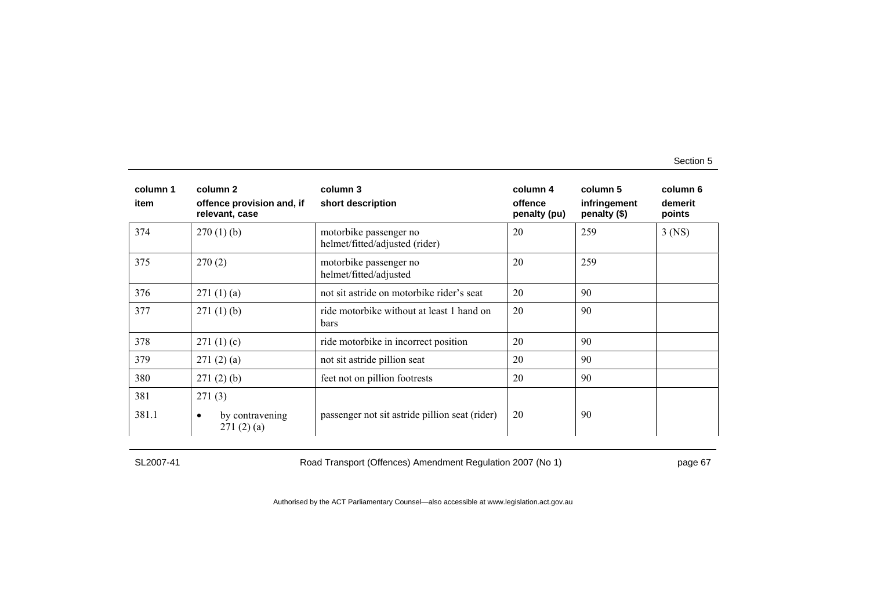| column 1<br>item | column 2<br>offence provision and, if<br>relevant, case | column 3<br>short description                            | column 4<br>offence<br>penalty (pu) | column 5<br>infringement<br>penalty (\$) | column 6<br>demerit<br>points |
|------------------|---------------------------------------------------------|----------------------------------------------------------|-------------------------------------|------------------------------------------|-------------------------------|
| 374              | $270(1)$ (b)                                            | motorbike passenger no<br>helmet/fitted/adjusted (rider) | 20                                  | 259                                      | $3$ (NS)                      |
| 375              | 270(2)                                                  | motorbike passenger no<br>helmet/fitted/adjusted         | 20                                  | 259                                      |                               |
| 376              | 271(1)(a)                                               | not sit astride on motorbike rider's seat                | 20                                  | 90                                       |                               |
| 377              | 271(1)(b)                                               | ride motorbike without at least 1 hand on<br>bars        | 20                                  | 90                                       |                               |
| 378              | 271(1)(c)                                               | ride motorbike in incorrect position                     | 20                                  | 90                                       |                               |
| 379              | 271(2)(a)                                               | not sit astride pillion seat                             | 20                                  | 90                                       |                               |
| 380              | 271(2)(b)                                               | feet not on pillion footrests                            | 20                                  | 90                                       |                               |
| 381              | 271(3)                                                  |                                                          |                                     |                                          |                               |
| 381.1            | by contravening<br>$\bullet$<br>271(2)(a)               | passenger not sit astride pillion seat (rider)           | 20                                  | 90                                       |                               |

SL2007-41 Road Transport (Offences) Amendment Regulation 2007 (No 1) page 67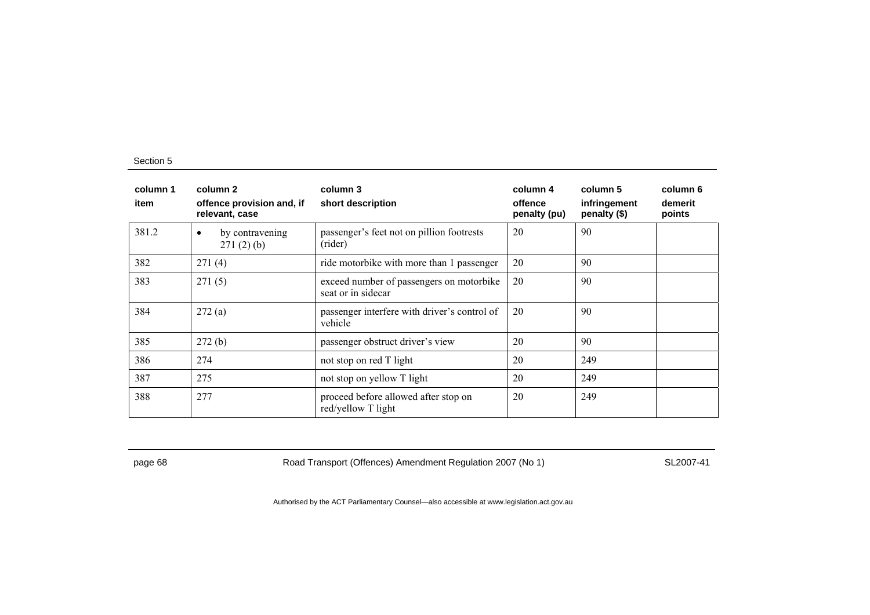| column 1<br>item | column 2<br>offence provision and, if<br>relevant, case | column 3<br>short description                                  | column 4<br>offence<br>penalty (pu) | column 5<br>infringement<br>penalty (\$) | column 6<br>demerit<br>points |
|------------------|---------------------------------------------------------|----------------------------------------------------------------|-------------------------------------|------------------------------------------|-------------------------------|
| 381.2            | by contravening<br>$\bullet$<br>271(2)(b)               | passenger's feet not on pillion footrests<br>(rider)           | 20                                  | 90                                       |                               |
| 382              | 271(4)                                                  | ride motorbike with more than 1 passenger                      | 20                                  | 90                                       |                               |
| 383              | 271(5)                                                  | exceed number of passengers on motorbike<br>seat or in sidecar | 20                                  | 90                                       |                               |
| 384              | 272(a)                                                  | passenger interfere with driver's control of<br>vehicle        | 20                                  | 90                                       |                               |
| 385              | 272(b)                                                  | passenger obstruct driver's view                               | 20                                  | 90                                       |                               |
| 386              | 274                                                     | not stop on red T light                                        | 20                                  | 249                                      |                               |
| 387              | 275                                                     | not stop on yellow T light                                     | 20                                  | 249                                      |                               |
| 388              | 277                                                     | proceed before allowed after stop on<br>red/yellow T light     | 20                                  | 249                                      |                               |

page 68 Road Transport (Offences) Amendment Regulation 2007 (No 1) SL2007-41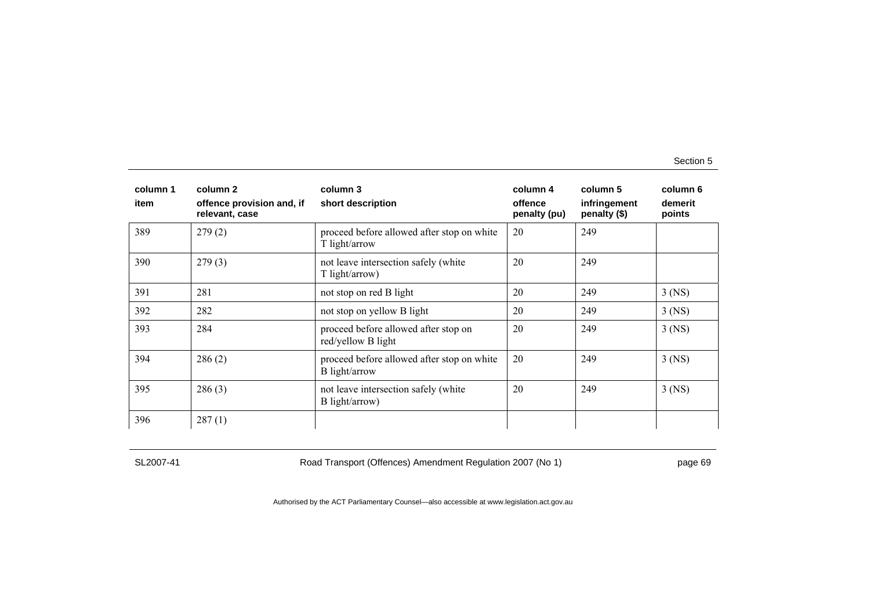| column 1<br>item | column 2<br>offence provision and, if<br>relevant, case | column 3<br>short description                               | column 4<br>offence<br>penalty (pu) | column 5<br>infringement<br>penalty (\$) | column 6<br>demerit<br>points |
|------------------|---------------------------------------------------------|-------------------------------------------------------------|-------------------------------------|------------------------------------------|-------------------------------|
| 389              | 279(2)                                                  | proceed before allowed after stop on white<br>T light/arrow | 20                                  | 249                                      |                               |
| 390              | 279(3)                                                  | not leave intersection safely (white<br>T light/arrow)      | 20                                  | 249                                      |                               |
| 391              | 281                                                     | not stop on red B light                                     | 20                                  | 249                                      | $3$ (NS)                      |
| 392              | 282                                                     | not stop on yellow B light                                  | 20                                  | 249                                      | $3$ (NS)                      |
| 393              | 284                                                     | proceed before allowed after stop on<br>red/yellow B light  | 20                                  | 249                                      | $3$ (NS)                      |
| 394              | 286(2)                                                  | proceed before allowed after stop on white<br>B light/arrow | 20                                  | 249                                      | $3$ (NS)                      |
| 395              | 286(3)                                                  | not leave intersection safely (white<br>B light/arrow)      | 20                                  | 249                                      | $3$ (NS)                      |
| 396              | 287(1)                                                  |                                                             |                                     |                                          |                               |

SL2007-41 Road Transport (Offences) Amendment Regulation 2007 (No 1) page 69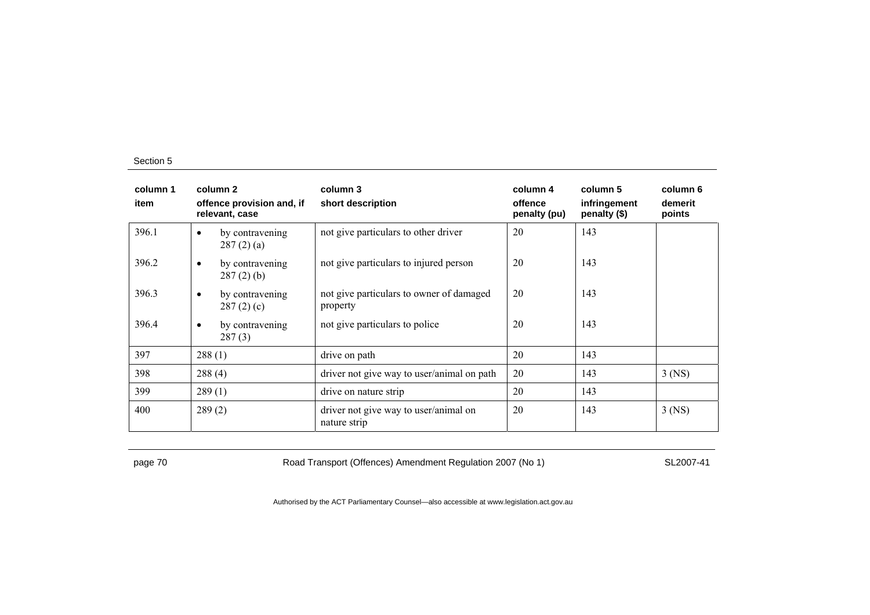| column 1<br>item | column 2<br>offence provision and, if<br>relevant, case | column 3<br>short description                         | column 4<br>offence<br>penalty (pu) | column 5<br>infringement<br>penalty $(\$)$ | column 6<br>demerit<br>points |
|------------------|---------------------------------------------------------|-------------------------------------------------------|-------------------------------------|--------------------------------------------|-------------------------------|
| 396.1            | by contravening<br>٠<br>287(2)(a)                       | not give particulars to other driver                  | 20                                  | 143                                        |                               |
| 396.2            | by contravening<br>$\bullet$<br>$287(2)$ (b)            | not give particulars to injured person                | 20                                  | 143                                        |                               |
| 396.3            | by contravening<br>$\bullet$<br>287(2)(c)               | not give particulars to owner of damaged<br>property  | 20                                  | 143                                        |                               |
| 396.4            | by contravening<br>$\bullet$<br>287(3)                  | not give particulars to police                        | 20                                  | 143                                        |                               |
| 397              | 288(1)                                                  | drive on path                                         | 20                                  | 143                                        |                               |
| 398              | 288(4)                                                  | driver not give way to user/animal on path            | 20                                  | 143                                        | $3$ (NS)                      |
| 399              | 289(1)                                                  | drive on nature strip                                 | 20                                  | 143                                        |                               |
| 400              | 289(2)                                                  | driver not give way to user/animal on<br>nature strip | 20                                  | 143                                        | $3$ (NS)                      |

page 70 SL2007-41 Road Transport (Offences) Amendment Regulation 2007 (No 1)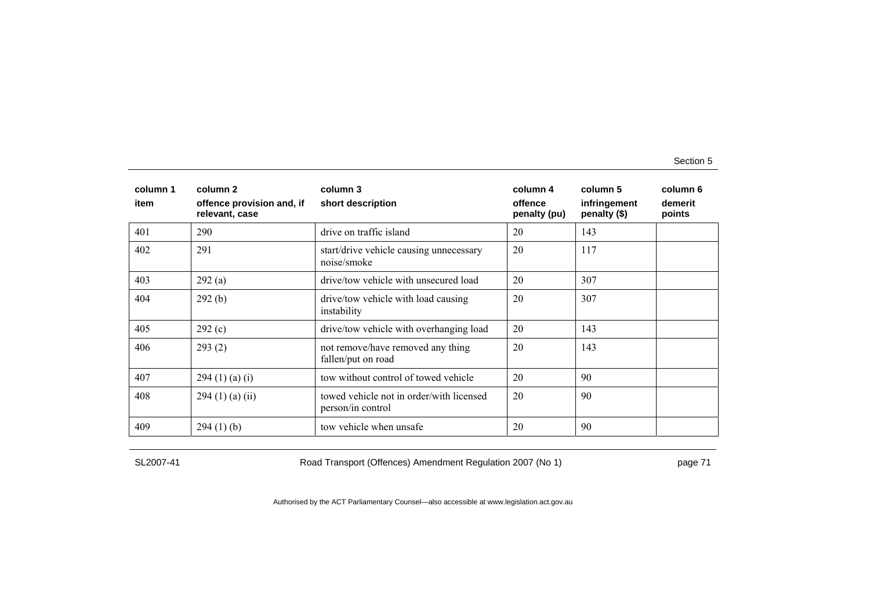| column 1<br>item | column 2<br>offence provision and, if<br>relevant, case | column 3<br>short description                                 | column 4<br>offence<br>penalty (pu) | column 5<br>infringement<br>penalty (\$) | column 6<br>demerit<br>points |
|------------------|---------------------------------------------------------|---------------------------------------------------------------|-------------------------------------|------------------------------------------|-------------------------------|
| 401              | 290                                                     | drive on traffic island                                       | 20                                  | 143                                      |                               |
| 402              | 291                                                     | start/drive vehicle causing unnecessary<br>noise/smoke        | 20                                  | 117                                      |                               |
| 403              | 292(a)                                                  | drive/tow vehicle with unsecured load                         | 20                                  | 307                                      |                               |
| 404              | 292(b)                                                  | drive/tow vehicle with load causing<br>instability            | 20                                  | 307                                      |                               |
| 405              | 292(c)                                                  | drive/tow vehicle with overhanging load                       | 20                                  | 143                                      |                               |
| 406              | 293(2)                                                  | not remove/have removed any thing<br>fallen/put on road       | 20                                  | 143                                      |                               |
| 407              | 294(1)(a)(i)                                            | tow without control of towed vehicle                          | 20                                  | 90                                       |                               |
| 408              | $294(1)$ (a) (ii)                                       | towed vehicle not in order/with licensed<br>person/in control | 20                                  | 90                                       |                               |
| 409              | 294(1)(b)                                               | tow vehicle when unsafe                                       | 20                                  | 90                                       |                               |

SL2007-41 Road Transport (Offences) Amendment Regulation 2007 (No 1) page 71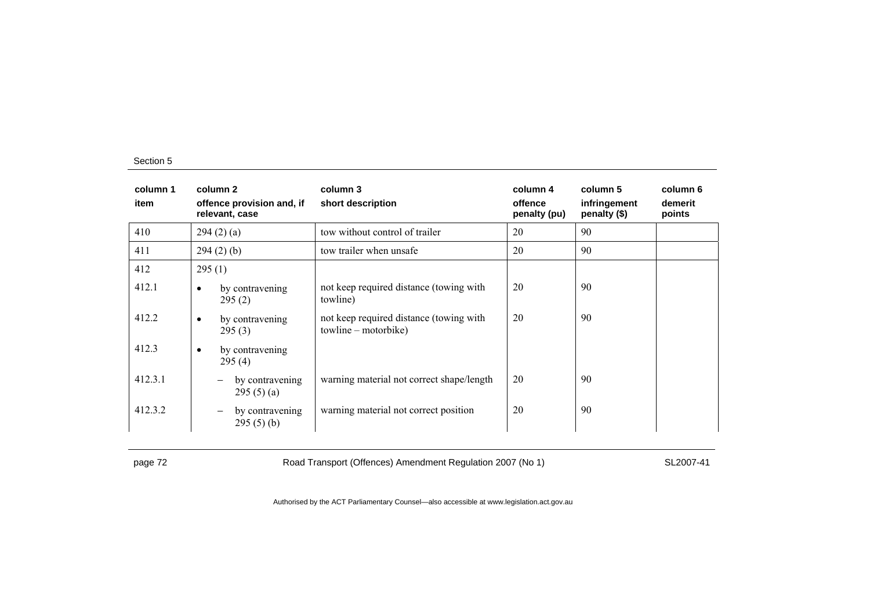| column 1<br>item | column 2<br>offence provision and, if<br>relevant, case  | column 3<br>short description                                   | column 4<br>offence<br>penalty (pu) | column 5<br>infringement<br>penalty (\$) | column 6<br>demerit<br>points |
|------------------|----------------------------------------------------------|-----------------------------------------------------------------|-------------------------------------|------------------------------------------|-------------------------------|
| 410              | 294(2)(a)                                                | tow without control of trailer                                  | 20                                  | 90                                       |                               |
| 411              | 294(2)(b)                                                | tow trailer when unsafe                                         | 20                                  | 90                                       |                               |
| 412              | 295(1)                                                   |                                                                 |                                     |                                          |                               |
| 412.1            | by contravening<br>$\bullet$<br>295(2)                   | not keep required distance (towing with<br>towline)             | 20                                  | 90                                       |                               |
| 412.2            | by contravening<br>$\bullet$<br>295(3)                   | not keep required distance (towing with<br>towline – motorbike) | 20                                  | 90                                       |                               |
| 412.3            | by contravening<br>$\bullet$<br>295(4)                   |                                                                 |                                     |                                          |                               |
| 412.3.1          | by contravening<br>$\overline{\phantom{m}}$<br>295(5)(a) | warning material not correct shape/length                       | 20                                  | 90                                       |                               |
| 412.3.2          | by contravening<br>$\overline{\phantom{m}}$<br>295(5)(b) | warning material not correct position                           | 20                                  | 90                                       |                               |

page 72 **Road Transport (Offences) Amendment Regulation 2007 (No 1)** SL2007-41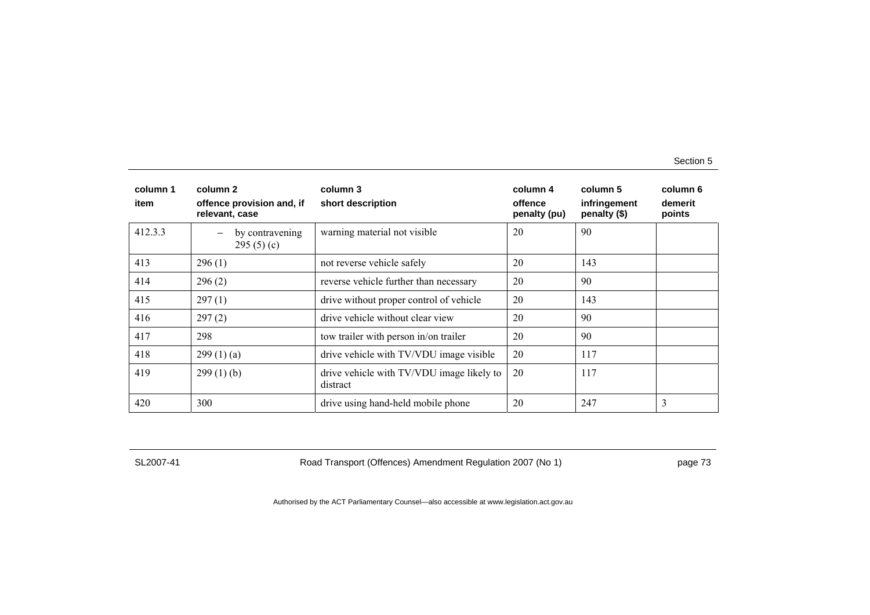| column 1<br>item | column 2<br>offence provision and, if<br>relevant, case | column 3<br>short description                         | column 4<br>offence<br>penalty (pu) | column 5<br>infringement<br>penalty (\$) | column 6<br>demerit<br>points |
|------------------|---------------------------------------------------------|-------------------------------------------------------|-------------------------------------|------------------------------------------|-------------------------------|
| 412.3.3          | by contravening<br>295(5)(c)                            | warning material not visible                          | 20                                  | 90                                       |                               |
| 413              | 296(1)                                                  | not reverse vehicle safely                            | 20                                  | 143                                      |                               |
| 414              | 296(2)                                                  | reverse vehicle further than necessary                | 20                                  | 90                                       |                               |
| 415              | 297(1)                                                  | drive without proper control of vehicle               | 20                                  | 143                                      |                               |
| 416              | 297(2)                                                  | drive vehicle without clear view                      | 20                                  | 90                                       |                               |
| 417              | 298                                                     | tow trailer with person in/on trailer                 | 20                                  | 90                                       |                               |
| 418              | 299(1)(a)                                               | drive vehicle with TV/VDU image visible               | 20                                  | 117                                      |                               |
| 419              | 299(1)(b)                                               | drive vehicle with TV/VDU image likely to<br>distract | 20                                  | 117                                      |                               |
| 420              | 300                                                     | drive using hand-held mobile phone                    | 20                                  | 247                                      | 3                             |

SL2007-41 Road Transport (Offences) Amendment Regulation 2007 (No 1) page 73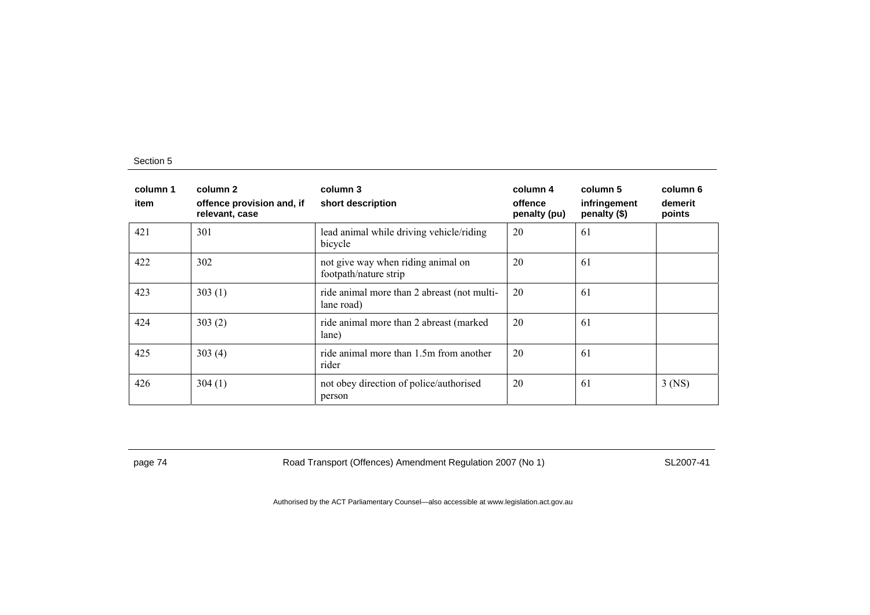| column 1<br>item | column 2<br>offence provision and, if<br>relevant, case | column 3<br>short description                               | column 4<br>offence<br>penalty (pu) | column 5<br>infringement<br>penalty (\$) | column 6<br>demerit<br>points |
|------------------|---------------------------------------------------------|-------------------------------------------------------------|-------------------------------------|------------------------------------------|-------------------------------|
| 421              | 301                                                     | lead animal while driving vehicle/riding<br>bicycle         | 20                                  | 61                                       |                               |
| 422              | 302                                                     | not give way when riding animal on<br>footpath/nature strip | 20                                  | 61                                       |                               |
| 423              | 303(1)                                                  | ride animal more than 2 abreast (not multi-<br>lane road)   | 20                                  | 61                                       |                               |
| 424              | 303(2)                                                  | ride animal more than 2 abreast (marked)<br>lane)           | 20                                  | 61                                       |                               |
| 425              | 303(4)                                                  | ride animal more than 1.5m from another<br>rider            | 20                                  | 61                                       |                               |
| 426              | 304(1)                                                  | not obey direction of police/authorised<br>person           | 20                                  | 61                                       | $3$ (NS)                      |

page 74 Road Transport (Offences) Amendment Regulation 2007 (No 1) SL2007-41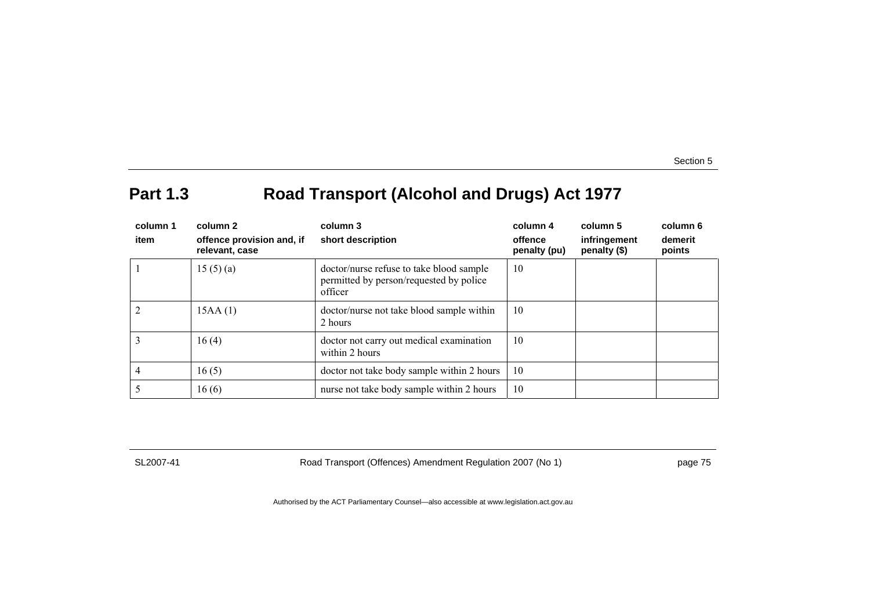# **Part 1.3 Road Transport (Alcohol and Drugs) Act 1977**

| column 1<br>item | column 2<br>offence provision and, if<br>relevant, case | column 3<br>short description                                                                  | column 4<br>offence<br>penalty (pu) | column 5<br>infringement<br>penalty (\$) | column 6<br>demerit<br>points |
|------------------|---------------------------------------------------------|------------------------------------------------------------------------------------------------|-------------------------------------|------------------------------------------|-------------------------------|
|                  | 15(5)(a)                                                | doctor/nurse refuse to take blood sample<br>permitted by person/requested by police<br>officer | 10                                  |                                          |                               |
| $\overline{2}$   | 15AA(1)                                                 | doctor/nurse not take blood sample within<br>2 hours                                           | 10                                  |                                          |                               |
| 3                | 16(4)                                                   | doctor not carry out medical examination<br>within 2 hours                                     | 10                                  |                                          |                               |
| 4                | 16(5)                                                   | doctor not take body sample within 2 hours                                                     | 10                                  |                                          |                               |
|                  | 16(6)                                                   | nurse not take body sample within 2 hours                                                      | 10                                  |                                          |                               |

SL2007-41 Road Transport (Offences) Amendment Regulation 2007 (No 1) page 75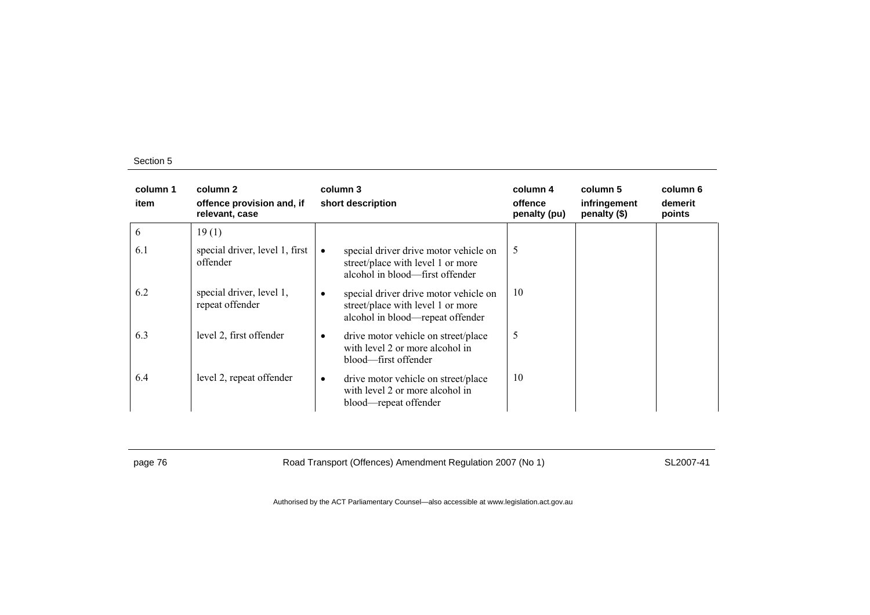| column 1<br>item | column 2<br>offence provision and, if<br>relevant, case | column 3<br>short description                                                                                       | column 4<br>offence<br>penalty (pu) | column 5<br>infringement<br>penalty (\$) | column 6<br>demerit<br>points |
|------------------|---------------------------------------------------------|---------------------------------------------------------------------------------------------------------------------|-------------------------------------|------------------------------------------|-------------------------------|
| 6                | 19(1)                                                   |                                                                                                                     |                                     |                                          |                               |
| 6.1              | special driver, level 1, first<br>offender              | special driver drive motor vehicle on<br>street/place with level 1 or more<br>alcohol in blood—first offender       | 5                                   |                                          |                               |
| 6.2              | special driver, level 1,<br>repeat offender             | special driver drive motor vehicle on<br>٠<br>street/place with level 1 or more<br>alcohol in blood-repeat offender | 10                                  |                                          |                               |
| 6.3              | level 2, first offender                                 | drive motor vehicle on street/place<br>٠<br>with level 2 or more alcohol in<br>blood—first offender                 | 5                                   |                                          |                               |
| 6.4              | level 2, repeat offender                                | drive motor vehicle on street/place<br>$\bullet$<br>with level 2 or more alcohol in<br>blood—repeat offender        | 10                                  |                                          |                               |

page 76 **Road Transport (Offences) Amendment Regulation 2007 (No 1)** SL2007-41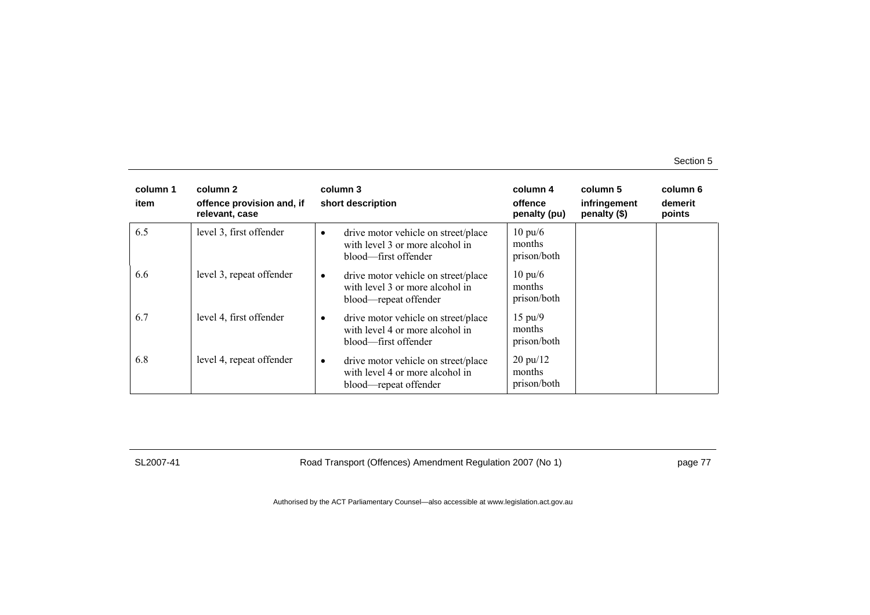| column 1<br>item | column 2<br>offence provision and, if<br>relevant, case |           | column 3<br>short description                                                                   | column 4<br>offence<br>penalty (pu)         | column 5<br>infringement<br>penalty (\$) | column 6<br>demerit<br>points |
|------------------|---------------------------------------------------------|-----------|-------------------------------------------------------------------------------------------------|---------------------------------------------|------------------------------------------|-------------------------------|
| 6.5              | level 3, first offender                                 | $\bullet$ | drive motor vehicle on street/place<br>with level 3 or more alcohol in<br>blood—first offender  | $10 \text{ pu}/6$<br>months<br>prison/both  |                                          |                               |
| 6.6              | level 3, repeat offender                                | ٠         | drive motor vehicle on street/place<br>with level 3 or more alcohol in<br>blood—repeat offender | $10 \text{ pu}/6$<br>months<br>prison/both  |                                          |                               |
| 6.7              | level 4, first offender                                 | ٠         | drive motor vehicle on street/place<br>with level 4 or more alcohol in<br>blood—first offender  | $15 \text{ pu}/9$<br>months<br>prison/both  |                                          |                               |
| 6.8              | level 4, repeat offender                                | $\bullet$ | drive motor vehicle on street/place<br>with level 4 or more alcohol in<br>blood—repeat offender | $20 \text{ pu}/12$<br>months<br>prison/both |                                          |                               |

SL2007-41 Road Transport (Offences) Amendment Regulation 2007 (No 1) page 77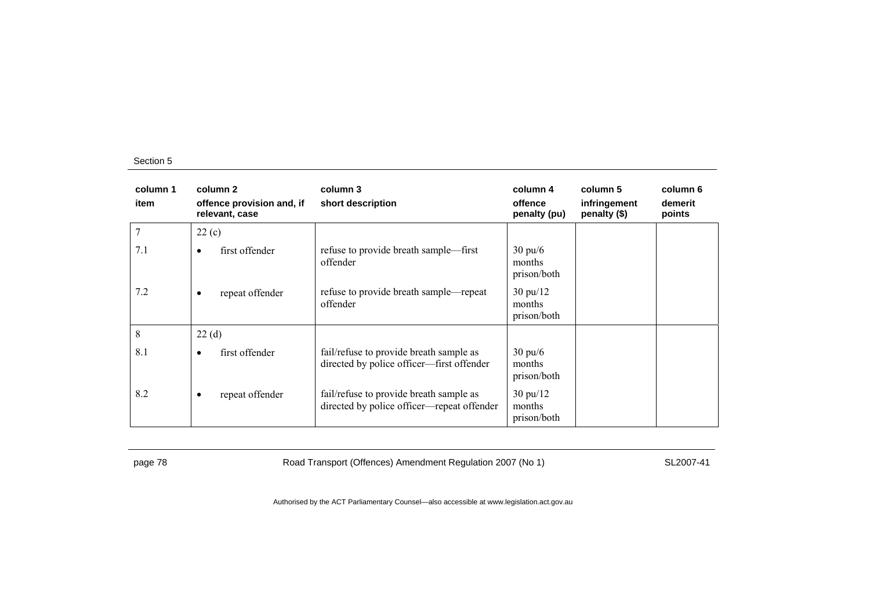| column 1<br>item | column 2<br>offence provision and, if<br>relevant, case | column 3<br>short description                                                         | column 4<br>offence<br>penalty (pu)         | column 5<br>infringement<br>penalty (\$) | column 6<br>demerit<br>points |
|------------------|---------------------------------------------------------|---------------------------------------------------------------------------------------|---------------------------------------------|------------------------------------------|-------------------------------|
|                  | 22(c)                                                   |                                                                                       |                                             |                                          |                               |
| 7.1              | first offender<br>$\bullet$                             | refuse to provide breath sample—first<br>offender                                     | $30 \text{ pu}/6$<br>months<br>prison/both  |                                          |                               |
| 7.2              | repeat offender<br>$\bullet$                            | refuse to provide breath sample—repeat<br>offender                                    | $30 \text{ pu}/12$<br>months<br>prison/both |                                          |                               |
| 8                | 22(d)                                                   |                                                                                       |                                             |                                          |                               |
| 8.1              | first offender<br>$\bullet$                             | fail/refuse to provide breath sample as<br>directed by police officer—first offender  | $30 \text{ pu}/6$<br>months<br>prison/both  |                                          |                               |
| 8.2              | repeat offender<br>$\bullet$                            | fail/refuse to provide breath sample as<br>directed by police officer—repeat offender | $30 \text{ pu}/12$<br>months<br>prison/both |                                          |                               |

page 78 **Road Transport (Offences) Amendment Regulation 2007 (No 1)** SL2007-41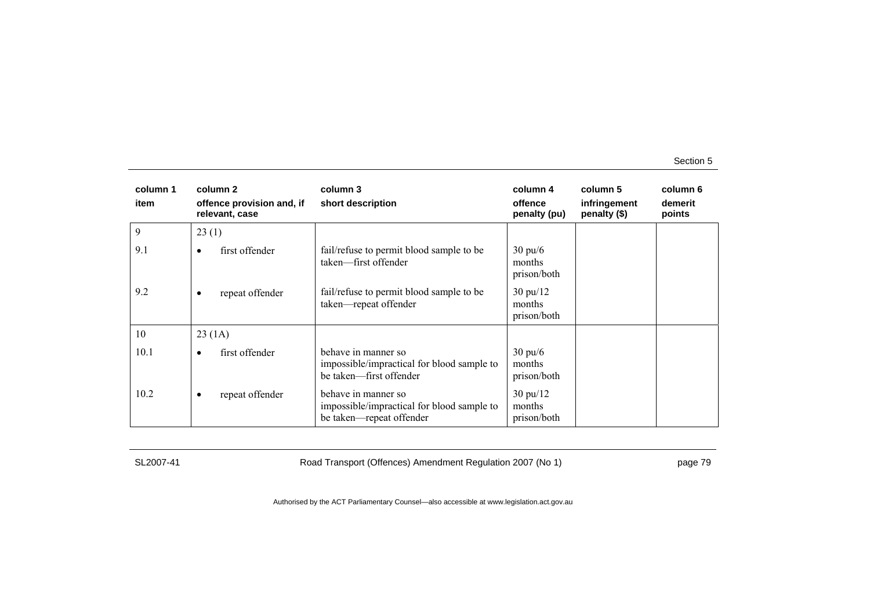| column 1<br>item | column 2<br>offence provision and, if<br>relevant, case | column 3<br>short description                                                                 | column 4<br>offence<br>penalty (pu)         | column 5<br>infringement<br>penalty (\$) | column 6<br>demerit<br>points |
|------------------|---------------------------------------------------------|-----------------------------------------------------------------------------------------------|---------------------------------------------|------------------------------------------|-------------------------------|
| 9                | 23(1)                                                   |                                                                                               |                                             |                                          |                               |
| 9.1              | first offender<br>٠                                     | fail/refuse to permit blood sample to be<br>taken-first offender                              | $30 \text{ pu}/6$<br>months<br>prison/both  |                                          |                               |
| 9.2              | repeat offender<br>٠                                    | fail/refuse to permit blood sample to be<br>taken-repeat offender                             | $30 \text{ pu}/12$<br>months<br>prison/both |                                          |                               |
| 10               | 23(1A)                                                  |                                                                                               |                                             |                                          |                               |
| 10.1             | first offender<br>$\bullet$                             | behave in manner so<br>impossible/impractical for blood sample to<br>be taken-first offender  | $30 \text{ pu}/6$<br>months<br>prison/both  |                                          |                               |
| 10.2             | repeat offender<br>٠                                    | behave in manner so<br>impossible/impractical for blood sample to<br>be taken-repeat offender | $30 \text{ pu}/12$<br>months<br>prison/both |                                          |                               |

SL2007-41 Road Transport (Offences) Amendment Regulation 2007 (No 1) page 79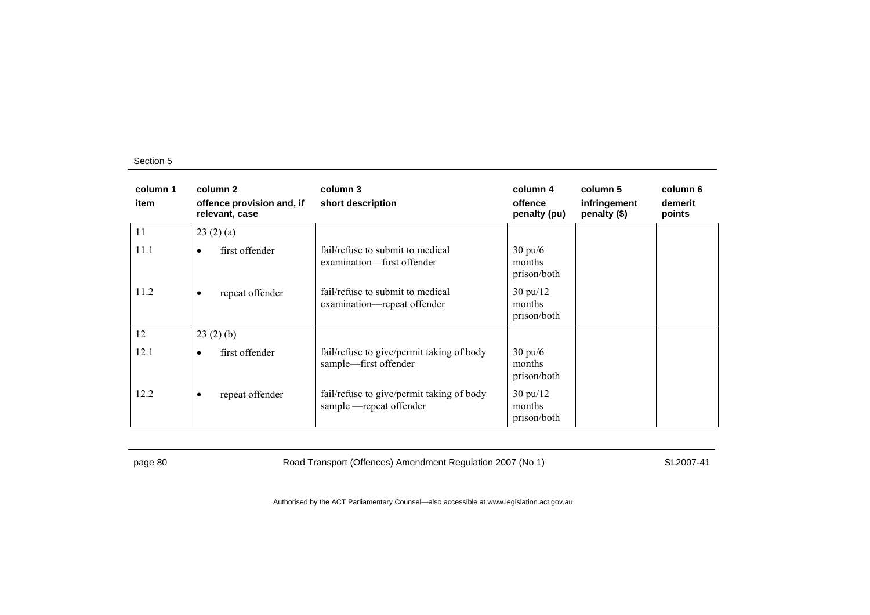| column 1<br>item | column 2<br>offence provision and, if<br>relevant, case | column 3<br>short description                                         | column 4<br>offence<br>penalty (pu)         | column 5<br>infringement<br>penalty (\$) | column 6<br>demerit<br>points |
|------------------|---------------------------------------------------------|-----------------------------------------------------------------------|---------------------------------------------|------------------------------------------|-------------------------------|
| 11               | 23(2)(a)                                                |                                                                       |                                             |                                          |                               |
| 11.1             | first offender<br>$\bullet$                             | fail/refuse to submit to medical<br>examination—first offender        | $30 \text{ pu/6}$<br>months<br>prison/both  |                                          |                               |
| 11.2             | repeat offender<br>$\bullet$                            | fail/refuse to submit to medical<br>examination—repeat offender       | $30 \text{ pu}/12$<br>months<br>prison/both |                                          |                               |
| 12               | 23(2)(b)                                                |                                                                       |                                             |                                          |                               |
| 12.1             | first offender<br>$\bullet$                             | fail/refuse to give/permit taking of body<br>sample—first offender    | $30 \text{ pu/6}$<br>months<br>prison/both  |                                          |                               |
| 12.2             | repeat offender<br>$\bullet$                            | fail/refuse to give/permit taking of body<br>sample - repeat offender | $30 \text{ pu}/12$<br>months<br>prison/both |                                          |                               |

page 80 Road Transport (Offences) Amendment Regulation 2007 (No 1) SL2007-41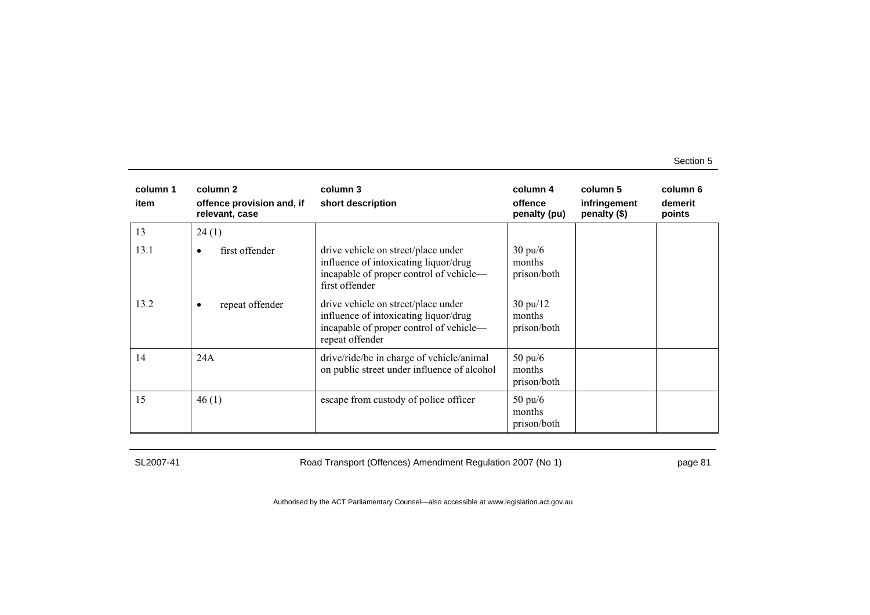| column 1<br>item | column 2<br>offence provision and, if<br>relevant, case | column 3<br>short description                                                                                                              | column 4<br>offence<br>penalty (pu)         | column 5<br>infringement<br>penalty (\$) | column 6<br>demerit<br>points |
|------------------|---------------------------------------------------------|--------------------------------------------------------------------------------------------------------------------------------------------|---------------------------------------------|------------------------------------------|-------------------------------|
| 13               | 24(1)                                                   |                                                                                                                                            |                                             |                                          |                               |
| 13.1             | first offender<br>٠                                     | drive vehicle on street/place under<br>influence of intoxicating liquor/drug<br>incapable of proper control of vehicle-<br>first offender  | $30 \text{ pu}/6$<br>months<br>prison/both  |                                          |                               |
| 13.2             | repeat offender<br>$\bullet$                            | drive vehicle on street/place under<br>influence of intoxicating liquor/drug<br>incapable of proper control of vehicle-<br>repeat offender | $30 \text{ pu}/12$<br>months<br>prison/both |                                          |                               |
| 14               | 24A                                                     | drive/ride/be in charge of vehicle/animal<br>on public street under influence of alcohol                                                   | $50 \text{ pu}/6$<br>months<br>prison/both  |                                          |                               |
| 15               | 46(1)                                                   | escape from custody of police officer                                                                                                      | $50 \text{ pu}/6$<br>months<br>prison/both  |                                          |                               |

SL2007-41 Road Transport (Offences) Amendment Regulation 2007 (No 1) page 81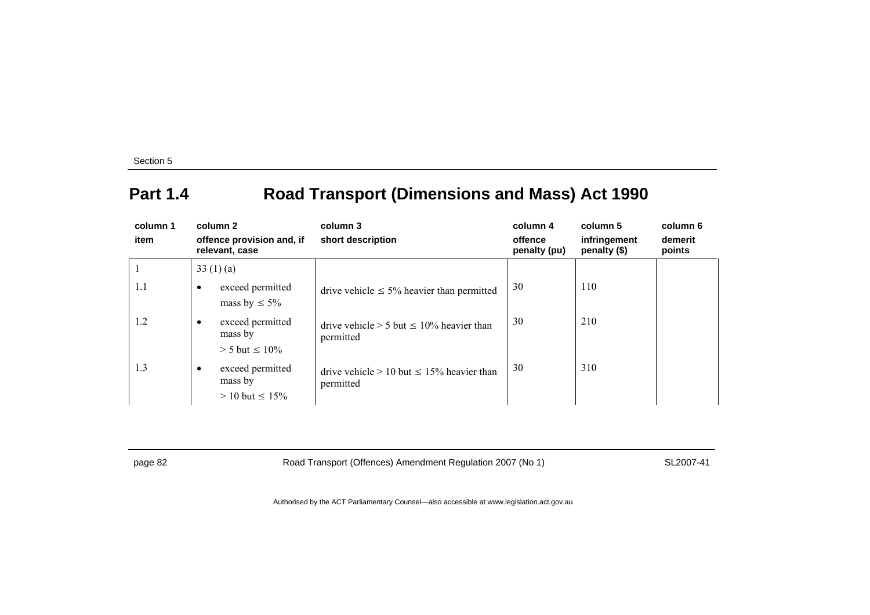# **Part 1.4 Road Transport (Dimensions and Mass) Act 1990**

| column 1<br>item | column 2<br>offence provision and, if<br>relevant, case |                                                       | column 3<br>short description                                  | column 4<br>offence<br>penalty (pu) | column 5<br>infringement<br>penalty (\$) | column 6<br>demerit<br>points |
|------------------|---------------------------------------------------------|-------------------------------------------------------|----------------------------------------------------------------|-------------------------------------|------------------------------------------|-------------------------------|
|                  |                                                         | 33 $(1)(a)$                                           |                                                                |                                     |                                          |                               |
| 1.1              | $\bullet$                                               | exceed permitted<br>mass by $\leq 5\%$                | drive vehicle $\leq 5\%$ heavier than permitted                | 30                                  | 110                                      |                               |
| 1.2              | $\bullet$                                               | exceed permitted<br>mass by<br>$> 5$ but $\leq 10\%$  | drive vehicle $> 5$ but $\leq 10\%$ heavier than<br>permitted  | 30                                  | 210                                      |                               |
| 1.3              | $\bullet$                                               | exceed permitted<br>mass by<br>$> 10$ but $\leq 15\%$ | drive vehicle $> 10$ but $\leq 15\%$ heavier than<br>permitted | 30                                  | 310                                      |                               |

page 82 Road Transport (Offences) Amendment Regulation 2007 (No 1) SL2007-41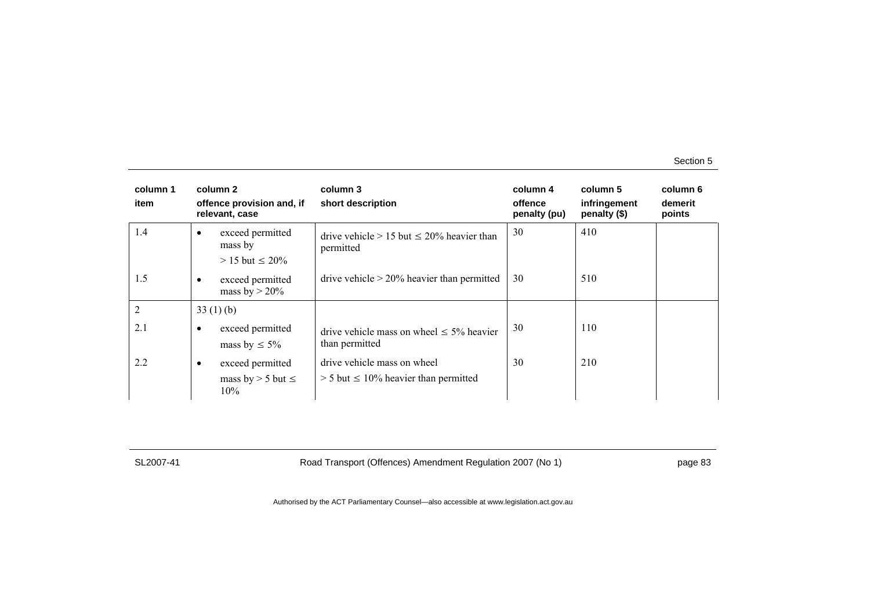| column 1<br>item |           | column 2<br>offence provision and, if<br>relevant, case | column 3<br>short description                                              | column 4<br>offence<br>penalty (pu) | column 5<br>infringement<br>penalty (\$) | column 6<br>demerit<br>points |
|------------------|-----------|---------------------------------------------------------|----------------------------------------------------------------------------|-------------------------------------|------------------------------------------|-------------------------------|
| 1.4              | ٠         | exceed permitted<br>mass by<br>$> 15$ but $\leq 20\%$   | drive vehicle $> 15$ but $\leq 20\%$ heavier than<br>permitted             | 30                                  | 410                                      |                               |
| 1.5              | $\bullet$ | exceed permitted<br>mass by $>$ 20%                     | drive vehicle $> 20\%$ heavier than permitted                              | 30                                  | 510                                      |                               |
| $\overline{2}$   |           | 33(1)(b)                                                |                                                                            |                                     |                                          |                               |
| 2.1              | $\bullet$ | exceed permitted<br>mass by $\leq 5\%$                  | drive vehicle mass on wheel $\leq 5\%$ heavier<br>than permitted           | 30                                  | 110                                      |                               |
| 2.2              | $\bullet$ | exceed permitted<br>mass by $>$ 5 but $\le$<br>10%      | drive vehicle mass on wheel<br>$>$ 5 but $\leq$ 10% heavier than permitted | 30                                  | 210                                      |                               |

SL2007-41 Road Transport (Offences) Amendment Regulation 2007 (No 1) page 83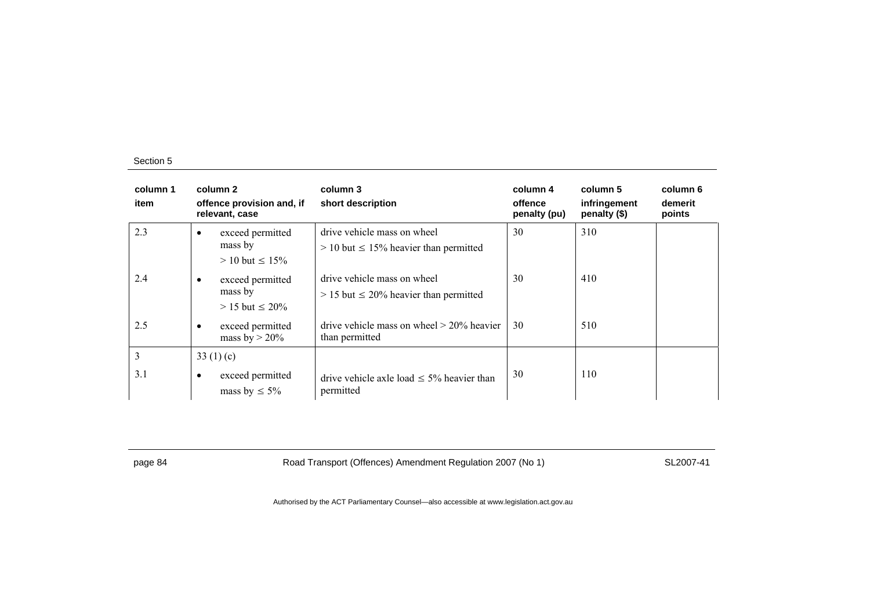| column 1<br>item |           | column 2<br>offence provision and, if<br>relevant, case | column 3<br>short description                                                | column 4<br>offence<br>penalty (pu) | column 5<br>infringement<br>penalty (\$) | column 6<br>demerit<br>points |
|------------------|-----------|---------------------------------------------------------|------------------------------------------------------------------------------|-------------------------------------|------------------------------------------|-------------------------------|
| 2.3              | ٠         | exceed permitted<br>mass by<br>$> 10$ but $\leq 15\%$   | drive vehicle mass on wheel<br>$> 10$ but $\leq 15\%$ heavier than permitted | 30                                  | 310                                      |                               |
| 2.4              | $\bullet$ | exceed permitted<br>mass by<br>$> 15$ but $\leq 20\%$   | drive vehicle mass on wheel<br>$> 15$ but $\leq 20\%$ heavier than permitted | 30                                  | 410                                      |                               |
| 2.5              | $\bullet$ | exceed permitted<br>mass by $>$ 20%                     | drive vehicle mass on wheel $> 20\%$ heavier<br>than permitted               | 30                                  | 510                                      |                               |
| 3                |           | 33 $(1)(c)$                                             |                                                                              |                                     |                                          |                               |
| 3.1              | $\bullet$ | exceed permitted<br>mass by $\leq 5\%$                  | drive vehicle axle load $\leq$ 5% heavier than<br>permitted                  | 30                                  | 110                                      |                               |

page 84 Road Transport (Offences) Amendment Regulation 2007 (No 1) SL2007-41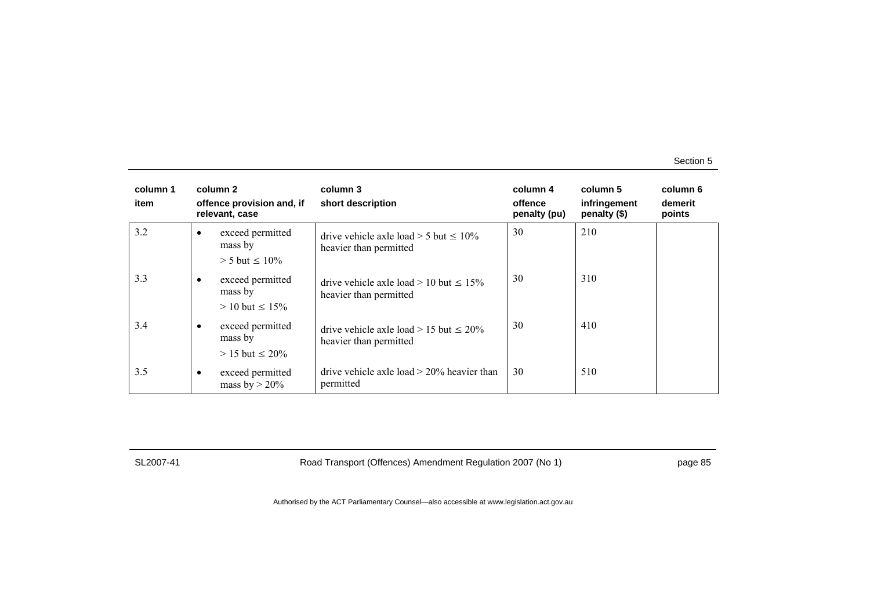| column 1<br>item | column 2<br>offence provision and, if<br>relevant, case |                                                       | column 3<br>short description                                            | column 4<br>offence<br>penalty (pu) | column 5<br>infringement<br>penalty (\$) | column 6<br>demerit<br>points |
|------------------|---------------------------------------------------------|-------------------------------------------------------|--------------------------------------------------------------------------|-------------------------------------|------------------------------------------|-------------------------------|
| 3.2              | $\bullet$                                               | exceed permitted<br>mass by<br>$> 5$ but $\leq 10\%$  | drive vehicle axle load $>$ 5 but $\leq$ 10%<br>heavier than permitted   | 30                                  | 210                                      |                               |
| 3.3              | $\bullet$                                               | exceed permitted<br>mass by<br>$> 10$ but $\leq 15\%$ | drive vehicle axle load $> 10$ but $\leq 15\%$<br>heavier than permitted | 30                                  | 310                                      |                               |
| 3.4              | $\bullet$                                               | exceed permitted<br>mass by<br>$> 15$ but $\leq 20\%$ | drive vehicle axle load $> 15$ but $\leq 20\%$<br>heavier than permitted | 30                                  | 410                                      |                               |
| 3.5              | $\bullet$                                               | exceed permitted<br>mass by $>$ 20%                   | drive vehicle axle load $>$ 20% heavier than<br>permitted                | 30                                  | 510                                      |                               |

SL2007-41 Road Transport (Offences) Amendment Regulation 2007 (No 1) page 85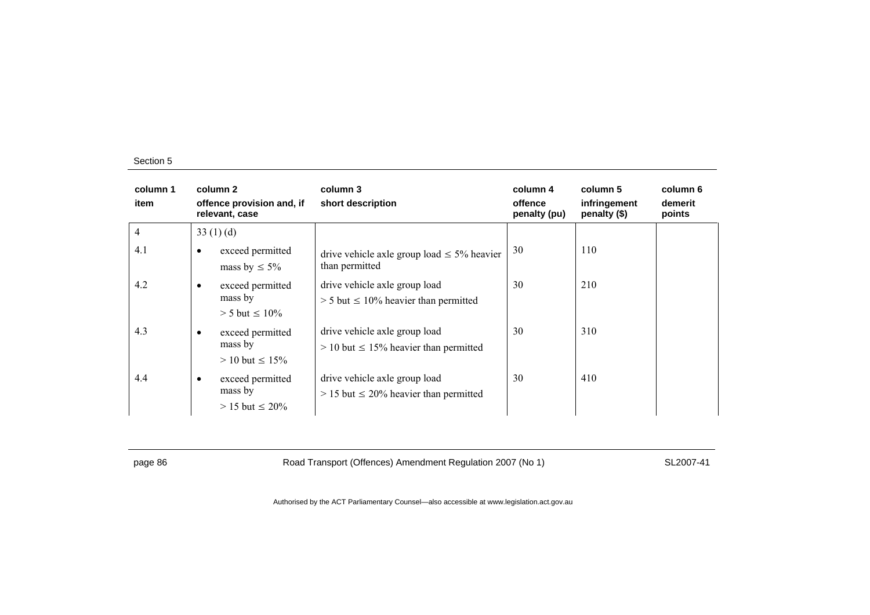| column 1<br>item |           | column 2<br>offence provision and, if<br>relevant, case | column 3<br>short description                                                  | column 4<br>offence<br>penalty (pu) | column 5<br>infringement<br>penalty (\$) | column 6<br>demerit<br>points |
|------------------|-----------|---------------------------------------------------------|--------------------------------------------------------------------------------|-------------------------------------|------------------------------------------|-------------------------------|
| $\overline{4}$   |           | 33 $(1)$ $(d)$                                          |                                                                                |                                     |                                          |                               |
| 4.1              | $\bullet$ | exceed permitted<br>mass by $\leq 5\%$                  | drive vehicle axle group load $\leq$ 5% heavier<br>than permitted              | 30                                  | 110                                      |                               |
| 4.2              | $\bullet$ | exceed permitted<br>mass by<br>$> 5$ but $\leq 10\%$    | drive vehicle axle group load<br>$> 5$ but $\leq 10\%$ heavier than permitted  | 30                                  | 210                                      |                               |
| 4.3              | $\bullet$ | exceed permitted<br>mass by<br>$> 10$ but $\leq 15\%$   | drive vehicle axle group load<br>$> 10$ but $\leq 15\%$ heavier than permitted | 30                                  | 310                                      |                               |
| 4.4              | ٠         | exceed permitted<br>mass by<br>$> 15$ but $\leq 20\%$   | drive vehicle axle group load<br>$> 15$ but $\leq 20\%$ heavier than permitted | 30                                  | 410                                      |                               |

page 86 Road Transport (Offences) Amendment Regulation 2007 (No 1) SL2007-41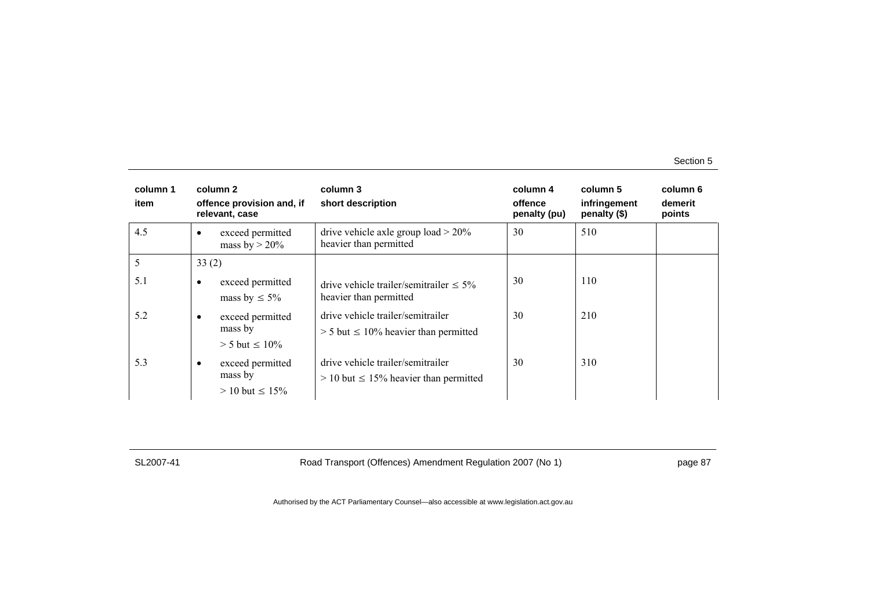| column 1<br>item |           | column 2<br>offence provision and, if<br>relevant, case | column 3<br>short description                                                      | column 4<br>offence<br>penalty (pu) | column 5<br>infringement<br>penalty (\$) | column 6<br>demerit<br>points |
|------------------|-----------|---------------------------------------------------------|------------------------------------------------------------------------------------|-------------------------------------|------------------------------------------|-------------------------------|
| 4.5              |           | exceed permitted<br>mass by $>$ 20%                     | drive vehicle axle group load $> 20\%$<br>heavier than permitted                   | 30                                  | 510                                      |                               |
| 5                | 33(2)     |                                                         |                                                                                    |                                     |                                          |                               |
| 5.1              | $\bullet$ | exceed permitted<br>mass by $\leq 5\%$                  | drive vehicle trailer/semitrailer $\leq 5\%$<br>heavier than permitted             | 30                                  | 110                                      |                               |
| 5.2              | ٠         | exceed permitted<br>mass by<br>$> 5$ but $\leq 10\%$    | drive vehicle trailer/semitrailer<br>$> 5$ but $\leq 10\%$ heavier than permitted  | 30                                  | 210                                      |                               |
| 5.3              | $\bullet$ | exceed permitted<br>mass by<br>$> 10$ but $\leq 15\%$   | drive vehicle trailer/semitrailer<br>$> 10$ but $\leq 15\%$ heavier than permitted | 30                                  | 310                                      |                               |

SL2007-41 Road Transport (Offences) Amendment Regulation 2007 (No 1) page 87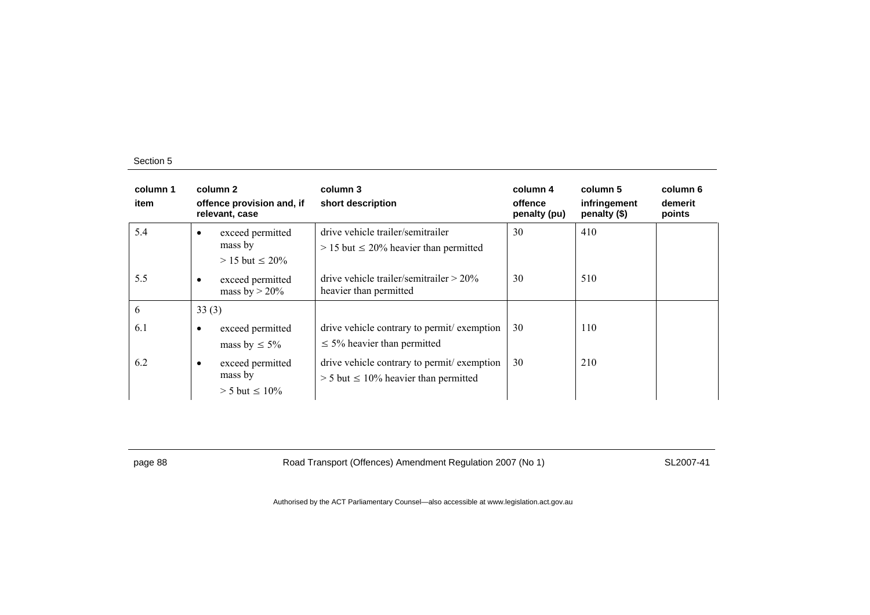| column 1<br>item |           | column 2<br>offence provision and, if<br>relevant, case | column 3<br>short description                                                              | column 4<br>offence<br>penalty (pu) | column 5<br>infringement<br>penalty (\$) | column 6<br>demerit<br>points |
|------------------|-----------|---------------------------------------------------------|--------------------------------------------------------------------------------------------|-------------------------------------|------------------------------------------|-------------------------------|
| 5.4              | $\bullet$ | exceed permitted<br>mass by<br>$> 15$ but $\leq 20\%$   | drive vehicle trailer/semitrailer<br>$> 15$ but $\leq 20\%$ heavier than permitted         | 30                                  | 410                                      |                               |
| 5.5              | $\bullet$ | exceed permitted<br>mass by $>$ 20%                     | drive vehicle trailer/semitrailer $> 20\%$<br>heavier than permitted                       | 30                                  | 510                                      |                               |
| 6                | 33(3)     |                                                         |                                                                                            |                                     |                                          |                               |
| 6.1              | $\bullet$ | exceed permitted<br>mass by $\leq 5\%$                  | drive vehicle contrary to permit/exemption<br>$\leq$ 5% heavier than permitted             | 30                                  | 110                                      |                               |
| 6.2              | $\bullet$ | exceed permitted<br>mass by<br>$> 5$ but $\leq 10\%$    | drive vehicle contrary to permit/exemption<br>$> 5$ but $\leq 10\%$ heavier than permitted | 30                                  | 210                                      |                               |

page 88 Road Transport (Offences) Amendment Regulation 2007 (No 1) SL2007-41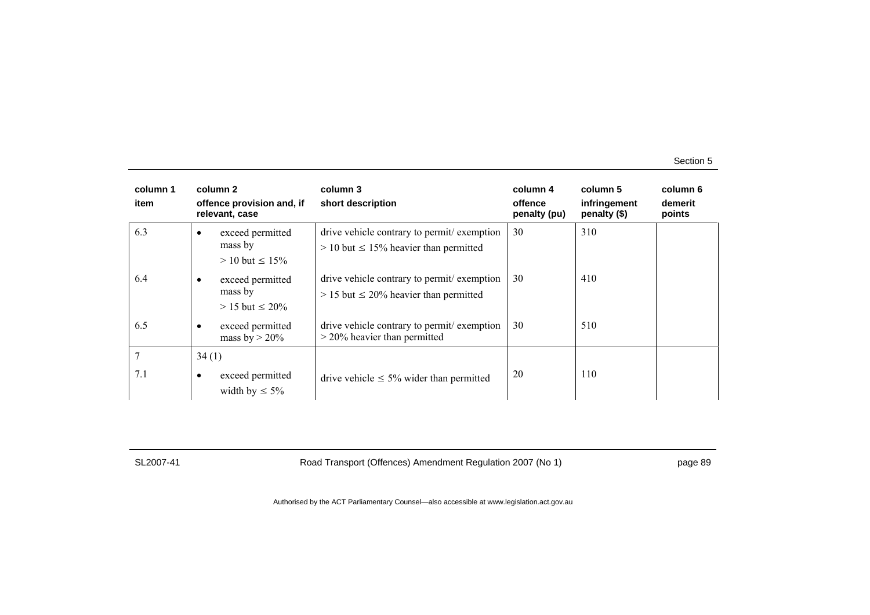| column 1<br>item |           | column 2<br>offence provision and, if<br>relevant, case | column 3<br>short description                                                               | column 4<br>offence<br>penalty (pu) | column 5<br>infringement<br>penalty (\$) | column 6<br>demerit<br>points |
|------------------|-----------|---------------------------------------------------------|---------------------------------------------------------------------------------------------|-------------------------------------|------------------------------------------|-------------------------------|
| 6.3              |           | exceed permitted<br>mass by<br>$> 10$ but $\leq 15\%$   | drive vehicle contrary to permit/exemption<br>$> 10$ but $\leq 15\%$ heavier than permitted | 30                                  | 310                                      |                               |
| 6.4              | $\bullet$ | exceed permitted<br>mass by<br>$> 15$ but $\leq 20\%$   | drive vehicle contrary to permit/exemption<br>$> 15$ but $\leq 20\%$ heavier than permitted | 30                                  | 410                                      |                               |
| 6.5              | $\bullet$ | exceed permitted<br>mass by $>$ 20%                     | drive vehicle contrary to permit exemption<br>$>$ 20% heavier than permitted                | 30                                  | 510                                      |                               |
| 7                | 34(1)     |                                                         |                                                                                             |                                     |                                          |                               |
| 7.1              | ٠         | exceed permitted<br>width by $\leq 5\%$                 | drive vehicle $\leq 5\%$ wider than permitted                                               | 20                                  | 110                                      |                               |

SL2007-41 Road Transport (Offences) Amendment Regulation 2007 (No 1) page 89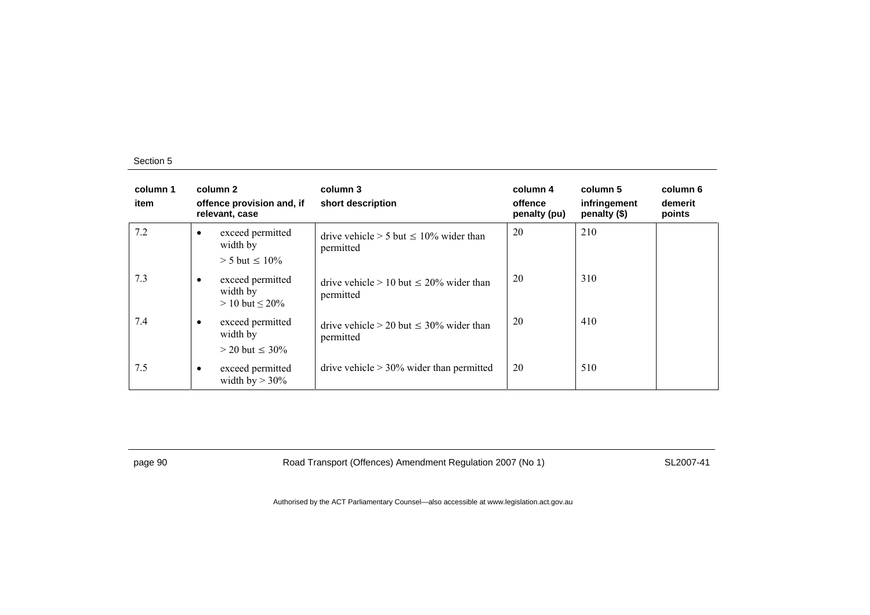| column 1<br>item | column 2<br>offence provision and, if<br>relevant, case |                                                                | column 3<br>short description                                | column 4<br>offence<br>penalty (pu) | column 5<br>infringement<br>penalty (\$) | column 6<br>demerit<br>points |
|------------------|---------------------------------------------------------|----------------------------------------------------------------|--------------------------------------------------------------|-------------------------------------|------------------------------------------|-------------------------------|
| 7.2              |                                                         | exceed permitted<br>width by<br>$> 5$ but $\leq 10\%$          | drive vehicle $> 5$ but $\leq 10\%$ wider than<br>permitted  | 20                                  | 210                                      |                               |
| 7.3              |                                                         | exceed permitted<br>width by<br>$> 10$ but $\leq 20\%$         | drive vehicle $> 10$ but $< 20\%$ wider than<br>permitted    | 20                                  | 310                                      |                               |
| 7.4              |                                                         | exceed permitted<br>width by                                   | drive vehicle $> 20$ but $\leq 30\%$ wider than<br>permitted | 20                                  | 410                                      |                               |
| 7.5              |                                                         | $>$ 20 but $\leq$ 30%<br>exceed permitted<br>width by $> 30\%$ | drive vehicle $> 30\%$ wider than permitted                  | 20                                  | 510                                      |                               |

page 90 Road Transport (Offences) Amendment Regulation 2007 (No 1) SL2007-41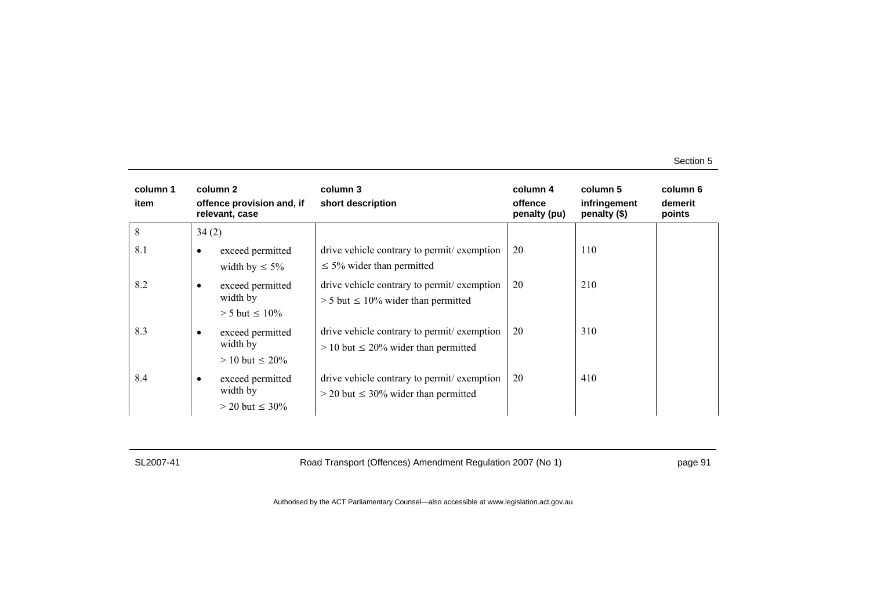| column 1<br>item | column 2<br>offence provision and, if<br>relevant, case |                                                        | column 3<br>short description                                                             | column 4<br>offence<br>penalty (pu) | column 5<br>infringement<br>penalty (\$) | column 6<br>demerit<br>points |
|------------------|---------------------------------------------------------|--------------------------------------------------------|-------------------------------------------------------------------------------------------|-------------------------------------|------------------------------------------|-------------------------------|
| 8                | 34(2)                                                   |                                                        |                                                                                           |                                     |                                          |                               |
| 8.1              | ٠                                                       | exceed permitted<br>width by $\leq 5\%$                | drive vehicle contrary to permit/exemption<br>$\leq$ 5% wider than permitted              | 20                                  | 110                                      |                               |
| 8.2              | $\bullet$                                               | exceed permitted<br>width by<br>$> 5$ but $\leq 10\%$  | drive vehicle contrary to permit exemption<br>$> 5$ but $\leq 10\%$ wider than permitted  | 20                                  | 210                                      |                               |
| 8.3              | ٠                                                       | exceed permitted<br>width by<br>$> 10$ but $\leq 20\%$ | drive vehicle contrary to permit/exemption<br>$> 10$ but $\leq 20\%$ wider than permitted | 20                                  | 310                                      |                               |
| 8.4              | ٠                                                       | exceed permitted<br>width by<br>$>$ 20 but $\leq$ 30%  | drive vehicle contrary to permit exemption<br>$>$ 20 but $\leq$ 30% wider than permitted  | 20                                  | 410                                      |                               |

SL2007-41 Road Transport (Offences) Amendment Regulation 2007 (No 1) page 91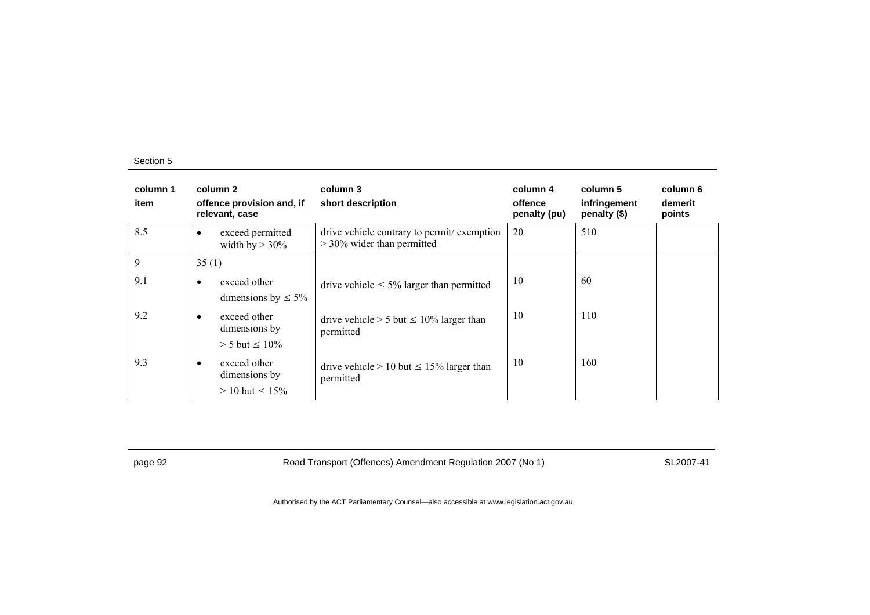| column 1<br>item |           | column 2<br>offence provision and, if<br>relevant, case | column 3<br>short description                                              | column 4<br>offence<br>penalty (pu) | column 5<br>infringement<br>penalty (\$) | column 6<br>demerit<br>points |
|------------------|-----------|---------------------------------------------------------|----------------------------------------------------------------------------|-------------------------------------|------------------------------------------|-------------------------------|
| 8.5              | ٠         | exceed permitted<br>width by $>$ 30%                    | drive vehicle contrary to permit/exemption<br>$>$ 30% wider than permitted | 20                                  | 510                                      |                               |
| 9                | 35(1)     |                                                         |                                                                            |                                     |                                          |                               |
| 9.1              | $\bullet$ | exceed other<br>dimensions by $\leq 5\%$                | drive vehicle $\leq 5\%$ larger than permitted                             | 10                                  | 60                                       |                               |
| 9.2              | $\bullet$ | exceed other<br>dimensions by<br>$> 5$ but $\leq 10\%$  | drive vehicle $> 5$ but $\leq 10\%$ larger than<br>permitted               | 10                                  | 110                                      |                               |
| 9.3              | ٠         | exceed other<br>dimensions by<br>$> 10$ but $\leq 15\%$ | drive vehicle $> 10$ but $\leq 15\%$ larger than<br>permitted              | 10                                  | 160                                      |                               |

page 92 Road Transport (Offences) Amendment Regulation 2007 (No 1) SL2007-41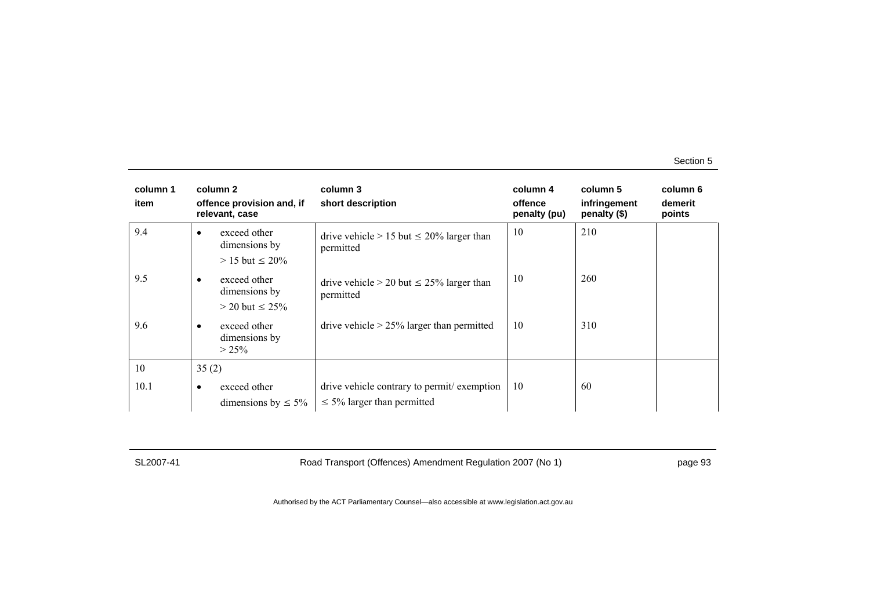| column 1<br>item | column 2<br>offence provision and, if<br>relevant, case             | column 3<br>short description                                                 | column 4<br>offence<br>penalty (pu) | column 5<br>infringement<br>penalty (\$) | column 6<br>demerit<br>points |
|------------------|---------------------------------------------------------------------|-------------------------------------------------------------------------------|-------------------------------------|------------------------------------------|-------------------------------|
| 9.4              | exceed other<br>٠<br>dimensions by<br>$> 15$ but $\leq 20\%$        | drive vehicle $> 15$ but $\leq 20\%$ larger than<br>permitted                 | 10                                  | 210                                      |                               |
| 9.5              | exceed other<br>$\bullet$<br>dimensions by<br>$>$ 20 but $\leq$ 25% | drive vehicle $> 20$ but $\leq 25\%$ larger than<br>permitted                 | 10                                  | 260                                      |                               |
| 9.6              | exceed other<br>٠<br>dimensions by<br>$> 25\%$                      | drive vehicle $> 25\%$ larger than permitted                                  | 10                                  | 310                                      |                               |
| 10               | 35(2)                                                               |                                                                               |                                     |                                          |                               |
| 10.1             | exceed other<br>$\bullet$<br>dimensions by $\leq 5\%$               | drive vehicle contrary to permit/exemption<br>$\leq$ 5% larger than permitted | 10                                  | 60                                       |                               |

SL2007-41 Road Transport (Offences) Amendment Regulation 2007 (No 1) page 93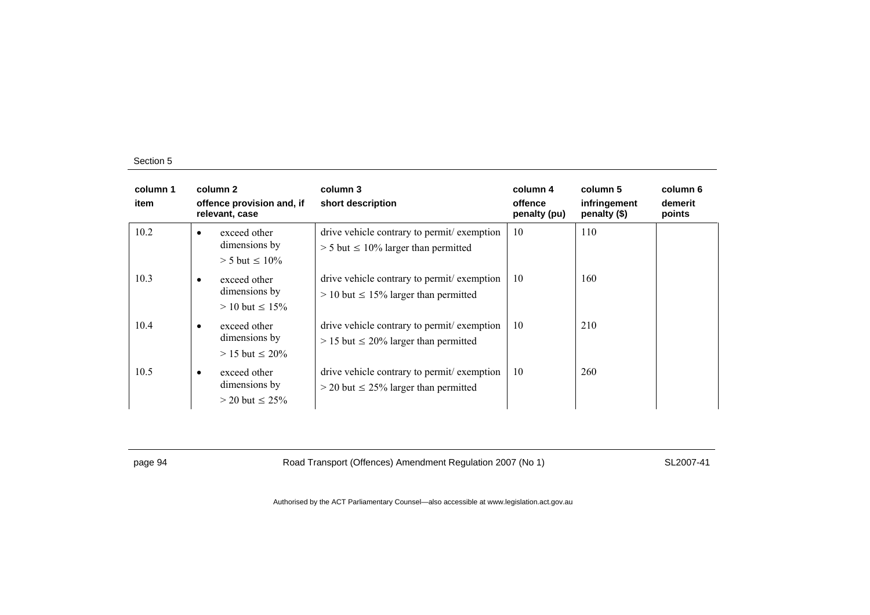| column 1<br>item |           | column 2<br>offence provision and, if<br>relevant, case | column 3<br>short description                                                              | column 4<br>offence<br>penalty (pu) | column 5<br>infringement<br>penalty (\$) | column 6<br>demerit<br>points |
|------------------|-----------|---------------------------------------------------------|--------------------------------------------------------------------------------------------|-------------------------------------|------------------------------------------|-------------------------------|
| 10.2             | $\bullet$ | exceed other<br>dimensions by<br>$> 5$ but $\leq 10\%$  | drive vehicle contrary to permit/exemption<br>$> 5$ but $\leq 10\%$ larger than permitted  | 10                                  | 110                                      |                               |
| 10.3             | $\bullet$ | exceed other<br>dimensions by<br>$> 10$ but $\leq 15\%$ | drive vehicle contrary to permit exemption<br>$> 10$ but $\leq 15\%$ larger than permitted | 10                                  | 160                                      |                               |
| 10.4             | $\bullet$ | exceed other<br>dimensions by<br>$> 15$ but $\leq 20\%$ | drive vehicle contrary to permit exemption<br>$> 15$ but $\leq 20\%$ larger than permitted | 10                                  | 210                                      |                               |
| 10.5             | $\bullet$ | exceed other<br>dimensions by<br>$>$ 20 but $\leq$ 25%  | drive vehicle contrary to permit/exemption<br>$>$ 20 but $\leq$ 25% larger than permitted  | 10                                  | 260                                      |                               |

page 94 Road Transport (Offences) Amendment Regulation 2007 (No 1) SL2007-41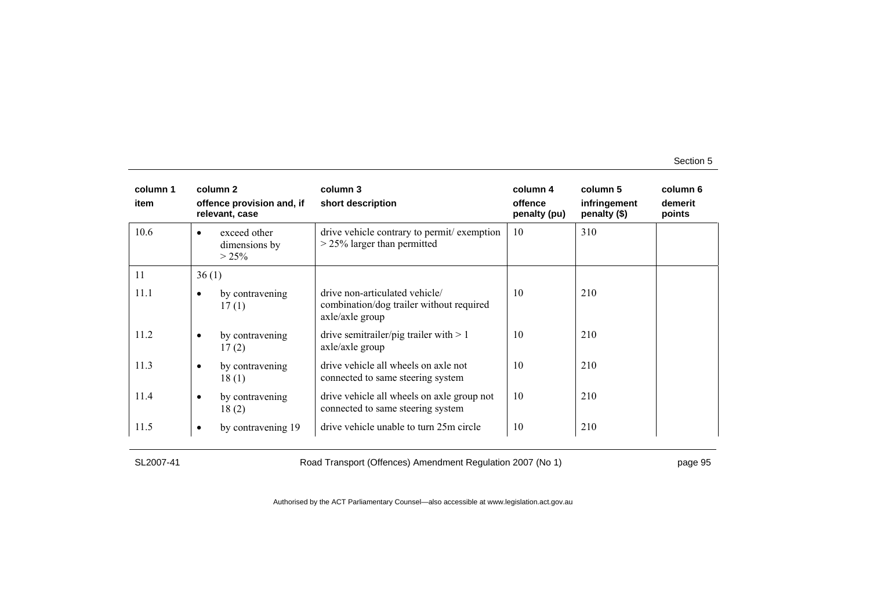| column 1<br>item |           | column 2<br>offence provision and, if<br>relevant, case | column 3<br>short description                                                                 | column 4<br>offence<br>penalty (pu) | column 5<br>infringement<br>penalty (\$) | column 6<br>demerit<br>points |
|------------------|-----------|---------------------------------------------------------|-----------------------------------------------------------------------------------------------|-------------------------------------|------------------------------------------|-------------------------------|
| 10.6             | $\bullet$ | exceed other<br>dimensions by<br>$> 25\%$               | drive vehicle contrary to permit/exemption<br>$>$ 25% larger than permitted                   | 10                                  | 310                                      |                               |
| 11               | 36(1)     |                                                         |                                                                                               |                                     |                                          |                               |
| 11.1             | $\bullet$ | by contravening<br>17(1)                                | drive non-articulated vehicle/<br>combination/dog trailer without required<br>axle/axle group | 10                                  | 210                                      |                               |
| 11.2             | $\bullet$ | by contravening<br>17(2)                                | drive semitrailer/pig trailer with $> 1$<br>axle/axle group                                   | 10                                  | 210                                      |                               |
| 11.3             | $\bullet$ | by contravening<br>18(1)                                | drive vehicle all wheels on axle not<br>connected to same steering system                     | 10                                  | 210                                      |                               |
| 11.4             | $\bullet$ | by contravening<br>18(2)                                | drive vehicle all wheels on axle group not<br>connected to same steering system               | 10                                  | 210                                      |                               |
| 11.5             | ٠         | by contravening 19                                      | drive vehicle unable to turn 25m circle                                                       | 10                                  | 210                                      |                               |

SL2007-41 Road Transport (Offences) Amendment Regulation 2007 (No 1) page 95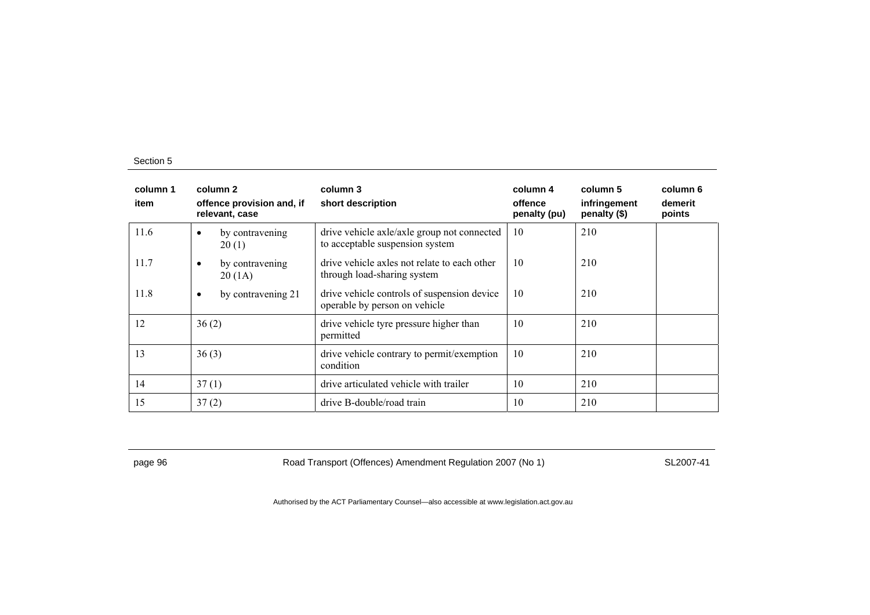| column 1<br>item | column 2<br>offence provision and, if<br>relevant, case | column 3<br>short description                                                  | column 4<br>offence<br>penalty (pu) | column 5<br>infringement<br>penalty (\$) | column 6<br>demerit<br>points |
|------------------|---------------------------------------------------------|--------------------------------------------------------------------------------|-------------------------------------|------------------------------------------|-------------------------------|
| 11.6             | by contravening<br>$\bullet$<br>20(1)                   | drive vehicle axle/axle group not connected<br>to acceptable suspension system | 10                                  | 210                                      |                               |
| 11.7             | by contravening<br>$\bullet$<br>20(1A)                  | drive vehicle axles not relate to each other<br>through load-sharing system    | 10                                  | 210                                      |                               |
| 11.8             | by contravening 21<br>$\bullet$                         | drive vehicle controls of suspension device<br>operable by person on vehicle   | 10                                  | 210                                      |                               |
| 12               | 36(2)                                                   | drive vehicle tyre pressure higher than<br>permitted                           | 10                                  | 210                                      |                               |
| 13               | 36(3)                                                   | drive vehicle contrary to permit/exemption<br>condition                        | 10                                  | 210                                      |                               |
| 14               | 37(1)                                                   | drive articulated vehicle with trailer                                         | 10                                  | 210                                      |                               |
| 15               | 37(2)                                                   | drive B-double/road train                                                      | 10                                  | 210                                      |                               |

page 96 Road Transport (Offences) Amendment Regulation 2007 (No 1) SL2007-41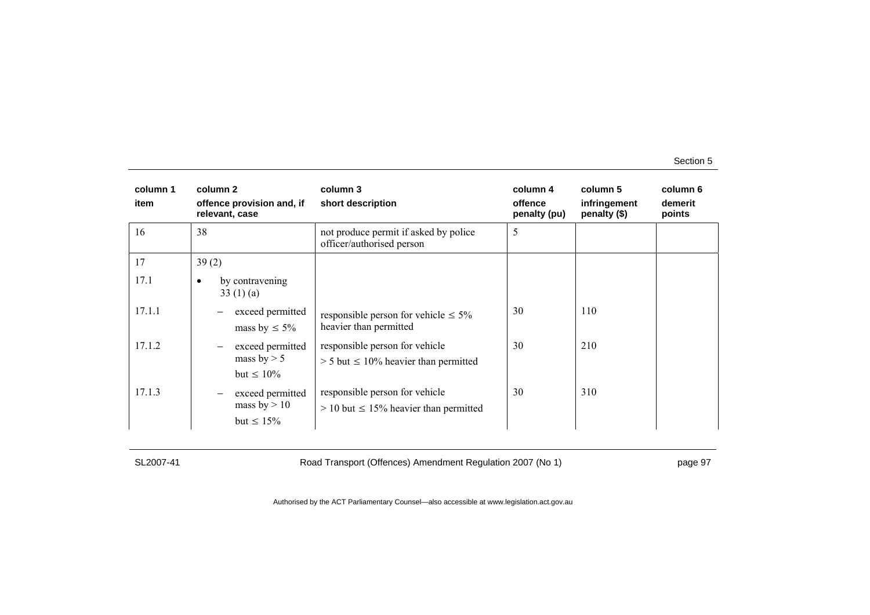| column 1<br>item | column 2<br>offence provision and, if<br>relevant, case | column 3<br>short description                                                   | column 4<br>offence<br>penalty (pu) | column 5<br>infringement<br>penalty $(\$)$ | column 6<br>demerit<br>points |
|------------------|---------------------------------------------------------|---------------------------------------------------------------------------------|-------------------------------------|--------------------------------------------|-------------------------------|
| 16               | 38                                                      | not produce permit if asked by police<br>officer/authorised person              | 5                                   |                                            |                               |
| 17               | 39(2)                                                   |                                                                                 |                                     |                                            |                               |
| 17.1             | by contravening<br>٠<br>33(1)(a)                        |                                                                                 |                                     |                                            |                               |
| 17.1.1           | exceed permitted<br>mass by $\leq 5\%$                  | responsible person for vehicle $\leq 5\%$<br>heavier than permitted             | 30                                  | 110                                        |                               |
| 17.1.2           | exceed permitted<br>mass by $> 5$<br>but $\leq 10\%$    | responsible person for vehicle<br>$> 5$ but $\leq 10\%$ heavier than permitted  | 30                                  | 210                                        |                               |
| 17.1.3           | exceed permitted<br>mass by $> 10$<br>but $\leq 15\%$   | responsible person for vehicle<br>$> 10$ but $\leq 15\%$ heavier than permitted | 30                                  | 310                                        |                               |

SL2007-41 Road Transport (Offences) Amendment Regulation 2007 (No 1) page 97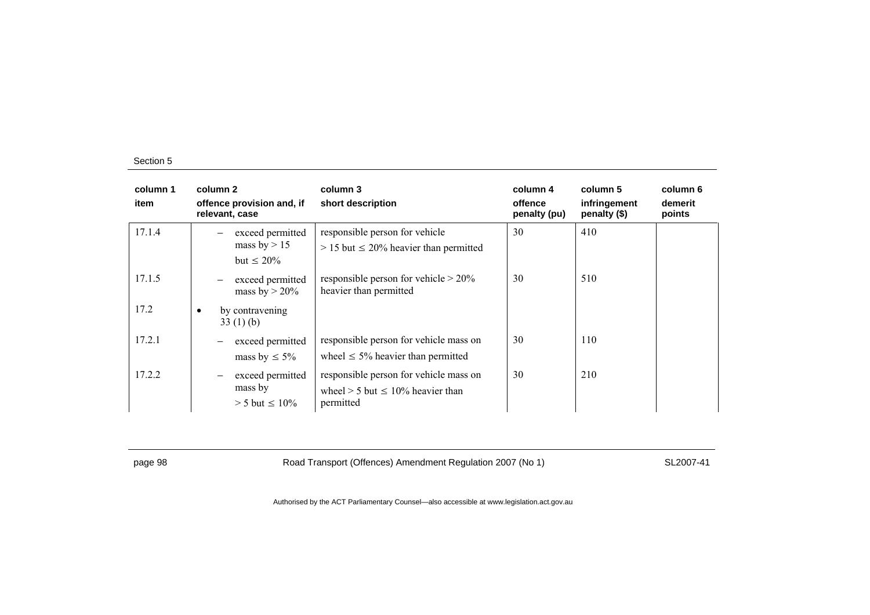| column 1<br>item | column 2<br>offence provision and, if<br>relevant, case | column 3<br>short description                                                                   | column 4<br>offence<br>penalty (pu) | column 5<br>infringement<br>penalty (\$) | column 6<br>demerit<br>points |
|------------------|---------------------------------------------------------|-------------------------------------------------------------------------------------------------|-------------------------------------|------------------------------------------|-------------------------------|
| 17.1.4           | exceed permitted<br>mass by $> 15$<br>but $\leq 20\%$   | responsible person for vehicle<br>$> 15$ but $\leq 20\%$ heavier than permitted                 | 30                                  | 410                                      |                               |
| 17.1.5           | exceed permitted<br>mass by $> 20\%$                    | responsible person for vehicle $> 20\%$<br>heavier than permitted                               | 30                                  | 510                                      |                               |
| 17.2             | by contravening<br>33(1)(b)                             |                                                                                                 |                                     |                                          |                               |
| 17.2.1           | exceed permitted<br>mass by $\leq 5\%$                  | responsible person for vehicle mass on<br>wheel $\leq 5\%$ heavier than permitted               | 30                                  | 110                                      |                               |
| 17.2.2           | exceed permitted<br>mass by<br>$> 5$ but $\leq 10\%$    | responsible person for vehicle mass on<br>wheel $> 5$ but $\leq 10\%$ heavier than<br>permitted | 30                                  | 210                                      |                               |

page 98 Road Transport (Offences) Amendment Regulation 2007 (No 1) SL2007-41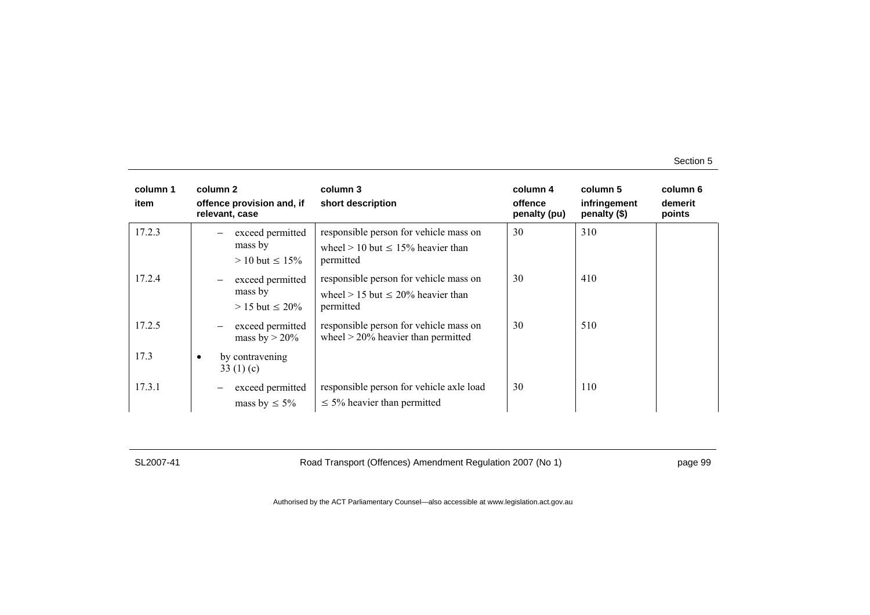| column 1<br>item |           | column 2<br>offence provision and, if<br>relevant, case                                    | column 3<br>short description                                                                    | column 4<br>offence<br>penalty (pu) | column 5<br>infringement<br>penalty (\$) | column 6<br>demerit<br>points |
|------------------|-----------|--------------------------------------------------------------------------------------------|--------------------------------------------------------------------------------------------------|-------------------------------------|------------------------------------------|-------------------------------|
| 17.2.3           |           | exceed permitted<br>mass by<br>$> 10$ but $\leq 15\%$                                      | responsible person for vehicle mass on<br>wheel $> 10$ but $\leq 15\%$ heavier than<br>permitted | 30                                  | 310                                      |                               |
| 17.2.4           |           | exceed permitted<br>$\overbrace{\phantom{123221111}}$<br>mass by<br>$> 15$ but $\leq 20\%$ | responsible person for vehicle mass on<br>wheel $> 15$ but $\leq 20\%$ heavier than<br>permitted | 30                                  | 410                                      |                               |
| 17.2.5           |           | exceed permitted<br>mass by $>$ 20%                                                        | responsible person for vehicle mass on<br>wheel $>$ 20% heavier than permitted                   | 30                                  | 510                                      |                               |
| 17.3             | $\bullet$ | by contravening<br>33 $(1)(c)$                                                             |                                                                                                  |                                     |                                          |                               |
| 17.3.1           |           | exceed permitted<br>mass by $\leq 5\%$                                                     | responsible person for vehicle axle load<br>$\leq$ 5% heavier than permitted                     | 30                                  | 110                                      |                               |

SL2007-41 Road Transport (Offences) Amendment Regulation 2007 (No 1) page 99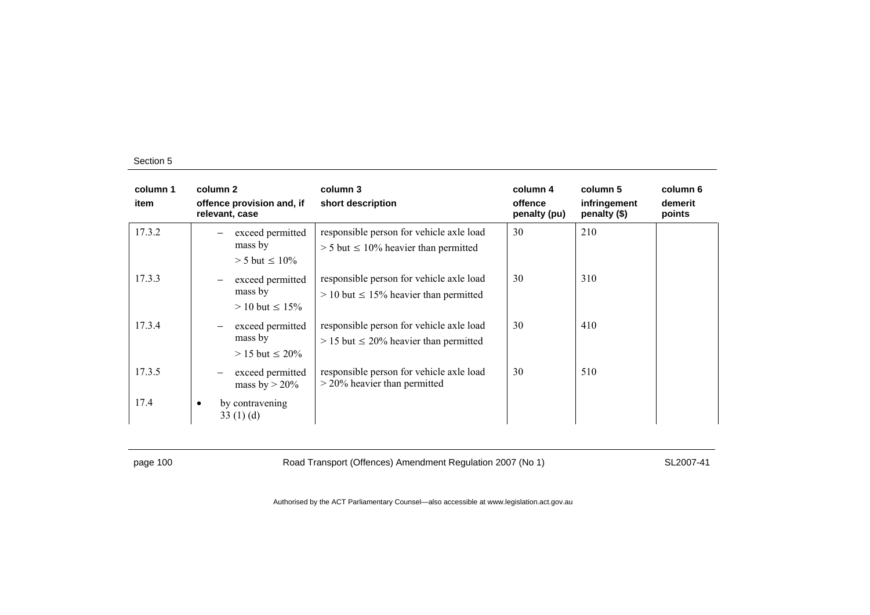| column 1<br>item | column 2<br>offence provision and, if<br>relevant, case                    | column 3<br>short description                                                             | column 4<br>offence<br>penalty (pu) | column 5<br>infringement<br>penalty (\$) | column 6<br>demerit<br>points |
|------------------|----------------------------------------------------------------------------|-------------------------------------------------------------------------------------------|-------------------------------------|------------------------------------------|-------------------------------|
| 17.3.2           | exceed permitted<br>-<br>mass by<br>$> 5$ but $\leq 10\%$                  | responsible person for vehicle axle load<br>$> 5$ but $\leq 10\%$ heavier than permitted  | 30                                  | 210                                      |                               |
| 17.3.3           | exceed permitted<br>$\qquad \qquad -$<br>mass by<br>$> 10$ but $\leq 15\%$ | responsible person for vehicle axle load<br>$> 10$ but $\leq 15\%$ heavier than permitted | 30                                  | 310                                      |                               |
| 17.3.4           | exceed permitted<br>$\qquad \qquad -$<br>mass by<br>$> 15$ but $\leq 20\%$ | responsible person for vehicle axle load<br>$> 15$ but $\leq 20\%$ heavier than permitted | 30                                  | 410                                      |                               |
| 17.3.5           | exceed permitted<br>mass by $> 20\%$                                       | responsible person for vehicle axle load<br>$>$ 20% heavier than permitted                | 30                                  | 510                                      |                               |
| 17.4             | by contravening<br>$\bullet$<br>33(1)(d)                                   |                                                                                           |                                     |                                          |                               |

page 100 Road Transport (Offences) Amendment Regulation 2007 (No 1) SL2007-41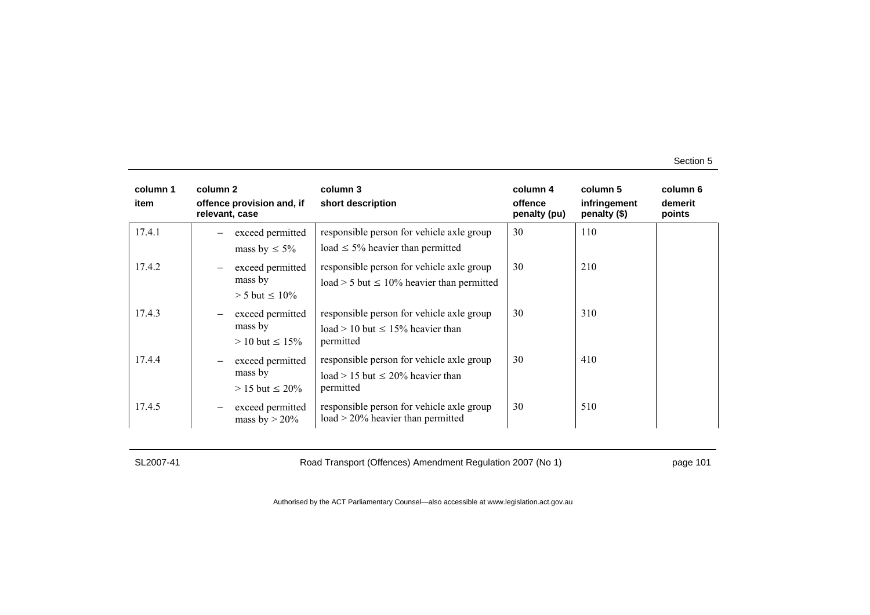| column 1<br>item | column 2<br>relevant, case | offence provision and, if            | column 3<br>short description                                                     | column 4<br>offence<br>penalty (pu) | column 5<br>infringement<br>penalty (\$) | column 6<br>demerit<br>points |
|------------------|----------------------------|--------------------------------------|-----------------------------------------------------------------------------------|-------------------------------------|------------------------------------------|-------------------------------|
| 17.4.1           |                            | exceed permitted                     | responsible person for vehicle axle group                                         | 30                                  | 110                                      |                               |
|                  |                            | mass by $\leq 5\%$                   | load $\leq$ 5% heavier than permitted                                             |                                     |                                          |                               |
| 17.4.2           |                            | exceed permitted                     | responsible person for vehicle axle group                                         | 30                                  | 210                                      |                               |
|                  |                            | mass by                              | $load > 5$ but $\leq 10\%$ heavier than permitted                                 |                                     |                                          |                               |
|                  |                            | $> 5$ but $\leq 10\%$                |                                                                                   |                                     |                                          |                               |
| 17.4.3           |                            | exceed permitted                     | responsible person for vehicle axle group                                         | 30                                  | 310                                      |                               |
|                  |                            | mass by<br>$> 10$ but $\leq 15\%$    | $load > 10$ but $\leq 15\%$ heavier than<br>permitted                             |                                     |                                          |                               |
| 17.4.4           |                            | exceed permitted                     | responsible person for vehicle axle group                                         | 30                                  | 410                                      |                               |
|                  |                            | mass by                              | $load > 15$ but $\leq 20\%$ heavier than                                          |                                     |                                          |                               |
|                  |                            | $> 15$ but $\leq 20\%$               | permitted                                                                         |                                     |                                          |                               |
| 17.4.5           |                            | exceed permitted<br>mass by $> 20\%$ | responsible person for vehicle axle group<br>$load > 20\%$ heavier than permitted | 30                                  | 510                                      |                               |

SL2007-41 Road Transport (Offences) Amendment Regulation 2007 (No 1) page 101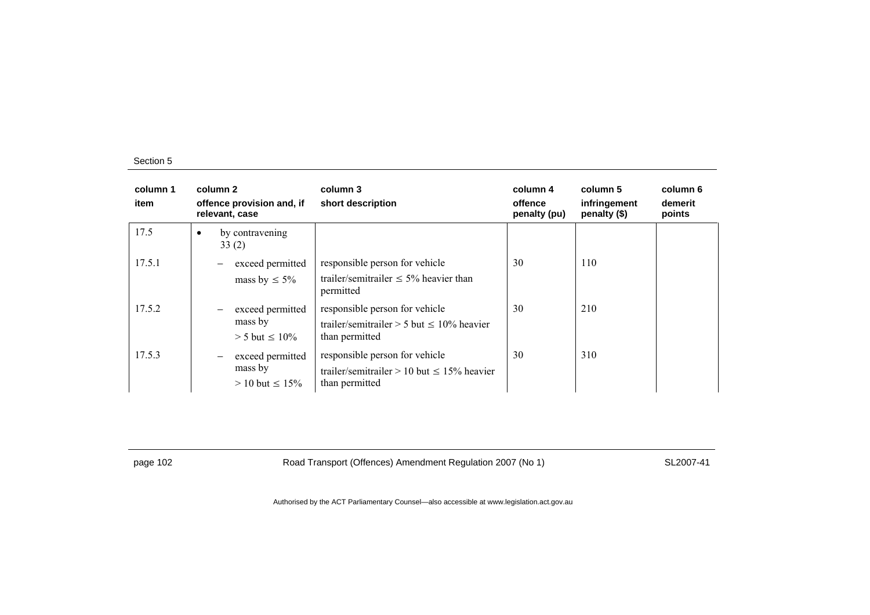| column 1<br>item | column 2<br>offence provision and, if<br>relevant, case                           | column 3<br>short description                                                                          | column 4<br>offence<br>penalty (pu) | column 5<br>infringement<br>penalty (\$) | column 6<br>demerit<br>points |
|------------------|-----------------------------------------------------------------------------------|--------------------------------------------------------------------------------------------------------|-------------------------------------|------------------------------------------|-------------------------------|
| 17.5             | by contravening<br>33(2)                                                          |                                                                                                        |                                     |                                          |                               |
| 17.5.1           | exceed permitted<br>$\overbrace{\phantom{123221111}}$<br>mass by $\leq 5\%$       | responsible person for vehicle<br>trailer/semitrailer $\leq 5\%$ heavier than<br>permitted             | 30                                  | 110                                      |                               |
| 17.5.2           | exceed permitted<br>mass by<br>$> 5$ but $\leq 10\%$                              | responsible person for vehicle<br>trailer/semitrailer $> 5$ but $\leq 10\%$ heavier<br>than permitted  | 30                                  | 210                                      |                               |
| 17.5.3           | exceed permitted<br>$\overline{\phantom{m}}$<br>mass by<br>$> 10$ but $\leq 15\%$ | responsible person for vehicle<br>trailer/semitrailer $> 10$ but $\leq 15\%$ heavier<br>than permitted | 30                                  | 310                                      |                               |

page 102 Road Transport (Offences) Amendment Regulation 2007 (No 1) SL2007-41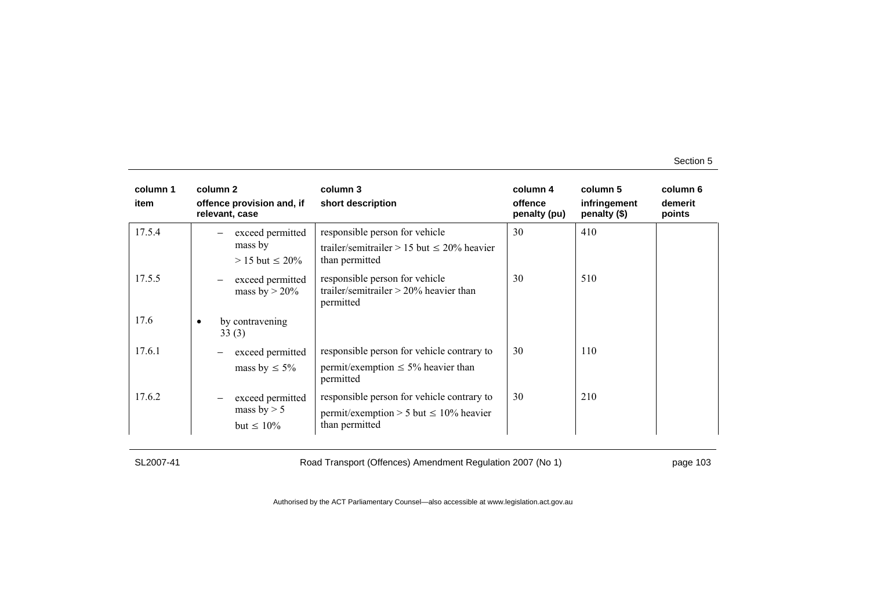| column 1<br>item | column 2<br>offence provision and, if<br>relevant, case | column 3<br>short description                                                                                | column 4<br>offence<br>penalty (pu) | column 5<br>infringement<br>penalty (\$) | column 6<br>demerit<br>points |
|------------------|---------------------------------------------------------|--------------------------------------------------------------------------------------------------------------|-------------------------------------|------------------------------------------|-------------------------------|
| 17.5.4           | exceed permitted<br>mass by<br>$> 15$ but $\leq 20\%$   | responsible person for vehicle<br>trailer/semitrailer $> 15$ but $\leq 20\%$ heavier<br>than permitted       | 30                                  | 410                                      |                               |
| 17.5.5           | exceed permitted<br>mass by $> 20\%$                    | responsible person for vehicle<br>trailer/semitrailer $> 20\%$ heavier than<br>permitted                     | 30                                  | 510                                      |                               |
| 17.6             | by contravening<br>33(3)                                |                                                                                                              |                                     |                                          |                               |
| 17.6.1           | exceed permitted<br>mass by $\leq 5\%$                  | responsible person for vehicle contrary to<br>permit/exemption $\leq 5\%$ heavier than<br>permitted          | 30                                  | 110                                      |                               |
| 17.6.2           | exceed permitted<br>mass by $> 5$<br>but $\leq 10\%$    | responsible person for vehicle contrary to<br>permit/exemption > 5 but $\leq 10\%$ heavier<br>than permitted | 30                                  | 210                                      |                               |

SL2007-41 Road Transport (Offences) Amendment Regulation 2007 (No 1) page 103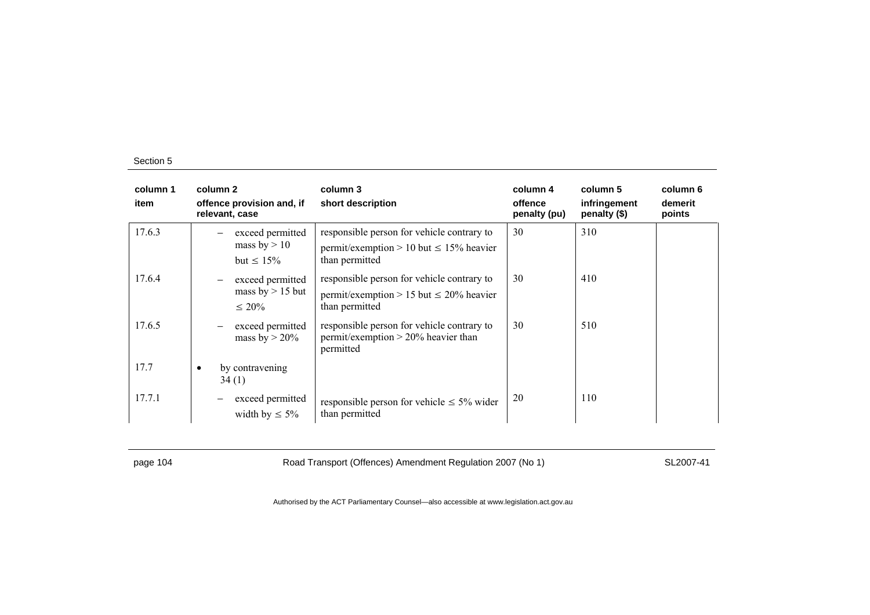| column 1<br>item | column 2<br>offence provision and, if<br>relevant, case                    | column 3<br>short description                                                                                | column 4<br>offence<br>penalty (pu) | column 5<br>infringement<br>penalty (\$) | column 6<br>demerit<br>points |
|------------------|----------------------------------------------------------------------------|--------------------------------------------------------------------------------------------------------------|-------------------------------------|------------------------------------------|-------------------------------|
| 17.6.3           | exceed permitted<br>mass by $> 10$<br>but $\leq 15\%$                      | responsible person for vehicle contrary to<br>permit/exemption > 10 but $\leq$ 15% heavier<br>than permitted | 30                                  | 310                                      |                               |
| 17.6.4           | exceed permitted<br>$\qquad \qquad -$<br>mass $by > 15$ but<br>$\leq 20\%$ | responsible person for vehicle contrary to<br>permit/exemption > 15 but $\leq$ 20% heavier<br>than permitted | 30                                  | 410                                      |                               |
| 17.6.5           | exceed permitted<br>mass by $> 20\%$                                       | responsible person for vehicle contrary to<br>permit/exemption $> 20\%$ heavier than<br>permitted            | 30                                  | 510                                      |                               |
| 17.7             | by contravening<br>$\bullet$<br>34(1)                                      |                                                                                                              |                                     |                                          |                               |
| 17.7.1           | exceed permitted<br>width by $\leq 5\%$                                    | responsible person for vehicle $\leq 5\%$ wider<br>than permitted                                            | 20                                  | 110                                      |                               |

page 104 Road Transport (Offences) Amendment Regulation 2007 (No 1) SL2007-41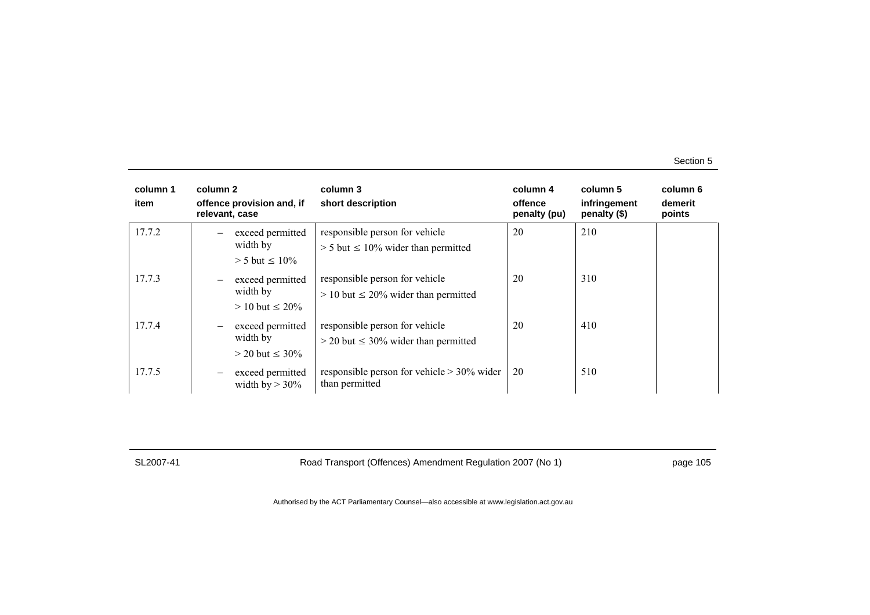| column 1<br>item | column 2<br>offence provision and, if<br>relevant, case | column 3<br>short description                                                 | column 4<br>offence<br>penalty (pu) | column 5<br>infringement<br>penalty (\$) | column 6<br>demerit<br>points |
|------------------|---------------------------------------------------------|-------------------------------------------------------------------------------|-------------------------------------|------------------------------------------|-------------------------------|
| 17.7.2           | exceed permitted<br>width by<br>$> 5$ but $\leq 10\%$   | responsible person for vehicle<br>$> 5$ but $\leq 10\%$ wider than permitted  | 20                                  | 210                                      |                               |
| 17.7.3           | exceed permitted<br>width by<br>$> 10$ but $\leq 20\%$  | responsible person for vehicle<br>$> 10$ but $\leq 20\%$ wider than permitted | 20                                  | 310                                      |                               |
| 17.7.4           | exceed permitted<br>width by<br>$>$ 20 but $\leq$ 30%   | responsible person for vehicle<br>$>$ 20 but $\leq$ 30% wider than permitted  | 20                                  | 410                                      |                               |
| 17.7.5           | exceed permitted<br>width by $> 30\%$                   | responsible person for vehicle $> 30\%$ wider<br>than permitted               | 20                                  | 510                                      |                               |

SL2007-41 Road Transport (Offences) Amendment Regulation 2007 (No 1) page 105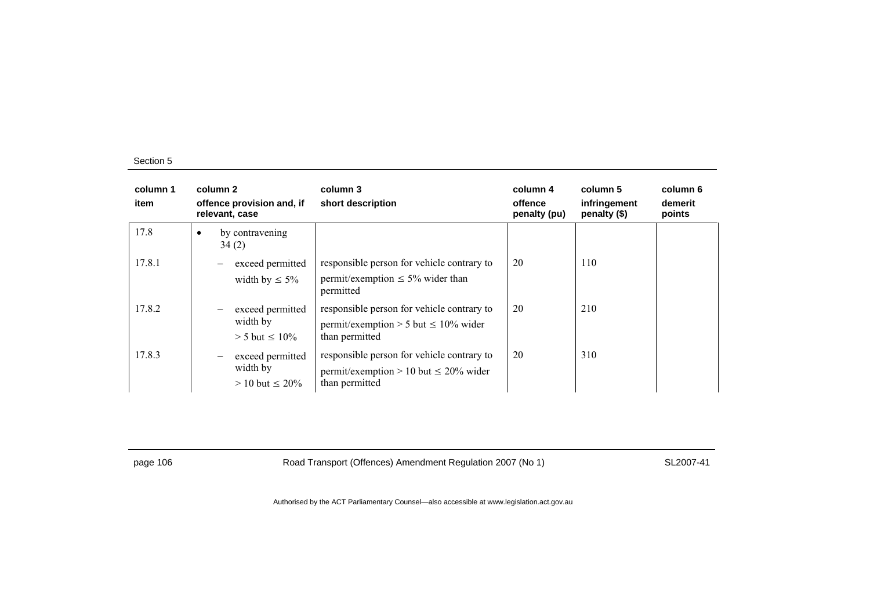| column 1<br>item | column 2<br>offence provision and, if<br>relevant, case                                     | column 3<br>short description                                                                              | column 4<br>offence<br>penalty (pu) | column 5<br>infringement<br>penalty (\$) | column 6<br>demerit<br>points |
|------------------|---------------------------------------------------------------------------------------------|------------------------------------------------------------------------------------------------------------|-------------------------------------|------------------------------------------|-------------------------------|
| 17.8             | by contravening<br>34(2)                                                                    |                                                                                                            |                                     |                                          |                               |
| 17.8.1           | exceed permitted<br>width by $\leq 5\%$                                                     | responsible person for vehicle contrary to<br>permit/exemption $\leq 5\%$ wider than<br>permitted          | 20                                  | 110                                      |                               |
| 17.8.2           | exceed permitted<br>width by<br>$> 5$ but $\leq 10\%$                                       | responsible person for vehicle contrary to<br>permit/exemption > 5 but $\leq 10\%$ wider<br>than permitted | 20                                  | 210                                      |                               |
| 17.8.3           | exceed permitted<br>$\overbrace{\phantom{123221111}}$<br>width by<br>$> 10$ but $\leq 20\%$ | responsible person for vehicle contrary to<br>permit/exemption > 10 but $\leq$ 20% wider<br>than permitted | 20                                  | 310                                      |                               |

page 106 Road Transport (Offences) Amendment Regulation 2007 (No 1) SL2007-41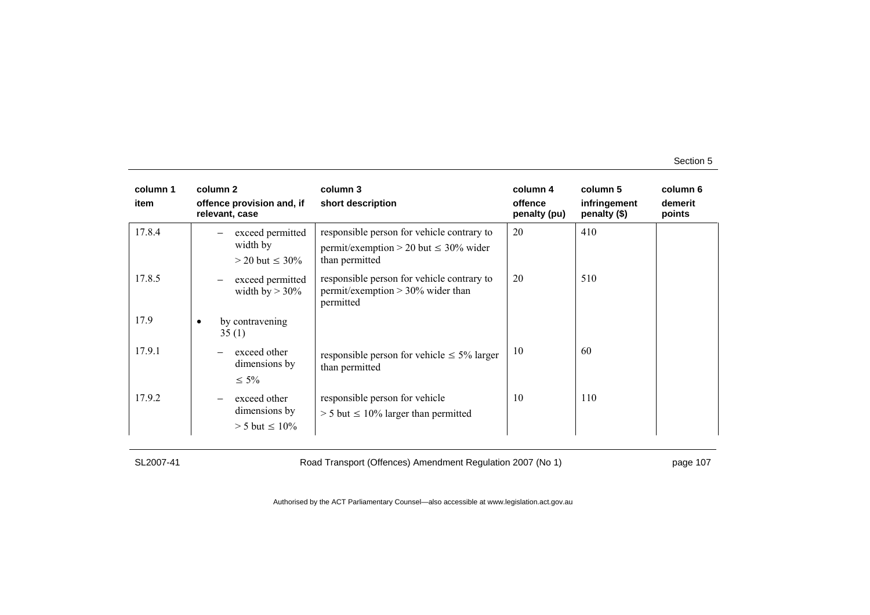| column 1<br>item | column 2<br>offence provision and, if<br>relevant, case | column 3<br>short description                                                                              | column 4<br>offence<br>penalty (pu) | column 5<br>infringement<br>penalty (\$) | column 6<br>demerit<br>points |
|------------------|---------------------------------------------------------|------------------------------------------------------------------------------------------------------------|-------------------------------------|------------------------------------------|-------------------------------|
| 17.8.4           | exceed permitted<br>width by<br>$>$ 20 but $\leq$ 30%   | responsible person for vehicle contrary to<br>permit/exemption > 20 but $\leq$ 30% wider<br>than permitted | 20                                  | 410                                      |                               |
| 17.8.5           | exceed permitted<br>width by $> 30\%$                   | responsible person for vehicle contrary to<br>permit/exemption $> 30\%$ wider than<br>permitted            | 20                                  | 510                                      |                               |
| 17.9             | by contravening<br>35(1)                                |                                                                                                            |                                     |                                          |                               |
| 17.9.1           | exceed other<br>dimensions by<br>$\leq 5\%$             | responsible person for vehicle $\leq 5\%$ larger<br>than permitted                                         | 10                                  | 60                                       |                               |
| 17.9.2           | exceed other<br>dimensions by<br>$> 5$ but $\leq 10\%$  | responsible person for vehicle<br>$> 5$ but $\leq 10\%$ larger than permitted                              | 10                                  | 110                                      |                               |

SL2007-41 Road Transport (Offences) Amendment Regulation 2007 (No 1) page 107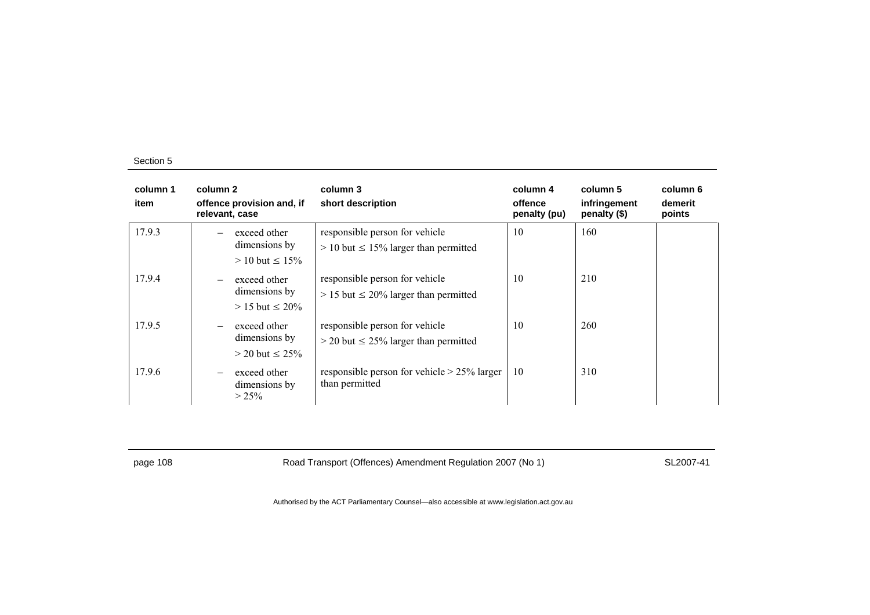| column 1<br>item | column 2<br>offence provision and, if<br>relevant, case                      | column 3<br>short description                                                  | column 4<br>offence<br>penalty (pu) | column 5<br>infringement<br>penalty $(\$)$ | column 6<br>demerit<br>points |
|------------------|------------------------------------------------------------------------------|--------------------------------------------------------------------------------|-------------------------------------|--------------------------------------------|-------------------------------|
| 17.9.3           | exceed other<br>dimensions by<br>$> 10$ but $\leq 15\%$                      | responsible person for vehicle<br>$> 10$ but $\leq 15\%$ larger than permitted | 10                                  | 160                                        |                               |
| 17.9.4           | exceed other<br>$\qquad \qquad -$<br>dimensions by<br>$> 15$ but $\leq 20\%$ | responsible person for vehicle<br>$> 15$ but $\leq 20\%$ larger than permitted | 10                                  | 210                                        |                               |
| 17.9.5           | exceed other<br>$\qquad \qquad -$<br>dimensions by<br>$>$ 20 but $\leq$ 25%  | responsible person for vehicle<br>$>$ 20 but $\leq$ 25% larger than permitted  | 10                                  | 260                                        |                               |
| 17.9.6           | exceed other<br>$\qquad \qquad -$<br>dimensions by<br>$> 25\%$               | responsible person for vehicle $> 25\%$ larger<br>than permitted               | 10                                  | 310                                        |                               |

page 108 Road Transport (Offences) Amendment Regulation 2007 (No 1) SL2007-41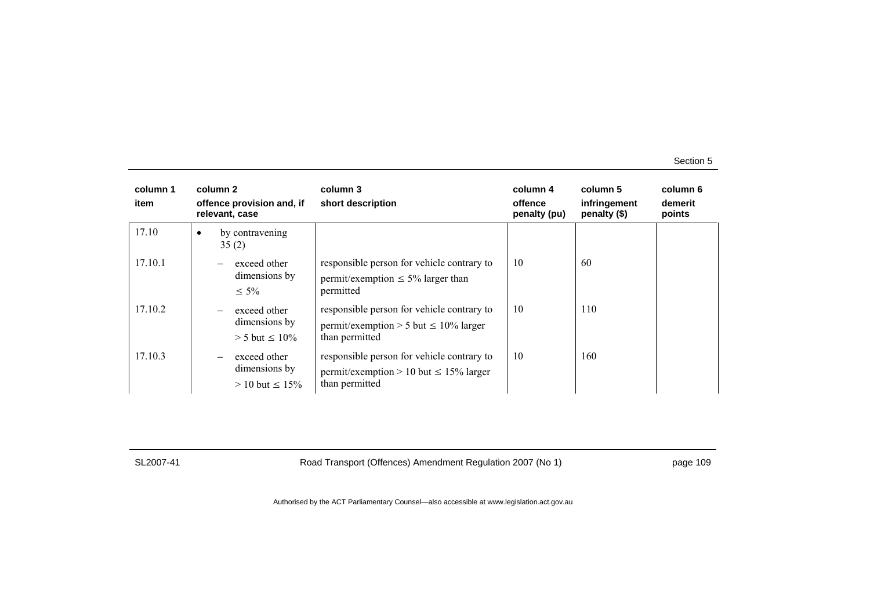| column 1<br>item | column 2<br>offence provision and, if<br>relevant, case                             | column 3<br>short description                                                                               | column 4<br>offence<br>penalty (pu) | column 5<br>infringement<br>penalty $(\$)$ | column 6<br>demerit<br>points |
|------------------|-------------------------------------------------------------------------------------|-------------------------------------------------------------------------------------------------------------|-------------------------------------|--------------------------------------------|-------------------------------|
| 17.10            | by contravening<br>$\bullet$<br>35(2)                                               |                                                                                                             |                                     |                                            |                               |
| 17.10.1          | exceed other<br>$\overline{\phantom{0}}$<br>dimensions by<br>$\leq 5\%$             | responsible person for vehicle contrary to<br>permit/exemption $\leq 5\%$ larger than<br>permitted          | 10                                  | 60                                         |                               |
| 17.10.2          | exceed other<br>$\overline{\phantom{0}}$<br>dimensions by<br>$> 5$ but $\leq 10\%$  | responsible person for vehicle contrary to<br>permit/exemption > 5 but $\leq 10\%$ larger<br>than permitted | 10                                  | 110                                        |                               |
| 17.10.3          | exceed other<br>$\overline{\phantom{0}}$<br>dimensions by<br>$> 10$ but $\leq 15\%$ | responsible person for vehicle contrary to<br>permit/exemption > 10 but $\leq$ 15% larger<br>than permitted | 10                                  | 160                                        |                               |

SL2007-41 Road Transport (Offences) Amendment Regulation 2007 (No 1) page 109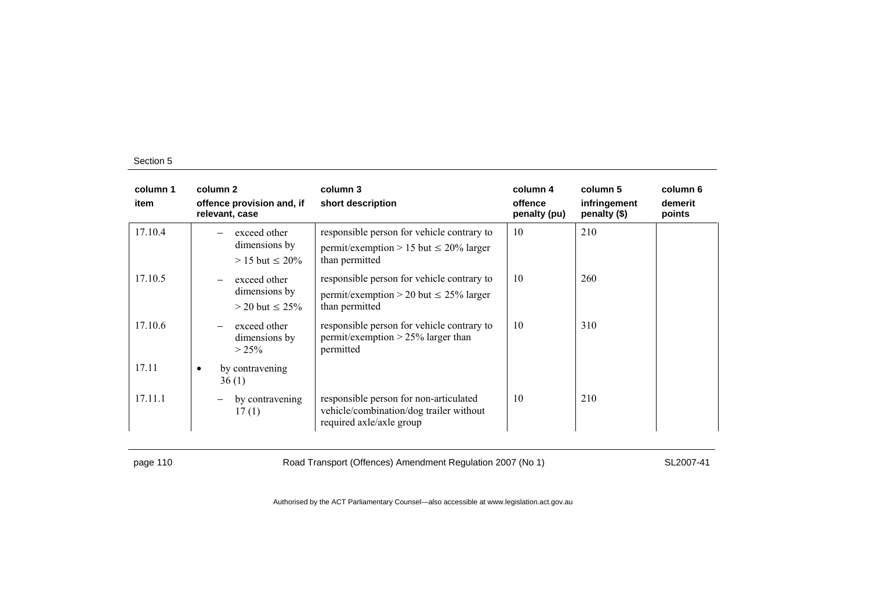| column 1<br>item | column 2<br>offence provision and, if<br>relevant, case               | column 3<br>short description                                                                                 | column 4<br>offence<br>penalty (pu) | column 5<br>infringement<br>penalty (\$) | column 6<br>demerit<br>points |
|------------------|-----------------------------------------------------------------------|---------------------------------------------------------------------------------------------------------------|-------------------------------------|------------------------------------------|-------------------------------|
| 17.10.4          | exceed other<br>dimensions by<br>$> 15$ but $\leq 20\%$               | responsible person for vehicle contrary to<br>permit/exemption > 15 but $\leq$ 20% larger<br>than permitted   | 10                                  | 210                                      |                               |
| 17.10.5          | exceed other<br>dimensions by<br>$>$ 20 but $\leq$ 25%                | responsible person for vehicle contrary to<br>permit/exemption > 20 but $\leq$ 25% larger<br>than permitted   | 10                                  | 260                                      |                               |
| 17.10.6          | exceed other<br>$\overline{\phantom{0}}$<br>dimensions by<br>$> 25\%$ | responsible person for vehicle contrary to<br>permit/exemption $> 25\%$ larger than<br>permitted              | 10                                  | 310                                      |                               |
| 17.11            | by contravening<br>$\bullet$<br>36(1)                                 |                                                                                                               |                                     |                                          |                               |
| 17.11.1          | by contravening<br>17(1)                                              | responsible person for non-articulated<br>vehicle/combination/dog trailer without<br>required axle/axle group | 10                                  | 210                                      |                               |

page 110 SL2007-41 Road Transport (Offences) Amendment Regulation 2007 (No 1)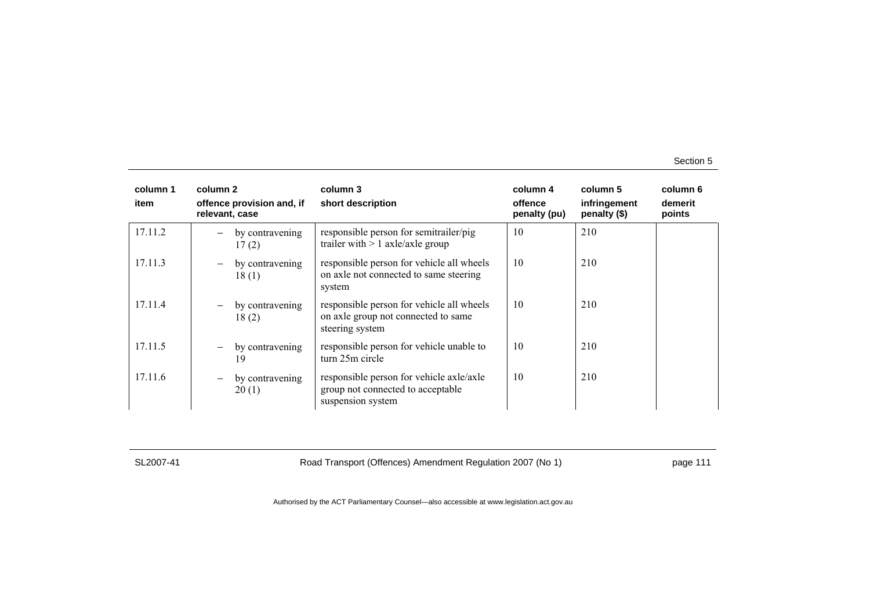| column 1<br>item | column 2<br>offence provision and, if<br>relevant, case | column 3<br>short description                                                                       | column 4<br>offence<br>penalty (pu) | column 5<br>infringement<br>penalty (\$) | column 6<br>demerit<br>points |
|------------------|---------------------------------------------------------|-----------------------------------------------------------------------------------------------------|-------------------------------------|------------------------------------------|-------------------------------|
| 17.11.2          | by contravening<br>17(2)                                | responsible person for semitrailer/pig<br>trailer with $> 1$ axle/axle group                        | 10                                  | 210                                      |                               |
| 17.11.3          | by contravening<br>$\qquad \qquad -$<br>18(1)           | responsible person for vehicle all wheels<br>on axle not connected to same steering<br>system       | 10                                  | 210                                      |                               |
| 17.11.4          | by contravening<br>$\qquad \qquad -$<br>18(2)           | responsible person for vehicle all wheels<br>on axle group not connected to same<br>steering system | 10                                  | 210                                      |                               |
| 17.11.5          | by contravening<br>19                                   | responsible person for vehicle unable to<br>turn 25m circle                                         | 10                                  | 210                                      |                               |
| 17.11.6          | by contravening<br>$\qquad \qquad -$<br>20(1)           | responsible person for vehicle axle/axle<br>group not connected to acceptable<br>suspension system  | 10                                  | 210                                      |                               |

SL2007-41 Road Transport (Offences) Amendment Regulation 2007 (No 1) page 111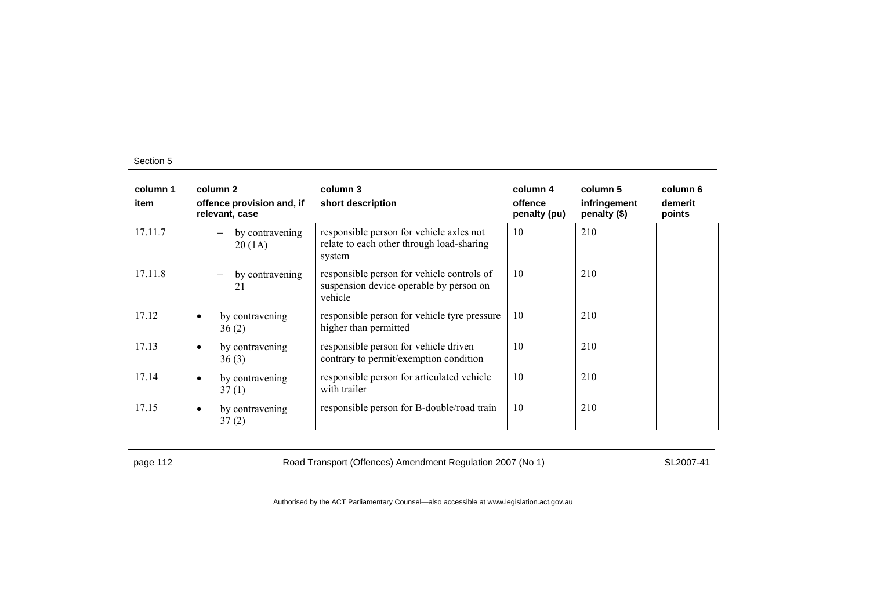| column 1<br>item | column 2<br>offence provision and, if<br>relevant, case | column 3<br>short description                                                                    | column 4<br>offence<br>penalty (pu) | column 5<br>infringement<br>penalty (\$) | column 6<br>demerit<br>points |
|------------------|---------------------------------------------------------|--------------------------------------------------------------------------------------------------|-------------------------------------|------------------------------------------|-------------------------------|
| 17.11.7          | by contravening<br>20(1A)                               | responsible person for vehicle axles not<br>relate to each other through load-sharing<br>system  | 10                                  | 210                                      |                               |
| 17.11.8          | by contravening<br>$\overline{\phantom{0}}$<br>21       | responsible person for vehicle controls of<br>suspension device operable by person on<br>vehicle | 10                                  | 210                                      |                               |
| 17.12            | by contravening<br>$\bullet$<br>36(2)                   | responsible person for vehicle tyre pressure<br>higher than permitted                            | 10                                  | 210                                      |                               |
| 17.13            | by contravening<br>$\bullet$<br>36(3)                   | responsible person for vehicle driven<br>contrary to permit/exemption condition                  | 10                                  | 210                                      |                               |
| 17.14            | by contravening<br>$\bullet$<br>37(1)                   | responsible person for articulated vehicle<br>with trailer                                       | 10                                  | 210                                      |                               |
| 17.15            | by contravening<br>$\bullet$<br>37(2)                   | responsible person for B-double/road train                                                       | 10                                  | 210                                      |                               |

page 112 **Road Transport (Offences) Amendment Regulation 2007 (No 1)** SL2007-41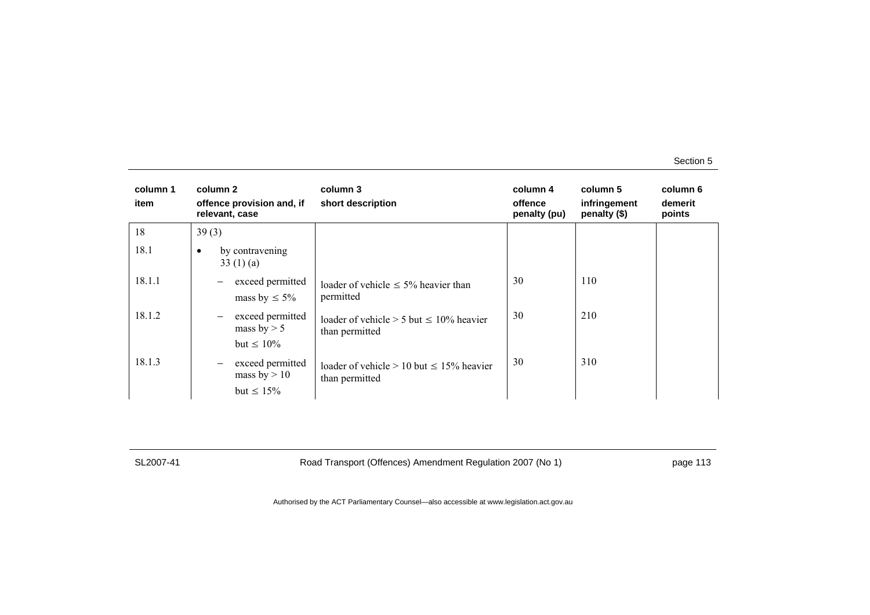| column 1<br>item | column 2<br>offence provision and, if<br>relevant, case                                       | column 3<br>short description                                      | column 4<br>offence<br>penalty (pu) | column 5<br>infringement<br>penalty (\$) | column 6<br>demerit<br>points |
|------------------|-----------------------------------------------------------------------------------------------|--------------------------------------------------------------------|-------------------------------------|------------------------------------------|-------------------------------|
| 18               | 39(3)                                                                                         |                                                                    |                                     |                                          |                               |
| 18.1             | by contravening<br>$\bullet$<br>33 $(1)$ (a)                                                  |                                                                    |                                     |                                          |                               |
| 18.1.1           | exceed permitted<br>$\qquad \qquad -$<br>mass by $\leq 5\%$                                   | loader of vehicle $\leq 5\%$ heavier than<br>permitted             | 30                                  | 110                                      |                               |
| 18.1.2           | exceed permitted<br>$\qquad \qquad -$<br>mass by $> 5$                                        | loader of vehicle $> 5$ but $\leq 10\%$ heavier<br>than permitted  | 30                                  | 210                                      |                               |
| 18.1.3           | but $\leq 10\%$<br>exceed permitted<br>$\qquad \qquad -$<br>mass by $> 10$<br>but $\leq 15\%$ | loader of vehicle $> 10$ but $\leq 15\%$ heavier<br>than permitted | 30                                  | 310                                      |                               |

SL2007-41 Road Transport (Offences) Amendment Regulation 2007 (No 1) page 113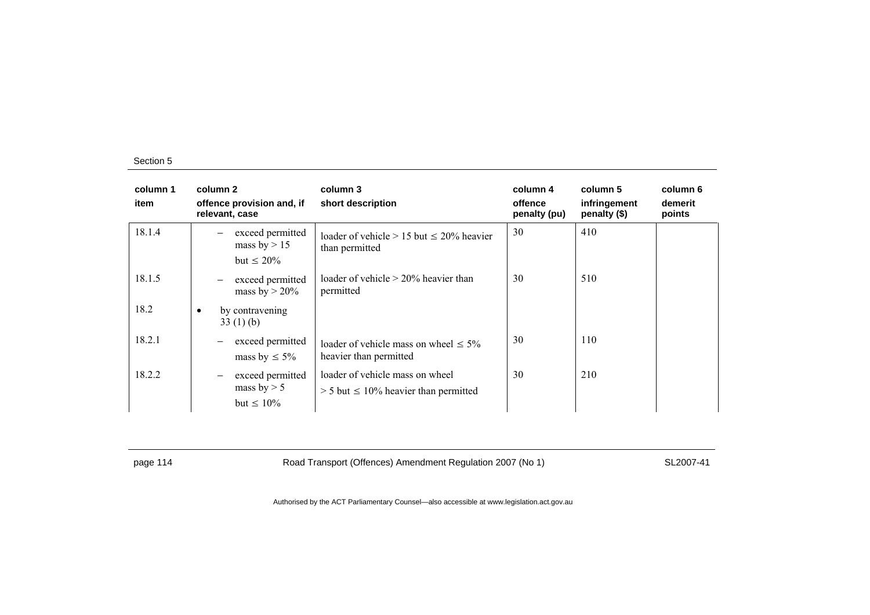| column 1<br>item | column 2<br>offence provision and, if<br>relevant, case                   | column 3<br>short description                                                   | column 4<br>offence<br>penalty (pu) | column 5<br>infringement<br>penalty (\$) | column 6<br>demerit<br>points |
|------------------|---------------------------------------------------------------------------|---------------------------------------------------------------------------------|-------------------------------------|------------------------------------------|-------------------------------|
| 18.1.4           | exceed permitted<br>mass by $> 15$<br>but $\leq 20\%$                     | loader of vehicle $> 15$ but $\leq 20\%$ heavier<br>than permitted              | 30                                  | 410                                      |                               |
| 18.1.5           | exceed permitted<br>$\overline{\phantom{m}}$<br>mass by $> 20\%$          | loader of vehicle $> 20\%$ heavier than<br>permitted                            | 30                                  | 510                                      |                               |
| 18.2             | by contravening<br>$\bullet$<br>33(1)(b)                                  |                                                                                 |                                     |                                          |                               |
| 18.2.1           | exceed permitted<br>$\overline{\phantom{m}}$<br>mass by $\leq 5\%$        | loader of vehicle mass on wheel $\leq 5\%$<br>heavier than permitted            | 30                                  | 110                                      |                               |
| 18.2.2           | exceed permitted<br>$\qquad \qquad -$<br>mass by $> 5$<br>but $\leq 10\%$ | loader of vehicle mass on wheel<br>$> 5$ but $\leq 10\%$ heavier than permitted | 30                                  | 210                                      |                               |

page 114 **Road Transport (Offences) Amendment Regulation 2007 (No 1)** SL2007-41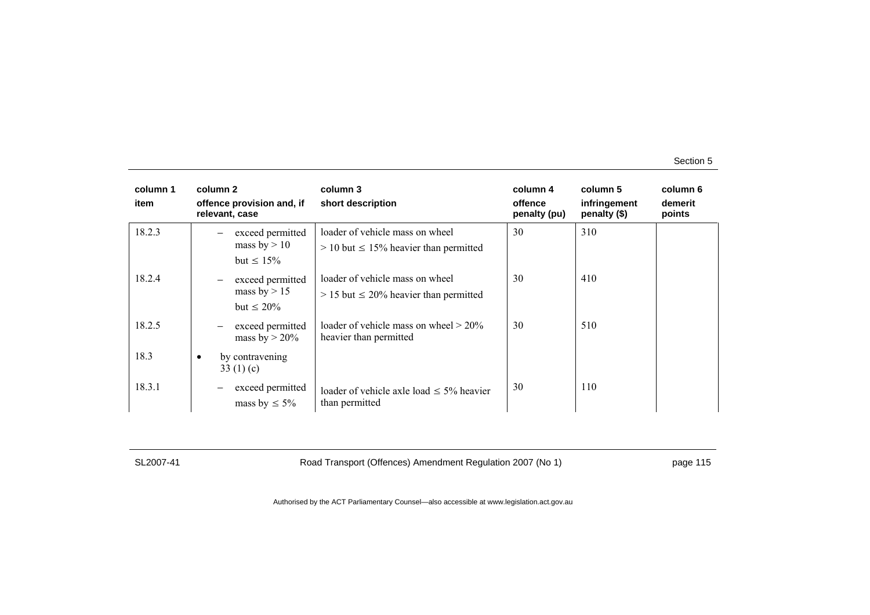| column 1<br>item | column 2<br>offence provision and, if<br>relevant, case                    | column 3<br>short description                                                    | column 4<br>offence<br>penalty (pu) | column 5<br>infringement<br>penalty (\$) | column 6<br>demerit<br>points |
|------------------|----------------------------------------------------------------------------|----------------------------------------------------------------------------------|-------------------------------------|------------------------------------------|-------------------------------|
| 18.2.3           | exceed permitted<br>mass by $> 10$<br>but $\leq 15\%$                      | loader of vehicle mass on wheel<br>$> 10$ but $\leq 15\%$ heavier than permitted | 30                                  | 310                                      |                               |
| 18.2.4           | exceed permitted<br>$\qquad \qquad -$<br>mass by $> 15$<br>but $\leq 20\%$ | loader of vehicle mass on wheel<br>$> 15$ but $\leq 20\%$ heavier than permitted | 30                                  | 410                                      |                               |
| 18.2.5           | exceed permitted<br>$\qquad \qquad -$<br>mass by $> 20\%$                  | loader of vehicle mass on wheel $> 20\%$<br>heavier than permitted               | 30                                  | 510                                      |                               |
| 18.3             | by contravening<br>$\bullet$<br>33 $(1)(c)$                                |                                                                                  |                                     |                                          |                               |
| 18.3.1           | exceed permitted<br>mass by $\leq 5\%$                                     | loader of vehicle axle load $\leq$ 5% heavier<br>than permitted                  | 30                                  | 110                                      |                               |

SL2007-41 Road Transport (Offences) Amendment Regulation 2007 (No 1) page 115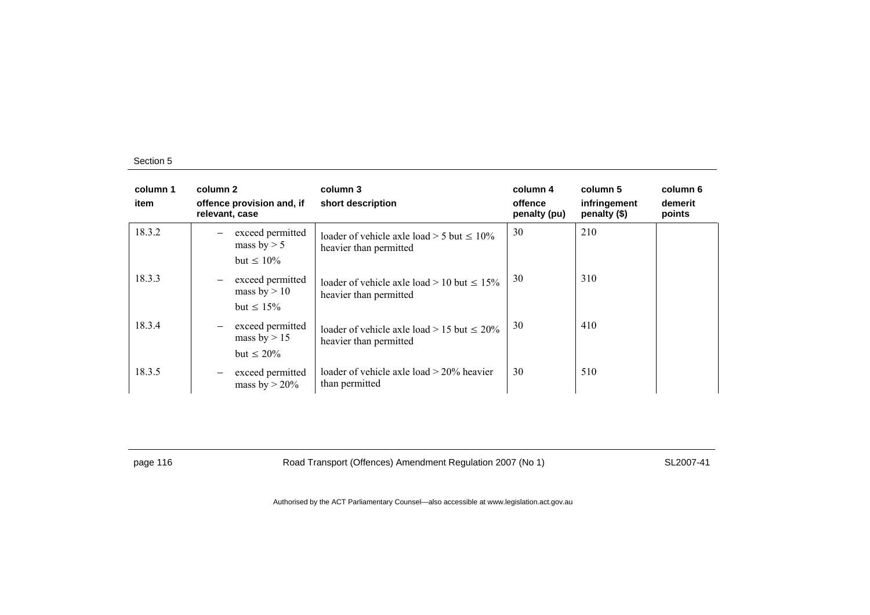| column 1<br>item | column 2<br>offence provision and, if<br>relevant, case | column 3<br>short description                                                | column 4<br>offence<br>penalty (pu) | column 5<br>infringement<br>penalty (\$) | column 6<br>demerit<br>points |
|------------------|---------------------------------------------------------|------------------------------------------------------------------------------|-------------------------------------|------------------------------------------|-------------------------------|
| 18.3.2           | exceed permitted<br>mass by $> 5$<br>but $\leq 10\%$    | loader of vehicle axle load $>$ 5 but $\leq$ 10%<br>heavier than permitted   | 30                                  | 210                                      |                               |
| 18.3.3           | exceed permitted<br>mass by $> 10$<br>but $\leq 15\%$   | loader of vehicle axle load $> 10$ but $\leq 15\%$<br>heavier than permitted | 30                                  | 310                                      |                               |
| 18.3.4           | exceed permitted<br>mass by $> 15$<br>but $\leq 20\%$   | loader of vehicle axle load $> 15$ but $\leq 20\%$<br>heavier than permitted | 30                                  | 410                                      |                               |
| 18.3.5           | exceed permitted<br>mass by $>$ 20%                     | loader of vehicle axle load $> 20\%$ heavier<br>than permitted               | 30                                  | 510                                      |                               |

page 116 **Road Transport (Offences) Amendment Regulation 2007 (No 1)** SL2007-41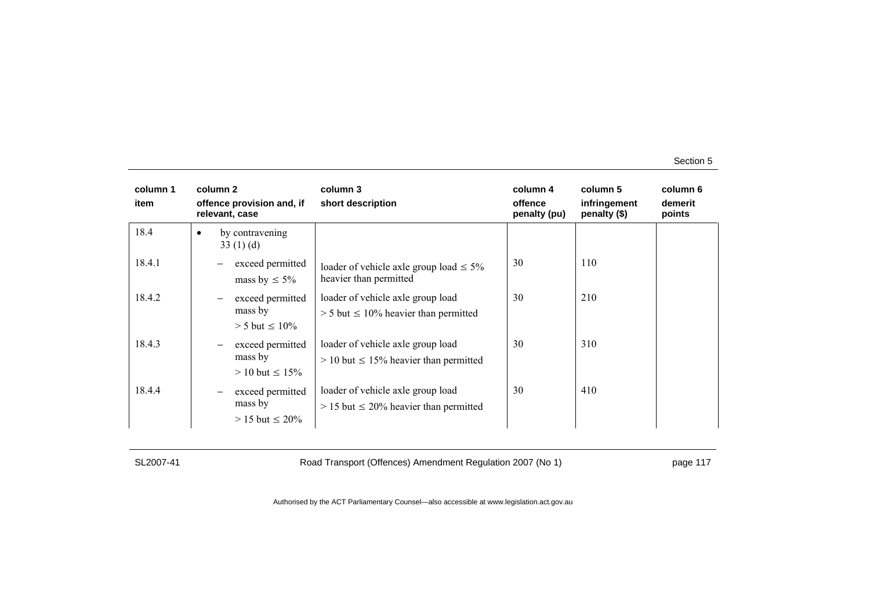| column 1<br>item | column 2<br>offence provision and, if<br>relevant, case                    | column 3<br>short description                                                      | column 4<br>offence<br>penalty (pu) | column 5<br>infringement<br>penalty (\$) | column 6<br>demerit<br>points |
|------------------|----------------------------------------------------------------------------|------------------------------------------------------------------------------------|-------------------------------------|------------------------------------------|-------------------------------|
| 18.4             | by contravening<br>$\bullet$<br>33(1)(d)                                   |                                                                                    |                                     |                                          |                               |
| 18.4.1           | exceed permitted<br>mass by $\leq 5\%$                                     | loader of vehicle axle group load $\leq 5\%$<br>heavier than permitted             | 30                                  | 110                                      |                               |
| 18.4.2           | exceed permitted<br>$\qquad \qquad -$<br>mass by<br>$> 5$ but $\leq 10\%$  | loader of vehicle axle group load<br>$> 5$ but $\leq 10\%$ heavier than permitted  | 30                                  | 210                                      |                               |
| 18.4.3           | exceed permitted<br>$\qquad \qquad -$<br>mass by<br>$> 10$ but $\leq 15\%$ | loader of vehicle axle group load<br>$> 10$ but $\leq 15\%$ heavier than permitted | 30                                  | 310                                      |                               |
| 18.4.4           | exceed permitted<br>-<br>mass by<br>$> 15$ but $\leq 20\%$                 | loader of vehicle axle group load<br>$> 15$ but $\leq 20\%$ heavier than permitted | 30                                  | 410                                      |                               |

SL2007-41 Road Transport (Offences) Amendment Regulation 2007 (No 1) page 117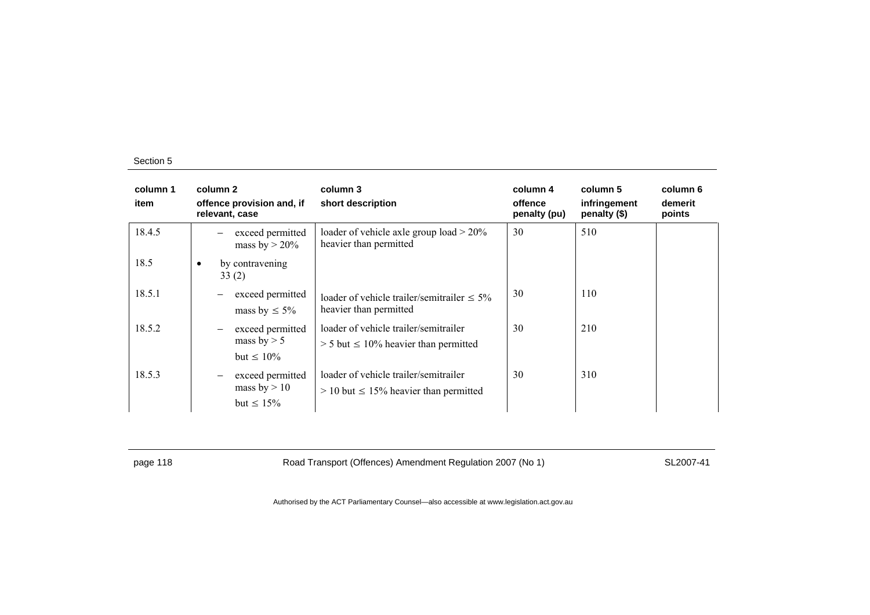| column 1<br>item | column 2<br>offence provision and, if<br>relevant, case                           | column 3<br>short description                                                          | column 4<br>offence<br>penalty (pu) | column 5<br>infringement<br>penalty (\$) | column 6<br>demerit<br>points |
|------------------|-----------------------------------------------------------------------------------|----------------------------------------------------------------------------------------|-------------------------------------|------------------------------------------|-------------------------------|
| 18.4.5           | exceed permitted<br>mass by $> 20\%$                                              | loader of vehicle axle group load $> 20\%$<br>heavier than permitted                   | 30                                  | 510                                      |                               |
| 18.5             | by contravening<br>$\bullet$<br>33(2)                                             |                                                                                        |                                     |                                          |                               |
| 18.5.1           | exceed permitted<br>mass by $\leq 5\%$                                            | loader of vehicle trailer/semitrailer $\leq 5\%$<br>heavier than permitted             | 30                                  | 110                                      |                               |
| 18.5.2           | exceed permitted<br>$\qquad \qquad -$<br>mass by $> 5$<br>but $\leq 10\%$         | loader of vehicle trailer/semitrailer<br>$> 5$ but $\leq 10\%$ heavier than permitted  | 30                                  | 210                                      |                               |
| 18.5.3           | exceed permitted<br>$\overline{\phantom{0}}$<br>mass by $> 10$<br>but $\leq 15\%$ | loader of vehicle trailer/semitrailer<br>$> 10$ but $\leq 15\%$ heavier than permitted | 30                                  | 310                                      |                               |

page 118 **Road Transport (Offences) Amendment Regulation 2007 (No 1)** SL2007-41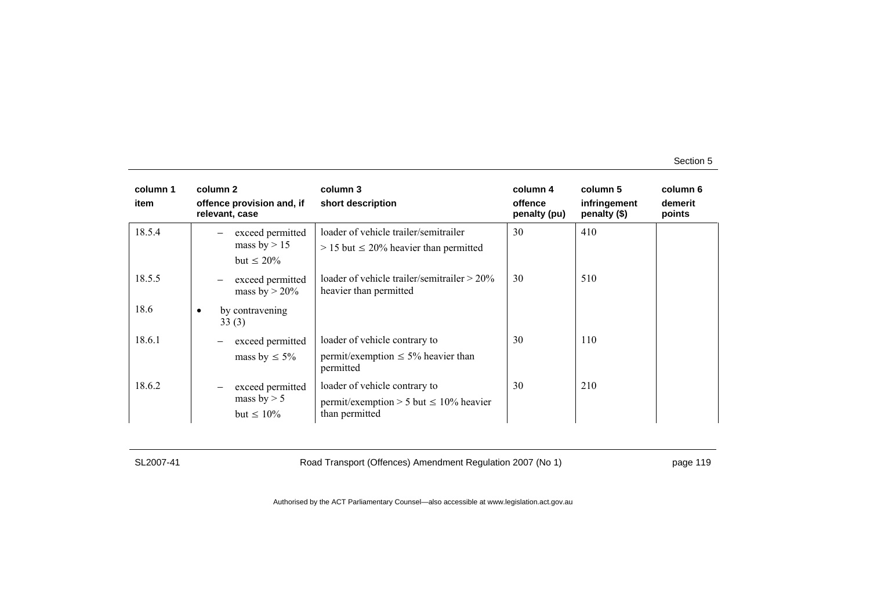| column 1<br>item | column 2<br>offence provision and, if<br>relevant, case     | column 3<br>short description                                                                   | column 4<br>offence<br>penalty (pu) | column 5<br>infringement<br>penalty (\$) | column 6<br>demerit<br>points |
|------------------|-------------------------------------------------------------|-------------------------------------------------------------------------------------------------|-------------------------------------|------------------------------------------|-------------------------------|
| 18.5.4           | exceed permitted<br>mass by $> 15$<br>but $\leq 20\%$       | loader of vehicle trailer/semitrailer<br>$> 15$ but $\leq 20\%$ heavier than permitted          | 30                                  | 410                                      |                               |
| 18.5.5           | exceed permitted<br>$\qquad \qquad -$<br>mass by $>$ 20%    | loader of vehicle trailer/semitrailer $> 20\%$<br>heavier than permitted                        | 30                                  | 510                                      |                               |
| 18.6             | by contravening<br>$\bullet$<br>33(3)                       |                                                                                                 |                                     |                                          |                               |
| 18.6.1           | exceed permitted<br>$\qquad \qquad -$<br>mass by $\leq 5\%$ | loader of vehicle contrary to<br>permit/exemption $\leq 5\%$ heavier than<br>permitted          | 30                                  | 110                                      |                               |
| 18.6.2           | exceed permitted<br>mass by $> 5$<br>but $\leq 10\%$        | loader of vehicle contrary to<br>permit/exemption > 5 but $\leq 10\%$ heavier<br>than permitted | 30                                  | 210                                      |                               |

SL2007-41 Road Transport (Offences) Amendment Regulation 2007 (No 1) page 119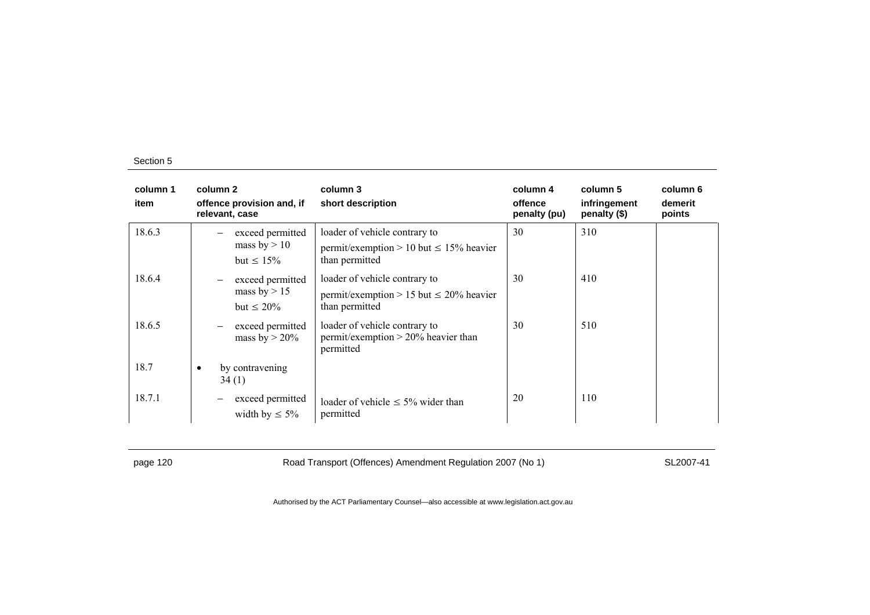| column 1<br>item | column 2<br>offence provision and, if<br>relevant, case                    | column 3<br>short description                                                                   | column 4<br>offence<br>penalty (pu) | column 5<br>infringement<br>penalty (\$) | column 6<br>demerit<br>points |
|------------------|----------------------------------------------------------------------------|-------------------------------------------------------------------------------------------------|-------------------------------------|------------------------------------------|-------------------------------|
| 18.6.3           | exceed permitted<br>mass by $> 10$<br>but $\leq 15\%$                      | loader of vehicle contrary to<br>permit/exemption > 10 but $\leq$ 15% heavier<br>than permitted | 30                                  | 310                                      |                               |
| 18.6.4           | exceed permitted<br>$\qquad \qquad -$<br>mass by $> 15$<br>but $\leq 20\%$ | loader of vehicle contrary to<br>permit/exemption > 15 but $\leq$ 20% heavier<br>than permitted | 30                                  | 410                                      |                               |
| 18.6.5           | exceed permitted<br>mass by $> 20\%$                                       | loader of vehicle contrary to<br>permit/exemption $> 20\%$ heavier than<br>permitted            | 30                                  | 510                                      |                               |
| 18.7             | by contravening<br>34(1)                                                   |                                                                                                 |                                     |                                          |                               |
| 18.7.1           | exceed permitted<br>width by $\leq 5\%$                                    | loader of vehicle $\leq 5\%$ wider than<br>permitted                                            | 20                                  | 110                                      |                               |

page 120 **Road Transport (Offences) Amendment Regulation 2007 (No 1)** SL2007-41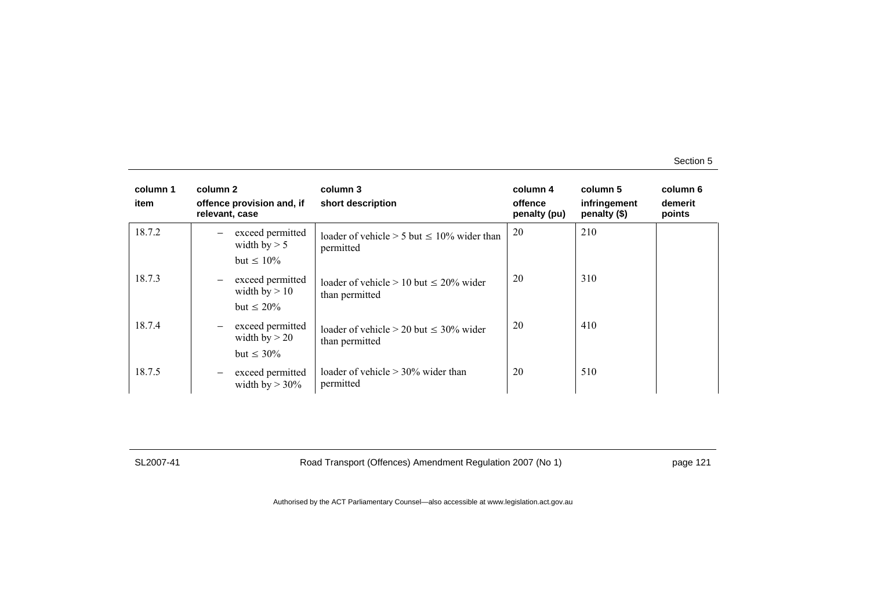| column 1<br>item | column 2<br>offence provision and, if<br>relevant, case                     | column 3<br>short description                                    | column 4<br>offence<br>penalty (pu) | column 5<br>infringement<br>penalty (\$) | column 6<br>demerit<br>points |
|------------------|-----------------------------------------------------------------------------|------------------------------------------------------------------|-------------------------------------|------------------------------------------|-------------------------------|
| 18.7.2           | exceed permitted<br>width by $> 5$<br>but $\leq 10\%$                       | loader of vehicle $> 5$ but $\leq 10\%$ wider than<br>permitted  | 20                                  | 210                                      |                               |
| 18.7.3           | exceed permitted<br>$\qquad \qquad -$<br>width $by > 10$<br>but $\leq 20\%$ | loader of vehicle $> 10$ but $< 20\%$ wider<br>than permitted    | 20                                  | 310                                      |                               |
| 18.7.4           | exceed permitted<br>$\qquad \qquad -$<br>width by $> 20$<br>but $\leq 30\%$ | loader of vehicle $> 20$ but $\leq 30\%$ wider<br>than permitted | 20                                  | 410                                      |                               |
| 18.7.5           | exceed permitted<br>width by $>$ 30%                                        | loader of vehicle $> 30\%$ wider than<br>permitted               | 20                                  | 510                                      |                               |

SL2007-41 Road Transport (Offences) Amendment Regulation 2007 (No 1) page 121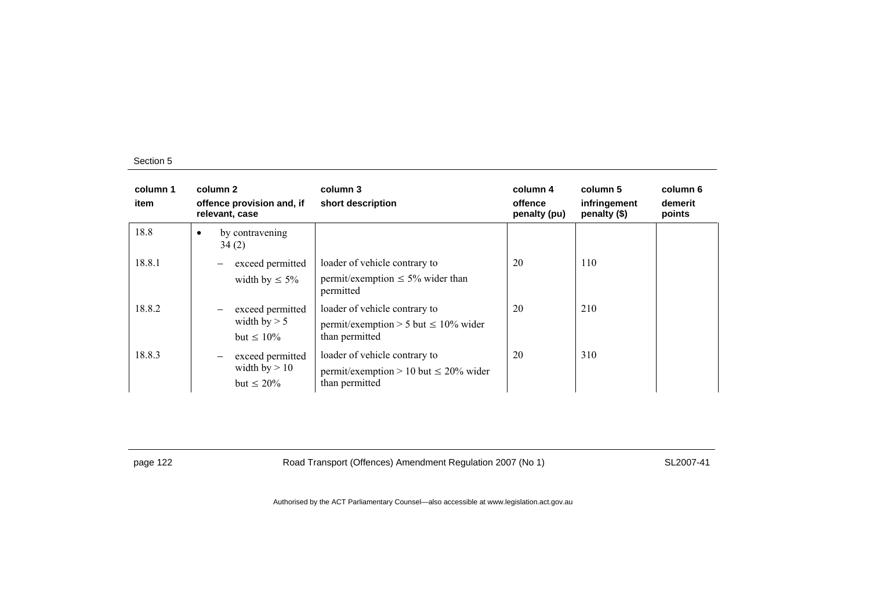| column 1<br>item | column 2<br>offence provision and, if<br>relevant, case                     | column 3<br>short description                                                                 | column 4<br>offence<br>penalty (pu) | column 5<br>infringement<br>penalty (\$) | column 6<br>demerit<br>points |
|------------------|-----------------------------------------------------------------------------|-----------------------------------------------------------------------------------------------|-------------------------------------|------------------------------------------|-------------------------------|
| 18.8             | by contravening<br>$\bullet$<br>34(2)                                       |                                                                                               |                                     |                                          |                               |
| 18.8.1           | exceed permitted<br>width by $\leq 5\%$                                     | loader of vehicle contrary to<br>permit/exemption $\leq 5\%$ wider than<br>permitted          | 20                                  | 110                                      |                               |
| 18.8.2           | exceed permitted<br>width by $> 5$<br>but $\leq 10\%$                       | loader of vehicle contrary to<br>permit/exemption > 5 but $\leq 10\%$ wider<br>than permitted | 20                                  | 210                                      |                               |
| 18.8.3           | exceed permitted<br>$\qquad \qquad -$<br>width by $> 10$<br>but $\leq 20\%$ | loader of vehicle contrary to<br>permit/exemption > 10 but $\leq$ 20% wider<br>than permitted | 20                                  | 310                                      |                               |

page 122 **Road Transport (Offences) Amendment Regulation 2007 (No 1)** SL2007-41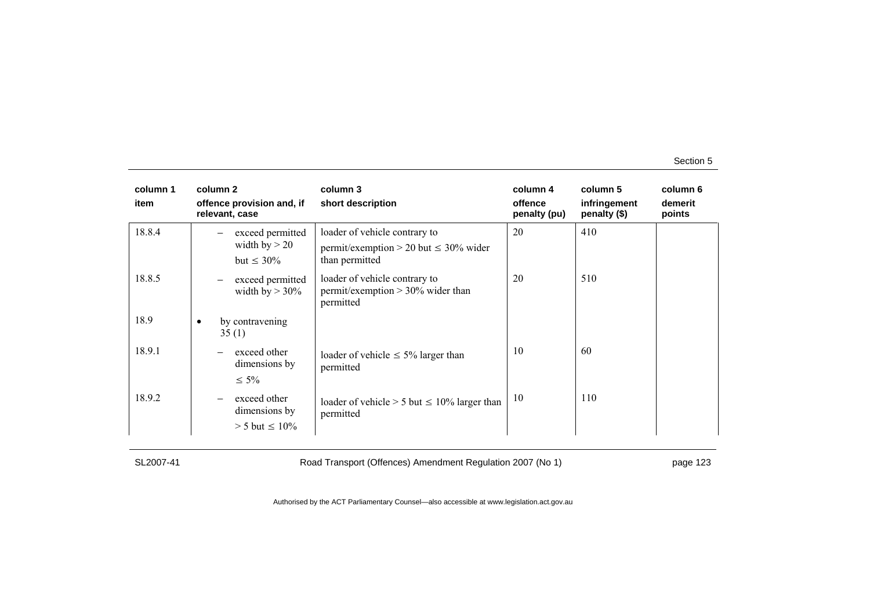| column 1<br>item | column 2<br>offence provision and, if<br>relevant, case                   | column 3<br>short description                                                                 | column 4<br>offence<br>penalty (pu) | column 5<br>infringement<br>penalty (\$) | column 6<br>demerit<br>points |
|------------------|---------------------------------------------------------------------------|-----------------------------------------------------------------------------------------------|-------------------------------------|------------------------------------------|-------------------------------|
| 18.8.4           | exceed permitted<br>width by $> 20$<br>but $\leq 30\%$                    | loader of vehicle contrary to<br>permit/exemption > 20 but $\leq$ 30% wider<br>than permitted | 20                                  | 410                                      |                               |
| 18.8.5           | exceed permitted<br>$\overbrace{\phantom{12322111}}$<br>width by $> 30\%$ | loader of vehicle contrary to<br>permit/exemption $> 30\%$ wider than<br>permitted            | 20                                  | 510                                      |                               |
| 18.9             | by contravening<br>٠<br>35(1)                                             |                                                                                               |                                     |                                          |                               |
| 18.9.1           | exceed other<br>dimensions by<br>$\leq 5\%$                               | loader of vehicle $\leq 5\%$ larger than<br>permitted                                         | 10                                  | 60                                       |                               |
| 18.9.2           | exceed other<br>dimensions by<br>$> 5$ but $\leq 10\%$                    | loader of vehicle $> 5$ but $\leq 10\%$ larger than<br>permitted                              | 10                                  | 110                                      |                               |

SL2007-41 Road Transport (Offences) Amendment Regulation 2007 (No 1) page 123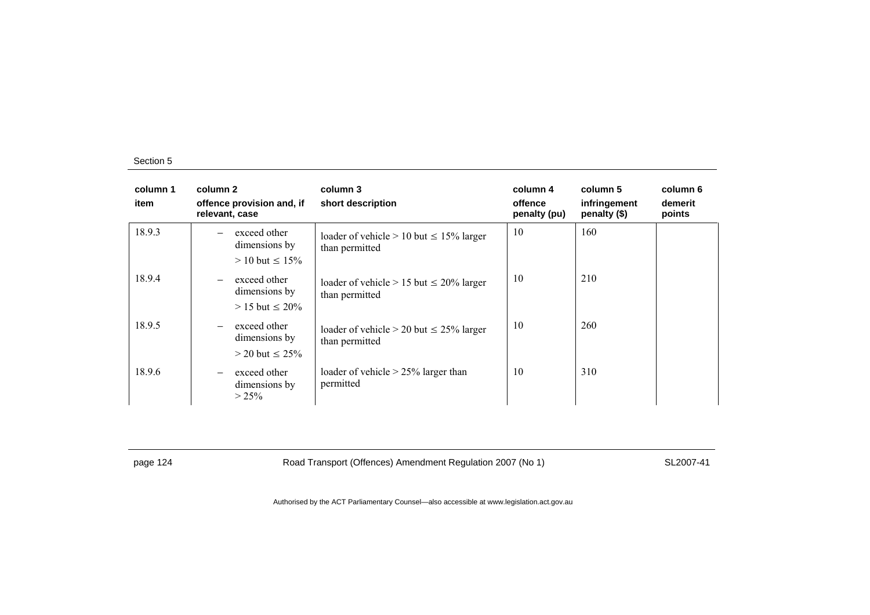| column 1<br>item | column 2<br>offence provision and, if<br>relevant, case                             | column 3<br>short description                                     | column 4<br>offence<br>penalty (pu) | column 5<br>infringement<br>penalty (\$) | column 6<br>demerit<br>points |
|------------------|-------------------------------------------------------------------------------------|-------------------------------------------------------------------|-------------------------------------|------------------------------------------|-------------------------------|
| 18.9.3           | exceed other<br>dimensions by<br>$> 10$ but $\leq 15\%$                             | loader of vehicle $> 10$ but $\leq 15\%$ larger<br>than permitted | 10                                  | 160                                      |                               |
| 18.9.4           | exceed other<br>$\overline{\phantom{m}}$<br>dimensions by<br>$> 15$ but $\leq 20\%$ | loader of vehicle $> 15$ but $\leq 20\%$ larger<br>than permitted | 10                                  | 210                                      |                               |
| 18.9.5           | exceed other<br>$\overline{\phantom{0}}$<br>dimensions by<br>$>$ 20 but $\leq$ 25%  | loader of vehicle $> 20$ but $\leq 25\%$ larger<br>than permitted | 10                                  | 260                                      |                               |
| 18.9.6           | exceed other<br>$\overline{\phantom{0}}$<br>dimensions by<br>$> 25\%$               | loader of vehicle $> 25\%$ larger than<br>permitted               | 10                                  | 310                                      |                               |

page 124 **Road Transport (Offences) Amendment Regulation 2007 (No 1)** SL2007-41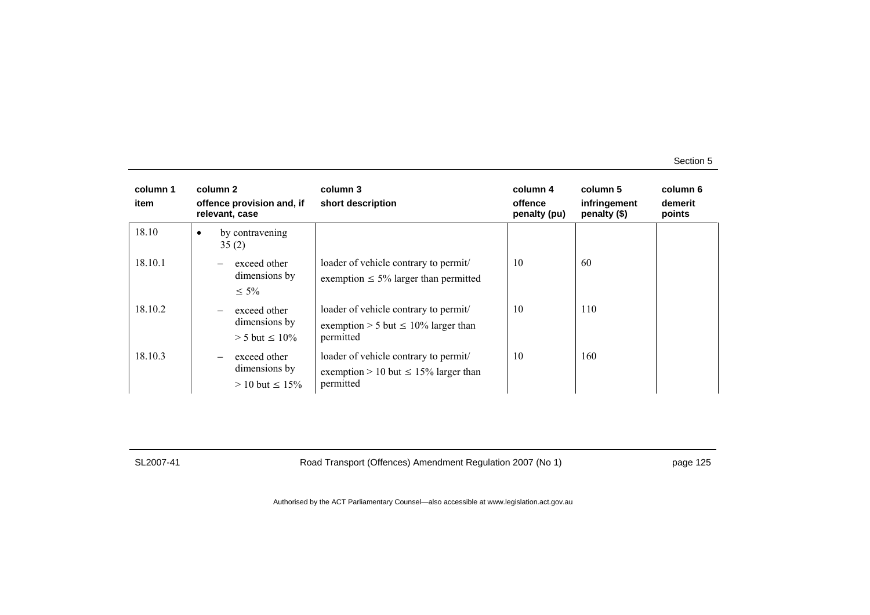| column 1<br>item | column 2<br>offence provision and, if<br>relevant, case                             | column 3<br>short description                                                                   | column 4<br>offence<br>penalty (pu) | column 5<br>infringement<br>penalty $(\$)$ | column 6<br>demerit<br>points |
|------------------|-------------------------------------------------------------------------------------|-------------------------------------------------------------------------------------------------|-------------------------------------|--------------------------------------------|-------------------------------|
| 18.10            | by contravening<br>$\bullet$<br>35(2)                                               |                                                                                                 |                                     |                                            |                               |
| 18.10.1          | exceed other<br>$\overline{\phantom{0}}$<br>dimensions by<br>$\leq 5\%$             | loader of vehicle contrary to permit/<br>exemption $\leq 5\%$ larger than permitted             | 10                                  | 60                                         |                               |
| 18.10.2          | exceed other<br>$\overline{\phantom{0}}$<br>dimensions by<br>$> 5$ but $\leq 10\%$  | loader of vehicle contrary to permit/<br>exemption > 5 but $\leq 10\%$ larger than<br>permitted | 10                                  | 110                                        |                               |
| 18.10.3          | exceed other<br>$\overline{\phantom{0}}$<br>dimensions by<br>$> 10$ but $\leq 15\%$ | loader of vehicle contrary to permit/<br>exemption > 10 but $\leq$ 15% larger than<br>permitted | 10                                  | 160                                        |                               |

SL2007-41 Road Transport (Offences) Amendment Regulation 2007 (No 1) page 125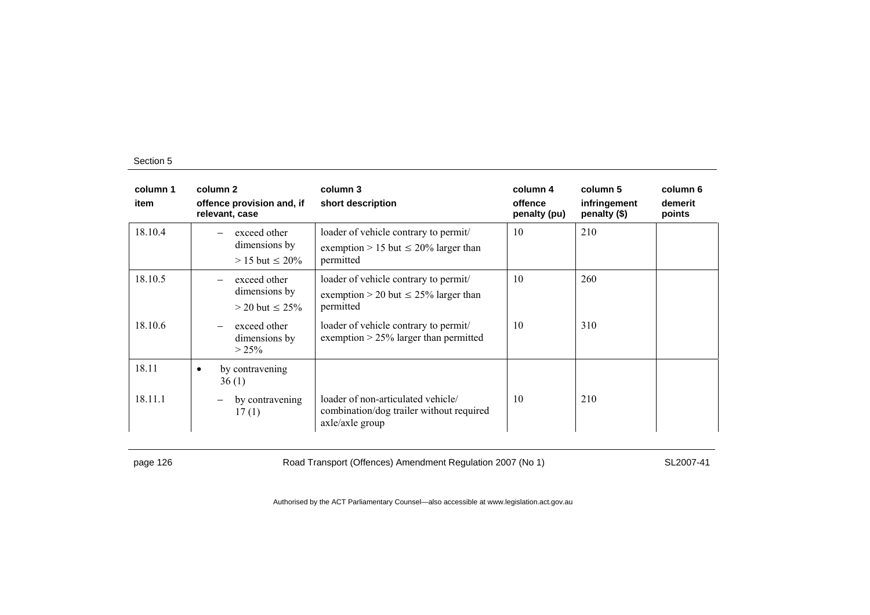| column 1<br>item | column 2<br>offence provision and, if<br>relevant, case | column 3<br>short description                                                                     | column 4<br>offence<br>penalty (pu) | column 5<br>infringement<br>penalty (\$) | column 6<br>demerit<br>points |
|------------------|---------------------------------------------------------|---------------------------------------------------------------------------------------------------|-------------------------------------|------------------------------------------|-------------------------------|
| 18.10.4          | exceed other<br>dimensions by<br>$> 15$ but $\leq 20\%$ | loader of vehicle contrary to permit/<br>exemption > 15 but $\leq$ 20% larger than<br>permitted   | 10                                  | 210                                      |                               |
| 18.10.5          | exceed other<br>dimensions by<br>$>$ 20 but $\leq$ 25%  | loader of vehicle contrary to permit<br>exemption > 20 but $\leq$ 25% larger than<br>permitted    | 10                                  | 260                                      |                               |
| 18.10.6          | exceed other<br>dimensions by<br>$> 25\%$               | loader of vehicle contrary to permit/<br>exemption $> 25\%$ larger than permitted                 | 10                                  | 310                                      |                               |
| 18.11            | by contravening<br>$\bullet$<br>36(1)                   |                                                                                                   |                                     |                                          |                               |
| 18.11.1          | by contravening<br>17(1)                                | loader of non-articulated vehicle/<br>combination/dog trailer without required<br>axle/axle group | 10                                  | 210                                      |                               |

page 126 **Road Transport (Offences) Amendment Regulation 2007 (No 1)** SL2007-41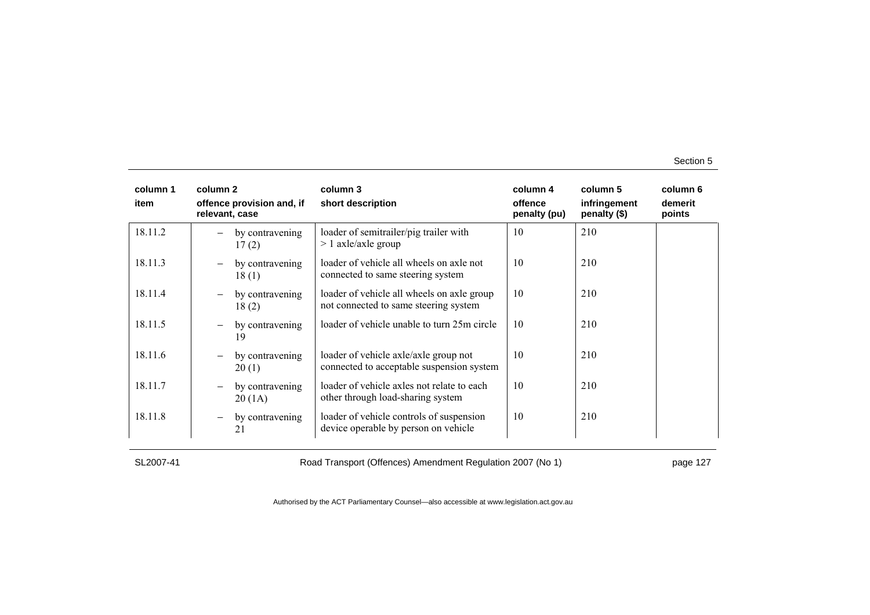| column 1<br>item | column 2<br>offence provision and, if<br>relevant, case | column 3<br>short description                                                       | column 4<br>offence<br>penalty (pu) | column 5<br>infringement<br>penalty (\$) | column 6<br>demerit<br>points |
|------------------|---------------------------------------------------------|-------------------------------------------------------------------------------------|-------------------------------------|------------------------------------------|-------------------------------|
| 18.11.2          | by contravening<br>17(2)                                | loader of semitrailer/pig trailer with<br>$> 1$ axle/axle group                     | 10                                  | 210                                      |                               |
| 18.11.3          | by contravening<br>$\overline{\phantom{0}}$<br>18(1)    | loader of vehicle all wheels on axle not<br>connected to same steering system       | 10                                  | 210                                      |                               |
| 18.11.4          | by contravening<br>$\qquad \qquad -$<br>18(2)           | loader of vehicle all wheels on axle group<br>not connected to same steering system | 10                                  | 210                                      |                               |
| 18.11.5          | by contravening<br>19                                   | loader of vehicle unable to turn 25m circle                                         | 10                                  | 210                                      |                               |
| 18.11.6          | by contravening<br>$\overline{\phantom{0}}$<br>20(1)    | loader of vehicle axle/axle group not<br>connected to acceptable suspension system  | 10                                  | 210                                      |                               |
| 18.11.7          | by contravening<br>$\qquad \qquad -$<br>20(1A)          | loader of vehicle axles not relate to each<br>other through load-sharing system     | 10                                  | 210                                      |                               |
| 18.11.8          | by contravening<br>$\overline{\phantom{m}}$<br>21       | loader of vehicle controls of suspension<br>device operable by person on vehicle    | 10                                  | 210                                      |                               |

SL2007-41 Road Transport (Offences) Amendment Regulation 2007 (No 1) page 127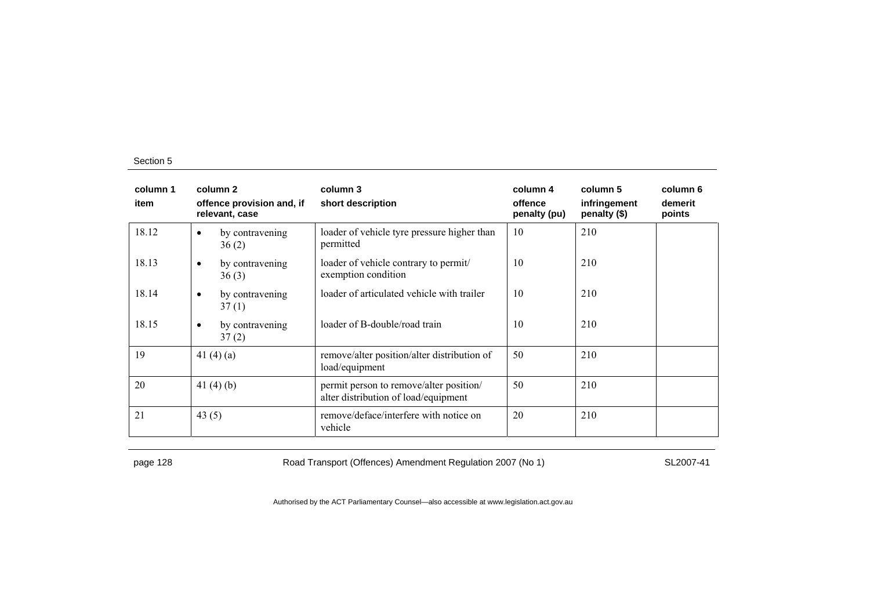| column 1<br>item | column 2<br>offence provision and, if<br>relevant, case | column 3<br>short description                                                   | column 4<br>offence<br>penalty (pu) | column 5<br>infringement<br>penalty (\$) | column 6<br>demerit<br>points |
|------------------|---------------------------------------------------------|---------------------------------------------------------------------------------|-------------------------------------|------------------------------------------|-------------------------------|
| 18.12            | by contravening<br>$\bullet$<br>36(2)                   | loader of vehicle tyre pressure higher than<br>permitted                        | 10                                  | 210                                      |                               |
| 18.13            | by contravening<br>$\bullet$<br>36(3)                   | loader of vehicle contrary to permit/<br>exemption condition                    | 10                                  | 210                                      |                               |
| 18.14            | by contravening<br>$\bullet$<br>37(1)                   | loader of articulated vehicle with trailer                                      | 10                                  | 210                                      |                               |
| 18.15            | by contravening<br>$\bullet$<br>37(2)                   | loader of B-double/road train                                                   | 10                                  | 210                                      |                               |
| 19               | 41 $(4)(a)$                                             | remove/alter position/alter distribution of<br>load/equipment                   | 50                                  | 210                                      |                               |
| 20               | 41 $(4)(b)$                                             | permit person to remove/alter position/<br>alter distribution of load/equipment | 50                                  | 210                                      |                               |
| 21               | 43 $(5)$                                                | remove/deface/interfere with notice on<br>vehicle                               | 20                                  | 210                                      |                               |

page 128 **Road Transport (Offences) Amendment Regulation 2007 (No 1)** SL2007-41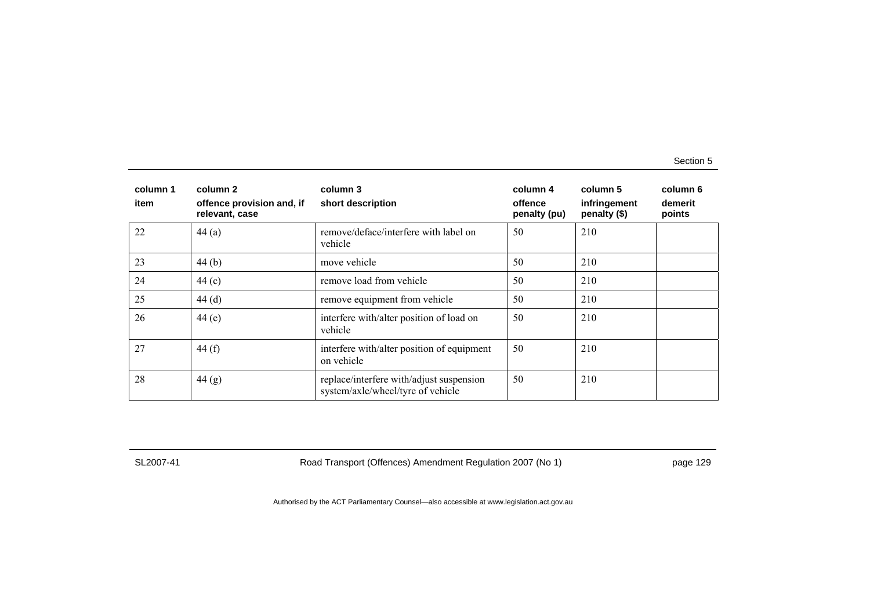| column 1<br>item | column 2<br>offence provision and, if<br>relevant, case | column 3<br>short description                                                 | column 4<br>offence<br>penalty (pu) | column 5<br>infringement<br>penalty (\$) | column 6<br>demerit<br>points |
|------------------|---------------------------------------------------------|-------------------------------------------------------------------------------|-------------------------------------|------------------------------------------|-------------------------------|
| 22               | 44(a)                                                   | remove/deface/interfere with label on<br>vehicle                              | 50                                  | 210                                      |                               |
| 23               | 44 $(b)$                                                | move vehicle                                                                  | 50                                  | 210                                      |                               |
| 24               | 44 $(c)$                                                | remove load from vehicle                                                      | 50                                  | 210                                      |                               |
| 25               | 44(d)                                                   | remove equipment from vehicle                                                 | 50                                  | 210                                      |                               |
| 26               | 44 $(e)$                                                | interfere with/alter position of load on<br>vehicle                           | 50                                  | 210                                      |                               |
| 27               | 44 $(f)$                                                | interfere with/alter position of equipment<br>on vehicle                      | 50                                  | 210                                      |                               |
| 28               | 44(g)                                                   | replace/interfere with/adjust suspension<br>system/axle/wheel/tyre of vehicle | 50                                  | 210                                      |                               |

SL2007-41 Road Transport (Offences) Amendment Regulation 2007 (No 1) page 129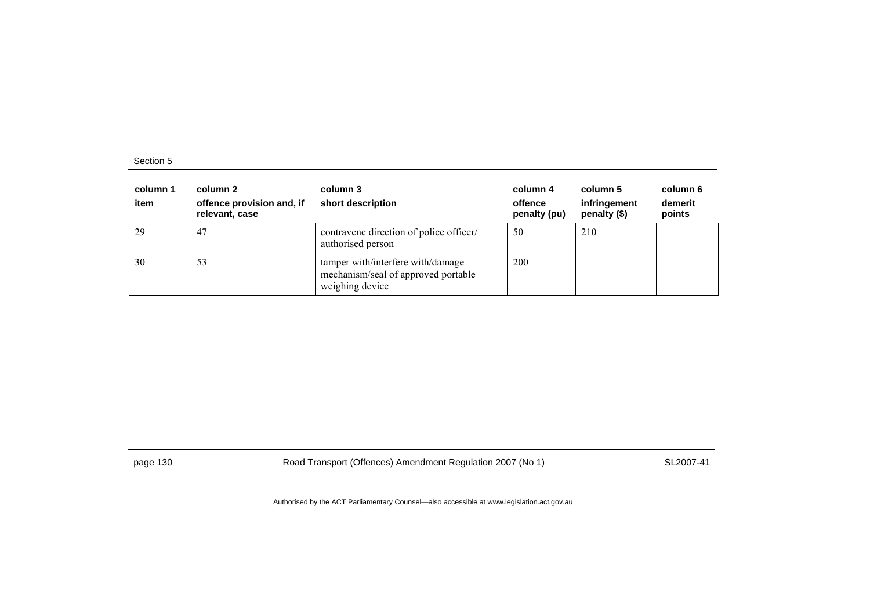| column 1<br>item | column 2<br>offence provision and, if<br>relevant, case | column 3<br>short description                                                               | column 4<br>offence<br>penalty (pu) | column 5<br>infringement<br>penalty (\$) | column 6<br>demerit<br>points |
|------------------|---------------------------------------------------------|---------------------------------------------------------------------------------------------|-------------------------------------|------------------------------------------|-------------------------------|
| 29               | 47                                                      | contravene direction of police officer/<br>authorised person                                | 50                                  | 210                                      |                               |
| 30               | 53                                                      | tamper with/interfere with/damage<br>mechanism/seal of approved portable<br>weighing device | 200                                 |                                          |                               |

page 130 Road Transport (Offences) Amendment Regulation 2007 (No 1) SL2007-41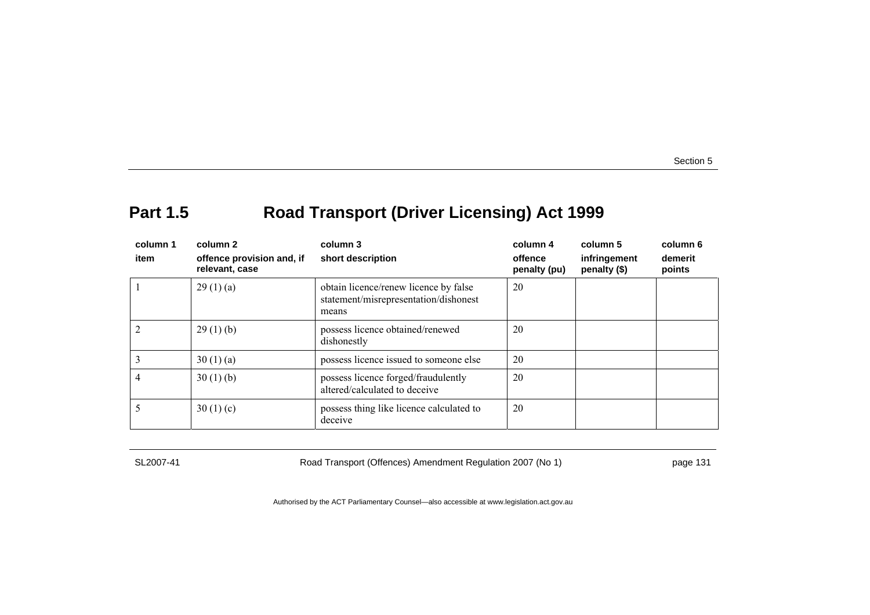# **Part 1.5 Road Transport (Driver Licensing) Act 1999**

| column 1<br>item | column 2<br>offence provision and, if<br>relevant, case | column 3<br>short description                                                           | column 4<br>offence<br>penalty (pu) | column 5<br>infringement<br>penalty (\$) | column 6<br>demerit<br>points |
|------------------|---------------------------------------------------------|-----------------------------------------------------------------------------------------|-------------------------------------|------------------------------------------|-------------------------------|
|                  | 29(1)(a)                                                | obtain licence/renew licence by false<br>statement/misrepresentation/dishonest<br>means | 20                                  |                                          |                               |
|                  | 29(1)(b)                                                | possess licence obtained/renewed<br>dishonestly                                         | 20                                  |                                          |                               |
|                  | 30(1)(a)                                                | possess licence issued to someone else                                                  | 20                                  |                                          |                               |
|                  | 30(1)(b)                                                | possess licence forged/fraudulently<br>altered/calculated to deceive                    | 20                                  |                                          |                               |
|                  | 30(1)(c)                                                | possess thing like licence calculated to<br>deceive                                     | 20                                  |                                          |                               |

SL2007-41 Road Transport (Offences) Amendment Regulation 2007 (No 1) page 131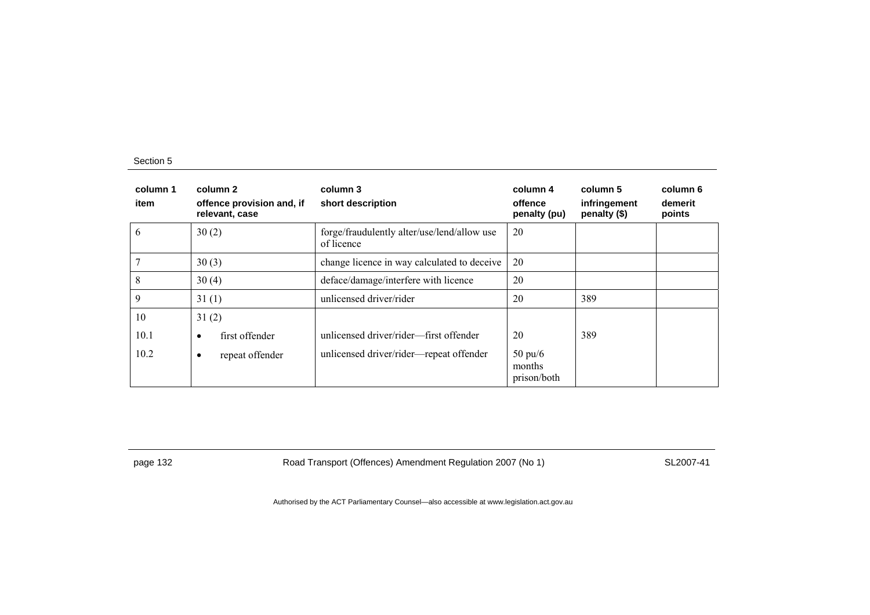| column 1<br>item | column 2<br>offence provision and, if<br>relevant, case | column 3<br>short description                             | column 4<br>offence<br>penalty (pu)        | column 5<br>infringement<br>penalty (\$) | column 6<br>demerit<br>points |
|------------------|---------------------------------------------------------|-----------------------------------------------------------|--------------------------------------------|------------------------------------------|-------------------------------|
| 6                | 30(2)                                                   | forge/fraudulently alter/use/lend/allow use<br>of licence | 20                                         |                                          |                               |
|                  | 30(3)                                                   | change licence in way calculated to deceive               | 20                                         |                                          |                               |
| 8                | 30(4)                                                   | deface/damage/interfere with licence                      | 20                                         |                                          |                               |
| $\mathbf Q$      | 31(1)                                                   | unlicensed driver/rider                                   | 20                                         | 389                                      |                               |
| 10               | 31(2)                                                   |                                                           |                                            |                                          |                               |
| 10.1             | first offender<br>٠                                     | unlicensed driver/rider—first offender                    | 20                                         | 389                                      |                               |
| 10.2             | repeat offender<br>٠                                    | unlicensed driver/rider-repeat offender                   | $50 \text{ pu}/6$<br>months<br>prison/both |                                          |                               |

page 132 **Road Transport (Offences) Amendment Regulation 2007 (No 1)** SL2007-41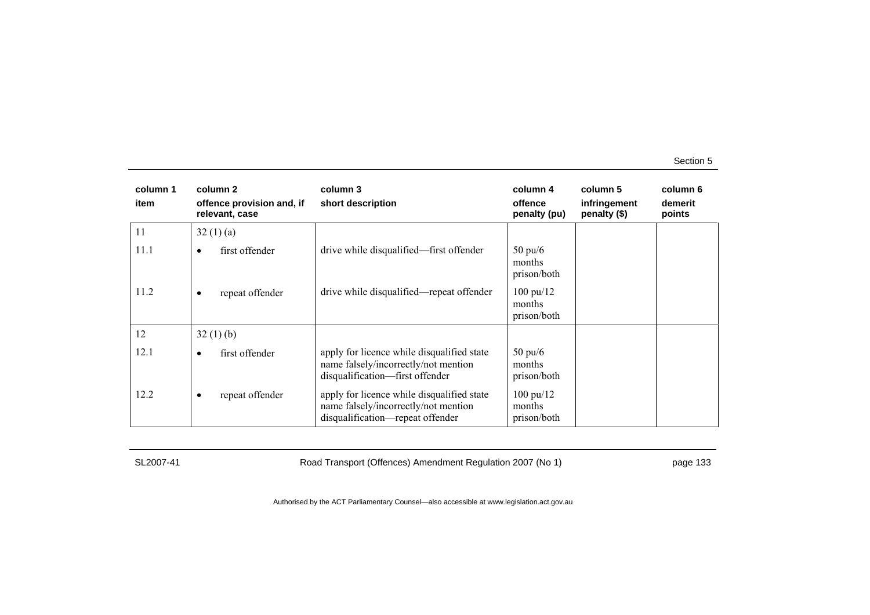| column 1<br>item | column 2<br>offence provision and, if<br>relevant, case | column 3<br>short description                                                                                          | column 4<br>offence<br>penalty (pu)          | column 5<br>infringement<br>penalty (\$) | column 6<br>demerit<br>points |
|------------------|---------------------------------------------------------|------------------------------------------------------------------------------------------------------------------------|----------------------------------------------|------------------------------------------|-------------------------------|
| 11               | 32(1)(a)                                                |                                                                                                                        |                                              |                                          |                               |
| 11.1             | first offender<br>$\bullet$                             | drive while disqualified—first offender                                                                                | $50 \text{ pu/6}$<br>months<br>prison/both   |                                          |                               |
| 11.2             | repeat offender<br>٠                                    | drive while disqualified—repeat offender                                                                               | $100 \text{ pu}/12$<br>months<br>prison/both |                                          |                               |
| 12               | 32(1)(b)                                                |                                                                                                                        |                                              |                                          |                               |
| 12.1             | first offender<br>$\bullet$                             | apply for licence while disqualified state<br>name falsely/incorrectly/not mention<br>disqualification-first offender  | $50 \text{ pu}/6$<br>months<br>prison/both   |                                          |                               |
| 12.2             | repeat offender<br>$\bullet$                            | apply for licence while disqualified state<br>name falsely/incorrectly/not mention<br>disqualification-repeat offender | $100 \text{ pu}/12$<br>months<br>prison/both |                                          |                               |

SL2007-41 Road Transport (Offences) Amendment Regulation 2007 (No 1) page 133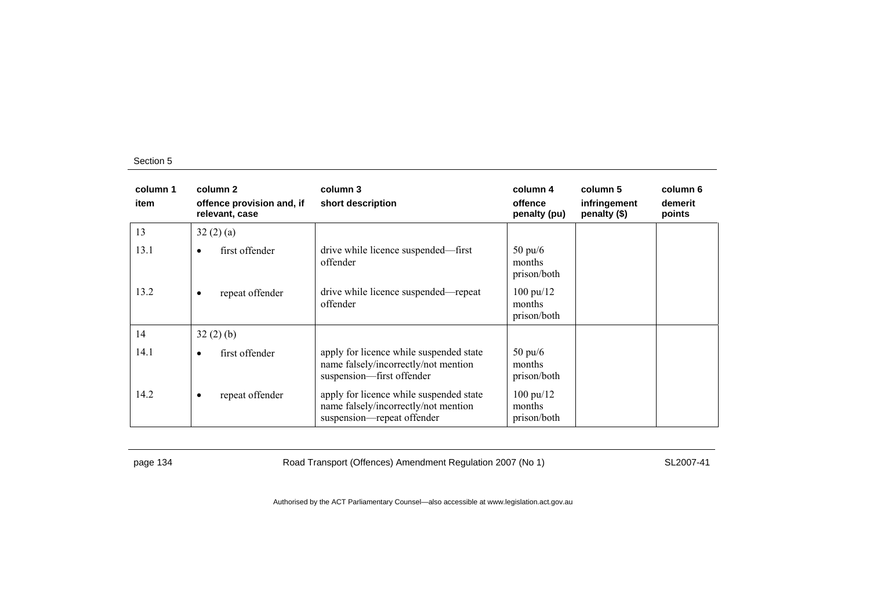| column 1<br>item | column 2<br>offence provision and, if<br>relevant, case | column 3<br>short description                                                                                 | column 4<br>offence<br>penalty (pu)          | column 5<br>infringement<br>penalty (\$) | column 6<br>demerit<br>points |
|------------------|---------------------------------------------------------|---------------------------------------------------------------------------------------------------------------|----------------------------------------------|------------------------------------------|-------------------------------|
| 13               | 32(2)(a)                                                |                                                                                                               |                                              |                                          |                               |
| 13.1             | first offender<br>$\bullet$                             | drive while licence suspended—first<br>offender                                                               | $50 \text{ pu/6}$<br>months<br>prison/both   |                                          |                               |
| 13.2             | repeat offender<br>$\bullet$                            | drive while licence suspended—repeat<br>offender                                                              | $100 \text{ pu}/12$<br>months<br>prison/both |                                          |                               |
| 14               | 32(2)(b)                                                |                                                                                                               |                                              |                                          |                               |
| 14.1             | first offender<br>$\bullet$                             | apply for licence while suspended state<br>name falsely/incorrectly/not mention<br>suspension—first offender  | $50 \text{ pu}/6$<br>months<br>prison/both   |                                          |                               |
| 14.2             | repeat offender<br>$\bullet$                            | apply for licence while suspended state<br>name falsely/incorrectly/not mention<br>suspension—repeat offender | $100 \text{ pu}/12$<br>months<br>prison/both |                                          |                               |

page 134 Road Transport (Offences) Amendment Regulation 2007 (No 1) SL2007-41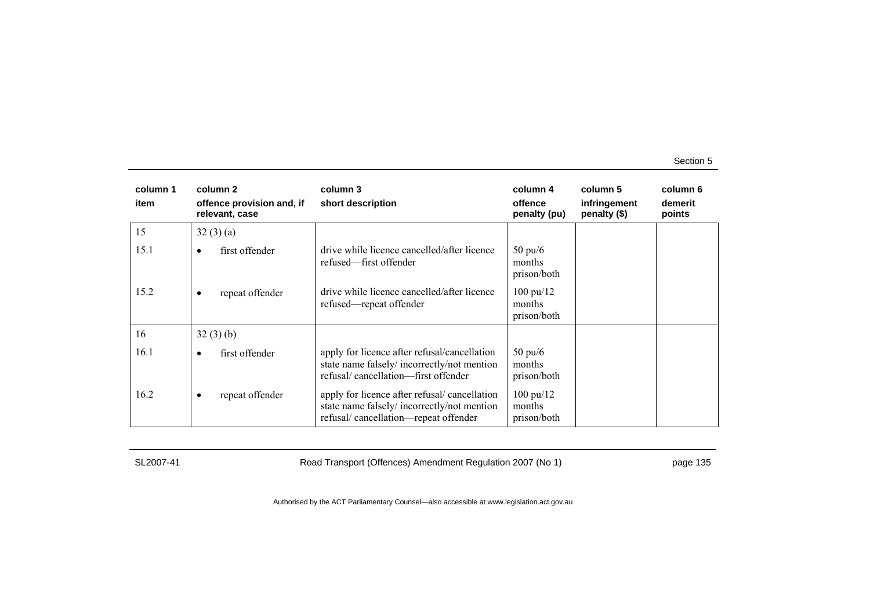| column 1<br>item | column <sub>2</sub><br>offence provision and, if<br>relevant, case | column 3<br>short description                                                                                                      | column 4<br>offence<br>penalty (pu)          | column 5<br>infringement<br>penalty (\$) | column 6<br>demerit<br>points |
|------------------|--------------------------------------------------------------------|------------------------------------------------------------------------------------------------------------------------------------|----------------------------------------------|------------------------------------------|-------------------------------|
| 15               | 32(3)(a)                                                           |                                                                                                                                    |                                              |                                          |                               |
| 15.1             | first offender<br>$\bullet$                                        | drive while licence cancelled/after licence<br>refused—first offender                                                              | $50 \text{ pu/6}$<br>months<br>prison/both   |                                          |                               |
| 15.2             | repeat offender<br>٠                                               | drive while licence cancelled/after licence<br>refused—repeat offender                                                             | $100 \text{ pu}/12$<br>months<br>prison/both |                                          |                               |
| 16               | 32(3)(b)                                                           |                                                                                                                                    |                                              |                                          |                               |
| 16.1             | first offender<br>$\bullet$                                        | apply for licence after refusal/cancellation<br>state name falsely/incorrectly/not mention<br>refusal/cancellation-first offender  | $50 \text{ pu}/6$<br>months<br>prison/both   |                                          |                               |
| 16.2             | repeat offender<br>$\bullet$                                       | apply for licence after refusal/cancellation<br>state name falsely/incorrectly/not mention<br>refusal/cancellation-repeat offender | $100 \text{ pu}/12$<br>months<br>prison/both |                                          |                               |

SL2007-41 Road Transport (Offences) Amendment Regulation 2007 (No 1) page 135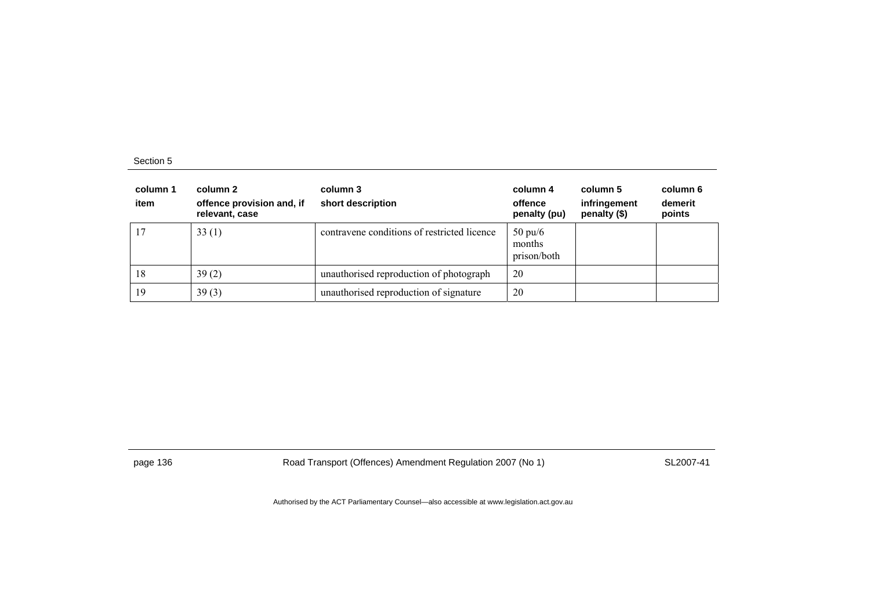| column 1<br>item | column 2<br>offence provision and, if<br>relevant, case | column 3<br>short description               | column 4<br>offence<br>penalty (pu)        | column 5<br>infringement<br>penalty (\$) | column 6<br>demerit<br>points |
|------------------|---------------------------------------------------------|---------------------------------------------|--------------------------------------------|------------------------------------------|-------------------------------|
| 17               | 33(1)                                                   | contravene conditions of restricted licence | $50 \text{ pu}/6$<br>months<br>prison/both |                                          |                               |
| 18               | 39(2)                                                   | unauthorised reproduction of photograph     | 20                                         |                                          |                               |
| 19               | 39(3)                                                   | unauthorised reproduction of signature      | 20                                         |                                          |                               |

page 136 **Road Transport (Offences) Amendment Regulation 2007 (No 1)** SL2007-41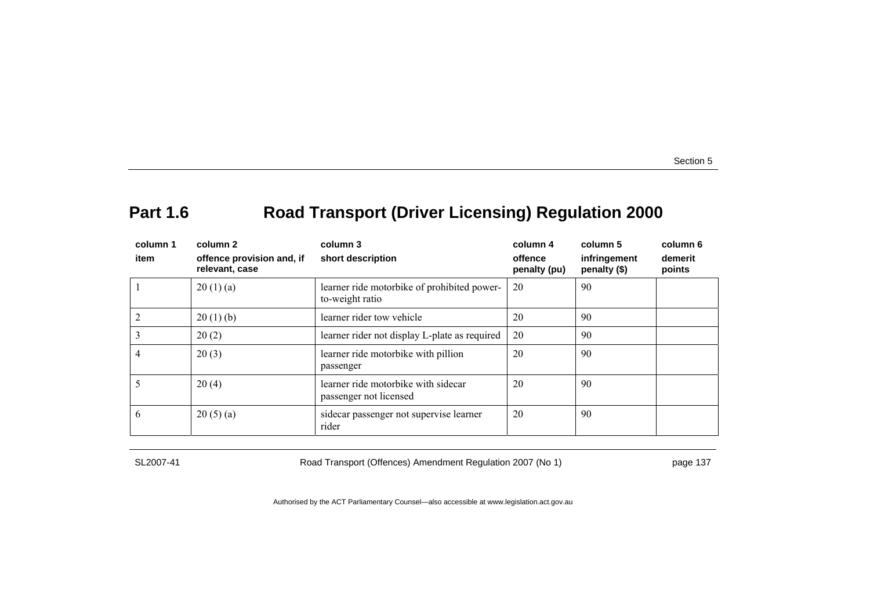# **Part 1.6 Road Transport (Driver Licensing) Regulation 2000**

| column 1<br>item | column 2<br>offence provision and, if<br>relevant, case | column 3<br>short description                                  | column 4<br>offence<br>penalty (pu) | column 5<br>infringement<br>penalty (\$) | column 6<br>demerit<br>points |
|------------------|---------------------------------------------------------|----------------------------------------------------------------|-------------------------------------|------------------------------------------|-------------------------------|
|                  | 20(1)(a)                                                | learner ride motorbike of prohibited power-<br>to-weight ratio | 20                                  | 90                                       |                               |
|                  | 20(1)(b)                                                | learner rider tow vehicle                                      | 20                                  | 90                                       |                               |
|                  | 20(2)                                                   | learner rider not display L-plate as required                  | 20                                  | 90                                       |                               |
| 4                | 20(3)                                                   | learner ride motorbike with pillion<br>passenger               | 20                                  | 90                                       |                               |
|                  | 20(4)                                                   | learner ride motorbike with sidecar<br>passenger not licensed  | 20                                  | 90                                       |                               |
| 6                | 20(5)(a)                                                | sidecar passenger not supervise learner<br>rider               | 20                                  | 90                                       |                               |

SL2007-41 Road Transport (Offences) Amendment Regulation 2007 (No 1) page 137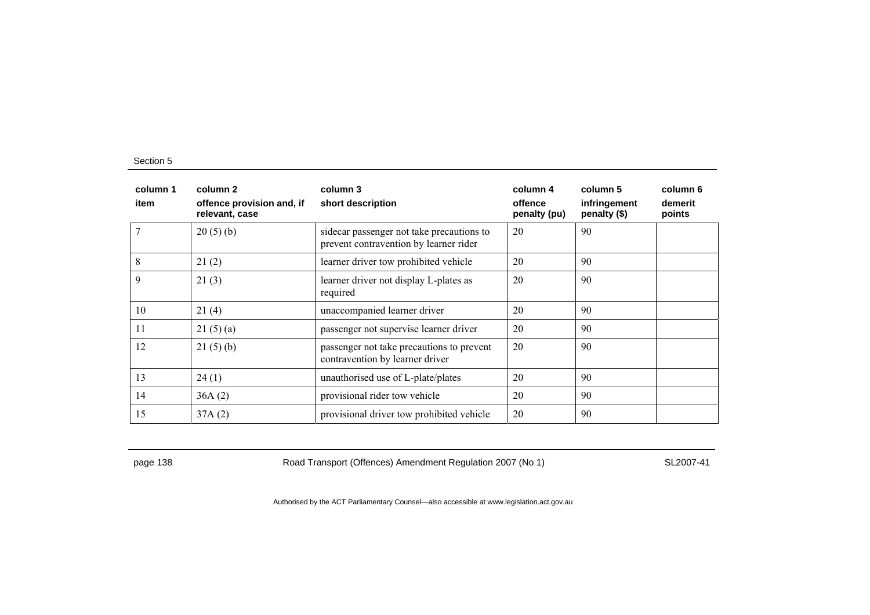| column 1<br>item | column 2<br>offence provision and, if<br>relevant, case | column 3<br>short description                                                        | column 4<br>offence<br>penalty (pu) | column 5<br>infringement<br>penalty (\$) | column 6<br>demerit<br>points |
|------------------|---------------------------------------------------------|--------------------------------------------------------------------------------------|-------------------------------------|------------------------------------------|-------------------------------|
|                  | 20(5)(b)                                                | side car passenger not take precautions to<br>prevent contravention by learner rider | 20                                  | 90                                       |                               |
| 8                | 21(2)                                                   | learner driver tow prohibited vehicle                                                | 20                                  | 90                                       |                               |
| 9                | 21(3)                                                   | learner driver not display L-plates as<br>required                                   | 20                                  | 90                                       |                               |
| 10               | 21(4)                                                   | unaccompanied learner driver                                                         | 20                                  | 90                                       |                               |
| 11               | 21(5)(a)                                                | passenger not supervise learner driver                                               | 20                                  | 90                                       |                               |
| 12               | 21(5)(b)                                                | passenger not take precautions to prevent<br>contravention by learner driver         | 20                                  | 90                                       |                               |
| 13               | 24(1)                                                   | unauthorised use of L-plate/plates                                                   | 20                                  | 90                                       |                               |
| 14               | 36A(2)                                                  | provisional rider tow vehicle                                                        | 20                                  | 90                                       |                               |
| 15               | 37A(2)                                                  | provisional driver tow prohibited vehicle                                            | 20                                  | 90                                       |                               |

page 138 Road Transport (Offences) Amendment Regulation 2007 (No 1) SL2007-41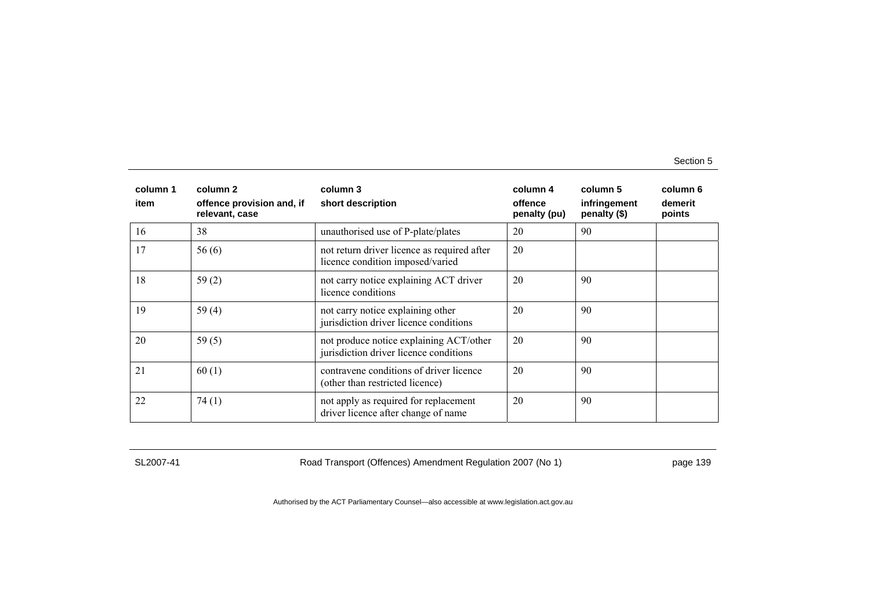| column 1<br>item | column <sub>2</sub><br>offence provision and, if<br>relevant, case | column 3<br>short description                                                     | column 4<br>offence<br>penalty (pu) | column 5<br>infringement<br>penalty (\$) | column 6<br>demerit<br>points |
|------------------|--------------------------------------------------------------------|-----------------------------------------------------------------------------------|-------------------------------------|------------------------------------------|-------------------------------|
| 16               | 38                                                                 | unauthorised use of P-plate/plates                                                | 20                                  | 90                                       |                               |
| 17               | 56(6)                                                              | not return driver licence as required after<br>licence condition imposed/varied   | 20                                  |                                          |                               |
| 18               | 59(2)                                                              | not carry notice explaining ACT driver<br>licence conditions                      | 20                                  | 90                                       |                               |
| 19               | 59 $(4)$                                                           | not carry notice explaining other<br>jurisdiction driver licence conditions       | 20                                  | 90                                       |                               |
| 20               | 59 $(5)$                                                           | not produce notice explaining ACT/other<br>jurisdiction driver licence conditions | 20                                  | 90                                       |                               |
| 21               | 60(1)                                                              | contravene conditions of driver licence<br>(other than restricted licence)        | 20                                  | 90                                       |                               |
| 22               | 74(1)                                                              | not apply as required for replacement<br>driver licence after change of name      | 20                                  | 90                                       |                               |

SL2007-41 Road Transport (Offences) Amendment Regulation 2007 (No 1) page 139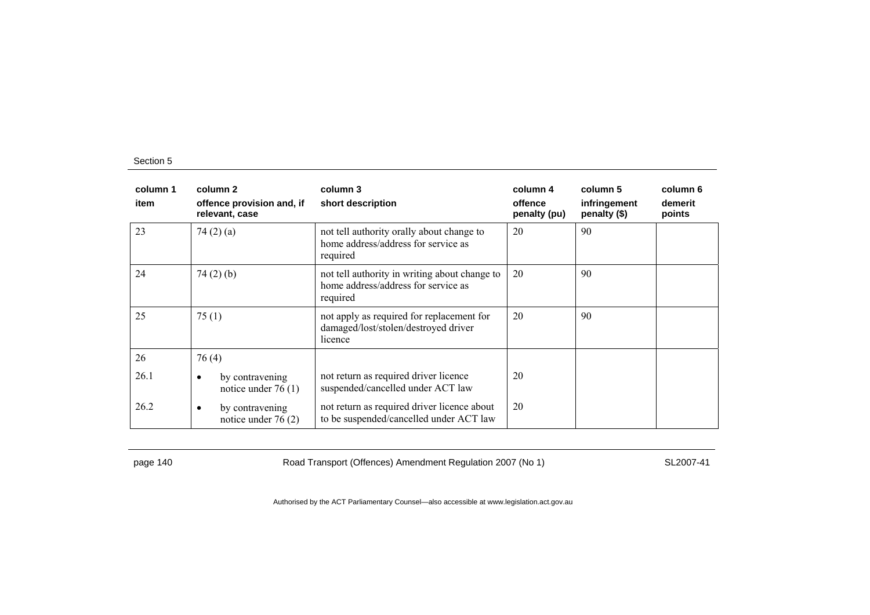| column 1<br>item | column 2<br>offence provision and, if<br>relevant, case | column 3<br>short description                                                                    | column 4<br>offence<br>penalty (pu) | column 5<br>infringement<br>penalty (\$) | column 6<br>demerit<br>points |
|------------------|---------------------------------------------------------|--------------------------------------------------------------------------------------------------|-------------------------------------|------------------------------------------|-------------------------------|
| 23               | 74 $(2)$ $(a)$                                          | not tell authority orally about change to<br>home address/address for service as<br>required     | 20                                  | 90                                       |                               |
| 24               | 74(2)(b)                                                | not tell authority in writing about change to<br>home address/address for service as<br>required | 20                                  | 90                                       |                               |
| 25               | 75(1)                                                   | not apply as required for replacement for<br>damaged/lost/stolen/destroyed driver<br>licence     | 20                                  | 90                                       |                               |
| 26               | 76(4)                                                   |                                                                                                  |                                     |                                          |                               |
| 26.1             | by contravening<br>٠<br>notice under $76(1)$            | not return as required driver licence<br>suspended/cancelled under ACT law                       | 20                                  |                                          |                               |
| 26.2             | by contravening<br>٠<br>notice under $76(2)$            | not return as required driver licence about<br>to be suspended/cancelled under ACT law           | 20                                  |                                          |                               |

page 140 Road Transport (Offences) Amendment Regulation 2007 (No 1) SL2007-41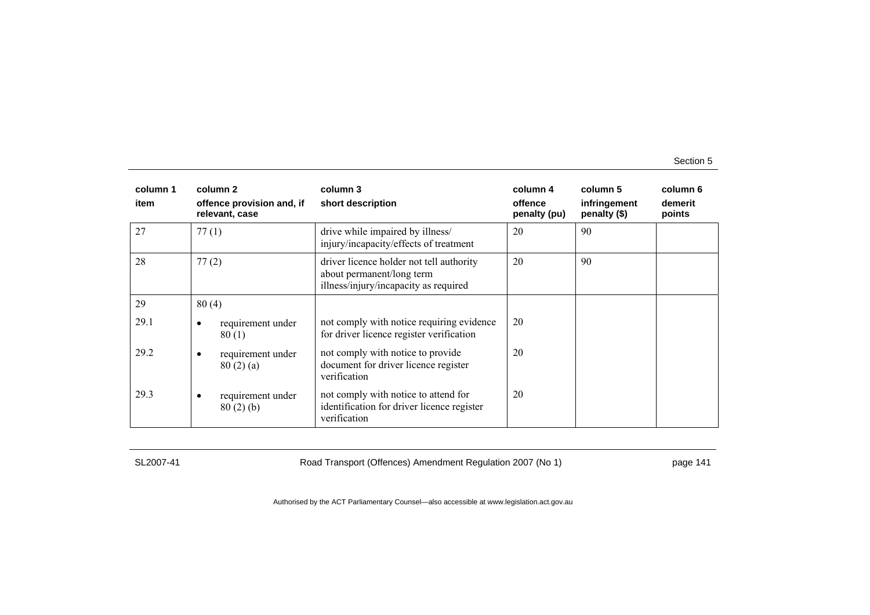| column 1<br>item | column 2<br>offence provision and, if<br>relevant, case | column 3<br>short description                                                                                  | column 4<br>offence<br>penalty (pu) | column 5<br>infringement<br>penalty (\$) | column 6<br>demerit<br>points |
|------------------|---------------------------------------------------------|----------------------------------------------------------------------------------------------------------------|-------------------------------------|------------------------------------------|-------------------------------|
| 27               | 77(1)                                                   | drive while impaired by illness/<br>injury/incapacity/effects of treatment                                     | 20                                  | 90                                       |                               |
| 28               | 77(2)                                                   | driver licence holder not tell authority<br>about permanent/long term<br>illness/injury/incapacity as required | 20                                  | 90                                       |                               |
| 29               | 80(4)                                                   |                                                                                                                |                                     |                                          |                               |
| 29.1             | requirement under<br>80(1)                              | not comply with notice requiring evidence<br>for driver licence register verification                          | 20                                  |                                          |                               |
| 29.2             | requirement under<br>80(2)(a)                           | not comply with notice to provide<br>document for driver licence register<br>verification                      | 20                                  |                                          |                               |
| 29.3             | requirement under<br>80(2)(b)                           | not comply with notice to attend for<br>identification for driver licence register<br>verification             | 20                                  |                                          |                               |

SL2007-41 Road Transport (Offences) Amendment Regulation 2007 (No 1) page 141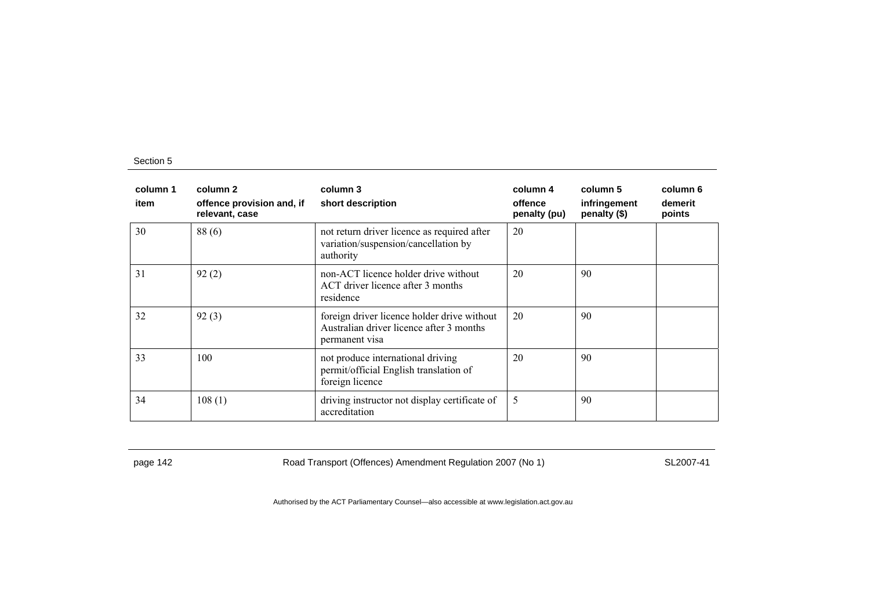| column 1<br>item | column 2<br>offence provision and, if<br>relevant, case | column 3<br>short description                                                                             | column 4<br>offence<br>penalty (pu) | column 5<br>infringement<br>penalty (\$) | column 6<br>demerit<br>points |
|------------------|---------------------------------------------------------|-----------------------------------------------------------------------------------------------------------|-------------------------------------|------------------------------------------|-------------------------------|
| 30               | 88(6)                                                   | not return driver licence as required after<br>variation/suspension/cancellation by<br>authority          | 20                                  |                                          |                               |
| 31               | 92(2)                                                   | non-ACT licence holder drive without<br>ACT driver licence after 3 months<br>residence                    | 20                                  | 90                                       |                               |
| 32               | 92(3)                                                   | foreign driver licence holder drive without<br>Australian driver licence after 3 months<br>permanent visa | 20                                  | 90                                       |                               |
| 33               | 100                                                     | not produce international driving<br>permit/official English translation of<br>foreign licence            | 20                                  | 90                                       |                               |
| 34               | 108(1)                                                  | driving instructor not display certificate of<br>accreditation                                            | 5                                   | 90                                       |                               |

page 142 Road Transport (Offences) Amendment Regulation 2007 (No 1) SL2007-41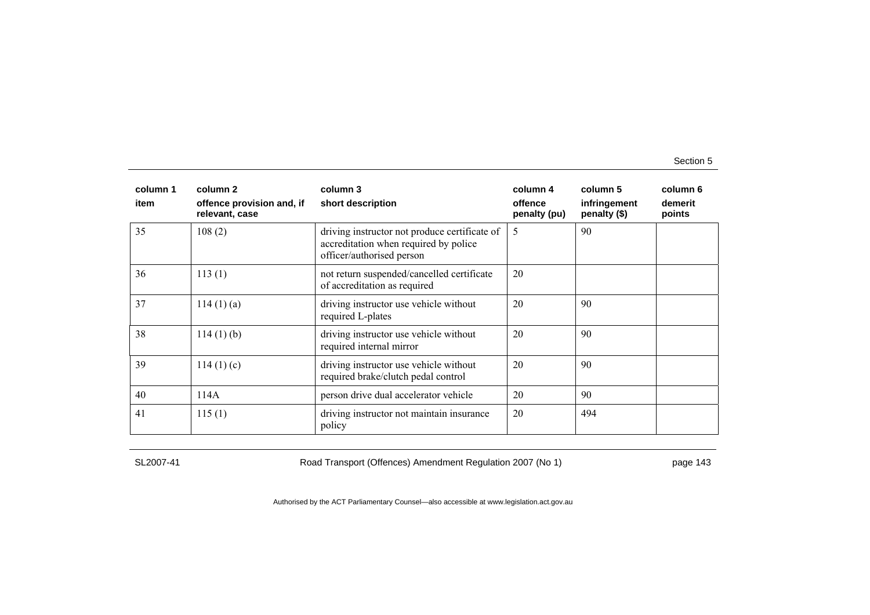| column 1<br>item | column 2<br>offence provision and, if<br>relevant, case | column 3<br>short description                                                                                       | column 4<br>offence<br>penalty (pu) | column 5<br>infringement<br>penalty (\$) | column 6<br>demerit<br>points |
|------------------|---------------------------------------------------------|---------------------------------------------------------------------------------------------------------------------|-------------------------------------|------------------------------------------|-------------------------------|
| 35               | 108(2)                                                  | driving instructor not produce certificate of<br>accreditation when required by police<br>officer/authorised person | 5                                   | 90                                       |                               |
| 36               | 113(1)                                                  | not return suspended/cancelled certificate<br>of accreditation as required                                          | 20                                  |                                          |                               |
| 37               | 114(1)(a)                                               | driving instructor use vehicle without<br>required L-plates                                                         | 20                                  | 90                                       |                               |
| 38               | $114(1)$ (b)                                            | driving instructor use vehicle without<br>required internal mirror                                                  | 20                                  | 90                                       |                               |
| 39               | 114(1)(c)                                               | driving instructor use vehicle without<br>required brake/clutch pedal control                                       | 20                                  | 90                                       |                               |
| 40               | 114A                                                    | person drive dual accelerator vehicle                                                                               | 20                                  | 90                                       |                               |
| 41               | 115(1)                                                  | driving instructor not maintain insurance<br>policy                                                                 | 20                                  | 494                                      |                               |

SL2007-41 Road Transport (Offences) Amendment Regulation 2007 (No 1) page 143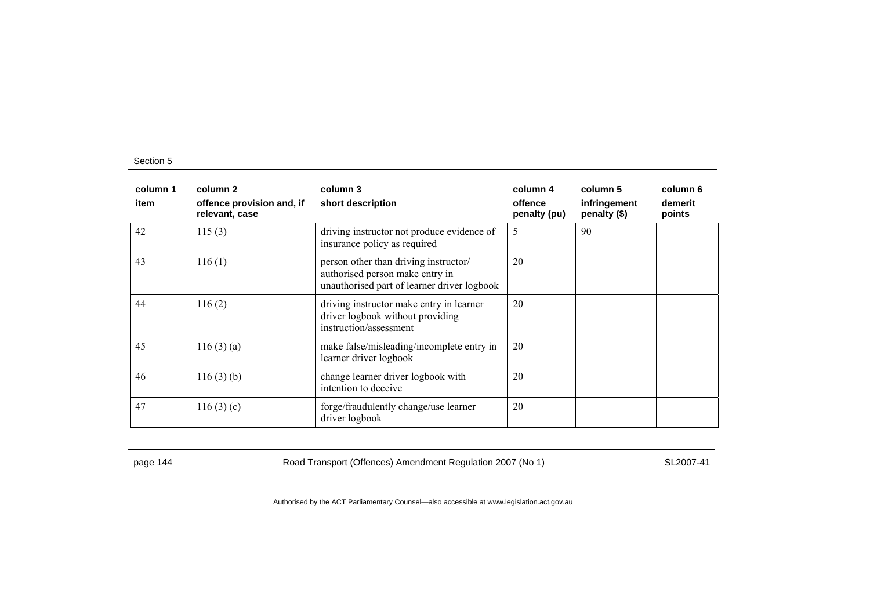| column 1<br>item | column 2<br>offence provision and, if<br>relevant, case | column 3<br>short description                                                                                           | column 4<br>offence<br>penalty (pu) | column 5<br>infringement<br>penalty (\$) | column 6<br>demerit<br>points |
|------------------|---------------------------------------------------------|-------------------------------------------------------------------------------------------------------------------------|-------------------------------------|------------------------------------------|-------------------------------|
| 42               | 115(3)                                                  | driving instructor not produce evidence of<br>insurance policy as required                                              | 5                                   | 90                                       |                               |
| 43               | 116(1)                                                  | person other than driving instructor/<br>authorised person make entry in<br>unauthorised part of learner driver logbook | 20                                  |                                          |                               |
| 44               | 116(2)                                                  | driving instructor make entry in learner<br>driver logbook without providing<br>instruction/assessment                  | 20                                  |                                          |                               |
| 45               | 116(3)(a)                                               | make false/misleading/incomplete entry in<br>learner driver logbook                                                     | 20                                  |                                          |                               |
| 46               | 116(3)(b)                                               | change learner driver logbook with<br>intention to deceive                                                              | 20                                  |                                          |                               |
| 47               | 116(3)(c)                                               | forge/fraudulently change/use learner<br>driver logbook                                                                 | 20                                  |                                          |                               |

page 144 Road Transport (Offences) Amendment Regulation 2007 (No 1) SL2007-41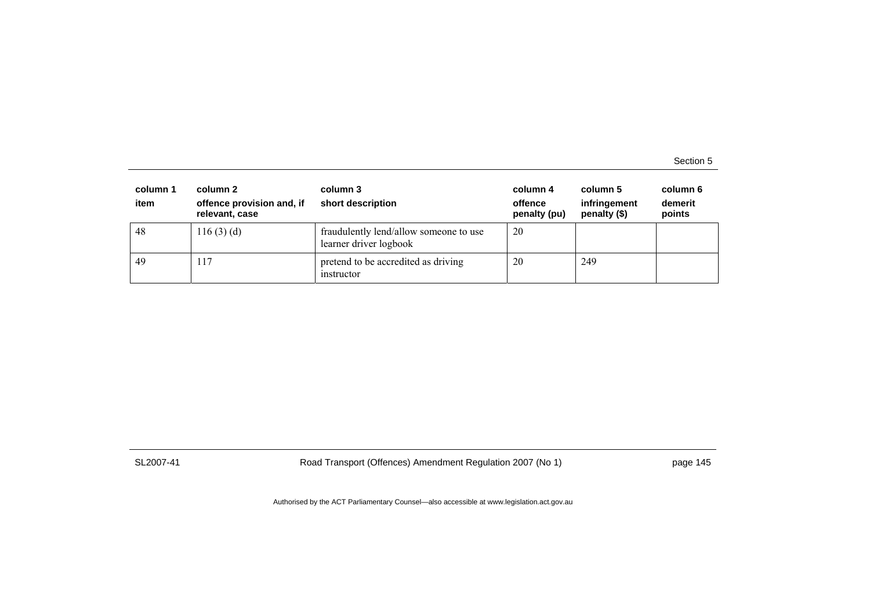| column 1<br>item | column 2<br>column 3<br>offence provision and, if<br>short description<br>relevant, case |                                                                  | column 4<br>offence<br>penalty (pu) | column 5<br>infringement<br>penalty $(\$)$ | column 6<br>demerit<br>points |
|------------------|------------------------------------------------------------------------------------------|------------------------------------------------------------------|-------------------------------------|--------------------------------------------|-------------------------------|
| 48               | 116(3)(d)                                                                                | fraudulently lend/allow someone to use<br>learner driver logbook | 20                                  |                                            |                               |
| -49              | 117                                                                                      | pretend to be accredited as driving<br>instructor                | 20                                  | 249                                        |                               |

SL2007-41 Road Transport (Offences) Amendment Regulation 2007 (No 1) page 145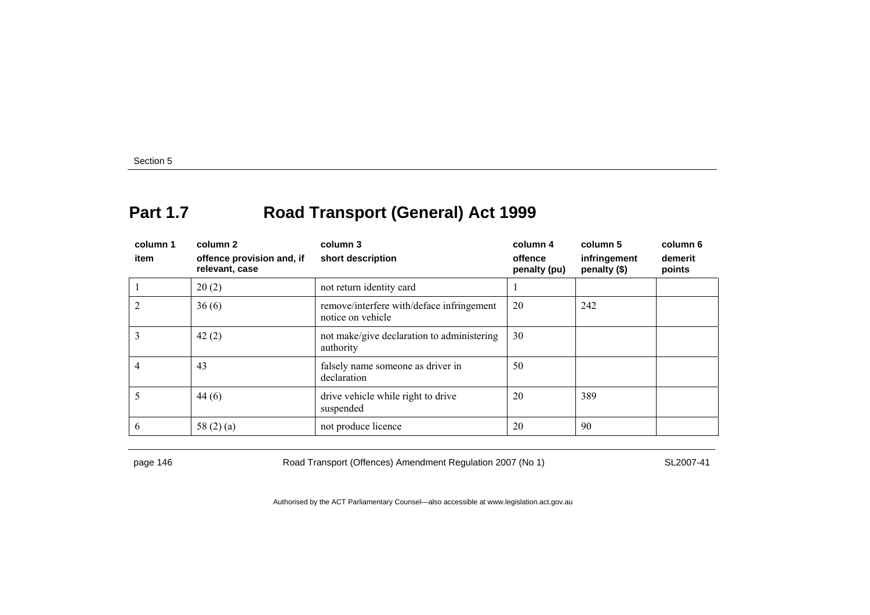### **Part 1.7 Road Transport (General) Act 1999**

| column 1<br>item | column 2<br>offence provision and, if<br>relevant, case | column 3<br>short description                                  | column 4<br>offence<br>penalty (pu) | column 5<br>infringement<br>penalty (\$) | column 6<br>demerit<br>points |
|------------------|---------------------------------------------------------|----------------------------------------------------------------|-------------------------------------|------------------------------------------|-------------------------------|
|                  | 20(2)                                                   | not return identity card                                       |                                     |                                          |                               |
|                  | 36(6)                                                   | remove/interfere with/deface infringement<br>notice on vehicle | 20                                  | 242                                      |                               |
|                  | 42(2)                                                   | not make/give declaration to administering<br>authority        | 30                                  |                                          |                               |
|                  | 43                                                      | falsely name someone as driver in<br>declaration               | 50                                  |                                          |                               |
|                  | 44(6)                                                   | drive vehicle while right to drive<br>suspended                | 20                                  | 389                                      |                               |
| 6                | 58 $(2)$ $(a)$                                          | not produce licence                                            | 20                                  | 90                                       |                               |

page 146 Road Transport (Offences) Amendment Regulation 2007 (No 1) SL2007-41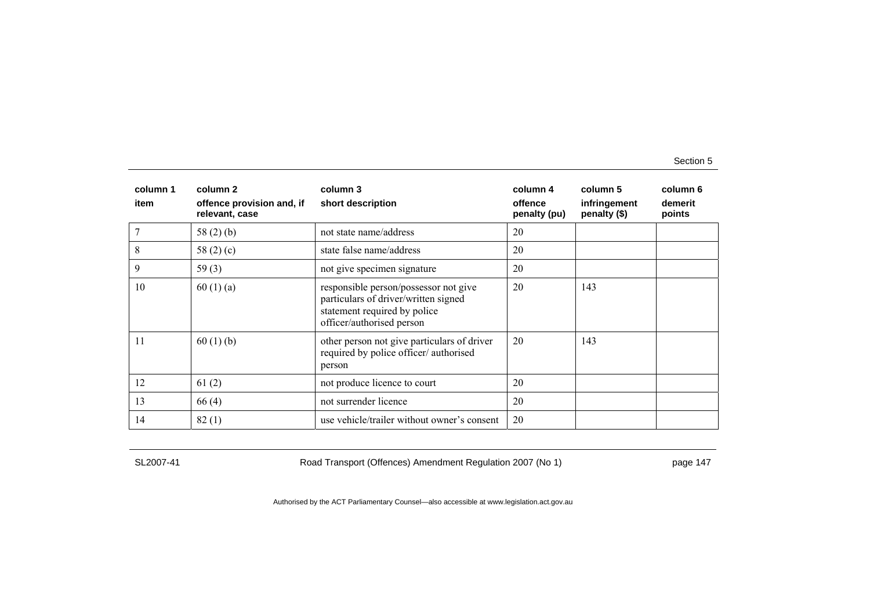| column 1<br>item | column 2<br>offence provision and, if<br>relevant, case | column 3<br>short description                                                                                                              | column 4<br>offence<br>penalty (pu) | column 5<br>infringement<br>penalty (\$) | column 6<br>demerit<br>points |
|------------------|---------------------------------------------------------|--------------------------------------------------------------------------------------------------------------------------------------------|-------------------------------------|------------------------------------------|-------------------------------|
|                  | 58 $(2)$ $(b)$                                          | not state name/address                                                                                                                     | 20                                  |                                          |                               |
| 8                | 58 $(2)(c)$                                             | state false name/address                                                                                                                   | 20                                  |                                          |                               |
| 9                | 59 $(3)$                                                | not give specimen signature                                                                                                                | 20                                  |                                          |                               |
| 10               | 60(1)(a)                                                | responsible person/possessor not give<br>particulars of driver/written signed<br>statement required by police<br>officer/authorised person | 20                                  | 143                                      |                               |
| 11               | 60(1)(b)                                                | other person not give particulars of driver<br>required by police officer/authorised<br>person                                             | 20                                  | 143                                      |                               |
| 12               | 61(2)                                                   | not produce licence to court                                                                                                               | 20                                  |                                          |                               |
| 13               | 66(4)                                                   | not surrender licence                                                                                                                      | 20                                  |                                          |                               |
| 14               | 82(1)                                                   | use vehicle/trailer without owner's consent                                                                                                | 20                                  |                                          |                               |

SL2007-41 Road Transport (Offences) Amendment Regulation 2007 (No 1) page 147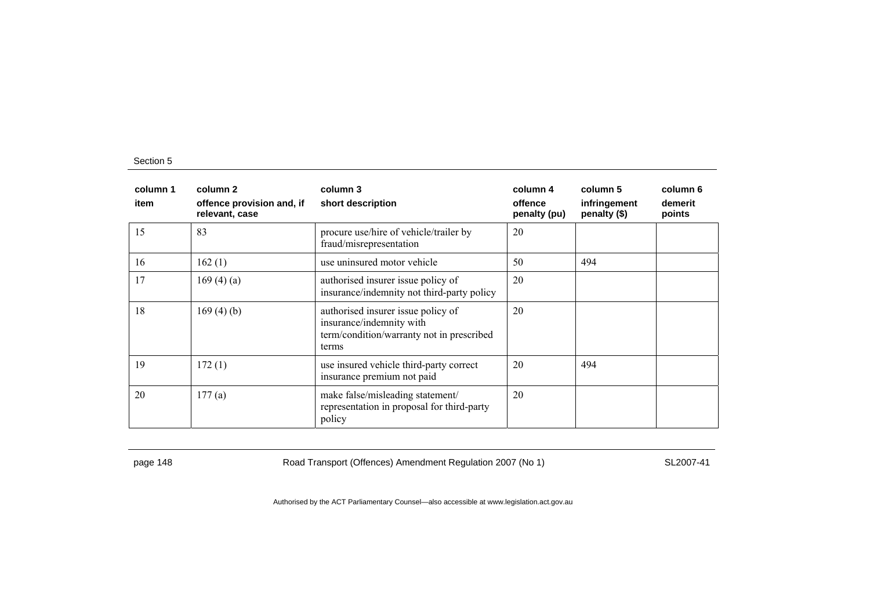| column 1<br>item | column 2<br>offence provision and, if<br>relevant, case | column 3<br>short description                                                                                        | column 4<br>offence<br>penalty (pu) | column 5<br>infringement<br>penalty (\$) | column 6<br>demerit<br>points |
|------------------|---------------------------------------------------------|----------------------------------------------------------------------------------------------------------------------|-------------------------------------|------------------------------------------|-------------------------------|
| 15               | 83                                                      | procure use/hire of vehicle/trailer by<br>fraud/misrepresentation                                                    | 20                                  |                                          |                               |
| 16               | 162(1)                                                  | use uninsured motor vehicle                                                                                          | 50                                  | 494                                      |                               |
| 17               | 169(4)(a)                                               | authorised insurer issue policy of<br>insurance/indemnity not third-party policy                                     | 20                                  |                                          |                               |
| 18               | 169(4)(b)                                               | authorised insurer issue policy of<br>insurance/indemnity with<br>term/condition/warranty not in prescribed<br>terms | 20                                  |                                          |                               |
| 19               | 172(1)                                                  | use insured vehicle third-party correct<br>insurance premium not paid                                                | 20                                  | 494                                      |                               |
| 20               | 177(a)                                                  | make false/misleading statement/<br>representation in proposal for third-party<br>policy                             | 20                                  |                                          |                               |

page 148 Road Transport (Offences) Amendment Regulation 2007 (No 1) SL2007-41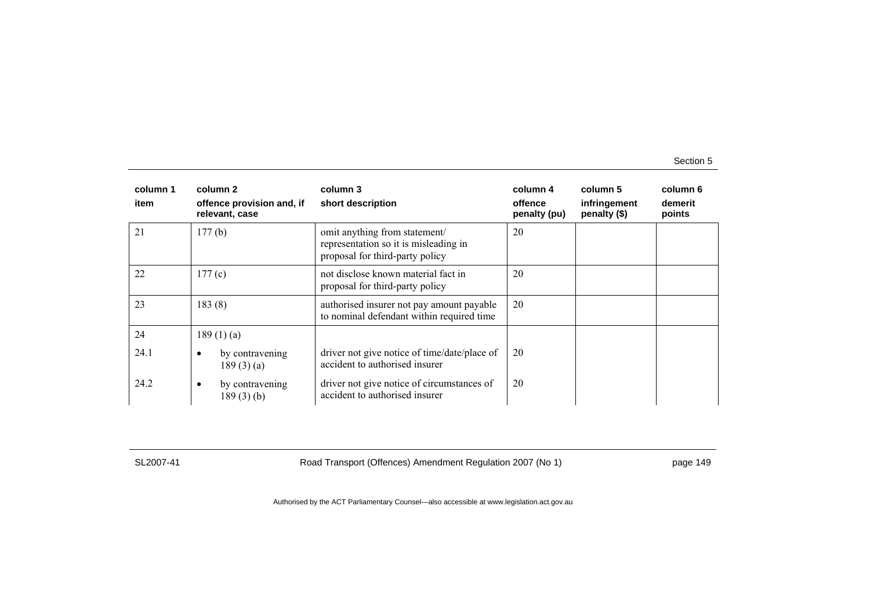| column 1<br>item | column 2<br>offence provision and, if<br>relevant, case | column 3<br>short description                                                                             | column 4<br>offence<br>penalty (pu) | column 5<br>infringement<br>penalty (\$) | column 6<br>demerit<br>points |
|------------------|---------------------------------------------------------|-----------------------------------------------------------------------------------------------------------|-------------------------------------|------------------------------------------|-------------------------------|
| 21               | 177(b)                                                  | omit anything from statement/<br>representation so it is misleading in<br>proposal for third-party policy | 20                                  |                                          |                               |
| 22               | 177(c)                                                  | not disclose known material fact in<br>proposal for third-party policy                                    | 20                                  |                                          |                               |
| 23               | 183(8)                                                  | authorised insurer not pay amount payable<br>to nominal defendant within required time                    | 20                                  |                                          |                               |
| 24               | 189(1)(a)                                               |                                                                                                           |                                     |                                          |                               |
| 24.1             | by contravening<br>$\bullet$<br>189(3)(a)               | driver not give notice of time/date/place of<br>accident to authorised insurer                            | 20                                  |                                          |                               |
| 24.2             | by contravening<br>$\bullet$<br>$189(3)$ (b)            | driver not give notice of circumstances of<br>accident to authorised insurer                              | 20                                  |                                          |                               |

SL2007-41 Road Transport (Offences) Amendment Regulation 2007 (No 1) page 149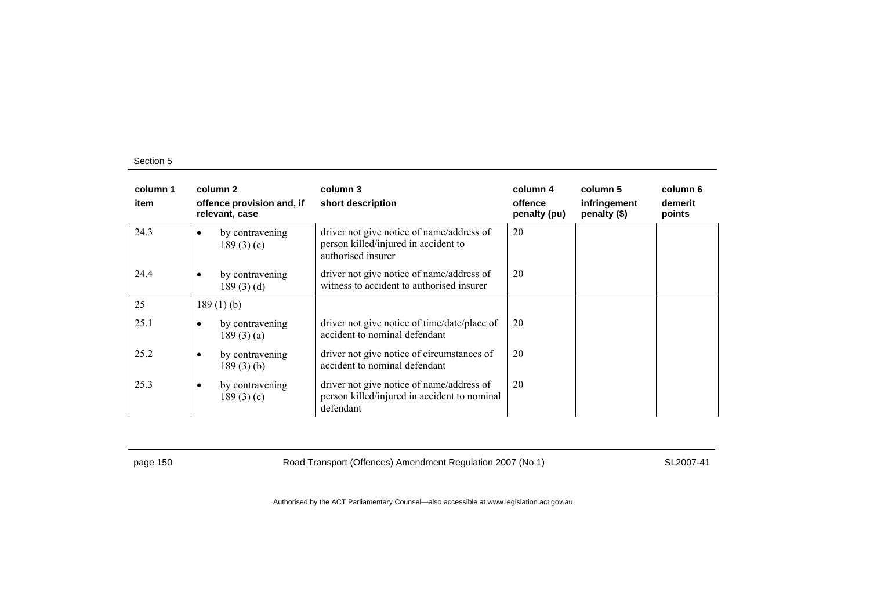| column 1<br>item |           | column 2<br>offence provision and, if<br>relevant, case | column 3<br>short description                                                                           | column 4<br>offence<br>penalty (pu) | column 5<br>infringement<br>penalty (\$) | column 6<br>demerit<br>points |
|------------------|-----------|---------------------------------------------------------|---------------------------------------------------------------------------------------------------------|-------------------------------------|------------------------------------------|-------------------------------|
| 24.3             | $\bullet$ | by contravening<br>189(3)(c)                            | driver not give notice of name/address of<br>person killed/injured in accident to<br>authorised insurer | 20                                  |                                          |                               |
| 24.4             | $\bullet$ | by contravening<br>189(3)(d)                            | driver not give notice of name/address of<br>witness to accident to authorised insurer                  | 20                                  |                                          |                               |
| 25               |           | 189 $(1)$ $(b)$                                         |                                                                                                         |                                     |                                          |                               |
| 25.1             | $\bullet$ | by contravening<br>189(3)(a)                            | driver not give notice of time/date/place of<br>accident to nominal defendant                           | 20                                  |                                          |                               |
| 25.2             | $\bullet$ | by contravening<br>$189(3)$ (b)                         | driver not give notice of circumstances of<br>accident to nominal defendant                             | 20                                  |                                          |                               |
| 25.3             | $\bullet$ | by contravening<br>189(3)(c)                            | driver not give notice of name/address of<br>person killed/injured in accident to nominal<br>defendant  | 20                                  |                                          |                               |

page 150 **Road Transport (Offences) Amendment Regulation 2007 (No 1)** SL2007-41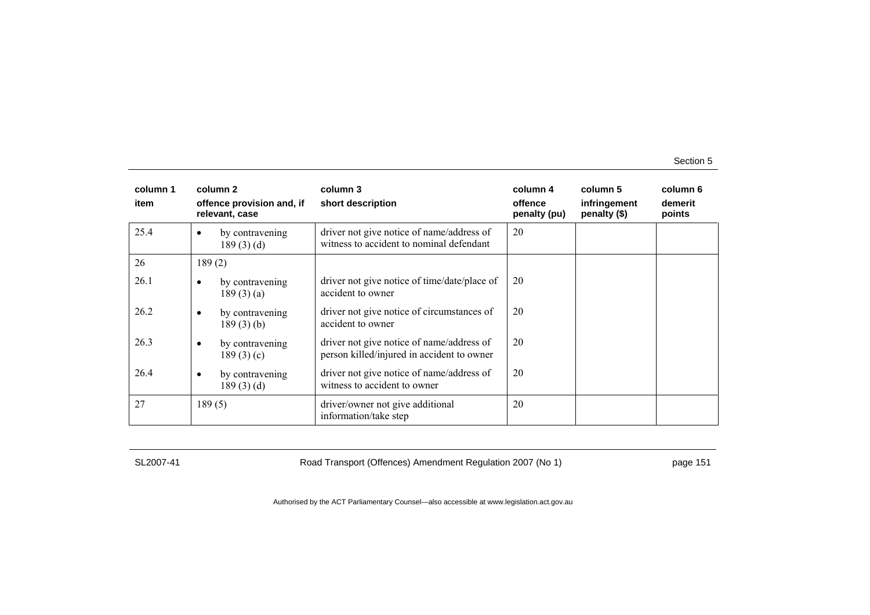| column 1<br>item | column 2<br>offence provision and, if<br>relevant, case | column 3<br>short description                                                           | column 4<br>offence<br>penalty (pu) | column 5<br>infringement<br>penalty (\$) | column 6<br>demerit<br>points |
|------------------|---------------------------------------------------------|-----------------------------------------------------------------------------------------|-------------------------------------|------------------------------------------|-------------------------------|
| 25.4             | by contravening<br>$\bullet$<br>189(3)(d)               | driver not give notice of name/address of<br>witness to accident to nominal defendant   | 20                                  |                                          |                               |
| 26               | 189(2)                                                  |                                                                                         |                                     |                                          |                               |
| 26.1             | by contravening<br>٠<br>189(3)(a)                       | driver not give notice of time/date/place of<br>accident to owner                       | 20                                  |                                          |                               |
| 26.2             | by contravening<br>$\bullet$<br>$189(3)$ (b)            | driver not give notice of circumstances of<br>accident to owner                         | 20                                  |                                          |                               |
| 26.3             | by contravening<br>$\bullet$<br>189(3)(c)               | driver not give notice of name/address of<br>person killed/injured in accident to owner | 20                                  |                                          |                               |
| 26.4             | by contravening<br>$\bullet$<br>189(3)(d)               | driver not give notice of name/address of<br>witness to accident to owner               | 20                                  |                                          |                               |
| 27               | 189(5)                                                  | driver/owner not give additional<br>information/take step                               | 20                                  |                                          |                               |

SL2007-41 Road Transport (Offences) Amendment Regulation 2007 (No 1) page 151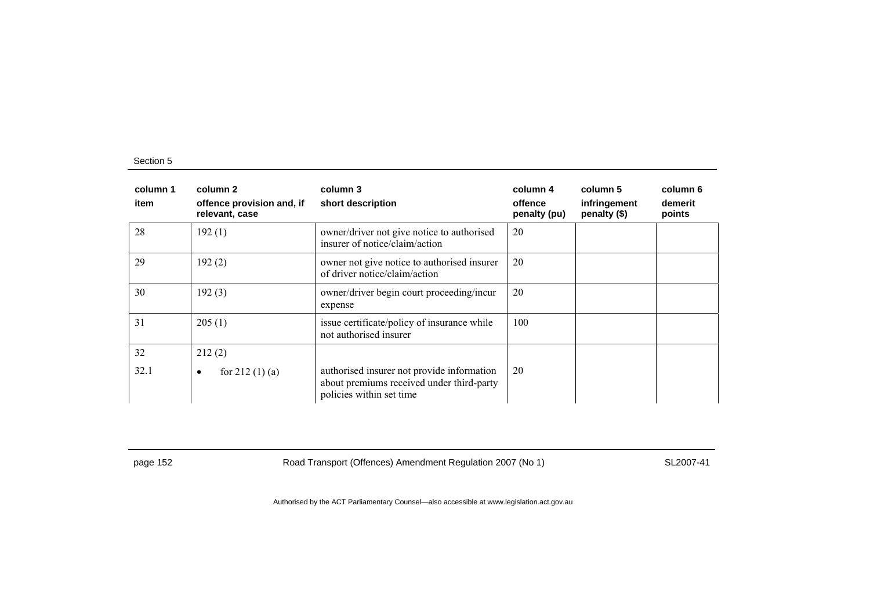| column 1<br>item | column 2<br>offence provision and, if<br>relevant, case | column 3<br>short description                                                                                       | column 4<br>offence<br>penalty (pu) | column 5<br>infringement<br>penalty (\$) | column 6<br>demerit<br>points |
|------------------|---------------------------------------------------------|---------------------------------------------------------------------------------------------------------------------|-------------------------------------|------------------------------------------|-------------------------------|
| 28               | 192(1)                                                  | owner/driver not give notice to authorised<br>insurer of notice/claim/action                                        | 20                                  |                                          |                               |
| 29               | 192(2)                                                  | owner not give notice to authorised insurer<br>of driver notice/claim/action                                        | 20                                  |                                          |                               |
| 30               | 192(3)                                                  | owner/driver begin court proceeding/incur<br>expense                                                                | 20                                  |                                          |                               |
| 31               | 205(1)                                                  | issue certificate/policy of insurance while<br>not authorised insurer                                               | 100                                 |                                          |                               |
| 32               | 212(2)                                                  |                                                                                                                     |                                     |                                          |                               |
| 32.1             | for $212(1)(a)$<br>٠                                    | authorised insurer not provide information<br>about premiums received under third-party<br>policies within set time | 20                                  |                                          |                               |

page 152 **Road Transport (Offences) Amendment Regulation 2007 (No 1)** SL2007-41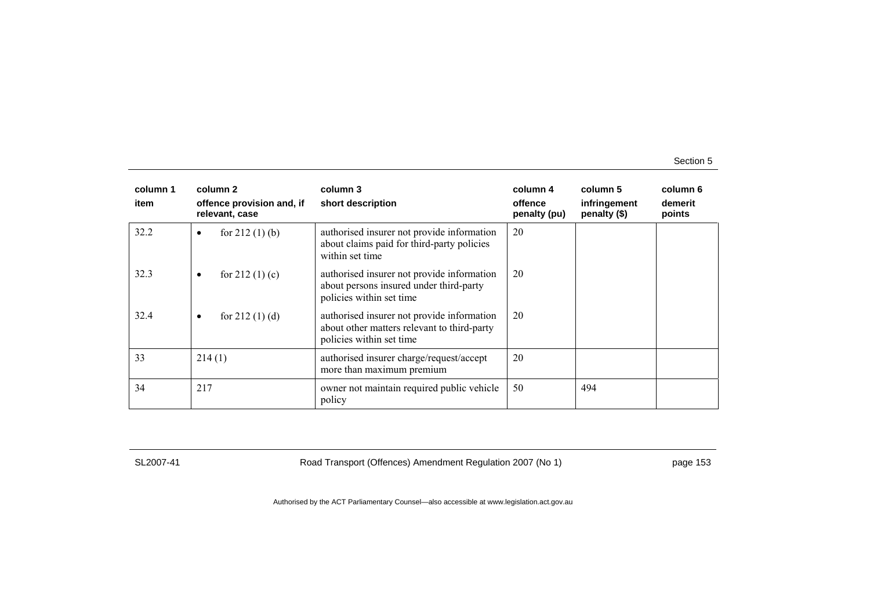| column 1<br>item | column 2<br>offence provision and, if<br>relevant, case | column 3<br>short description                                                                                         | column 4<br>offence<br>penalty (pu) | column 5<br>infringement<br>penalty (\$) | column 6<br>demerit<br>points |
|------------------|---------------------------------------------------------|-----------------------------------------------------------------------------------------------------------------------|-------------------------------------|------------------------------------------|-------------------------------|
| 32.2             | for $212(1)$ (b)<br>$\bullet$                           | authorised insurer not provide information<br>about claims paid for third-party policies<br>within set time           | 20                                  |                                          |                               |
| 32.3             | for $212(1)(c)$<br>$\bullet$                            | authorised insurer not provide information<br>about persons insured under third-party<br>policies within set time     | 20                                  |                                          |                               |
| 32.4             | for $212(1)(d)$<br>$\bullet$                            | authorised insurer not provide information<br>about other matters relevant to third-party<br>policies within set time | 20                                  |                                          |                               |
| 33               | 214(1)                                                  | authorised insurer charge/request/accept<br>more than maximum premium                                                 | 20                                  |                                          |                               |
| 34               | 217                                                     | owner not maintain required public vehicle<br>policy                                                                  | 50                                  | 494                                      |                               |

SL2007-41 Road Transport (Offences) Amendment Regulation 2007 (No 1) page 153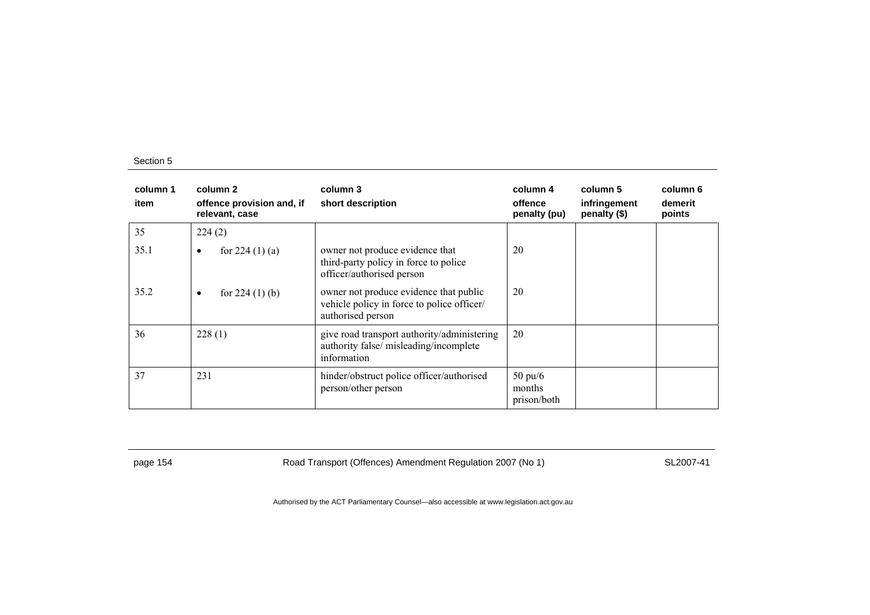| column 1<br>item | column 2<br>offence provision and, if<br>relevant, case | column 3<br>short description                                                                             | column 4<br>offence<br>penalty (pu)        | column 5<br>infringement<br>penalty (\$) | column 6<br>demerit<br>points |
|------------------|---------------------------------------------------------|-----------------------------------------------------------------------------------------------------------|--------------------------------------------|------------------------------------------|-------------------------------|
| 35               | 224(2)                                                  |                                                                                                           |                                            |                                          |                               |
| 35.1             | for $224(1)(a)$<br>$\bullet$                            | owner not produce evidence that<br>third-party policy in force to police<br>officer/authorised person     | 20                                         |                                          |                               |
| 35.2             | for $224(1)$ (b)<br>$\bullet$                           | owner not produce evidence that public<br>vehicle policy in force to police officer/<br>authorised person | 20                                         |                                          |                               |
| 36               | 228(1)                                                  | give road transport authority/administering<br>authority false/ misleading/incomplete<br>information      | 20                                         |                                          |                               |
| 37               | 231                                                     | hinder/obstruct police officer/authorised<br>person/other person                                          | $50 \text{ pu}/6$<br>months<br>prison/both |                                          |                               |

page 154 **Road Transport (Offences) Amendment Regulation 2007 (No 1)** SL2007-41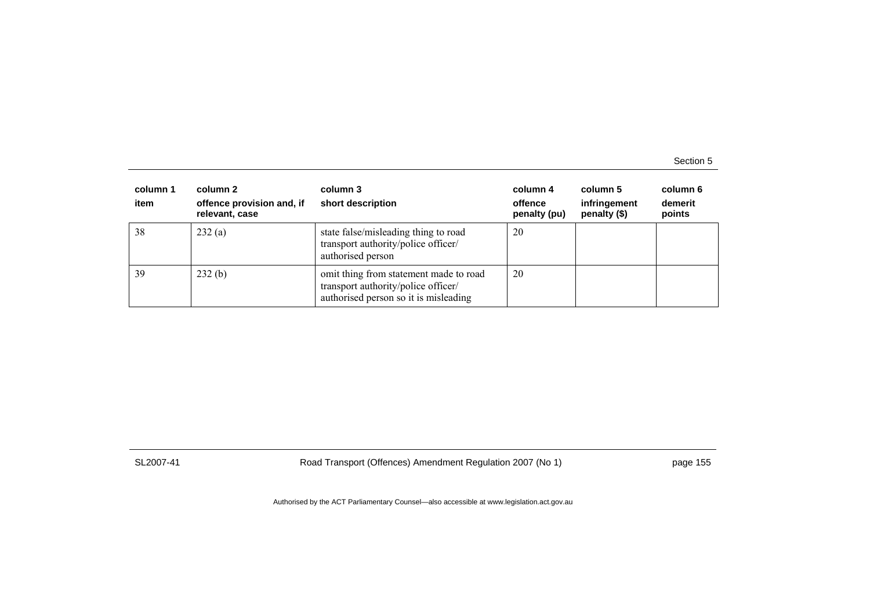| column 1<br>item | column 2<br>offence provision and, if<br>relevant, case | column 3<br>short description                                                                                          | column 4<br>offence<br>penalty (pu) | column 5<br>infringement<br>penalty (\$) | column 6<br>demerit<br>points |
|------------------|---------------------------------------------------------|------------------------------------------------------------------------------------------------------------------------|-------------------------------------|------------------------------------------|-------------------------------|
| 38               | 232(a)                                                  | state false/misleading thing to road<br>transport authority/police officer/<br>authorised person                       | 20                                  |                                          |                               |
| 39               | 232(b)                                                  | omit thing from statement made to road<br>transport authority/police officer/<br>authorised person so it is misleading | 20                                  |                                          |                               |

SL2007-41 Road Transport (Offences) Amendment Regulation 2007 (No 1) page 155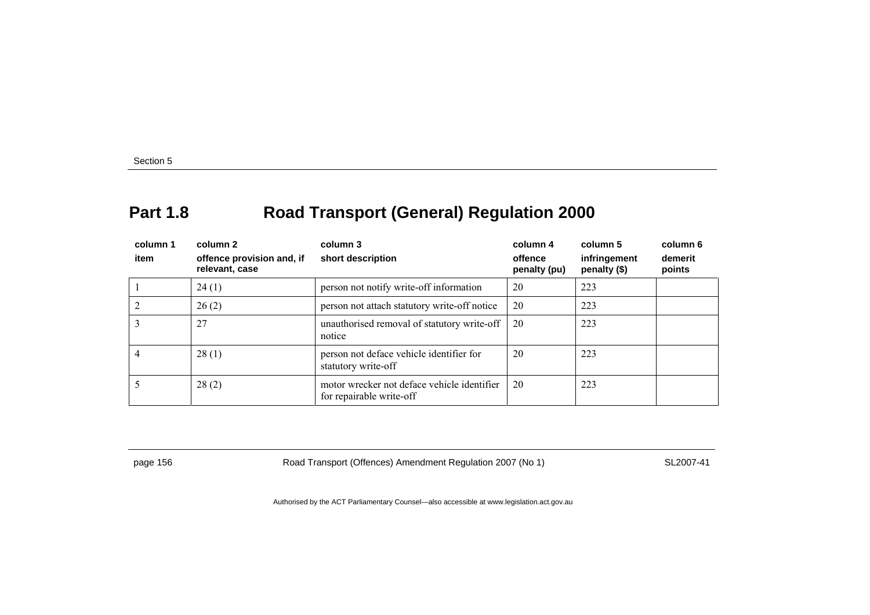# **Part 1.8 Road Transport (General) Regulation 2000**

| column 1<br>item | column 2<br>offence provision and, if<br>relevant, case | column 3<br>short description                                           | column 4<br>offence<br>penalty (pu) | column 5<br>infringement<br>penalty (\$) | column 6<br>demerit<br>points |
|------------------|---------------------------------------------------------|-------------------------------------------------------------------------|-------------------------------------|------------------------------------------|-------------------------------|
|                  | 24(1)                                                   | person not notify write-off information                                 | 20                                  | 223                                      |                               |
|                  | 26(2)                                                   | person not attach statutory write-off notice                            | 20                                  | 223                                      |                               |
| 3                | 27                                                      | unauthorised removal of statutory write-off<br>notice                   | 20                                  | 223                                      |                               |
| 4                | 28(1)                                                   | person not deface vehicle identifier for<br>statutory write-off         | 20                                  | 223                                      |                               |
|                  | 28(2)                                                   | motor wrecker not deface vehicle identifier<br>for repairable write-off | 20                                  | 223                                      |                               |

page 156 **Road Transport (Offences) Amendment Regulation 2007 (No 1)** SL2007-41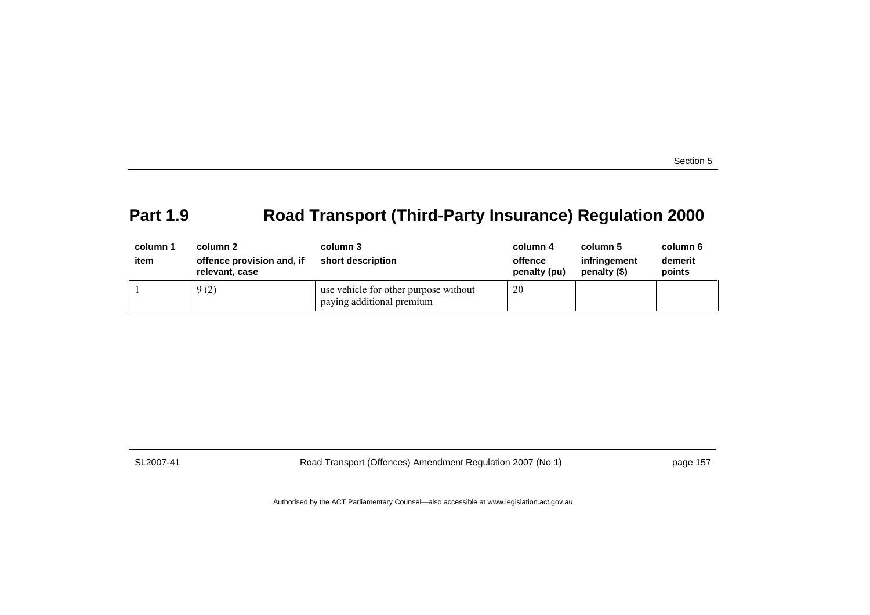## **Part 1.9 Road Transport (Third-Party Insurance) Regulation 2000**

| column 1<br>item | column 2<br>offence provision and, if<br>relevant, case | column 3<br>short description                                      | column 4<br>offence<br>penalty (pu) | column 5<br>infringement<br>penalty (\$) | column 6<br>demerit<br>points |
|------------------|---------------------------------------------------------|--------------------------------------------------------------------|-------------------------------------|------------------------------------------|-------------------------------|
|                  | 9(2)                                                    | use vehicle for other purpose without<br>paying additional premium | 20                                  |                                          |                               |

SL2007-41 Road Transport (Offences) Amendment Regulation 2007 (No 1) page 157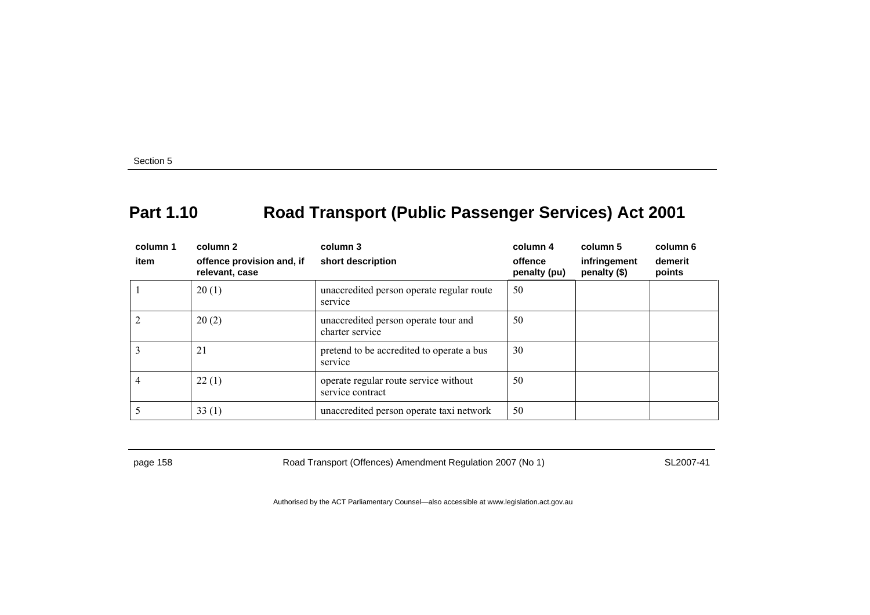### **Part 1.10 Road Transport (Public Passenger Services) Act 2001**

| column 1<br>item | column 2<br>offence provision and, if<br>relevant, case | column 3<br>short description                             | column 4<br>offence<br>penalty (pu) | column 5<br>infringement<br>penalty (\$) | column 6<br>demerit<br>points |
|------------------|---------------------------------------------------------|-----------------------------------------------------------|-------------------------------------|------------------------------------------|-------------------------------|
|                  | 20(1)                                                   | unaccredited person operate regular route<br>service      | 50                                  |                                          |                               |
| $\overline{c}$   | 20(2)                                                   | unaccredited person operate tour and<br>charter service   | 50                                  |                                          |                               |
| 3                | 21                                                      | pretend to be accredited to operate a bus<br>service      | 30                                  |                                          |                               |
| 4                | 22(1)                                                   | operate regular route service without<br>service contract | 50                                  |                                          |                               |
|                  | 33(1)                                                   | unaccredited person operate taxi network                  | 50                                  |                                          |                               |

page 158 **Road Transport (Offences) Amendment Regulation 2007 (No 1)** SL2007-41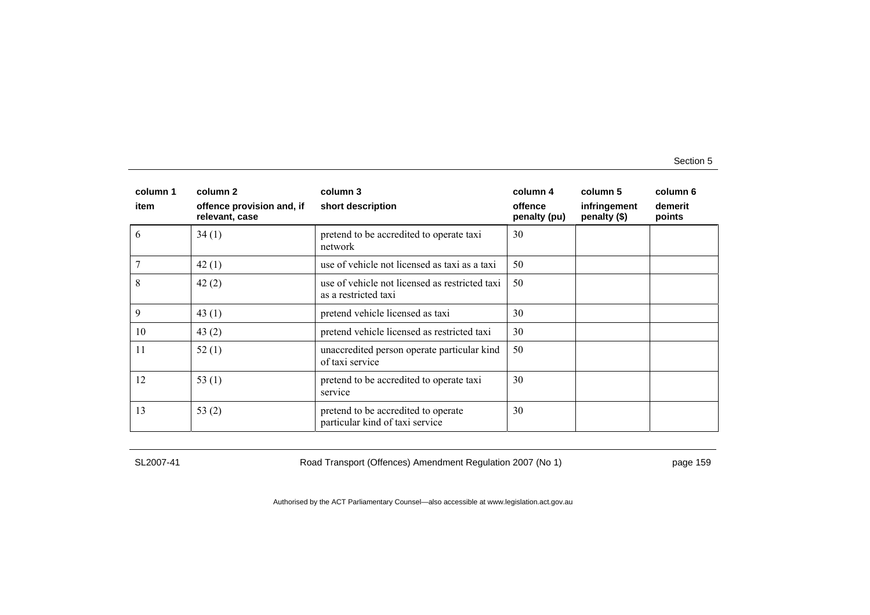| column 1<br>item | column 2<br>offence provision and, if<br>relevant, case | column 3<br>short description                                          | column 4<br>offence<br>penalty (pu) | column 5<br>infringement<br>penalty (\$) | column 6<br>demerit<br>points |
|------------------|---------------------------------------------------------|------------------------------------------------------------------------|-------------------------------------|------------------------------------------|-------------------------------|
| 6                | 34(1)                                                   | pretend to be accredited to operate taxi<br>network                    | 30                                  |                                          |                               |
|                  | 42(1)                                                   | use of vehicle not licensed as taxi as a taxi                          | 50                                  |                                          |                               |
| 8                | 42(2)                                                   | use of vehicle not licensed as restricted taxi<br>as a restricted taxi | 50                                  |                                          |                               |
| 9                | 43(1)                                                   | pretend vehicle licensed as taxi                                       | 30                                  |                                          |                               |
| 10               | 43(2)                                                   | pretend vehicle licensed as restricted taxi                            | 30                                  |                                          |                               |
| 11               | 52(1)                                                   | unaccredited person operate particular kind<br>of taxi service         | 50                                  |                                          |                               |
| 12               | 53 $(1)$                                                | pretend to be accredited to operate taxi<br>service                    | 30                                  |                                          |                               |
| 13               | 53 $(2)$                                                | pretend to be accredited to operate<br>particular kind of taxi service | 30                                  |                                          |                               |

SL2007-41 Road Transport (Offences) Amendment Regulation 2007 (No 1) page 159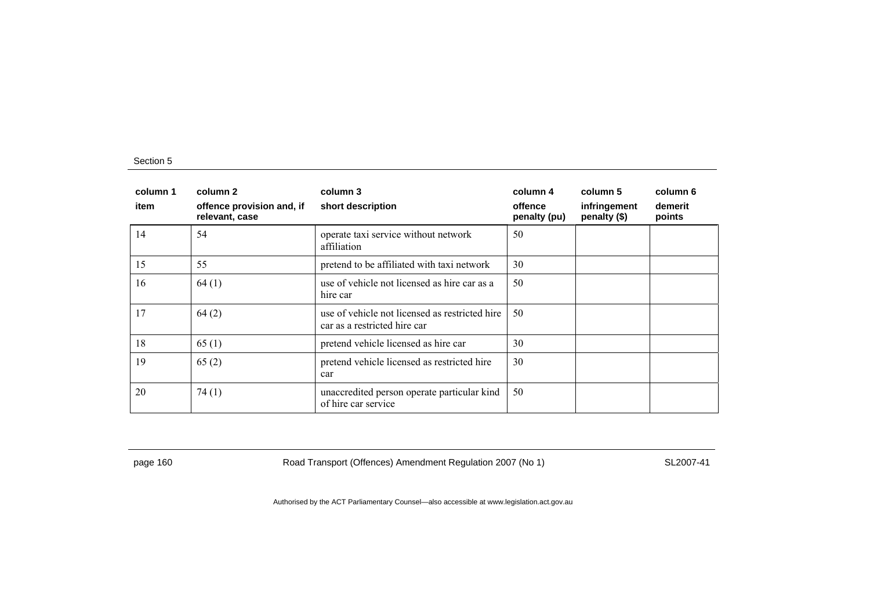| column 1<br>item | column 2<br>offence provision and, if<br>relevant, case | column 3<br>short description                                                  | column 4<br>offence<br>penalty (pu) | column 5<br>infringement<br>penalty (\$) | column 6<br>demerit<br>points |
|------------------|---------------------------------------------------------|--------------------------------------------------------------------------------|-------------------------------------|------------------------------------------|-------------------------------|
| 14               | 54                                                      | operate taxi service without network<br>affiliation                            | 50                                  |                                          |                               |
| 15               | 55                                                      | pretend to be affiliated with taxi network                                     | 30                                  |                                          |                               |
| 16               | 64(1)                                                   | use of vehicle not licensed as hire car as a<br>hire car                       | 50                                  |                                          |                               |
| 17               | 64(2)                                                   | use of vehicle not licensed as restricted hire<br>car as a restricted hire car | 50                                  |                                          |                               |
| 18               | 65(1)                                                   | pretend vehicle licensed as hire car                                           | 30                                  |                                          |                               |
| 19               | 65(2)                                                   | pretend vehicle licensed as restricted hire<br>car                             | 30                                  |                                          |                               |
| 20               | 74(1)                                                   | unaccredited person operate particular kind<br>of hire car service             | 50                                  |                                          |                               |

page 160 Road Transport (Offences) Amendment Regulation 2007 (No 1) SL2007-41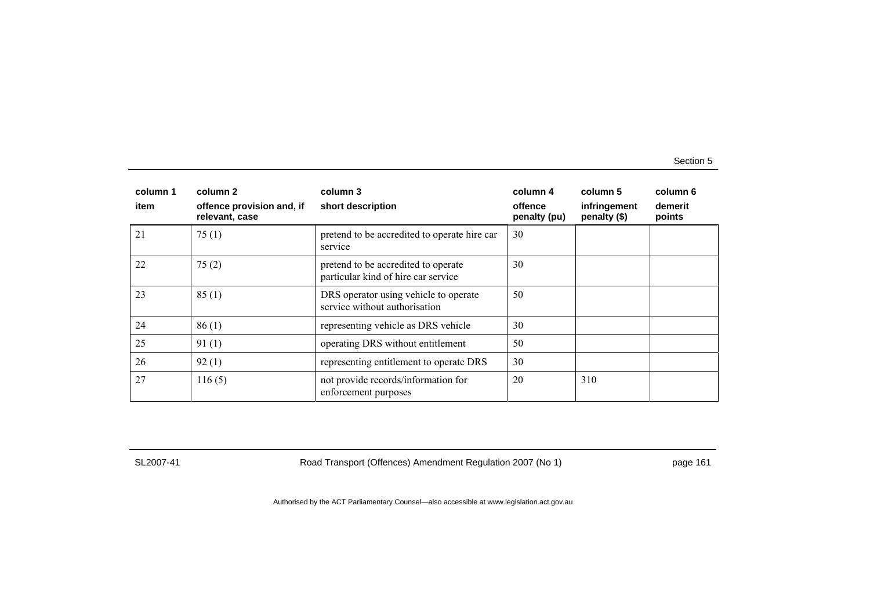| column 1<br>item | column 2<br>offence provision and, if<br>relevant, case | column 3<br>short description                                              | column 4<br>offence<br>penalty (pu) | column 5<br>infringement<br>penalty (\$) | column 6<br>demerit<br>points |
|------------------|---------------------------------------------------------|----------------------------------------------------------------------------|-------------------------------------|------------------------------------------|-------------------------------|
| 21               | 75(1)                                                   | pretend to be accredited to operate hire car<br>service                    | 30                                  |                                          |                               |
| 22               | 75(2)                                                   | pretend to be accredited to operate<br>particular kind of hire car service | 30                                  |                                          |                               |
| 23               | 85(1)                                                   | DRS operator using vehicle to operate<br>service without authorisation     | 50                                  |                                          |                               |
| 24               | 86(1)                                                   | representing vehicle as DRS vehicle                                        | 30                                  |                                          |                               |
| 25               | 91(1)                                                   | operating DRS without entitlement                                          | 50                                  |                                          |                               |
| 26               | 92(1)                                                   | representing entitlement to operate DRS                                    | 30                                  |                                          |                               |
| 27               | 116(5)                                                  | not provide records/information for<br>enforcement purposes                | 20                                  | 310                                      |                               |

SL2007-41 Road Transport (Offences) Amendment Regulation 2007 (No 1) page 161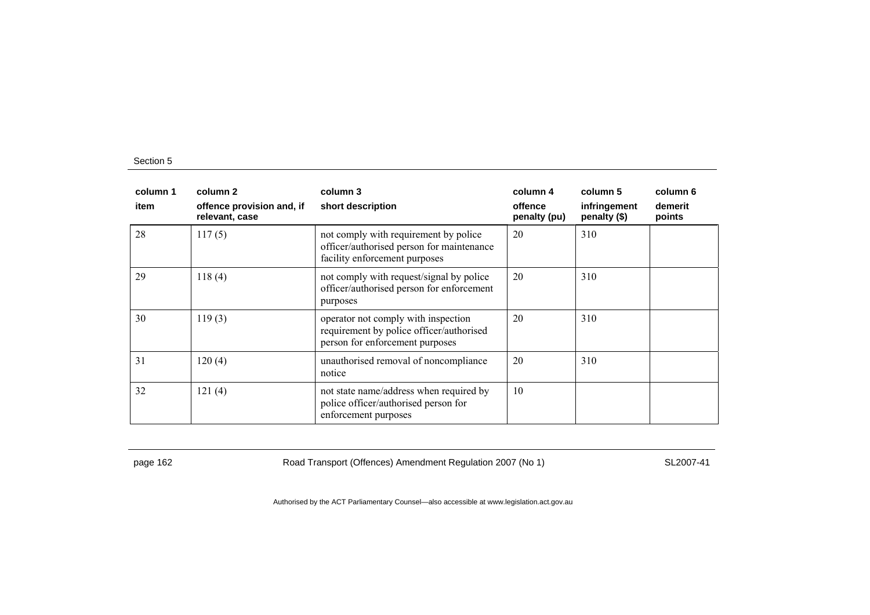| column 1<br>item | column 2<br>offence provision and, if<br>relevant, case | column 3<br>short description                                                                                       | column 4<br>offence<br>penalty (pu) | column 5<br>infringement<br>penalty (\$) | column 6<br>demerit<br>points |
|------------------|---------------------------------------------------------|---------------------------------------------------------------------------------------------------------------------|-------------------------------------|------------------------------------------|-------------------------------|
| 28               | 117(5)                                                  | not comply with requirement by police<br>officer/authorised person for maintenance<br>facility enforcement purposes | 20                                  | 310                                      |                               |
| 29               | 118(4)                                                  | not comply with request/signal by police<br>officer/authorised person for enforcement<br>purposes                   | 20                                  | 310                                      |                               |
| 30               | 119(3)                                                  | operator not comply with inspection<br>requirement by police officer/authorised<br>person for enforcement purposes  | 20                                  | 310                                      |                               |
| 31               | 120(4)                                                  | unauthorised removal of noncompliance<br>notice                                                                     | 20                                  | 310                                      |                               |
| 32               | 121(4)                                                  | not state name/address when required by<br>police officer/authorised person for<br>enforcement purposes             | 10                                  |                                          |                               |

page 162 Road Transport (Offences) Amendment Regulation 2007 (No 1) SL2007-41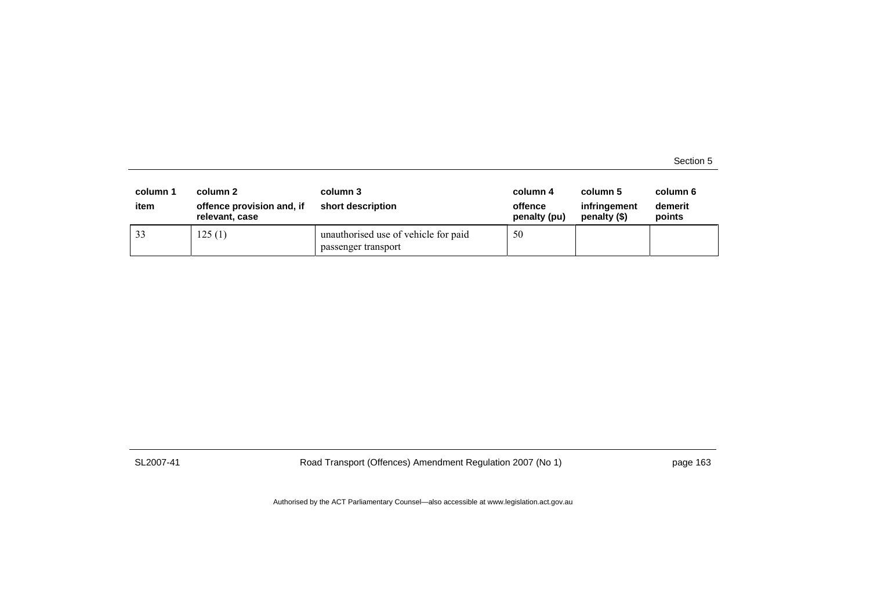| column 1<br>item | column 2<br>offence provision and, if<br>relevant, case | column 3<br>short description                               | column 4<br>offence<br>penalty (pu) | column 5<br>infringement<br>penalty (\$) | column 6<br>demerit<br>points |
|------------------|---------------------------------------------------------|-------------------------------------------------------------|-------------------------------------|------------------------------------------|-------------------------------|
| 33               | 125(1)                                                  | unauthorised use of vehicle for paid<br>passenger transport | 50                                  |                                          |                               |

SL2007-41 Road Transport (Offences) Amendment Regulation 2007 (No 1) page 163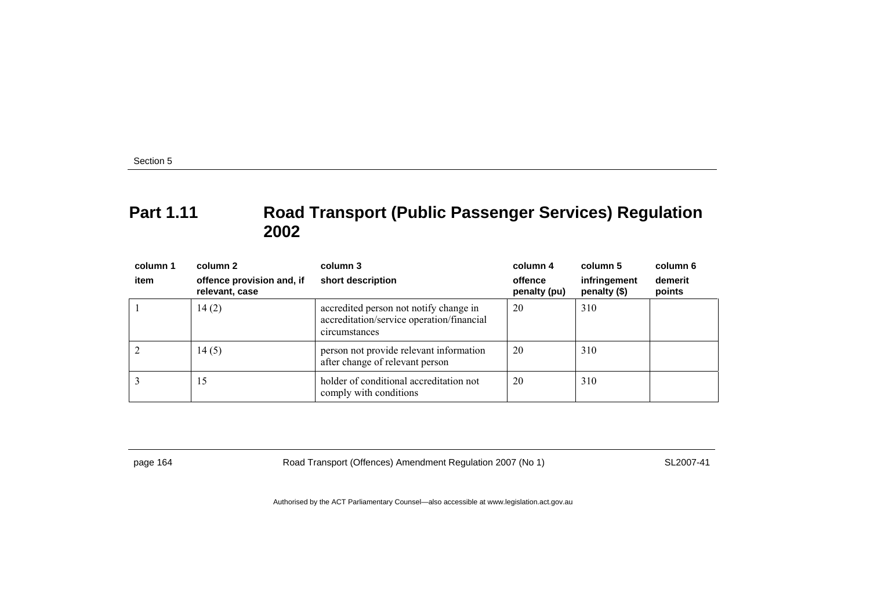### **Part 1.11 Road Transport (Public Passenger Services) Regulation 2002**

| column 1 | column 2                                    | column 3                                                                                             | column 4                | column 5                     | column 6          |
|----------|---------------------------------------------|------------------------------------------------------------------------------------------------------|-------------------------|------------------------------|-------------------|
| item     | offence provision and, if<br>relevant, case | short description                                                                                    | offence<br>penalty (pu) | infringement<br>penalty (\$) | demerit<br>points |
|          | 14(2)                                       | accredited person not notify change in<br>accreditation/service operation/financial<br>circumstances | 20                      | 310                          |                   |
|          | 14(5)                                       | person not provide relevant information<br>after change of relevant person                           | 20                      | 310                          |                   |
|          | 15                                          | holder of conditional accreditation not<br>comply with conditions                                    | 20                      | 310                          |                   |

page 164 Road Transport (Offences) Amendment Regulation 2007 (No 1) SL2007-41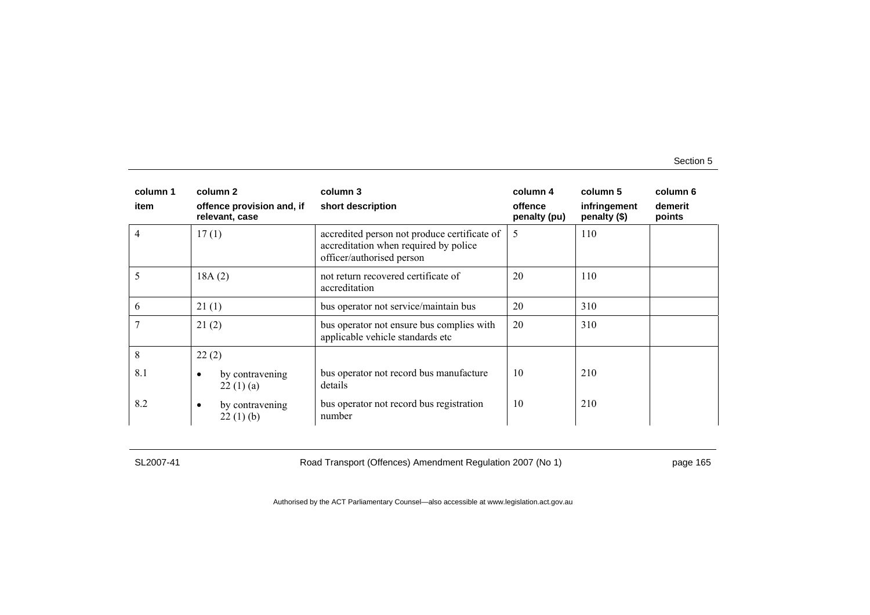| column 1 | column 2                                    | column 3                                                                                                           | column 4                | column 5                     | column 6          |
|----------|---------------------------------------------|--------------------------------------------------------------------------------------------------------------------|-------------------------|------------------------------|-------------------|
| item     | offence provision and, if<br>relevant, case | short description                                                                                                  | offence<br>penalty (pu) | infringement<br>penalty (\$) | demerit<br>points |
| 4        | 17(1)                                       | accredited person not produce certificate of<br>accreditation when required by police<br>officer/authorised person | 5                       | 110                          |                   |
|          | 18A(2)                                      | not return recovered certificate of<br>accreditation                                                               | 20                      | 110                          |                   |
| 6        | 21(1)                                       | bus operator not service/maintain bus                                                                              | 20                      | 310                          |                   |
|          | 21(2)                                       | bus operator not ensure bus complies with<br>applicable vehicle standards etc                                      | 20                      | 310                          |                   |
| 8        | 22(2)                                       |                                                                                                                    |                         |                              |                   |
| 8.1      | by contravening<br>$\bullet$<br>22(1)(a)    | bus operator not record bus manufacture<br>details                                                                 | 10                      | 210                          |                   |
| 8.2      | by contravening<br>٠<br>22(1)(b)            | bus operator not record bus registration<br>number                                                                 | 10                      | 210                          |                   |

SL2007-41 Road Transport (Offences) Amendment Regulation 2007 (No 1) page 165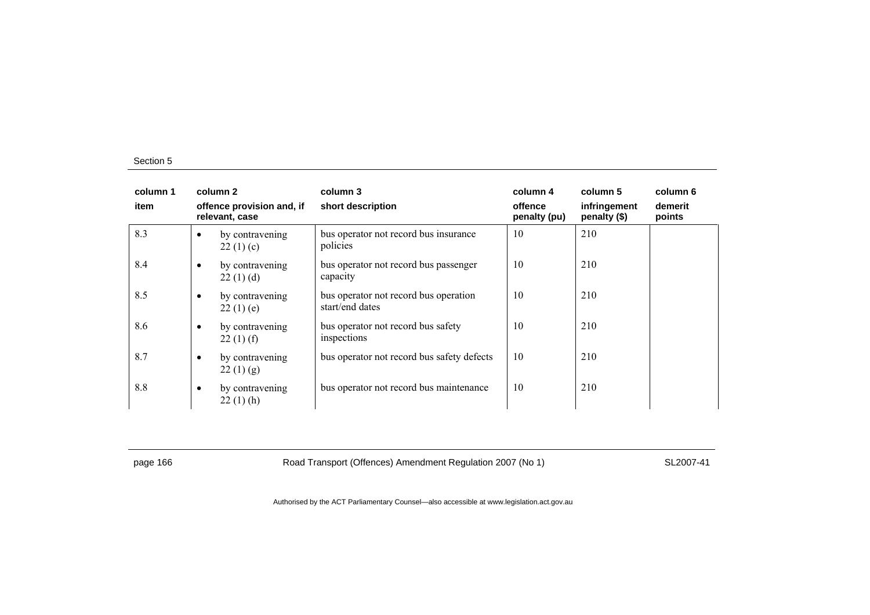| column 1<br>item |           | column 2<br>offence provision and, if<br>relevant, case | column 3<br>short description                            | column 4<br>offence<br>penalty (pu) | column 5<br>infringement<br>penalty (\$) | column 6<br>demerit<br>points |
|------------------|-----------|---------------------------------------------------------|----------------------------------------------------------|-------------------------------------|------------------------------------------|-------------------------------|
| 8.3              | $\bullet$ | by contravening<br>22(1)(c)                             | bus operator not record bus insurance<br>policies        | 10                                  | 210                                      |                               |
| 8.4              | $\bullet$ | by contravening<br>22(1)(d)                             | bus operator not record bus passenger<br>capacity        | 10                                  | 210                                      |                               |
| 8.5              | $\bullet$ | by contravening<br>22(1)(e)                             | bus operator not record bus operation<br>start/end dates | 10                                  | 210                                      |                               |
| 8.6              | $\bullet$ | by contravening<br>22(1) (f)                            | bus operator not record bus safety<br>inspections        | 10                                  | 210                                      |                               |
| 8.7              | $\bullet$ | by contravening<br>22(1)(g)                             | bus operator not record bus safety defects               | 10                                  | 210                                      |                               |
| 8.8              | $\bullet$ | by contravening<br>$22(1)$ (h)                          | bus operator not record bus maintenance                  | 10                                  | 210                                      |                               |

page 166 **Road Transport (Offences) Amendment Regulation 2007 (No 1)** SL2007-41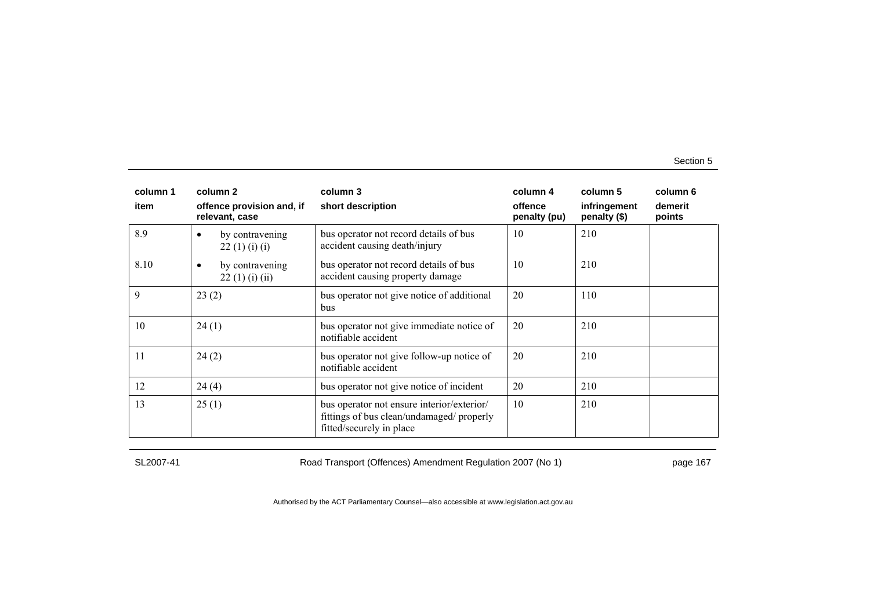| column 1 | column 2                                     | column 3                                                                                                            | column 4                | column 5                     | column 6          |
|----------|----------------------------------------------|---------------------------------------------------------------------------------------------------------------------|-------------------------|------------------------------|-------------------|
| item     | offence provision and, if<br>relevant, case  | short description                                                                                                   | offence<br>penalty (pu) | infringement<br>penalty (\$) | demerit<br>points |
| 8.9      | by contravening<br>$\bullet$<br>22(1)(i)(i)  | bus operator not record details of bus<br>accident causing death/injury                                             | 10                      | 210                          |                   |
| 8.10     | by contravening<br>$\bullet$<br>22(1)(i)(ii) | bus operator not record details of bus<br>accident causing property damage                                          | 10                      | 210                          |                   |
| 9        | 23(2)                                        | bus operator not give notice of additional<br>bus                                                                   | 20                      | 110                          |                   |
| 10       | 24(1)                                        | bus operator not give immediate notice of<br>notifiable accident                                                    | 20                      | 210                          |                   |
| 11       | 24(2)                                        | bus operator not give follow-up notice of<br>notifiable accident                                                    | 20                      | 210                          |                   |
| 12       | 24(4)                                        | bus operator not give notice of incident                                                                            | 20                      | 210                          |                   |
| 13       | 25(1)                                        | bus operator not ensure interior/exterior/<br>fittings of bus clean/undamaged/ properly<br>fitted/securely in place | 10                      | 210                          |                   |

SL2007-41 Road Transport (Offences) Amendment Regulation 2007 (No 1) page 167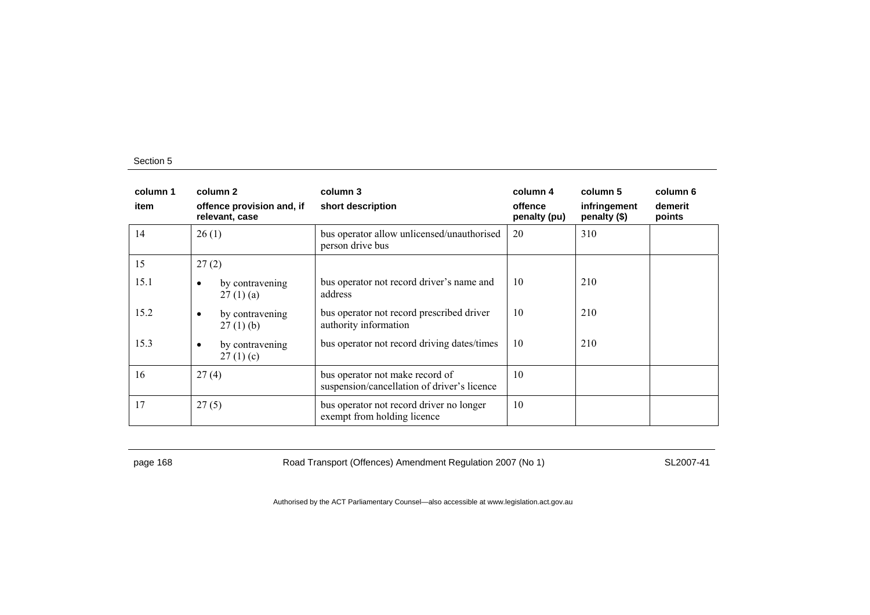| column 1<br>item | column 2<br>offence provision and, if<br>relevant, case | column 3<br>short description                                                  | column 4<br>offence<br>penalty (pu) | column 5<br>infringement<br>penalty (\$) | column 6<br>demerit<br>points |
|------------------|---------------------------------------------------------|--------------------------------------------------------------------------------|-------------------------------------|------------------------------------------|-------------------------------|
| 14               | 26(1)                                                   | bus operator allow unlicensed/unauthorised<br>person drive bus                 | 20                                  | 310                                      |                               |
| 15               | 27(2)                                                   |                                                                                |                                     |                                          |                               |
| 15.1             | by contravening<br>٠<br>27(1)(a)                        | bus operator not record driver's name and<br>address                           | 10                                  | 210                                      |                               |
| 15.2             | by contravening<br>٠<br>$27(1)$ (b)                     | bus operator not record prescribed driver<br>authority information             | 10                                  | 210                                      |                               |
| 15.3             | by contravening<br>$\bullet$<br>27(1)(c)                | bus operator not record driving dates/times                                    | 10                                  | 210                                      |                               |
| 16               | 27(4)                                                   | bus operator not make record of<br>suspension/cancellation of driver's licence | 10                                  |                                          |                               |
| 17               | 27(5)                                                   | bus operator not record driver no longer<br>exempt from holding licence        | 10                                  |                                          |                               |

page 168 Road Transport (Offences) Amendment Regulation 2007 (No 1) SL2007-41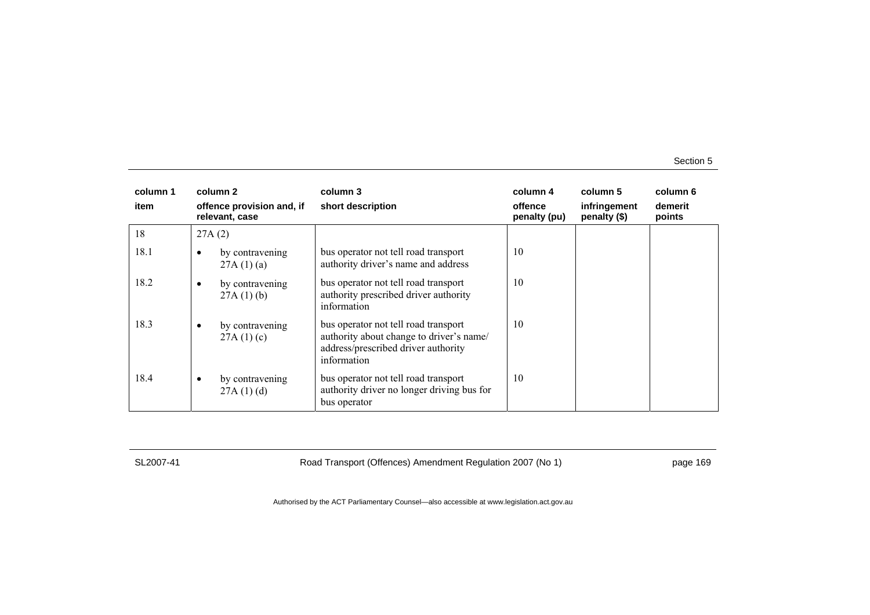| column 1<br>item |        | column 2<br>offence provision and, if<br>relevant, case | column 3<br>short description                                                                                                          | column 4<br>offence<br>penalty (pu) | column 5<br>infringement<br>penalty (\$) | column 6<br>demerit<br>points |
|------------------|--------|---------------------------------------------------------|----------------------------------------------------------------------------------------------------------------------------------------|-------------------------------------|------------------------------------------|-------------------------------|
| 18               | 27A(2) |                                                         |                                                                                                                                        |                                     |                                          |                               |
| 18.1             |        | by contravening<br>27A(1)(a)                            | bus operator not tell road transport<br>authority driver's name and address                                                            | 10                                  |                                          |                               |
| 18.2             | ٠      | by contravening<br>27A(1)(b)                            | bus operator not tell road transport<br>authority prescribed driver authority<br>information                                           | 10                                  |                                          |                               |
| 18.3             | ٠      | by contravening<br>27A(1)(c)                            | bus operator not tell road transport<br>authority about change to driver's name/<br>address/prescribed driver authority<br>information | 10                                  |                                          |                               |
| 18.4             |        | by contravening<br>27A(1)(d)                            | bus operator not tell road transport<br>authority driver no longer driving bus for<br>bus operator                                     | 10                                  |                                          |                               |

SL2007-41 Road Transport (Offences) Amendment Regulation 2007 (No 1) page 169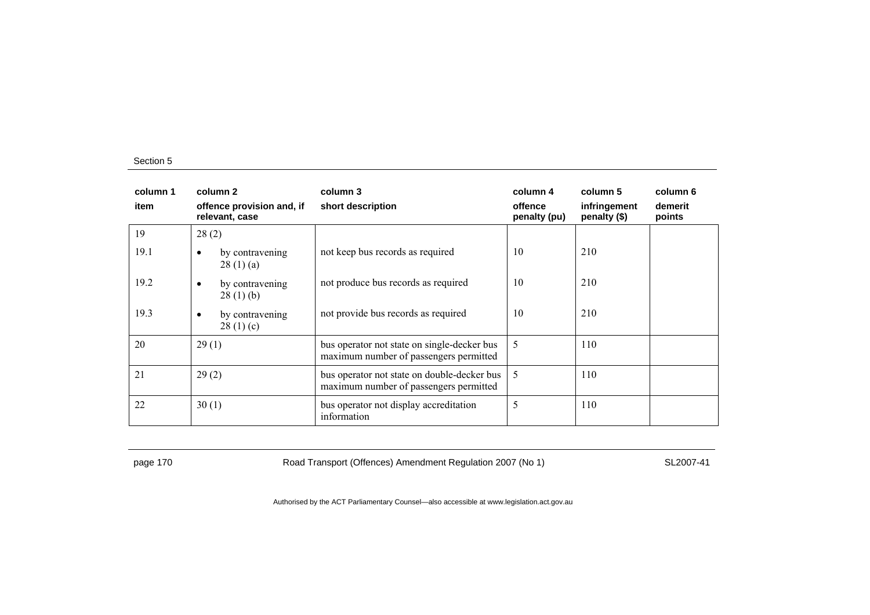| column 1<br>item | column 2<br>offence provision and, if<br>relevant, case | column 3<br>short description                                                         | column 4<br>offence<br>penalty (pu) | column 5<br>infringement<br>penalty (\$) | column 6<br>demerit<br>points |
|------------------|---------------------------------------------------------|---------------------------------------------------------------------------------------|-------------------------------------|------------------------------------------|-------------------------------|
| 19               | 28(2)                                                   |                                                                                       |                                     |                                          |                               |
| 19.1             | by contravening<br>٠<br>28(1)(a)                        | not keep bus records as required                                                      | 10                                  | 210                                      |                               |
| 19.2             | by contravening<br>٠<br>28(1)(b)                        | not produce bus records as required                                                   | 10                                  | 210                                      |                               |
| 19.3             | by contravening<br>٠<br>28(1)(c)                        | not provide bus records as required                                                   | 10                                  | 210                                      |                               |
| 20               | 29(1)                                                   | bus operator not state on single-decker bus<br>maximum number of passengers permitted | 5                                   | 110                                      |                               |
| 21               | 29(2)                                                   | bus operator not state on double-decker bus<br>maximum number of passengers permitted | 5                                   | 110                                      |                               |
| 22               | 30(1)                                                   | bus operator not display accreditation<br>information                                 | 5                                   | 110                                      |                               |

page 170 **Road Transport (Offences) Amendment Regulation 2007 (No 1)** SL2007-41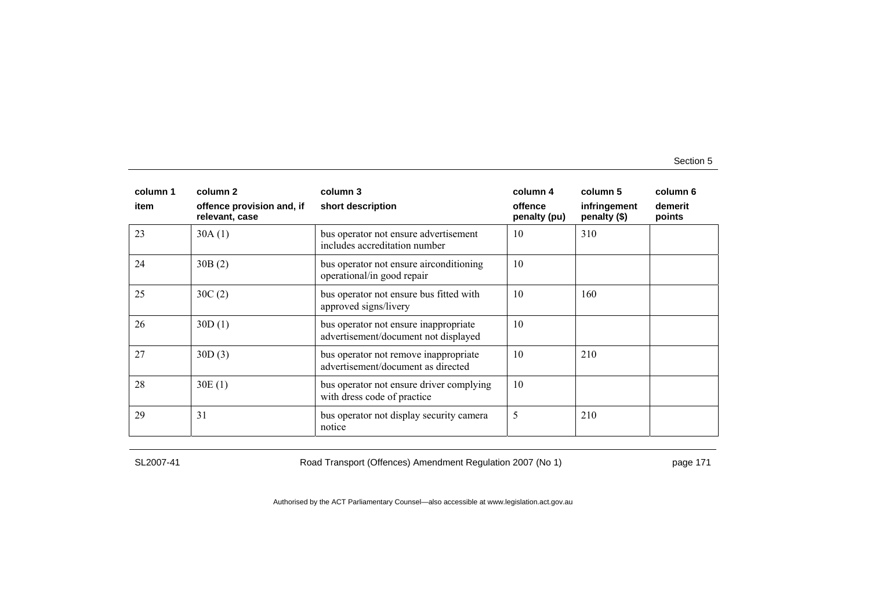| column 1 | column 2                                    | column 3                                                                      | column 4                | column 5                     | column 6          |
|----------|---------------------------------------------|-------------------------------------------------------------------------------|-------------------------|------------------------------|-------------------|
| item     | offence provision and, if<br>relevant, case | short description                                                             | offence<br>penalty (pu) | infringement<br>penalty (\$) | demerit<br>points |
| 23       | 30A(1)                                      | bus operator not ensure advertisement<br>includes accreditation number        | 10                      | 310                          |                   |
| 24       | 30B(2)                                      | bus operator not ensure airconditioning<br>operational/in good repair         | 10                      |                              |                   |
| 25       | 30C(2)                                      | bus operator not ensure bus fitted with<br>approved signs/livery              | 10                      | 160                          |                   |
| 26       | 30D(1)                                      | bus operator not ensure inappropriate<br>advertisement/document not displayed | 10                      |                              |                   |
| 27       | 30D(3)                                      | bus operator not remove inappropriate<br>advertisement/document as directed   | 10                      | 210                          |                   |
| 28       | 30E(1)                                      | bus operator not ensure driver complying<br>with dress code of practice       | 10                      |                              |                   |
| 29       | 31                                          | bus operator not display security camera<br>notice                            | 5                       | 210                          |                   |

SL2007-41 Road Transport (Offences) Amendment Regulation 2007 (No 1) page 171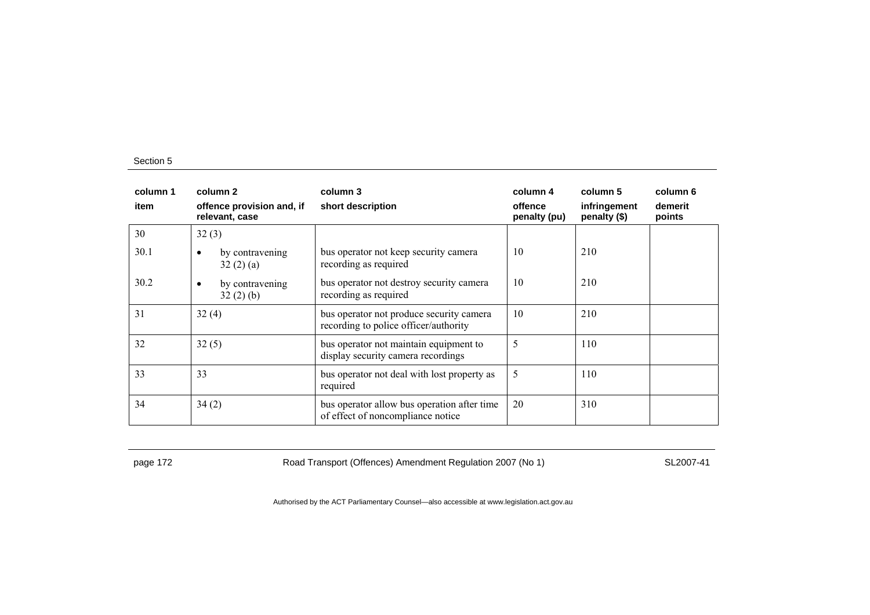| column 1<br>item | column 2<br>offence provision and, if<br>relevant, case | column 3<br>short description                                                     | column 4<br>offence<br>penalty (pu) | column 5<br>infringement<br>penalty (\$) | column 6<br>demerit<br>points |
|------------------|---------------------------------------------------------|-----------------------------------------------------------------------------------|-------------------------------------|------------------------------------------|-------------------------------|
| 30               | 32(3)                                                   |                                                                                   |                                     |                                          |                               |
| 30.1             | by contravening<br>32(2)(a)                             | bus operator not keep security camera<br>recording as required                    | 10                                  | 210                                      |                               |
| 30.2             | by contravening<br>$\bullet$<br>32(2)(b)                | bus operator not destroy security camera<br>recording as required                 | 10                                  | 210                                      |                               |
| 31               | 32(4)                                                   | bus operator not produce security camera<br>recording to police officer/authority | 10                                  | 210                                      |                               |
| 32               | 32(5)                                                   | bus operator not maintain equipment to<br>display security camera recordings      | 5                                   | 110                                      |                               |
| 33               | 33                                                      | bus operator not deal with lost property as<br>required                           | 5                                   | 110                                      |                               |
| 34               | 34(2)                                                   | bus operator allow bus operation after time<br>of effect of noncompliance notice  | 20                                  | 310                                      |                               |

page 172 **Road Transport (Offences) Amendment Regulation 2007 (No 1)** SL2007-41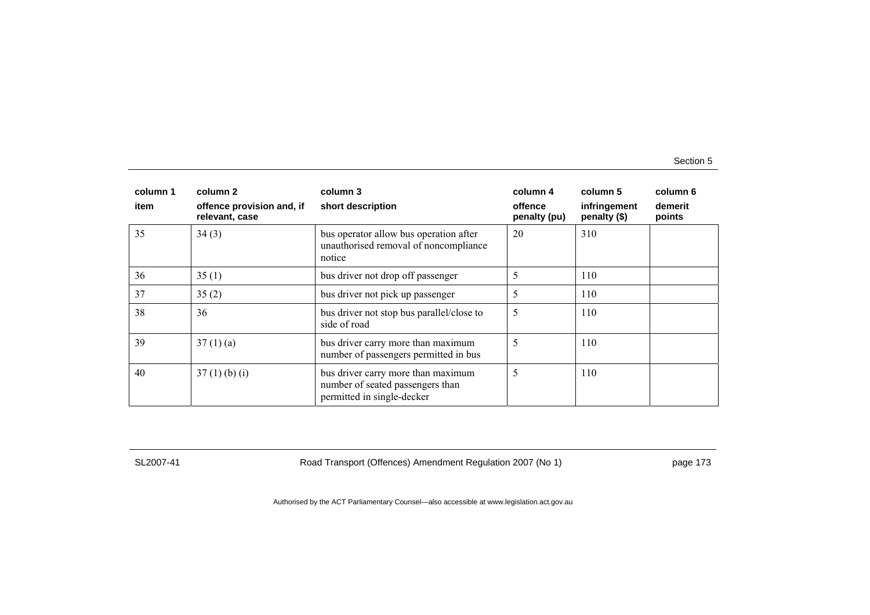| column 1<br>item | column 2<br>offence provision and, if<br>relevant, case | column 3<br>short description                                                                        | column 4<br>offence<br>penalty (pu) | column 5<br>infringement<br>penalty (\$) | column 6<br>demerit<br>points |
|------------------|---------------------------------------------------------|------------------------------------------------------------------------------------------------------|-------------------------------------|------------------------------------------|-------------------------------|
| 35               | 34(3)                                                   | bus operator allow bus operation after<br>unauthorised removal of noncompliance<br>notice            | 20                                  | 310                                      |                               |
| 36               | 35(1)                                                   | bus driver not drop off passenger                                                                    | 5                                   | 110                                      |                               |
| 37               | 35(2)                                                   | bus driver not pick up passenger                                                                     | 5                                   | 110                                      |                               |
| 38               | 36                                                      | bus driver not stop bus parallel/close to<br>side of road                                            | 5                                   | 110                                      |                               |
| 39               | 37(1)(a)                                                | bus driver carry more than maximum<br>number of passengers permitted in bus                          | 5                                   | 110                                      |                               |
| 40               | $37(1)$ (b) (i)                                         | bus driver carry more than maximum<br>number of seated passengers than<br>permitted in single-decker | 5                                   | 110                                      |                               |

SL2007-41 Road Transport (Offences) Amendment Regulation 2007 (No 1) page 173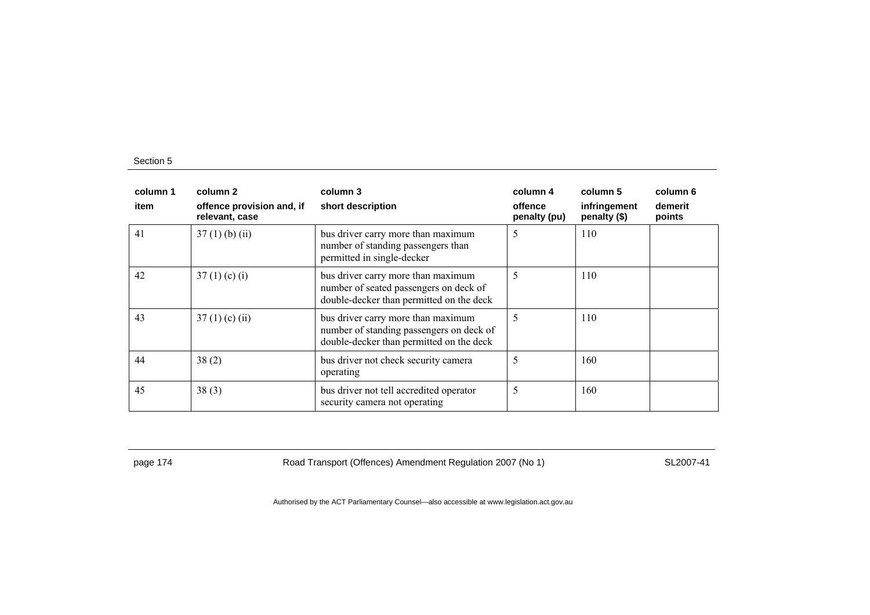| column 1<br>item | column 2<br>offence provision and, if<br>relevant, case | column 3<br>short description                                                                                              | column 4<br>offence<br>penalty (pu) | column 5<br>infringement<br>penalty (\$) | column 6<br>demerit<br>points |
|------------------|---------------------------------------------------------|----------------------------------------------------------------------------------------------------------------------------|-------------------------------------|------------------------------------------|-------------------------------|
| 41               | $37(1)$ (b) (ii)                                        | bus driver carry more than maximum<br>number of standing passengers than<br>permitted in single-decker                     | 5                                   | 110                                      |                               |
| 42               | 37(1)(c)(i)                                             | bus driver carry more than maximum<br>number of seated passengers on deck of<br>double-decker than permitted on the deck   | 5                                   | 110                                      |                               |
| 43               | $37(1)$ (c) (ii)                                        | bus driver carry more than maximum<br>number of standing passengers on deck of<br>double-decker than permitted on the deck | 5                                   | 110                                      |                               |
| 44               | 38(2)                                                   | bus driver not check security camera<br>operating                                                                          | 5                                   | 160                                      |                               |
| 45               | 38(3)                                                   | bus driver not tell accredited operator<br>security camera not operating                                                   | 5                                   | 160                                      |                               |

page 174 **Road Transport (Offences) Amendment Regulation 2007 (No 1)** SL2007-41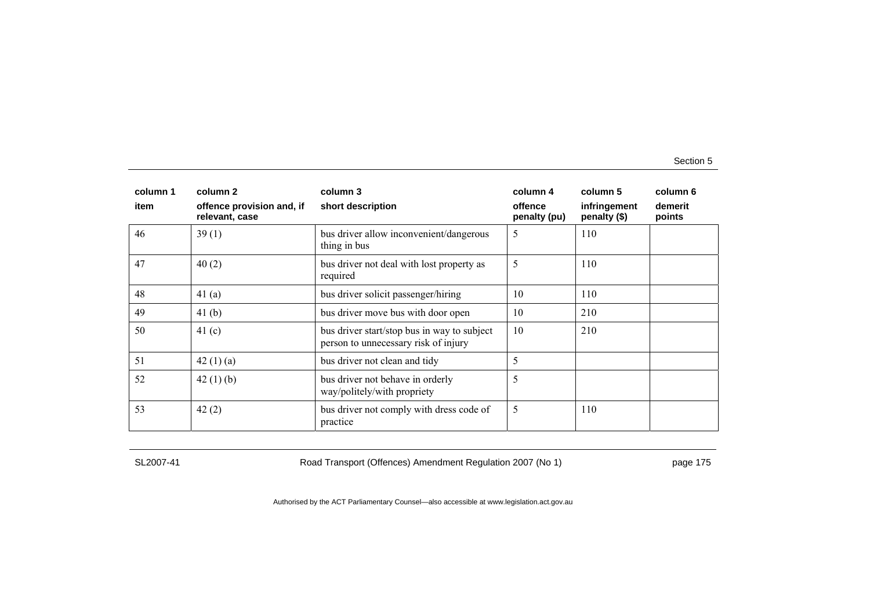| column 1 | column 2                                    | column 3                                                                            | column 4                | column 5                     | column 6          |
|----------|---------------------------------------------|-------------------------------------------------------------------------------------|-------------------------|------------------------------|-------------------|
| item     | offence provision and, if<br>relevant, case | short description                                                                   | offence<br>penalty (pu) | infringement<br>penalty (\$) | demerit<br>points |
| 46       | 39(1)                                       | bus driver allow inconvenient/dangerous<br>thing in bus                             | 5                       | 110                          |                   |
| 47       | 40(2)                                       | bus driver not deal with lost property as<br>required                               | 5                       | 110                          |                   |
| 48       | 41 $(a)$                                    | bus driver solicit passenger/hiring                                                 | 10                      | 110                          |                   |
| 49       | 41(b)                                       | bus driver move bus with door open                                                  | 10                      | 210                          |                   |
| 50       | 41(c)                                       | bus driver start/stop bus in way to subject<br>person to unnecessary risk of injury | 10                      | 210                          |                   |
| 51       | 42(1)(a)                                    | bus driver not clean and tidy                                                       | 5                       |                              |                   |
| 52       | 42 $(1)$ $(b)$                              | bus driver not behave in orderly<br>way/politely/with propriety                     | 5                       |                              |                   |
| 53       | 42(2)                                       | bus driver not comply with dress code of<br>practice                                | 5                       | 110                          |                   |

SL2007-41 Road Transport (Offences) Amendment Regulation 2007 (No 1) page 175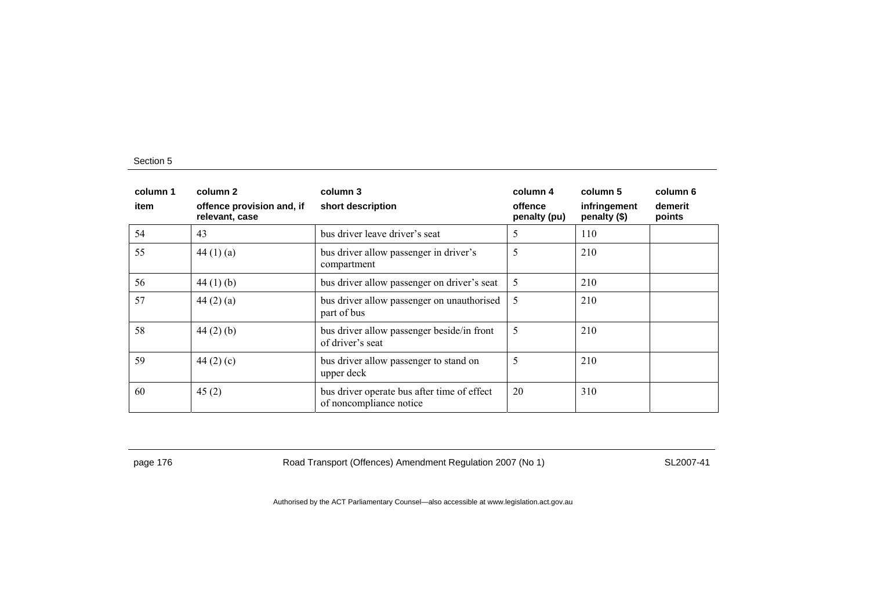| column 1<br>item | column 2<br>offence provision and, if<br>relevant, case | column 3<br>short description                                          | column 4<br>offence<br>penalty (pu) | column 5<br>infringement<br>penalty (\$) | column 6<br>demerit<br>points |
|------------------|---------------------------------------------------------|------------------------------------------------------------------------|-------------------------------------|------------------------------------------|-------------------------------|
| 54               | 43                                                      | bus driver leave driver's seat                                         | 5                                   | 110                                      |                               |
| 55               | 44 $(1)(a)$                                             | bus driver allow passenger in driver's<br>compartment                  | 5                                   | 210                                      |                               |
| 56               | 44 $(1)$ $(b)$                                          | bus driver allow passenger on driver's seat                            | 5                                   | 210                                      |                               |
| 57               | 44(2)(a)                                                | bus driver allow passenger on unauthorised<br>part of bus              | 5                                   | 210                                      |                               |
| 58               | $44(2)$ (b)                                             | bus driver allow passenger beside/in front<br>of driver's seat         | 5                                   | 210                                      |                               |
| 59               | 44 $(2)$ $(c)$                                          | bus driver allow passenger to stand on<br>upper deck                   | 5                                   | 210                                      |                               |
| 60               | 45(2)                                                   | bus driver operate bus after time of effect<br>of noncompliance notice | 20                                  | 310                                      |                               |

page 176 **Road Transport (Offences) Amendment Regulation 2007 (No 1)** SL2007-41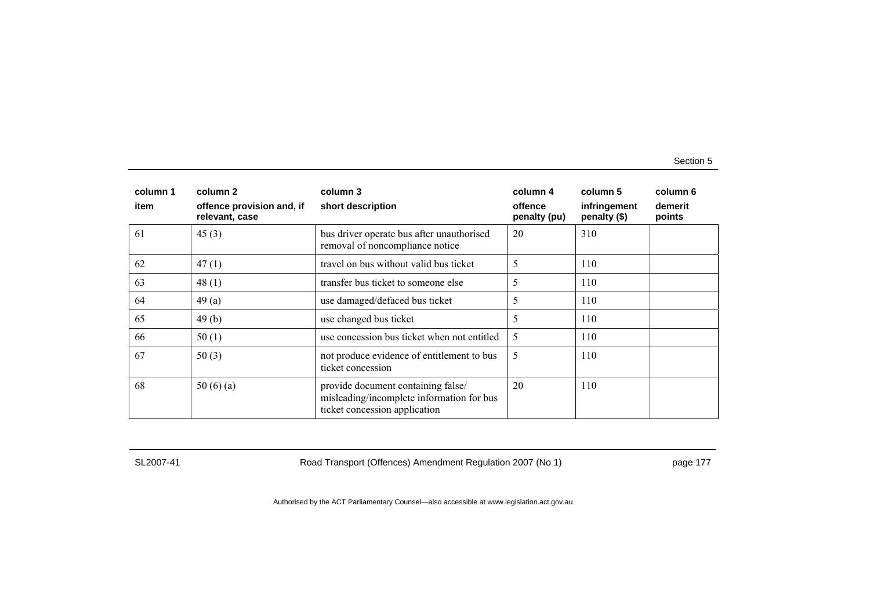| column 1 | column 2                                    | column 3                                                                                                         | column 4                | column 5                     | column 6          |
|----------|---------------------------------------------|------------------------------------------------------------------------------------------------------------------|-------------------------|------------------------------|-------------------|
| item     | offence provision and, if<br>relevant, case | short description                                                                                                | offence<br>penalty (pu) | infringement<br>penalty (\$) | demerit<br>points |
| 61       | 45(3)                                       | bus driver operate bus after unauthorised<br>removal of noncompliance notice                                     | 20                      | 310                          |                   |
| 62       | 47(1)                                       | travel on bus without valid bus ticket                                                                           | 5                       | 110                          |                   |
| 63       | 48(1)                                       | transfer bus ticket to someone else                                                                              | 5                       | 110                          |                   |
| 64       | 49(a)                                       | use damaged/defaced bus ticket                                                                                   | 5                       | 110                          |                   |
| 65       | 49(b)                                       | use changed bus ticket                                                                                           | 5                       | 110                          |                   |
| 66       | 50(1)                                       | use concession bus ticket when not entitled                                                                      | 5                       | 110                          |                   |
| 67       | 50(3)                                       | not produce evidence of entitlement to bus<br>ticket concession                                                  | 5                       | 110                          |                   |
| 68       | 50 $(6)(a)$                                 | provide document containing false/<br>misleading/incomplete information for bus<br>ticket concession application | 20                      | 110                          |                   |

SL2007-41 Road Transport (Offences) Amendment Regulation 2007 (No 1) page 177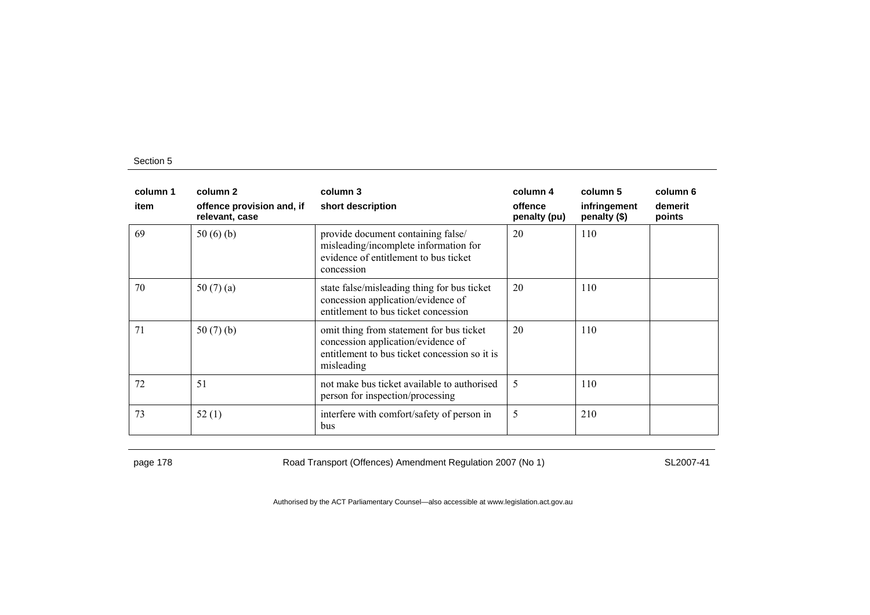| column 1 | column 2                                    | column 3                                                                                                                                      | column 4                | column 5                     | column 6          |
|----------|---------------------------------------------|-----------------------------------------------------------------------------------------------------------------------------------------------|-------------------------|------------------------------|-------------------|
| item     | offence provision and, if<br>relevant, case | short description                                                                                                                             | offence<br>penalty (pu) | infringement<br>penalty (\$) | demerit<br>points |
| 69       | 50(6)(b)                                    | provide document containing false/<br>misleading/incomplete information for<br>evidence of entitlement to bus ticket<br>concession            | 20                      | 110                          |                   |
| 70       | 50 $(7)(a)$                                 | state false/misleading thing for bus ticket<br>concession application/evidence of<br>entitlement to bus ticket concession                     | 20                      | 110                          |                   |
| 71       | 50 $(7)$ $(b)$                              | omit thing from statement for bus ticket<br>concession application/evidence of<br>entitlement to bus ticket concession so it is<br>misleading | 20                      | 110                          |                   |
| 72       | 51                                          | not make bus ticket available to authorised<br>person for inspection/processing                                                               | 5                       | 110                          |                   |
| 73       | 52(1)                                       | interfere with comfort/safety of person in<br>bus                                                                                             | 5                       | 210                          |                   |

page 178 **Road Transport (Offences) Amendment Regulation 2007 (No 1)** SL2007-41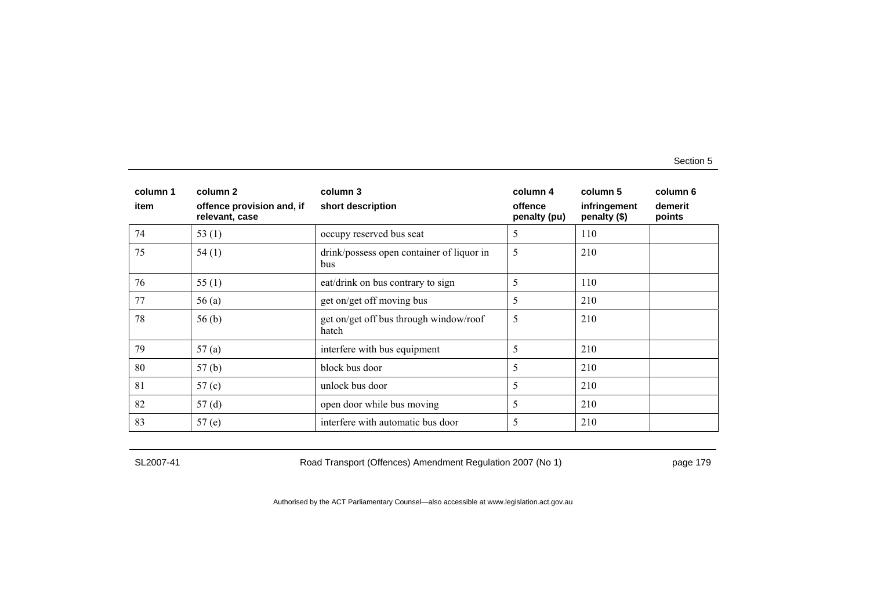| column 1 | column 2                                    | column 3                                         | column 4                | column 5                     | column 6          |
|----------|---------------------------------------------|--------------------------------------------------|-------------------------|------------------------------|-------------------|
| item     | offence provision and, if<br>relevant, case | short description                                | offence<br>penalty (pu) | infringement<br>penalty (\$) | demerit<br>points |
| 74       | 53 $(1)$                                    | occupy reserved bus seat                         | 5                       | 110                          |                   |
| 75       | 54(1)                                       | drink/possess open container of liquor in<br>bus | 5                       | 210                          |                   |
| 76       | 55 $(1)$                                    | eat/drink on bus contrary to sign                | 5                       | 110                          |                   |
| 77       | 56(a)                                       | get on/get off moving bus                        | 5                       | 210                          |                   |
| 78       | 56(b)                                       | get on/get off bus through window/roof<br>hatch  | 5                       | 210                          |                   |
| 79       | 57(a)                                       | interfere with bus equipment                     | 5                       | 210                          |                   |
| 80       | 57(b)                                       | block bus door                                   | 5                       | 210                          |                   |
| 81       | 57(c)                                       | unlock bus door                                  | 5                       | 210                          |                   |
| 82       | 57(d)                                       | open door while bus moving                       | 5                       | 210                          |                   |
| 83       | 57(e)                                       | interfere with automatic bus door                | 5                       | 210                          |                   |

SL2007-41 Road Transport (Offences) Amendment Regulation 2007 (No 1) page 179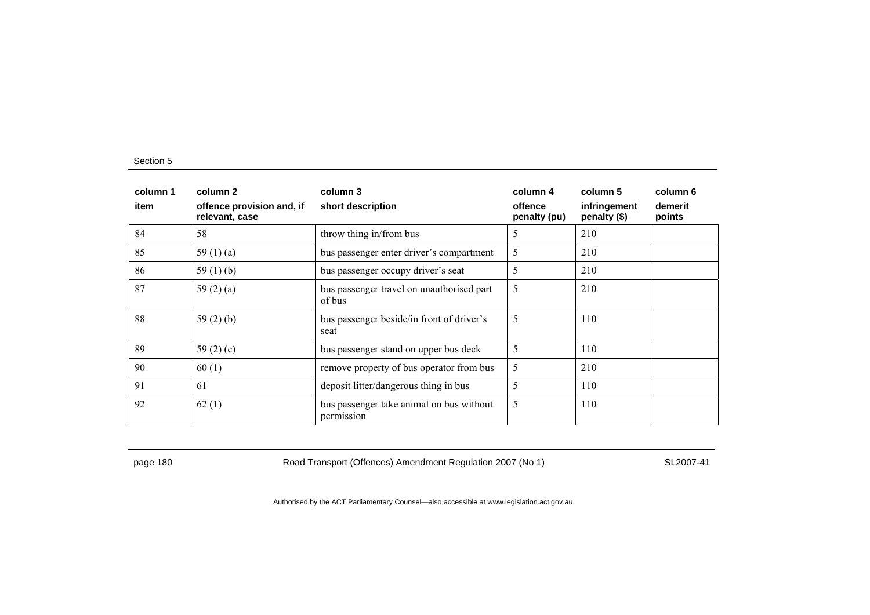| column 1<br>item | column 2<br>offence provision and, if<br>relevant, case | column 3<br>short description                          | column 4<br>offence<br>penalty (pu) | column 5<br>infringement<br>penalty (\$) | column 6<br>demerit<br>points |
|------------------|---------------------------------------------------------|--------------------------------------------------------|-------------------------------------|------------------------------------------|-------------------------------|
| 84               | 58                                                      | throw thing in/from bus                                | 5                                   | 210                                      |                               |
| 85               | 59 $(1)(a)$                                             | bus passenger enter driver's compartment               | 5                                   | 210                                      |                               |
| 86               | 59 $(1)(b)$                                             | bus passenger occupy driver's seat                     | 5                                   | 210                                      |                               |
| 87               | 59 $(2)$ $(a)$                                          | bus passenger travel on unauthorised part<br>of bus    | 5                                   | 210                                      |                               |
| 88               | 59 $(2)$ $(b)$                                          | bus passenger beside/in front of driver's<br>seat      | 5                                   | 110                                      |                               |
| 89               | 59 $(2)(c)$                                             | bus passenger stand on upper bus deck                  | 5                                   | 110                                      |                               |
| 90               | 60(1)                                                   | remove property of bus operator from bus               | 5                                   | 210                                      |                               |
| 91               | -61                                                     | deposit litter/dangerous thing in bus                  | 5                                   | 110                                      |                               |
| 92               | 62(1)                                                   | bus passenger take animal on bus without<br>permission | 5                                   | 110                                      |                               |

page 180 Road Transport (Offences) Amendment Regulation 2007 (No 1) SL2007-41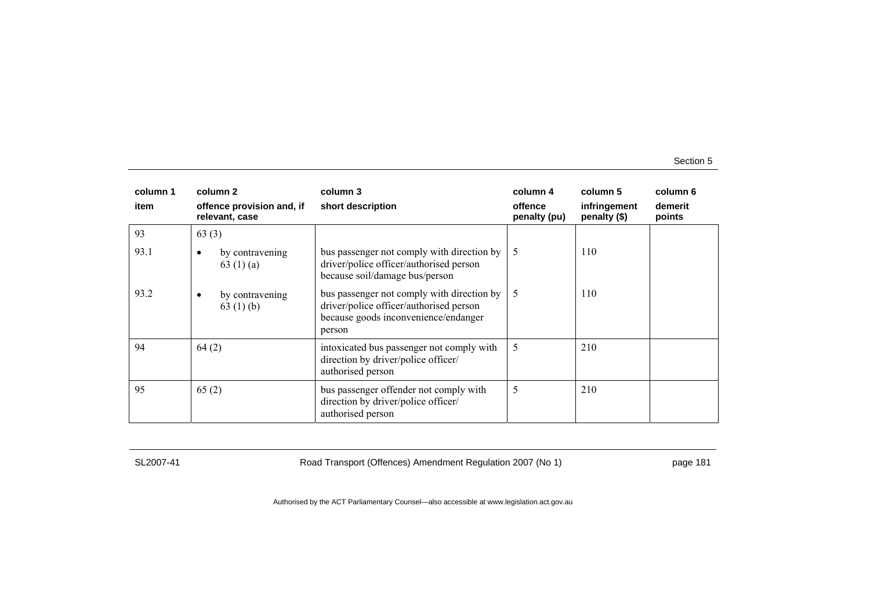| column 1 | column 2                                     | column 3                                                                                                                                | column 4                | column 5                     | column 6          |
|----------|----------------------------------------------|-----------------------------------------------------------------------------------------------------------------------------------------|-------------------------|------------------------------|-------------------|
| item     | offence provision and, if<br>relevant, case  | short description                                                                                                                       | offence<br>penalty (pu) | infringement<br>penalty (\$) | demerit<br>points |
| 93       | 63(3)                                        |                                                                                                                                         |                         |                              |                   |
| 93.1     | by contravening<br>63(1)(a)                  | bus passenger not comply with direction by<br>driver/police officer/authorised person<br>because soil/damage bus/person                 | 5                       | 110                          |                   |
| 93.2     | by contravening<br>$\bullet$<br>63 $(1)$ (b) | bus passenger not comply with direction by<br>driver/police officer/authorised person<br>because goods inconvenience/endanger<br>person | 5                       | 110                          |                   |
| 94       | 64(2)                                        | intoxicated bus passenger not comply with<br>direction by driver/police officer/<br>authorised person                                   | 5                       | 210                          |                   |
| 95       | 65(2)                                        | bus passenger offender not comply with<br>direction by driver/police officer/<br>authorised person                                      | 5                       | 210                          |                   |

SL2007-41 Road Transport (Offences) Amendment Regulation 2007 (No 1) page 181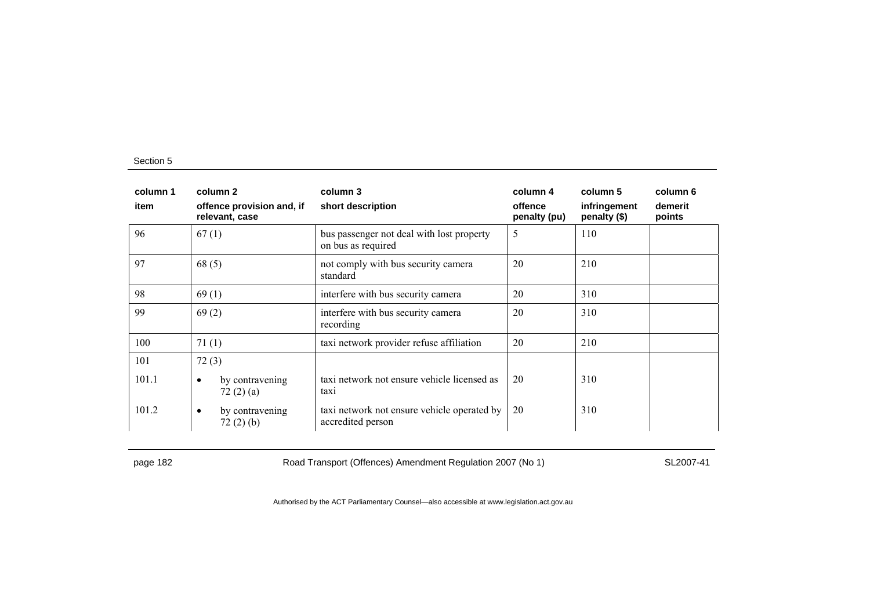| column 1<br>item | column 2<br>offence provision and, if<br>relevant, case | column 3<br>short description                                    | column 4<br>offence<br>penalty (pu) | column 5<br>infringement<br>penalty (\$) | column 6<br>demerit<br>points |
|------------------|---------------------------------------------------------|------------------------------------------------------------------|-------------------------------------|------------------------------------------|-------------------------------|
| 96               | 67(1)                                                   | bus passenger not deal with lost property<br>on bus as required  | 5                                   | 110                                      |                               |
| 97               | 68(5)                                                   | not comply with bus security camera<br>standard                  | 20                                  | 210                                      |                               |
| 98               | 69(1)                                                   | interfere with bus security camera                               | 20                                  | 310                                      |                               |
| 99               | 69(2)                                                   | interfere with bus security camera<br>recording                  | 20                                  | 310                                      |                               |
| 100              | 71(1)                                                   | taxi network provider refuse affiliation                         | 20                                  | 210                                      |                               |
| 101              | 72(3)                                                   |                                                                  |                                     |                                          |                               |
| 101.1            | by contravening<br>$\bullet$<br>72(2)(a)                | taxi network not ensure vehicle licensed as<br>taxi              | 20                                  | 310                                      |                               |
| 101.2            | by contravening<br>$\bullet$<br>72(2)(b)                | taxi network not ensure vehicle operated by<br>accredited person | 20                                  | 310                                      |                               |

page 182 Road Transport (Offences) Amendment Regulation 2007 (No 1) SL2007-41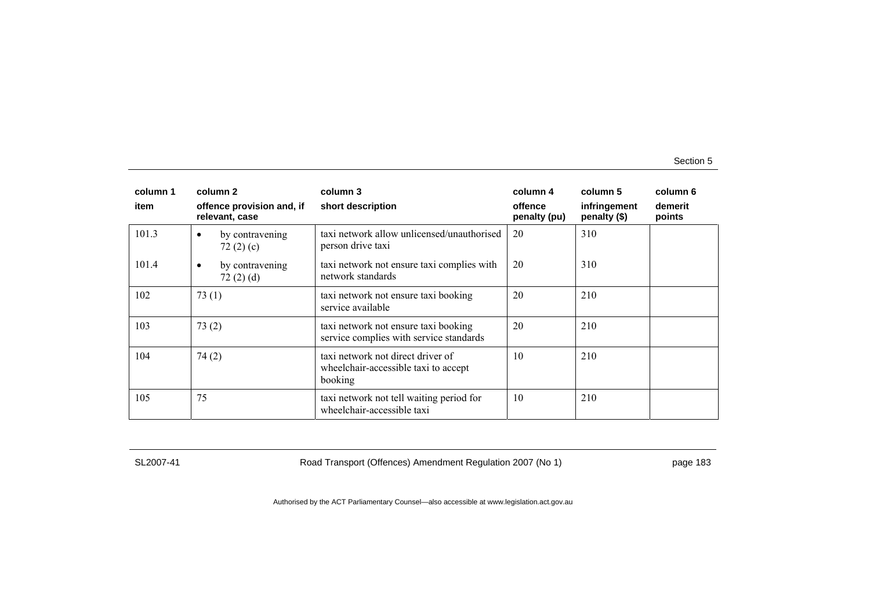| column 1<br>item | column 2                                       | column 3                                                                             | column 4<br>offence | column 5                     | column 6<br>demerit |
|------------------|------------------------------------------------|--------------------------------------------------------------------------------------|---------------------|------------------------------|---------------------|
|                  | offence provision and, if<br>relevant, case    | short description                                                                    | penalty (pu)        | infringement<br>penalty (\$) | points              |
| 101.3            | by contravening<br>$\bullet$<br>72 $(2)$ $(c)$ | taxi network allow unlicensed/unauthorised<br>person drive taxi                      | 20                  | 310                          |                     |
| 101.4            | by contravening<br>$\bullet$<br>72(2)(d)       | taxi network not ensure taxi complies with<br>network standards                      | 20                  | 310                          |                     |
| 102              | 73(1)                                          | taxi network not ensure taxi booking<br>service available                            | 20                  | 210                          |                     |
| 103              | 73(2)                                          | taxi network not ensure taxi booking<br>service complies with service standards      | 20                  | 210                          |                     |
| 104              | 74(2)                                          | taxi network not direct driver of<br>wheelchair-accessible taxi to accept<br>booking | 10                  | 210                          |                     |
| 105              | 75                                             | taxi network not tell waiting period for<br>wheelchair-accessible taxi               | 10                  | 210                          |                     |

SL2007-41 Road Transport (Offences) Amendment Regulation 2007 (No 1) page 183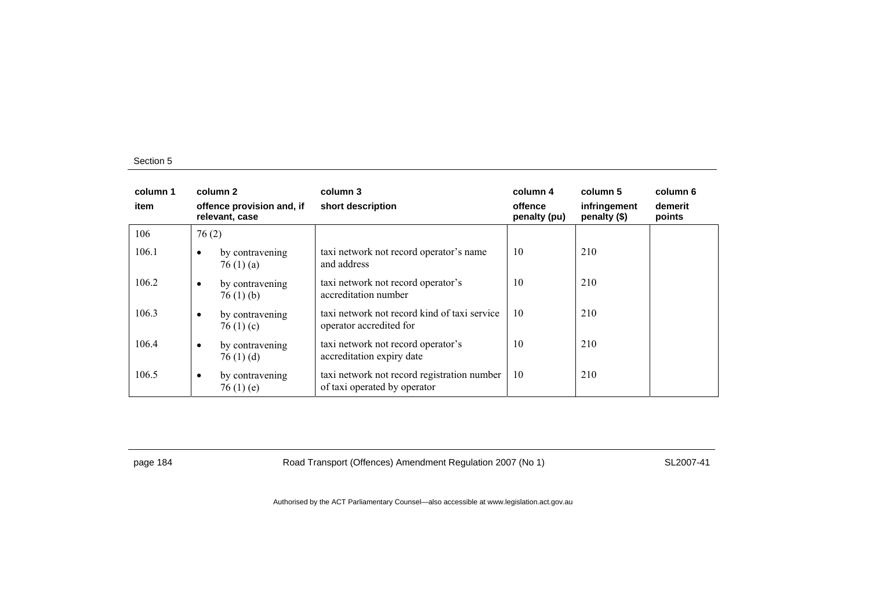| column 1<br>item | column 2<br>offence provision and, if<br>relevant, case |                                   | column 3<br>short description                                               | column 4<br>offence<br>penalty (pu) | column 5<br>infringement<br>penalty (\$) | column 6<br>demerit<br>points |
|------------------|---------------------------------------------------------|-----------------------------------|-----------------------------------------------------------------------------|-------------------------------------|------------------------------------------|-------------------------------|
| 106              | 76(2)                                                   |                                   |                                                                             |                                     |                                          |                               |
| 106.1            | $\bullet$                                               | by contravening<br>76(1)(a)       | taxi network not record operator's name<br>and address                      | 10                                  | 210                                      |                               |
| 106.2            | $\bullet$                                               | by contravening<br>76(1)(b)       | taxi network not record operator's<br>accreditation number                  | 10                                  | 210                                      |                               |
| 106.3            | $\bullet$                                               | by contravening<br>76 $(1)$ $(c)$ | taxi network not record kind of taxi service<br>operator accredited for     | 10                                  | 210                                      |                               |
| 106.4            | $\bullet$                                               | by contravening<br>76(1)(d)       | taxi network not record operator's<br>accreditation expiry date             | 10                                  | 210                                      |                               |
| 106.5            | $\bullet$                                               | by contravening<br>76(1)(e)       | taxi network not record registration number<br>of taxi operated by operator | 10                                  | 210                                      |                               |

page 184 Road Transport (Offences) Amendment Regulation 2007 (No 1) SL2007-41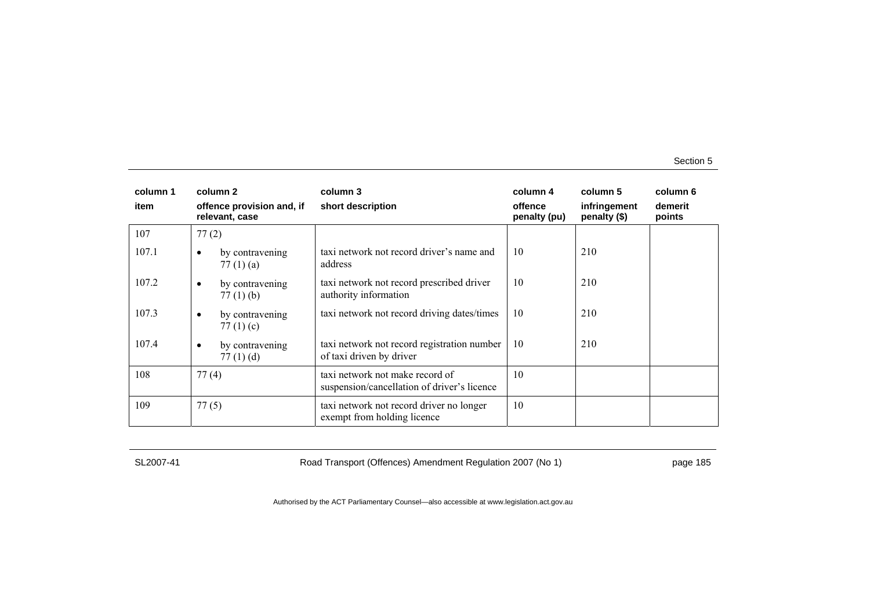| column 1 |           | column 2                                    | column 3                                                                       | column 4                | column 5                     | column 6          |
|----------|-----------|---------------------------------------------|--------------------------------------------------------------------------------|-------------------------|------------------------------|-------------------|
| item     |           | offence provision and, if<br>relevant, case | short description                                                              | offence<br>penalty (pu) | infringement<br>penalty (\$) | demerit<br>points |
| 107      | 77(2)     |                                             |                                                                                |                         |                              |                   |
| 107.1    | $\bullet$ | by contravening<br>77 $(1)$ $(a)$           | taxi network not record driver's name and<br>address                           | 10                      | 210                          |                   |
| 107.2    | $\bullet$ | by contravening<br>$77(1)$ (b)              | taxi network not record prescribed driver<br>authority information             | 10                      | 210                          |                   |
| 107.3    | $\bullet$ | by contravening<br>77 $(1)$ $(c)$           | taxi network not record driving dates/times                                    | 10                      | 210                          |                   |
| 107.4    | $\bullet$ | by contravening<br>77(1)(d)                 | taxi network not record registration number<br>of taxi driven by driver        | 10                      | 210                          |                   |
| 108      | 77(4)     |                                             | taxi network not make record of<br>suspension/cancellation of driver's licence | 10                      |                              |                   |
| 109      | 77(5)     |                                             | taxi network not record driver no longer<br>exempt from holding licence        | 10                      |                              |                   |

SL2007-41 Road Transport (Offences) Amendment Regulation 2007 (No 1) page 185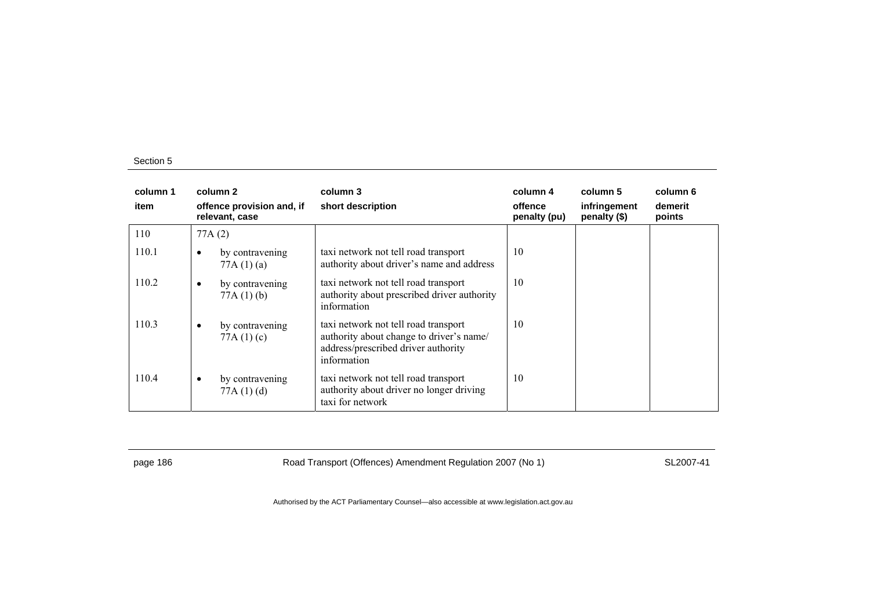| column 1<br>item |           | column 2<br>offence provision and, if<br>relevant, case | column 3<br>short description                                                                                                          | column 4<br>offence<br>penalty (pu) | column 5<br>infringement<br>penalty (\$) | column 6<br>demerit<br>points |
|------------------|-----------|---------------------------------------------------------|----------------------------------------------------------------------------------------------------------------------------------------|-------------------------------------|------------------------------------------|-------------------------------|
| 110              |           | 77A(2)                                                  |                                                                                                                                        |                                     |                                          |                               |
| 110.1            | ٠         | by contravening<br>77A(1)(a)                            | taxi network not tell road transport<br>authority about driver's name and address                                                      | 10                                  |                                          |                               |
| 110.2            | $\bullet$ | by contravening<br>77A(1)(b)                            | taxi network not tell road transport<br>authority about prescribed driver authority<br>information                                     | 10                                  |                                          |                               |
| 110.3            | $\bullet$ | by contravening<br>77A $(1)(c)$                         | taxi network not tell road transport<br>authority about change to driver's name/<br>address/prescribed driver authority<br>information | 10                                  |                                          |                               |
| 110.4            | $\bullet$ | by contravening<br>77A(1)(d)                            | taxi network not tell road transport<br>authority about driver no longer driving<br>taxi for network                                   | 10                                  |                                          |                               |

page 186 **Road Transport (Offences) Amendment Regulation 2007 (No 1)** SL2007-41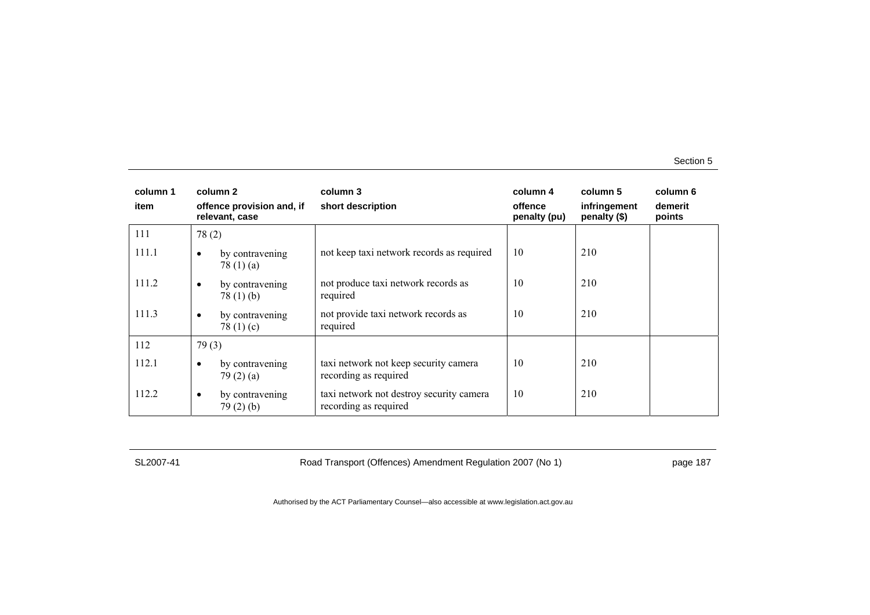| column 1<br>item |           | column 2<br>offence provision and, if<br>relevant, case | column 3<br>short description                                     | column 4<br>offence<br>penalty (pu) | column 5<br>infringement<br>penalty (\$) | column 6<br>demerit<br>points |
|------------------|-----------|---------------------------------------------------------|-------------------------------------------------------------------|-------------------------------------|------------------------------------------|-------------------------------|
| 111              | 78(2)     |                                                         |                                                                   |                                     |                                          |                               |
| 111.1            | ٠         | by contravening<br>78 $(1)$ $(a)$                       | not keep taxi network records as required                         | 10                                  | 210                                      |                               |
| 111.2            | $\bullet$ | by contravening<br>78(1)(b)                             | not produce taxi network records as<br>required                   | 10                                  | 210                                      |                               |
| 111.3            | $\bullet$ | by contravening<br>78 $(1)(c)$                          | not provide taxi network records as<br>required                   | 10                                  | 210                                      |                               |
| 112              | 79(3)     |                                                         |                                                                   |                                     |                                          |                               |
| 112.1            | ٠         | by contravening<br>79(2)(a)                             | taxi network not keep security camera<br>recording as required    | 10                                  | 210                                      |                               |
| 112.2            | $\bullet$ | by contravening<br>79(2)(b)                             | taxi network not destroy security camera<br>recording as required | 10                                  | 210                                      |                               |

SL2007-41 Road Transport (Offences) Amendment Regulation 2007 (No 1) page 187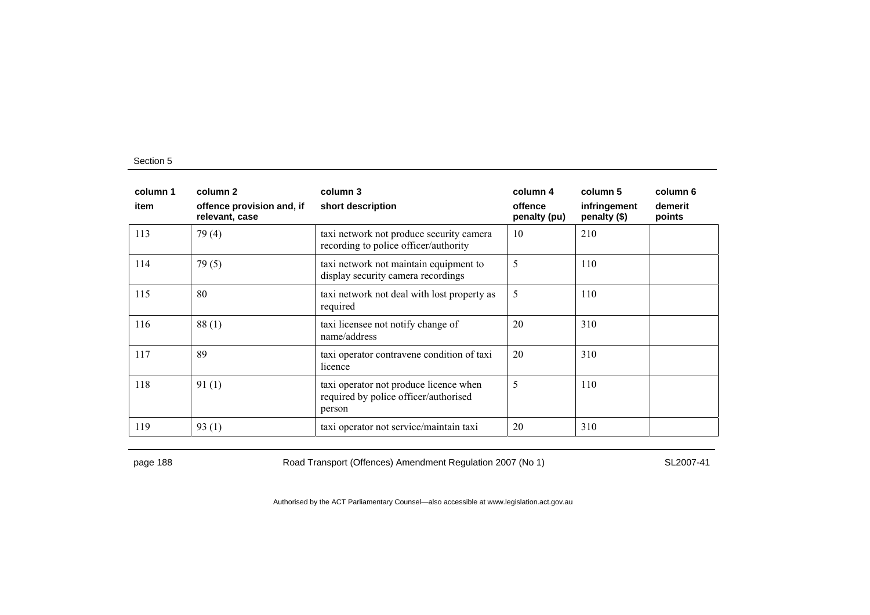| column 1<br>item | column 2<br>offence provision and, if<br>relevant, case | column 3<br>short description                                                             | column 4<br>offence<br>penalty (pu) | column 5<br>infringement<br>penalty (\$) | column 6<br>demerit<br>points |
|------------------|---------------------------------------------------------|-------------------------------------------------------------------------------------------|-------------------------------------|------------------------------------------|-------------------------------|
| 113              | 79(4)                                                   | taxi network not produce security camera<br>recording to police officer/authority         | 10                                  | 210                                      |                               |
| 114              | 79(5)                                                   | taxi network not maintain equipment to<br>display security camera recordings              | 5                                   | 110                                      |                               |
| 115              | 80                                                      | taxi network not deal with lost property as<br>required                                   | 5                                   | 110                                      |                               |
| 116              | 88(1)                                                   | taxi licensee not notify change of<br>name/address                                        | 20                                  | 310                                      |                               |
| 117              | 89                                                      | taxi operator contravene condition of taxi<br>licence                                     | 20                                  | 310                                      |                               |
| 118              | 91(1)                                                   | taxi operator not produce licence when<br>required by police officer/authorised<br>person | 5                                   | 110                                      |                               |
| 119              | 93(1)                                                   | taxi operator not service/maintain taxi                                                   | 20                                  | 310                                      |                               |

page 188 Road Transport (Offences) Amendment Regulation 2007 (No 1) SL2007-41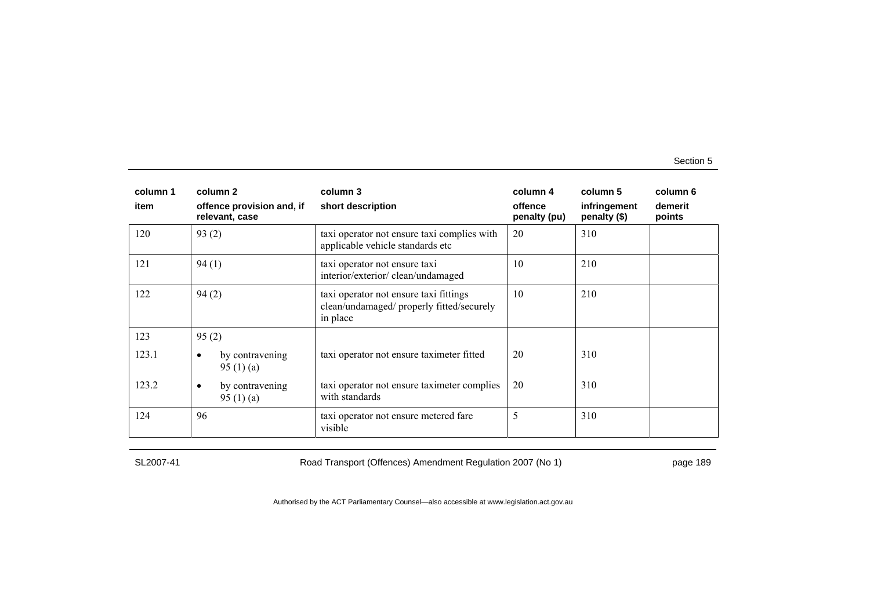| column 1 | column 2                                       | column 3                                                                                        | column 4                | column 5                     | column 6          |
|----------|------------------------------------------------|-------------------------------------------------------------------------------------------------|-------------------------|------------------------------|-------------------|
| item     | offence provision and, if<br>relevant, case    | short description                                                                               | offence<br>penalty (pu) | infringement<br>penalty (\$) | demerit<br>points |
| 120      | 93(2)                                          | taxi operator not ensure taxi complies with<br>applicable vehicle standards etc                 | 20                      | 310                          |                   |
| 121      | 94(1)                                          | taxi operator not ensure taxi<br>interior/exterior/clean/undamaged                              | 10                      | 210                          |                   |
| 122      | 94(2)                                          | taxi operator not ensure taxi fittings<br>clean/undamaged/ properly fitted/securely<br>in place | 10                      | 210                          |                   |
| 123      | 95(2)                                          |                                                                                                 |                         |                              |                   |
| 123.1    | by contravening<br>٠<br>95 $(1)$ $(a)$         | taxi operator not ensure taximeter fitted                                                       | 20                      | 310                          |                   |
| 123.2    | by contravening<br>$\bullet$<br>95 $(1)$ $(a)$ | taxi operator not ensure taximeter complies<br>with standards                                   | 20                      | 310                          |                   |
| 124      | 96                                             | taxi operator not ensure metered fare<br>visible                                                | 5                       | 310                          |                   |

SL2007-41 Road Transport (Offences) Amendment Regulation 2007 (No 1) page 189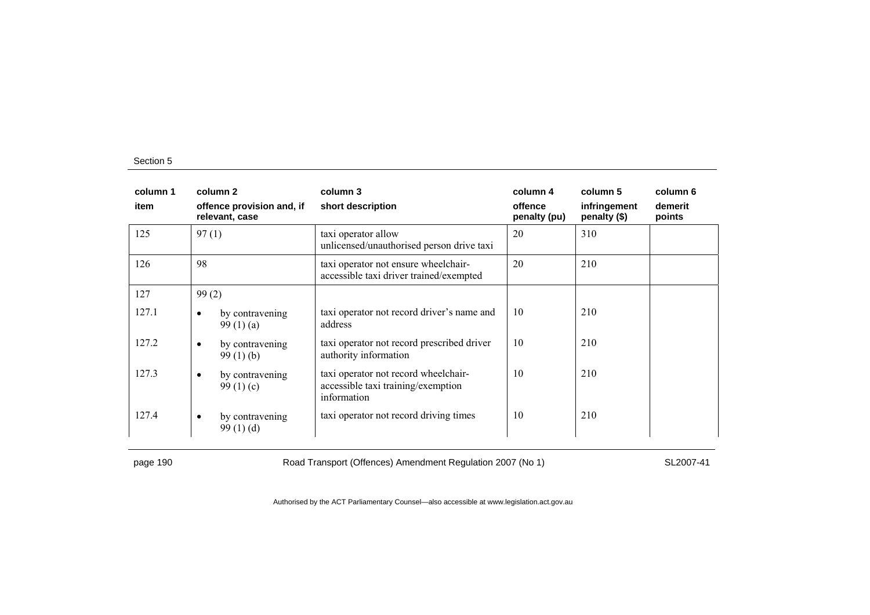| column 1<br>item | column 2<br>offence provision and, if<br>relevant, case | column 3<br>short description                                                             | column 4<br>offence<br>penalty (pu) | column 5<br>infringement<br>penalty (\$) | column 6<br>demerit<br>points |
|------------------|---------------------------------------------------------|-------------------------------------------------------------------------------------------|-------------------------------------|------------------------------------------|-------------------------------|
| 125              | 97(1)                                                   | taxi operator allow<br>unlicensed/unauthorised person drive taxi                          | 20                                  | 310                                      |                               |
| 126              | 98                                                      | taxi operator not ensure wheelchair-<br>accessible taxi driver trained/exempted           | 20                                  | 210                                      |                               |
| 127              | 99(2)                                                   |                                                                                           |                                     |                                          |                               |
| 127.1            | by contravening<br>٠<br>99(1)(a)                        | taxi operator not record driver's name and<br>address                                     | 10                                  | 210                                      |                               |
| 127.2            | by contravening<br>$\bullet$<br>99(1)(b)                | taxi operator not record prescribed driver<br>authority information                       | 10                                  | 210                                      |                               |
| 127.3            | by contravening<br>$\bullet$<br>99 $(1)(c)$             | taxi operator not record wheelchair-<br>accessible taxi training/exemption<br>information | 10                                  | 210                                      |                               |
| 127.4            | by contravening<br>$\bullet$<br>99(1)(d)                | taxi operator not record driving times                                                    | 10                                  | 210                                      |                               |

page 190 Road Transport (Offences) Amendment Regulation 2007 (No 1) SL2007-41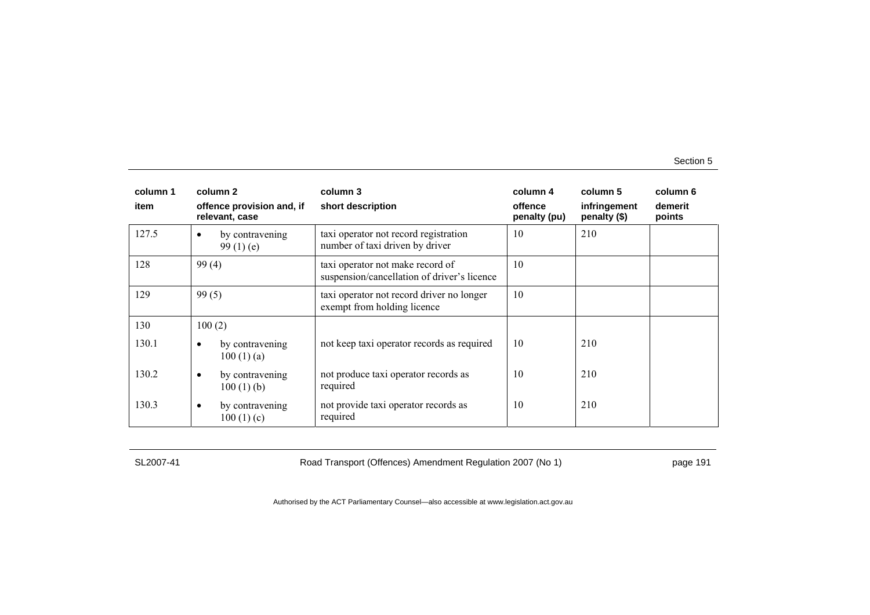| column 1<br>item | column 2<br>offence provision and, if<br>relevant, case | column 3<br>short description                                                   | column 4<br>offence<br>penalty (pu) | column 5<br>infringement<br>penalty (\$) | column 6<br>demerit<br>points |
|------------------|---------------------------------------------------------|---------------------------------------------------------------------------------|-------------------------------------|------------------------------------------|-------------------------------|
| 127.5            | by contravening<br>$\bullet$<br>99 $(1)$ $(e)$          | taxi operator not record registration<br>number of taxi driven by driver        | 10                                  | 210                                      |                               |
| 128              | 99(4)                                                   | taxi operator not make record of<br>suspension/cancellation of driver's licence | 10                                  |                                          |                               |
| 129              | 99(5)                                                   | taxi operator not record driver no longer<br>exempt from holding licence        | 10                                  |                                          |                               |
| 130              | 100(2)                                                  |                                                                                 |                                     |                                          |                               |
| 130.1            | by contravening<br>$\bullet$<br>100(1)(a)               | not keep taxi operator records as required                                      | 10                                  | 210                                      |                               |
| 130.2            | by contravening<br>$\bullet$<br>$100(1)$ (b)            | not produce taxi operator records as<br>required                                | 10                                  | 210                                      |                               |
| 130.3            | by contravening<br>$\bullet$<br>100(1)(c)               | not provide taxi operator records as<br>required                                | 10                                  | 210                                      |                               |

SL2007-41 Road Transport (Offences) Amendment Regulation 2007 (No 1) page 191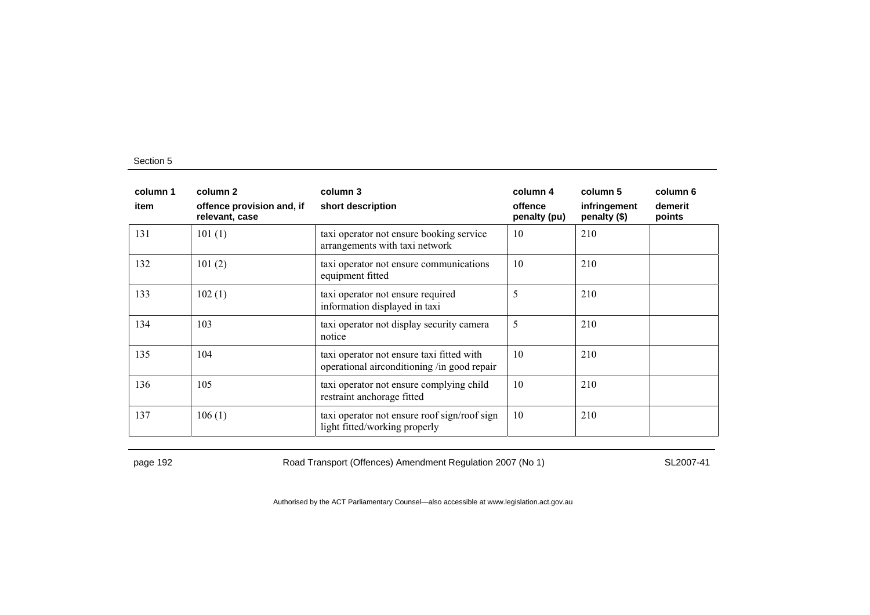| column 1<br>item | column 2<br>offence provision and, if<br>relevant, case | column 3<br>short description                                                            | column 4<br>offence<br>penalty (pu) | column 5<br>infringement<br>penalty (\$) | column 6<br>demerit<br>points |
|------------------|---------------------------------------------------------|------------------------------------------------------------------------------------------|-------------------------------------|------------------------------------------|-------------------------------|
| 131              | 101(1)                                                  | taxi operator not ensure booking service<br>arrangements with taxi network               | 10                                  | 210                                      |                               |
| 132              | 101(2)                                                  | taxi operator not ensure communications<br>equipment fitted                              | 10                                  | 210                                      |                               |
| 133              | 102(1)                                                  | taxi operator not ensure required<br>information displayed in taxi                       | 5                                   | 210                                      |                               |
| 134              | 103                                                     | taxi operator not display security camera<br>notice                                      | 5                                   | 210                                      |                               |
| 135              | 104                                                     | taxi operator not ensure taxi fitted with<br>operational airconditioning /in good repair | 10                                  | 210                                      |                               |
| 136              | 105                                                     | taxi operator not ensure complying child<br>restraint anchorage fitted                   | 10                                  | 210                                      |                               |
| 137              | 106(1)                                                  | taxi operator not ensure roof sign/roof sign<br>light fitted/working properly            | 10                                  | 210                                      |                               |

page 192 **Road Transport (Offences) Amendment Regulation 2007 (No 1)** SL2007-41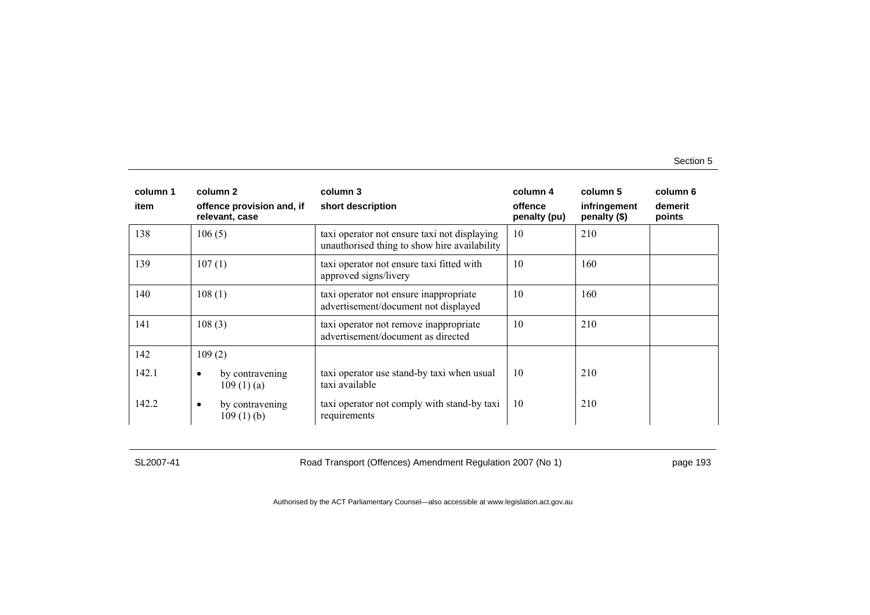| column 1 | column 2                                    | column 3                                                                                     | column 4                | column 5                     | column 6          |
|----------|---------------------------------------------|----------------------------------------------------------------------------------------------|-------------------------|------------------------------|-------------------|
| item     | offence provision and, if<br>relevant, case | short description                                                                            | offence<br>penalty (pu) | infringement<br>penalty (\$) | demerit<br>points |
| 138      | 106(5)                                      | taxi operator not ensure taxi not displaying<br>unauthorised thing to show hire availability | 10                      | 210                          |                   |
| 139      | 107(1)                                      | taxi operator not ensure taxi fitted with<br>approved signs/livery                           | 10                      | 160                          |                   |
| 140      | 108(1)                                      | taxi operator not ensure inappropriate<br>advertisement/document not displayed               | 10                      | 160                          |                   |
| 141      | 108(3)                                      | taxi operator not remove inappropriate<br>advertisement/document as directed                 | 10                      | 210                          |                   |
| 142      | 109(2)                                      |                                                                                              |                         |                              |                   |
| 142.1    | by contravening<br>$\bullet$<br>109(1)(a)   | taxi operator use stand-by taxi when usual<br>taxi available                                 | 10                      | 210                          |                   |
| 142.2    | by contravening<br>$\bullet$<br>109(1)(b)   | taxi operator not comply with stand-by taxi<br>requirements                                  | 10                      | 210                          |                   |

SL2007-41 Road Transport (Offences) Amendment Regulation 2007 (No 1) page 193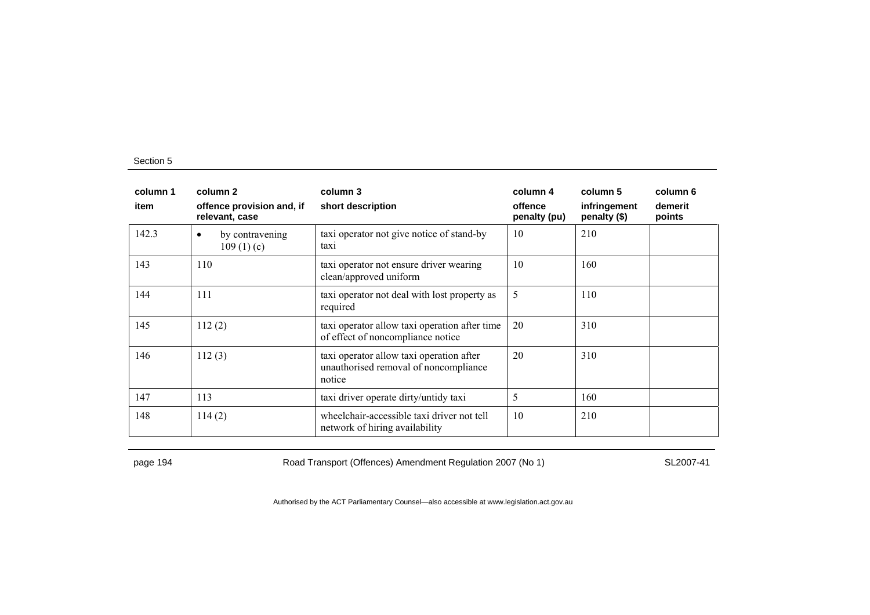| column 1<br>item | column 2<br>offence provision and, if<br>relevant, case | column 3<br>short description                                                               | column 4<br>offence<br>penalty (pu) | column 5<br>infringement<br>penalty (\$) | column 6<br>demerit<br>points |
|------------------|---------------------------------------------------------|---------------------------------------------------------------------------------------------|-------------------------------------|------------------------------------------|-------------------------------|
| 142.3            | by contravening<br>$\bullet$<br>109(1)(c)               | taxi operator not give notice of stand-by<br>taxi                                           | 10                                  | 210                                      |                               |
| 143              | 110                                                     | taxi operator not ensure driver wearing<br>clean/approved uniform                           | 10                                  | 160                                      |                               |
| 144              | 111                                                     | taxi operator not deal with lost property as<br>required                                    | 5                                   | 110                                      |                               |
| 145              | 112(2)                                                  | taxi operator allow taxi operation after time<br>of effect of noncompliance notice          | 20                                  | 310                                      |                               |
| 146              | 112(3)                                                  | taxi operator allow taxi operation after<br>unauthorised removal of noncompliance<br>notice | 20                                  | 310                                      |                               |
| 147              | 113                                                     | taxi driver operate dirty/untidy taxi                                                       | 5                                   | 160                                      |                               |
| 148              | 114(2)                                                  | wheelchair-accessible taxi driver not tell<br>network of hiring availability                | 10                                  | 210                                      |                               |

page 194 **Road Transport (Offences) Amendment Regulation 2007 (No 1)** SL2007-41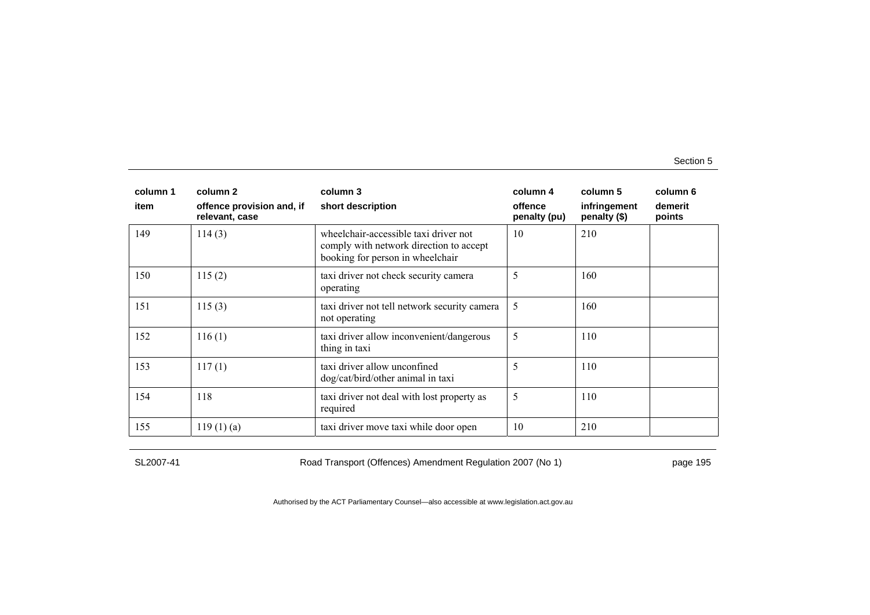| column 1 | column 2                                    | column 3                                                                                                             | column 4                | column 5                     | column 6          |
|----------|---------------------------------------------|----------------------------------------------------------------------------------------------------------------------|-------------------------|------------------------------|-------------------|
| item     | offence provision and, if<br>relevant, case | short description                                                                                                    | offence<br>penalty (pu) | infringement<br>penalty (\$) | demerit<br>points |
| 149      | 114(3)                                      | wheelchair-accessible taxi driver not<br>comply with network direction to accept<br>booking for person in wheelchair | 10                      | 210                          |                   |
| 150      | 115(2)                                      | taxi driver not check security camera<br>operating                                                                   | 5                       | 160                          |                   |
| 151      | 115(3)                                      | taxi driver not tell network security camera<br>not operating                                                        | 5                       | 160                          |                   |
| 152      | 116(1)                                      | taxi driver allow inconvenient/dangerous<br>thing in taxi                                                            | 5                       | 110                          |                   |
| 153      | 117(1)                                      | taxi driver allow unconfined<br>dog/cat/bird/other animal in taxi                                                    | 5                       | 110                          |                   |
| 154      | 118                                         | taxi driver not deal with lost property as<br>required                                                               | 5                       | 110                          |                   |
| 155      | 119(1)(a)                                   | taxi driver move taxi while door open                                                                                | 10                      | 210                          |                   |

SL2007-41 Road Transport (Offences) Amendment Regulation 2007 (No 1) page 195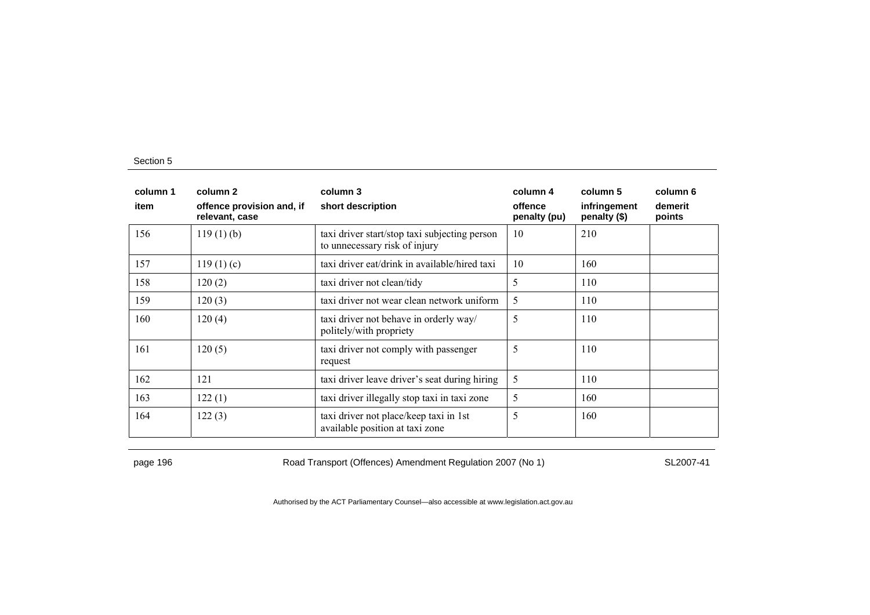| column 1<br>item | column 2<br>offence provision and, if<br>relevant, case | column 3<br>short description                                                  | column 4<br>offence<br>penalty (pu) | column 5<br>infringement<br>penalty (\$) | column 6<br>demerit<br>points |
|------------------|---------------------------------------------------------|--------------------------------------------------------------------------------|-------------------------------------|------------------------------------------|-------------------------------|
| 156              | $119(1)$ (b)                                            | taxi driver start/stop taxi subjecting person<br>to unnecessary risk of injury | 10                                  | 210                                      |                               |
| 157              | 119(1)(c)                                               | taxi driver eat/drink in available/hired taxi                                  | 10                                  | 160                                      |                               |
| 158              | 120(2)                                                  | taxi driver not clean/tidy                                                     | 5                                   | 110                                      |                               |
| 159              | 120(3)                                                  | taxi driver not wear clean network uniform                                     | 5                                   | 110                                      |                               |
| 160              | 120(4)                                                  | taxi driver not behave in orderly way/<br>politely/with propriety              | 5                                   | 110                                      |                               |
| 161              | 120(5)                                                  | taxi driver not comply with passenger<br>request                               | 5                                   | 110                                      |                               |
| 162              | 121                                                     | taxi driver leave driver's seat during hiring                                  | 5                                   | 110                                      |                               |
| 163              | 122(1)                                                  | taxi driver illegally stop taxi in taxi zone                                   | 5                                   | 160                                      |                               |
| 164              | 122(3)                                                  | taxi driver not place/keep taxi in 1st<br>available position at taxi zone      | 5                                   | 160                                      |                               |

page 196 **Road Transport (Offences) Amendment Regulation 2007 (No 1)** SL2007-41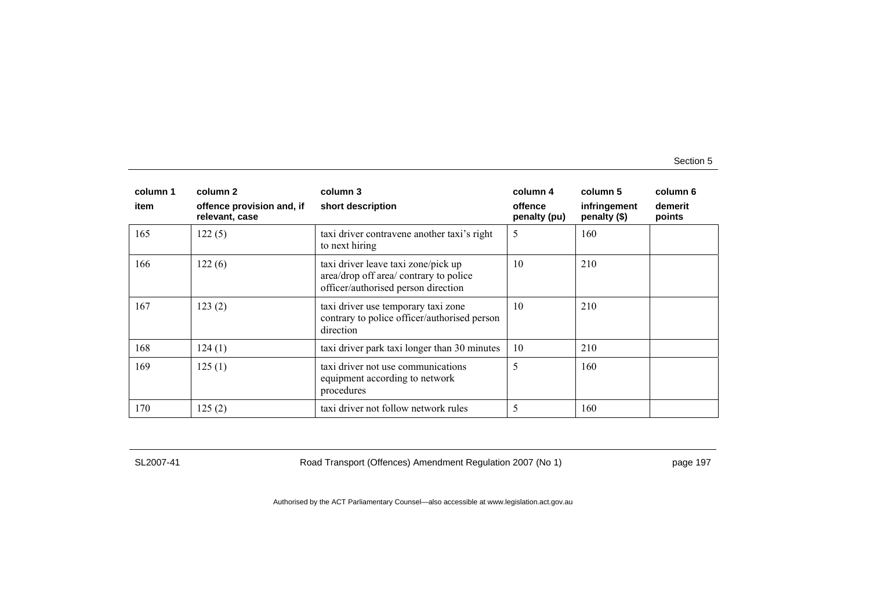| column 1<br>item | column 2<br>offence provision and, if<br>relevant, case | column 3<br>short description                                                                                        | column 4<br>offence<br>penalty (pu) | column 5<br>infringement<br>penalty (\$) | column 6<br>demerit<br>points |
|------------------|---------------------------------------------------------|----------------------------------------------------------------------------------------------------------------------|-------------------------------------|------------------------------------------|-------------------------------|
| 165              | 122(5)                                                  | taxi driver contravene another taxi's right<br>to next hiring                                                        | 5                                   | 160                                      |                               |
| 166              | 122(6)                                                  | taxi driver leave taxi zone/pick up<br>area/drop off area/ contrary to police<br>officer/authorised person direction | 10                                  | 210                                      |                               |
| 167              | 123(2)                                                  | taxi driver use temporary taxi zone<br>contrary to police officer/authorised person<br>direction                     | 10                                  | 210                                      |                               |
| 168              | 124(1)                                                  | taxi driver park taxi longer than 30 minutes                                                                         | 10                                  | 210                                      |                               |
| 169              | 125(1)                                                  | taxi driver not use communications<br>equipment according to network<br>procedures                                   | 5                                   | 160                                      |                               |
| 170              | 125(2)                                                  | taxi driver not follow network rules                                                                                 | 5                                   | 160                                      |                               |

SL2007-41 Road Transport (Offences) Amendment Regulation 2007 (No 1) page 197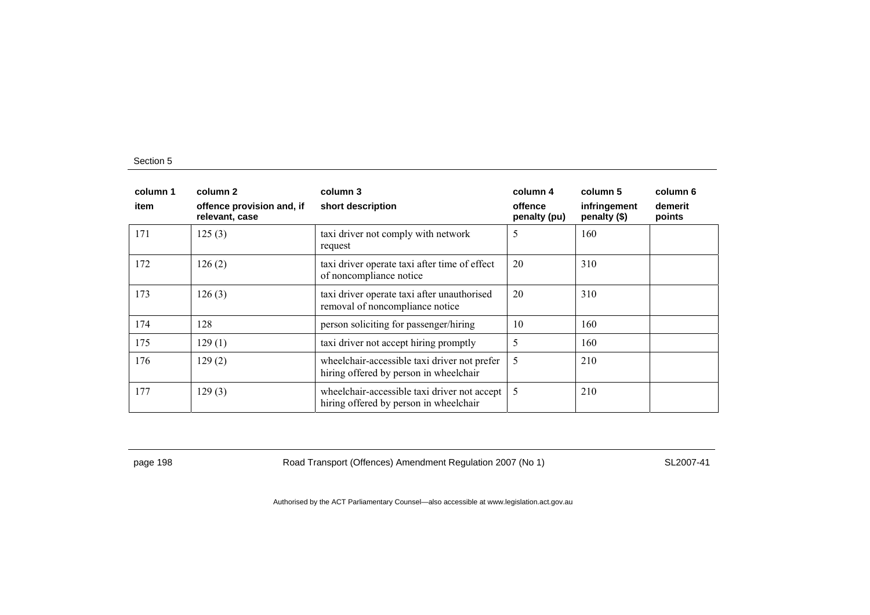| column 1<br>item | column 2<br>offence provision and, if<br>relevant, case | column 3<br>short description                                                          | column 4<br>offence<br>penalty (pu) | column 5<br>infringement<br>penalty (\$) | column 6<br>demerit<br>points |
|------------------|---------------------------------------------------------|----------------------------------------------------------------------------------------|-------------------------------------|------------------------------------------|-------------------------------|
| 171              | 125(3)                                                  | taxi driver not comply with network<br>request                                         | 5                                   | 160                                      |                               |
| 172              | 126(2)                                                  | taxi driver operate taxi after time of effect<br>of noncompliance notice               | 20                                  | 310                                      |                               |
| 173              | 126(3)                                                  | taxi driver operate taxi after unauthorised<br>removal of noncompliance notice         | 20                                  | 310                                      |                               |
| 174              | 128                                                     | person soliciting for passenger/hiring                                                 | 10                                  | 160                                      |                               |
| 175              | 129(1)                                                  | taxi driver not accept hiring promptly                                                 | 5                                   | 160                                      |                               |
| 176              | 129(2)                                                  | wheelchair-accessible taxi driver not prefer<br>hiring offered by person in wheelchair | 5                                   | 210                                      |                               |
| 177              | 129(3)                                                  | wheelchair-accessible taxi driver not accept<br>hiring offered by person in wheelchair | 5                                   | 210                                      |                               |

page 198 **Road Transport (Offences) Amendment Regulation 2007 (No 1)** SL2007-41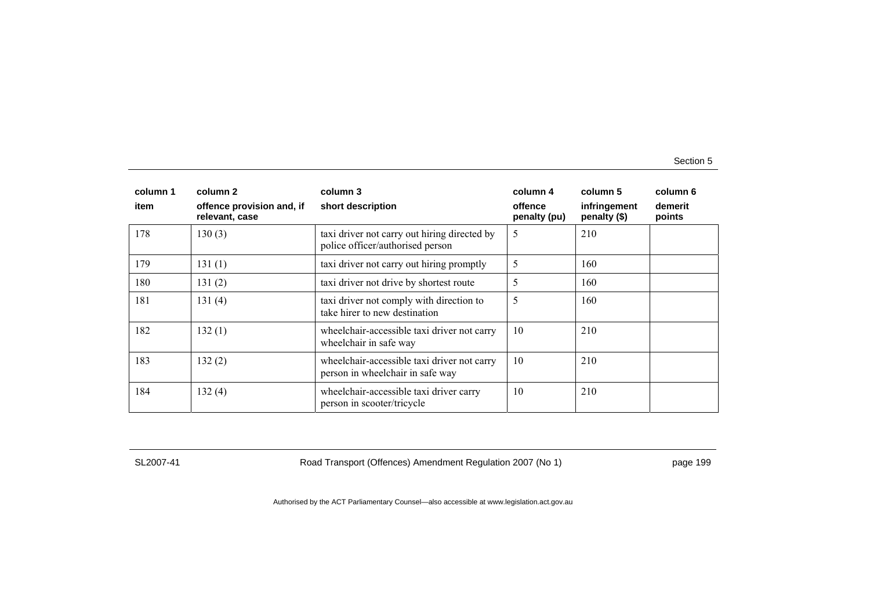| column 1 | column 2                                    | column 3                                                                         | column 4                | column 5                     | column 6          |
|----------|---------------------------------------------|----------------------------------------------------------------------------------|-------------------------|------------------------------|-------------------|
| item     | offence provision and, if<br>relevant, case | short description                                                                | offence<br>penalty (pu) | infringement<br>penalty (\$) | demerit<br>points |
| 178      | 130(3)                                      | taxi driver not carry out hiring directed by<br>police officer/authorised person | 5                       | 210                          |                   |
| 179      | 131(1)                                      | taxi driver not carry out hiring promptly                                        | 5                       | 160                          |                   |
| 180      | 131(2)                                      | taxi driver not drive by shortest route                                          | 5                       | 160                          |                   |
| 181      | 131(4)                                      | taxi driver not comply with direction to<br>take hirer to new destination        | 5                       | 160                          |                   |
| 182      | 132(1)                                      | wheelchair-accessible taxi driver not carry<br>wheelchair in safe way            | 10                      | 210                          |                   |
| 183      | 132(2)                                      | wheelchair-accessible taxi driver not carry<br>person in wheelchair in safe way  | 10                      | 210                          |                   |
| 184      | 132(4)                                      | wheelchair-accessible taxi driver carry<br>person in scooter/tricycle            | 10                      | 210                          |                   |

SL2007-41 Road Transport (Offences) Amendment Regulation 2007 (No 1) page 199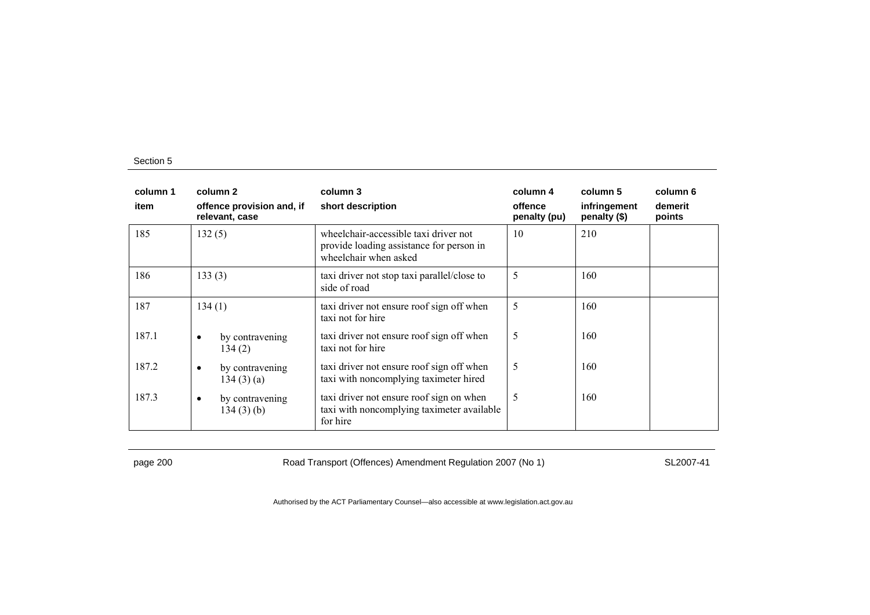| column 1<br>item | column 2<br>offence provision and, if<br>relevant, case | column 3<br>short description                                                                              | column 4<br>offence<br>penalty (pu) | column 5<br>infringement<br>penalty (\$) | column 6<br>demerit<br>points |
|------------------|---------------------------------------------------------|------------------------------------------------------------------------------------------------------------|-------------------------------------|------------------------------------------|-------------------------------|
| 185              | 132(5)                                                  | wheelchair-accessible taxi driver not<br>provide loading assistance for person in<br>wheelchair when asked | 10                                  | 210                                      |                               |
| 186              | 133(3)                                                  | taxi driver not stop taxi parallel/close to<br>side of road                                                | 5                                   | 160                                      |                               |
| 187              | 134(1)                                                  | taxi driver not ensure roof sign off when<br>taxi not for hire                                             | 5                                   | 160                                      |                               |
| 187.1            | by contravening<br>$\bullet$<br>134(2)                  | taxi driver not ensure roof sign off when<br>taxi not for hire                                             | 5                                   | 160                                      |                               |
| 187.2            | by contravening<br>٠<br>134(3)(a)                       | taxi driver not ensure roof sign off when<br>taxi with noncomplying taximeter hired                        | 5                                   | 160                                      |                               |
| 187.3            | by contravening<br>٠<br>134(3)(b)                       | taxi driver not ensure roof sign on when<br>taxi with noncomplying taximeter available<br>for hire         | 5                                   | 160                                      |                               |

page 200 Road Transport (Offences) Amendment Regulation 2007 (No 1) SL2007-41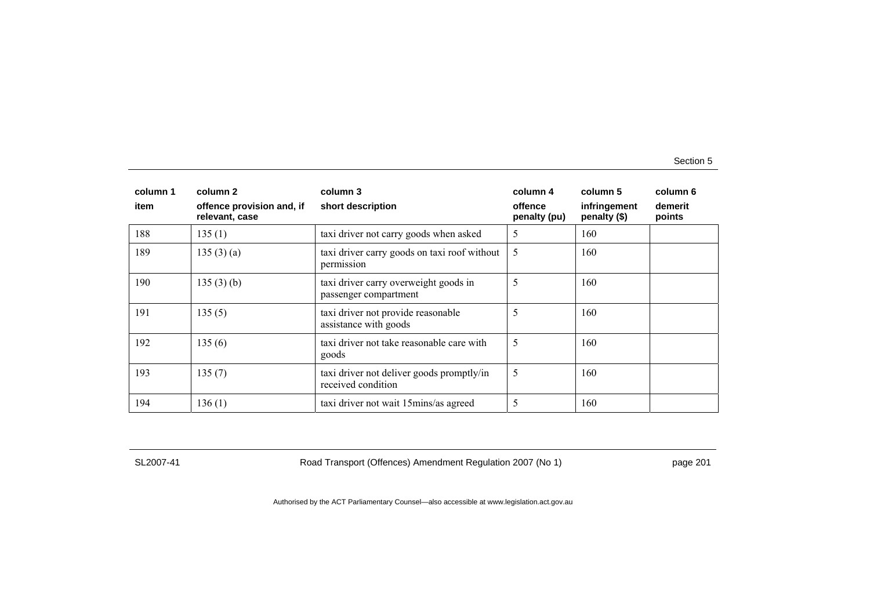| column 1 | column 2                                    | column 3                                                        | column 4                | column 5                     | column 6          |
|----------|---------------------------------------------|-----------------------------------------------------------------|-------------------------|------------------------------|-------------------|
| item     | offence provision and, if<br>relevant, case | short description                                               | offence<br>penalty (pu) | infringement<br>penalty (\$) | demerit<br>points |
| 188      | 135(1)                                      | taxi driver not carry goods when asked                          | 5                       | 160                          |                   |
| 189      | 135(3)(a)                                   | taxi driver carry goods on taxi roof without<br>permission      | 5                       | 160                          |                   |
| 190      | 135(3)(b)                                   | taxi driver carry overweight goods in<br>passenger compartment  | 5                       | 160                          |                   |
| 191      | 135(5)                                      | taxi driver not provide reasonable<br>assistance with goods     | 5                       | 160                          |                   |
| 192      | 135(6)                                      | taxi driver not take reasonable care with<br>goods              | 5                       | 160                          |                   |
| 193      | 135(7)                                      | taxi driver not deliver goods promptly/in<br>received condition | 5                       | 160                          |                   |
| 194      | 136(1)                                      | taxi driver not wait 15 mins/as agreed                          | 5                       | 160                          |                   |

SL2007-41 Road Transport (Offences) Amendment Regulation 2007 (No 1) page 201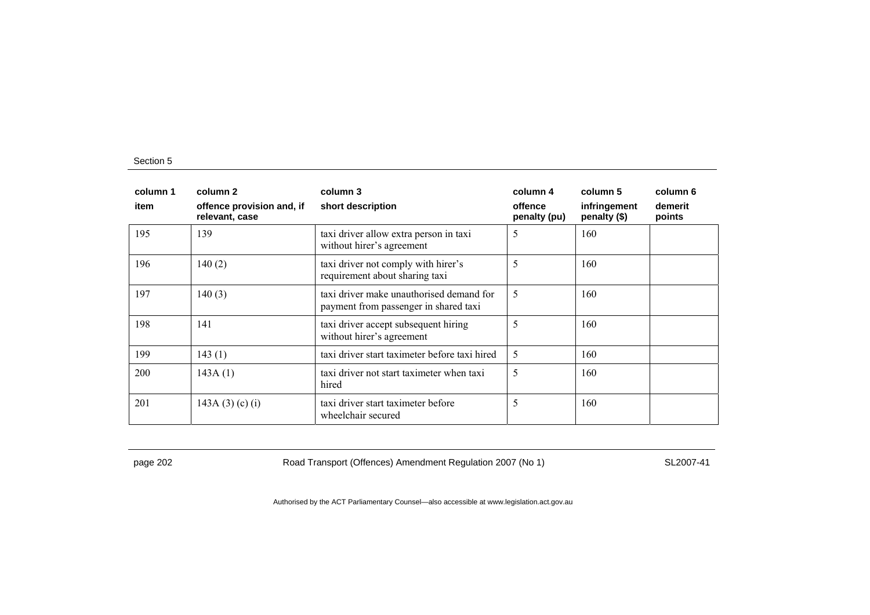| column 1<br>item | column 2<br>offence provision and, if<br>relevant, case | column 3<br>short description                                                     | column 4<br>offence<br>penalty (pu) | column 5<br>infringement<br>penalty (\$) | column 6<br>demerit<br>points |
|------------------|---------------------------------------------------------|-----------------------------------------------------------------------------------|-------------------------------------|------------------------------------------|-------------------------------|
| 195              | 139                                                     | taxi driver allow extra person in taxi<br>without hirer's agreement               | 5                                   | 160                                      |                               |
| 196              | 140(2)                                                  | taxi driver not comply with hirer's<br>requirement about sharing taxi             | 5                                   | 160                                      |                               |
| 197              | 140(3)                                                  | taxi driver make unauthorised demand for<br>payment from passenger in shared taxi | 5                                   | 160                                      |                               |
| 198              | 141                                                     | taxi driver accept subsequent hiring<br>without hirer's agreement                 | 5                                   | 160                                      |                               |
| 199              | 143(1)                                                  | taxi driver start taximeter before taxi hired                                     | 5                                   | 160                                      |                               |
| <b>200</b>       | 143A(1)                                                 | taxi driver not start taximeter when taxi<br>hired                                | 5                                   | 160                                      |                               |
| 201              | 143A $(3)$ $(c)$ $(i)$                                  | taxi driver start taximeter before<br>wheelchair secured                          | 5                                   | 160                                      |                               |

page 202 Road Transport (Offences) Amendment Regulation 2007 (No 1) SL2007-41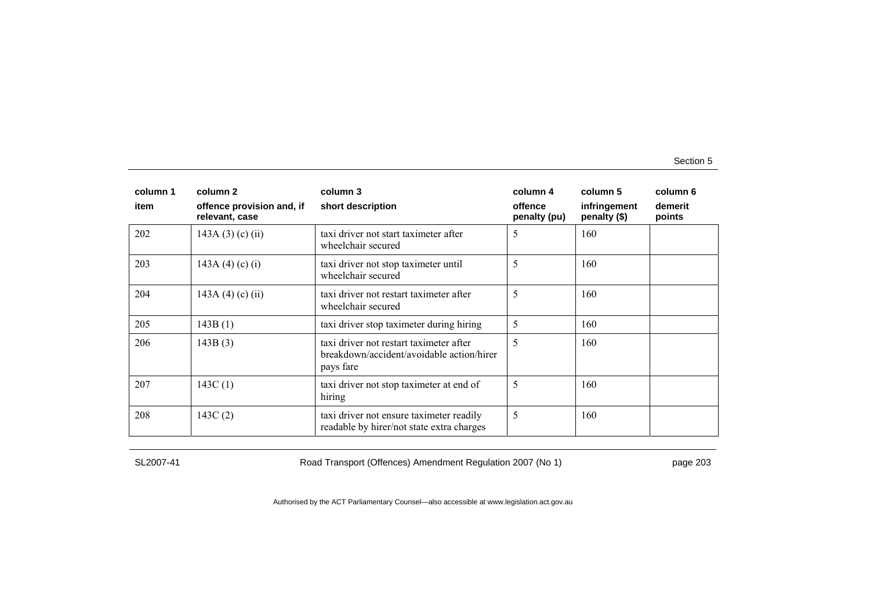| column 1 | column 2                                    | column 3                                                                                          | column 4                | column 5                     | column 6          |
|----------|---------------------------------------------|---------------------------------------------------------------------------------------------------|-------------------------|------------------------------|-------------------|
| item     | offence provision and, if<br>relevant, case | short description                                                                                 | offence<br>penalty (pu) | infringement<br>penalty (\$) | demerit<br>points |
| 202      | $143A(3)$ (c) (ii)                          | taxi driver not start taximeter after<br>wheelchair secured                                       | 5                       | 160                          |                   |
| 203      | 143A (4) (c) (i)                            | taxi driver not stop taximeter until<br>wheelchair secured                                        | 5                       | 160                          |                   |
| 204      | 143A (4) (c) (ii)                           | taxi driver not restart taximeter after<br>wheelchair secured                                     | 5                       | 160                          |                   |
| 205      | 143B(1)                                     | taxi driver stop taximeter during hiring                                                          | 5                       | 160                          |                   |
| 206      | 143B(3)                                     | taxi driver not restart taximeter after<br>breakdown/accident/avoidable action/hirer<br>pays fare | 5                       | 160                          |                   |
| 207      | 143C(1)                                     | taxi driver not stop taximeter at end of<br>hiring                                                | 5                       | 160                          |                   |
| 208      | 143C(2)                                     | taxi driver not ensure taximeter readily<br>readable by hirer/not state extra charges             | 5                       | 160                          |                   |

SL2007-41 Road Transport (Offences) Amendment Regulation 2007 (No 1) page 203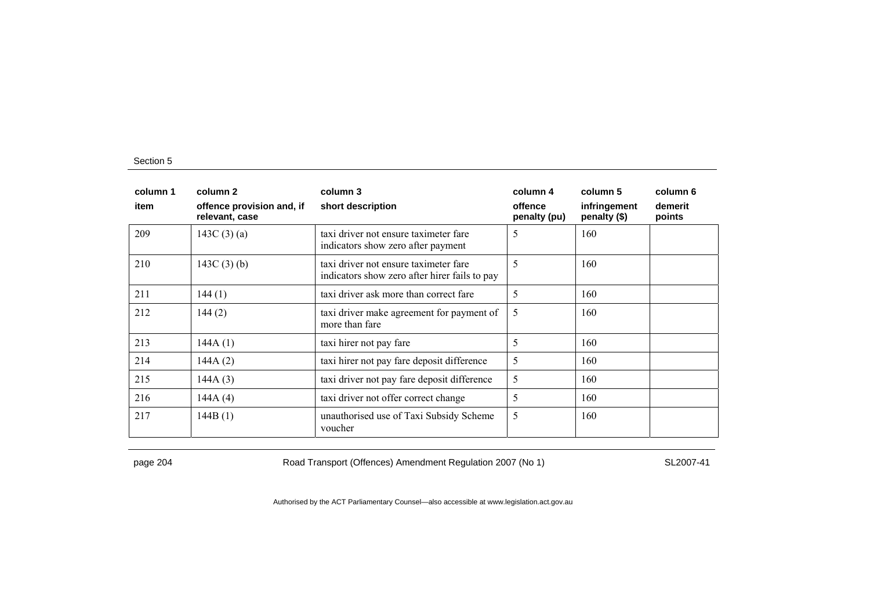| column 1<br>item | column 2<br>offence provision and, if<br>relevant, case | column 3<br>short description                                                          | column 4<br>offence<br>penalty (pu) | column 5<br>infringement<br>penalty (\$) | column 6<br>demerit<br>points |
|------------------|---------------------------------------------------------|----------------------------------------------------------------------------------------|-------------------------------------|------------------------------------------|-------------------------------|
| 209              | 143C $(3)(a)$                                           | taxi driver not ensure taximeter fare<br>indicators show zero after payment            | 5                                   | 160                                      |                               |
| 210              | 143C $(3)$ $(b)$                                        | taxi driver not ensure taximeter fare<br>indicators show zero after hirer fails to pay | 5                                   | 160                                      |                               |
| 211              | 144(1)                                                  | taxi driver ask more than correct fare                                                 | 5                                   | 160                                      |                               |
| 212              | 144(2)                                                  | taxi driver make agreement for payment of<br>more than fare                            | 5                                   | 160                                      |                               |
| 213              | 144A(1)                                                 | taxi hirer not pay fare                                                                | 5                                   | 160                                      |                               |
| 214              | 144A(2)                                                 | taxi hirer not pay fare deposit difference                                             | 5                                   | 160                                      |                               |
| 215              | 144A(3)                                                 | taxi driver not pay fare deposit difference                                            | 5                                   | 160                                      |                               |
| 216              | 144A $(4)$                                              | taxi driver not offer correct change                                                   | 5                                   | 160                                      |                               |
| 217              | 144B(1)                                                 | unauthorised use of Taxi Subsidy Scheme<br>voucher                                     | 5                                   | 160                                      |                               |

page 204 Road Transport (Offences) Amendment Regulation 2007 (No 1) SL2007-41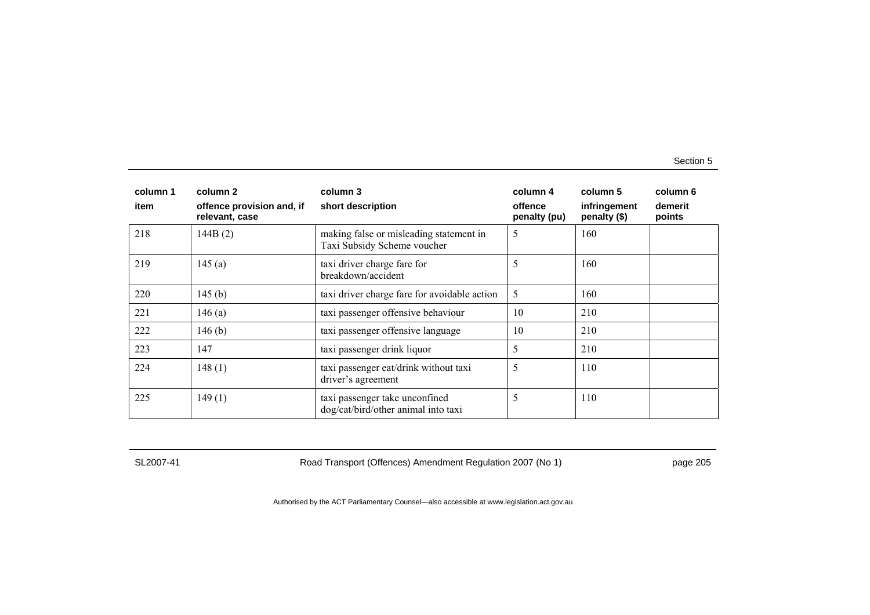| column 1<br>item | column 2<br>offence provision and, if | column 3<br>short description                                          | column 4<br>offence | column 5<br>infringement | column 6<br>demerit |
|------------------|---------------------------------------|------------------------------------------------------------------------|---------------------|--------------------------|---------------------|
|                  | relevant, case                        |                                                                        | penalty (pu)        | penalty (\$)             | points              |
| 218              | 144B(2)                               | making false or misleading statement in<br>Taxi Subsidy Scheme voucher | 5                   | 160                      |                     |
| 219              | 145(a)                                | taxi driver charge fare for<br>breakdown/accident                      | 5                   | 160                      |                     |
| 220              | 145(b)                                | taxi driver charge fare for avoidable action                           | 5                   | 160                      |                     |
| 221              | 146(a)                                | taxi passenger offensive behaviour                                     | 10                  | 210                      |                     |
| 222              | 146(b)                                | taxi passenger offensive language                                      | 10                  | 210                      |                     |
| 223              | 147                                   | taxi passenger drink liquor                                            | 5                   | 210                      |                     |
| 224              | 148(1)                                | taxi passenger eat/drink without taxi<br>driver's agreement            | 5                   | 110                      |                     |
| 225              | 149(1)                                | taxi passenger take unconfined<br>dog/cat/bird/other animal into taxi  | 5                   | 110                      |                     |

SL2007-41 Road Transport (Offences) Amendment Regulation 2007 (No 1) page 205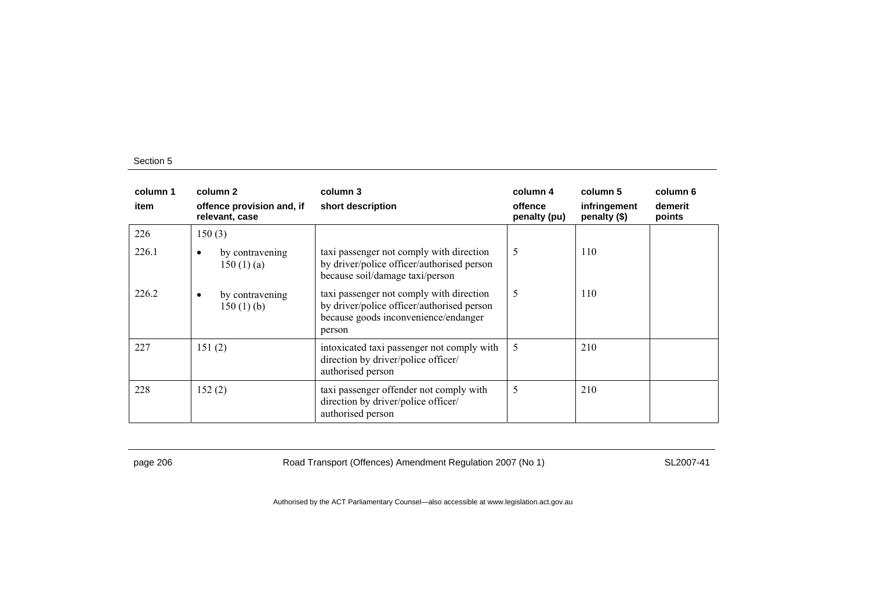| column 1<br>item | column 2<br>offence provision and, if<br>relevant, case | column 3<br>short description                                                                                                            | column 4<br>offence<br>penalty (pu) | column 5<br>infringement<br>penalty (\$) | column 6<br>demerit<br>points |
|------------------|---------------------------------------------------------|------------------------------------------------------------------------------------------------------------------------------------------|-------------------------------------|------------------------------------------|-------------------------------|
| 226              | 150(3)                                                  |                                                                                                                                          |                                     |                                          |                               |
| 226.1            | by contravening<br>٠<br>150(1)(a)                       | taxi passenger not comply with direction<br>by driver/police officer/authorised person<br>because soil/damage taxi/person                | 5                                   | 110                                      |                               |
| 226.2            | by contravening<br>٠<br>150(1)(b)                       | taxi passenger not comply with direction<br>by driver/police officer/authorised person<br>because goods inconvenience/endanger<br>person | 5                                   | 110                                      |                               |
| 227              | 151(2)                                                  | intoxicated taxi passenger not comply with<br>direction by driver/police officer/<br>authorised person                                   | 5                                   | 210                                      |                               |
| 228              | 152(2)                                                  | taxi passenger offender not comply with<br>direction by driver/police officer/<br>authorised person                                      | 5                                   | 210                                      |                               |

page 206 Road Transport (Offences) Amendment Regulation 2007 (No 1) SL2007-41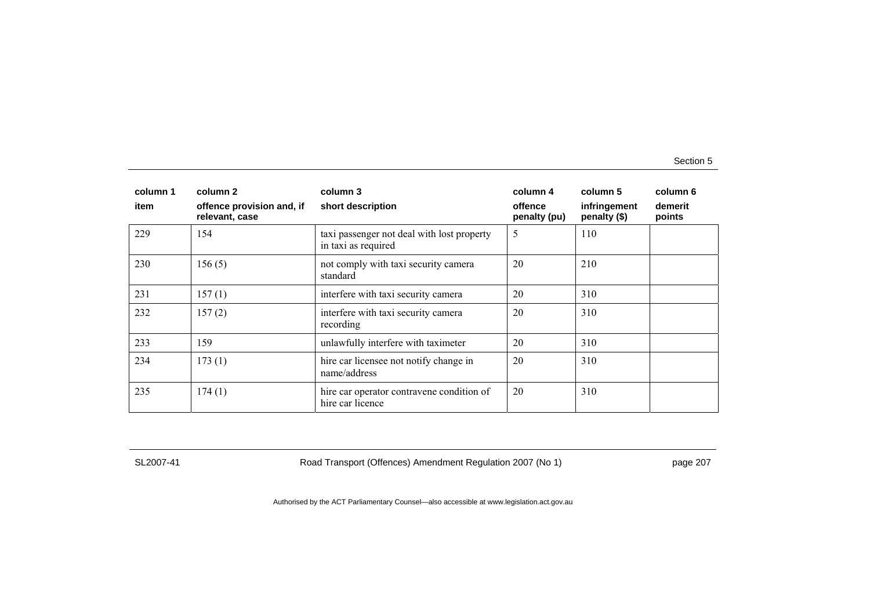| column 1<br>item | column 2<br>offence provision and, if<br>relevant, case | column 3<br>short description                                     | column 4<br>offence<br>penalty (pu) | column 5<br>infringement<br>penalty (\$) | column 6<br>demerit<br>points |
|------------------|---------------------------------------------------------|-------------------------------------------------------------------|-------------------------------------|------------------------------------------|-------------------------------|
| 229              | 154                                                     | taxi passenger not deal with lost property<br>in taxi as required | 5                                   | 110                                      |                               |
| 230              | 156(5)                                                  | not comply with taxi security camera<br>standard                  | 20                                  | 210                                      |                               |
| 231              | 157(1)                                                  | interfere with taxi security camera                               | 20                                  | 310                                      |                               |
| 232              | 157(2)                                                  | interfere with taxi security camera<br>recording                  | 20                                  | 310                                      |                               |
| 233              | 159                                                     | unlawfully interfere with taximeter                               | 20                                  | 310                                      |                               |
| 234              | 173(1)                                                  | hire car licensee not notify change in<br>name/address            | 20                                  | 310                                      |                               |
| 235              | 174(1)                                                  | hire car operator contravene condition of<br>hire car licence     | 20                                  | 310                                      |                               |

SL2007-41 Road Transport (Offences) Amendment Regulation 2007 (No 1) page 207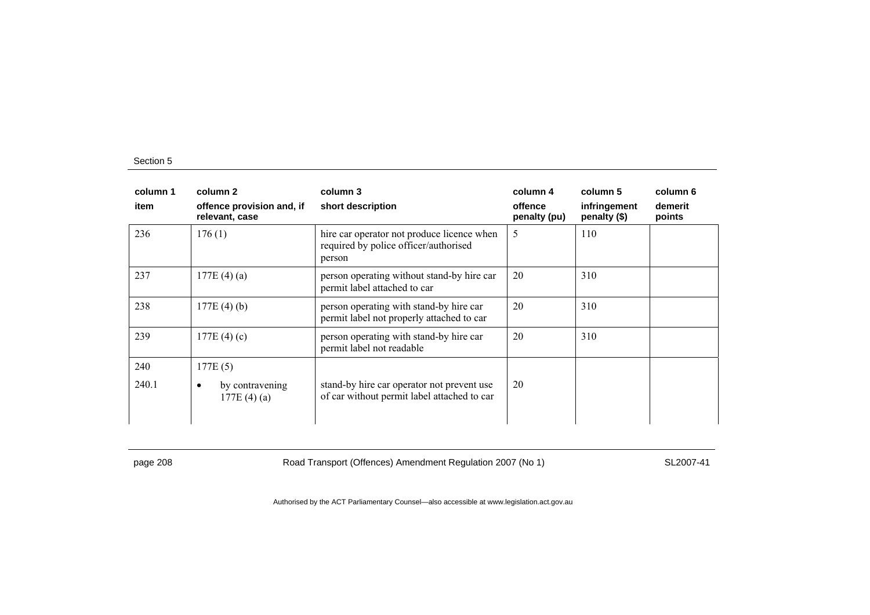| column 1<br>item | column 2<br>offence provision and, if<br>relevant, case | column 3<br>short description                                                                 | column 4<br>offence<br>penalty (pu) | column 5<br>infringement<br>penalty (\$) | column 6<br>demerit<br>points |
|------------------|---------------------------------------------------------|-----------------------------------------------------------------------------------------------|-------------------------------------|------------------------------------------|-------------------------------|
| 236              | 176(1)                                                  | hire car operator not produce licence when<br>required by police officer/authorised<br>person | 5                                   | 110                                      |                               |
| 237              | 177E(4)(a)                                              | person operating without stand-by hire car<br>permit label attached to car                    | 20                                  | 310                                      |                               |
| 238              | 177E(4)(b)                                              | person operating with stand-by hire car<br>permit label not properly attached to car          | 20                                  | 310                                      |                               |
| 239              | 177E $(4)(c)$                                           | person operating with stand-by hire car<br>permit label not readable                          | 20                                  | 310                                      |                               |
| 240<br>240.1     | 177E(5)<br>by contravening<br>٠<br>177E(4)(a)           | stand-by hire car operator not prevent use<br>of car without permit label attached to car     | 20                                  |                                          |                               |

page 208 Road Transport (Offences) Amendment Regulation 2007 (No 1) SL2007-41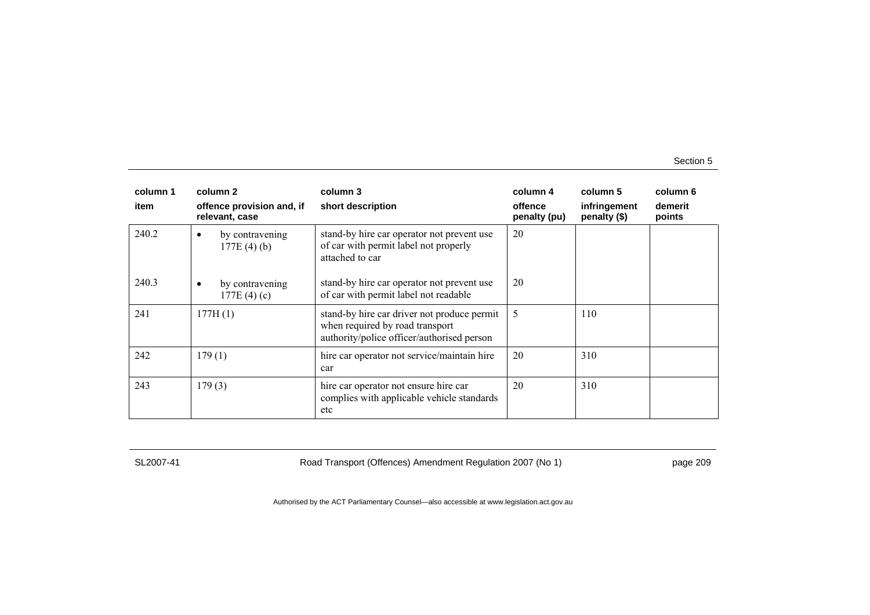| column 1 | column 2                                      | column 3                                                                                                                     | column 4                | column 5                     | column 6          |
|----------|-----------------------------------------------|------------------------------------------------------------------------------------------------------------------------------|-------------------------|------------------------------|-------------------|
| item     | offence provision and, if<br>relevant, case   | short description                                                                                                            | offence<br>penalty (pu) | infringement<br>penalty (\$) | demerit<br>points |
| 240.2    | by contravening<br>$\bullet$<br>177E(4)(b)    | stand-by hire car operator not prevent use<br>of car with permit label not properly<br>attached to car                       | 20                      |                              |                   |
| 240.3    | by contravening<br>$\bullet$<br>177E $(4)(c)$ | stand-by hire car operator not prevent use<br>of car with permit label not readable                                          | 20                      |                              |                   |
| 241      | 177H(1)                                       | stand-by hire car driver not produce permit<br>when required by road transport<br>authority/police officer/authorised person | 5                       | 110                          |                   |
| 242      | 179(1)                                        | hire car operator not service/maintain hire<br>car                                                                           | 20                      | 310                          |                   |
| 243      | 179(3)                                        | hire car operator not ensure hire car<br>complies with applicable vehicle standards<br>etc                                   | 20                      | 310                          |                   |

SL2007-41 Road Transport (Offences) Amendment Regulation 2007 (No 1) page 209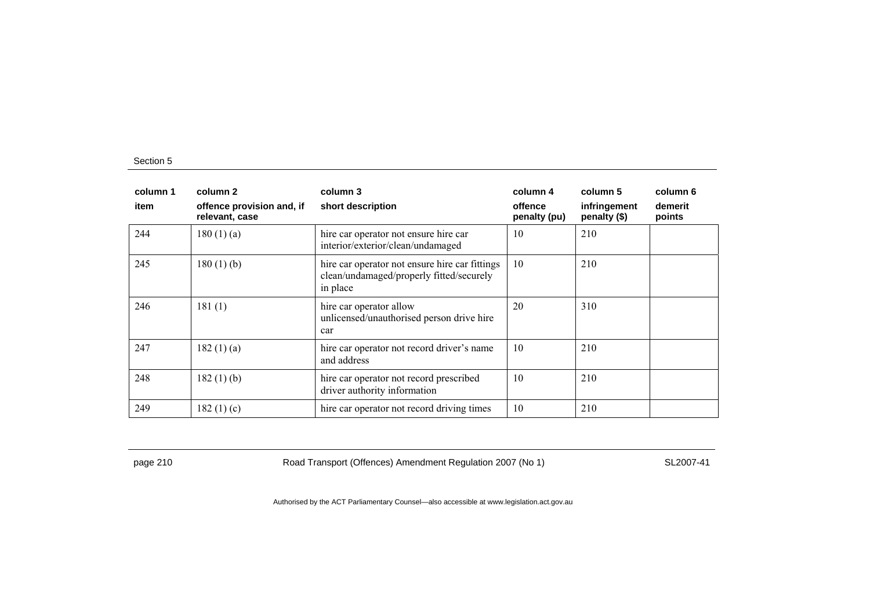| column 1<br>item | column 2<br>offence provision and, if<br>relevant, case | column 3<br>short description                                                                          | column 4<br>offence<br>penalty (pu) | column 5<br>infringement<br>penalty (\$) | column 6<br>demerit<br>points |
|------------------|---------------------------------------------------------|--------------------------------------------------------------------------------------------------------|-------------------------------------|------------------------------------------|-------------------------------|
| 244              | 180(1)(a)                                               | hire car operator not ensure hire car<br>interior/exterior/clean/undamaged                             | 10                                  | 210                                      |                               |
| 245              | 180(1)(b)                                               | hire car operator not ensure hire car fittings<br>clean/undamaged/properly fitted/securely<br>in place | 10                                  | 210                                      |                               |
| 246              | 181(1)                                                  | hire car operator allow<br>unlicensed/unauthorised person drive hire<br>car                            | 20                                  | 310                                      |                               |
| 247              | 182(1)(a)                                               | hire car operator not record driver's name<br>and address                                              | 10                                  | 210                                      |                               |
| 248              | $182(1)$ (b)                                            | hire car operator not record prescribed<br>driver authority information                                | 10                                  | 210                                      |                               |
| 249              | 182 $(1)(c)$                                            | hire car operator not record driving times                                                             | 10                                  | 210                                      |                               |

page 210 Road Transport (Offences) Amendment Regulation 2007 (No 1) SL2007-41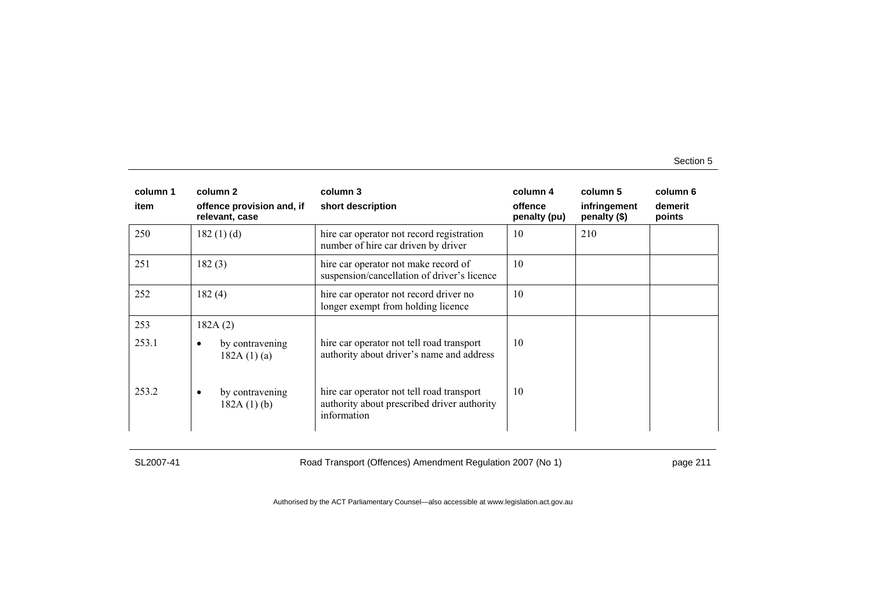| column 1<br>item | column 2<br>offence provision and, if<br>relevant, case | column 3<br>short description                                                                           | column 4<br>offence<br>penalty (pu) | column 5<br>infringement<br>penalty (\$) | column 6<br>demerit<br>points |
|------------------|---------------------------------------------------------|---------------------------------------------------------------------------------------------------------|-------------------------------------|------------------------------------------|-------------------------------|
| 250              | 182(1)(d)                                               | hire car operator not record registration<br>number of hire car driven by driver                        | 10                                  | 210                                      |                               |
| 251              | 182(3)                                                  | hire car operator not make record of<br>suspension/cancellation of driver's licence                     | 10                                  |                                          |                               |
| 252              | 182(4)                                                  | hire car operator not record driver no<br>longer exempt from holding licence                            | 10                                  |                                          |                               |
| 253              | 182A(2)                                                 |                                                                                                         |                                     |                                          |                               |
| 253.1            | by contravening<br>182A(1)(a)                           | hire car operator not tell road transport<br>authority about driver's name and address                  | 10                                  |                                          |                               |
| 253.2            | by contravening<br>٠<br>182A(1)(b)                      | hire car operator not tell road transport<br>authority about prescribed driver authority<br>information | 10                                  |                                          |                               |

SL2007-41 Road Transport (Offences) Amendment Regulation 2007 (No 1) page 211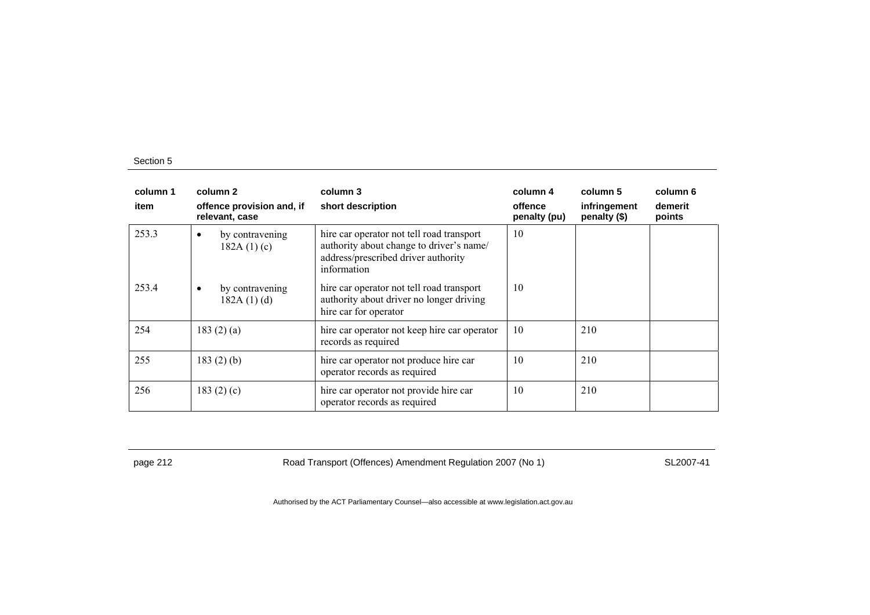| column 1<br>item | column 2<br>offence provision and, if<br>relevant, case | column 3<br>short description                                                                                                               | column 4<br>offence<br>penalty (pu) | column 5<br>infringement<br>penalty (\$) | column 6<br>demerit<br>points |
|------------------|---------------------------------------------------------|---------------------------------------------------------------------------------------------------------------------------------------------|-------------------------------------|------------------------------------------|-------------------------------|
| 253.3            | by contravening<br>182A $(1)(c)$                        | hire car operator not tell road transport<br>authority about change to driver's name/<br>address/prescribed driver authority<br>information | 10                                  |                                          |                               |
| 253.4            | by contravening<br>٠<br>182A(1)(d)                      | hire car operator not tell road transport<br>authority about driver no longer driving<br>hire car for operator                              | 10                                  |                                          |                               |
| 254              | 183(2)(a)                                               | hire car operator not keep hire car operator<br>records as required                                                                         | 10                                  | 210                                      |                               |
| 255              | $183(2)$ (b)                                            | hire car operator not produce hire car<br>operator records as required                                                                      | 10                                  | 210                                      |                               |
| 256              | 183 $(2)$ $(c)$                                         | hire car operator not provide hire car<br>operator records as required                                                                      | 10                                  | 210                                      |                               |

page 212 **Road Transport (Offences) Amendment Regulation 2007 (No 1)** SL2007-41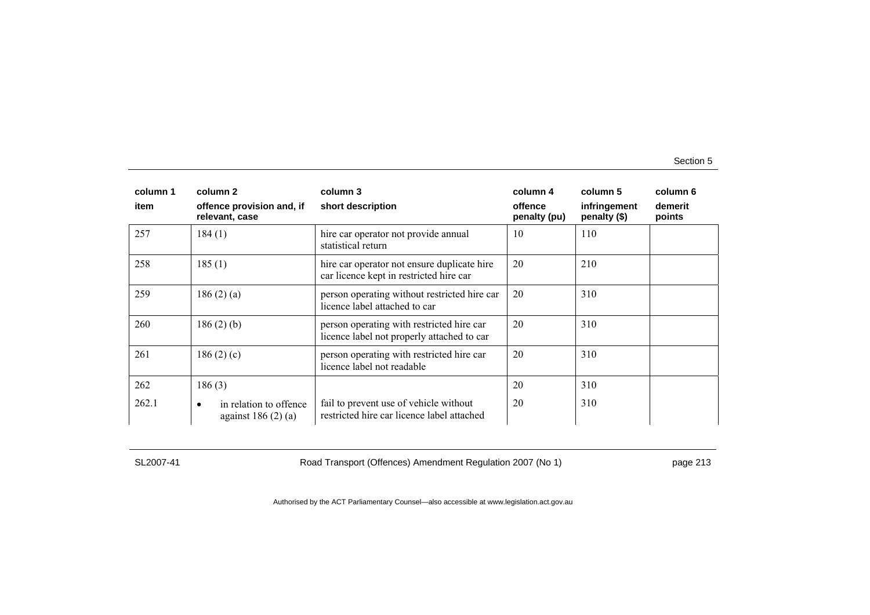| column 1 | column 2                                                    | column 3                                                                                | column 4                | column 5                     | column 6          |
|----------|-------------------------------------------------------------|-----------------------------------------------------------------------------------------|-------------------------|------------------------------|-------------------|
| item     | offence provision and, if<br>relevant, case                 | short description                                                                       | offence<br>penalty (pu) | infringement<br>penalty (\$) | demerit<br>points |
| 257      | 184(1)                                                      | hire car operator not provide annual<br>statistical return                              | 10                      | 110                          |                   |
| 258      | 185(1)                                                      | hire car operator not ensure duplicate hire<br>car licence kept in restricted hire car  | 20                      | 210                          |                   |
| 259      | 186(2)(a)                                                   | person operating without restricted hire car<br>licence label attached to car           | 20                      | 310                          |                   |
| 260      | $186(2)$ (b)                                                | person operating with restricted hire car<br>licence label not properly attached to car | 20                      | 310                          |                   |
| 261      | 186(2)(c)                                                   | person operating with restricted hire car<br>licence label not readable                 | 20                      | 310                          |                   |
| 262      | 186(3)                                                      |                                                                                         | 20                      | 310                          |                   |
| 262.1    | in relation to offence<br>$\bullet$<br>against $186(2)$ (a) | fail to prevent use of vehicle without<br>restricted hire car licence label attached    | 20                      | 310                          |                   |

SL2007-41 Road Transport (Offences) Amendment Regulation 2007 (No 1) page 213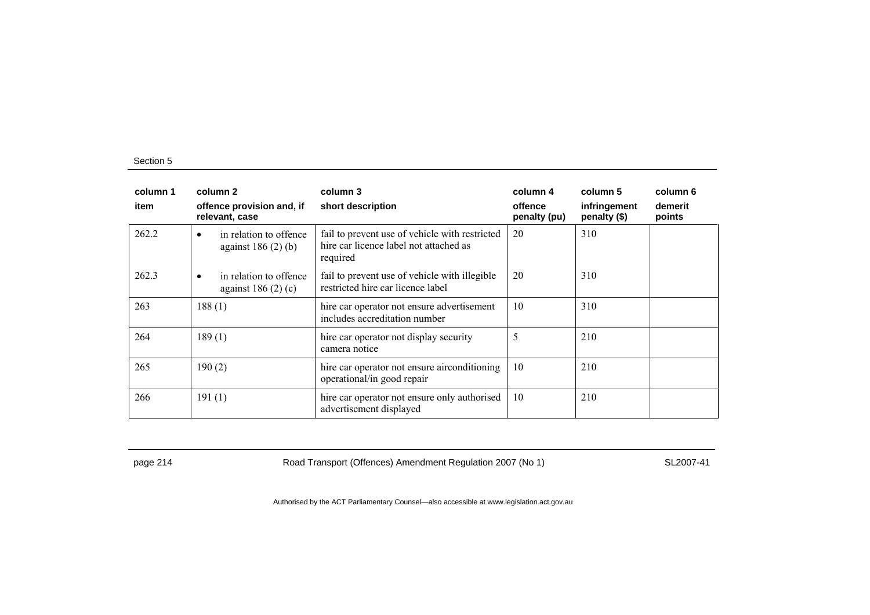| column 1<br>item | column 2<br>offence provision and, if<br>relevant, case | column 3<br>short description                                                                        | column 4<br>offence<br>penalty (pu) | column 5<br>infringement<br>penalty (\$) | column 6<br>demerit<br>points |
|------------------|---------------------------------------------------------|------------------------------------------------------------------------------------------------------|-------------------------------------|------------------------------------------|-------------------------------|
| 262.2            | in relation to offence<br>against $186(2)$ (b)          | fail to prevent use of vehicle with restricted<br>hire car licence label not attached as<br>required | 20                                  | 310                                      |                               |
| 262.3            | in relation to offence<br>٠<br>against $186(2)(c)$      | fail to prevent use of vehicle with illegible<br>restricted hire car licence label                   | 20                                  | 310                                      |                               |
| 263              | 188(1)                                                  | hire car operator not ensure advertisement<br>includes accreditation number                          | 10                                  | 310                                      |                               |
| 264              | 189(1)                                                  | hire car operator not display security<br>camera notice                                              | 5                                   | 210                                      |                               |
| 265              | 190(2)                                                  | hire car operator not ensure airconditioning<br>operational/in good repair                           | 10                                  | 210                                      |                               |
| 266              | 191(1)                                                  | hire car operator not ensure only authorised<br>advertisement displayed                              | 10                                  | 210                                      |                               |

page 214 Road Transport (Offences) Amendment Regulation 2007 (No 1) SL2007-41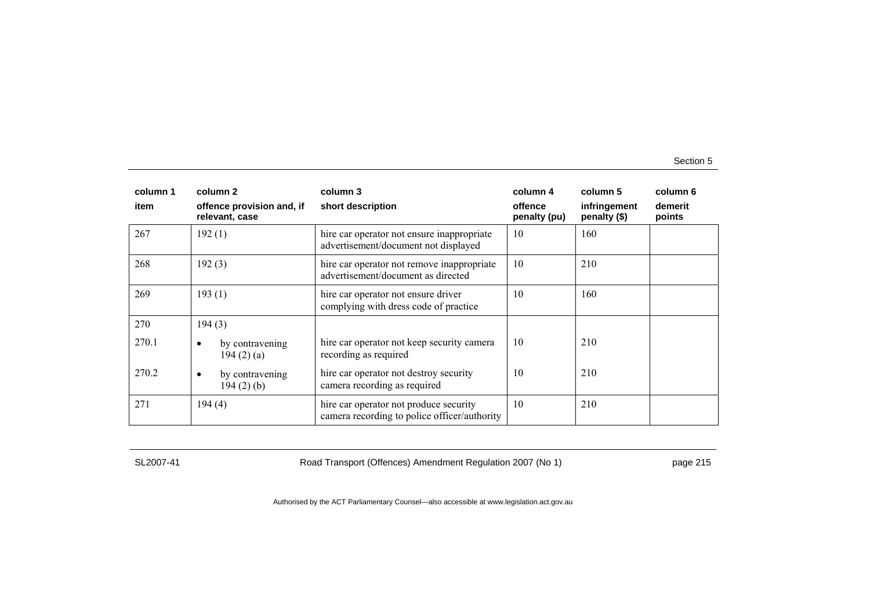| column 1 | column 2                                     | column 3                                                                               | column 4                | column 5                     | column 6          |
|----------|----------------------------------------------|----------------------------------------------------------------------------------------|-------------------------|------------------------------|-------------------|
| item     | offence provision and, if<br>relevant, case  | short description                                                                      | offence<br>penalty (pu) | infringement<br>penalty (\$) | demerit<br>points |
| 267      | 192(1)                                       | hire car operator not ensure inappropriate<br>advertisement/document not displayed     | 10                      | 160                          |                   |
| 268      | 192(3)                                       | hire car operator not remove inappropriate<br>advertisement/document as directed       | 10                      | 210                          |                   |
| 269      | 193(1)                                       | hire car operator not ensure driver<br>complying with dress code of practice           | 10                      | 160                          |                   |
| 270      | 194(3)                                       |                                                                                        |                         |                              |                   |
| 270.1    | by contravening<br>٠<br>194 $(2)$ $(a)$      | hire car operator not keep security camera<br>recording as required                    | 10                      | 210                          |                   |
| 270.2    | by contravening<br>$\bullet$<br>$194(2)$ (b) | hire car operator not destroy security<br>camera recording as required                 | 10                      | 210                          |                   |
| 271      | 194(4)                                       | hire car operator not produce security<br>camera recording to police officer/authority | 10                      | 210                          |                   |

SL2007-41 Road Transport (Offences) Amendment Regulation 2007 (No 1) page 215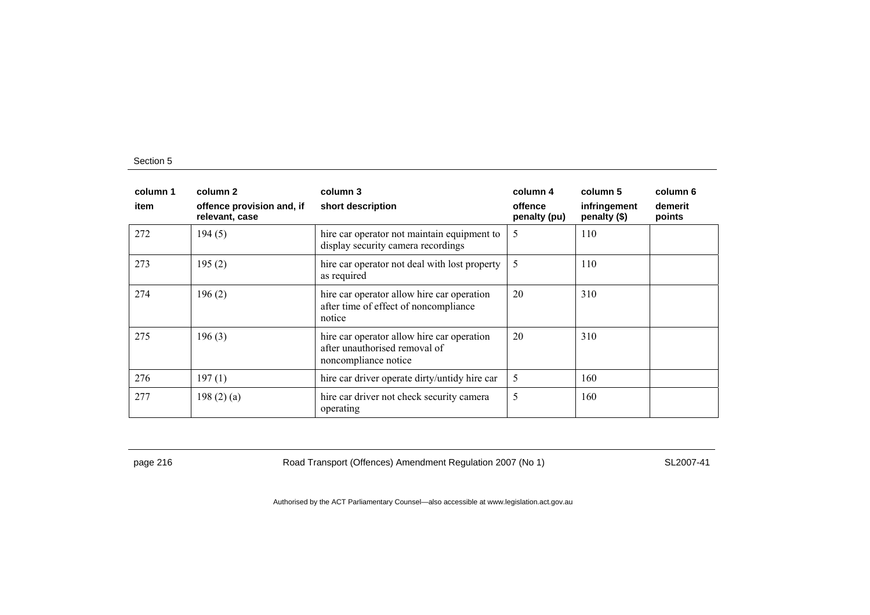| column 1<br>item | column 2<br>offence provision and, if<br>relevant, case | column 3<br>short description                                                                       | column 4<br>offence<br>penalty (pu) | column 5<br>infringement<br>penalty (\$) | column 6<br>demerit<br>points |
|------------------|---------------------------------------------------------|-----------------------------------------------------------------------------------------------------|-------------------------------------|------------------------------------------|-------------------------------|
| 272              | 194(5)                                                  | hire car operator not maintain equipment to<br>display security camera recordings                   | 5                                   | 110                                      |                               |
| 273              | 195(2)                                                  | hire car operator not deal with lost property<br>as required                                        | 5                                   | 110                                      |                               |
| 274              | 196(2)                                                  | hire car operator allow hire car operation<br>after time of effect of noncompliance<br>notice       | 20                                  | 310                                      |                               |
| 275              | 196(3)                                                  | hire car operator allow hire car operation<br>after unauthorised removal of<br>noncompliance notice | 20                                  | 310                                      |                               |
| 276              | 197(1)                                                  | hire car driver operate dirty/untidy hire car                                                       | 5                                   | 160                                      |                               |
| 277              | 198 $(2)$ $(a)$                                         | hire car driver not check security camera<br>operating                                              | 5                                   | 160                                      |                               |

page 216 **Road Transport (Offences) Amendment Regulation 2007 (No 1)** SL2007-41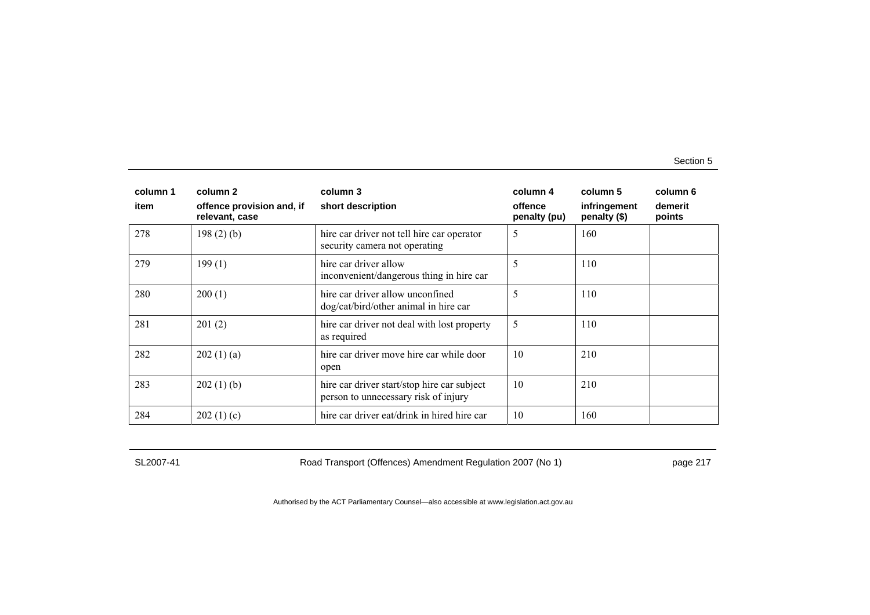| column 1 | column 2                                    | column 3                                                                            | column 4                | column 5                     | column 6          |
|----------|---------------------------------------------|-------------------------------------------------------------------------------------|-------------------------|------------------------------|-------------------|
| item     | offence provision and, if<br>relevant, case | short description                                                                   | offence<br>penalty (pu) | infringement<br>penalty (\$) | demerit<br>points |
| 278      | $198(2)$ (b)                                | hire car driver not tell hire car operator<br>security camera not operating         | 5                       | 160                          |                   |
| 279      | 199(1)                                      | hire car driver allow<br>inconvenient/dangerous thing in hire car                   | 5                       | 110                          |                   |
| 280      | 200(1)                                      | hire car driver allow unconfined<br>dog/cat/bird/other animal in hire car           | 5                       | 110                          |                   |
| 281      | 201(2)                                      | hire car driver not deal with lost property<br>as required                          | 5                       | 110                          |                   |
| 282      | 202(1)(a)                                   | hire car driver move hire car while door<br>open                                    | 10                      | 210                          |                   |
| 283      | 202(1)(b)                                   | hire car driver start/stop hire car subject<br>person to unnecessary risk of injury | 10                      | 210                          |                   |
| 284      | 202(1)(c)                                   | hire car driver eat/drink in hired hire car                                         | 10                      | 160                          |                   |

SL2007-41 Road Transport (Offences) Amendment Regulation 2007 (No 1) page 217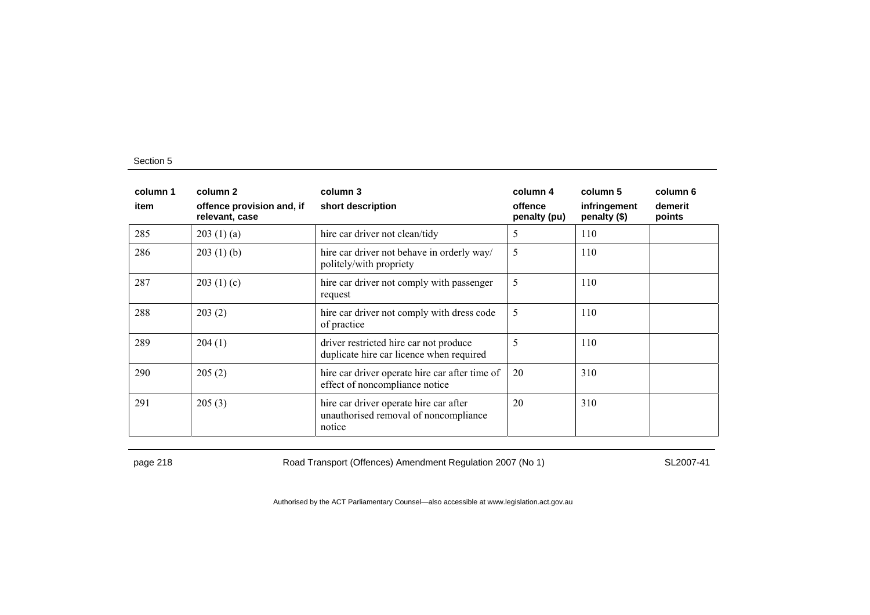| column 1 | column 2                                    | column 3                                                                                  | column 4                | column 5                     | column 6          |
|----------|---------------------------------------------|-------------------------------------------------------------------------------------------|-------------------------|------------------------------|-------------------|
| item     | offence provision and, if<br>relevant, case | short description                                                                         | offence<br>penalty (pu) | infringement<br>penalty (\$) | demerit<br>points |
| 285      | 203(1)(a)                                   | hire car driver not clean/tidy                                                            | 5                       | 110                          |                   |
| 286      | 203(1)(b)                                   | hire car driver not behave in orderly way/<br>politely/with propriety                     | 5                       | 110                          |                   |
| 287      | 203(1)(c)                                   | hire car driver not comply with passenger<br>request                                      | 5                       | 110                          |                   |
| 288      | 203(2)                                      | hire car driver not comply with dress code<br>of practice                                 | 5                       | 110                          |                   |
| 289      | 204(1)                                      | driver restricted hire car not produce<br>duplicate hire car licence when required        | 5                       | 110                          |                   |
| 290      | 205(2)                                      | hire car driver operate hire car after time of<br>effect of noncompliance notice          | 20                      | 310                          |                   |
| 291      | 205(3)                                      | hire car driver operate hire car after<br>unauthorised removal of noncompliance<br>notice | 20                      | 310                          |                   |

page 218 **Road Transport (Offences) Amendment Regulation 2007 (No 1)** SL2007-41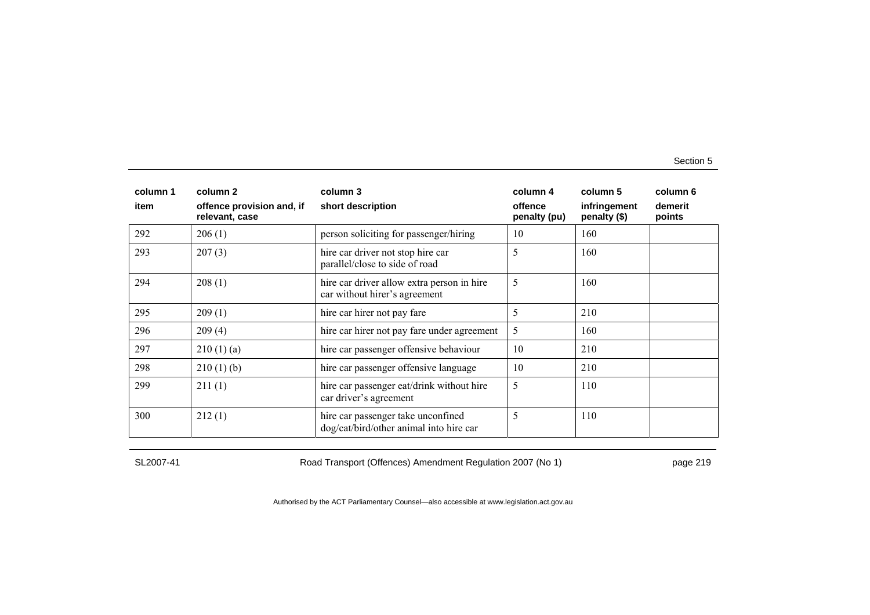| column 1 | column 2                                    | column 3                                                                      | column 4                | column 5                     | column 6          |
|----------|---------------------------------------------|-------------------------------------------------------------------------------|-------------------------|------------------------------|-------------------|
| item     | offence provision and, if<br>relevant, case | short description                                                             | offence<br>penalty (pu) | infringement<br>penalty (\$) | demerit<br>points |
| 292      | 206(1)                                      | person soliciting for passenger/hiring                                        | 10                      | 160                          |                   |
| 293      | 207(3)                                      | hire car driver not stop hire car<br>parallel/close to side of road           | 5                       | 160                          |                   |
| 294      | 208(1)                                      | hire car driver allow extra person in hire<br>car without hirer's agreement   | 5                       | 160                          |                   |
| 295      | 209(1)                                      | hire car hirer not pay fare                                                   | 5                       | 210                          |                   |
| 296      | 209(4)                                      | hire car hirer not pay fare under agreement                                   | 5                       | 160                          |                   |
| 297      | 210(1)(a)                                   | hire car passenger offensive behaviour                                        | 10                      | 210                          |                   |
| 298      | 210(1)(b)                                   | hire car passenger offensive language                                         | 10                      | 210                          |                   |
| 299      | 211(1)                                      | hire car passenger eat/drink without hire<br>car driver's agreement           | 5                       | 110                          |                   |
| 300      | 212(1)                                      | hire car passenger take unconfined<br>dog/cat/bird/other animal into hire car | 5                       | 110                          |                   |

SL2007-41 Road Transport (Offences) Amendment Regulation 2007 (No 1) page 219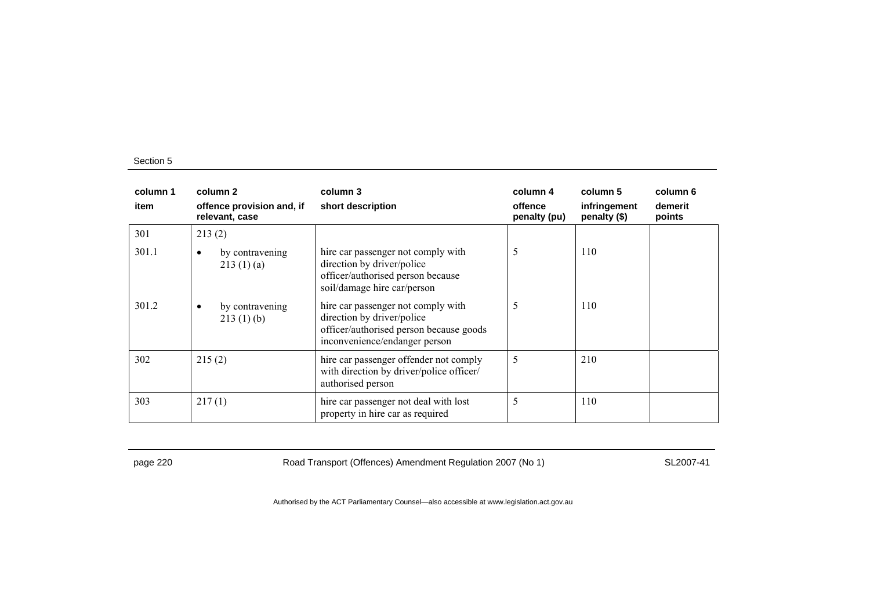| column 1<br>item | column 2<br>offence provision and, if<br>relevant, case | column 3<br>short description                                                                                                                | column 4<br>offence<br>penalty (pu) | column 5<br>infringement<br>penalty (\$) | column 6<br>demerit<br>points |
|------------------|---------------------------------------------------------|----------------------------------------------------------------------------------------------------------------------------------------------|-------------------------------------|------------------------------------------|-------------------------------|
| 301              | 213(2)                                                  |                                                                                                                                              |                                     |                                          |                               |
| 301.1            | by contravening<br>٠<br>213(1)(a)                       | hire car passenger not comply with<br>direction by driver/police<br>officer/authorised person because<br>soil/damage hire car/person         | 5                                   | 110                                      |                               |
| 301.2            | by contravening<br>٠<br>213(1)(b)                       | hire car passenger not comply with<br>direction by driver/police<br>officer/authorised person because goods<br>inconvenience/endanger person | 5                                   | 110                                      |                               |
| 302              | 215(2)                                                  | hire car passenger offender not comply<br>with direction by driver/police officer/<br>authorised person                                      | 5                                   | 210                                      |                               |
| 303              | 217(1)                                                  | hire car passenger not deal with lost<br>property in hire car as required                                                                    | 5                                   | 110                                      |                               |

page 220 **Road Transport (Offences) Amendment Regulation 2007 (No 1)** SL2007-41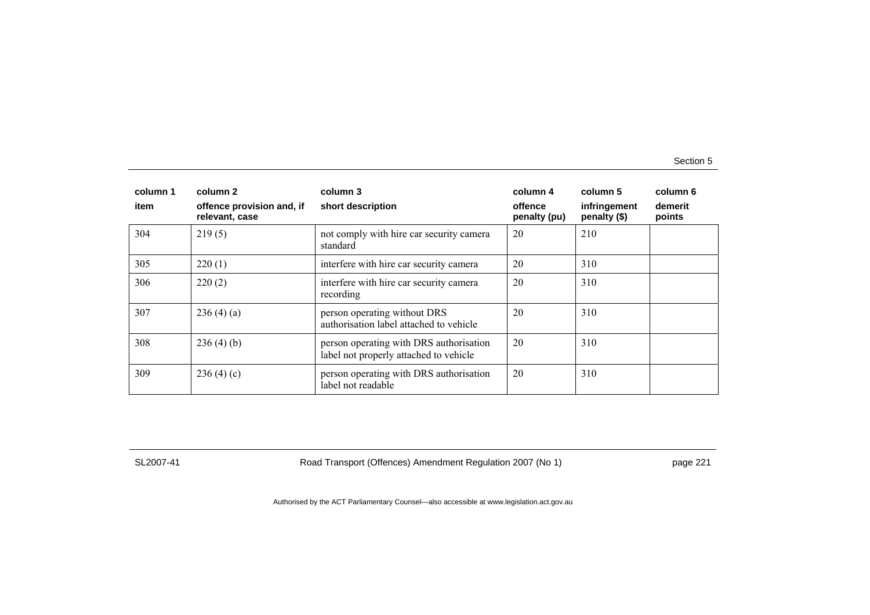| column 1<br>item | column 2<br>offence provision and, if<br>relevant, case | column 3<br>short description                                                     | column 4<br>offence<br>penalty (pu) | column 5<br>infringement<br>penalty (\$) | column 6<br>demerit<br>points |
|------------------|---------------------------------------------------------|-----------------------------------------------------------------------------------|-------------------------------------|------------------------------------------|-------------------------------|
| 304              | 219(5)                                                  | not comply with hire car security camera<br>standard                              | 20                                  | 210                                      |                               |
| 305              | 220(1)                                                  | interfere with hire car security camera                                           | 20                                  | 310                                      |                               |
| 306              | 220(2)                                                  | interfere with hire car security camera<br>recording                              | 20                                  | 310                                      |                               |
| 307              | 236(4)(a)                                               | person operating without DRS<br>authorisation label attached to vehicle           | 20                                  | 310                                      |                               |
| 308              | 236(4)(b)                                               | person operating with DRS authorisation<br>label not properly attached to vehicle | 20                                  | 310                                      |                               |
| 309              | 236(4)(c)                                               | person operating with DRS authorisation<br>label not readable                     | 20                                  | 310                                      |                               |

SL2007-41 Road Transport (Offences) Amendment Regulation 2007 (No 1) page 221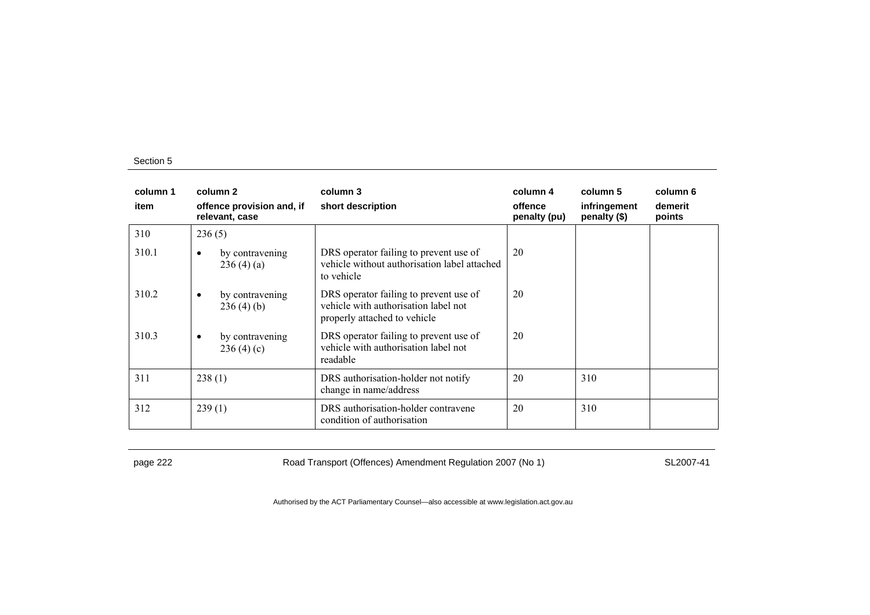| column 1<br>item | column 2<br>offence provision and, if<br>relevant, case | column 3<br>short description                                                                                  | column 4<br>offence<br>penalty (pu) | column 5<br>infringement<br>penalty $(\$)$ | column 6<br>demerit<br>points |
|------------------|---------------------------------------------------------|----------------------------------------------------------------------------------------------------------------|-------------------------------------|--------------------------------------------|-------------------------------|
| 310              | 236(5)                                                  |                                                                                                                |                                     |                                            |                               |
| 310.1            | by contravening<br>$\bullet$<br>236(4)(a)               | DRS operator failing to prevent use of<br>vehicle without authorisation label attached<br>to vehicle           | 20                                  |                                            |                               |
| 310.2            | by contravening<br>٠<br>236(4)(b)                       | DRS operator failing to prevent use of<br>vehicle with authorisation label not<br>properly attached to vehicle | 20                                  |                                            |                               |
| 310.3            | by contravening<br>$\bullet$<br>236(4)(c)               | DRS operator failing to prevent use of<br>vehicle with authorisation label not<br>readable                     | 20                                  |                                            |                               |
| 311              | 238(1)                                                  | DRS authorisation-holder not notify<br>change in name/address                                                  | 20                                  | 310                                        |                               |
| 312              | 239(1)                                                  | DRS authorisation-holder contravene<br>condition of authorisation                                              | 20                                  | 310                                        |                               |

page 222 Road Transport (Offences) Amendment Regulation 2007 (No 1) SL2007-41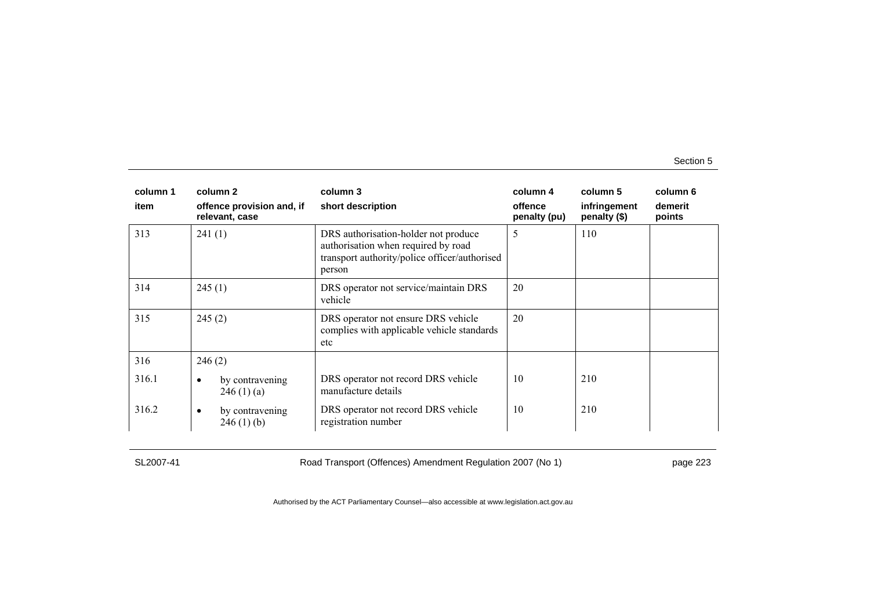| column 1<br>item | column 2<br>offence provision and, if<br>relevant, case | column 3<br>short description                                                                                                          | column 4<br>offence<br>penalty (pu) | column 5<br>infringement<br>penalty (\$) | column 6<br>demerit<br>points |
|------------------|---------------------------------------------------------|----------------------------------------------------------------------------------------------------------------------------------------|-------------------------------------|------------------------------------------|-------------------------------|
| 313              | 241(1)                                                  | DRS authorisation-holder not produce<br>authorisation when required by road<br>transport authority/police officer/authorised<br>person | 5                                   | 110                                      |                               |
| 314              | 245(1)                                                  | DRS operator not service/maintain DRS<br>vehicle                                                                                       | 20                                  |                                          |                               |
| 315              | 245(2)                                                  | DRS operator not ensure DRS vehicle<br>complies with applicable vehicle standards<br>etc                                               | 20                                  |                                          |                               |
| 316              | 246(2)                                                  |                                                                                                                                        |                                     |                                          |                               |
| 316.1            | by contravening<br>٠<br>246(1)(a)                       | DRS operator not record DRS vehicle<br>manufacture details                                                                             | 10                                  | 210                                      |                               |
| 316.2            | by contravening<br>$\bullet$<br>246(1)(b)               | DRS operator not record DRS vehicle<br>registration number                                                                             | 10                                  | 210                                      |                               |

SL2007-41 Road Transport (Offences) Amendment Regulation 2007 (No 1) page 223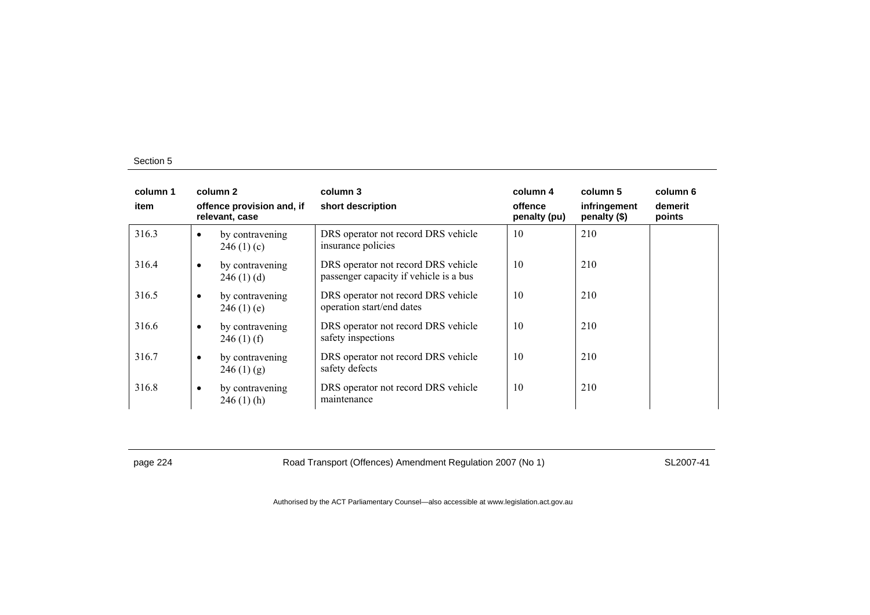| column 1<br>item |           | column 2<br>offence provision and, if | column 3<br>short description                                                 | column 4<br>offence | column 5<br>infringement | column 6<br>demerit |
|------------------|-----------|---------------------------------------|-------------------------------------------------------------------------------|---------------------|--------------------------|---------------------|
|                  |           | relevant, case                        |                                                                               | penalty (pu)        | penalty (\$)             | points              |
| 316.3            | $\bullet$ | by contravening<br>246(1)(c)          | DRS operator not record DRS vehicle<br>insurance policies                     | 10                  | 210                      |                     |
| 316.4            | $\bullet$ | by contravening<br>246(1)(d)          | DRS operator not record DRS vehicle<br>passenger capacity if vehicle is a bus | 10                  | 210                      |                     |
| 316.5            | $\bullet$ | by contravening<br>246(1)(e)          | DRS operator not record DRS vehicle<br>operation start/end dates              | 10                  | 210                      |                     |
| 316.6            | $\bullet$ | by contravening<br>$246(1)$ (f)       | DRS operator not record DRS vehicle<br>safety inspections                     | 10                  | 210                      |                     |
| 316.7            | $\bullet$ | by contravening<br>246(1)(g)          | DRS operator not record DRS vehicle<br>safety defects                         | 10                  | 210                      |                     |
| 316.8            | $\bullet$ | by contravening<br>$246(1)$ (h)       | DRS operator not record DRS vehicle<br>maintenance                            | 10                  | 210                      |                     |

page 224 Road Transport (Offences) Amendment Regulation 2007 (No 1) SL2007-41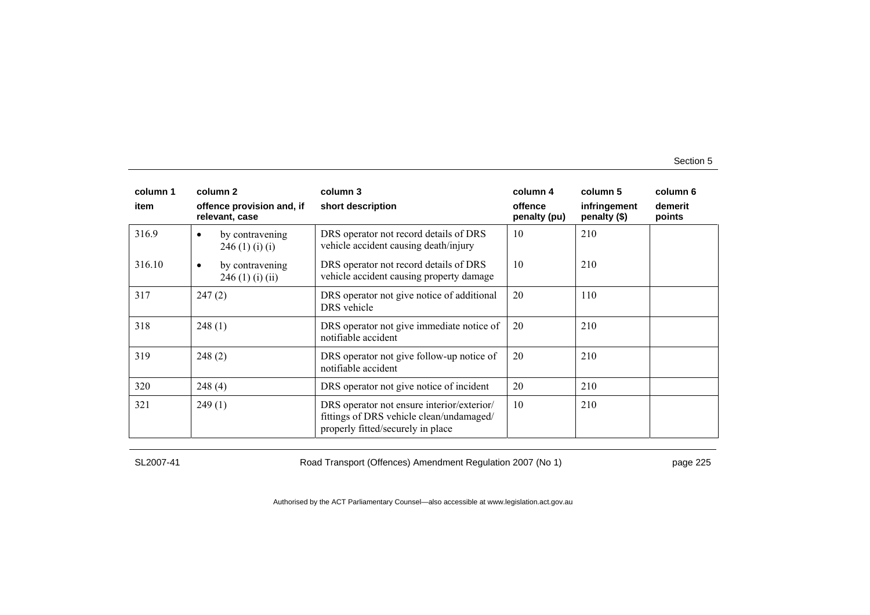| column 1 | column 2                                         | column 3                                                                                                                    | column 4                | column 5                     | column 6          |
|----------|--------------------------------------------------|-----------------------------------------------------------------------------------------------------------------------------|-------------------------|------------------------------|-------------------|
| item     | offence provision and, if<br>relevant, case      | short description                                                                                                           | offence<br>penalty (pu) | infringement<br>penalty (\$) | demerit<br>points |
| 316.9    | by contravening<br>$\bullet$<br>246(1)(i)(i)     | DRS operator not record details of DRS<br>vehicle accident causing death/injury                                             | 10                      | 210                          |                   |
| 316.10   | by contravening<br>$\bullet$<br>246 (1) (i) (ii) | DRS operator not record details of DRS<br>vehicle accident causing property damage                                          | 10                      | 210                          |                   |
| 317      | 247(2)                                           | DRS operator not give notice of additional<br>DRS vehicle                                                                   | 20                      | 110                          |                   |
| 318      | 248(1)                                           | DRS operator not give immediate notice of<br>notifiable accident                                                            | 20                      | 210                          |                   |
| 319      | 248(2)                                           | DRS operator not give follow-up notice of<br>notifiable accident                                                            | 20                      | 210                          |                   |
| 320      | 248(4)                                           | DRS operator not give notice of incident                                                                                    | 20                      | 210                          |                   |
| 321      | 249(1)                                           | DRS operator not ensure interior/exterior/<br>fittings of DRS vehicle clean/undamaged/<br>properly fitted/securely in place | 10                      | 210                          |                   |

SL2007-41 Road Transport (Offences) Amendment Regulation 2007 (No 1) page 225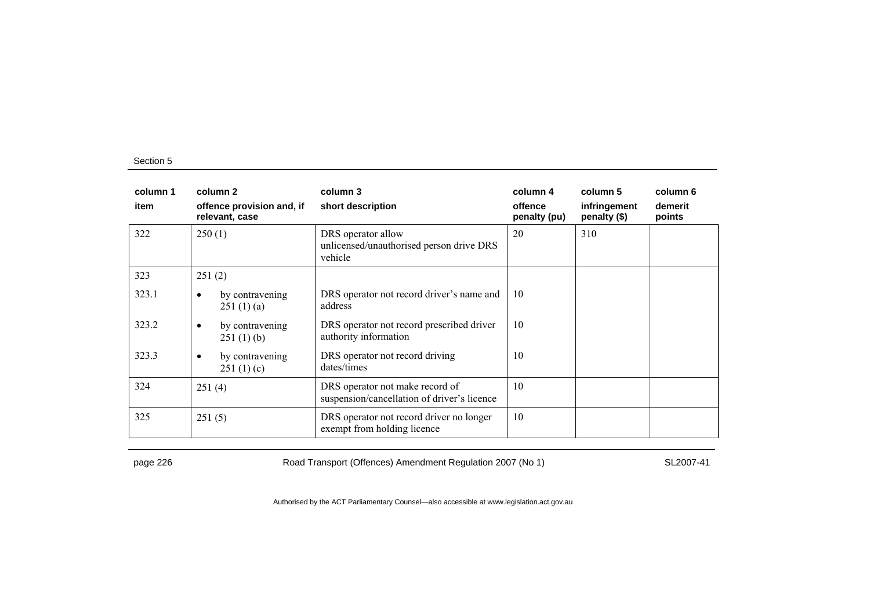| column 1<br>item |           | column 2<br>offence provision and, if<br>relevant, case | column 3<br>short description                                                  | column 4<br>offence<br>penalty (pu) | column 5<br>infringement<br>penalty $(\$)$ | column 6<br>demerit<br>points |
|------------------|-----------|---------------------------------------------------------|--------------------------------------------------------------------------------|-------------------------------------|--------------------------------------------|-------------------------------|
| 322              | 250(1)    |                                                         | DRS operator allow<br>unlicensed/unauthorised person drive DRS<br>vehicle      | 20                                  | 310                                        |                               |
| 323              | 251(2)    |                                                         |                                                                                |                                     |                                            |                               |
| 323.1            | ٠         | by contravening<br>251(1)(a)                            | DRS operator not record driver's name and<br>address                           | 10                                  |                                            |                               |
| 323.2            | ٠         | by contravening<br>251(1)(b)                            | DRS operator not record prescribed driver<br>authority information             | 10                                  |                                            |                               |
| 323.3            | $\bullet$ | by contravening<br>251(1)(c)                            | DRS operator not record driving<br>dates/times                                 | 10                                  |                                            |                               |
| 324              | 251(4)    |                                                         | DRS operator not make record of<br>suspension/cancellation of driver's licence | 10                                  |                                            |                               |
| 325              | 251(5)    |                                                         | DRS operator not record driver no longer<br>exempt from holding licence        | 10                                  |                                            |                               |

page 226 Road Transport (Offences) Amendment Regulation 2007 (No 1) SL2007-41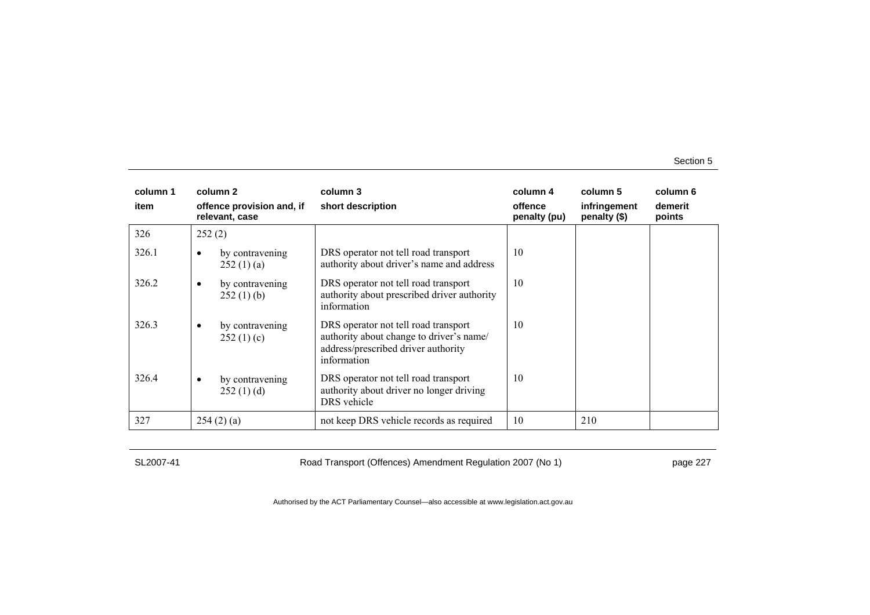| column 1<br>item | column 2<br>offence provision and, if<br>relevant, case | column 3<br>short description                                                                                                          | column 4<br>offence<br>penalty (pu) | column 5<br>infringement<br>penalty $(\$)$ | column 6<br>demerit<br>points |
|------------------|---------------------------------------------------------|----------------------------------------------------------------------------------------------------------------------------------------|-------------------------------------|--------------------------------------------|-------------------------------|
| 326              | 252(2)                                                  |                                                                                                                                        |                                     |                                            |                               |
| 326.1            | by contravening<br>$\bullet$<br>252(1)(a)               | DRS operator not tell road transport<br>authority about driver's name and address                                                      | 10                                  |                                            |                               |
| 326.2            | by contravening<br>٠<br>252(1)(b)                       | DRS operator not tell road transport<br>authority about prescribed driver authority<br>information                                     | 10                                  |                                            |                               |
| 326.3            | by contravening<br>$\bullet$<br>252(1)(c)               | DRS operator not tell road transport<br>authority about change to driver's name/<br>address/prescribed driver authority<br>information | 10                                  |                                            |                               |
| 326.4            | by contravening<br>$\bullet$<br>252(1)(d)               | DRS operator not tell road transport<br>authority about driver no longer driving<br>DRS vehicle                                        | 10                                  |                                            |                               |
| 327              | 254(2)(a)                                               | not keep DRS vehicle records as required                                                                                               | 10                                  | 210                                        |                               |

SL2007-41 Road Transport (Offences) Amendment Regulation 2007 (No 1) page 227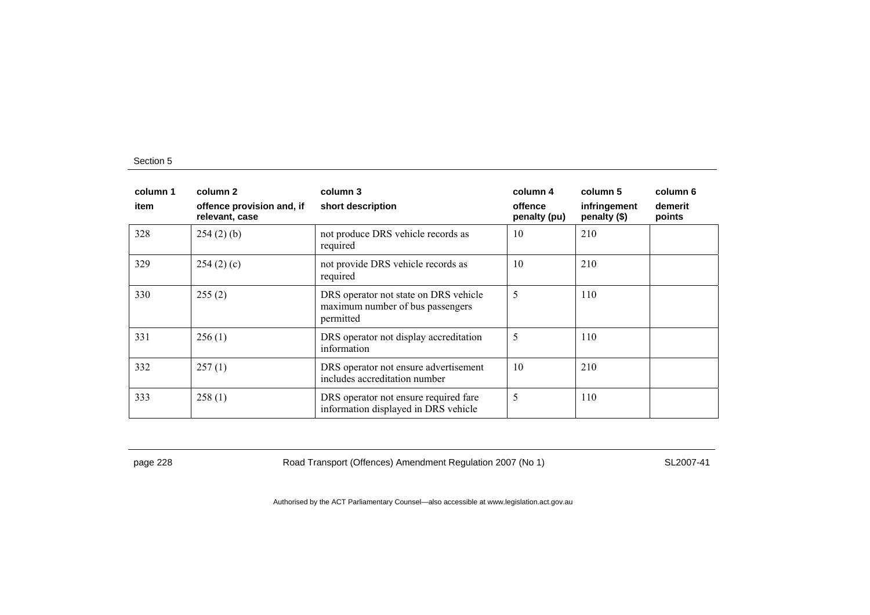| column 1<br>item | column 2<br>offence provision and, if<br>relevant, case | column 3<br>short description                                                          | column 4<br>offence<br>penalty (pu) | column 5<br>infringement<br>penalty (\$) | column 6<br>demerit<br>points |
|------------------|---------------------------------------------------------|----------------------------------------------------------------------------------------|-------------------------------------|------------------------------------------|-------------------------------|
| 328              | $254(2)$ (b)                                            | not produce DRS vehicle records as<br>required                                         | 10                                  | 210                                      |                               |
| 329              | 254(2)(c)                                               | not provide DRS vehicle records as<br>required                                         | 10                                  | 210                                      |                               |
| 330              | 255(2)                                                  | DRS operator not state on DRS vehicle<br>maximum number of bus passengers<br>permitted | 5                                   | 110                                      |                               |
| 331              | 256(1)                                                  | DRS operator not display accreditation<br>information                                  | 5                                   | 110                                      |                               |
| 332              | 257(1)                                                  | DRS operator not ensure advertisement<br>includes accreditation number                 | 10                                  | 210                                      |                               |
| 333              | 258(1)                                                  | DRS operator not ensure required fare<br>information displayed in DRS vehicle          | 5                                   | 110                                      |                               |

page 228 Road Transport (Offences) Amendment Regulation 2007 (No 1) SL2007-41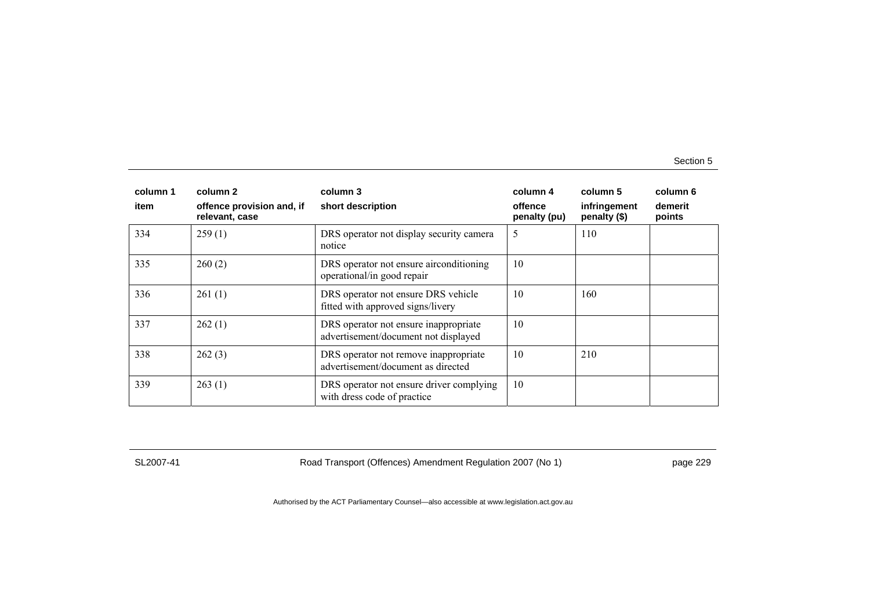| column 1<br>item | column 2<br>offence provision and, if<br>relevant, case | column 3<br>short description                                                 | column 4<br>offence<br>penalty (pu) | column 5<br>infringement<br>penalty (\$) | column 6<br>demerit<br>points |
|------------------|---------------------------------------------------------|-------------------------------------------------------------------------------|-------------------------------------|------------------------------------------|-------------------------------|
| 334              | 259(1)                                                  | DRS operator not display security camera<br>notice                            | 5                                   | 110                                      |                               |
| 335              | 260(2)                                                  | DRS operator not ensure airconditioning<br>operational/in good repair         | 10                                  |                                          |                               |
| 336              | 261(1)                                                  | DRS operator not ensure DRS vehicle<br>fitted with approved signs/livery      | 10                                  | 160                                      |                               |
| 337              | 262(1)                                                  | DRS operator not ensure inappropriate<br>advertisement/document not displayed | 10                                  |                                          |                               |
| 338              | 262(3)                                                  | DRS operator not remove inappropriate<br>advertisement/document as directed   | 10                                  | 210                                      |                               |
| 339              | 263(1)                                                  | DRS operator not ensure driver complying<br>with dress code of practice       | 10                                  |                                          |                               |

SL2007-41 Road Transport (Offences) Amendment Regulation 2007 (No 1) page 229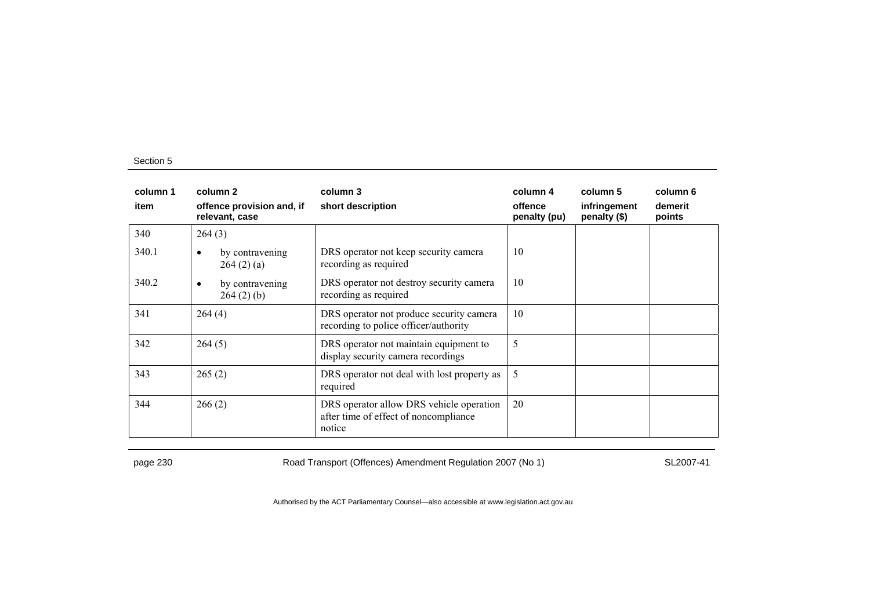| column 1<br>item | column 2<br>offence provision and, if<br>relevant, case | column 3<br>short description                                                               | column 4<br>offence<br>penalty (pu) | column 5<br>infringement<br>penalty (\$) | column 6<br>demerit<br>points |
|------------------|---------------------------------------------------------|---------------------------------------------------------------------------------------------|-------------------------------------|------------------------------------------|-------------------------------|
| 340              | 264(3)                                                  |                                                                                             |                                     |                                          |                               |
| 340.1            | by contravening<br>٠<br>264(2)(a)                       | DRS operator not keep security camera<br>recording as required                              | 10                                  |                                          |                               |
| 340.2            | by contravening<br>$\bullet$<br>264(2)(b)               | DRS operator not destroy security camera<br>recording as required                           | 10                                  |                                          |                               |
| 341              | 264(4)                                                  | DRS operator not produce security camera<br>recording to police officer/authority           | 10                                  |                                          |                               |
| 342              | 264(5)                                                  | DRS operator not maintain equipment to<br>display security camera recordings                | 5                                   |                                          |                               |
| 343              | 265(2)                                                  | DRS operator not deal with lost property as<br>required                                     | 5                                   |                                          |                               |
| 344              | 266(2)                                                  | DRS operator allow DRS vehicle operation<br>after time of effect of noncompliance<br>notice | 20                                  |                                          |                               |

page 230 Road Transport (Offences) Amendment Regulation 2007 (No 1) SL2007-41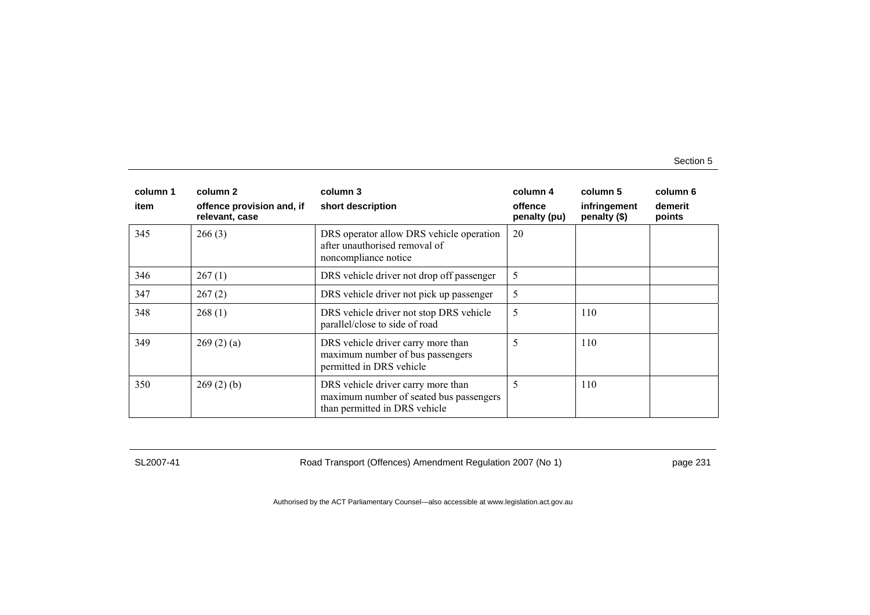| column 1 | column 2                                    | column 3                                                                                                       | column 4                | column 5                     | column 6          |
|----------|---------------------------------------------|----------------------------------------------------------------------------------------------------------------|-------------------------|------------------------------|-------------------|
| item     | offence provision and, if<br>relevant, case | short description                                                                                              | offence<br>penalty (pu) | infringement<br>penalty (\$) | demerit<br>points |
| 345      | 266(3)                                      | DRS operator allow DRS vehicle operation<br>after unauthorised removal of<br>noncompliance notice              | 20                      |                              |                   |
| 346      | 267(1)                                      | DRS vehicle driver not drop off passenger                                                                      | 5                       |                              |                   |
| 347      | 267(2)                                      | DRS vehicle driver not pick up passenger                                                                       | 5                       |                              |                   |
| 348      | 268(1)                                      | DRS vehicle driver not stop DRS vehicle<br>parallel/close to side of road                                      | 5                       | 110                          |                   |
| 349      | 269(2)(a)                                   | DRS vehicle driver carry more than<br>maximum number of bus passengers<br>permitted in DRS vehicle             | 5                       | 110                          |                   |
| 350      | 269(2)(b)                                   | DRS vehicle driver carry more than<br>maximum number of seated bus passengers<br>than permitted in DRS vehicle | 5                       | 110                          |                   |

SL2007-41 Road Transport (Offences) Amendment Regulation 2007 (No 1) page 231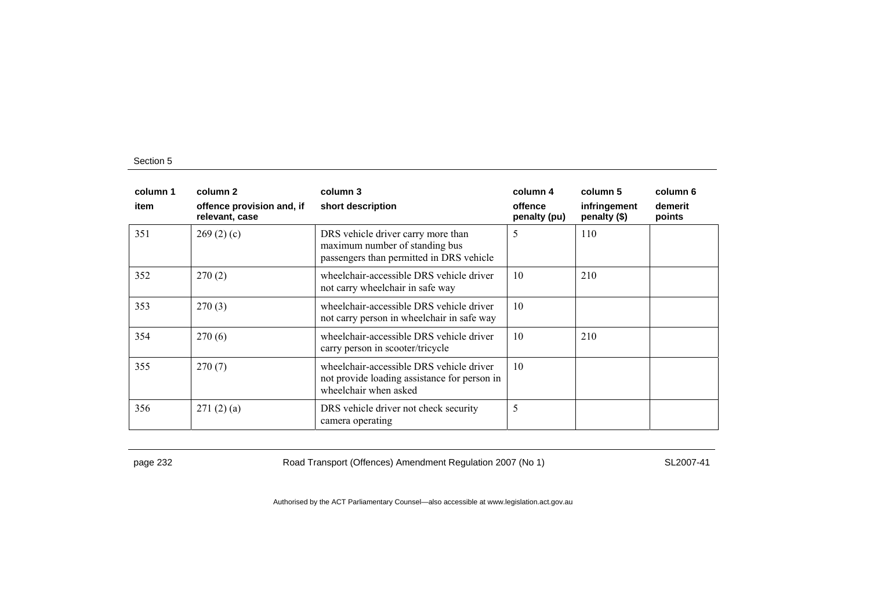| column 1<br>item | column 2<br>offence provision and, if<br>relevant, case | column 3<br>short description                                                                                     | column 4<br>offence<br>penalty (pu) | column 5<br>infringement<br>penalty (\$) | column 6<br>demerit<br>points |
|------------------|---------------------------------------------------------|-------------------------------------------------------------------------------------------------------------------|-------------------------------------|------------------------------------------|-------------------------------|
| 351              | 269(2)(c)                                               | DRS vehicle driver carry more than<br>maximum number of standing bus<br>passengers than permitted in DRS vehicle  | 5                                   | 110                                      |                               |
| 352              | 270(2)                                                  | wheelchair-accessible DRS vehicle driver<br>not carry wheelchair in safe way                                      | 10                                  | 210                                      |                               |
| 353              | 270(3)                                                  | wheelchair-accessible DRS vehicle driver<br>not carry person in wheelchair in safe way                            | 10                                  |                                          |                               |
| 354              | 270(6)                                                  | wheelchair-accessible DRS vehicle driver<br>carry person in scooter/tricycle                                      | 10                                  | 210                                      |                               |
| 355              | 270(7)                                                  | wheelchair-accessible DRS vehicle driver<br>not provide loading assistance for person in<br>wheelchair when asked | 10                                  |                                          |                               |
| 356              | 271(2)(a)                                               | DRS vehicle driver not check security<br>camera operating                                                         | 5                                   |                                          |                               |

page 232 Road Transport (Offences) Amendment Regulation 2007 (No 1) SL2007-41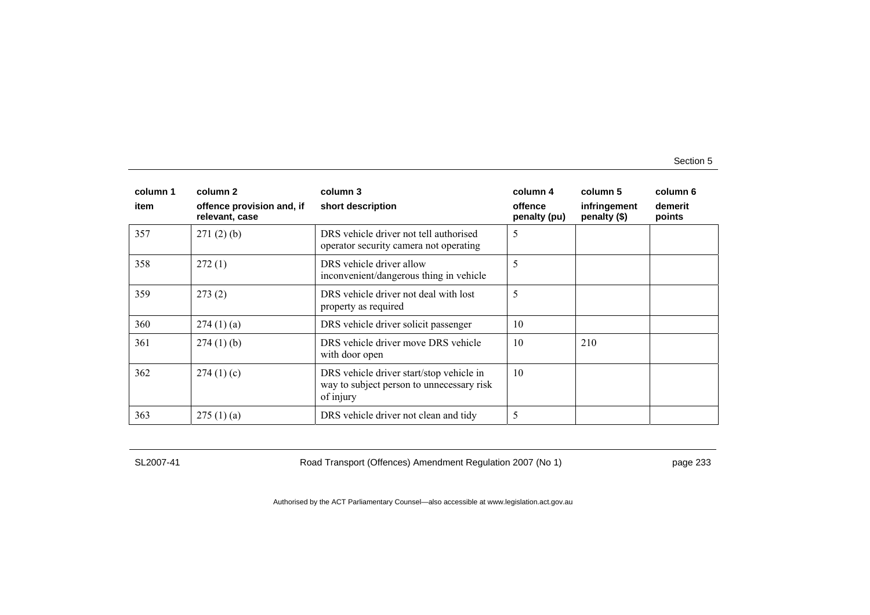| column 1 | column 2                                    | column 3                                                                                           | column 4                | column 5                     | column 6          |
|----------|---------------------------------------------|----------------------------------------------------------------------------------------------------|-------------------------|------------------------------|-------------------|
| item     | offence provision and, if<br>relevant, case | short description                                                                                  | offence<br>penalty (pu) | infringement<br>penalty (\$) | demerit<br>points |
| 357      | 271(2)(b)                                   | DRS vehicle driver not tell authorised<br>operator security camera not operating                   | 5                       |                              |                   |
| 358      | 272(1)                                      | DRS vehicle driver allow<br>inconvenient/dangerous thing in vehicle                                | 5                       |                              |                   |
| 359      | 273(2)                                      | DRS vehicle driver not deal with lost<br>property as required                                      | 5                       |                              |                   |
| 360      | 274(1)(a)                                   | DRS vehicle driver solicit passenger                                                               | 10                      |                              |                   |
| 361      | $274(1)$ (b)                                | DRS vehicle driver move DRS vehicle<br>with door open                                              | 10                      | 210                          |                   |
| 362      | 274(1)(c)                                   | DRS vehicle driver start/stop vehicle in<br>way to subject person to unnecessary risk<br>of injury | 10                      |                              |                   |
| 363      | 275(1)(a)                                   | DRS vehicle driver not clean and tidy                                                              | 5                       |                              |                   |

SL2007-41 Road Transport (Offences) Amendment Regulation 2007 (No 1) page 233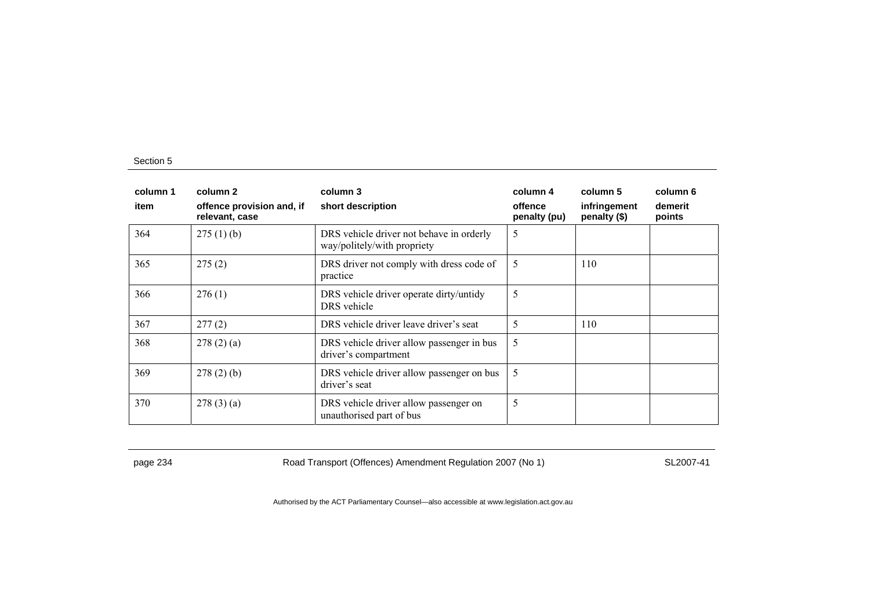| column 1<br>item | column 2<br>offence provision and, if<br>relevant, case | column 3<br>short description                                           | column 4<br>offence<br>penalty (pu) | column 5<br>infringement<br>penalty (\$) | column 6<br>demerit<br>points |
|------------------|---------------------------------------------------------|-------------------------------------------------------------------------|-------------------------------------|------------------------------------------|-------------------------------|
| 364              | 275(1)(b)                                               | DRS vehicle driver not behave in orderly<br>way/politely/with propriety | 5                                   |                                          |                               |
| 365              | 275(2)                                                  | DRS driver not comply with dress code of<br>practice                    | 5                                   | 110                                      |                               |
| 366              | 276(1)                                                  | DRS vehicle driver operate dirty/untidy<br>DRS vehicle                  | 5                                   |                                          |                               |
| 367              | 277(2)                                                  | DRS vehicle driver leave driver's seat                                  | 5                                   | 110                                      |                               |
| 368              | 278(2)(a)                                               | DRS vehicle driver allow passenger in bus<br>driver's compartment       | 5                                   |                                          |                               |
| 369              | 278(2)(b)                                               | DRS vehicle driver allow passenger on bus<br>driver's seat              | 5                                   |                                          |                               |
| 370              | 278(3)(a)                                               | DRS vehicle driver allow passenger on<br>unauthorised part of bus       | 5                                   |                                          |                               |

page 234 Road Transport (Offences) Amendment Regulation 2007 (No 1) SL2007-41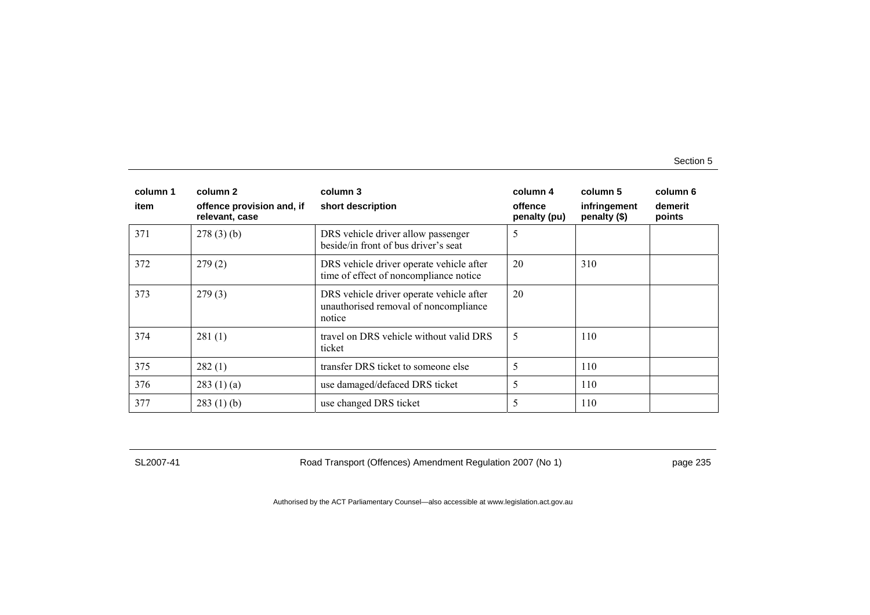| column 1<br>item | column 2<br>offence provision and, if<br>relevant, case | column 3<br>short description                                                               | column 4<br>offence<br>penalty (pu) | column 5<br>infringement<br>penalty (\$) | column 6<br>demerit<br>points |
|------------------|---------------------------------------------------------|---------------------------------------------------------------------------------------------|-------------------------------------|------------------------------------------|-------------------------------|
| 371              | 278(3)(b)                                               | DRS vehicle driver allow passenger<br>beside/in front of bus driver's seat                  | 5                                   |                                          |                               |
| 372              | 279(2)                                                  | DRS vehicle driver operate vehicle after<br>time of effect of noncompliance notice          | 20                                  | 310                                      |                               |
| 373              | 279(3)                                                  | DRS vehicle driver operate vehicle after<br>unauthorised removal of noncompliance<br>notice | 20                                  |                                          |                               |
| 374              | 281(1)                                                  | travel on DRS vehicle without valid DRS<br>ticket                                           | 5                                   | 110                                      |                               |
| 375              | 282(1)                                                  | transfer DRS ticket to someone else                                                         | 5                                   | 110                                      |                               |
| 376              | 283(1)(a)                                               | use damaged/defaced DRS ticket                                                              | 5                                   | 110                                      |                               |
| 377              | 283(1)(b)                                               | use changed DRS ticket                                                                      | 5                                   | 110                                      |                               |

SL2007-41 Road Transport (Offences) Amendment Regulation 2007 (No 1) page 235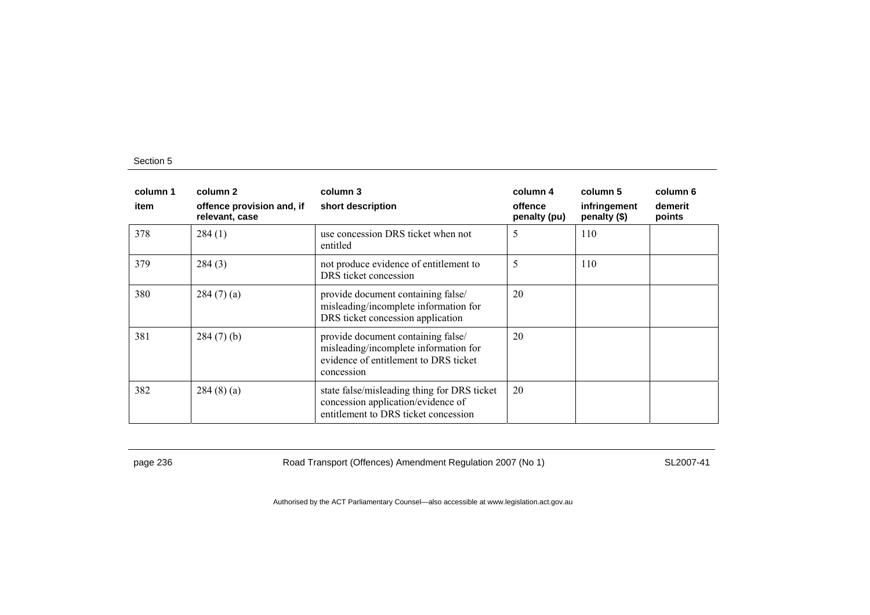| column 1<br>item | column 2<br>offence provision and, if<br>relevant, case | column 3<br>short description                                                                                                      | column 4<br>offence<br>penalty (pu) | column 5<br>infringement<br>penalty (\$) | column 6<br>demerit<br>points |
|------------------|---------------------------------------------------------|------------------------------------------------------------------------------------------------------------------------------------|-------------------------------------|------------------------------------------|-------------------------------|
| 378              | 284(1)                                                  | use concession DRS ticket when not<br>entitled                                                                                     | 5                                   | 110                                      |                               |
| 379              | 284(3)                                                  | not produce evidence of entitlement to<br>DRS ticket concession                                                                    | 5                                   | 110                                      |                               |
| 380              | 284(7)(a)                                               | provide document containing false/<br>misleading/incomplete information for<br>DRS ticket concession application                   | 20                                  |                                          |                               |
| 381              | $284(7)$ (b)                                            | provide document containing false/<br>misleading/incomplete information for<br>evidence of entitlement to DRS ticket<br>concession | 20                                  |                                          |                               |
| 382              | 284(8)(a)                                               | state false/misleading thing for DRS ticket<br>concession application/evidence of<br>entitlement to DRS ticket concession          | 20                                  |                                          |                               |

page 236 Road Transport (Offences) Amendment Regulation 2007 (No 1) SL2007-41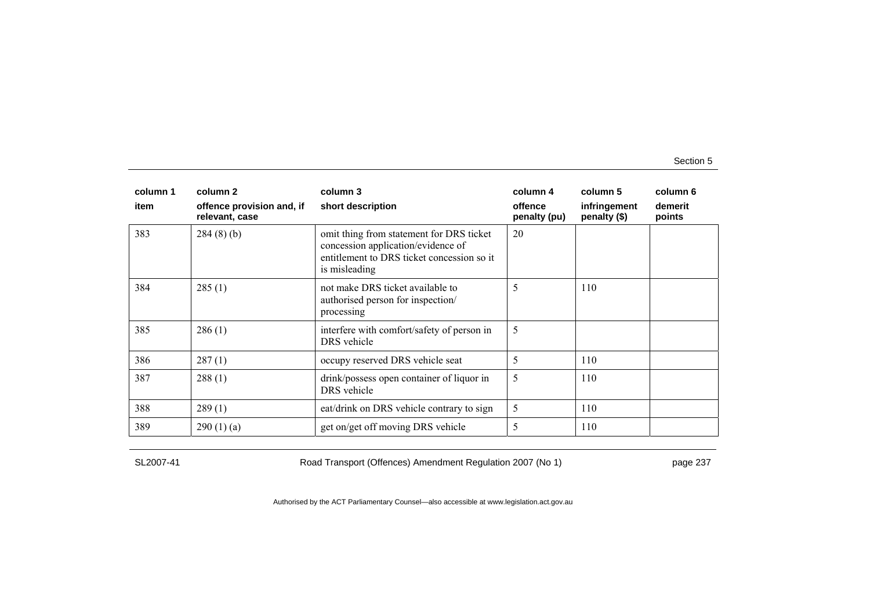| column 1 | column 2                                    | column 3                                                                                                                                      | column 4                | column 5                     | column 6          |
|----------|---------------------------------------------|-----------------------------------------------------------------------------------------------------------------------------------------------|-------------------------|------------------------------|-------------------|
| item     | offence provision and, if<br>relevant, case | short description                                                                                                                             | offence<br>penalty (pu) | infringement<br>penalty (\$) | demerit<br>points |
| 383      | 284(8)(b)                                   | omit thing from statement for DRS ticket<br>concession application/evidence of<br>entitlement to DRS ticket concession so it<br>is misleading | 20                      |                              |                   |
| 384      | 285(1)                                      | not make DRS ticket available to<br>authorised person for inspection/<br>processing                                                           | 5                       | 110                          |                   |
| 385      | 286(1)                                      | interfere with comfort/safety of person in<br>DRS vehicle                                                                                     | 5                       |                              |                   |
| 386      | 287(1)                                      | occupy reserved DRS vehicle seat                                                                                                              | 5                       | 110                          |                   |
| 387      | 288(1)                                      | drink/possess open container of liquor in<br>DRS vehicle                                                                                      | 5                       | 110                          |                   |
| 388      | 289(1)                                      | eat/drink on DRS vehicle contrary to sign                                                                                                     | 5                       | 110                          |                   |
| 389      | 290(1)(a)                                   | get on/get off moving DRS vehicle                                                                                                             | 5                       | 110                          |                   |

SL2007-41 Road Transport (Offences) Amendment Regulation 2007 (No 1) page 237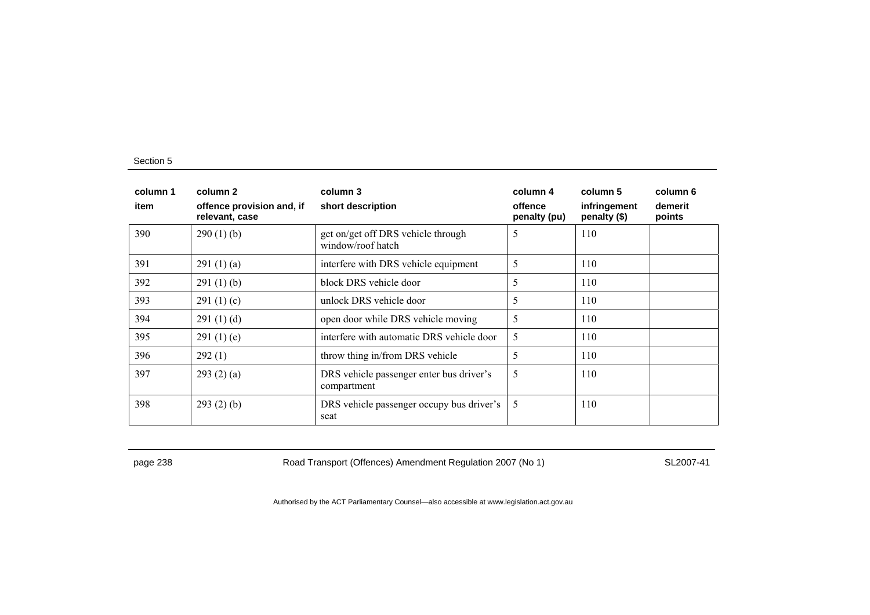| column 1<br>item | column 2<br>offence provision and, if<br>relevant, case | column 3<br>short description                           | column 4<br>offence<br>penalty (pu) | column 5<br>infringement<br>penalty (\$) | column 6<br>demerit<br>points |
|------------------|---------------------------------------------------------|---------------------------------------------------------|-------------------------------------|------------------------------------------|-------------------------------|
| 390              | 290(1)(b)                                               | get on/get off DRS vehicle through<br>window/roof hatch | 5                                   | 110                                      |                               |
| 391              | 291(1)(a)                                               | interfere with DRS vehicle equipment                    | 5                                   | 110                                      |                               |
| 392              | 291(1)(b)                                               | block DRS vehicle door                                  | 5                                   | 110                                      |                               |
| 393              | 291 $(1)(c)$                                            | unlock DRS vehicle door                                 | 5                                   | 110                                      |                               |
| 394              | 291(1)(d)                                               | open door while DRS vehicle moving                      | 5                                   | 110                                      |                               |
| 395              | 291(1)(e)                                               | interfere with automatic DRS vehicle door               | 5                                   | 110                                      |                               |
| 396              | 292(1)                                                  | throw thing in/from DRS vehicle                         | 5                                   | 110                                      |                               |
| 397              | 293(2)(a)                                               | DRS vehicle passenger enter bus driver's<br>compartment | 5                                   | 110                                      |                               |
| 398              | 293(2)(b)                                               | DRS vehicle passenger occupy bus driver's<br>seat       | 5                                   | 110                                      |                               |

page 238 Road Transport (Offences) Amendment Regulation 2007 (No 1) SL2007-41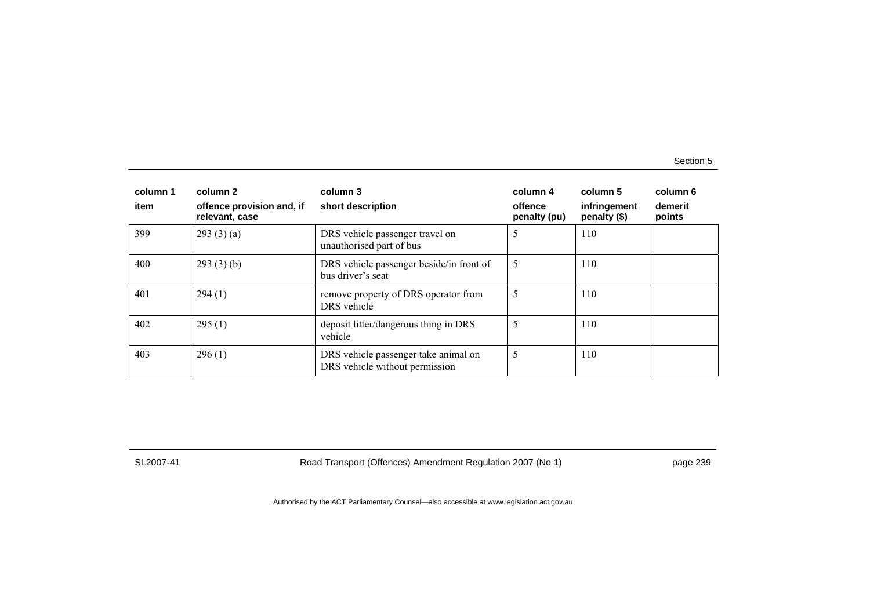| column 1 | column 2                                    | column 3                                                               | column 4                | column 5                     | column 6          |
|----------|---------------------------------------------|------------------------------------------------------------------------|-------------------------|------------------------------|-------------------|
| item     | offence provision and, if<br>relevant, case | short description                                                      | offence<br>penalty (pu) | infringement<br>penalty (\$) | demerit<br>points |
| 399      | 293(3)(a)                                   | DRS vehicle passenger travel on<br>unauthorised part of bus            | 5                       | 110                          |                   |
| 400      | 293(3)(b)                                   | DRS vehicle passenger beside/in front of<br>bus driver's seat          | 5                       | 110                          |                   |
| 401      | 294(1)                                      | remove property of DRS operator from<br>DRS vehicle                    | 5                       | 110                          |                   |
| 402      | 295(1)                                      | deposit litter/dangerous thing in DRS<br>vehicle                       | 5                       | 110                          |                   |
| 403      | 296(1)                                      | DRS vehicle passenger take animal on<br>DRS vehicle without permission | 5                       | 110                          |                   |

SL2007-41 Road Transport (Offences) Amendment Regulation 2007 (No 1) page 239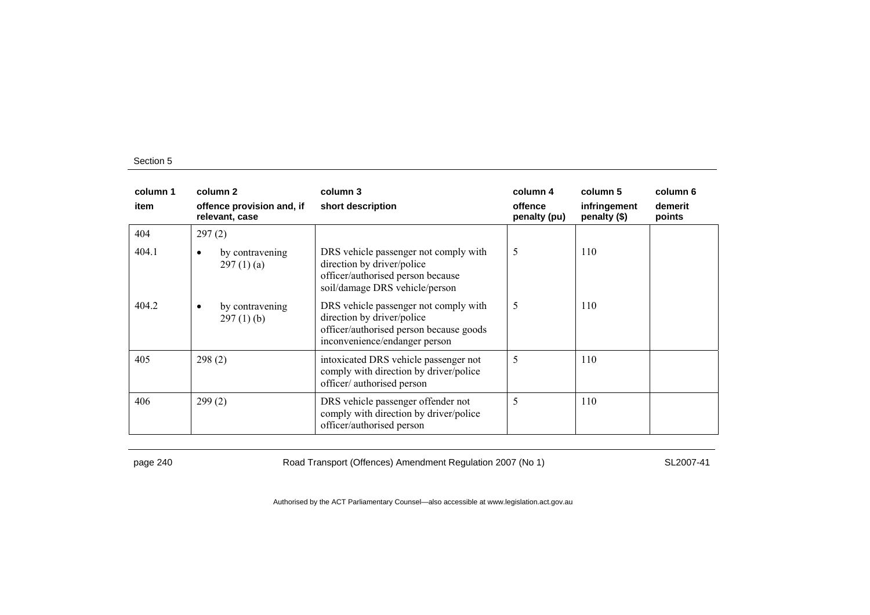| column 1<br>item | column 2<br>offence provision and, if<br>relevant, case | column 3<br>short description                                                                                                                   | column 4<br>offence<br>penalty (pu) | column 5<br>infringement<br>penalty (\$) | column 6<br>demerit<br>points |
|------------------|---------------------------------------------------------|-------------------------------------------------------------------------------------------------------------------------------------------------|-------------------------------------|------------------------------------------|-------------------------------|
| 404              | 297(2)                                                  |                                                                                                                                                 |                                     |                                          |                               |
| 404.1            | by contravening<br>٠<br>297(1)(a)                       | DRS vehicle passenger not comply with<br>direction by driver/police<br>officer/authorised person because<br>soil/damage DRS vehicle/person      | 5                                   | 110                                      |                               |
| 404.2            | by contravening<br>٠<br>$297(1)$ (b)                    | DRS vehicle passenger not comply with<br>direction by driver/police<br>officer/authorised person because goods<br>inconvenience/endanger person | 5                                   | 110                                      |                               |
| 405              | 298(2)                                                  | intoxicated DRS vehicle passenger not<br>comply with direction by driver/police<br>officer/ authorised person                                   | 5                                   | 110                                      |                               |
| 406              | 299(2)                                                  | DRS vehicle passenger offender not<br>comply with direction by driver/police<br>officer/authorised person                                       | 5                                   | 110                                      |                               |

page 240 Road Transport (Offences) Amendment Regulation 2007 (No 1) SL2007-41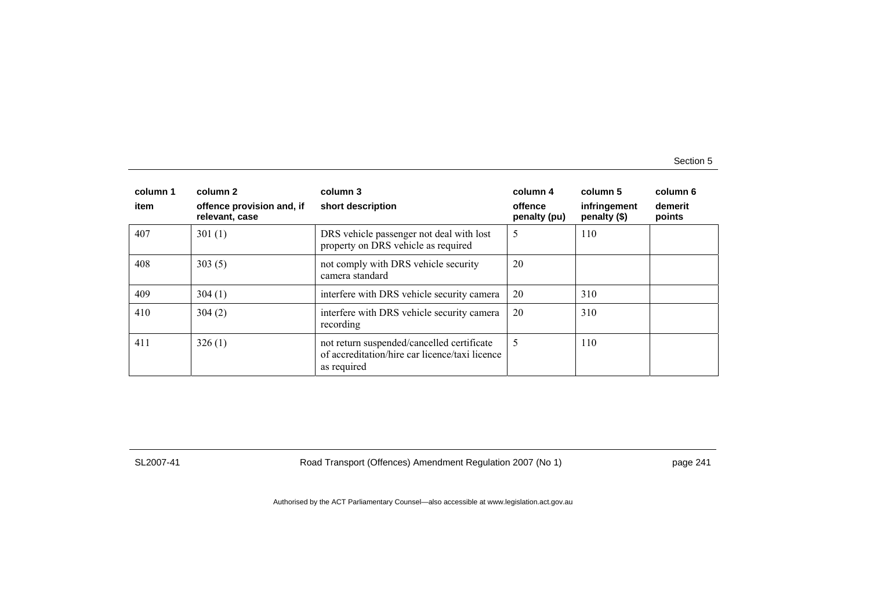| column 1 | column 2                                    | column 3                                                                                                    | column 4                | column 5                     | column 6          |
|----------|---------------------------------------------|-------------------------------------------------------------------------------------------------------------|-------------------------|------------------------------|-------------------|
| item     | offence provision and, if<br>relevant, case | short description                                                                                           | offence<br>penalty (pu) | infringement<br>penalty (\$) | demerit<br>points |
| 407      | 301(1)                                      | DRS vehicle passenger not deal with lost<br>property on DRS vehicle as required                             | 5                       | 110                          |                   |
| 408      | 303(5)                                      | not comply with DRS vehicle security<br>camera standard                                                     | 20                      |                              |                   |
| 409      | 304(1)                                      | interfere with DRS vehicle security camera                                                                  | 20                      | 310                          |                   |
| 410      | 304(2)                                      | interfere with DRS vehicle security camera<br>recording                                                     | 20                      | 310                          |                   |
| 411      | 326(1)                                      | not return suspended/cancelled certificate<br>of accreditation/hire car licence/taxi licence<br>as required | 5                       | 110                          |                   |

SL2007-41 Road Transport (Offences) Amendment Regulation 2007 (No 1) page 241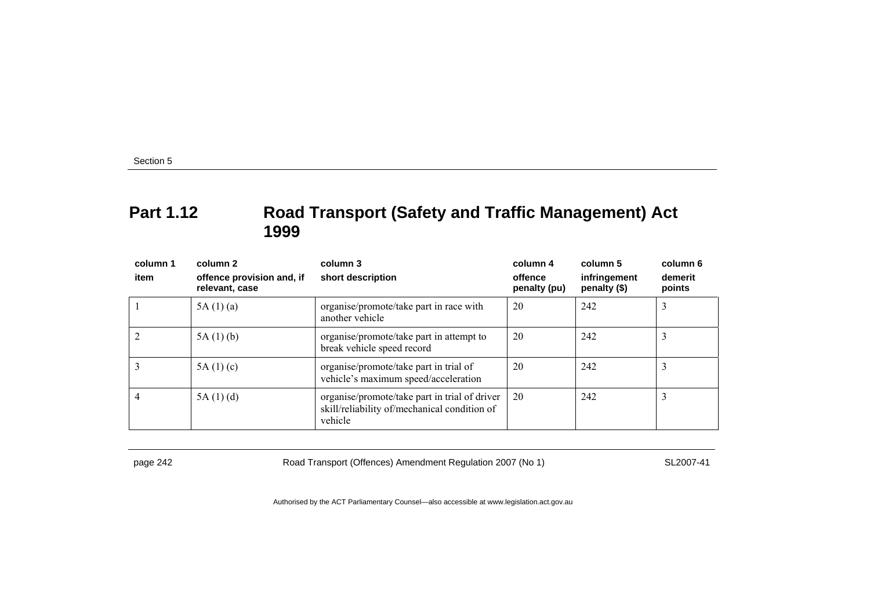# **Part 1.12 Road Transport (Safety and Traffic Management) Act 1999**

| column 1<br>item | column 2<br>offence provision and, if<br>relevant, case | column 3<br>short description                                                                            | column 4<br>offence<br>penalty (pu) | column 5<br>infringement<br>penalty (\$) | column 6<br>demerit<br>points |
|------------------|---------------------------------------------------------|----------------------------------------------------------------------------------------------------------|-------------------------------------|------------------------------------------|-------------------------------|
|                  | 5A(1)(a)                                                | organise/promote/take part in race with<br>another vehicle                                               | 20                                  | 242                                      | 3                             |
|                  | 5A(1)(b)                                                | organise/promote/take part in attempt to<br>break vehicle speed record                                   | 20                                  | 242                                      | 3                             |
|                  | 5A(1)(c)                                                | organise/promote/take part in trial of<br>vehicle's maximum speed/acceleration                           | 20                                  | 242                                      | 3                             |
|                  | 5A(1)(d)                                                | organise/promote/take part in trial of driver<br>skill/reliability of/mechanical condition of<br>vehicle | 20                                  | 242                                      |                               |

page 242 Road Transport (Offences) Amendment Regulation 2007 (No 1) SL2007-41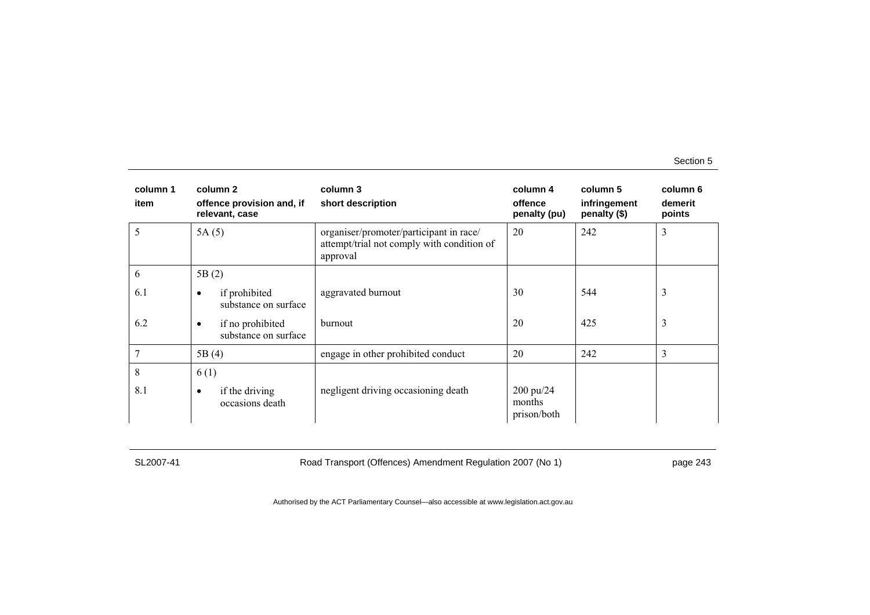| column 1<br>item | column 2<br>offence provision and, if<br>relevant, case | column 3<br>short description                                                                     | column 4<br>offence<br>penalty (pu) | column 5<br>infringement<br>penalty (\$) | column 6<br>demerit<br>points |
|------------------|---------------------------------------------------------|---------------------------------------------------------------------------------------------------|-------------------------------------|------------------------------------------|-------------------------------|
| 5                | 5A(5)                                                   | organiser/promoter/participant in race/<br>attempt/trial not comply with condition of<br>approval | 20                                  | 242                                      | 3                             |
| 6                | 5B(2)                                                   |                                                                                                   |                                     |                                          |                               |
| 6.1              | if prohibited<br>$\bullet$<br>substance on surface      | aggravated burnout                                                                                | 30                                  | 544                                      | 3                             |
| 6.2              | if no prohibited<br>$\bullet$<br>substance on surface   | burnout                                                                                           | 20                                  | 425                                      | 3                             |
|                  | 5B(4)                                                   | engage in other prohibited conduct                                                                | 20                                  | 242                                      | 3                             |
| 8                | 6(1)                                                    |                                                                                                   |                                     |                                          |                               |
| 8.1              | if the driving<br>٠<br>occasions death                  | negligent driving occasioning death                                                               | 200 pu/24<br>months<br>prison/both  |                                          |                               |

SL2007-41 Road Transport (Offences) Amendment Regulation 2007 (No 1) page 243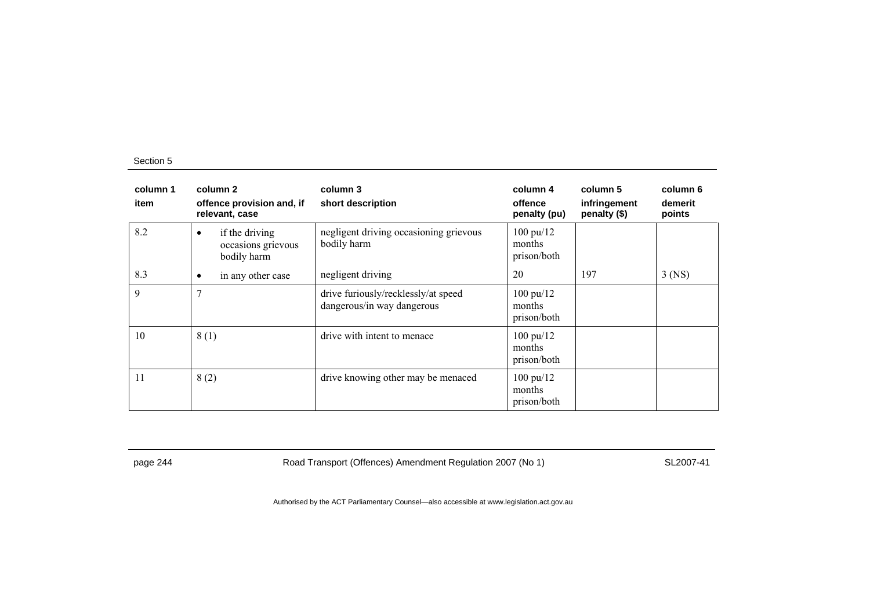| column 1<br>item | column 2<br>offence provision and, if<br>relevant, case  | column 3<br>short description                                     | column 4<br>offence<br>penalty (pu)          | column 5<br>infringement<br>penalty (\$) | column 6<br>demerit<br>points |
|------------------|----------------------------------------------------------|-------------------------------------------------------------------|----------------------------------------------|------------------------------------------|-------------------------------|
| 8.2              | if the driving<br>٠<br>occasions grievous<br>bodily harm | negligent driving occasioning grievous<br>bodily harm             | $100 \text{ pu}/12$<br>months<br>prison/both |                                          |                               |
| 8.3              | in any other case<br>٠                                   | negligent driving                                                 | 20                                           | 197                                      | $3$ (NS)                      |
| 9                |                                                          | drive furiously/recklessly/at speed<br>dangerous/in way dangerous | 100 pu/12<br>months<br>prison/both           |                                          |                               |
| 10               | 8(1)                                                     | drive with intent to menace                                       | $100 \text{ pu}/12$<br>months<br>prison/both |                                          |                               |
| 11               | 8(2)                                                     | drive knowing other may be menaced                                | $100 \text{ pu}/12$<br>months<br>prison/both |                                          |                               |

page 244 Road Transport (Offences) Amendment Regulation 2007 (No 1) SL2007-41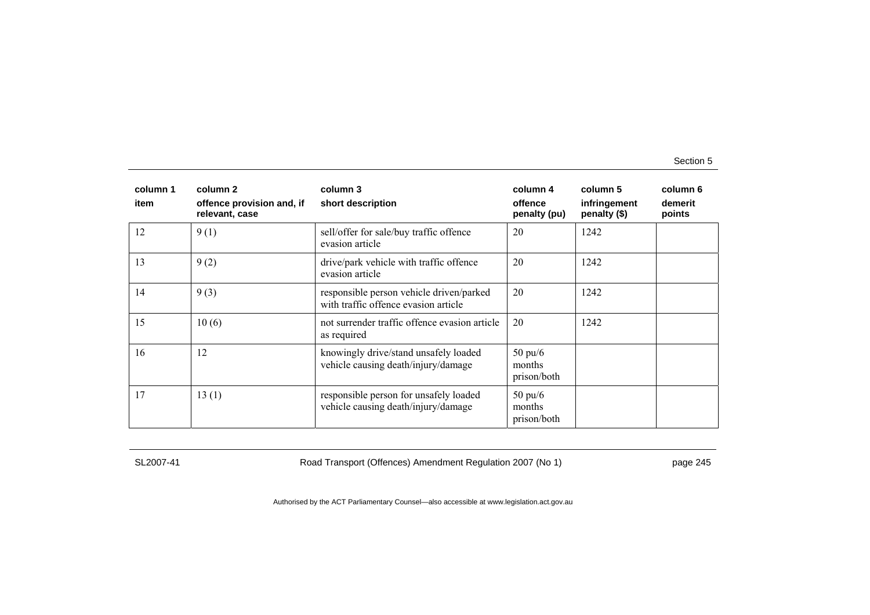| column 1<br>item | column 2<br>offence provision and, if<br>relevant, case | column 3<br>short description                                                    | column 4<br>offence<br>penalty (pu)        | column 5<br>infringement<br>penalty (\$) | column 6<br>demerit<br>points |
|------------------|---------------------------------------------------------|----------------------------------------------------------------------------------|--------------------------------------------|------------------------------------------|-------------------------------|
| 12               | 9(1)                                                    | sell/offer for sale/buy traffic offence<br>evasion article                       | 20                                         | 1242                                     |                               |
| 13               | 9(2)                                                    | drive/park vehicle with traffic offence<br>evasion article                       | 20                                         | 1242                                     |                               |
| 14               | 9(3)                                                    | responsible person vehicle driven/parked<br>with traffic offence evasion article | 20                                         | 1242                                     |                               |
| 15               | 10(6)                                                   | not surrender traffic offence evasion article<br>as required                     | 20                                         | 1242                                     |                               |
| 16               | 12                                                      | knowingly drive/stand unsafely loaded<br>vehicle causing death/injury/damage     | $50 \text{ pu/6}$<br>months<br>prison/both |                                          |                               |
| 17               | 13(1)                                                   | responsible person for unsafely loaded<br>vehicle causing death/injury/damage    | $50 \text{ pu}/6$<br>months<br>prison/both |                                          |                               |

SL2007-41 Road Transport (Offences) Amendment Regulation 2007 (No 1) page 245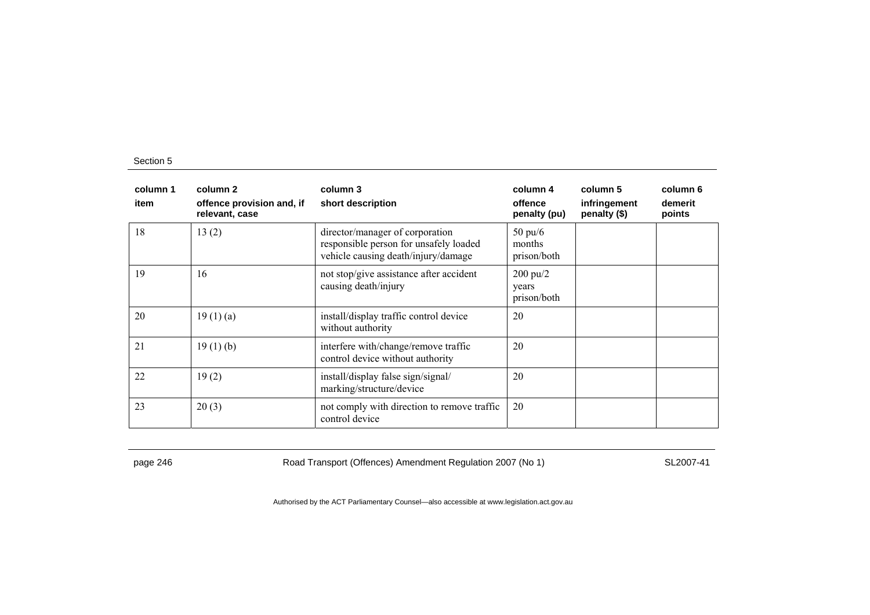| column 1<br>item | column 2<br>offence provision and, if<br>relevant, case | column 3<br>short description                                                                                    | column 4<br>offence<br>penalty (pu)        | column 5<br>infringement<br>penalty (\$) | column 6<br>demerit<br>points |
|------------------|---------------------------------------------------------|------------------------------------------------------------------------------------------------------------------|--------------------------------------------|------------------------------------------|-------------------------------|
| 18               | 13(2)                                                   | director/manager of corporation<br>responsible person for unsafely loaded<br>vehicle causing death/injury/damage | $50 \text{ pu/}6$<br>months<br>prison/both |                                          |                               |
| 19               | 16                                                      | not stop/give assistance after accident<br>causing death/injury                                                  | $200 \text{ pu}/2$<br>years<br>prison/both |                                          |                               |
| 20               | 19(1)(a)                                                | install/display traffic control device<br>without authority                                                      | 20                                         |                                          |                               |
| 21               | 19(1)(b)                                                | interfere with/change/remove traffic<br>control device without authority                                         | 20                                         |                                          |                               |
| 22               | 19(2)                                                   | install/display false sign/signal/<br>marking/structure/device                                                   | 20                                         |                                          |                               |
| 23               | 20(3)                                                   | not comply with direction to remove traffic<br>control device                                                    | 20                                         |                                          |                               |

page 246 Road Transport (Offences) Amendment Regulation 2007 (No 1) SL2007-41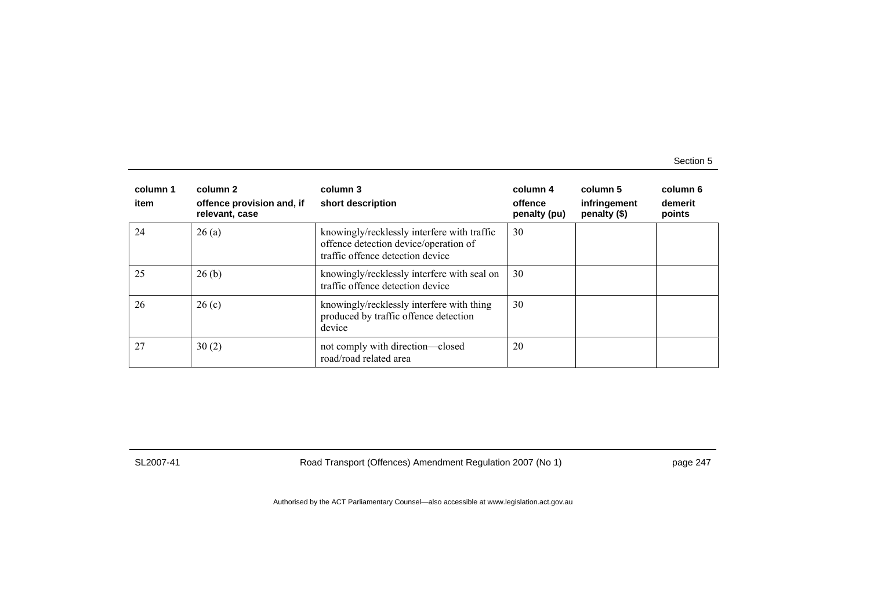| column 1<br>item | column 2<br>offence provision and, if<br>relevant, case | column 3<br>short description                                                                                            | column 4<br>offence<br>penalty (pu) | column 5<br>infringement<br>penalty (\$) | column 6<br>demerit<br>points |
|------------------|---------------------------------------------------------|--------------------------------------------------------------------------------------------------------------------------|-------------------------------------|------------------------------------------|-------------------------------|
| 24               | 26(a)                                                   | knowingly/recklessly interfere with traffic<br>offence detection device/operation of<br>traffic offence detection device | 30                                  |                                          |                               |
| 25               | 26(b)                                                   | knowingly/recklessly interfere with seal on<br>traffic offence detection device                                          | 30                                  |                                          |                               |
| 26               | 26(c)                                                   | knowingly/recklessly interfere with thing<br>produced by traffic offence detection<br>device                             | 30                                  |                                          |                               |
| 27               | 30(2)                                                   | not comply with direction—closed<br>road/road related area                                                               | 20                                  |                                          |                               |

SL2007-41 Road Transport (Offences) Amendment Regulation 2007 (No 1) page 247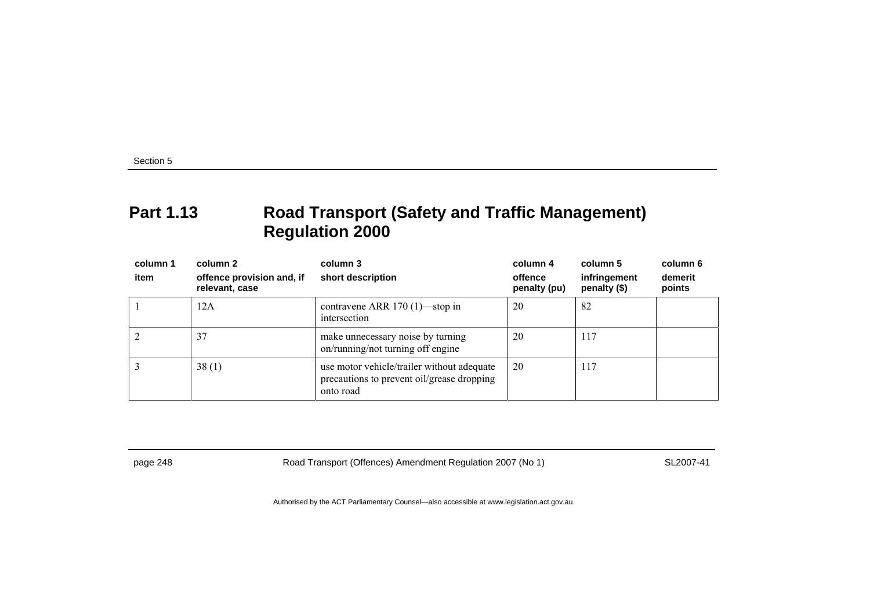# **Part 1.13 Road Transport (Safety and Traffic Management) Regulation 2000**

| column 1<br>item | column 2<br>offence provision and, if<br>relevant, case | column 3<br>short description                                                                         | column 4<br>offence<br>penalty (pu) | column 5<br>infringement<br>penalty (\$) | column 6<br>demerit<br>points |
|------------------|---------------------------------------------------------|-------------------------------------------------------------------------------------------------------|-------------------------------------|------------------------------------------|-------------------------------|
|                  | 12A                                                     | contravene ARR $170(1)$ —stop in<br>intersection                                                      | 20                                  | 82                                       |                               |
|                  | 37                                                      | make unnecessary noise by turning<br>on/running/not turning off engine                                | 20                                  | 117                                      |                               |
|                  | 38(1)                                                   | use motor vehicle/trailer without adequate<br>precautions to prevent oil/grease dropping<br>onto road | 20                                  | 117                                      |                               |

page 248 Road Transport (Offences) Amendment Regulation 2007 (No 1) SL2007-41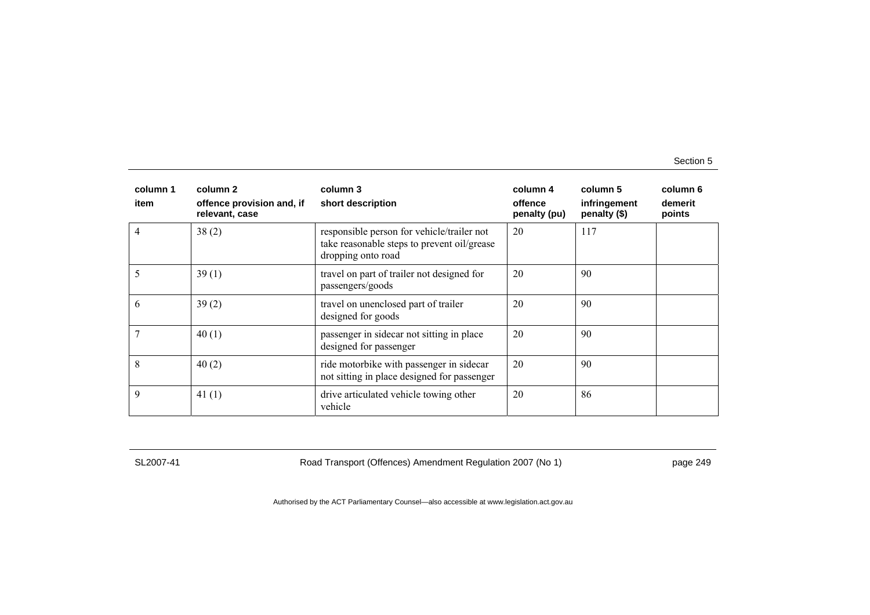| column 1<br>item | column 2<br>offence provision and, if<br>relevant, case | column 3<br>short description                                                                                   | column 4<br>offence<br>penalty (pu) | column 5<br>infringement<br>penalty (\$) | column 6<br>demerit<br>points |
|------------------|---------------------------------------------------------|-----------------------------------------------------------------------------------------------------------------|-------------------------------------|------------------------------------------|-------------------------------|
| 4                | 38(2)                                                   | responsible person for vehicle/trailer not<br>take reasonable steps to prevent oil/grease<br>dropping onto road | 20                                  | 117                                      |                               |
| 5                | 39(1)                                                   | travel on part of trailer not designed for<br>passengers/goods                                                  | 20                                  | 90                                       |                               |
| 6                | 39(2)                                                   | travel on unenclosed part of trailer<br>designed for goods                                                      | 20                                  | 90                                       |                               |
|                  | 40(1)                                                   | passenger in sidecar not sitting in place<br>designed for passenger                                             | 20                                  | 90                                       |                               |
| 8                | 40(2)                                                   | ride motorbike with passenger in sidecar<br>not sitting in place designed for passenger                         | 20                                  | 90                                       |                               |
| 9                | 41 $(1)$                                                | drive articulated vehicle towing other<br>vehicle                                                               | 20                                  | 86                                       |                               |

SL2007-41 Road Transport (Offences) Amendment Regulation 2007 (No 1) page 249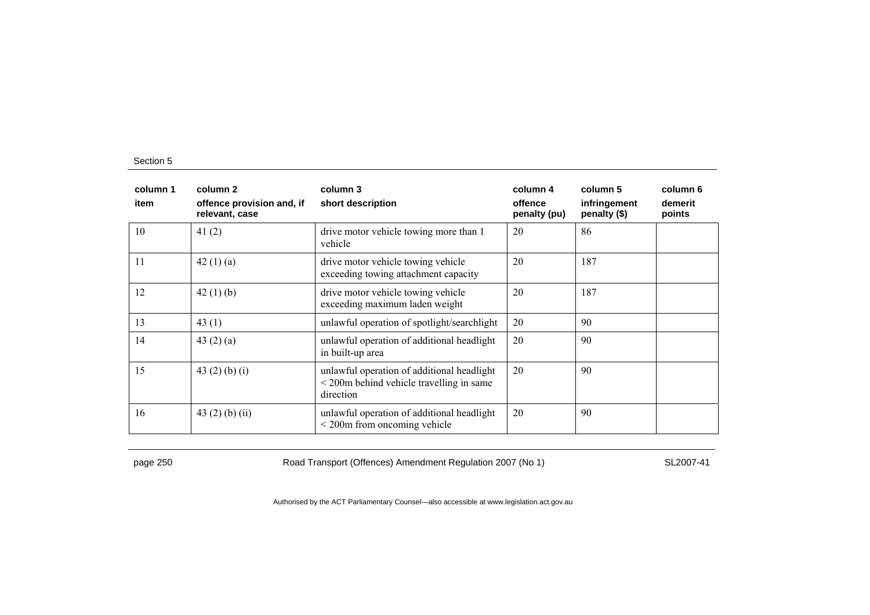| column 1<br>item | column 2<br>offence provision and, if<br>relevant, case | column 3<br>short description                                                                                      | column 4<br>offence<br>penalty (pu) | column 5<br>infringement<br>penalty (\$) | column 6<br>demerit<br>points |
|------------------|---------------------------------------------------------|--------------------------------------------------------------------------------------------------------------------|-------------------------------------|------------------------------------------|-------------------------------|
| 10               | 41 $(2)$                                                | drive motor vehicle towing more than 1<br>vehicle                                                                  | 20                                  | 86                                       |                               |
| 11               | 42(1)(a)                                                | drive motor vehicle towing vehicle<br>exceeding towing attachment capacity                                         | 20                                  | 187                                      |                               |
| 12               | 42 $(1)$ $(b)$                                          | drive motor vehicle towing vehicle<br>exceeding maximum laden weight                                               | 20                                  | 187                                      |                               |
| 13               | 43 $(1)$                                                | unlawful operation of spotlight/searchlight                                                                        | 20                                  | 90                                       |                               |
| 14               | 43 $(2)$ $(a)$                                          | unlawful operation of additional headlight<br>in built-up area                                                     | 20                                  | 90                                       |                               |
| 15               | 43 $(2)$ $(b)$ $(i)$                                    | unlawful operation of additional headlight<br>$\leq$ 200 $\text{m}$ behind vehicle travelling in same<br>direction | 20                                  | 90                                       |                               |
| 16               | 43 $(2)$ $(b)$ $(ii)$                                   | unlawful operation of additional headlight<br>$\leq$ 200m from oncoming vehicle                                    | 20                                  | 90                                       |                               |

page 250 Road Transport (Offences) Amendment Regulation 2007 (No 1) SL2007-41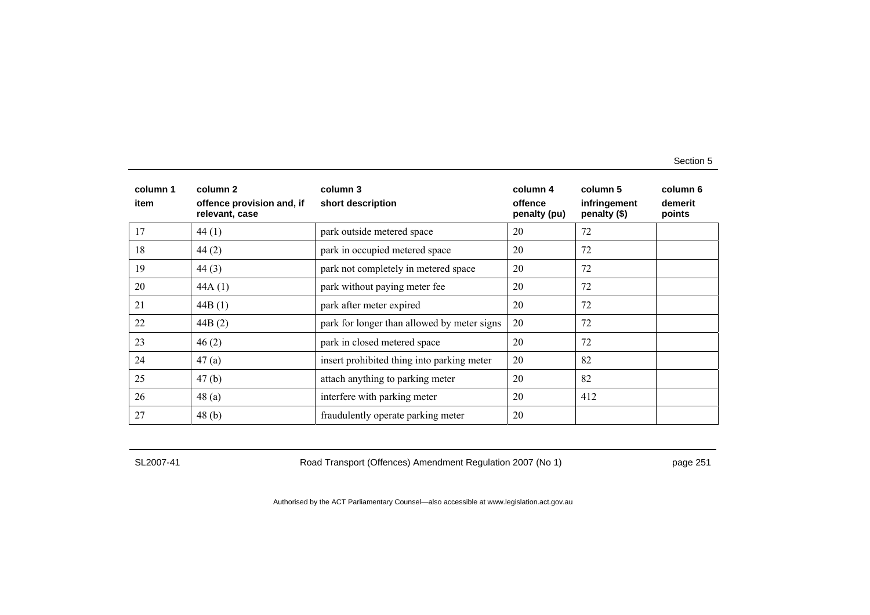| column 1<br>item | column 2<br>offence provision and, if<br>relevant, case | column 3<br>short description               | column 4<br>offence<br>penalty (pu) | column 5<br>infringement<br>penalty (\$) | column 6<br>demerit<br>points |
|------------------|---------------------------------------------------------|---------------------------------------------|-------------------------------------|------------------------------------------|-------------------------------|
| 17               | 44(1)                                                   | park outside metered space                  | 20                                  | 72                                       |                               |
| 18               | 44(2)                                                   | park in occupied metered space              | 20                                  | 72                                       |                               |
| 19               | 44(3)                                                   | park not completely in metered space        | 20                                  | 72                                       |                               |
| 20               | 44A(1)                                                  | park without paying meter fee               | 20                                  | 72                                       |                               |
| 21               | 44B(1)                                                  | park after meter expired                    | 20                                  | 72                                       |                               |
| 22               | 44B(2)                                                  | park for longer than allowed by meter signs | 20                                  | 72                                       |                               |
| 23               | 46(2)                                                   | park in closed metered space                | 20                                  | 72                                       |                               |
| 24               | 47(a)                                                   | insert prohibited thing into parking meter  | 20                                  | 82                                       |                               |
| 25               | 47(b)                                                   | attach anything to parking meter            | 20                                  | 82                                       |                               |
| 26               | 48(a)                                                   | interfere with parking meter                | 20                                  | 412                                      |                               |
| 27               | 48(b)                                                   | fraudulently operate parking meter          | 20                                  |                                          |                               |

SL2007-41 Road Transport (Offences) Amendment Regulation 2007 (No 1) page 251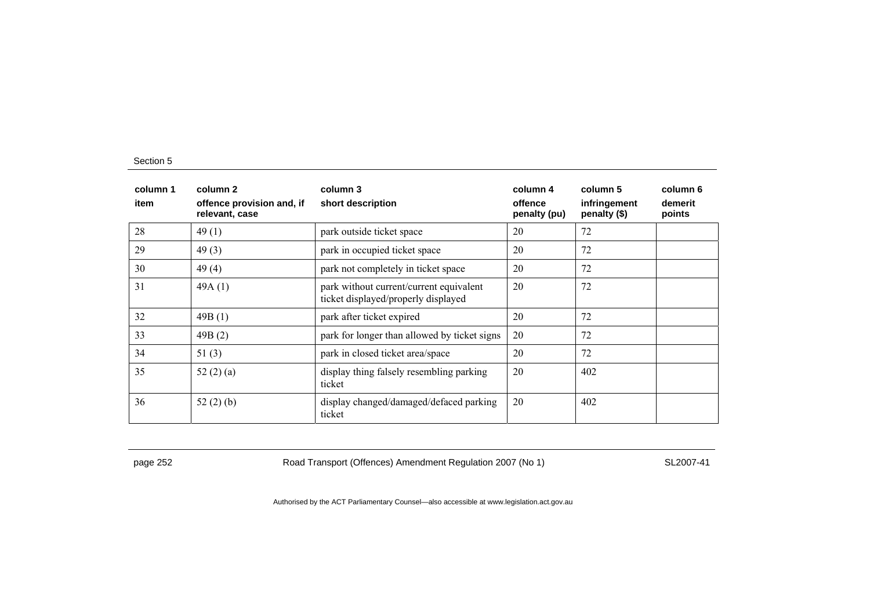| column 1<br>item | column 2<br>offence provision and, if<br>relevant, case | column 3<br>short description                                                  | column 4<br>offence<br>penalty (pu) | column 5<br>infringement<br>penalty (\$) | column 6<br>demerit<br>points |
|------------------|---------------------------------------------------------|--------------------------------------------------------------------------------|-------------------------------------|------------------------------------------|-------------------------------|
| 28               | 49(1)                                                   | park outside ticket space                                                      | 20                                  | 72                                       |                               |
| 29               | 49(3)                                                   | park in occupied ticket space                                                  | 20                                  | 72                                       |                               |
| 30               | 49(4)                                                   | park not completely in ticket space                                            | 20                                  | 72                                       |                               |
| 31               | 49A(1)                                                  | park without current/current equivalent<br>ticket displayed/properly displayed | 20                                  | 72                                       |                               |
| 32               | 49B(1)                                                  | park after ticket expired                                                      | 20                                  | 72                                       |                               |
| 33               | 49B(2)                                                  | park for longer than allowed by ticket signs                                   | 20                                  | 72                                       |                               |
| 34               | 51(3)                                                   | park in closed ticket area/space                                               | 20                                  | 72                                       |                               |
| 35               | 52 $(2)$ $(a)$                                          | display thing falsely resembling parking<br>ticket                             | 20                                  | 402                                      |                               |
| 36               | 52(2)(b)                                                | display changed/damaged/defaced parking<br>ticket                              | 20                                  | 402                                      |                               |

page 252 Road Transport (Offences) Amendment Regulation 2007 (No 1) SL2007-41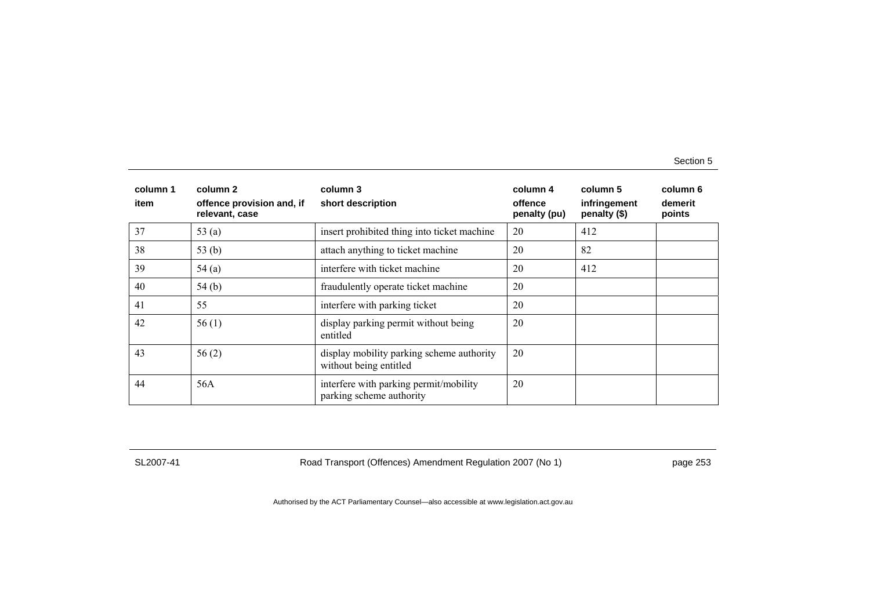| column 1<br>item | column 2<br>offence provision and, if<br>relevant, case | column 3<br>short description                                       | column 4<br>offence<br>penalty (pu) | column 5<br>infringement<br>penalty (\$) | column 6<br>demerit<br>points |
|------------------|---------------------------------------------------------|---------------------------------------------------------------------|-------------------------------------|------------------------------------------|-------------------------------|
| 37               | 53 $(a)$                                                | insert prohibited thing into ticket machine                         | 20                                  | 412                                      |                               |
| 38               | 53 $(b)$                                                | attach anything to ticket machine                                   | 20                                  | 82                                       |                               |
| 39               | 54(a)                                                   | interfere with ticket machine                                       | 20                                  | 412                                      |                               |
| 40               | 54(b)                                                   | fraudulently operate ticket machine                                 | 20                                  |                                          |                               |
| 41               | 55                                                      | interfere with parking ticket                                       | 20                                  |                                          |                               |
| 42               | 56(1)                                                   | display parking permit without being<br>entitled                    | 20                                  |                                          |                               |
| 43               | 56(2)                                                   | display mobility parking scheme authority<br>without being entitled | 20                                  |                                          |                               |
| 44               | 56A                                                     | interfere with parking permit/mobility<br>parking scheme authority  | 20                                  |                                          |                               |

SL2007-41 Road Transport (Offences) Amendment Regulation 2007 (No 1) page 253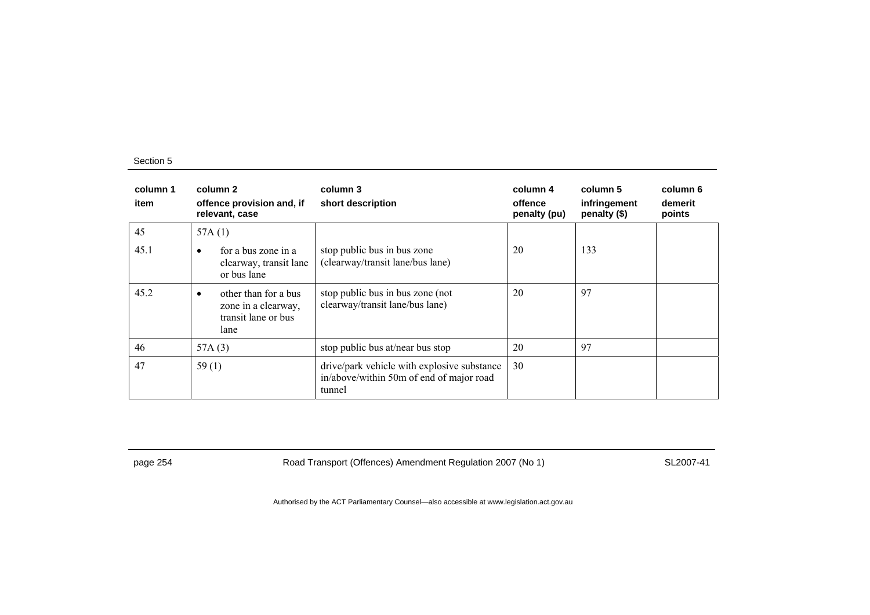| column 1<br>item | column 2<br>offence provision and, if<br>relevant, case                                 | column 3<br>short description                                                                     | column 4<br>offence<br>penalty (pu) | column 5<br>infringement<br>penalty (\$) | column 6<br>demerit<br>points |
|------------------|-----------------------------------------------------------------------------------------|---------------------------------------------------------------------------------------------------|-------------------------------------|------------------------------------------|-------------------------------|
| 45               | 57A $(1)$                                                                               |                                                                                                   |                                     |                                          |                               |
| 45.1             | for a bus zone in a<br>$\bullet$<br>clearway, transit lane<br>or bus lane               | stop public bus in bus zone<br>(clearway/transit lane/bus lane)                                   | 20                                  | 133                                      |                               |
| 45.2             | other than for a bus<br>$\bullet$<br>zone in a clearway,<br>transit lane or bus<br>lane | stop public bus in bus zone (not<br>clearway/transit lane/bus lane)                               | 20                                  | 97                                       |                               |
| 46               | 57A $(3)$                                                                               | stop public bus at/near bus stop                                                                  | 20                                  | 97                                       |                               |
| 47               | 59(1)                                                                                   | drive/park vehicle with explosive substance<br>in/above/within 50m of end of major road<br>tunnel | 30                                  |                                          |                               |

page 254 Road Transport (Offences) Amendment Regulation 2007 (No 1) SL2007-41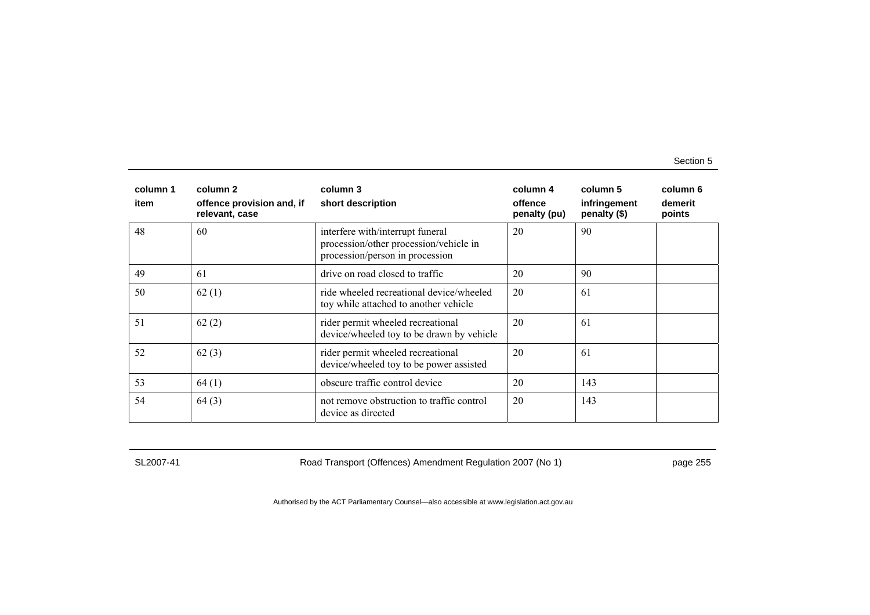| column 1<br>item | column 2<br>offence provision and, if<br>relevant, case | column 3<br>short description                                                                                 | column 4<br>offence<br>penalty (pu) | column 5<br>infringement<br>penalty (\$) | column 6<br>demerit<br>points |
|------------------|---------------------------------------------------------|---------------------------------------------------------------------------------------------------------------|-------------------------------------|------------------------------------------|-------------------------------|
| 48               | 60                                                      | interfere with/interrupt funeral<br>procession/other procession/vehicle in<br>procession/person in procession | 20                                  | 90                                       |                               |
| 49               | -61                                                     | drive on road closed to traffic                                                                               | 20                                  | 90                                       |                               |
| 50               | 62(1)                                                   | ride wheeled recreational device/wheeled<br>toy while attached to another vehicle                             | 20                                  | 61                                       |                               |
| 51               | 62(2)                                                   | rider permit wheeled recreational<br>device/wheeled toy to be drawn by vehicle                                | 20                                  | 61                                       |                               |
| 52               | 62(3)                                                   | rider permit wheeled recreational<br>device/wheeled toy to be power assisted                                  | 20                                  | 61                                       |                               |
| 53               | 64(1)                                                   | obscure traffic control device                                                                                | 20                                  | 143                                      |                               |
| 54               | 64(3)                                                   | not remove obstruction to traffic control<br>device as directed                                               | 20                                  | 143                                      |                               |

SL2007-41 Road Transport (Offences) Amendment Regulation 2007 (No 1) page 255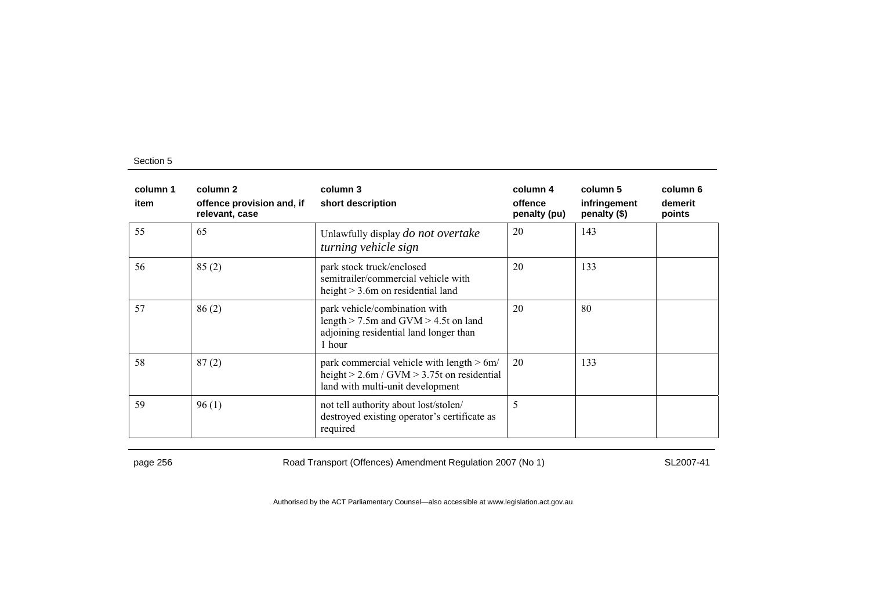| column 1<br>item | column 2<br>offence provision and, if<br>relevant, case | column 3<br>short description                                                                                                       | column 4<br>offence<br>penalty (pu) | column 5<br>infringement<br>penalty (\$) | column 6<br>demerit<br>points |
|------------------|---------------------------------------------------------|-------------------------------------------------------------------------------------------------------------------------------------|-------------------------------------|------------------------------------------|-------------------------------|
| 55               | 65                                                      | Unlawfully display <i>do not overtake</i><br>turning vehicle sign                                                                   | 20                                  | 143                                      |                               |
| 56               | 85(2)                                                   | park stock truck/enclosed<br>semitrailer/commercial vehicle with<br>height $> 3.6$ m on residential land                            | 20                                  | 133                                      |                               |
| 57               | 86(2)                                                   | park vehicle/combination with<br>length $>$ 7.5m and GVM $>$ 4.5t on land<br>adjoining residential land longer than<br>1 hour       | 20                                  | 80                                       |                               |
| 58               | 87(2)                                                   | park commercial vehicle with length $> 6m/$<br>height $> 2.6$ m / GVM $> 3.75$ t on residential<br>land with multi-unit development | 20                                  | 133                                      |                               |
| 59               | 96(1)                                                   | not tell authority about lost/stolen/<br>destroyed existing operator's certificate as<br>required                                   | 5                                   |                                          |                               |

page 256 **Road Transport (Offences) Amendment Regulation 2007 (No 1)** SL2007-41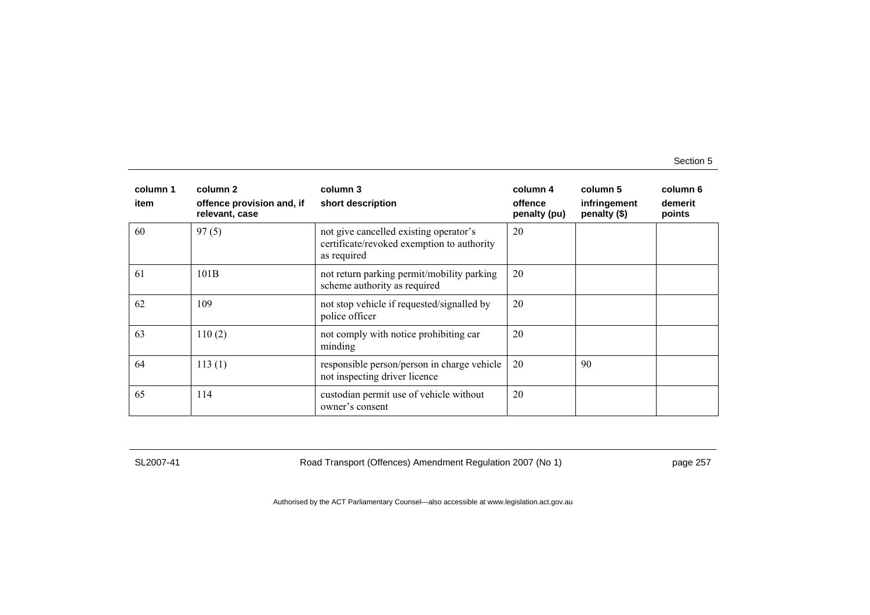| column 1<br>item | column 2<br>offence provision and, if<br>relevant, case | column 3<br>short description                                                                       | column 4<br>offence<br>penalty (pu) | column 5<br>infringement<br>penalty (\$) | column 6<br>demerit<br>points |
|------------------|---------------------------------------------------------|-----------------------------------------------------------------------------------------------------|-------------------------------------|------------------------------------------|-------------------------------|
| 60               | 97(5)                                                   | not give cancelled existing operator's<br>certificate/revoked exemption to authority<br>as required | 20                                  |                                          |                               |
| 61               | 101B                                                    | not return parking permit/mobility parking<br>scheme authority as required                          | 20                                  |                                          |                               |
| 62               | 109                                                     | not stop vehicle if requested/signalled by<br>police officer                                        | 20                                  |                                          |                               |
| 63               | 110(2)                                                  | not comply with notice prohibiting car<br>minding                                                   | 20                                  |                                          |                               |
| 64               | 113(1)                                                  | responsible person/person in charge vehicle<br>not inspecting driver licence                        | 20                                  | 90                                       |                               |
| 65               | 114                                                     | custodian permit use of vehicle without<br>owner's consent                                          | 20                                  |                                          |                               |

SL2007-41 Road Transport (Offences) Amendment Regulation 2007 (No 1) page 257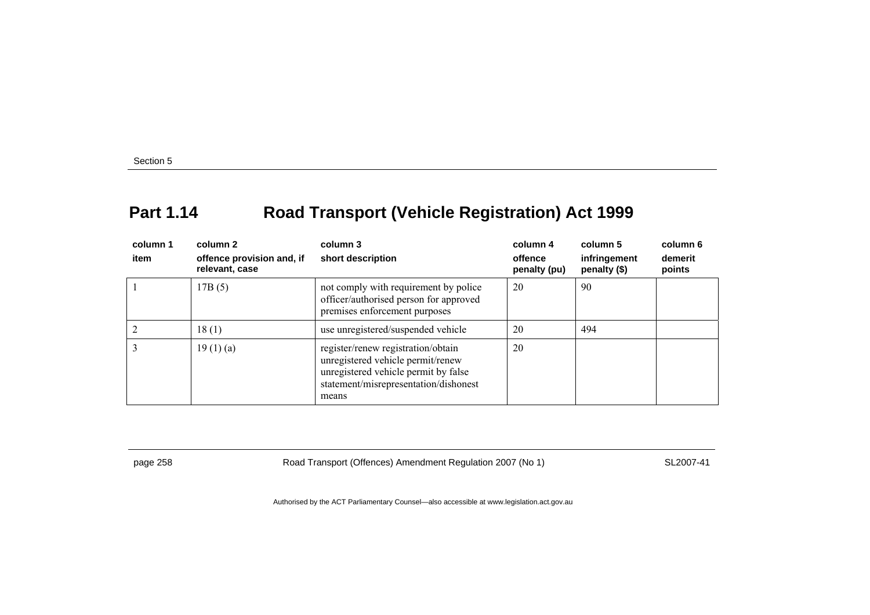## **Part 1.14 Road Transport (Vehicle Registration) Act 1999**

| column 1<br>item | column 2<br>offence provision and, if<br>relevant, case | column 3<br>short description                                                                                                                                     | column 4<br>offence<br>penalty (pu) | column 5<br>infringement<br>penalty (\$) | column 6<br>demerit<br>points |
|------------------|---------------------------------------------------------|-------------------------------------------------------------------------------------------------------------------------------------------------------------------|-------------------------------------|------------------------------------------|-------------------------------|
|                  | 17B(5)                                                  | not comply with requirement by police<br>officer/authorised person for approved<br>premises enforcement purposes                                                  | 20                                  | 90                                       |                               |
|                  | 18(1)                                                   | use unregistered/suspended vehicle                                                                                                                                | 20                                  | 494                                      |                               |
|                  | 19(1)(a)                                                | register/renew registration/obtain<br>unregistered vehicle permit/renew<br>unregistered vehicle permit by false<br>statement/misrepresentation/dishonest<br>means | 20                                  |                                          |                               |

page 258 Road Transport (Offences) Amendment Regulation 2007 (No 1) SL2007-41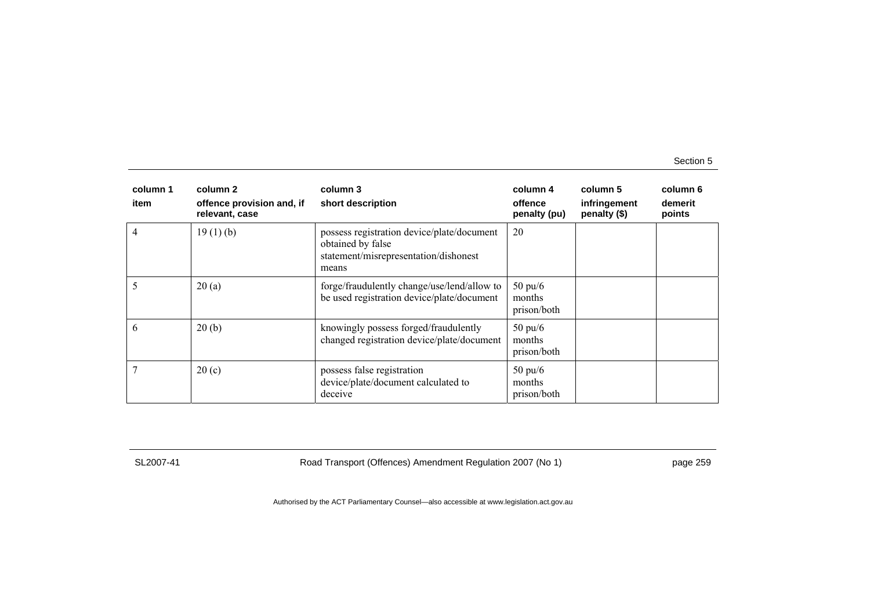| column 1<br>item | column 2<br>offence provision and, if<br>relevant, case | column 3<br>short description                                                                                     | column 4<br>offence<br>penalty (pu)        | column 5<br>infringement<br>penalty (\$) | column 6<br>demerit<br>points |
|------------------|---------------------------------------------------------|-------------------------------------------------------------------------------------------------------------------|--------------------------------------------|------------------------------------------|-------------------------------|
|                  | 19(1)(b)                                                | possess registration device/plate/document<br>obtained by false<br>statement/misrepresentation/dishonest<br>means | 20                                         |                                          |                               |
|                  | 20(a)                                                   | forge/fraudulently change/use/lend/allow to<br>be used registration device/plate/document                         | $50 \text{ pu}/6$<br>months<br>prison/both |                                          |                               |
| 6                | 20(b)                                                   | knowingly possess forged/fraudulently<br>changed registration device/plate/document                               | $50 \text{ pu/}6$<br>months<br>prison/both |                                          |                               |
|                  | 20(c)                                                   | possess false registration<br>device/plate/document calculated to<br>deceive                                      | $50 \text{ pu/}6$<br>months<br>prison/both |                                          |                               |

SL2007-41 Road Transport (Offences) Amendment Regulation 2007 (No 1) page 259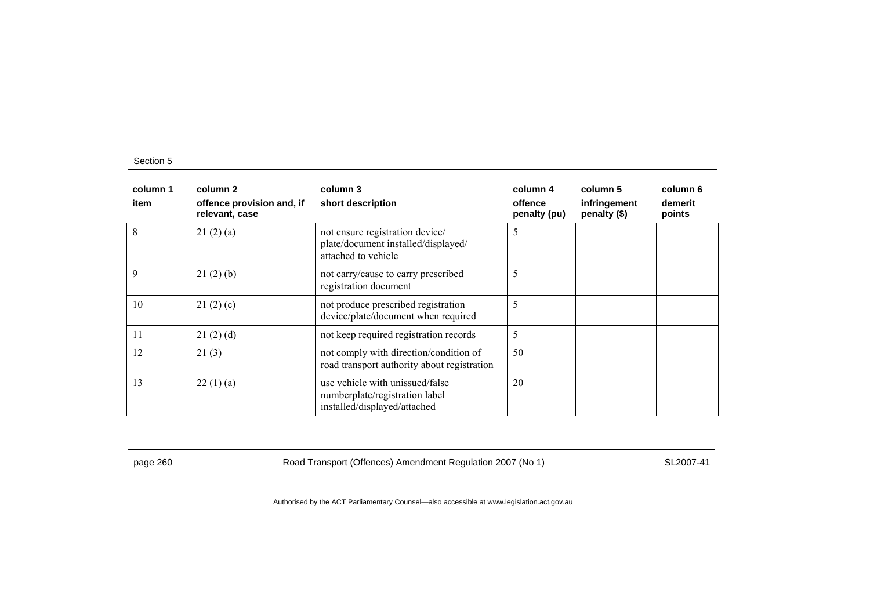| column 1<br>item | column 2<br>offence provision and, if<br>relevant, case | column 3<br>short description                                                                     | column 4<br>offence<br>penalty (pu) | column 5<br>infringement<br>penalty (\$) | column 6<br>demerit<br>points |
|------------------|---------------------------------------------------------|---------------------------------------------------------------------------------------------------|-------------------------------------|------------------------------------------|-------------------------------|
| 8                | 21(2)(a)                                                | not ensure registration device/<br>plate/document installed/displayed/<br>attached to vehicle     | 5                                   |                                          |                               |
| 9                | 21(2)(b)                                                | not carry/cause to carry prescribed<br>registration document                                      | 5                                   |                                          |                               |
| 10               | 21(2)(c)                                                | not produce prescribed registration<br>device/plate/document when required                        | 5                                   |                                          |                               |
| 11               | 21(2)(d)                                                | not keep required registration records                                                            | 5                                   |                                          |                               |
| 12               | 21(3)                                                   | not comply with direction/condition of<br>road transport authority about registration             | 50                                  |                                          |                               |
| 13               | 22(1)(a)                                                | use vehicle with unissued/false<br>numberplate/registration label<br>installed/displayed/attached | 20                                  |                                          |                               |

page 260 Road Transport (Offences) Amendment Regulation 2007 (No 1) SL2007-41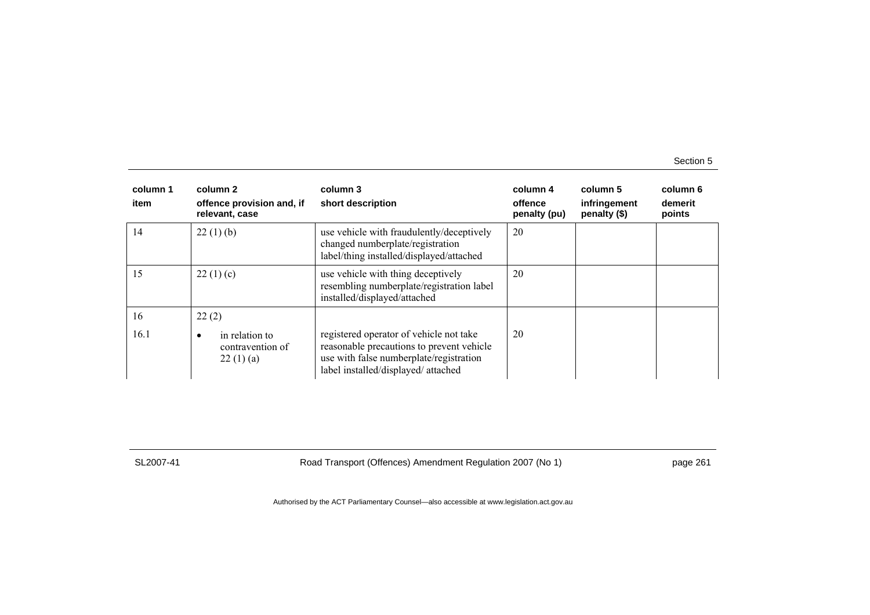| column 1<br>item | column 2<br>offence provision and, if<br>relevant, case | column 3<br>short description                                                                                                                                         | column 4<br>offence<br>penalty (pu) | column 5<br>infringement<br>penalty (\$) | column 6<br>demerit<br>points |
|------------------|---------------------------------------------------------|-----------------------------------------------------------------------------------------------------------------------------------------------------------------------|-------------------------------------|------------------------------------------|-------------------------------|
| 14               | 22(1)(b)                                                | use vehicle with fraudulently/deceptively<br>changed numberplate/registration<br>label/thing installed/displayed/attached                                             | 20                                  |                                          |                               |
| 15               | 22(1)(c)                                                | use vehicle with thing deceptively<br>resembling numberplate/registration label<br>installed/displayed/attached                                                       | 20                                  |                                          |                               |
| 16               | 22(2)                                                   |                                                                                                                                                                       |                                     |                                          |                               |
| 16.1             | in relation to<br>contravention of<br>22(1)(a)          | registered operator of vehicle not take<br>reasonable precautions to prevent vehicle<br>use with false numberplate/registration<br>label installed/displayed/attached | 20                                  |                                          |                               |

SL2007-41 Road Transport (Offences) Amendment Regulation 2007 (No 1) page 261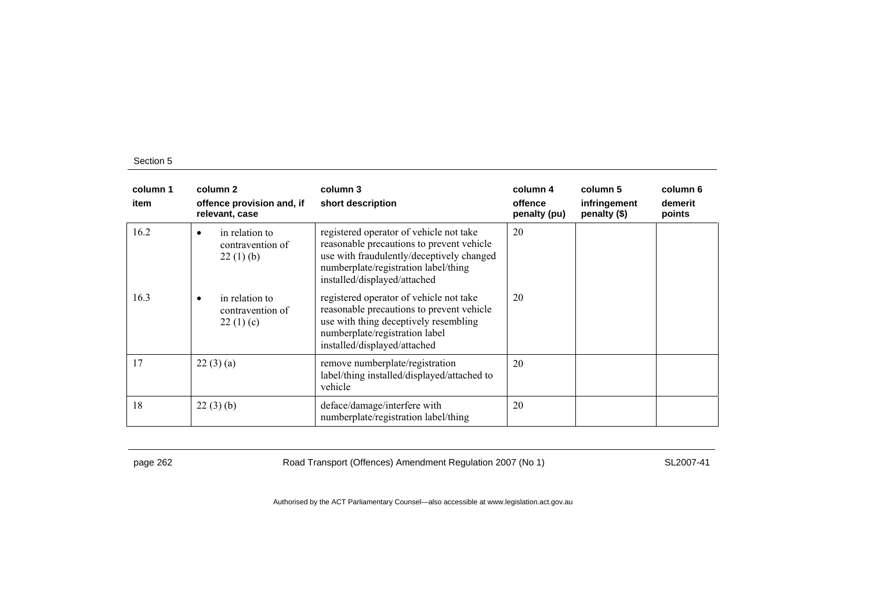| column 1<br>item | column 2<br>offence provision and, if<br>relevant, case     | column 3<br>short description                                                                                                                                                                             | column 4<br>offence<br>penalty (pu) | column 5<br>infringement<br>penalty (\$) | column 6<br>demerit<br>points |
|------------------|-------------------------------------------------------------|-----------------------------------------------------------------------------------------------------------------------------------------------------------------------------------------------------------|-------------------------------------|------------------------------------------|-------------------------------|
| 16.2             | in relation to<br>٠<br>contravention of<br>22(1)(b)         | registered operator of vehicle not take<br>reasonable precautions to prevent vehicle<br>use with fraudulently/deceptively changed<br>numberplate/registration label/thing<br>installed/displayed/attached | 20                                  |                                          |                               |
| 16.3             | in relation to<br>$\bullet$<br>contravention of<br>22(1)(c) | registered operator of vehicle not take<br>reasonable precautions to prevent vehicle<br>use with thing deceptively resembling<br>numberplate/registration label<br>installed/displayed/attached           | 20                                  |                                          |                               |
| 17               | 22(3)(a)                                                    | remove numberplate/registration<br>label/thing installed/displayed/attached to<br>vehicle                                                                                                                 | 20                                  |                                          |                               |
| 18               | 22(3)(b)                                                    | deface/damage/interfere with<br>numberplate/registration label/thing                                                                                                                                      | 20                                  |                                          |                               |

page 262 Road Transport (Offences) Amendment Regulation 2007 (No 1) SL2007-41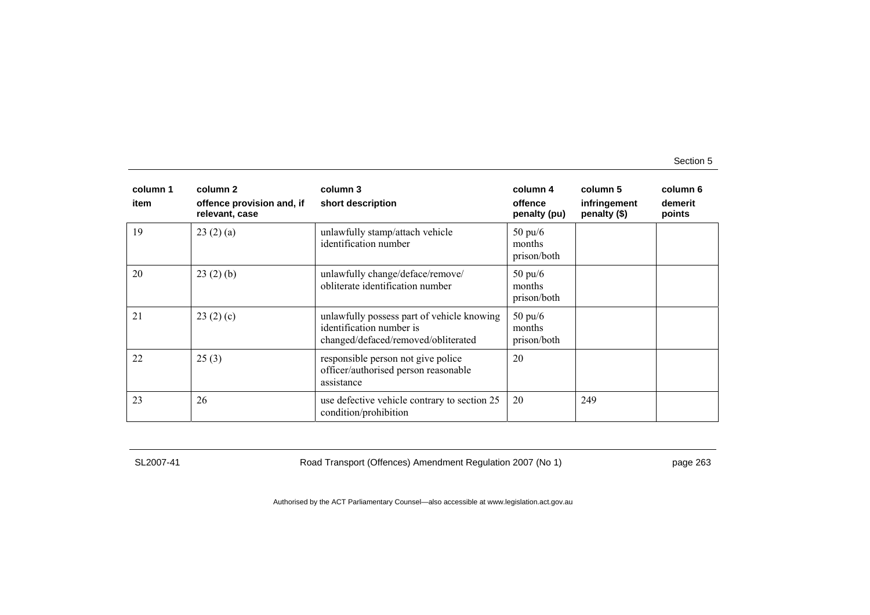| column 1<br>item | column 2<br>offence provision and, if<br>relevant, case | column 3<br>short description                                                                                 | column 4<br>offence<br>penalty (pu)        | column 5<br>infringement<br>penalty (\$) | column 6<br>demerit<br>points |
|------------------|---------------------------------------------------------|---------------------------------------------------------------------------------------------------------------|--------------------------------------------|------------------------------------------|-------------------------------|
| 19               | 23(2)(a)                                                | unlawfully stamp/attach vehicle<br>identification number                                                      | $50 \text{ pu/}6$<br>months<br>prison/both |                                          |                               |
| 20               | 23(2)(b)                                                | unlawfully change/deface/remove/<br>obliterate identification number                                          | $50 \text{ pu}/6$<br>months<br>prison/both |                                          |                               |
| 21               | 23(2)(c)                                                | unlawfully possess part of vehicle knowing<br>identification number is<br>changed/defaced/removed/obliterated | $50 \text{ pu/}6$<br>months<br>prison/both |                                          |                               |
| 22               | 25(3)                                                   | responsible person not give police<br>officer/authorised person reasonable<br>assistance                      | 20                                         |                                          |                               |
| 23               | 26                                                      | use defective vehicle contrary to section 25<br>condition/prohibition                                         | 20                                         | 249                                      |                               |

SL2007-41 Road Transport (Offences) Amendment Regulation 2007 (No 1) page 263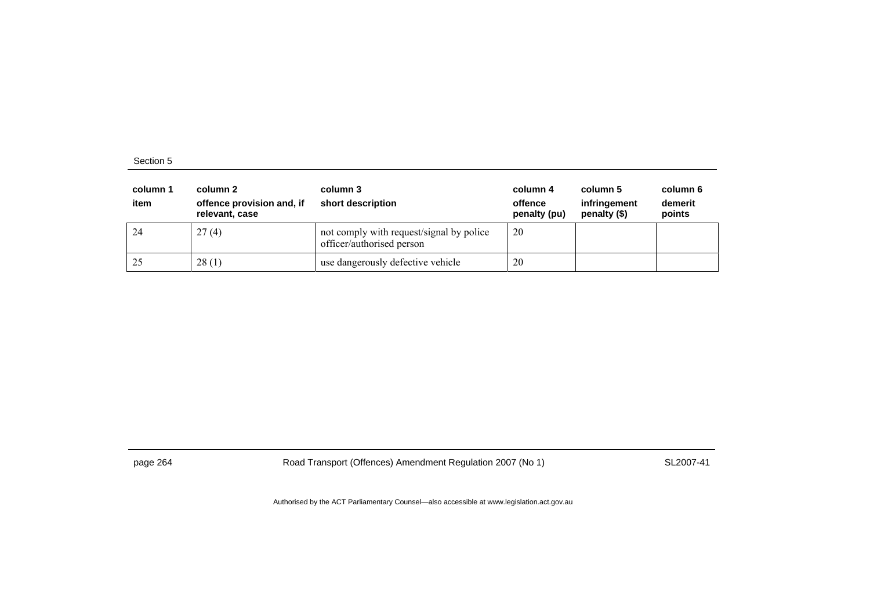| column 1<br>item | column 2<br>offence provision and, if<br>relevant, case | column 3<br>short description                                         | column 4<br>offence<br>penalty (pu) | column 5<br>infringement<br>penalty (\$) | column 6<br>demerit<br>points |
|------------------|---------------------------------------------------------|-----------------------------------------------------------------------|-------------------------------------|------------------------------------------|-------------------------------|
| 24               | 27(4)                                                   | not comply with request/signal by police<br>officer/authorised person | 20                                  |                                          |                               |
| 25               | 28(1)                                                   | use dangerously defective vehicle                                     | 20                                  |                                          |                               |

page 264 Road Transport (Offences) Amendment Regulation 2007 (No 1) SL2007-41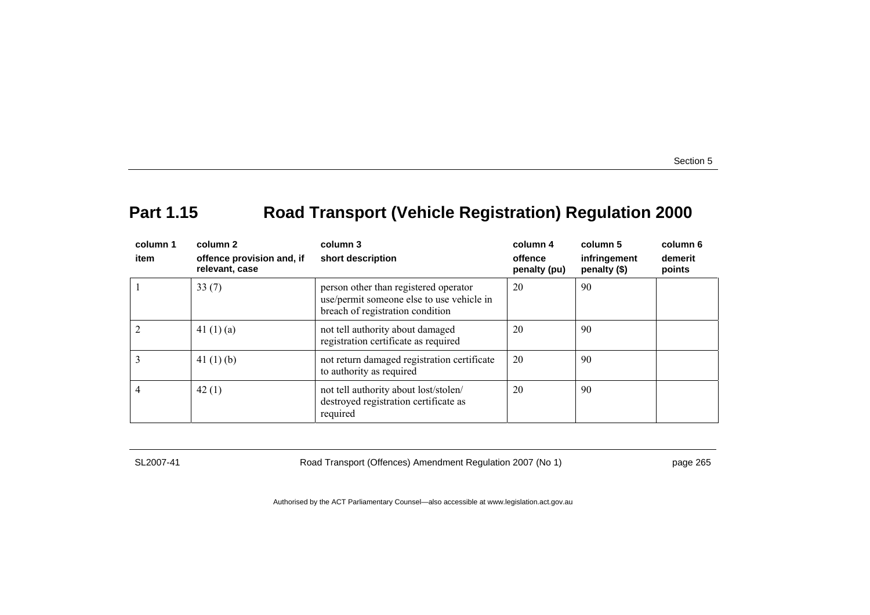# **Part 1.15 Road Transport (Vehicle Registration) Regulation 2000**

| column 1<br>item | column 2<br>offence provision and, if<br>relevant, case | column 3<br>short description                                                                                          | column 4<br>offence<br>penalty (pu) | column 5<br>infringement<br>penalty (\$) | column 6<br>demerit<br>points |
|------------------|---------------------------------------------------------|------------------------------------------------------------------------------------------------------------------------|-------------------------------------|------------------------------------------|-------------------------------|
|                  | 33(7)                                                   | person other than registered operator<br>use/permit someone else to use vehicle in<br>breach of registration condition | 20                                  | 90                                       |                               |
|                  | 41 $(1)(a)$                                             | not tell authority about damaged<br>registration certificate as required                                               | 20                                  | 90                                       |                               |
|                  | 41 $(1)$ $(b)$                                          | not return damaged registration certificate<br>to authority as required                                                | 20                                  | 90                                       |                               |
|                  | 42(1)                                                   | not tell authority about lost/stolen/<br>destroyed registration certificate as<br>required                             | 20                                  | 90                                       |                               |

SL2007-41 Road Transport (Offences) Amendment Regulation 2007 (No 1) page 265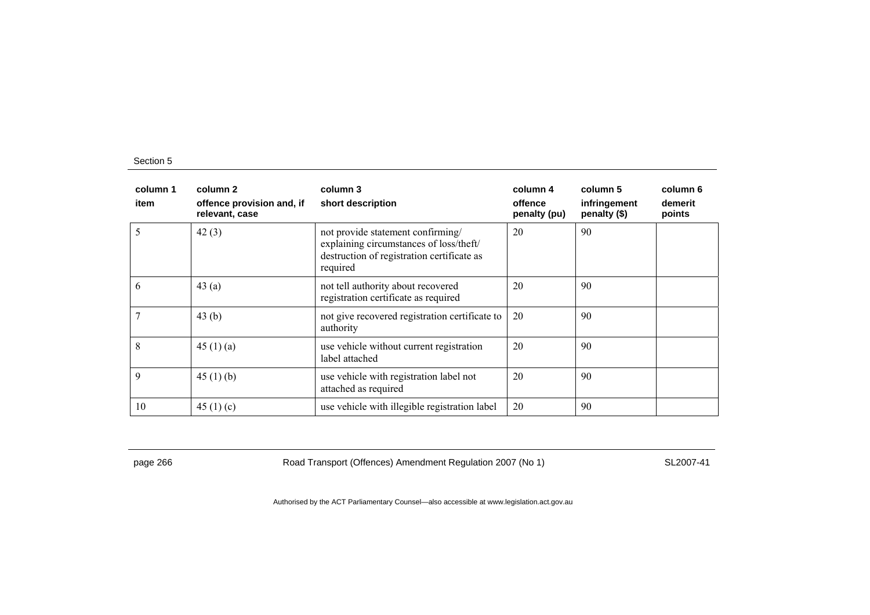| column 1<br>item | column 2<br>offence provision and, if<br>relevant, case | column 3<br>short description                                                                                                          | column 4<br>offence<br>penalty (pu) | column 5<br>infringement<br>penalty (\$) | column 6<br>demerit<br>points |
|------------------|---------------------------------------------------------|----------------------------------------------------------------------------------------------------------------------------------------|-------------------------------------|------------------------------------------|-------------------------------|
| 5                | 42(3)                                                   | not provide statement confirming/<br>explaining circumstances of loss/theft/<br>destruction of registration certificate as<br>required | 20                                  | 90                                       |                               |
| 6                | 43(a)                                                   | not tell authority about recovered<br>registration certificate as required                                                             | 20                                  | 90                                       |                               |
|                  | 43 $(b)$                                                | not give recovered registration certificate to<br>authority                                                                            | 20                                  | 90                                       |                               |
| 8                | 45(1)(a)                                                | use vehicle without current registration<br>label attached                                                                             | 20                                  | 90                                       |                               |
| 9                | 45(1)(b)                                                | use vehicle with registration label not<br>attached as required                                                                        | 20                                  | 90                                       |                               |
| 10               | 45 $(1)(c)$                                             | use vehicle with illegible registration label                                                                                          | 20                                  | 90                                       |                               |

page 266 Road Transport (Offences) Amendment Regulation 2007 (No 1) SL2007-41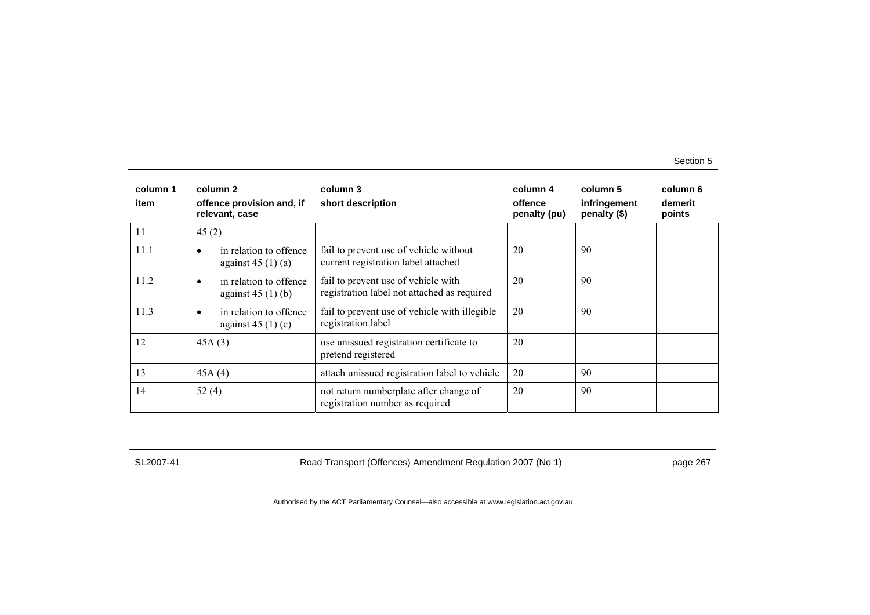| column 1<br>item | column 2<br>offence provision and, if<br>relevant, case | column 3<br>short description                                                      | column 4<br>offence<br>penalty (pu) | column 5<br>infringement<br>penalty (\$) | column 6<br>demerit<br>points |
|------------------|---------------------------------------------------------|------------------------------------------------------------------------------------|-------------------------------------|------------------------------------------|-------------------------------|
| 11               | 45(2)                                                   |                                                                                    |                                     |                                          |                               |
| 11.1             | in relation to offence<br>against $45(1)(a)$            | fail to prevent use of vehicle without<br>current registration label attached      | 20                                  | 90                                       |                               |
| 11.2             | in relation to offence<br>٠<br>against $45(1)(b)$       | fail to prevent use of vehicle with<br>registration label not attached as required | 20                                  | 90                                       |                               |
| 11.3             | in relation to offence<br>against $45(1)(c)$            | fail to prevent use of vehicle with illegible<br>registration label                | 20                                  | 90                                       |                               |
| 12               | 45A(3)                                                  | use unissued registration certificate to<br>pretend registered                     | 20                                  |                                          |                               |
| 13               | 45A(4)                                                  | attach unissued registration label to vehicle                                      | 20                                  | 90                                       |                               |
| 14               | 52 $(4)$                                                | not return numberplate after change of<br>registration number as required          | 20                                  | 90                                       |                               |

SL2007-41 Road Transport (Offences) Amendment Regulation 2007 (No 1) page 267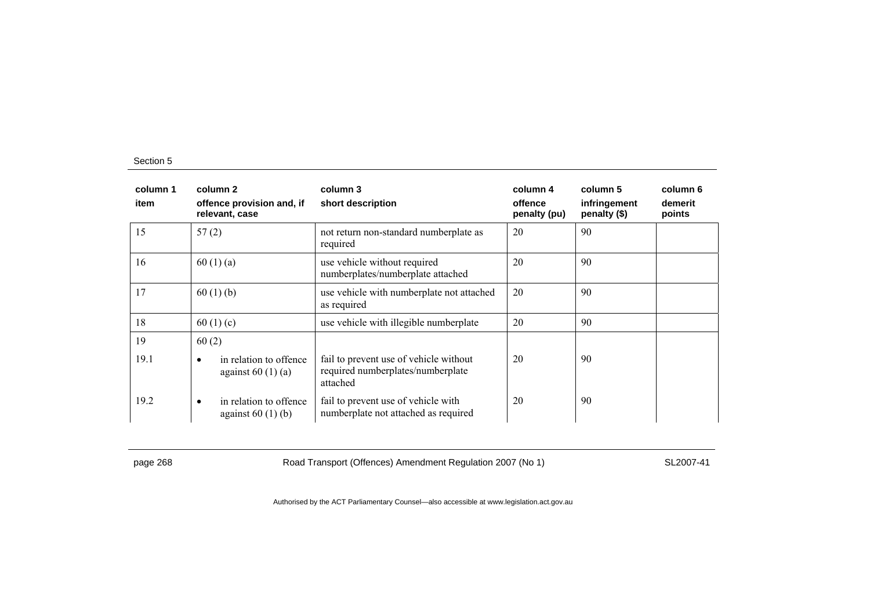| column 1<br>item | column 2<br>offence provision and, if<br>relevant, case    | column 3<br>short description                                                           | column 4<br>offence<br>penalty (pu) | column 5<br>infringement<br>penalty (\$) | column 6<br>demerit<br>points |
|------------------|------------------------------------------------------------|-----------------------------------------------------------------------------------------|-------------------------------------|------------------------------------------|-------------------------------|
| 15               | 57(2)                                                      | not return non-standard numberplate as<br>required                                      | 20                                  | 90                                       |                               |
| 16               | 60(1)(a)                                                   | use vehicle without required<br>numberplates/numberplate attached                       | 20                                  | 90                                       |                               |
| 17               | 60(1)(b)                                                   | use vehicle with numberplate not attached<br>as required                                | 20                                  | 90                                       |                               |
| 18               | 60(1)(c)                                                   | use vehicle with illegible numberplate                                                  | 20                                  | 90                                       |                               |
| 19<br>19.1       | 60(2)<br>in relation to offence<br>٠<br>against $60(1)(a)$ | fail to prevent use of vehicle without<br>required numberplates/numberplate<br>attached | 20                                  | 90                                       |                               |
| 19.2             | in relation to offence<br>$\bullet$<br>against $60(1)(b)$  | fail to prevent use of vehicle with<br>numberplate not attached as required             | 20                                  | 90                                       |                               |

page 268 Road Transport (Offences) Amendment Regulation 2007 (No 1) SL2007-41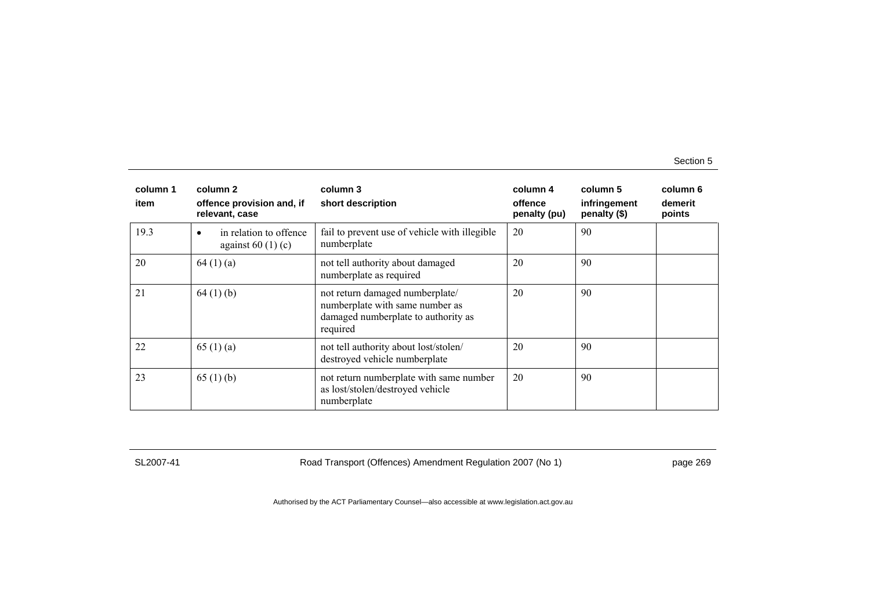| column 1<br>item | column 2<br>offence provision and, if<br>relevant, case | column 3<br>short description                                                                                         | column 4<br>offence<br>penalty (pu) | column 5<br>infringement<br>penalty (\$) | column 6<br>demerit<br>points |
|------------------|---------------------------------------------------------|-----------------------------------------------------------------------------------------------------------------------|-------------------------------------|------------------------------------------|-------------------------------|
| 19.3             | in relation to offence<br>٠<br>against $60(1)(c)$       | fail to prevent use of vehicle with illegible<br>numberplate                                                          | 20                                  | 90                                       |                               |
| 20               | 64(1)(a)                                                | not tell authority about damaged<br>numberplate as required                                                           | 20                                  | 90                                       |                               |
| 21               | 64(1)(b)                                                | not return damaged numberplate/<br>numberplate with same number as<br>damaged numberplate to authority as<br>required | 20                                  | 90                                       |                               |
| 22               | 65 $(1)$ (a)                                            | not tell authority about lost/stolen/<br>destroyed vehicle numberplate                                                | 20                                  | 90                                       |                               |
| 23               | 65 $(1)$ (b)                                            | not return numberplate with same number<br>as lost/stolen/destroyed vehicle<br>numberplate                            | 20                                  | 90                                       |                               |

SL2007-41 Road Transport (Offences) Amendment Regulation 2007 (No 1) page 269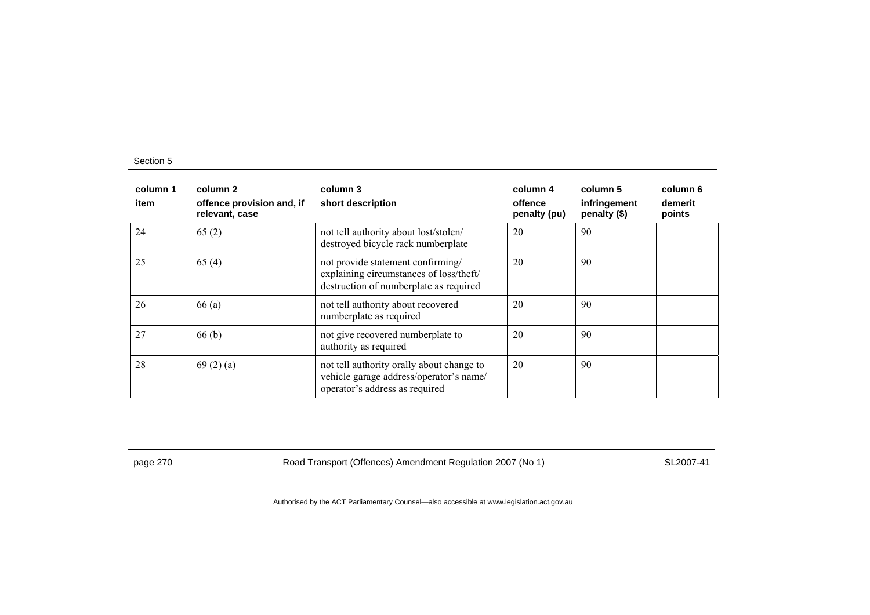| column 1<br>item | column 2<br>offence provision and, if<br>relevant, case | column 3<br>short description                                                                                          | column 4<br>offence<br>penalty (pu) | column 5<br>infringement<br>penalty (\$) | column 6<br>demerit<br>points |
|------------------|---------------------------------------------------------|------------------------------------------------------------------------------------------------------------------------|-------------------------------------|------------------------------------------|-------------------------------|
| 24               | 65(2)                                                   | not tell authority about lost/stolen/<br>destroyed bicycle rack numberplate                                            | 20                                  | 90                                       |                               |
| 25               | 65(4)                                                   | not provide statement confirming/<br>explaining circumstances of loss/theft/<br>destruction of numberplate as required | 20                                  | 90                                       |                               |
| 26               | 66(a)                                                   | not tell authority about recovered<br>numberplate as required                                                          | 20                                  | 90                                       |                               |
| 27               | 66(b)                                                   | not give recovered numberplate to<br>authority as required                                                             | 20                                  | 90                                       |                               |
| 28               | 69(2)(a)                                                | not tell authority orally about change to<br>vehicle garage address/operator's name/<br>operator's address as required | 20                                  | 90                                       |                               |

page 270 Road Transport (Offences) Amendment Regulation 2007 (No 1) SL2007-41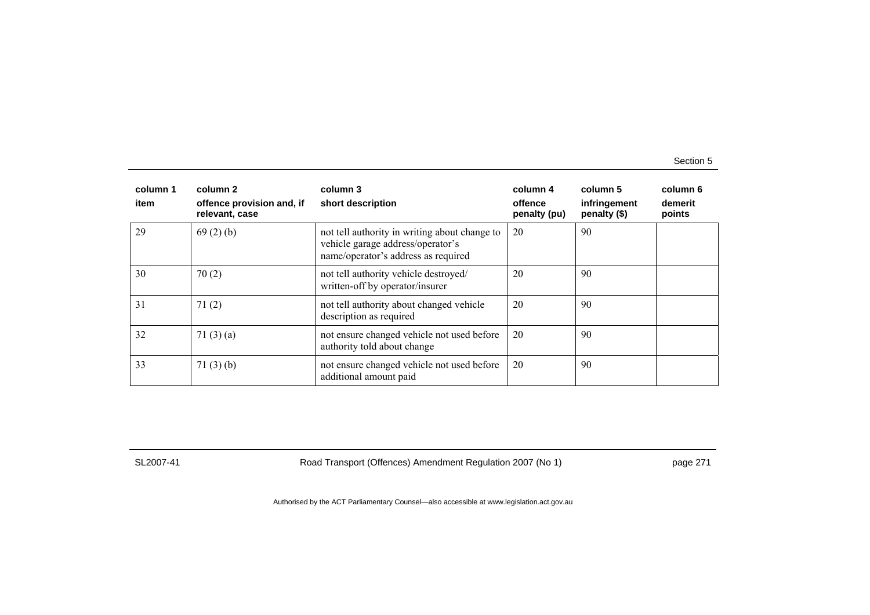| column 1<br>item | column 2<br>offence provision and, if<br>relevant, case | column 3<br>short description                                                                                             | column 4<br>offence<br>penalty (pu) | column 5<br>infringement<br>penalty (\$) | column 6<br>demerit<br>points |
|------------------|---------------------------------------------------------|---------------------------------------------------------------------------------------------------------------------------|-------------------------------------|------------------------------------------|-------------------------------|
| 29               | 69(2)(b)                                                | not tell authority in writing about change to<br>vehicle garage address/operator's<br>name/operator's address as required | 20                                  | 90                                       |                               |
| 30               | 70(2)                                                   | not tell authority vehicle destroyed/<br>written-off by operator/insurer                                                  | 20                                  | 90                                       |                               |
| 31               | 71(2)                                                   | not tell authority about changed vehicle<br>description as required                                                       | 20                                  | 90                                       |                               |
| 32               | 71 $(3)(a)$                                             | not ensure changed vehicle not used before<br>authority told about change                                                 | 20                                  | 90                                       |                               |
| 33               | 71(3)(b)                                                | not ensure changed vehicle not used before<br>additional amount paid                                                      | 20                                  | 90                                       |                               |

SL2007-41 Road Transport (Offences) Amendment Regulation 2007 (No 1) page 271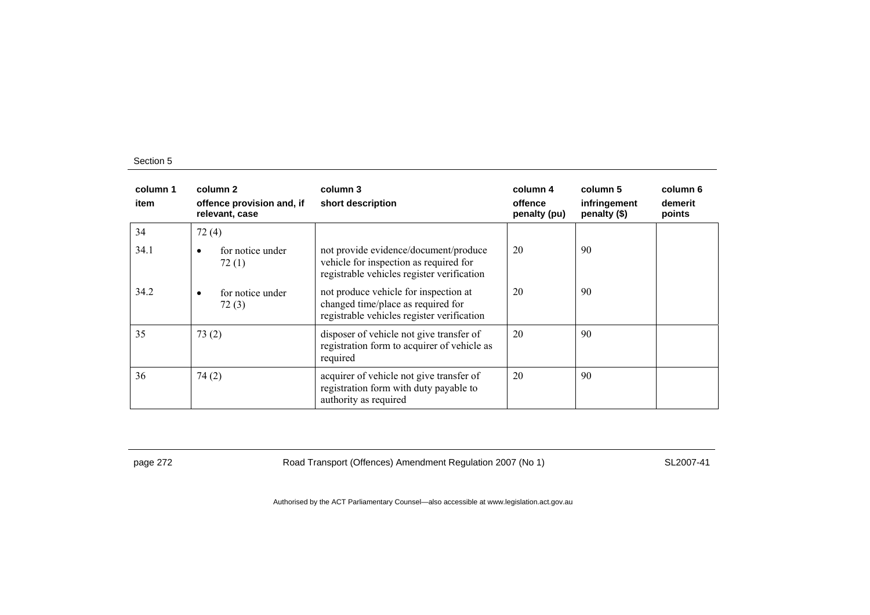| column 1<br>item | column 2<br>offence provision and, if<br>relevant, case | column 3<br>short description                                                                                                 | column 4<br>offence<br>penalty (pu) | column 5<br>infringement<br>penalty (\$) | column 6<br>demerit<br>points |
|------------------|---------------------------------------------------------|-------------------------------------------------------------------------------------------------------------------------------|-------------------------------------|------------------------------------------|-------------------------------|
| 34               | 72(4)                                                   |                                                                                                                               |                                     |                                          |                               |
| 34.1             | for notice under<br>$\bullet$<br>72(1)                  | not provide evidence/document/produce<br>vehicle for inspection as required for<br>registrable vehicles register verification | 20                                  | 90                                       |                               |
| 34.2             | for notice under<br>$\bullet$<br>72(3)                  | not produce vehicle for inspection at<br>changed time/place as required for<br>registrable vehicles register verification     | 20                                  | 90                                       |                               |
| 35               | 73(2)                                                   | disposer of vehicle not give transfer of<br>registration form to acquirer of vehicle as<br>required                           | 20                                  | 90                                       |                               |
| 36               | 74(2)                                                   | acquirer of vehicle not give transfer of<br>registration form with duty payable to<br>authority as required                   | 20                                  | 90                                       |                               |

page 272 **Road Transport (Offences) Amendment Regulation 2007 (No 1)** SL2007-41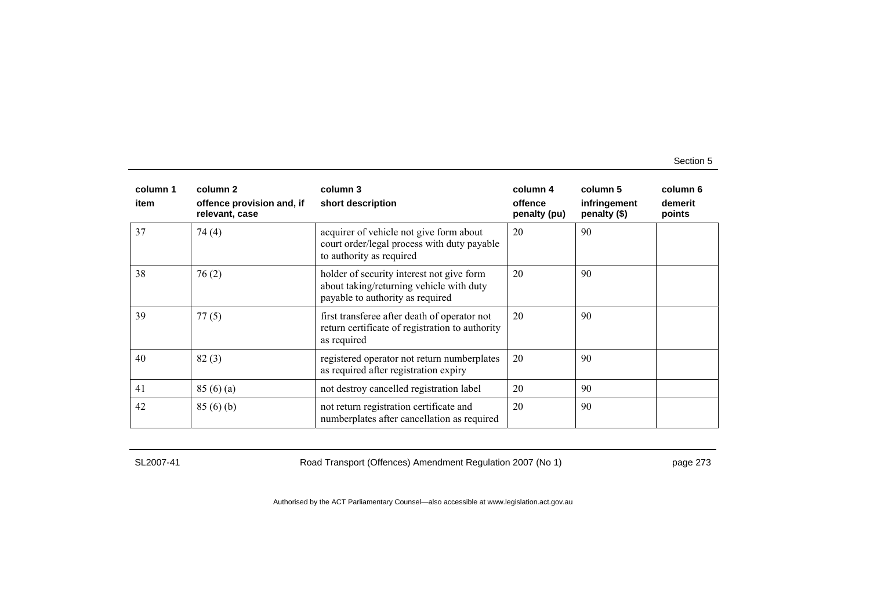| column 1<br>item | column 2<br>offence provision and, if<br>relevant, case | column 3<br>short description                                                                                             | column 4<br>offence<br>penalty (pu) | column 5<br>infringement<br>penalty (\$) | column 6<br>demerit<br>points |
|------------------|---------------------------------------------------------|---------------------------------------------------------------------------------------------------------------------------|-------------------------------------|------------------------------------------|-------------------------------|
| 37               | 74(4)                                                   | acquirer of vehicle not give form about<br>court order/legal process with duty payable<br>to authority as required        | 20                                  | 90                                       |                               |
| 38               | 76(2)                                                   | holder of security interest not give form<br>about taking/returning vehicle with duty<br>payable to authority as required | 20                                  | 90                                       |                               |
| 39               | 77(5)                                                   | first transferee after death of operator not<br>return certificate of registration to authority<br>as required            | 20                                  | 90                                       |                               |
| 40               | 82(3)                                                   | registered operator not return numberplates<br>as required after registration expiry                                      | 20                                  | 90                                       |                               |
| 41               | 85(6)(a)                                                | not destroy cancelled registration label                                                                                  | 20                                  | 90                                       |                               |
| 42               | 85(6)(b)                                                | not return registration certificate and<br>numberplates after cancellation as required                                    | 20                                  | 90                                       |                               |

SL2007-41 Road Transport (Offences) Amendment Regulation 2007 (No 1) page 273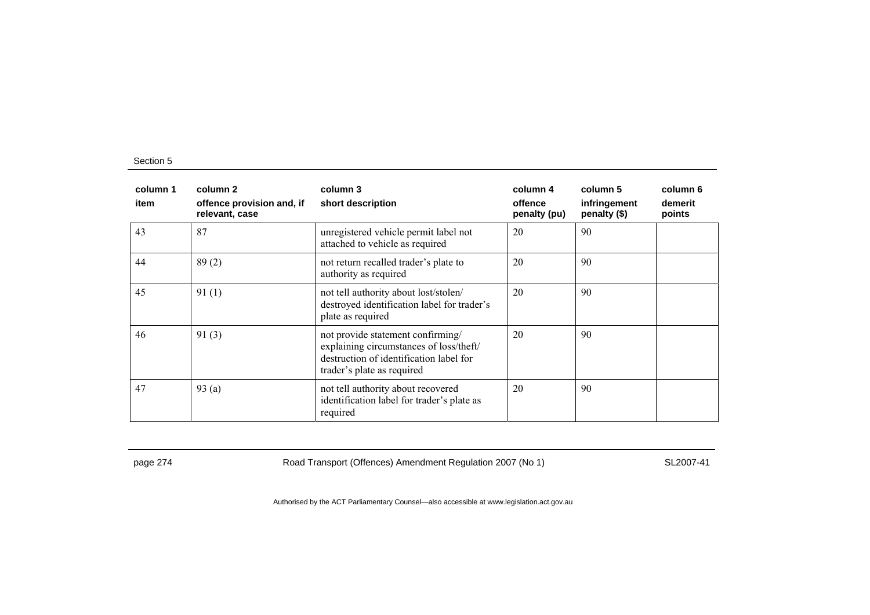| column 1<br>item | column 2<br>offence provision and, if<br>relevant, case | column 3<br>short description                                                                                                                         | column 4<br>offence<br>penalty (pu) | column 5<br>infringement<br>penalty (\$) | column 6<br>demerit<br>points |
|------------------|---------------------------------------------------------|-------------------------------------------------------------------------------------------------------------------------------------------------------|-------------------------------------|------------------------------------------|-------------------------------|
| 43               | 87                                                      | unregistered vehicle permit label not<br>attached to vehicle as required                                                                              | 20                                  | 90                                       |                               |
| 44               | 89(2)                                                   | not return recalled trader's plate to<br>authority as required                                                                                        | 20                                  | 90                                       |                               |
| 45               | 91(1)                                                   | not tell authority about lost/stolen/<br>destroyed identification label for trader's<br>plate as required                                             | 20                                  | 90                                       |                               |
| 46               | 91(3)                                                   | not provide statement confirming/<br>explaining circumstances of loss/theft/<br>destruction of identification label for<br>trader's plate as required | 20                                  | 90                                       |                               |
| 47               | 93(a)                                                   | not tell authority about recovered<br>identification label for trader's plate as<br>required                                                          | 20                                  | 90                                       |                               |

page 274 Road Transport (Offences) Amendment Regulation 2007 (No 1) SL2007-41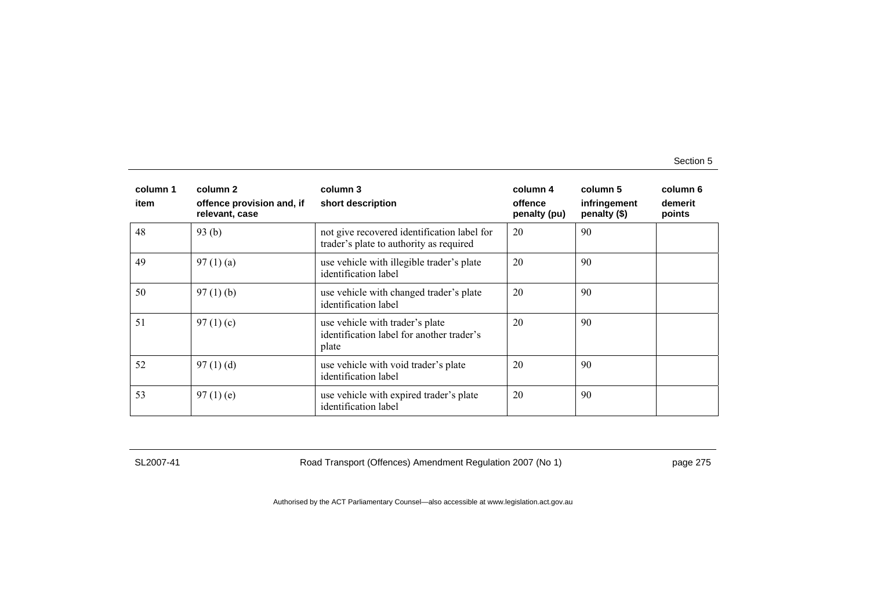| column 1<br>item | column 2<br>offence provision and, if<br>relevant, case | column 3<br>short description                                                          | column 4<br>offence<br>penalty (pu) | column 5<br>infringement<br>penalty (\$) | column 6<br>demerit<br>points |
|------------------|---------------------------------------------------------|----------------------------------------------------------------------------------------|-------------------------------------|------------------------------------------|-------------------------------|
| 48               | 93(b)                                                   | not give recovered identification label for<br>trader's plate to authority as required | 20                                  | 90                                       |                               |
| 49               | 97(1)(a)                                                | use vehicle with illegible trader's plate<br>identification label                      | 20                                  | 90                                       |                               |
| 50               | $97(1)$ (b)                                             | use vehicle with changed trader's plate<br>identification label                        | 20                                  | 90                                       |                               |
| 51               | 97 $(1)(c)$                                             | use vehicle with trader's plate<br>identification label for another trader's<br>plate  | 20                                  | 90                                       |                               |
| 52               | 97(1)(d)                                                | use vehicle with void trader's plate<br>identification label                           | 20                                  | 90                                       |                               |
| 53               | $97(1)$ (e)                                             | use vehicle with expired trader's plate<br>identification label                        | 20                                  | 90                                       |                               |

SL2007-41 Road Transport (Offences) Amendment Regulation 2007 (No 1) page 275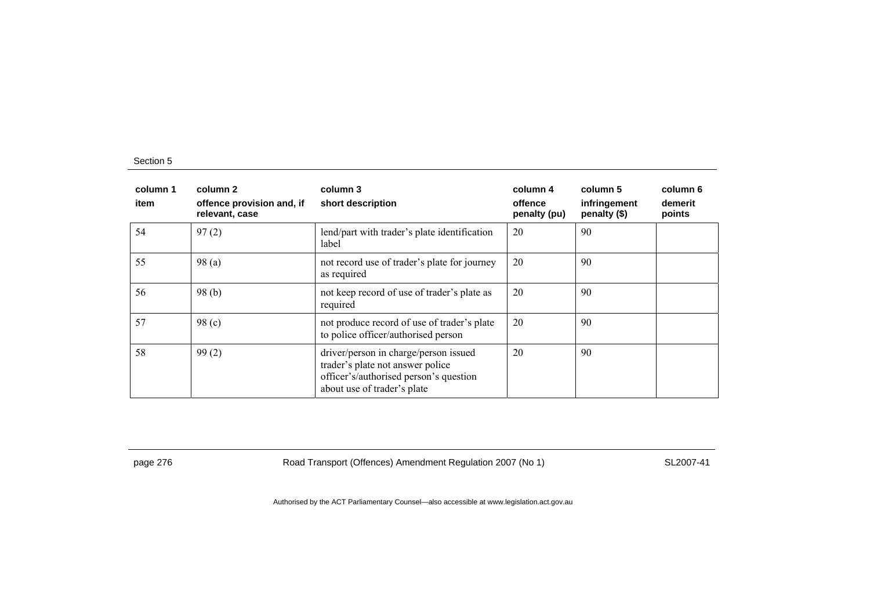| column 1<br>item | column 2<br>offence provision and, if<br>relevant, case | column 3<br>short description                                                                                                                      | column 4<br>offence<br>penalty (pu) | column 5<br>infringement<br>penalty (\$) | column 6<br>demerit<br>points |
|------------------|---------------------------------------------------------|----------------------------------------------------------------------------------------------------------------------------------------------------|-------------------------------------|------------------------------------------|-------------------------------|
| 54               | 97(2)                                                   | lend/part with trader's plate identification<br>label                                                                                              | 20                                  | 90                                       |                               |
| 55               | 98 (a)                                                  | not record use of trader's plate for journey<br>as required                                                                                        | 20                                  | 90                                       |                               |
| 56               | 98(b)                                                   | not keep record of use of trader's plate as<br>required                                                                                            | 20                                  | 90                                       |                               |
| 57               | 98 <sub>(c)</sub>                                       | not produce record of use of trader's plate<br>to police officer/authorised person                                                                 | 20                                  | 90                                       |                               |
| 58               | 99(2)                                                   | driver/person in charge/person issued<br>trader's plate not answer police<br>officer's/authorised person's question<br>about use of trader's plate | 20                                  | 90                                       |                               |

page 276 **Road Transport (Offences) Amendment Regulation 2007 (No 1)** SL2007-41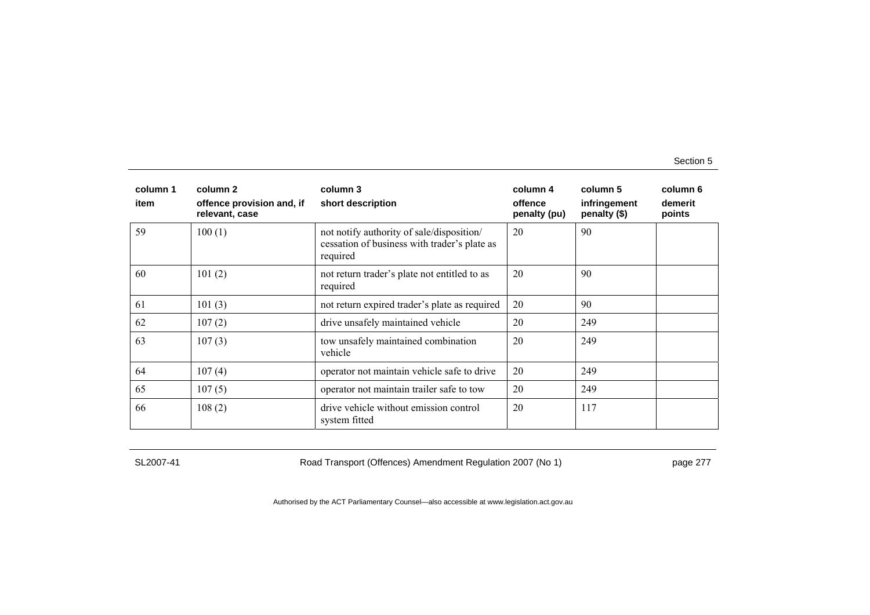| column 1<br>item | column 2<br>offence provision and, if<br>relevant, case | column 3<br>short description                                                                         | column 4<br>offence<br>penalty (pu) | column 5<br>infringement<br>penalty (\$) | column 6<br>demerit<br>points |
|------------------|---------------------------------------------------------|-------------------------------------------------------------------------------------------------------|-------------------------------------|------------------------------------------|-------------------------------|
| 59               | 100(1)                                                  | not notify authority of sale/disposition/<br>cessation of business with trader's plate as<br>required | 20                                  | 90                                       |                               |
| 60               | 101(2)                                                  | not return trader's plate not entitled to as<br>required                                              | 20                                  | 90                                       |                               |
| 61               | 101(3)                                                  | not return expired trader's plate as required                                                         | 20                                  | 90                                       |                               |
| 62               | 107(2)                                                  | drive unsafely maintained vehicle                                                                     | 20                                  | 249                                      |                               |
| 63               | 107(3)                                                  | tow unsafely maintained combination<br>vehicle                                                        | 20                                  | 249                                      |                               |
| 64               | 107(4)                                                  | operator not maintain vehicle safe to drive                                                           | 20                                  | 249                                      |                               |
| 65               | 107(5)                                                  | operator not maintain trailer safe to tow                                                             | 20                                  | 249                                      |                               |
| 66               | 108(2)                                                  | drive vehicle without emission control<br>system fitted                                               | 20                                  | 117                                      |                               |

SL2007-41 Road Transport (Offences) Amendment Regulation 2007 (No 1) page 277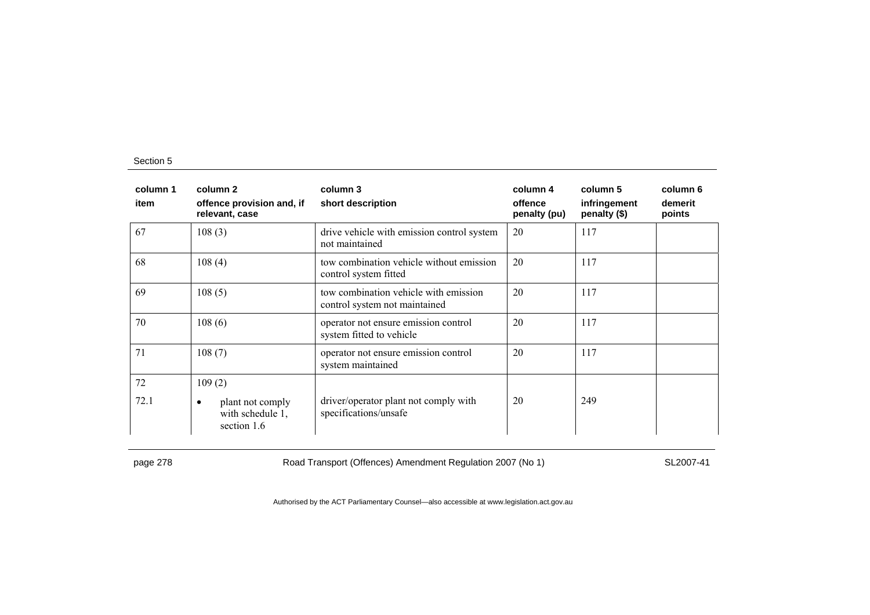| column 1<br>item | column 2<br>offence provision and, if<br>relevant, case          | column 3<br>short description                                          | column 4<br>offence<br>penalty (pu) | column 5<br>infringement<br>penalty (\$) | column 6<br>demerit<br>points |
|------------------|------------------------------------------------------------------|------------------------------------------------------------------------|-------------------------------------|------------------------------------------|-------------------------------|
| 67               | 108(3)                                                           | drive vehicle with emission control system<br>not maintained           | 20                                  | 117                                      |                               |
| 68               | 108(4)                                                           | tow combination vehicle without emission<br>control system fitted      | 20                                  | 117                                      |                               |
| 69               | 108(5)                                                           | tow combination vehicle with emission<br>control system not maintained | 20                                  | 117                                      |                               |
| 70               | 108(6)                                                           | operator not ensure emission control<br>system fitted to vehicle       | 20                                  | 117                                      |                               |
| 71               | 108(7)                                                           | operator not ensure emission control<br>system maintained              | 20                                  | 117                                      |                               |
| 72               | 109(2)                                                           |                                                                        |                                     |                                          |                               |
| 72.1             | plant not comply<br>$\bullet$<br>with schedule 1,<br>section 1.6 | driver/operator plant not comply with<br>specifications/unsafe         | 20                                  | 249                                      |                               |

page 278 Road Transport (Offences) Amendment Regulation 2007 (No 1) SL2007-41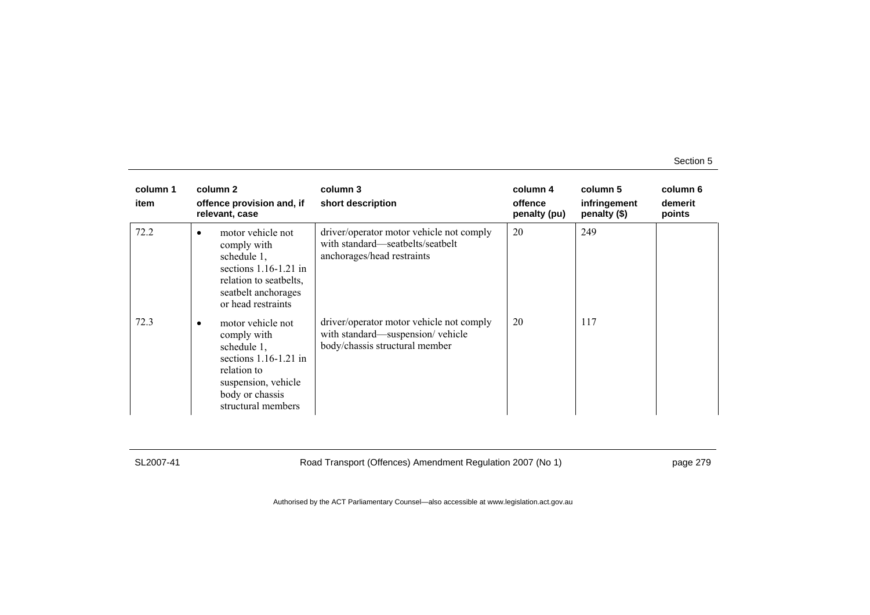| column 1<br>item | column 2<br>offence provision and, if<br>relevant, case                                                                                                                | column 3<br>short description                                                                                  | column 4<br>offence<br>penalty (pu) | column 5<br>infringement<br>penalty (\$) | column 6<br>demerit<br>points |
|------------------|------------------------------------------------------------------------------------------------------------------------------------------------------------------------|----------------------------------------------------------------------------------------------------------------|-------------------------------------|------------------------------------------|-------------------------------|
| 72.2             | motor vehicle not<br>$\bullet$<br>comply with<br>schedule 1,<br>sections $1.16-1.21$ in<br>relation to seatbelts,<br>seatbelt anchorages<br>or head restraints         | driver/operator motor vehicle not comply<br>with standard—seatbelts/seatbelt<br>anchorages/head restraints     | 20                                  | 249                                      |                               |
| 72.3             | motor vehicle not<br>$\bullet$<br>comply with<br>schedule 1,<br>sections $1.16-1.21$ in<br>relation to<br>suspension, vehicle<br>body or chassis<br>structural members | driver/operator motor vehicle not comply<br>with standard—suspension/vehicle<br>body/chassis structural member | 20                                  | 117                                      |                               |

SL2007-41 Road Transport (Offences) Amendment Regulation 2007 (No 1) page 279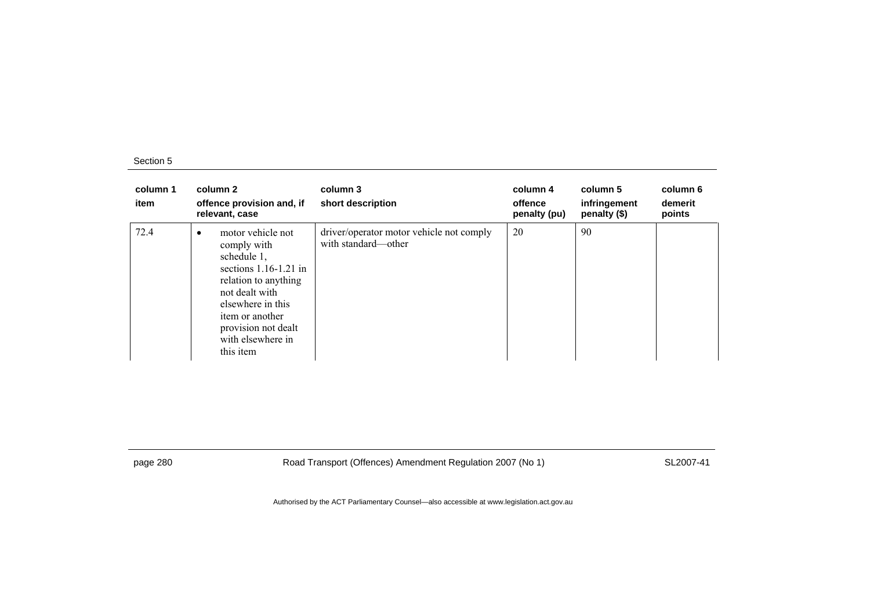| column 1<br>item | column 2<br>offence provision and, if<br>relevant, case                                                                                                                                                                            | column 3<br>short description                                   | column 4<br>offence<br>penalty (pu) | column 5<br>infringement<br>penalty (\$) | column 6<br>demerit<br>points |
|------------------|------------------------------------------------------------------------------------------------------------------------------------------------------------------------------------------------------------------------------------|-----------------------------------------------------------------|-------------------------------------|------------------------------------------|-------------------------------|
| 72.4             | motor vehicle not<br>$\bullet$<br>comply with<br>schedule 1,<br>sections $1.16-1.21$ in<br>relation to anything<br>not dealt with<br>elsewhere in this<br>item or another<br>provision not dealt<br>with elsewhere in<br>this item | driver/operator motor vehicle not comply<br>with standard—other | 20                                  | 90                                       |                               |

page 280 Road Transport (Offences) Amendment Regulation 2007 (No 1) SL2007-41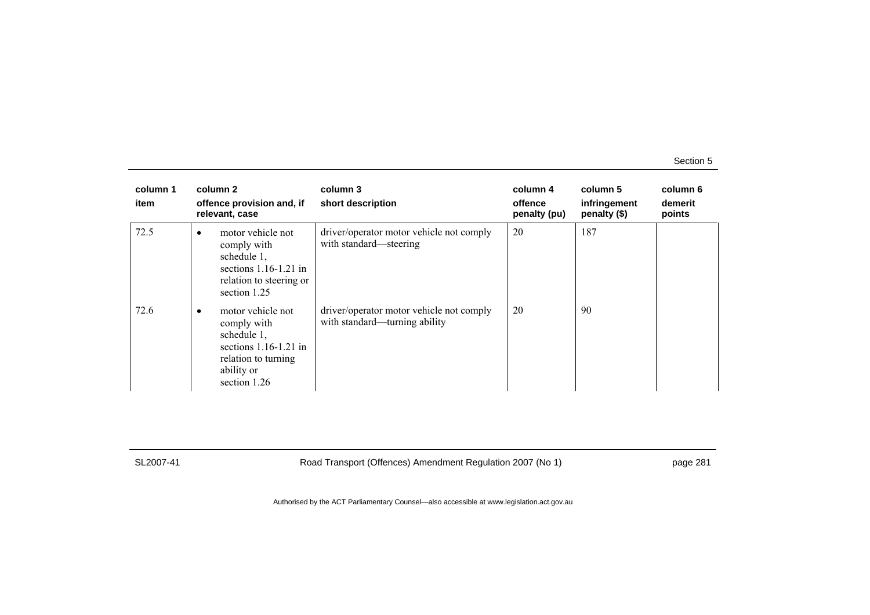| column 1<br>item | column 2<br>offence provision and, if<br>relevant, case                                                                            | column 3<br>short description                                             | column 4<br>offence<br>penalty (pu) | column 5<br>infringement<br>penalty (\$) | column 6<br>demerit<br>points |
|------------------|------------------------------------------------------------------------------------------------------------------------------------|---------------------------------------------------------------------------|-------------------------------------|------------------------------------------|-------------------------------|
| 72.5             | motor vehicle not<br>$\bullet$<br>comply with<br>schedule 1,<br>sections $1.16-1.21$ in<br>relation to steering or<br>section 1.25 | driver/operator motor vehicle not comply<br>with standard—steering        | 20                                  | 187                                      |                               |
| 72.6             | motor vehicle not<br>comply with<br>schedule 1,<br>sections $1.16-1.21$ in<br>relation to turning<br>ability or<br>section 1.26    | driver/operator motor vehicle not comply<br>with standard—turning ability | 20                                  | 90                                       |                               |

SL2007-41 Road Transport (Offences) Amendment Regulation 2007 (No 1) page 281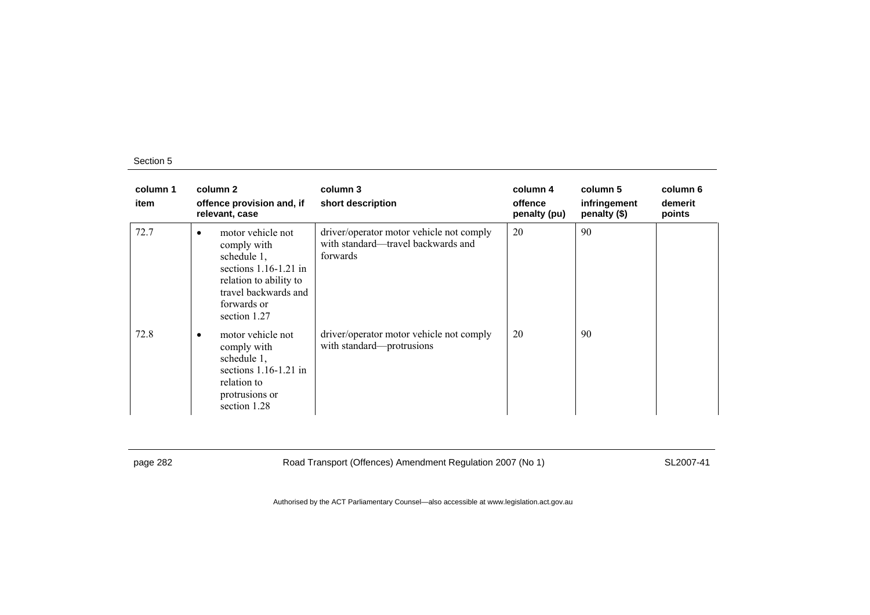| column 1<br>item | column 2<br>offence provision and, if<br>relevant, case                                                                                                          | column 3<br>short description                                                              | column 4<br>offence<br>penalty (pu) | column 5<br>infringement<br>penalty (\$) | column 6<br>demerit<br>points |
|------------------|------------------------------------------------------------------------------------------------------------------------------------------------------------------|--------------------------------------------------------------------------------------------|-------------------------------------|------------------------------------------|-------------------------------|
| 72.7             | motor vehicle not<br>٠<br>comply with<br>schedule 1,<br>sections $1.16-1.21$ in<br>relation to ability to<br>travel backwards and<br>forwards or<br>section 1.27 | driver/operator motor vehicle not comply<br>with standard—travel backwards and<br>forwards | 20                                  | 90                                       |                               |
| 72.8             | motor vehicle not<br>٠<br>comply with<br>schedule 1,<br>sections $1.16-1.21$ in<br>relation to<br>protrusions or<br>section 1.28                                 | driver/operator motor vehicle not comply<br>with standard-protrusions                      | 20                                  | 90                                       |                               |

page 282 Road Transport (Offences) Amendment Regulation 2007 (No 1) SL2007-41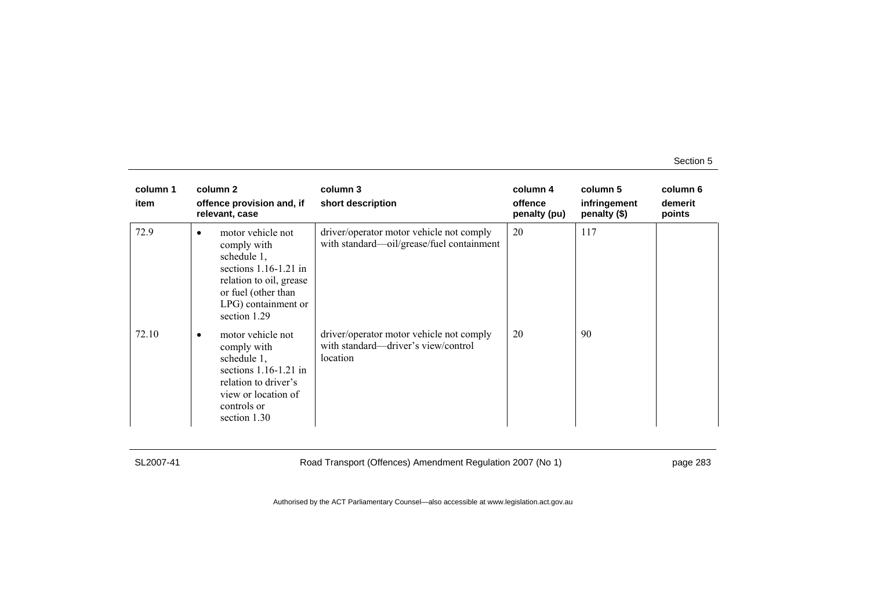| column 1<br>item | column 2<br>offence provision and, if<br>relevant, case                                                                                                                          | column 3<br>short description                                                               | column 4<br>offence<br>penalty (pu) | column 5<br>infringement<br>penalty (\$) | column 6<br>demerit<br>points |
|------------------|----------------------------------------------------------------------------------------------------------------------------------------------------------------------------------|---------------------------------------------------------------------------------------------|-------------------------------------|------------------------------------------|-------------------------------|
| 72.9             | motor vehicle not<br>$\bullet$<br>comply with<br>schedule 1.<br>sections $1.16-1.21$ in<br>relation to oil, grease<br>or fuel (other than<br>LPG) containment or<br>section 1.29 | driver/operator motor vehicle not comply<br>with standard—oil/grease/fuel containment       | 20                                  | 117                                      |                               |
| 72.10            | motor vehicle not<br>$\bullet$<br>comply with<br>schedule 1,<br>sections $1.16-1.21$ in<br>relation to driver's<br>view or location of<br>controls or<br>section 1.30            | driver/operator motor vehicle not comply<br>with standard—driver's view/control<br>location | 20                                  | 90                                       |                               |

SL2007-41 Road Transport (Offences) Amendment Regulation 2007 (No 1) page 283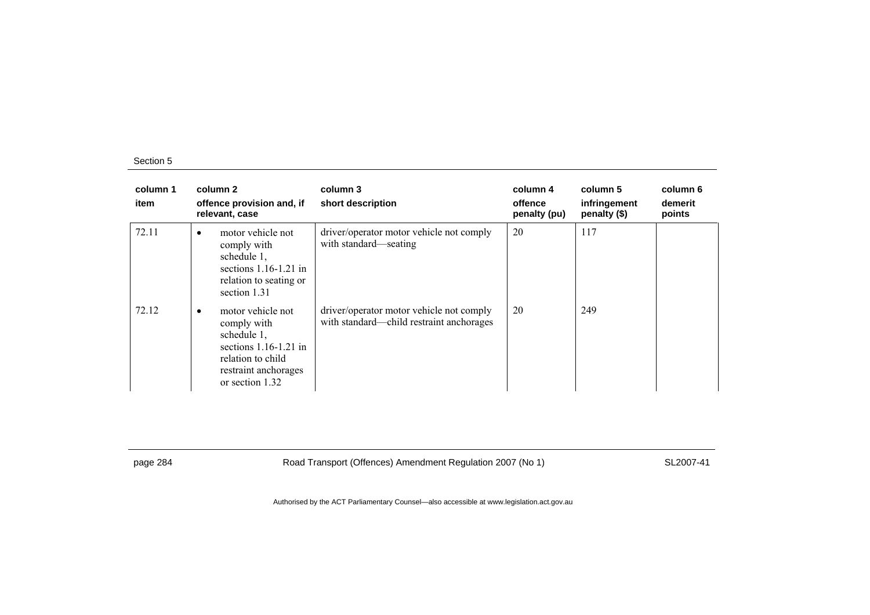| column 1<br>item | column 2<br>offence provision and, if<br>relevant, case                                                                                                 | column 3<br>short description                                                        | column 4<br>offence<br>penalty (pu) | column 5<br>infringement<br>penalty (\$) | column 6<br>demerit<br>points |
|------------------|---------------------------------------------------------------------------------------------------------------------------------------------------------|--------------------------------------------------------------------------------------|-------------------------------------|------------------------------------------|-------------------------------|
| 72.11            | motor vehicle not<br>$\bullet$<br>comply with<br>schedule 1,<br>sections $1.16-1.21$ in<br>relation to seating or<br>section 1.31                       | driver/operator motor vehicle not comply<br>with standard—seating                    | 20                                  | 117                                      |                               |
| 72.12            | motor vehicle not<br>$\bullet$<br>comply with<br>schedule 1,<br>sections $1.16-1.21$ in<br>relation to child<br>restraint anchorages<br>or section 1.32 | driver/operator motor vehicle not comply<br>with standard—child restraint anchorages | 20                                  | 249                                      |                               |

page 284 Road Transport (Offences) Amendment Regulation 2007 (No 1) SL2007-41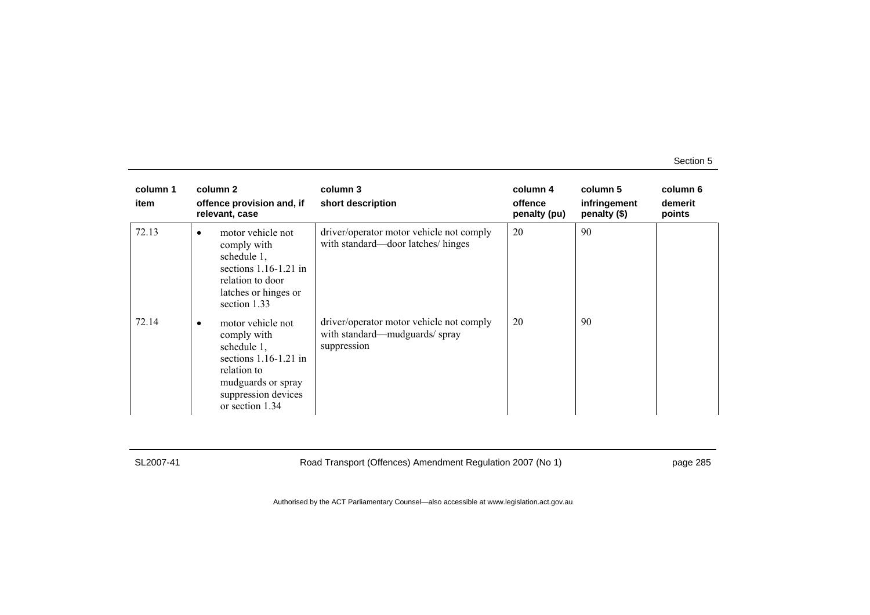| column 1<br>item | column 2<br>offence provision and, if<br>relevant, case                                                                                                                | column 3<br>short description                                                            | column 4<br>offence<br>penalty (pu) | column 5<br>infringement<br>penalty (\$) | column 6<br>demerit<br>points |
|------------------|------------------------------------------------------------------------------------------------------------------------------------------------------------------------|------------------------------------------------------------------------------------------|-------------------------------------|------------------------------------------|-------------------------------|
| 72.13            | motor vehicle not<br>$\bullet$<br>comply with<br>schedule 1,<br>sections $1.16-1.21$ in<br>relation to door<br>latches or hinges or<br>section 1.33                    | driver/operator motor vehicle not comply<br>with standard—door latches/hinges            | 20                                  | 90                                       |                               |
| 72.14            | motor vehicle not<br>$\bullet$<br>comply with<br>schedule 1,<br>sections $1.16-1.21$ in<br>relation to<br>mudguards or spray<br>suppression devices<br>or section 1.34 | driver/operator motor vehicle not comply<br>with standard—mudguards/spray<br>suppression | 20                                  | 90                                       |                               |

SL2007-41 Road Transport (Offences) Amendment Regulation 2007 (No 1) page 285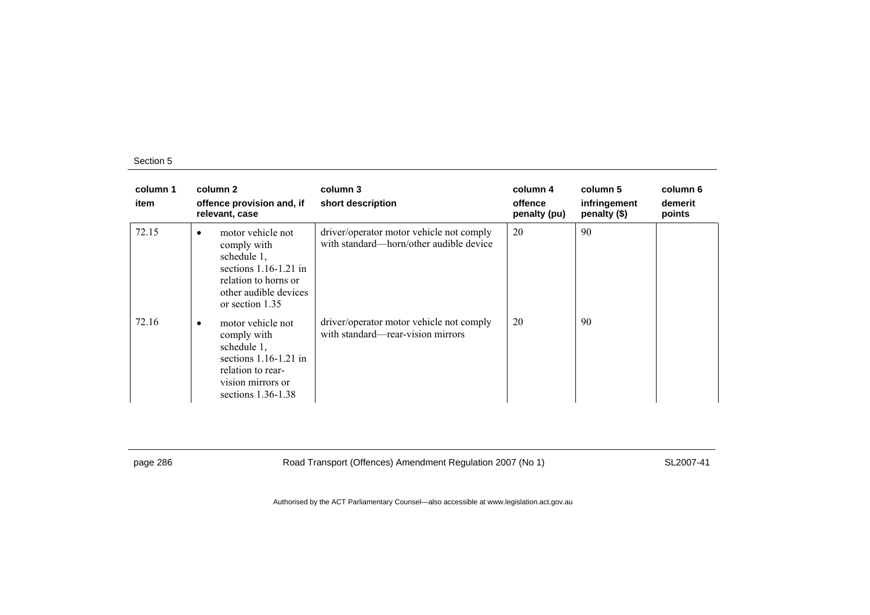| column 1<br>item | column 2<br>offence provision and, if<br>relevant, case                                                                                                     | column 3<br>short description                                                       | column 4<br>offence<br>penalty (pu) | column 5<br>infringement<br>penalty (\$) | column 6<br>demerit<br>points |
|------------------|-------------------------------------------------------------------------------------------------------------------------------------------------------------|-------------------------------------------------------------------------------------|-------------------------------------|------------------------------------------|-------------------------------|
| 72.15            | motor vehicle not<br>$\bullet$<br>comply with<br>schedule 1,<br>sections $1.16-1.21$ in<br>relation to horns or<br>other audible devices<br>or section 1.35 | driver/operator motor vehicle not comply<br>with standard—horn/other audible device | 20                                  | 90                                       |                               |
| 72.16            | motor vehicle not<br>٠<br>comply with<br>schedule 1,<br>sections $1.16-1.21$ in<br>relation to rear-<br>vision mirrors or<br>sections $1.36-1.38$           | driver/operator motor vehicle not comply<br>with standard-rear-vision mirrors       | 20                                  | 90                                       |                               |

page 286 Road Transport (Offences) Amendment Regulation 2007 (No 1) SL2007-41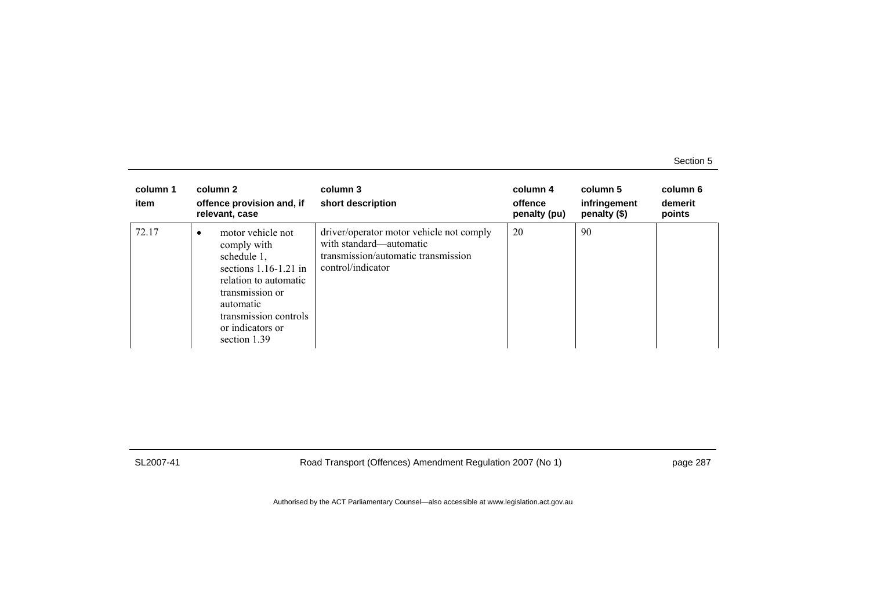| column 1<br>item | column 2<br>offence provision and, if<br>relevant, case                                                                                                                                                       | column 3<br>short description                                                                                                   | column 4<br>offence<br>penalty (pu) | column 5<br>infringement<br>penalty (\$) | column 6<br>demerit<br>points |
|------------------|---------------------------------------------------------------------------------------------------------------------------------------------------------------------------------------------------------------|---------------------------------------------------------------------------------------------------------------------------------|-------------------------------------|------------------------------------------|-------------------------------|
| 72.17            | motor vehicle not<br>$\bullet$<br>comply with<br>schedule 1,<br>sections $1.16-1.21$ in<br>relation to automatic<br>transmission or<br>automatic<br>transmission controls<br>or indicators or<br>section 1.39 | driver/operator motor vehicle not comply<br>with standard—automatic<br>transmission/automatic transmission<br>control/indicator | 20                                  | 90                                       |                               |

SL2007-41 Road Transport (Offences) Amendment Regulation 2007 (No 1) page 287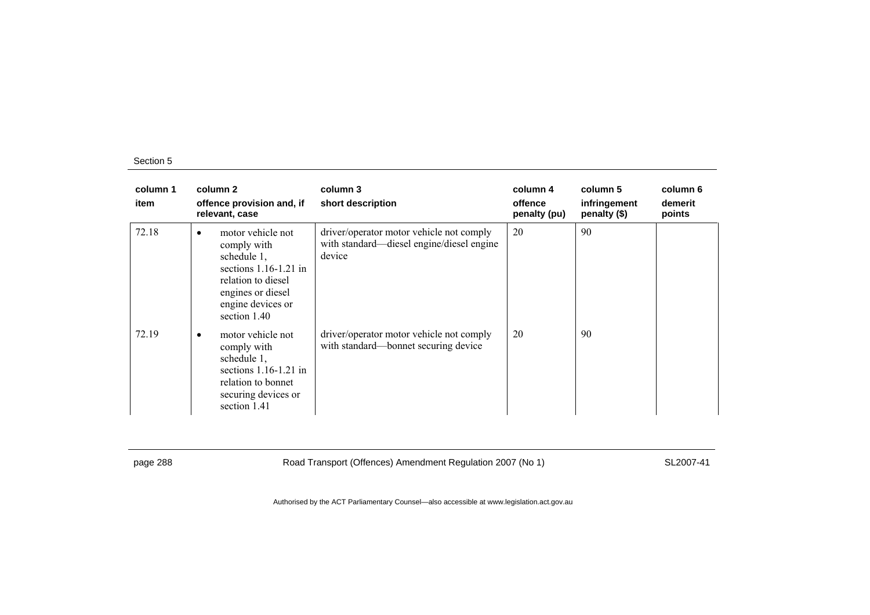| column 1<br>item |           | column 2<br>offence provision and, if<br>relevant, case                                                                                                    | column 3<br>short description                                                                   | column 4<br>offence<br>penalty (pu) | column 5<br>infringement<br>penalty (\$) | column 6<br>demerit<br>points |
|------------------|-----------|------------------------------------------------------------------------------------------------------------------------------------------------------------|-------------------------------------------------------------------------------------------------|-------------------------------------|------------------------------------------|-------------------------------|
| 72.18            | $\bullet$ | motor vehicle not<br>comply with<br>schedule 1,<br>sections $1.16-1.21$ in<br>relation to diesel<br>engines or diesel<br>engine devices or<br>section 1.40 | driver/operator motor vehicle not comply<br>with standard—diesel engine/diesel engine<br>device | 20                                  | 90                                       |                               |
| 72.19            | ٠         | motor vehicle not<br>comply with<br>schedule 1,<br>sections $1.16-1.21$ in<br>relation to bonnet<br>securing devices or<br>section 1.41                    | driver/operator motor vehicle not comply<br>with standard—bonnet securing device                | 20                                  | 90                                       |                               |

page 288 Road Transport (Offences) Amendment Regulation 2007 (No 1) SL2007-41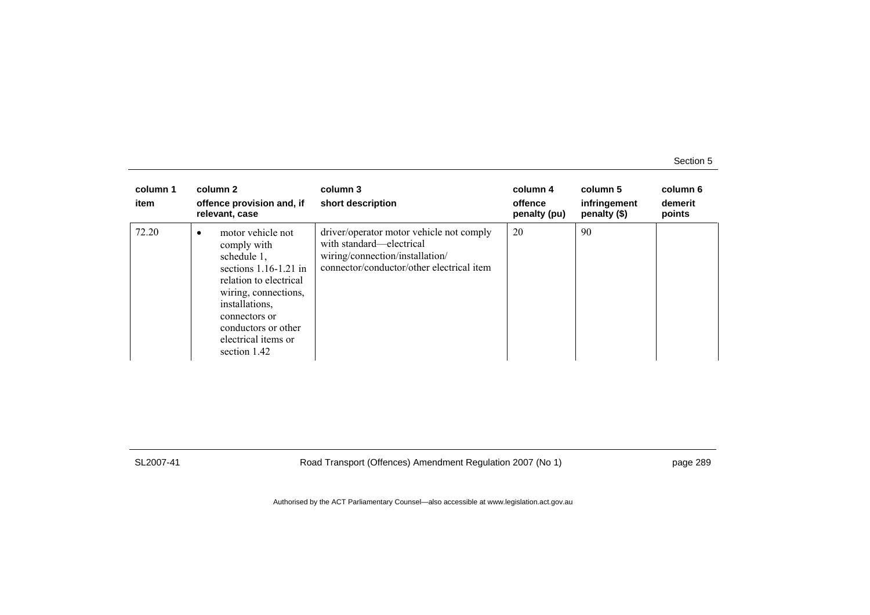| column 1<br>item | column 2<br>offence provision and, if<br>relevant, case                                                                                                                                                                            | column 3<br>short description                                                                                                                        | column 4<br>offence<br>penalty (pu) | column 5<br>infringement<br>penalty (\$) | column 6<br>demerit<br>points |
|------------------|------------------------------------------------------------------------------------------------------------------------------------------------------------------------------------------------------------------------------------|------------------------------------------------------------------------------------------------------------------------------------------------------|-------------------------------------|------------------------------------------|-------------------------------|
| 72.20            | motor vehicle not<br>٠<br>comply with<br>schedule 1,<br>sections $1.16-1.21$ in<br>relation to electrical<br>wiring, connections,<br>installations,<br>connectors or<br>conductors or other<br>electrical items or<br>section 1.42 | driver/operator motor vehicle not comply<br>with standard—electrical<br>wiring/connection/installation/<br>connector/conductor/other electrical item | 20                                  | 90                                       |                               |

SL2007-41 Road Transport (Offences) Amendment Regulation 2007 (No 1) page 289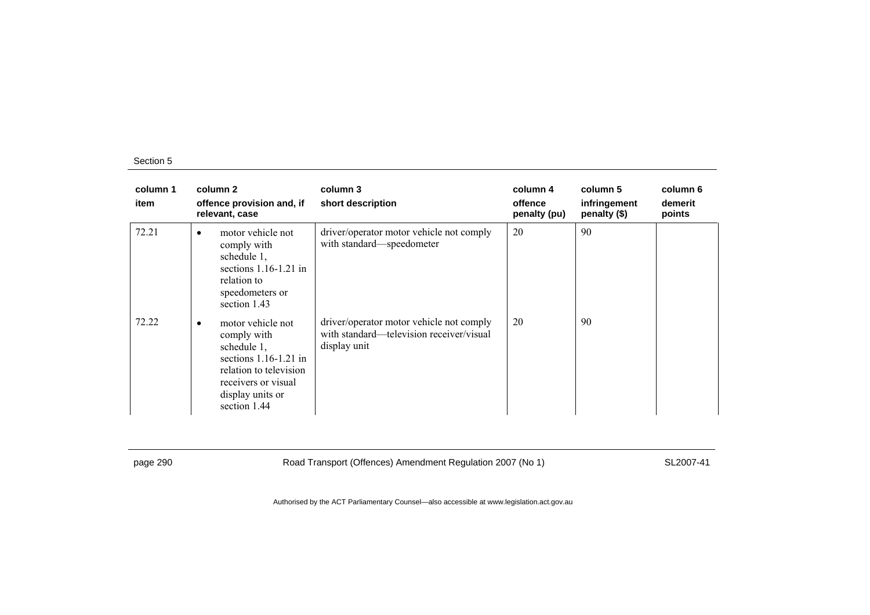| column 1<br>item | column 2<br>offence provision and, if<br>relevant, case                                                                                                              | column 3<br>short description                                                                        | column 4<br>offence<br>penalty (pu) | column 5<br>infringement<br>penalty (\$) | column 6<br>demerit<br>points |
|------------------|----------------------------------------------------------------------------------------------------------------------------------------------------------------------|------------------------------------------------------------------------------------------------------|-------------------------------------|------------------------------------------|-------------------------------|
| 72.21            | motor vehicle not<br>٠<br>comply with<br>schedule 1,<br>sections $1.16-1.21$ in<br>relation to<br>speedometers or<br>section 1.43                                    | driver/operator motor vehicle not comply<br>with standard—speedometer                                | 20                                  | 90                                       |                               |
| 72.22            | motor vehicle not<br>٠<br>comply with<br>schedule 1,<br>sections $1.16-1.21$ in<br>relation to television<br>receivers or visual<br>display units or<br>section 1.44 | driver/operator motor vehicle not comply<br>with standard—television receiver/visual<br>display unit | 20                                  | 90                                       |                               |

page 290 Road Transport (Offences) Amendment Regulation 2007 (No 1) SL2007-41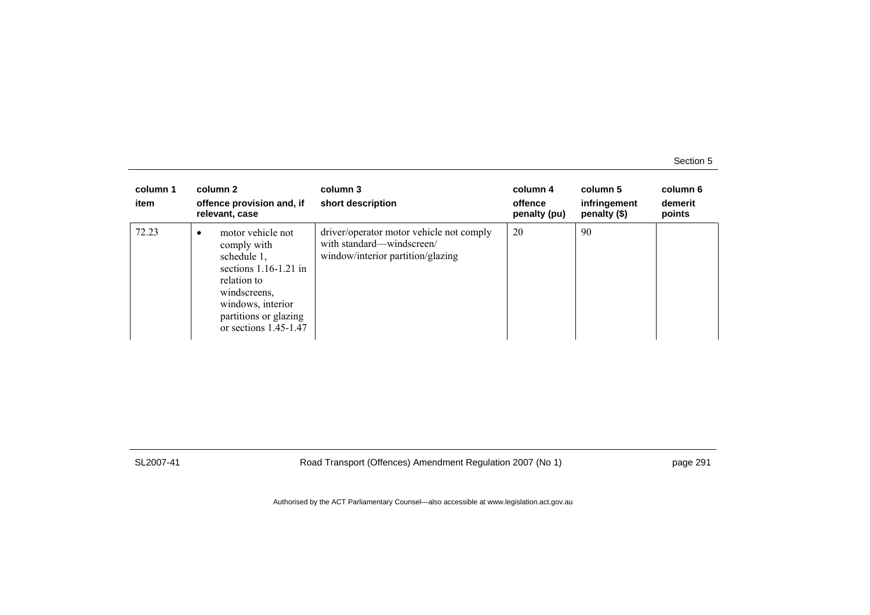| column 1<br>item | column 2<br>offence provision and, if<br>relevant, case                                                                                                                                 | column 3<br>short description                                                                              | column 4<br>offence<br>penalty (pu) | column 5<br>infringement<br>penalty (\$) | column 6<br>demerit<br>points |
|------------------|-----------------------------------------------------------------------------------------------------------------------------------------------------------------------------------------|------------------------------------------------------------------------------------------------------------|-------------------------------------|------------------------------------------|-------------------------------|
| 72.23            | motor vehicle not<br>٠<br>comply with<br>schedule 1,<br>sections $1.16-1.21$ in<br>relation to<br>windscreens,<br>windows, interior<br>partitions or glazing<br>or sections $1.45-1.47$ | driver/operator motor vehicle not comply<br>with standard—windscreen/<br>window/interior partition/glazing | 20                                  | 90                                       |                               |

SL2007-41 Road Transport (Offences) Amendment Regulation 2007 (No 1) page 291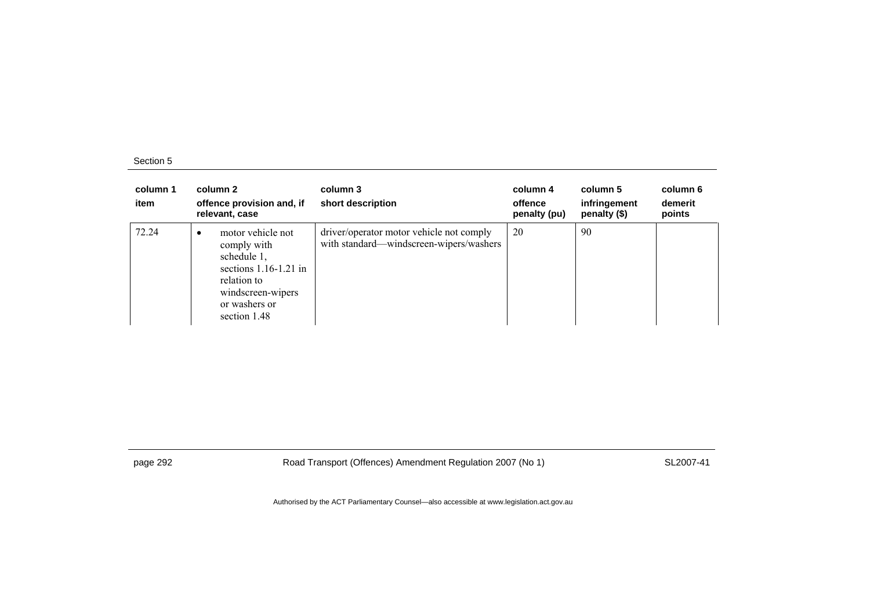| column 1<br>item | column 2<br>offence provision and, if<br>relevant, case                                                                                                      | column 3<br>short description                                                       | column 4<br>offence<br>penalty (pu) | column 5<br>infringement<br>penalty (\$) | column 6<br>demerit<br>points |
|------------------|--------------------------------------------------------------------------------------------------------------------------------------------------------------|-------------------------------------------------------------------------------------|-------------------------------------|------------------------------------------|-------------------------------|
| 72.24            | motor vehicle not<br>$\bullet$<br>comply with<br>schedule 1,<br>sections $1.16-1.21$ in<br>relation to<br>windscreen-wipers<br>or washers or<br>section 1.48 | driver/operator motor vehicle not comply<br>with standard—windscreen-wipers/washers | 20                                  | 90                                       |                               |

page 292 Road Transport (Offences) Amendment Regulation 2007 (No 1) SL2007-41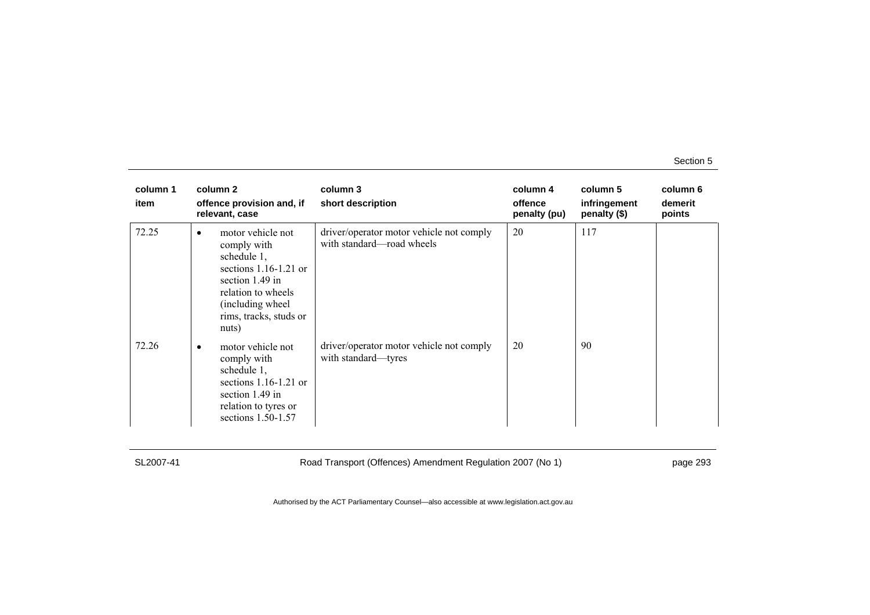| column 1<br>item | column 2<br>offence provision and, if<br>relevant, case                                                                                                                                    | column 3<br>short description                                         | column 4<br>offence<br>penalty (pu) | column 5<br>infringement<br>penalty (\$) | column 6<br>demerit<br>points |
|------------------|--------------------------------------------------------------------------------------------------------------------------------------------------------------------------------------------|-----------------------------------------------------------------------|-------------------------------------|------------------------------------------|-------------------------------|
| 72.25            | motor vehicle not<br>$\bullet$<br>comply with<br>schedule 1,<br>sections $1.16-1.21$ or<br>section $1.49$ in<br>relation to wheels<br>(including wheel)<br>rims, tracks, studs or<br>nuts) | driver/operator motor vehicle not comply<br>with standard—road wheels | 20                                  | 117                                      |                               |
| 72.26            | motor vehicle not<br>$\bullet$<br>comply with<br>schedule 1,<br>sections $1.16-1.21$ or<br>section $1.49$ in<br>relation to tyres or<br>sections $1.50 - 1.57$                             | driver/operator motor vehicle not comply<br>with standard—tyres       | 20                                  | 90                                       |                               |

SL2007-41 Road Transport (Offences) Amendment Regulation 2007 (No 1) page 293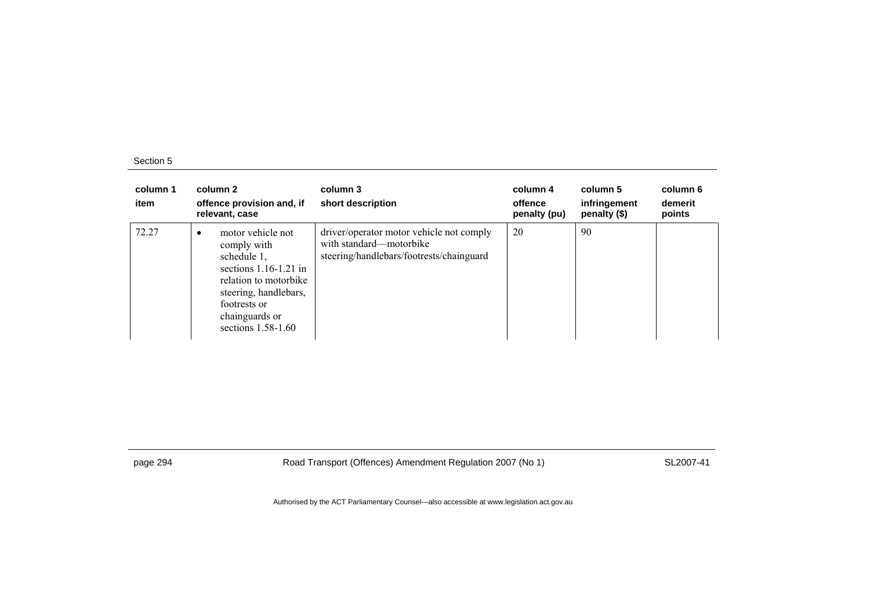| column 1<br>item | column 2<br>offence provision and, if<br>relevant, case                                                                                                                                   | column 3<br>short description                                                                                   | column 4<br>offence<br>penalty (pu) | column 5<br>infringement<br>penalty $(\$)$ | column 6<br>demerit<br>points |
|------------------|-------------------------------------------------------------------------------------------------------------------------------------------------------------------------------------------|-----------------------------------------------------------------------------------------------------------------|-------------------------------------|--------------------------------------------|-------------------------------|
| 72.27            | motor vehicle not<br>٠<br>comply with<br>schedule 1,<br>sections $1.16-1.21$ in<br>relation to motorbike<br>steering, handlebars,<br>footrests or<br>chainguards or<br>sections 1.58-1.60 | driver/operator motor vehicle not comply<br>with standard—motorbike<br>steering/handlebars/footrests/chainguard | 20                                  | 90                                         |                               |

page 294 Road Transport (Offences) Amendment Regulation 2007 (No 1) SL2007-41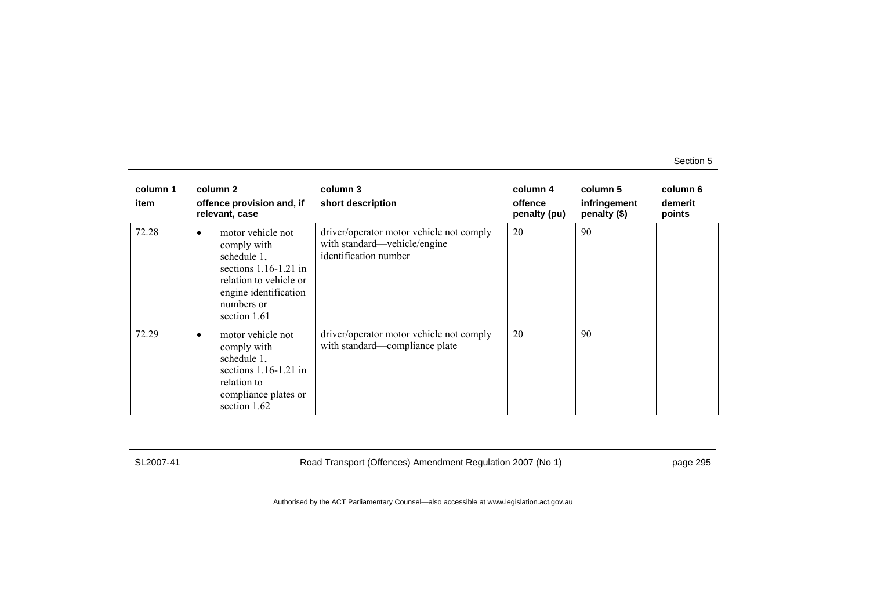| column 1<br>item |           | column 2<br>offence provision and, if<br>relevant, case                                                                                                     | column 3<br>short description                                                                     | column 4<br>offence<br>penalty (pu) | column 5<br>infringement<br>penalty (\$) | column 6<br>demerit<br>points |
|------------------|-----------|-------------------------------------------------------------------------------------------------------------------------------------------------------------|---------------------------------------------------------------------------------------------------|-------------------------------------|------------------------------------------|-------------------------------|
| 72.28            | $\bullet$ | motor vehicle not<br>comply with<br>schedule 1,<br>sections $1.16-1.21$ in<br>relation to vehicle or<br>engine identification<br>numbers or<br>section 1.61 | driver/operator motor vehicle not comply<br>with standard—vehicle/engine<br>identification number | 20                                  | 90                                       |                               |
| 72.29            | $\bullet$ | motor vehicle not<br>comply with<br>schedule 1,<br>sections $1.16-1.21$ in<br>relation to<br>compliance plates or<br>section 1.62                           | driver/operator motor vehicle not comply<br>with standard-compliance plate                        | 20                                  | 90                                       |                               |

SL2007-41 Road Transport (Offences) Amendment Regulation 2007 (No 1) page 295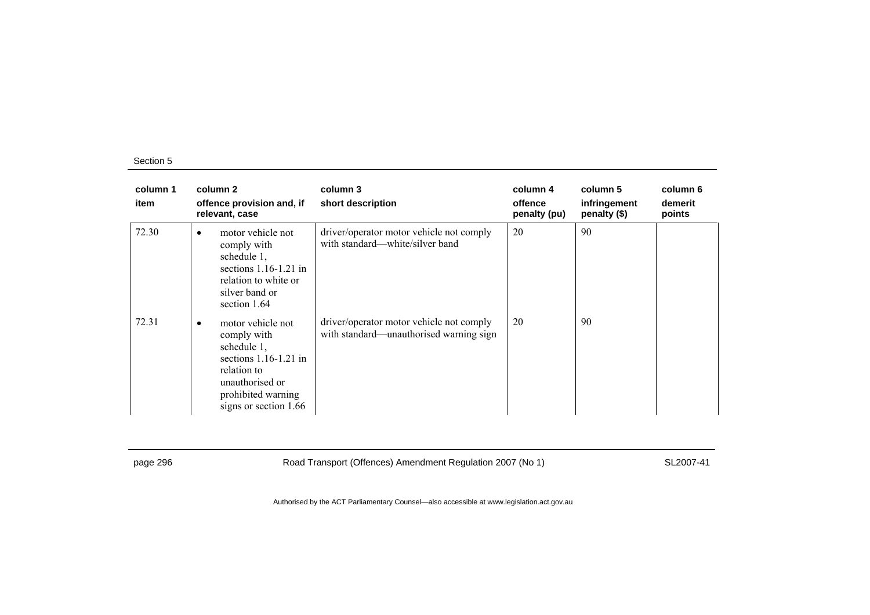| column 1<br>item | column 2<br>offence provision and, if<br>relevant, case                                                                                                                  | column 3<br>short description                                                       | column 4<br>offence<br>penalty (pu) | column 5<br>infringement<br>penalty (\$) | column 6<br>demerit<br>points |
|------------------|--------------------------------------------------------------------------------------------------------------------------------------------------------------------------|-------------------------------------------------------------------------------------|-------------------------------------|------------------------------------------|-------------------------------|
| 72.30            | motor vehicle not<br>٠<br>comply with<br>schedule 1,<br>sections $1.16-1.21$ in<br>relation to white or<br>silver band or<br>section 1.64                                | driver/operator motor vehicle not comply<br>with standard—white/silver band         | 20                                  | 90                                       |                               |
| 72.31            | motor vehicle not<br>$\bullet$<br>comply with<br>schedule 1,<br>sections $1.16-1.21$ in<br>relation to<br>unauthorised or<br>prohibited warning<br>signs or section 1.66 | driver/operator motor vehicle not comply<br>with standard—unauthorised warning sign | 20                                  | 90                                       |                               |

page 296 Road Transport (Offences) Amendment Regulation 2007 (No 1) SL2007-41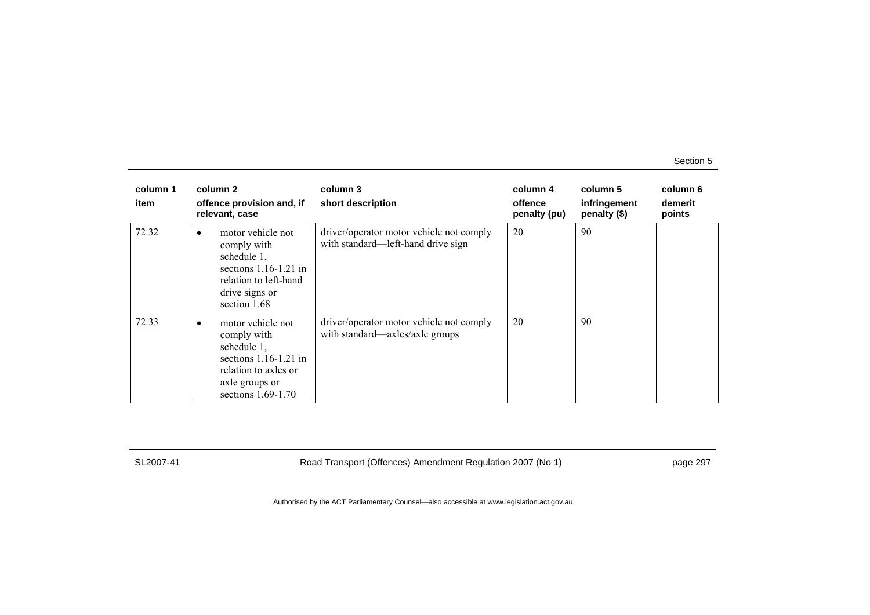| column 1<br>item | column 2<br>offence provision and, if<br>relevant, case                                                                                            | column 3<br>short description                                                  | column 4<br>offence<br>penalty (pu) | column 5<br>infringement<br>penalty (\$) | column 6<br>demerit<br>points |
|------------------|----------------------------------------------------------------------------------------------------------------------------------------------------|--------------------------------------------------------------------------------|-------------------------------------|------------------------------------------|-------------------------------|
| 72.32            | motor vehicle not<br>$\bullet$<br>comply with<br>schedule 1,<br>sections $1.16-1.21$ in<br>relation to left-hand<br>drive signs or<br>section 1.68 | driver/operator motor vehicle not comply<br>with standard—left-hand drive sign | 20                                  | 90                                       |                               |
| 72.33            | motor vehicle not<br>٠<br>comply with<br>schedule 1,<br>sections $1.16-1.21$ in<br>relation to axles or<br>axle groups or<br>sections $1.69-1.70$  | driver/operator motor vehicle not comply<br>with standard—axles/axle groups    | 20                                  | 90                                       |                               |

SL2007-41 Road Transport (Offences) Amendment Regulation 2007 (No 1) page 297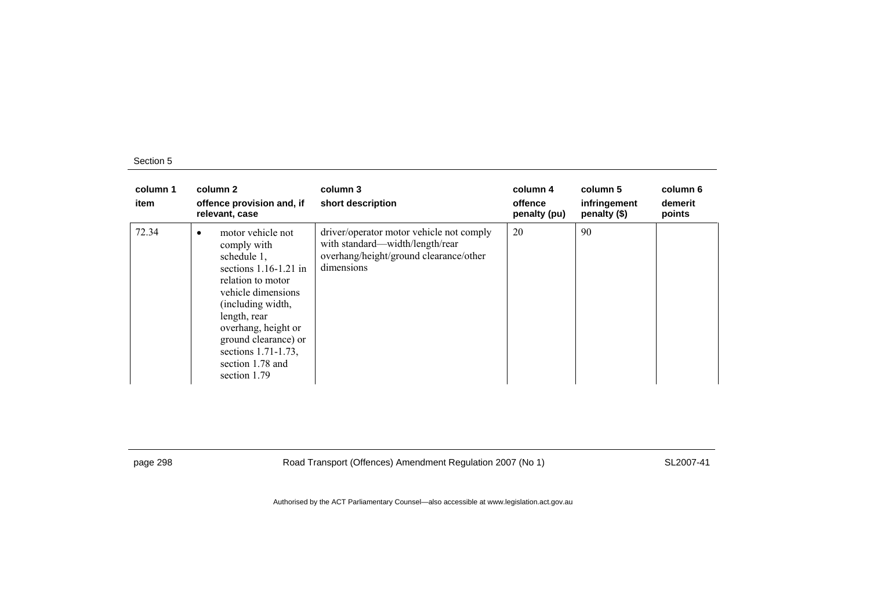| column 1<br>item | column 2<br>offence provision and, if<br>relevant, case                                                                                                                                                                                                              | column 3<br>short description                                                                                                       | column 4<br>offence<br>penalty (pu) | column 5<br>infringement<br>penalty (\$) | column 6<br>demerit<br>points |
|------------------|----------------------------------------------------------------------------------------------------------------------------------------------------------------------------------------------------------------------------------------------------------------------|-------------------------------------------------------------------------------------------------------------------------------------|-------------------------------------|------------------------------------------|-------------------------------|
| 72.34            | motor vehicle not<br>comply with<br>schedule 1,<br>sections $1.16-1.21$ in<br>relation to motor<br>vehicle dimensions<br>(including width,<br>length, rear<br>overhang, height or<br>ground clearance) or<br>sections 1.71-1.73,<br>section 1.78 and<br>section 1.79 | driver/operator motor vehicle not comply<br>with standard—width/length/rear<br>overhang/height/ground clearance/other<br>dimensions | 20                                  | 90                                       |                               |

page 298 Road Transport (Offences) Amendment Regulation 2007 (No 1) SL2007-41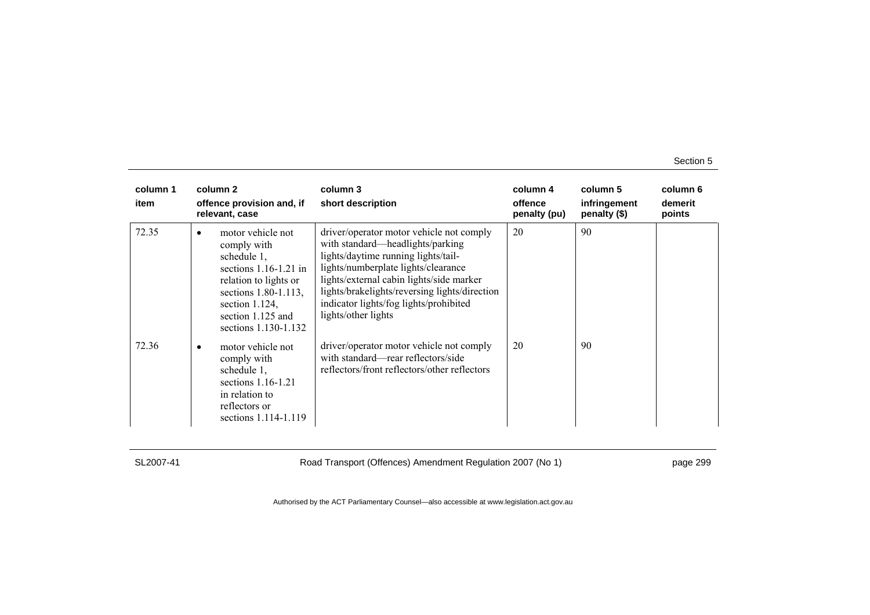| column 1<br>item | column 2<br>offence provision and, if<br>relevant, case                                                                                                                                            | column 3<br>short description                                                                                                                                                                                                                                                                                            | column 4<br>offence<br>penalty (pu) | column 5<br>infringement<br>penalty (\$) | column 6<br>demerit<br>points |
|------------------|----------------------------------------------------------------------------------------------------------------------------------------------------------------------------------------------------|--------------------------------------------------------------------------------------------------------------------------------------------------------------------------------------------------------------------------------------------------------------------------------------------------------------------------|-------------------------------------|------------------------------------------|-------------------------------|
| 72.35            | motor vehicle not<br>٠<br>comply with<br>schedule 1,<br>sections $1.16-1.21$ in<br>relation to lights or<br>sections 1.80-1.113,<br>section $1.124$ ,<br>section 1.125 and<br>sections 1.130-1.132 | driver/operator motor vehicle not comply<br>with standard—headlights/parking<br>lights/daytime running lights/tail-<br>lights/numberplate lights/clearance<br>lights/external cabin lights/side marker<br>lights/brakelights/reversing lights/direction<br>indicator lights/fog lights/prohibited<br>lights/other lights | 20                                  | 90                                       |                               |
| 72.36            | motor vehicle not<br>٠<br>comply with<br>schedule 1,<br>sections $1.16-1.21$<br>in relation to<br>reflectors or<br>sections 1.114-1.119                                                            | driver/operator motor vehicle not comply<br>with standard—rear reflectors/side<br>reflectors/front reflectors/other reflectors                                                                                                                                                                                           | 20                                  | 90                                       |                               |

SL2007-41 Road Transport (Offences) Amendment Regulation 2007 (No 1) page 299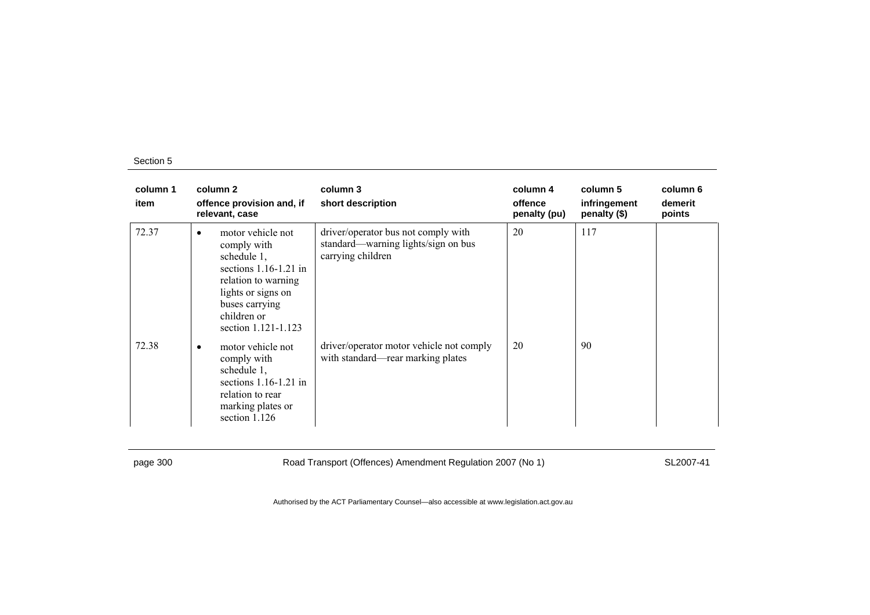| column 1<br>item | column 2<br>offence provision and, if<br>relevant, case                                                                                                                              | column 3<br>short description                                                                   | column 4<br>offence<br>penalty (pu) | column 5<br>infringement<br>penalty (\$) | column 6<br>demerit<br>points |
|------------------|--------------------------------------------------------------------------------------------------------------------------------------------------------------------------------------|-------------------------------------------------------------------------------------------------|-------------------------------------|------------------------------------------|-------------------------------|
| 72.37            | motor vehicle not<br>٠<br>comply with<br>schedule 1,<br>sections $1.16-1.21$ in<br>relation to warning<br>lights or signs on<br>buses carrying<br>children or<br>section 1.121-1.123 | driver/operator bus not comply with<br>standard-warning lights/sign on bus<br>carrying children | 20                                  | 117                                      |                               |
| 72.38            | motor vehicle not<br>٠<br>comply with<br>schedule 1,<br>sections $1.16-1.21$ in<br>relation to rear<br>marking plates or<br>section 1.126                                            | driver/operator motor vehicle not comply<br>with standard—rear marking plates                   | 20                                  | 90                                       |                               |

page 300 Road Transport (Offences) Amendment Regulation 2007 (No 1) SL2007-41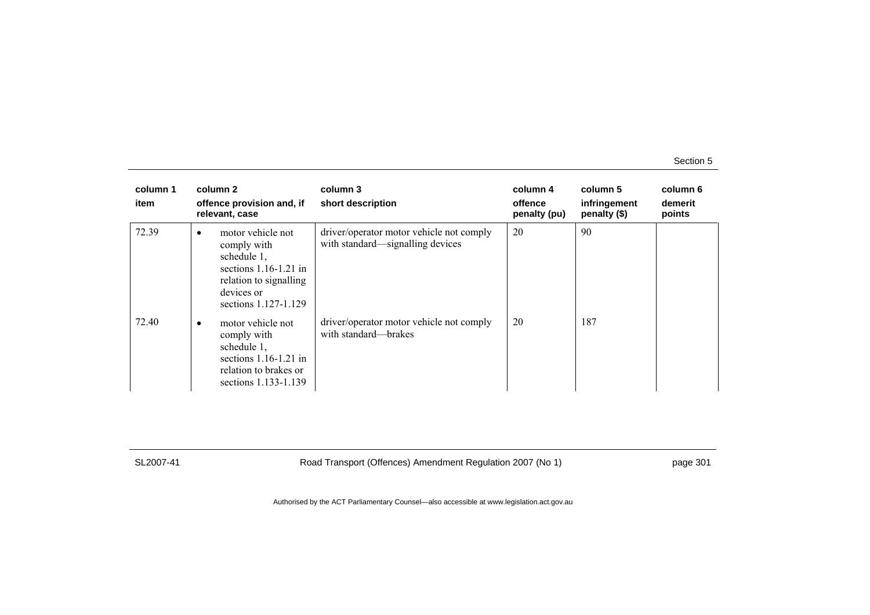| column 1<br>item | column 2<br>offence provision and, if<br>relevant, case                                                                                                 | column 3<br>short description                                                | column 4<br>offence<br>penalty (pu) | column 5<br>infringement<br>penalty (\$) | column 6<br>demerit<br>points |
|------------------|---------------------------------------------------------------------------------------------------------------------------------------------------------|------------------------------------------------------------------------------|-------------------------------------|------------------------------------------|-------------------------------|
| 72.39            | motor vehicle not<br>$\bullet$<br>comply with<br>schedule 1,<br>sections $1.16-1.21$ in<br>relation to signalling<br>devices or<br>sections 1.127-1.129 | driver/operator motor vehicle not comply<br>with standard—signalling devices | 20                                  | 90                                       |                               |
| 72.40            | motor vehicle not<br>$\bullet$<br>comply with<br>schedule 1,<br>sections $1.16-1.21$ in<br>relation to brakes or<br>sections 1.133-1.139                | driver/operator motor vehicle not comply<br>with standard—brakes             | 20                                  | 187                                      |                               |

SL2007-41 Road Transport (Offences) Amendment Regulation 2007 (No 1) page 301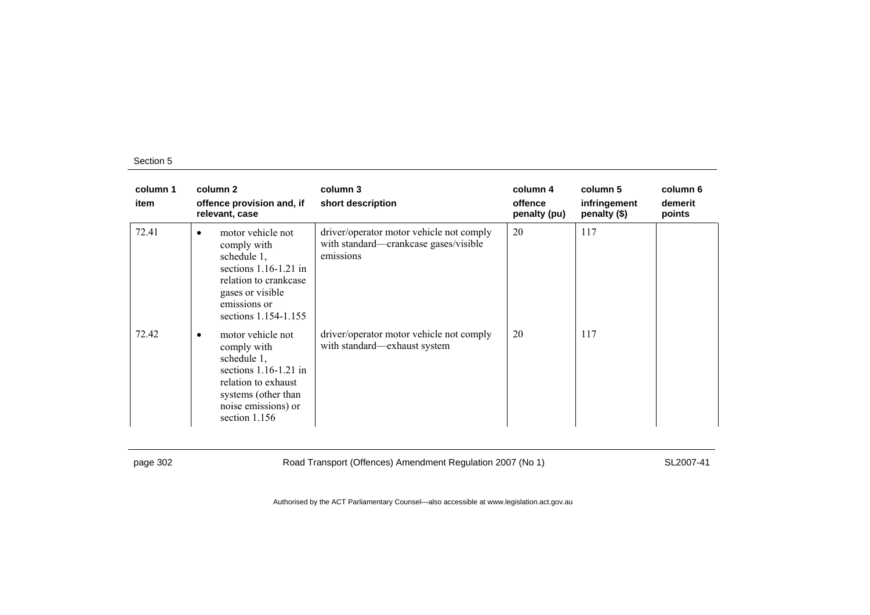| column 1<br>item | column 2<br>offence provision and, if<br>relevant, case                                                                                                                       | column 3<br>short description                                                                  | column 4<br>offence<br>penalty (pu) | column 5<br>infringement<br>penalty (\$) | column 6<br>demerit<br>points |
|------------------|-------------------------------------------------------------------------------------------------------------------------------------------------------------------------------|------------------------------------------------------------------------------------------------|-------------------------------------|------------------------------------------|-------------------------------|
| 72.41            | motor vehicle not<br>٠<br>comply with<br>schedule 1,<br>sections $1.16-1.21$ in<br>relation to crankcase<br>gases or visible<br>emissions or<br>sections 1.154-1.155          | driver/operator motor vehicle not comply<br>with standard—crankcase gases/visible<br>emissions | 20                                  | 117                                      |                               |
| 72.42            | motor vehicle not<br>$\bullet$<br>comply with<br>schedule 1,<br>sections $1.16-1.21$ in<br>relation to exhaust<br>systems (other than<br>noise emissions) or<br>section 1.156 | driver/operator motor vehicle not comply<br>with standard—exhaust system                       | 20                                  | 117                                      |                               |

page 302 Road Transport (Offences) Amendment Regulation 2007 (No 1) SL2007-41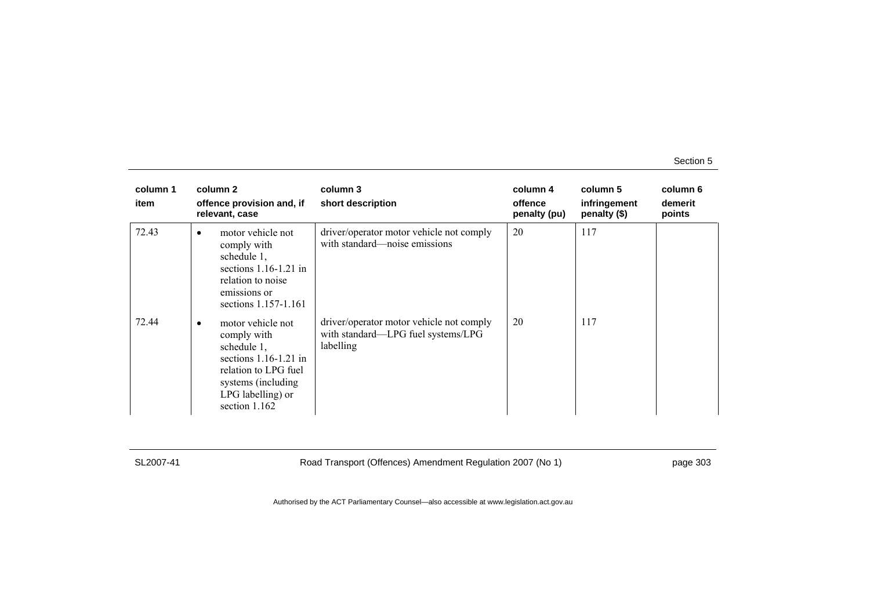| column 1<br>item | column 2<br>offence provision and, if<br>relevant, case                                                                                                                      | column 3<br>short description                                                               | column 4<br>offence<br>penalty (pu) | column 5<br>infringement<br>penalty (\$) | column 6<br>demerit<br>points |
|------------------|------------------------------------------------------------------------------------------------------------------------------------------------------------------------------|---------------------------------------------------------------------------------------------|-------------------------------------|------------------------------------------|-------------------------------|
| 72.43            | motor vehicle not<br>$\bullet$<br>comply with<br>schedule 1,<br>sections $1.16-1.21$ in<br>relation to noise<br>emissions or<br>sections 1.157-1.161                         | driver/operator motor vehicle not comply<br>with standard—noise emissions                   | 20                                  | 117                                      |                               |
| 72.44            | motor vehicle not<br>$\bullet$<br>comply with<br>schedule 1,<br>sections $1.16-1.21$ in<br>relation to LPG fuel<br>systems (including)<br>LPG labelling) or<br>section 1.162 | driver/operator motor vehicle not comply<br>with standard-LPG fuel systems/LPG<br>labelling | 20                                  | 117                                      |                               |

SL2007-41 Road Transport (Offences) Amendment Regulation 2007 (No 1) page 303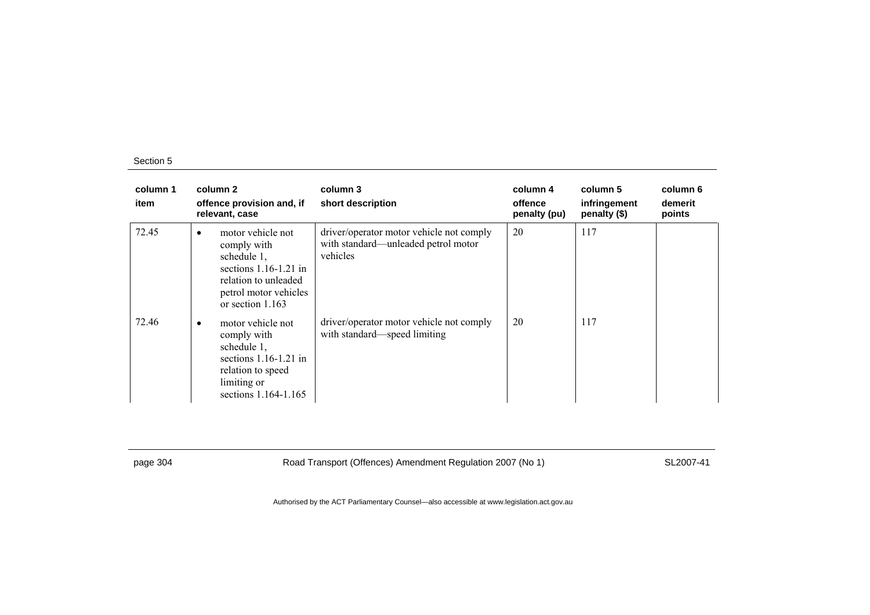| column 1<br>item | column 2<br>offence provision and, if<br>relevant, case                                                                                                      | column 3<br>short description                                                               | column 4<br>offence<br>penalty (pu) | column 5<br>infringement<br>penalty (\$) | column 6<br>demerit<br>points |
|------------------|--------------------------------------------------------------------------------------------------------------------------------------------------------------|---------------------------------------------------------------------------------------------|-------------------------------------|------------------------------------------|-------------------------------|
| 72.45            | motor vehicle not<br>$\bullet$<br>comply with<br>schedule 1,<br>sections $1.16-1.21$ in<br>relation to unleaded<br>petrol motor vehicles<br>or section 1.163 | driver/operator motor vehicle not comply<br>with standard—unleaded petrol motor<br>vehicles | 20                                  | 117                                      |                               |
| 72.46            | motor vehicle not<br>٠<br>comply with<br>schedule $1$ ,<br>sections $1.16-1.21$ in<br>relation to speed<br>limiting or<br>sections 1.164-1.165               | driver/operator motor vehicle not comply<br>with standard—speed limiting                    | 20                                  | 117                                      |                               |

page 304 Road Transport (Offences) Amendment Regulation 2007 (No 1) SL2007-41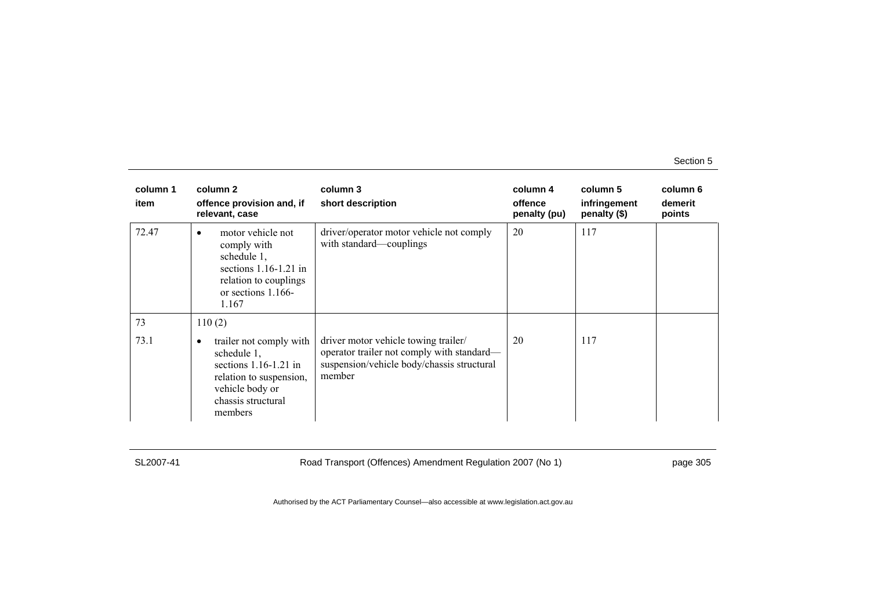| column 1<br>item | column 2<br>offence provision and, if<br>relevant, case                                                                                          | column 3<br>short description                                                                                                              | column 4<br>offence<br>penalty (pu) | column 5<br>infringement<br>penalty (\$) | column 6<br>demerit<br>points |
|------------------|--------------------------------------------------------------------------------------------------------------------------------------------------|--------------------------------------------------------------------------------------------------------------------------------------------|-------------------------------------|------------------------------------------|-------------------------------|
| 72.47            | motor vehicle not<br>٠<br>comply with<br>schedule 1,<br>sections $1.16-1.21$ in<br>relation to couplings<br>or sections 1.166-<br>1.167          | driver/operator motor vehicle not comply<br>with standard—couplings                                                                        | 20                                  | 117                                      |                               |
| 73               | 110(2)                                                                                                                                           |                                                                                                                                            |                                     |                                          |                               |
| 73.1             | trailer not comply with<br>schedule 1,<br>sections $1.16-1.21$ in<br>relation to suspension,<br>vehicle body or<br>chassis structural<br>members | driver motor vehicle towing trailer/<br>operator trailer not comply with standard—<br>suspension/vehicle body/chassis structural<br>member | 20                                  | 117                                      |                               |

SL2007-41 Road Transport (Offences) Amendment Regulation 2007 (No 1) page 305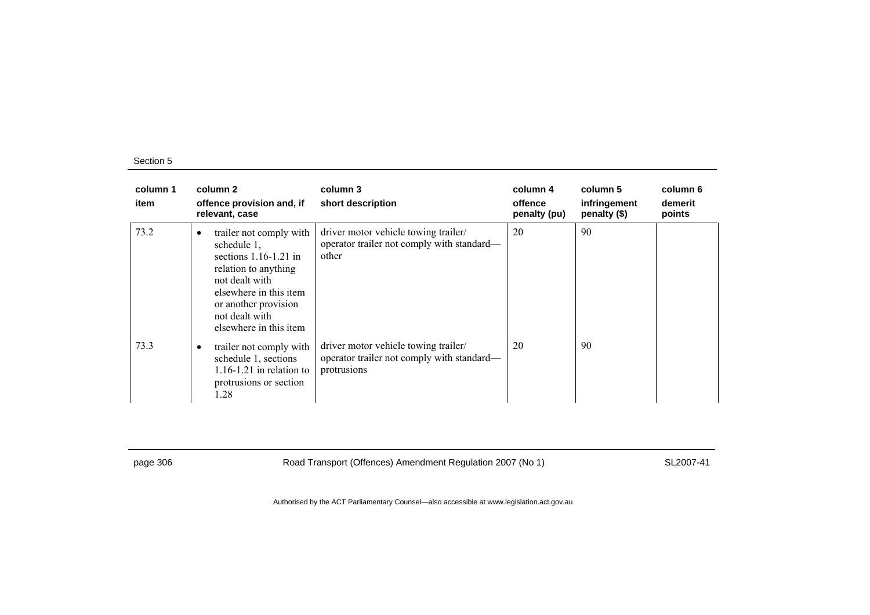| column 1<br>item | column 2<br>offence provision and, if<br>relevant, case                                                                                                                                                        | column 3<br>short description                                                                     | column 4<br>offence<br>penalty (pu) | column 5<br>infringement<br>penalty (\$) | column 6<br>demerit<br>points |
|------------------|----------------------------------------------------------------------------------------------------------------------------------------------------------------------------------------------------------------|---------------------------------------------------------------------------------------------------|-------------------------------------|------------------------------------------|-------------------------------|
| 73.2             | trailer not comply with<br>٠<br>schedule 1,<br>sections $1.16-1.21$ in<br>relation to anything<br>not dealt with<br>elsewhere in this item<br>or another provision<br>not dealt with<br>elsewhere in this item | driver motor vehicle towing trailer/<br>operator trailer not comply with standard-<br>other       | 20                                  | 90                                       |                               |
| 73.3             | trailer not comply with<br>schedule 1, sections<br>$1.16 - 1.21$ in relation to<br>protrusions or section<br>1.28                                                                                              | driver motor vehicle towing trailer/<br>operator trailer not comply with standard-<br>protrusions | 20                                  | 90                                       |                               |

page 306 Road Transport (Offences) Amendment Regulation 2007 (No 1) SL2007-41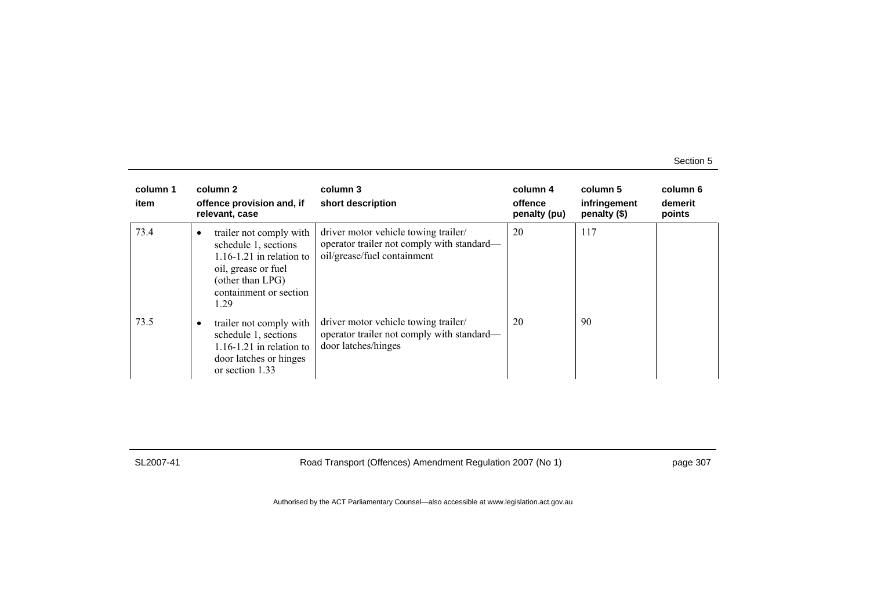| column 1<br>item | column 2<br>offence provision and, if<br>relevant, case                                                                                                                   | column 3<br>short description                                                                                     | column 4<br>offence<br>penalty (pu) | column 5<br>infringement<br>penalty (\$) | column 6<br>demerit<br>points |
|------------------|---------------------------------------------------------------------------------------------------------------------------------------------------------------------------|-------------------------------------------------------------------------------------------------------------------|-------------------------------------|------------------------------------------|-------------------------------|
| 73.4             | trailer not comply with<br>$\bullet$<br>schedule 1, sections<br>$1.16 - 1.21$ in relation to<br>oil, grease or fuel<br>(other than LPG)<br>containment or section<br>1.29 | driver motor vehicle towing trailer/<br>operator trailer not comply with standard—<br>oil/grease/fuel containment | 20                                  | 117                                      |                               |
| 73.5             | trailer not comply with<br>$\bullet$<br>schedule 1, sections<br>$1.16 - 1.21$ in relation to<br>door latches or hinges<br>or section 1.33                                 | driver motor vehicle towing trailer/<br>operator trailer not comply with standard—<br>door latches/hinges         | 20                                  | 90                                       |                               |

SL2007-41 Road Transport (Offences) Amendment Regulation 2007 (No 1) page 307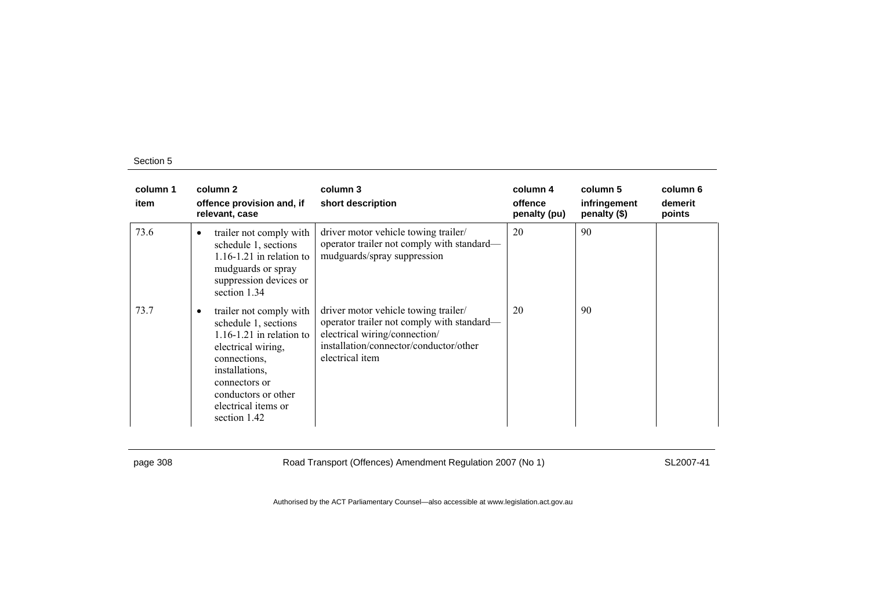| column 1<br>item | column 2<br>offence provision and, if<br>relevant, case                                                                                                                                                                | column 3<br>short description                                                                                                                                                    | column 4<br>offence<br>penalty (pu) | column 5<br>infringement<br>penalty (\$) | column 6<br>demerit<br>points |
|------------------|------------------------------------------------------------------------------------------------------------------------------------------------------------------------------------------------------------------------|----------------------------------------------------------------------------------------------------------------------------------------------------------------------------------|-------------------------------------|------------------------------------------|-------------------------------|
| 73.6             | trailer not comply with<br>$\bullet$<br>schedule 1, sections<br>$1.16 - 1.21$ in relation to<br>mudguards or spray<br>suppression devices or<br>section 1.34                                                           | driver motor vehicle towing trailer/<br>operator trailer not comply with standard—<br>mudguards/spray suppression                                                                | 20                                  | 90                                       |                               |
| 73.7             | trailer not comply with<br>schedule 1, sections<br>$1.16 - 1.21$ in relation to<br>electrical wiring,<br>connections.<br>installations,<br>connectors or<br>conductors or other<br>electrical items or<br>section 1.42 | driver motor vehicle towing trailer/<br>operator trailer not comply with standard—<br>electrical wiring/connection/<br>installation/connector/conductor/other<br>electrical item | 20                                  | 90                                       |                               |

page 308 Road Transport (Offences) Amendment Regulation 2007 (No 1) SL2007-41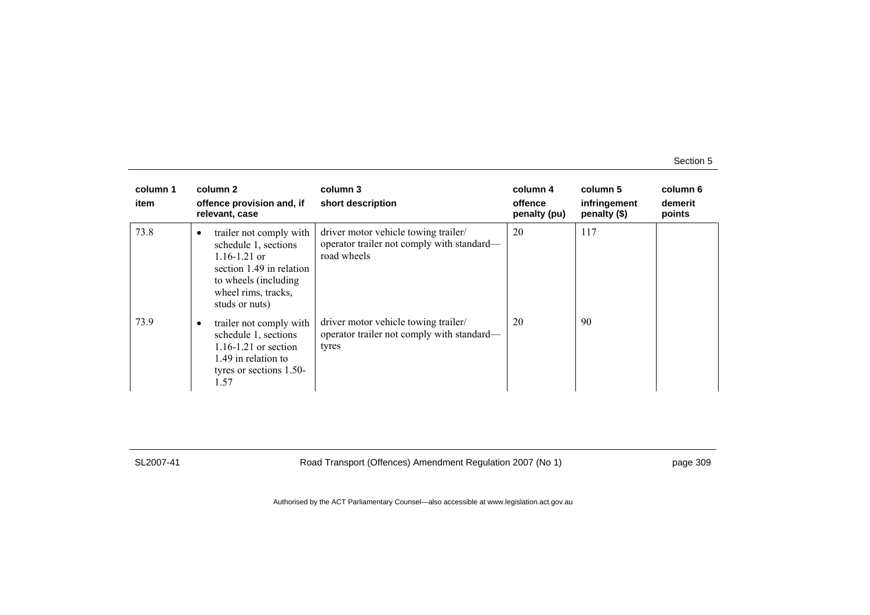| column 1<br>item | column 2<br>offence provision and, if<br>relevant, case                                                                                                                        | column 3<br>short description                                                                     | column 4<br>offence<br>penalty (pu) | column 5<br>infringement<br>penalty (\$) | column 6<br>demerit<br>points |
|------------------|--------------------------------------------------------------------------------------------------------------------------------------------------------------------------------|---------------------------------------------------------------------------------------------------|-------------------------------------|------------------------------------------|-------------------------------|
| 73.8             | trailer not comply with<br>$\bullet$<br>schedule 1, sections<br>$1.16 - 1.21$ or<br>section 1.49 in relation<br>to wheels (including)<br>wheel rims, tracks,<br>studs or nuts) | driver motor vehicle towing trailer/<br>operator trailer not comply with standard—<br>road wheels | 20                                  | 117                                      |                               |
| 73.9             | trailer not comply with<br>٠<br>schedule 1, sections<br>$1.16 - 1.21$ or section<br>1.49 in relation to<br>tyres or sections 1.50-<br>1.57                                     | driver motor vehicle towing trailer/<br>operator trailer not comply with standard—<br>tyres       | 20                                  | 90                                       |                               |

SL2007-41 Road Transport (Offences) Amendment Regulation 2007 (No 1) page 309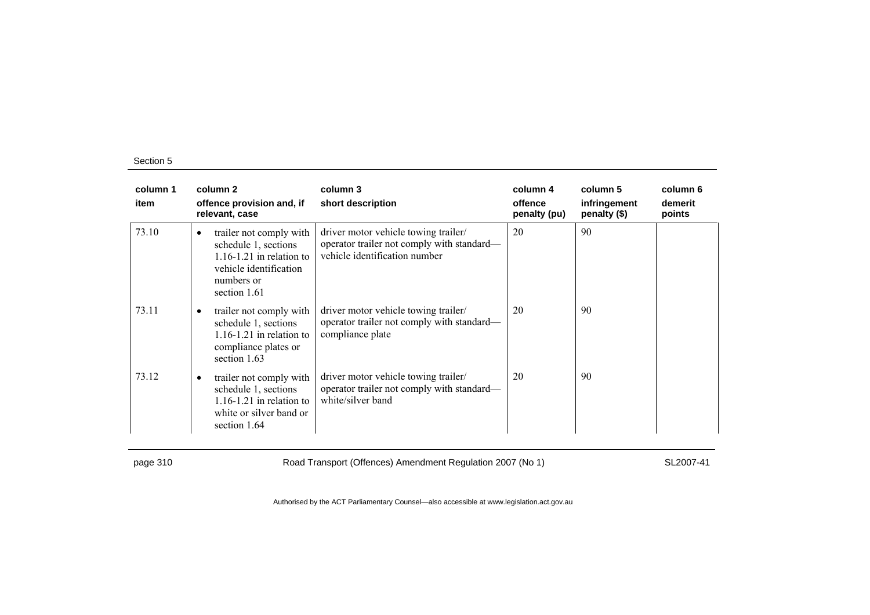| column 1<br>item |           | column 2<br>offence provision and, if<br>relevant, case                                                                                 | column 3<br>short description                                                                                       | column 4<br>offence<br>penalty (pu) | column 5<br>infringement<br>penalty (\$) | column 6<br>demerit<br>points |
|------------------|-----------|-----------------------------------------------------------------------------------------------------------------------------------------|---------------------------------------------------------------------------------------------------------------------|-------------------------------------|------------------------------------------|-------------------------------|
| 73.10            | $\bullet$ | trailer not comply with<br>schedule 1, sections<br>$1.16 - 1.21$ in relation to<br>vehicle identification<br>numbers or<br>section 1.61 | driver motor vehicle towing trailer/<br>operator trailer not comply with standard—<br>vehicle identification number | 20                                  | 90                                       |                               |
| 73.11            |           | trailer not comply with<br>schedule 1, sections<br>$1.16 - 1.21$ in relation to<br>compliance plates or<br>section 1.63                 | driver motor vehicle towing trailer/<br>operator trailer not comply with standard—<br>compliance plate              | 20                                  | 90                                       |                               |
| 73.12            | ٠         | trailer not comply with<br>schedule 1, sections<br>$1.16 - 1.21$ in relation to<br>white or silver band or<br>section 1.64              | driver motor vehicle towing trailer/<br>operator trailer not comply with standard—<br>white/silver band             | 20                                  | 90                                       |                               |

page 310 Road Transport (Offences) Amendment Regulation 2007 (No 1) SL2007-41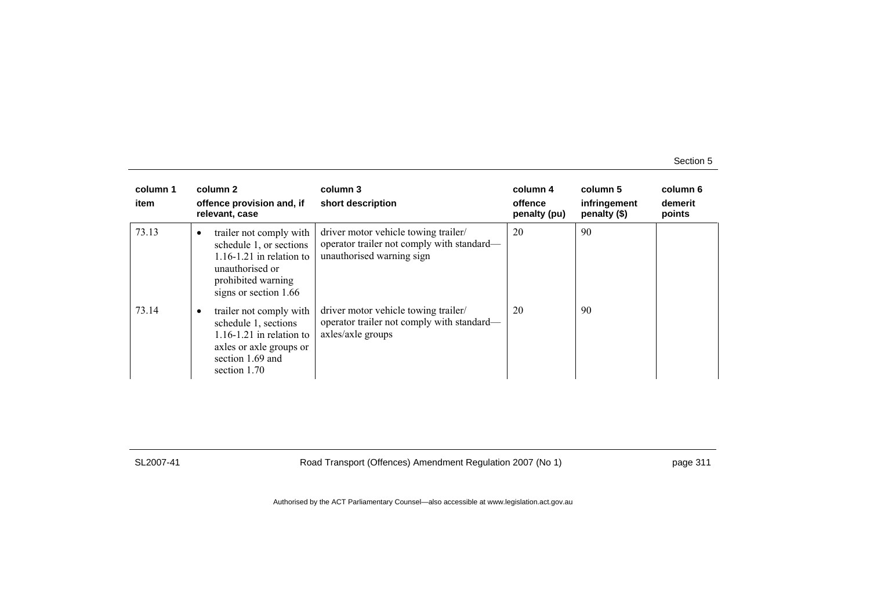| column 1<br>item | column 2<br>offence provision and, if<br>relevant, case                                                                                                           | column 3<br>short description                                                                                   | column 4<br>offence<br>penalty (pu) | column 5<br>infringement<br>penalty (\$) | column 6<br>demerit<br>points |
|------------------|-------------------------------------------------------------------------------------------------------------------------------------------------------------------|-----------------------------------------------------------------------------------------------------------------|-------------------------------------|------------------------------------------|-------------------------------|
| 73.13            | trailer not comply with<br>$\bullet$<br>schedule 1, or sections<br>$1.16 - 1.21$ in relation to<br>unauthorised or<br>prohibited warning<br>signs or section 1.66 | driver motor vehicle towing trailer/<br>operator trailer not comply with standard—<br>unauthorised warning sign | 20                                  | 90                                       |                               |
| 73.14            | trailer not comply with<br>٠<br>schedule 1, sections<br>$1.16 - 1.21$ in relation to<br>axles or axle groups or<br>section 1.69 and<br>section 1.70               | driver motor vehicle towing trailer/<br>operator trailer not comply with standard—<br>axles/axle groups         | 20                                  | 90                                       |                               |

SL2007-41 Road Transport (Offences) Amendment Regulation 2007 (No 1) page 311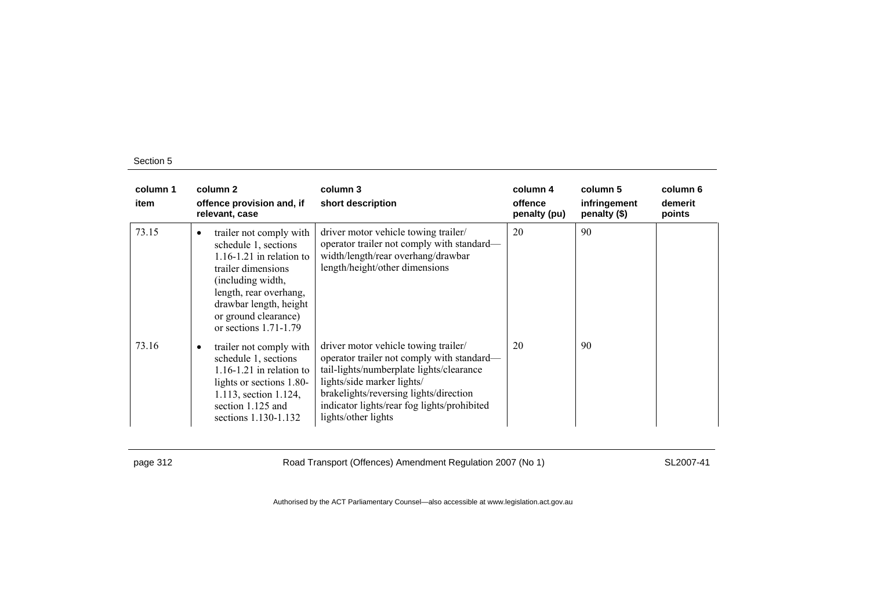| column 1<br>item | column 2<br>offence provision and, if<br>relevant, case                                                                                                                                                                                          | column 3<br>short description                                                                                                                                                                                                                                                | column 4<br>offence<br>penalty (pu) | column 5<br>infringement<br>penalty (\$) | column 6<br>demerit<br>points |
|------------------|--------------------------------------------------------------------------------------------------------------------------------------------------------------------------------------------------------------------------------------------------|------------------------------------------------------------------------------------------------------------------------------------------------------------------------------------------------------------------------------------------------------------------------------|-------------------------------------|------------------------------------------|-------------------------------|
| 73.15            | trailer not comply with<br>$\bullet$<br>schedule 1, sections<br>$1.16 - 1.21$ in relation to<br>trailer dimensions<br>(including width,<br>length, rear overhang,<br>drawbar length, height<br>or ground clearance)<br>or sections $1.71 - 1.79$ | driver motor vehicle towing trailer/<br>operator trailer not comply with standard—<br>width/length/rear overhang/drawbar<br>length/height/other dimensions                                                                                                                   | 20                                  | 90                                       |                               |
| 73.16            | trailer not comply with<br>schedule 1, sections<br>$1.16 - 1.21$ in relation to<br>lights or sections 1.80-<br>1.113, section 1.124,<br>section 1.125 and<br>sections 1.130-1.132                                                                | driver motor vehicle towing trailer/<br>operator trailer not comply with standard—<br>tail-lights/numberplate lights/clearance<br>lights/side marker lights/<br>brakelights/reversing lights/direction<br>indicator lights/rear fog lights/prohibited<br>lights/other lights | 20                                  | 90                                       |                               |

page 312 Road Transport (Offences) Amendment Regulation 2007 (No 1) SL2007-41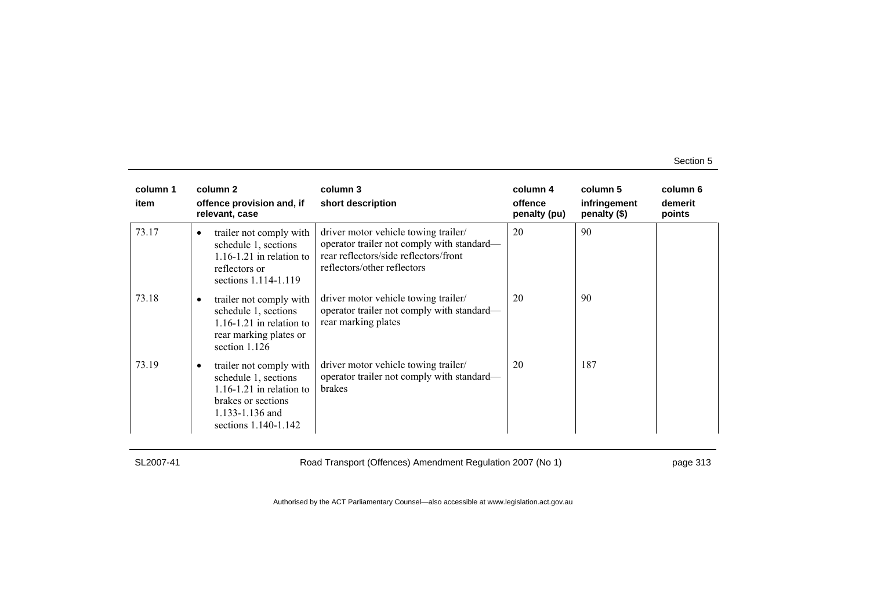| column 1<br>item |           | column 2<br>offence provision and, if<br>relevant, case                                                                                          | column 3<br>short description                                                                                                                              | column 4<br>offence<br>penalty (pu) | column 5<br>infringement<br>penalty (\$) | column 6<br>demerit<br>points |
|------------------|-----------|--------------------------------------------------------------------------------------------------------------------------------------------------|------------------------------------------------------------------------------------------------------------------------------------------------------------|-------------------------------------|------------------------------------------|-------------------------------|
| 73.17            | $\bullet$ | trailer not comply with<br>schedule 1, sections<br>$1.16 - 1.21$ in relation to<br>reflectors or<br>sections 1.114-1.119                         | driver motor vehicle towing trailer/<br>operator trailer not comply with standard—<br>rear reflectors/side reflectors/front<br>reflectors/other reflectors | 20                                  | 90                                       |                               |
| 73.18            |           | trailer not comply with<br>schedule 1, sections<br>$1.16 - 1.21$ in relation to<br>rear marking plates or<br>section 1.126                       | driver motor vehicle towing trailer/<br>operator trailer not comply with standard—<br>rear marking plates                                                  | 20                                  | 90                                       |                               |
| 73.19            |           | trailer not comply with<br>schedule 1, sections<br>$1.16 - 1.21$ in relation to<br>brakes or sections<br>1.133-1.136 and<br>sections 1.140-1.142 | driver motor vehicle towing trailer/<br>operator trailer not comply with standard—<br>brakes                                                               | 20                                  | 187                                      |                               |

SL2007-41 Road Transport (Offences) Amendment Regulation 2007 (No 1) page 313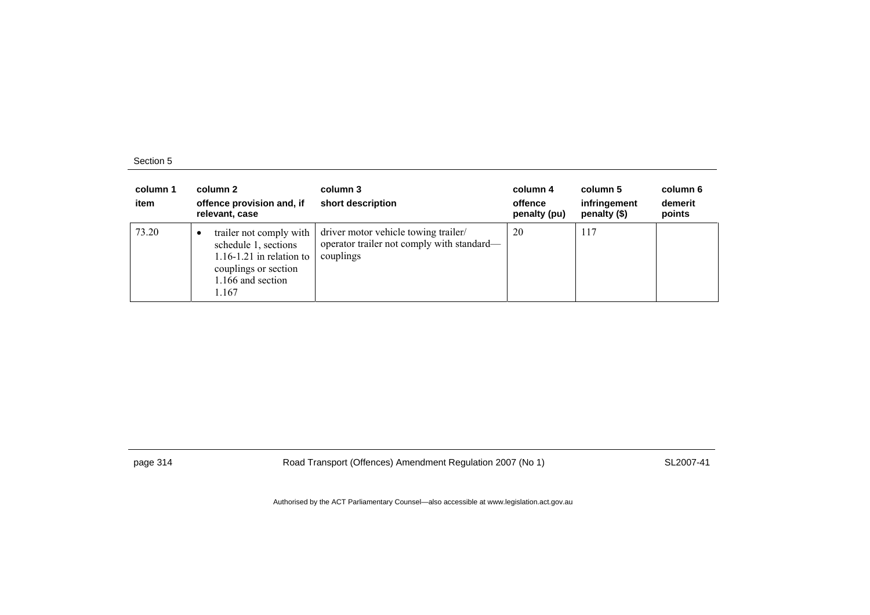| column 1<br>item | column 2<br>offence provision and, if<br>relevant, case                                                                               | column 3<br>short description                                                                   | column 4<br>offence<br>penalty (pu) | column 5<br>infringement<br>penalty (\$) | column 6<br>demerit<br>points |
|------------------|---------------------------------------------------------------------------------------------------------------------------------------|-------------------------------------------------------------------------------------------------|-------------------------------------|------------------------------------------|-------------------------------|
| 73.20            | trailer not comply with<br>schedule 1, sections<br>$1.16 - 1.21$ in relation to<br>couplings or section<br>1.166 and section<br>1.167 | driver motor vehicle towing trailer/<br>operator trailer not comply with standard—<br>couplings | 20                                  | 117                                      |                               |

page 314 Road Transport (Offences) Amendment Regulation 2007 (No 1) SL2007-41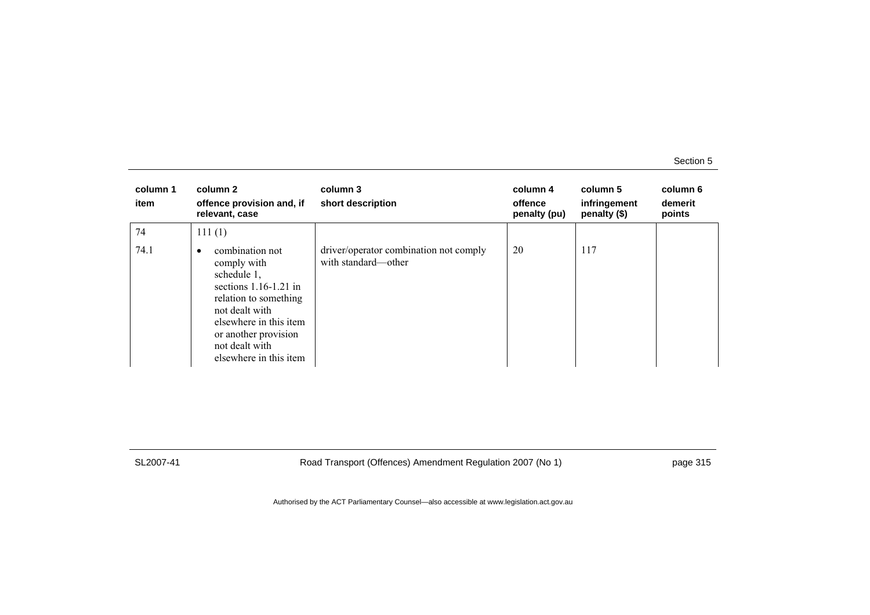| column 1<br>item | column 2<br>offence provision and, if<br>relevant, case                                                                                                                                                                | column 3<br>short description                                 | column 4<br>offence<br>penalty (pu) | column 5<br>infringement<br>penalty (\$) | column 6<br>demerit<br>points |
|------------------|------------------------------------------------------------------------------------------------------------------------------------------------------------------------------------------------------------------------|---------------------------------------------------------------|-------------------------------------|------------------------------------------|-------------------------------|
| 74               | 111(1)                                                                                                                                                                                                                 |                                                               |                                     |                                          |                               |
| 74.1             | combination not<br>٠<br>comply with<br>schedule 1,<br>sections $1.16-1.21$ in<br>relation to something<br>not dealt with<br>elsewhere in this item<br>or another provision<br>not dealt with<br>elsewhere in this item | driver/operator combination not comply<br>with standard—other | 20                                  | 117                                      |                               |

SL2007-41 Road Transport (Offences) Amendment Regulation 2007 (No 1) page 315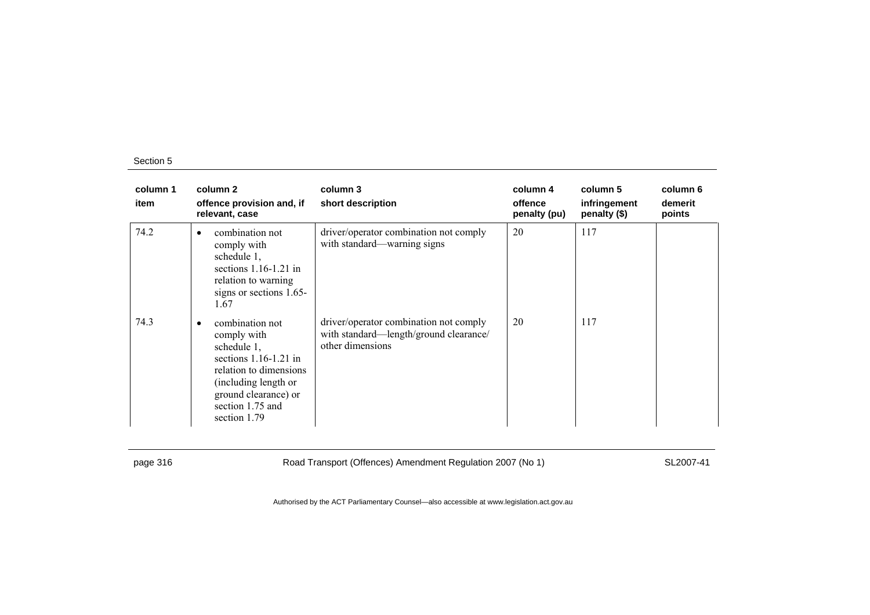| column 1<br>item | column 2<br>offence provision and, if<br>relevant, case                                                                                                                                     | column 3<br>short description                                                                        | column 4<br>offence<br>penalty (pu) | column 5<br>infringement<br>penalty (\$) | column 6<br>demerit<br>points |
|------------------|---------------------------------------------------------------------------------------------------------------------------------------------------------------------------------------------|------------------------------------------------------------------------------------------------------|-------------------------------------|------------------------------------------|-------------------------------|
| 74.2             | combination not<br>comply with<br>schedule 1,<br>sections $1.16-1.21$ in<br>relation to warning<br>signs or sections 1.65-<br>1.67                                                          | driver/operator combination not comply<br>with standard—warning signs                                | 20                                  | 117                                      |                               |
| 74.3             | combination not<br>٠<br>comply with<br>schedule 1,<br>sections $1.16-1.21$ in<br>relation to dimensions<br>(including length or<br>ground clearance) or<br>section 1.75 and<br>section 1.79 | driver/operator combination not comply<br>with standard-length/ground clearance/<br>other dimensions | 20                                  | 117                                      |                               |

page 316 SL2007-41 Road Transport (Offences) Amendment Regulation 2007 (No 1)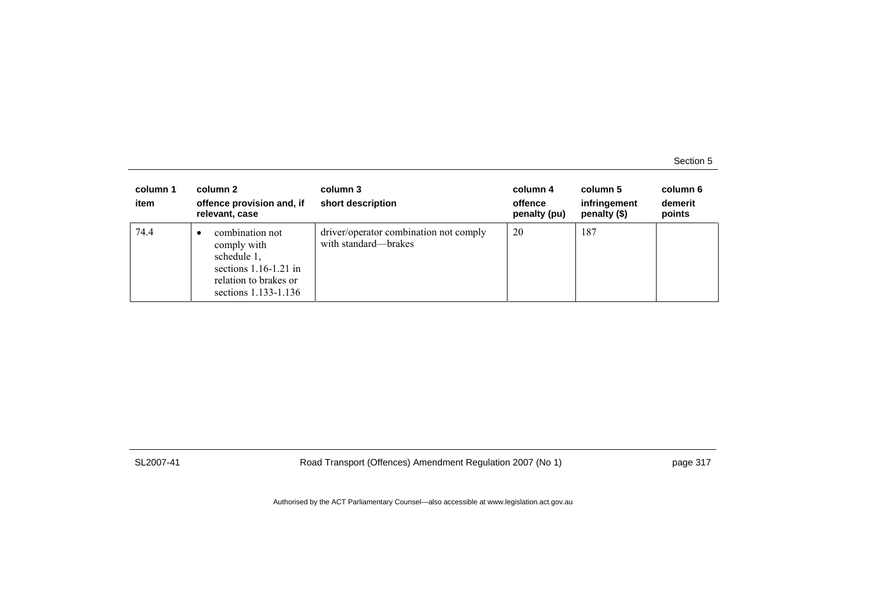| column 1<br>item | column 2<br>offence provision and, if<br>relevant, case                                                                   | column 3<br>short description                                  | column 4<br>offence<br>penalty (pu) | column 5<br>infringement<br>penalty $(\$)$ | column 6<br>demerit<br>points |
|------------------|---------------------------------------------------------------------------------------------------------------------------|----------------------------------------------------------------|-------------------------------------|--------------------------------------------|-------------------------------|
| 74.4             | combination not<br>comply with<br>schedule 1,<br>sections $1.16-1.21$ in<br>relation to brakes or<br>sections 1.133-1.136 | driver/operator combination not comply<br>with standard—brakes | 20                                  | 187                                        |                               |

SL2007-41 Road Transport (Offences) Amendment Regulation 2007 (No 1) page 317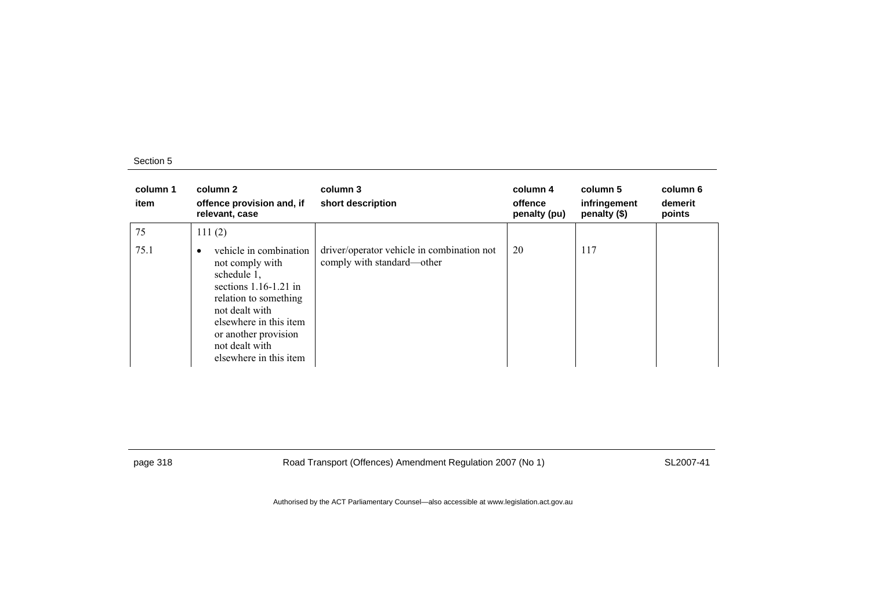| column 1<br>item | column 2<br>offence provision and, if<br>relevant, case                                                                                                                                                                                   | column 3<br>short description                                            | column 4<br>offence<br>penalty (pu) | column 5<br>infringement<br>penalty (\$) | column 6<br>demerit<br>points |
|------------------|-------------------------------------------------------------------------------------------------------------------------------------------------------------------------------------------------------------------------------------------|--------------------------------------------------------------------------|-------------------------------------|------------------------------------------|-------------------------------|
| 75               | 111(2)                                                                                                                                                                                                                                    |                                                                          |                                     |                                          |                               |
| 75.1             | vehicle in combination<br>$\bullet$<br>not comply with<br>schedule 1,<br>sections $1.16-1.21$ in<br>relation to something<br>not dealt with<br>elsewhere in this item<br>or another provision<br>not dealt with<br>elsewhere in this item | driver/operator vehicle in combination not<br>comply with standard—other | 20                                  | 117                                      |                               |

page 318 Road Transport (Offences) Amendment Regulation 2007 (No 1) SL2007-41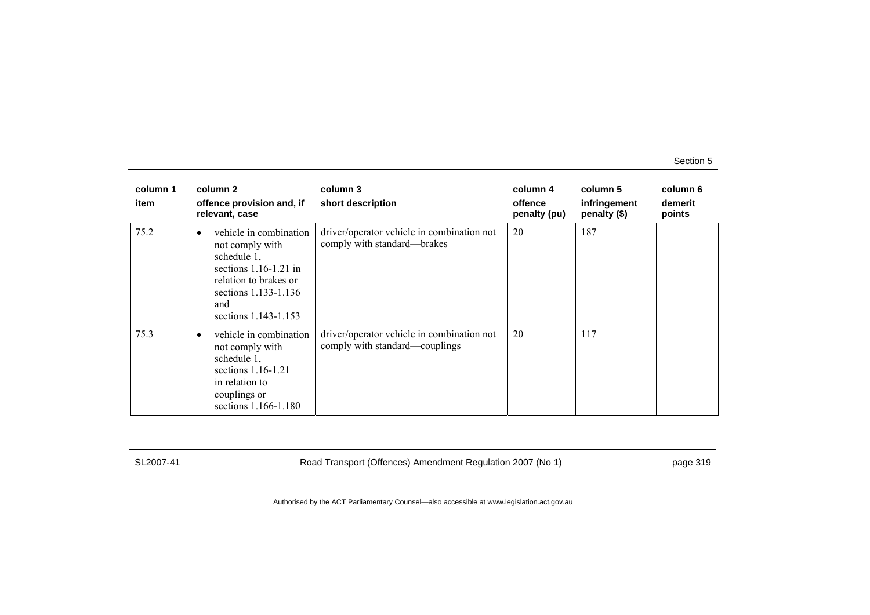| column 1<br>item | column 2<br>offence provision and, if<br>relevant, case                                                                                                                          | column 3<br>short description                                                | column 4<br>offence<br>penalty (pu) | column 5<br>infringement<br>penalty (\$) | column 6<br>demerit<br>points |
|------------------|----------------------------------------------------------------------------------------------------------------------------------------------------------------------------------|------------------------------------------------------------------------------|-------------------------------------|------------------------------------------|-------------------------------|
| 75.2             | vehicle in combination<br>$\bullet$<br>not comply with<br>schedule 1,<br>sections $1.16-1.21$ in<br>relation to brakes or<br>sections 1.133-1.136<br>and<br>sections 1.143-1.153 | driver/operator vehicle in combination not<br>comply with standard—brakes    | 20                                  | 187                                      |                               |
| 75.3             | vehicle in combination<br>$\bullet$<br>not comply with<br>schedule 1,<br>sections 1.16-1.21<br>in relation to<br>couplings or<br>sections 1.166-1.180                            | driver/operator vehicle in combination not<br>comply with standard—couplings | 20                                  | 117                                      |                               |

SL2007-41 Road Transport (Offences) Amendment Regulation 2007 (No 1) page 319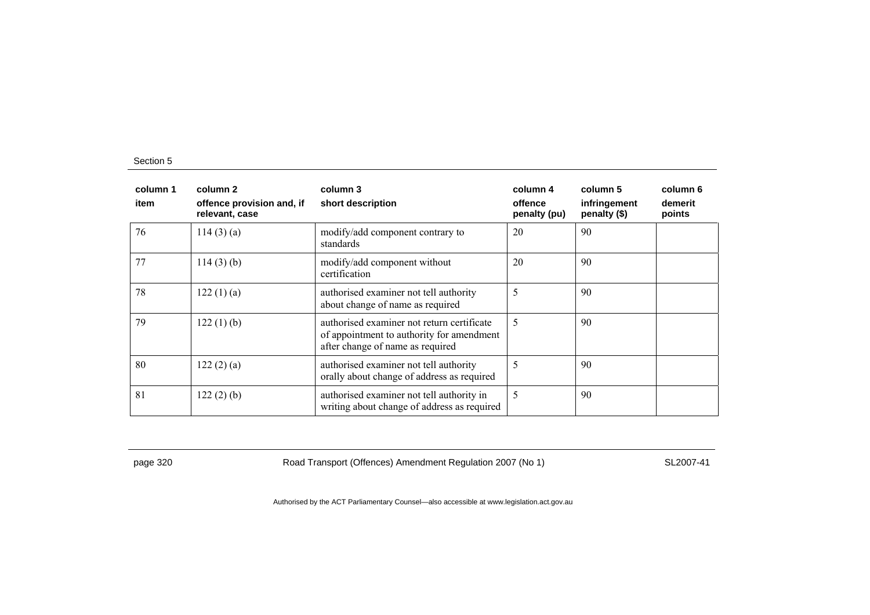| column 1<br>item | column 2<br>offence provision and, if<br>relevant, case | column 3<br>short description                                                                                               | column 4<br>offence<br>penalty (pu) | column 5<br>infringement<br>penalty (\$) | column 6<br>demerit<br>points |
|------------------|---------------------------------------------------------|-----------------------------------------------------------------------------------------------------------------------------|-------------------------------------|------------------------------------------|-------------------------------|
| 76               | 114(3)(a)                                               | modify/add component contrary to<br>standards                                                                               | 20                                  | 90                                       |                               |
| 77               | 114(3)(b)                                               | modify/add component without<br>certification                                                                               | 20                                  | 90                                       |                               |
| 78               | 122(1)(a)                                               | authorised examiner not tell authority<br>about change of name as required                                                  | 5                                   | 90                                       |                               |
| 79               | 122(1)(b)                                               | authorised examiner not return certificate<br>of appointment to authority for amendment<br>after change of name as required | 5                                   | 90                                       |                               |
| 80               | 122(2)(a)                                               | authorised examiner not tell authority<br>orally about change of address as required                                        | 5                                   | 90                                       |                               |
| 81               | 122(2)(b)                                               | authorised examiner not tell authority in<br>writing about change of address as required                                    | 5                                   | 90                                       |                               |

page 320 Road Transport (Offences) Amendment Regulation 2007 (No 1) SL2007-41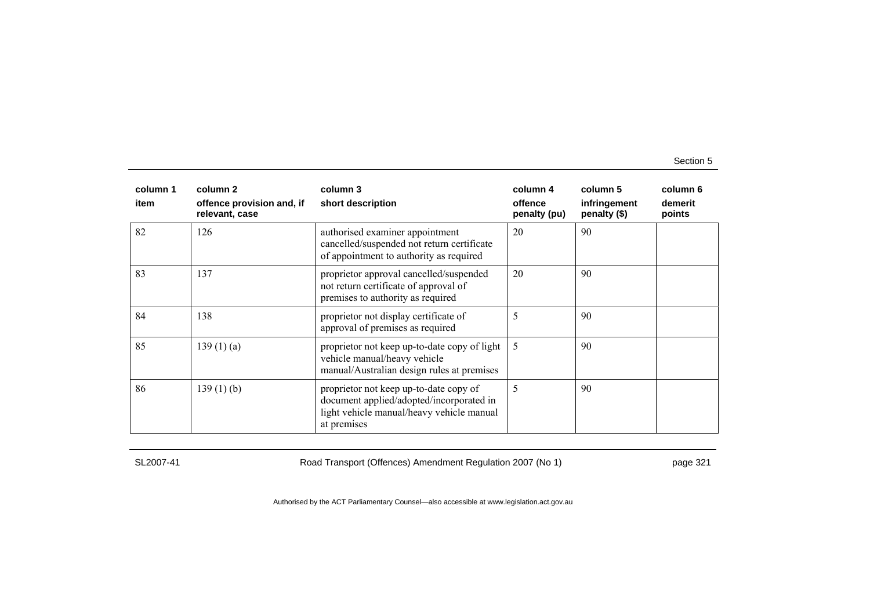| column 1<br>item | column 2<br>offence provision and, if<br>relevant, case | column 3<br>short description                                                                                                                  | column 4<br>offence<br>penalty (pu) | column 5<br>infringement<br>penalty (\$) | column 6<br>demerit<br>points |
|------------------|---------------------------------------------------------|------------------------------------------------------------------------------------------------------------------------------------------------|-------------------------------------|------------------------------------------|-------------------------------|
| 82               | 126                                                     | authorised examiner appointment<br>cancelled/suspended not return certificate<br>of appointment to authority as required                       | 20                                  | 90                                       |                               |
| 83               | 137                                                     | proprietor approval cancelled/suspended<br>not return certificate of approval of<br>premises to authority as required                          | 20                                  | 90                                       |                               |
| 84               | 138                                                     | proprietor not display certificate of<br>approval of premises as required                                                                      | 5                                   | 90                                       |                               |
| 85               | 139(1)(a)                                               | proprietor not keep up-to-date copy of light<br>vehicle manual/heavy vehicle<br>manual/Australian design rules at premises                     | 5                                   | 90                                       |                               |
| 86               | $139(1)$ (b)                                            | proprietor not keep up-to-date copy of<br>document applied/adopted/incorporated in<br>light vehicle manual/heavy vehicle manual<br>at premises | 5                                   | 90                                       |                               |

SL2007-41 Road Transport (Offences) Amendment Regulation 2007 (No 1) page 321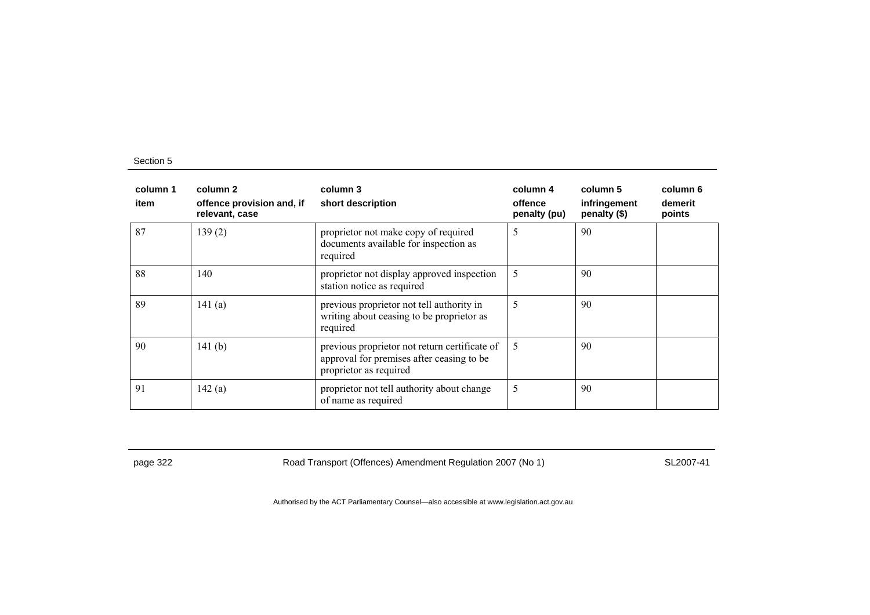| column 1<br>item | column 2<br>offence provision and, if<br>relevant, case | column 3<br>short description                                                                                        | column 4<br>offence<br>penalty (pu) | column 5<br>infringement<br>penalty (\$) | column 6<br>demerit<br>points |
|------------------|---------------------------------------------------------|----------------------------------------------------------------------------------------------------------------------|-------------------------------------|------------------------------------------|-------------------------------|
| 87               | 139(2)                                                  | proprietor not make copy of required<br>documents available for inspection as<br>required                            | 5                                   | 90                                       |                               |
| 88               | 140                                                     | proprietor not display approved inspection<br>station notice as required                                             | 5                                   | 90                                       |                               |
| 89               | 141 $(a)$                                               | previous proprietor not tell authority in<br>writing about ceasing to be proprietor as<br>required                   | 5                                   | 90                                       |                               |
| 90               | 141 $(b)$                                               | previous proprietor not return certificate of<br>approval for premises after ceasing to be<br>proprietor as required | -5                                  | 90                                       |                               |
| 91               | 142(a)                                                  | proprietor not tell authority about change<br>of name as required                                                    | 5                                   | 90                                       |                               |

page 322 Road Transport (Offences) Amendment Regulation 2007 (No 1) SL2007-41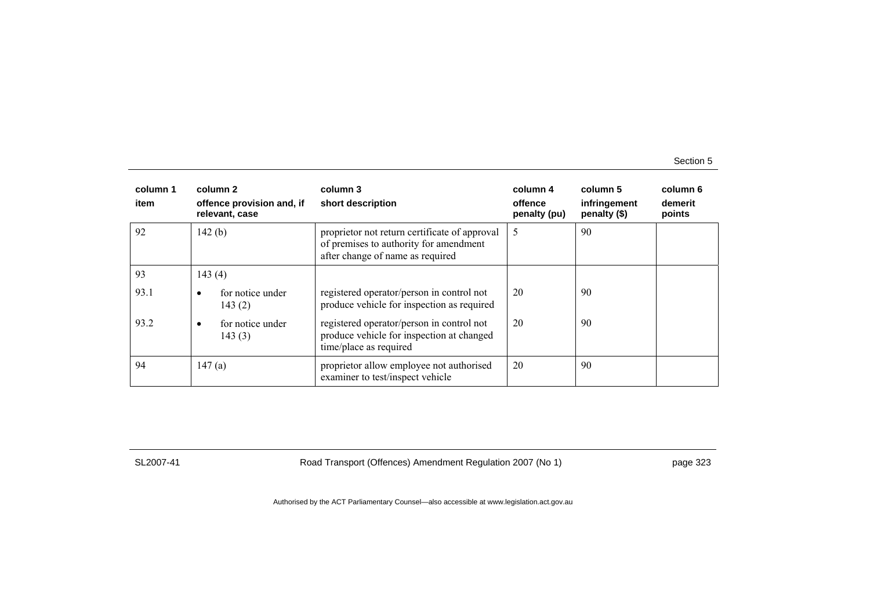| column 1<br>item | column 2<br>offence provision and, if<br>relevant, case | column 3<br>short description                                                                                               | column 4<br>offence<br>penalty (pu) | column 5<br>infringement<br>penalty (\$) | column 6<br>demerit<br>points |
|------------------|---------------------------------------------------------|-----------------------------------------------------------------------------------------------------------------------------|-------------------------------------|------------------------------------------|-------------------------------|
| 92               | 142(b)                                                  | proprietor not return certificate of approval<br>of premises to authority for amendment<br>after change of name as required | 5                                   | 90                                       |                               |
| 93               | 143(4)                                                  |                                                                                                                             |                                     |                                          |                               |
| 93.1             | for notice under<br>٠<br>143(2)                         | registered operator/person in control not<br>produce vehicle for inspection as required                                     | 20                                  | 90                                       |                               |
| 93.2             | for notice under<br>٠<br>143(3)                         | registered operator/person in control not<br>produce vehicle for inspection at changed<br>time/place as required            | 20                                  | 90                                       |                               |
| 94               | 147(a)                                                  | proprietor allow employee not authorised<br>examiner to test/inspect vehicle                                                | 20                                  | 90                                       |                               |

SL2007-41 Road Transport (Offences) Amendment Regulation 2007 (No 1) page 323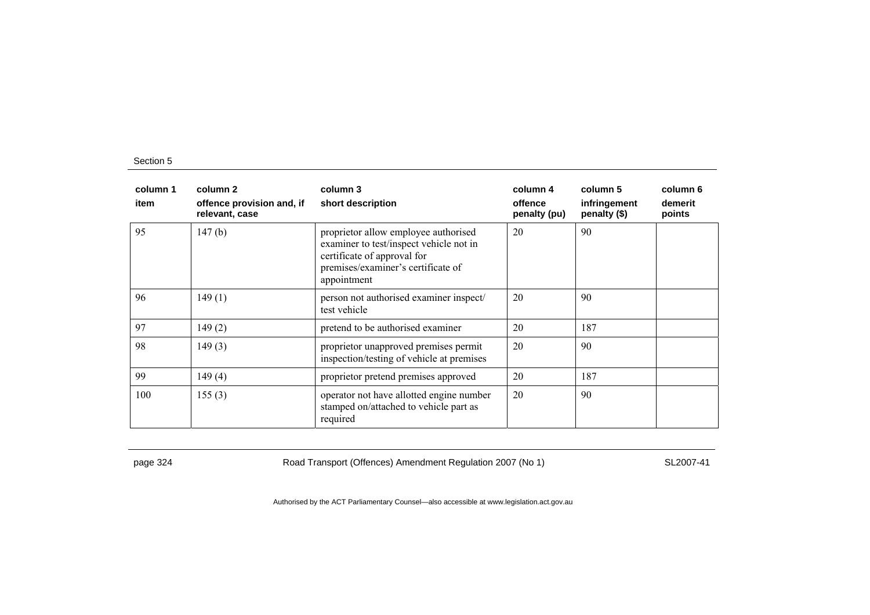| column 1<br>item | column 2<br>offence provision and, if<br>relevant, case | column 3<br>short description                                                                                                                                       | column 4<br>offence<br>penalty (pu) | column 5<br>infringement<br>penalty (\$) | column 6<br>demerit<br>points |
|------------------|---------------------------------------------------------|---------------------------------------------------------------------------------------------------------------------------------------------------------------------|-------------------------------------|------------------------------------------|-------------------------------|
| 95               | 147(b)                                                  | proprietor allow employee authorised<br>examiner to test/inspect vehicle not in<br>certificate of approval for<br>premises/examiner's certificate of<br>appointment | 20                                  | 90                                       |                               |
| 96               | 149(1)                                                  | person not authorised examiner inspect/<br>test vehicle                                                                                                             | 20                                  | 90                                       |                               |
| 97               | 149(2)                                                  | pretend to be authorised examiner                                                                                                                                   | 20                                  | 187                                      |                               |
| 98               | 149(3)                                                  | proprietor unapproved premises permit<br>inspection/testing of vehicle at premises                                                                                  | 20                                  | 90                                       |                               |
| 99               | 149(4)                                                  | proprietor pretend premises approved                                                                                                                                | 20                                  | 187                                      |                               |
| 100              | 155(3)                                                  | operator not have allotted engine number<br>stamped on/attached to vehicle part as<br>required                                                                      | 20                                  | 90                                       |                               |

page 324 Road Transport (Offences) Amendment Regulation 2007 (No 1) SL2007-41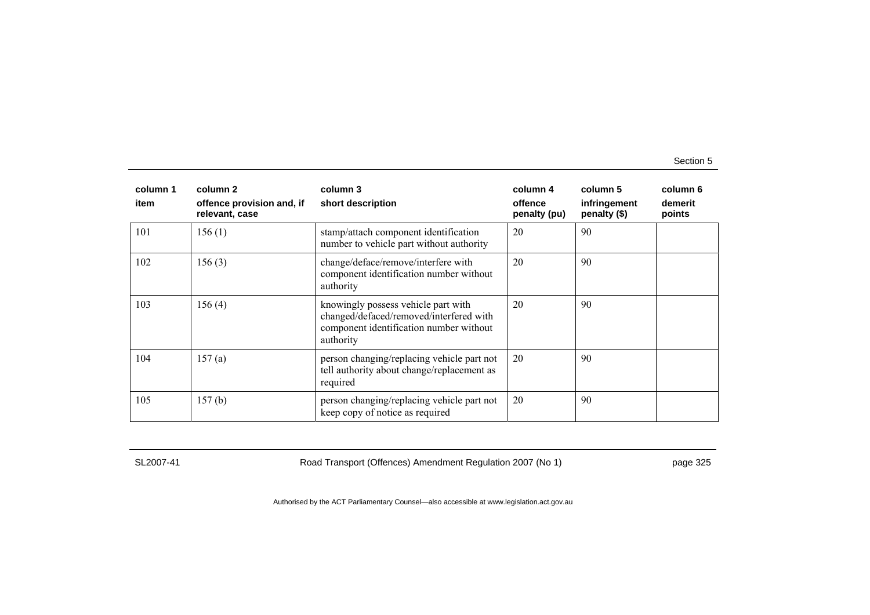| column 1<br>item | column 2<br>offence provision and, if<br>relevant, case | column 3<br>short description                                                                                                          | column 4<br>offence<br>penalty (pu) | column 5<br>infringement<br>penalty (\$) | column 6<br>demerit<br>points |
|------------------|---------------------------------------------------------|----------------------------------------------------------------------------------------------------------------------------------------|-------------------------------------|------------------------------------------|-------------------------------|
| 101              | 156(1)                                                  | stamp/attach component identification<br>number to vehicle part without authority                                                      | 20                                  | 90                                       |                               |
| 102              | 156(3)                                                  | change/deface/remove/interfere with<br>component identification number without<br>authority                                            | 20                                  | 90                                       |                               |
| 103              | 156(4)                                                  | knowingly possess vehicle part with<br>changed/defaced/removed/interfered with<br>component identification number without<br>authority | 20                                  | 90                                       |                               |
| 104              | 157(a)                                                  | person changing/replacing vehicle part not<br>tell authority about change/replacement as<br>required                                   | 20                                  | 90                                       |                               |
| 105              | 157(b)                                                  | person changing/replacing vehicle part not<br>keep copy of notice as required                                                          | 20                                  | 90                                       |                               |

SL2007-41 Road Transport (Offences) Amendment Regulation 2007 (No 1) page 325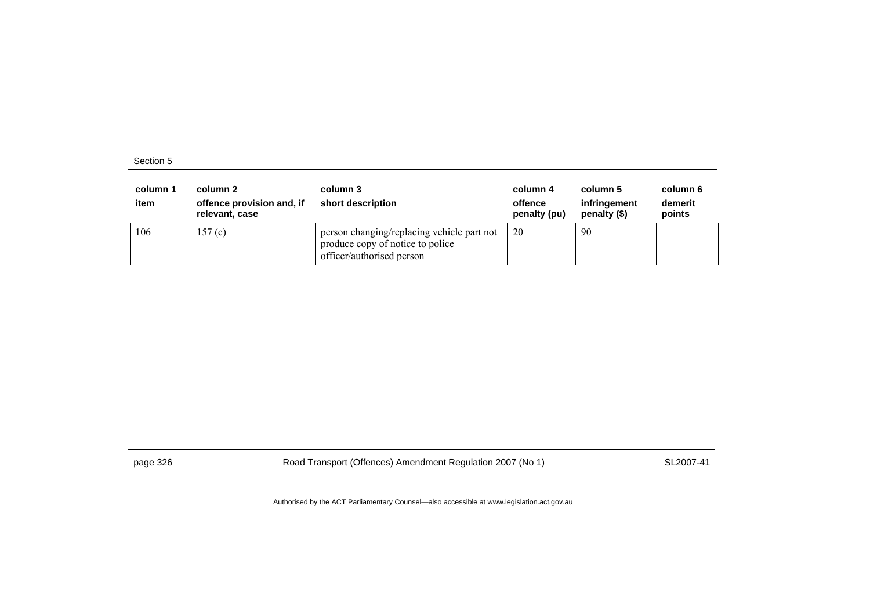| column 1<br>item | column 2<br>offence provision and, if<br>relevant, case | column 3<br>short description                                                                               | column 4<br>offence<br>penalty (pu) | column 5<br>infringement<br>penalty (\$) | column 6<br>demerit<br>points |
|------------------|---------------------------------------------------------|-------------------------------------------------------------------------------------------------------------|-------------------------------------|------------------------------------------|-------------------------------|
| 106              | 157(c)                                                  | person changing/replacing vehicle part not<br>produce copy of notice to police<br>officer/authorised person | 20                                  | 90                                       |                               |

page 326 Road Transport (Offences) Amendment Regulation 2007 (No 1) SL2007-41